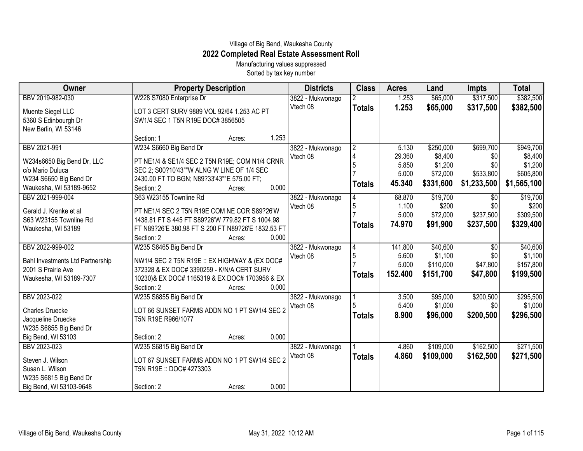## Village of Big Bend, Waukesha County **2022 Completed Real Estate Assessment Roll**

Manufacturing values suppressed Sorted by tax key number

| Owner                                            | <b>Property Description</b>                                                                     |        | <b>Districts</b> | <b>Class</b>   | <b>Acres</b> | Land      | <b>Impts</b>    | <b>Total</b> |
|--------------------------------------------------|-------------------------------------------------------------------------------------------------|--------|------------------|----------------|--------------|-----------|-----------------|--------------|
| BBV 2019-982-030                                 | W228 S7080 Enterprise Dr                                                                        |        | 3822 - Mukwonago |                | 1.253        | \$65,000  | \$317,500       | \$382,500    |
| Muente Siegel LLC                                | LOT 3 CERT SURV 9889 VOL 92/64 1.253 AC PT                                                      |        | Vtech 08         | <b>Totals</b>  | 1.253        | \$65,000  | \$317,500       | \$382,500    |
| 5360 S Edinbourgh Dr                             | SW1/4 SEC 1 T5N R19E DOC# 3856505                                                               |        |                  |                |              |           |                 |              |
| New Berlin, WI 53146                             |                                                                                                 |        |                  |                |              |           |                 |              |
|                                                  | Section: 1                                                                                      | Acres: | 1.253            |                |              |           |                 |              |
| BBV 2021-991                                     | W234 S6660 Big Bend Dr                                                                          |        | 3822 - Mukwonago | $\overline{2}$ | 5.130        | \$250,000 | \$699,700       | \$949,700    |
| W234s6650 Big Bend Dr, LLC                       | PT NE1/4 & SE1/4 SEC 2 T5N R19E; COM N1/4 CRNR                                                  |        | Vtech 08         | $\overline{4}$ | 29.360       | \$8,400   | \$0             | \$8,400      |
| c/o Mario Duluca                                 | SEC 2; S00?10'43""W ALNG W LINE OF 1/4 SEC                                                      |        |                  |                | 5.850        | \$1,200   | \$0             | \$1,200      |
| W234 S6650 Big Bend Dr                           | 2430.00 FT TO BGN; N89?33'43""E 575.00 FT;                                                      |        |                  |                | 5.000        | \$72,000  | \$533,800       | \$605,800    |
| Waukesha, WI 53189-9652                          | Section: 2                                                                                      | Acres: | 0.000            | <b>Totals</b>  | 45.340       | \$331,600 | \$1,233,500     | \$1,565,100  |
| BBV 2021-999-004                                 | S63 W23155 Townline Rd                                                                          |        | 3822 - Mukwonago |                | 68.870       | \$19,700  | $\overline{30}$ | \$19,700     |
|                                                  |                                                                                                 |        | Vtech 08         | 5              | 1.100        | \$200     | \$0             | \$200        |
| Gerald J. Krenke et al<br>S63 W23155 Townline Rd | PT NE1/4 SEC 2 T5N R19E COM NE COR S89?26'W<br>1438.81 FT S 445 FT S89?26'W 779.82 FT S 1004.98 |        |                  |                | 5.000        | \$72,000  | \$237,500       | \$309,500    |
| Waukesha, WI 53189                               | FT N89?26'E 380.98 FT S 200 FT N89?26'E 1832.53 FT                                              |        |                  | <b>Totals</b>  | 74.970       | \$91,900  | \$237,500       | \$329,400    |
|                                                  | Section: 2                                                                                      | Acres: | 0.000            |                |              |           |                 |              |
| BBV 2022-999-002                                 | W235 S6465 Big Bend Dr                                                                          |        | 3822 - Mukwonago | 4              | 141.800      | \$40,600  | $\overline{50}$ | \$40,600     |
|                                                  |                                                                                                 |        | Vtech 08         | 5              | 5.600        | \$1,100   | \$0             | \$1,100      |
| <b>Bahl Investments Ltd Partnership</b>          | NW1/4 SEC 2 T5N R19E :: EX HIGHWAY & (EX DOC#                                                   |        |                  |                | 5.000        | \$110,000 | \$47,800        | \$157,800    |
| 2001 S Prairie Ave                               | 372328 & EX DOC# 3390259 - K/N/A CERT SURV                                                      |        |                  | <b>Totals</b>  | 152.400      | \$151,700 | \$47,800        | \$199,500    |
| Waukesha, WI 53189-7307                          | 10230)& EX DOC# 1165319 & EX DOC# 1703956 & EX                                                  |        |                  |                |              |           |                 |              |
|                                                  | Section: 2                                                                                      | Acres: | 0.000            |                |              |           |                 |              |
| BBV 2023-022                                     | W235 S6855 Big Bend Dr                                                                          |        | 3822 - Mukwonago |                | 3.500        | \$95,000  | \$200,500       | \$295,500    |
| <b>Charles Druecke</b>                           | LOT 66 SUNSET FARMS ADDN NO 1 PT SW1/4 SEC 2                                                    |        | Vtech 08         |                | 5.400        | \$1,000   | \$0             | \$1,000      |
| Jacqueline Druecke                               | T5N R19E R966/1077                                                                              |        |                  | <b>Totals</b>  | 8.900        | \$96,000  | \$200,500       | \$296,500    |
| W235 S6855 Big Bend Dr                           |                                                                                                 |        |                  |                |              |           |                 |              |
| Big Bend, WI 53103                               | Section: 2                                                                                      | Acres: | 0.000            |                |              |           |                 |              |
| BBV 2023-023                                     | W235 S6815 Big Bend Dr                                                                          |        | 3822 - Mukwonago |                | 4.860        | \$109,000 | \$162,500       | \$271,500    |
| Steven J. Wilson                                 | LOT 67 SUNSET FARMS ADDN NO 1 PT SW1/4 SEC 2                                                    |        | Vtech 08         | <b>Totals</b>  | 4.860        | \$109,000 | \$162,500       | \$271,500    |
| Susan L. Wilson                                  | T5N R19E: DOC# 4273303                                                                          |        |                  |                |              |           |                 |              |
| W235 S6815 Big Bend Dr                           |                                                                                                 |        |                  |                |              |           |                 |              |
| Big Bend, WI 53103-9648                          | Section: 2                                                                                      | Acres: | 0.000            |                |              |           |                 |              |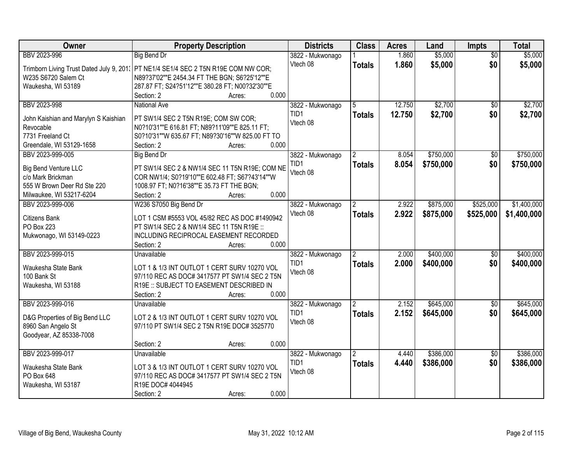| Owner                                | <b>Property Description</b>                                                                |       | <b>Districts</b> | <b>Class</b>  | <b>Acres</b> | Land      | <b>Impts</b>    | <b>Total</b> |
|--------------------------------------|--------------------------------------------------------------------------------------------|-------|------------------|---------------|--------------|-----------|-----------------|--------------|
| BBV 2023-996                         | <b>Big Bend Dr</b>                                                                         |       | 3822 - Mukwonago |               | 1.860        | \$5,000   | $\overline{30}$ | \$5,000      |
|                                      | Trimborn Living Trust Dated July 9, 201: PT NE1/4 SE1/4 SEC 2 T5N R19E COM NW COR;         |       | Vtech 08         | <b>Totals</b> | 1.860        | \$5,000   | \$0             | \$5,000      |
| W235 S6720 Salem Ct                  | N89?37'02""E 2454.34 FT THE BGN; S6?25'12""E                                               |       |                  |               |              |           |                 |              |
| Waukesha, WI 53189                   | 287.87 FT; S24?51'12""E 380.28 FT; N00?32'30""E                                            |       |                  |               |              |           |                 |              |
|                                      | Section: 2<br>Acres:                                                                       | 0.000 |                  |               |              |           |                 |              |
| BBV 2023-998                         | <b>National Ave</b>                                                                        |       | 3822 - Mukwonago |               | 12.750       | \$2,700   | $\overline{50}$ | \$2,700      |
|                                      |                                                                                            |       | TID1             | <b>Totals</b> | 12.750       | \$2,700   | \$0             | \$2,700      |
| John Kaishian and Marylyn S Kaishian | PT SW1/4 SEC 2 T5N R19E; COM SW COR;                                                       |       | Vtech 08         |               |              |           |                 |              |
| Revocable                            | N0?10'31""E 616.81 FT; N89?11'09""E 825.11 FT;                                             |       |                  |               |              |           |                 |              |
| 7731 Freeland Ct                     | S0?10'31""W 635.67 FT; N89?30'16""W 825.00 FT TO                                           |       |                  |               |              |           |                 |              |
| Greendale, WI 53129-1658             | Section: 2<br>Acres:                                                                       | 0.000 |                  |               |              |           |                 |              |
| BBV 2023-999-005                     | <b>Big Bend Dr</b>                                                                         |       | 3822 - Mukwonago |               | 8.054        | \$750,000 | \$0             | \$750,000    |
| <b>Big Bend Venture LLC</b>          | PT SW1/4 SEC 2 & NW1/4 SEC 11 T5N R19E; COM NE                                             |       | TID1             | <b>Totals</b> | 8.054        | \$750,000 | \$0             | \$750,000    |
| c/o Mark Brickman                    | COR NW1/4; S0?19'10""E 602.48 FT; S67?43'14""W                                             |       | Vtech 08         |               |              |           |                 |              |
| 555 W Brown Deer Rd Ste 220          | 1008.97 FT; N0?16'38""E 35.73 FT THE BGN;                                                  |       |                  |               |              |           |                 |              |
| Milwaukee, WI 53217-6204             | Section: 2<br>Acres:                                                                       | 0.000 |                  |               |              |           |                 |              |
| BBV 2023-999-006                     | W236 S7050 Big Bend Dr                                                                     |       | 3822 - Mukwonago | 2             | 2.922        | \$875,000 | \$525,000       | \$1,400,000  |
|                                      |                                                                                            |       | Vtech 08         | <b>Totals</b> | 2.922        | \$875,000 | \$525,000       | \$1,400,000  |
| Citizens Bank<br><b>PO Box 223</b>   | LOT 1 CSM #5553 VOL 45/82 REC AS DOC #1490942<br>PT SW1/4 SEC 2 & NW1/4 SEC 11 T5N R19E :: |       |                  |               |              |           |                 |              |
| Mukwonago, WI 53149-0223             | INCLUDING RECIPROCAL EASEMENT RECORDED                                                     |       |                  |               |              |           |                 |              |
|                                      | Section: 2<br>Acres:                                                                       | 0.000 |                  |               |              |           |                 |              |
| BBV 2023-999-015                     | <b>Unavailable</b>                                                                         |       | 3822 - Mukwonago |               | 2.000        | \$400,000 | \$0             | \$400,000    |
|                                      |                                                                                            |       | TID <sub>1</sub> |               | 2.000        | \$400,000 | \$0             | \$400,000    |
| Waukesha State Bank                  | LOT 1 & 1/3 INT OUTLOT 1 CERT SURV 10270 VOL                                               |       | Vtech 08         | <b>Totals</b> |              |           |                 |              |
| 100 Bank St                          | 97/110 REC AS DOC# 3417577 PT SW1/4 SEC 2 T5N                                              |       |                  |               |              |           |                 |              |
| Waukesha, WI 53188                   | R19E :: SUBJECT TO EASEMENT DESCRIBED IN                                                   |       |                  |               |              |           |                 |              |
|                                      | Section: 2<br>Acres:                                                                       | 0.000 |                  |               |              |           |                 |              |
| BBV 2023-999-016                     | Unavailable                                                                                |       | 3822 - Mukwonago |               | 2.152        | \$645,000 | \$0             | \$645,000    |
| D&G Properties of Big Bend LLC       | LOT 2 & 1/3 INT OUTLOT 1 CERT SURV 10270 VOL                                               |       | TID1             | <b>Totals</b> | 2.152        | \$645,000 | \$0             | \$645,000    |
| 8960 San Angelo St                   | 97/110 PT SW1/4 SEC 2 T5N R19E DOC# 3525770                                                |       | Vtech 08         |               |              |           |                 |              |
| Goodyear, AZ 85338-7008              |                                                                                            |       |                  |               |              |           |                 |              |
|                                      | Section: 2<br>Acres:                                                                       | 0.000 |                  |               |              |           |                 |              |
| BBV 2023-999-017                     | Unavailable                                                                                |       | 3822 - Mukwonago | <u>2</u>      | 4.440        | \$386,000 | $\overline{30}$ | \$386,000    |
|                                      |                                                                                            |       | TID1             | <b>Totals</b> | 4.440        | \$386,000 | \$0             | \$386,000    |
| Waukesha State Bank                  | LOT 3 & 1/3 INT OUTLOT 1 CERT SURV 10270 VOL                                               |       | Vtech 08         |               |              |           |                 |              |
| PO Box 648                           | 97/110 REC AS DOC# 3417577 PT SW1/4 SEC 2 T5N                                              |       |                  |               |              |           |                 |              |
| Waukesha, WI 53187                   | R19E DOC# 4044945                                                                          |       |                  |               |              |           |                 |              |
|                                      | Section: 2<br>Acres:                                                                       | 0.000 |                  |               |              |           |                 |              |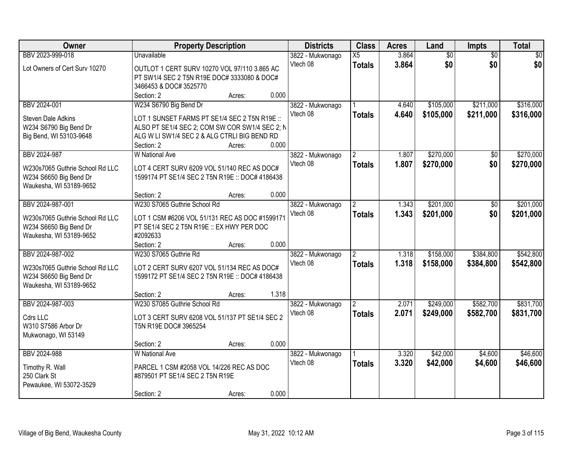| Owner                                                     | <b>Property Description</b>                                                                    |        | <b>Districts</b> | <b>Class</b>         | <b>Acres</b> | Land            | <b>Impts</b>    | <b>Total</b>    |
|-----------------------------------------------------------|------------------------------------------------------------------------------------------------|--------|------------------|----------------------|--------------|-----------------|-----------------|-----------------|
| BBV 2023-999-018                                          | <b>Unavailable</b>                                                                             |        | 3822 - Mukwonago | X5                   | 3.864        | $\overline{60}$ | $\overline{50}$ | $\overline{50}$ |
| Lot Owners of Cert Surv 10270                             | OUTLOT 1 CERT SURV 10270 VOL 97/110 3.865 AC                                                   |        | Vtech 08         | <b>Totals</b>        | 3.864        | \$0             | \$0             | \$0             |
|                                                           | PT SW1/4 SEC 2 T5N R19E DOC# 3333080 & DOC#                                                    |        |                  |                      |              |                 |                 |                 |
|                                                           | 3466453 & DOC# 3525770                                                                         |        |                  |                      |              |                 |                 |                 |
|                                                           | Section: 2                                                                                     | Acres: | 0.000            |                      |              |                 |                 |                 |
| BBV 2024-001                                              | W234 S6790 Big Bend Dr                                                                         |        | 3822 - Mukwonago |                      | 4.640        | \$105,000       | \$211,000       | \$316,000       |
| <b>Steven Dale Adkins</b>                                 | LOT 1 SUNSET FARMS PT SE1/4 SEC 2 T5N R19E ::                                                  |        | Vtech 08         | <b>Totals</b>        | 4.640        | \$105,000       | \$211,000       | \$316,000       |
| W234 S6790 Big Bend Dr                                    | ALSO PT SE1/4 SEC 2; COM SW COR SW1/4 SEC 2; N                                                 |        |                  |                      |              |                 |                 |                 |
| Big Bend, WI 53103-9648                                   | ALG W LI SW1/4 SEC 2 & ALG CTRLI BIG BEND RD                                                   |        |                  |                      |              |                 |                 |                 |
|                                                           | Section: 2                                                                                     | Acres: | 0.000            |                      |              |                 |                 |                 |
| BBV 2024-987                                              | <b>W</b> National Ave                                                                          |        | 3822 - Mukwonago | $\overline{2}$       | 1.807        | \$270,000       | \$0             | \$270,000       |
| W230s7065 Guthrie School Rd LLC                           | LOT 4 CERT SURV 6209 VOL 51/140 REC AS DOC#                                                    |        | Vtech 08         | <b>Totals</b>        | 1.807        | \$270,000       | \$0             | \$270,000       |
| W234 S6650 Big Bend Dr                                    | 1599174 PT SE1/4 SEC 2 T5N R19E :: DOC# 4186438                                                |        |                  |                      |              |                 |                 |                 |
| Waukesha, WI 53189-9652                                   |                                                                                                |        |                  |                      |              |                 |                 |                 |
|                                                           | Section: 2                                                                                     | Acres: | 0.000            |                      |              |                 |                 |                 |
| BBV 2024-987-001                                          | W230 S7065 Guthrie School Rd                                                                   |        | 3822 - Mukwonago | $\mathbf{2}^{\circ}$ | 1.343        | \$201,000       | \$0             | \$201,000       |
| W230s7065 Guthrie School Rd LLC                           | LOT 1 CSM #6206 VOL 51/131 REC AS DOC #1599171                                                 |        | Vtech 08         | <b>Totals</b>        | 1.343        | \$201,000       | \$0             | \$201,000       |
| W234 S6650 Big Bend Dr                                    | PT SE1/4 SEC 2 T5N R19E :: EX HWY PER DOC                                                      |        |                  |                      |              |                 |                 |                 |
| Waukesha, WI 53189-9652                                   | #2092633                                                                                       |        |                  |                      |              |                 |                 |                 |
|                                                           | Section: 2                                                                                     | Acres: | 0.000            |                      |              |                 |                 |                 |
| BBV 2024-987-002                                          | W230 S7065 Guthrie Rd                                                                          |        | 3822 - Mukwonago |                      | 1.318        | \$158,000       | \$384,800       | \$542,800       |
|                                                           |                                                                                                |        | Vtech 08         | <b>Totals</b>        | 1.318        | \$158,000       | \$384,800       | \$542,800       |
| W230s7065 Guthrie School Rd LLC<br>W234 S6650 Big Bend Dr | LOT 2 CERT SURV 6207 VOL 51/134 REC AS DOC#<br>1599172 PT SE1/4 SEC 2 T5N R19E :: DOC# 4186438 |        |                  |                      |              |                 |                 |                 |
| Waukesha, WI 53189-9652                                   |                                                                                                |        |                  |                      |              |                 |                 |                 |
|                                                           | Section: 2                                                                                     | Acres: | 1.318            |                      |              |                 |                 |                 |
| BBV 2024-987-003                                          | W230 S7085 Guthrie School Rd                                                                   |        | 3822 - Mukwonago | $\overline{2}$       | 2.071        | \$249,000       | \$582,700       | \$831,700       |
| Cdrs LLC                                                  | LOT 3 CERT SURV 6208 VOL 51/137 PT SE1/4 SEC 2                                                 |        | Vtech 08         | <b>Totals</b>        | 2.071        | \$249,000       | \$582,700       | \$831,700       |
| W310 S7586 Arbor Dr                                       | T5N R19E DOC# 3965254                                                                          |        |                  |                      |              |                 |                 |                 |
| Mukwonago, WI 53149                                       |                                                                                                |        |                  |                      |              |                 |                 |                 |
|                                                           | Section: 2                                                                                     | Acres: | 0.000            |                      |              |                 |                 |                 |
| BBV 2024-988                                              | <b>W</b> National Ave                                                                          |        | 3822 - Mukwonago |                      | 3.320        | \$42,000        | \$4,600         | \$46,600        |
| Timothy R. Wall                                           | PARCEL 1 CSM #2058 VOL 14/226 REC AS DOC                                                       |        | Vtech 08         | <b>Totals</b>        | 3.320        | \$42,000        | \$4,600         | \$46,600        |
| 250 Clark St                                              | #879501 PT SE1/4 SEC 2 T5N R19E                                                                |        |                  |                      |              |                 |                 |                 |
| Pewaukee, WI 53072-3529                                   |                                                                                                |        |                  |                      |              |                 |                 |                 |
|                                                           | Section: 2                                                                                     | Acres: | 0.000            |                      |              |                 |                 |                 |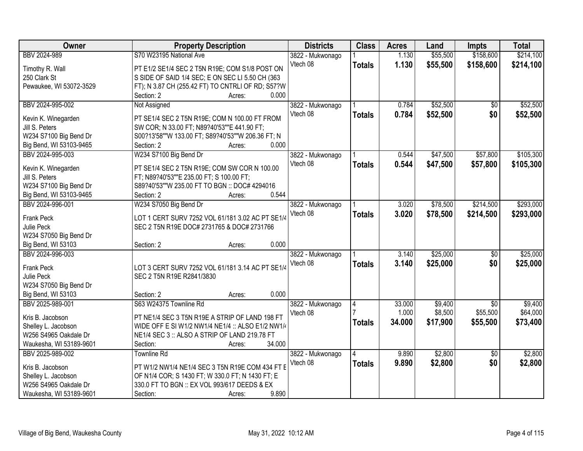| Owner<br><b>Districts</b><br><b>Class</b><br><b>Property Description</b><br><b>Acres</b><br>Land<br><b>Impts</b>        | <b>Total</b>                |
|-------------------------------------------------------------------------------------------------------------------------|-----------------------------|
| S70 W23195 National Ave<br>\$55,500<br>BBV 2024-989<br>1.130<br>3822 - Mukwonago                                        | \$158,600<br>\$214,100      |
| Vtech 08<br>1.130<br>\$55,500<br><b>Totals</b><br>Timothy R. Wall<br>PT E1/2 SE1/4 SEC 2 T5N R19E; COM S1/8 POST ON     | \$158,600<br>\$214,100      |
| S SIDE OF SAID 1/4 SEC; E ON SEC LI 5.50 CH (363)<br>250 Clark St                                                       |                             |
| FT); N 3.87 CH (255.42 FT) TO CNTRLI OF RD; S57?W<br>Pewaukee, WI 53072-3529                                            |                             |
| 0.000<br>Section: 2<br>Acres:                                                                                           |                             |
| \$52,500<br>BBV 2024-995-002<br>3822 - Mukwonago<br>0.784<br>Not Assigned                                               | \$52,500<br>$\overline{30}$ |
| Vtech 08<br>0.784<br>\$52,500<br><b>Totals</b>                                                                          | \$0<br>\$52,500             |
| PT SE1/4 SEC 2 T5N R19E; COM N 100.00 FT FROM<br>Kevin K. Winegarden                                                    |                             |
| SW COR; N 33.00 FT; N89?40'53""E 441.90 FT;<br>Jill S. Peters                                                           |                             |
| W234 S7100 Big Bend Dr<br>S00?13'58""W 133.00 FT; S89?40'53""W 206.36 FT; N                                             |                             |
| 0.000<br>Big Bend, WI 53103-9465<br>Section: 2<br>Acres:                                                                |                             |
| W234 S7100 Big Bend Dr<br>\$47,500<br>BBV 2024-995-003<br>3822 - Mukwonago<br>0.544                                     | \$57,800<br>\$105,300       |
| Vtech 08<br>0.544<br>\$47,500<br><b>Totals</b><br>PT SE1/4 SEC 2 T5N R19E; COM SW COR N 100.00<br>Kevin K. Winegarden   | \$57,800<br>\$105,300       |
| Jill S. Peters<br>FT; N89?40'53""E 235.00 FT; S 100.00 FT;                                                              |                             |
| W234 S7100 Big Bend Dr<br>S89?40'53""W 235.00 FT TO BGN :: DOC# 4294016                                                 |                             |
| 0.544<br>Big Bend, WI 53103-9465<br>Section: 2<br>Acres:                                                                |                             |
| BBV 2024-996-001<br>W234 S7050 Big Bend Dr<br>\$78,500<br>3822 - Mukwonago<br>3.020                                     | \$293,000<br>\$214,500      |
| 3.020<br>Vtech 08<br>\$78,500<br><b>Totals</b>                                                                          | \$214,500<br>\$293,000      |
| Frank Peck<br>LOT 1 CERT SURV 7252 VOL 61/181 3.02 AC PT SE1/4                                                          |                             |
| SEC 2 T5N R19E DOC# 2731765 & DOC# 2731766<br>Julie Peck                                                                |                             |
| W234 S7050 Big Bend Dr                                                                                                  |                             |
| 0.000<br>Big Bend, WI 53103<br>Section: 2<br>Acres:                                                                     |                             |
| \$25,000<br>BBV 2024-996-003<br>3.140<br>3822 - Mukwonago                                                               | \$25,000<br>$\overline{50}$ |
| 3.140<br>Vtech 08<br>\$25,000<br><b>Totals</b><br><b>Frank Peck</b><br>LOT 3 CERT SURV 7252 VOL 61/181 3.14 AC PT SE1/4 | \$0<br>\$25,000             |
| SEC 2 T5N R19E R2841/3830<br>Julie Peck                                                                                 |                             |
| W234 S7050 Big Bend Dr                                                                                                  |                             |
| 0.000<br>Big Bend, WI 53103<br>Section: 2<br>Acres:                                                                     |                             |
| \$9,400<br>BBV 2025-989-001<br>S63 W24375 Townline Rd<br>3822 - Mukwonago<br>33.000<br>4                                | $\overline{50}$<br>\$9,400  |
| \$8,500<br>1.000<br>Vtech 08                                                                                            | \$55,500<br>\$64,000        |
| Kris B. Jacobson<br>PT NE1/4 SEC 3 T5N R19E A STRIP OF LAND 198 FT<br>34.000<br>\$17,900<br><b>Totals</b>               | \$55,500<br>\$73,400        |
| Shelley L. Jacobson<br>WIDE OFF E SI W1/2 NW1/4 NE1/4 :: ALSO E1/2 NW1/4                                                |                             |
| W256 S4965 Oakdale Dr<br>NE1/4 SEC 3 :: ALSO A STRIP OF LAND 219.78 FT                                                  |                             |
| 34.000<br>Waukesha, WI 53189-9601<br>Section:<br>Acres:                                                                 |                             |
| \$2,800<br>9.890<br>BBV 2025-989-002<br><b>Townline Rd</b><br>3822 - Mukwonago                                          | \$2,800<br>$\overline{50}$  |
| 9.890<br>Vtech 08<br>\$2,800<br><b>Totals</b><br>PT W1/2 NW1/4 NE1/4 SEC 3 T5N R19E COM 434 FT E<br>Kris B. Jacobson    | \$0<br>\$2,800              |
| OF N1/4 COR; S 1430 FT; W 330.0 FT; N 1430 FT; E<br>Shelley L. Jacobson                                                 |                             |
| 330.0 FT TO BGN :: EX VOL 993/617 DEEDS & EX<br>W256 S4965 Oakdale Dr                                                   |                             |
| 9.890<br>Waukesha, WI 53189-9601<br>Section:<br>Acres:                                                                  |                             |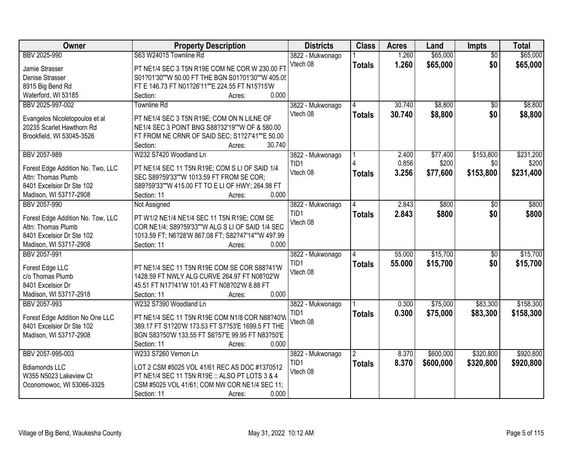| Owner                                                        | <b>Property Description</b>                        | <b>Districts</b> | <b>Class</b>         | <b>Acres</b> | Land      | Impts           | <b>Total</b> |
|--------------------------------------------------------------|----------------------------------------------------|------------------|----------------------|--------------|-----------|-----------------|--------------|
| BBV 2025-990                                                 | S63 W24015 Townline Rd                             | 3822 - Mukwonago |                      | 1.260        | \$65,000  | $\overline{50}$ | \$65,000     |
| Jamie Strasser                                               | PT NE1/4 SEC 3 T5N R19E COM NE COR W 230.00 F1     | Vtech 08         | <b>Totals</b>        | 1.260        | \$65,000  | \$0             | \$65,000     |
| Denise Strasser                                              | S01?01'30""W 50.00 FT THE BGN S01?01'30""W 405.05  |                  |                      |              |           |                 |              |
| 8915 Big Bend Rd                                             | FT E 146.73 FT N01?26'11""E 224.55 FT N15?15'W     |                  |                      |              |           |                 |              |
| Waterford, WI 53185                                          | 0.000<br>Section:<br>Acres:                        |                  |                      |              |           |                 |              |
| BBV 2025-997-002                                             | <b>Townline Rd</b>                                 | 3822 - Mukwonago |                      | 30.740       | \$8,800   | \$0             | \$8,800      |
|                                                              |                                                    | Vtech 08         | <b>Totals</b>        | 30.740       | \$8,800   | \$0             | \$8,800      |
| Evangelos Nicoletopoulos et al                               | PT NE1/4 SEC 3 T5N R19E; COM ON N LILNE OF         |                  |                      |              |           |                 |              |
| 20235 Scarlet Hawthorn Rd                                    | NE1/4 SEC 3 POINT BNG S88?32'19""W OF & 580.00     |                  |                      |              |           |                 |              |
| Brookfield, WI 53045-3526                                    | FT FROM NE CRNR OF SAID SEC; S1?27'41""E 50.00     |                  |                      |              |           |                 |              |
|                                                              | 30.740<br>Section:<br>Acres:                       |                  |                      |              |           |                 |              |
| BBV 2057-989                                                 | W232 S7420 Woodland Ln                             | 3822 - Mukwonago |                      | 2.400        | \$77,400  | \$153,800       | \$231,200    |
| Forest Edge Addition No. Two, LLC                            | PT NE1/4 SEC 11 T5N R19E; COM S LI OF SAID 1/4     | TID1             |                      | 0.856        | \$200     | \$0             | \$200        |
| Attn: Thomas Plumb                                           | SEC S89?59'33""W 1013.59 FT FROM SE COR;           | Vtech 08         | <b>Totals</b>        | 3.256        | \$77,600  | \$153,800       | \$231,400    |
| 8401 Excelsior Dr Ste 102                                    | S89?59'33""W 415.00 FT TO E LI OF HWY; 264.98 FT   |                  |                      |              |           |                 |              |
| Madison, WI 53717-2908                                       | Section: 11<br>0.000<br>Acres:                     |                  |                      |              |           |                 |              |
| BBV 2057-990                                                 | Not Assigned                                       | 3822 - Mukwonago |                      | 2.843        | \$800     | $\sqrt[6]{}$    | \$800        |
|                                                              |                                                    | TID1             | <b>Totals</b>        | 2.843        | \$800     | \$0             | \$800        |
| Forest Edge Addition No. Tow, LLC                            | PT W1/2 NE1/4 NE1/4 SEC 11 T5N R19E; COM SE        | Vtech 08         |                      |              |           |                 |              |
| Attn: Thomas Plumb                                           | COR NE1/4; S89?59'33""W ALG S LI OF SAID 1/4 SEC   |                  |                      |              |           |                 |              |
| 8401 Excelsior Dr Ste 102                                    | 1013.59 FT; N6?28'W 867.08 FT; S82?47'14""W 497.99 |                  |                      |              |           |                 |              |
| Madison, WI 53717-2908                                       | 0.000<br>Section: 11<br>Acres:                     |                  | 4                    |              |           |                 |              |
| BBV 2057-991                                                 |                                                    | 3822 - Mukwonago |                      | 55.000       | \$15,700  | $\overline{50}$ | \$15,700     |
| Forest Edge LLC                                              | PT NE1/4 SEC 11 T5N R19E COM SE COR S88?41'W       | TID <sub>1</sub> | <b>Totals</b>        | 55.000       | \$15,700  | \$0             | \$15,700     |
| c/o Thomas Plumb                                             | 1428.59 FT NWLY ALG CURVE 264.97 FT N08?02'W       | Vtech 08         |                      |              |           |                 |              |
| 8401 Excelsior Dr                                            | 45.51 FT N17?41'W 101.43 FT N08?02'W 8.88 FT       |                  |                      |              |           |                 |              |
| Madison, WI 53717-2918                                       | 0.000<br>Section: 11<br>Acres:                     |                  |                      |              |           |                 |              |
| BBV 2057-993                                                 | W232 S7390 Woodland Ln                             | 3822 - Mukwonago |                      | 0.300        | \$75,000  | \$83,300        | \$158,300    |
|                                                              | PT NE1/4 SEC 11 T5N R19E COM N1/8 COR N88?40'W     | TID1             | <b>Totals</b>        | 0.300        | \$75,000  | \$83,300        | \$158,300    |
| Forest Edge Addition No One LLC<br>8401 Excelsior Dr Ste 102 | 389.17 FT S1?20'W 173.53 FT S7?53'E 1699.5 FT THE  | Vtech 08         |                      |              |           |                 |              |
|                                                              | BGN S83?50'W 133.55 FT S6?57'E 99.95 FT N83?50'E   |                  |                      |              |           |                 |              |
| Madison, WI 53717-2908                                       | 0.000<br>Section: 11                               |                  |                      |              |           |                 |              |
| BBV 2057-995-003                                             | Acres:<br>W233 S7260 Vernon Ln                     | 3822 - Mukwonago | $\mathbf{2}^{\circ}$ | 8.370        | \$600,000 | \$320,800       | \$920,800    |
|                                                              |                                                    | TID1             |                      |              |           |                 |              |
| <b>Bdiamonds LLC</b>                                         | LOT 2 CSM #5025 VOL 41/61 REC AS DOC #1370512      | Vtech 08         | <b>Totals</b>        | 8.370        | \$600,000 | \$320,800       | \$920,800    |
| W355 N5023 Lakeview Ct                                       | PT NE1/4 SEC 11 T5N R19E :: ALSO PT LOTS 3 & 4     |                  |                      |              |           |                 |              |
| Oconomowoc, WI 53066-3325                                    | CSM #5025 VOL 41/61; COM NW COR NE1/4 SEC 11;      |                  |                      |              |           |                 |              |
|                                                              | 0.000<br>Section: 11<br>Acres:                     |                  |                      |              |           |                 |              |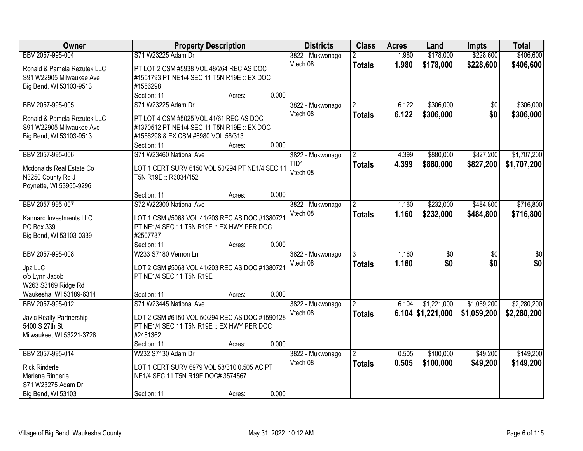| Owner                                               | <b>Property Description</b>                                                       |        |       | <b>Districts</b> | <b>Class</b>   | <b>Acres</b> | Land                | <b>Impts</b>    | <b>Total</b>    |
|-----------------------------------------------------|-----------------------------------------------------------------------------------|--------|-------|------------------|----------------|--------------|---------------------|-----------------|-----------------|
| BBV 2057-995-004                                    | S71 W23225 Adam Dr                                                                |        |       | 3822 - Mukwonago | 2              | 1.980        | \$178,000           | \$228,600       | \$406,600       |
| Ronald & Pamela Rezutek LLC                         | PT LOT 2 CSM #5938 VOL 48/264 REC AS DOC                                          |        |       | Vtech 08         | <b>Totals</b>  | 1.980        | \$178,000           | \$228,600       | \$406,600       |
| S91 W22905 Milwaukee Ave                            | #1551793 PT NE1/4 SEC 11 T5N R19E :: EX DOC                                       |        |       |                  |                |              |                     |                 |                 |
| Big Bend, WI 53103-9513                             | #1556298                                                                          |        |       |                  |                |              |                     |                 |                 |
|                                                     | Section: 11                                                                       | Acres: | 0.000 |                  |                |              |                     |                 |                 |
| BBV 2057-995-005                                    | S71 W23225 Adam Dr                                                                |        |       | 3822 - Mukwonago | $\overline{2}$ | 6.122        | \$306,000           | \$0             | \$306,000       |
|                                                     |                                                                                   |        |       | Vtech 08         | <b>Totals</b>  | 6.122        | \$306,000           | \$0             | \$306,000       |
| Ronald & Pamela Rezutek LLC                         | PT LOT 4 CSM #5025 VOL 41/61 REC AS DOC                                           |        |       |                  |                |              |                     |                 |                 |
| S91 W22905 Milwaukee Ave<br>Big Bend, WI 53103-9513 | #1370512 PT NE1/4 SEC 11 T5N R19E :: EX DOC<br>#1556298 & EX CSM #6980 VOL 58/313 |        |       |                  |                |              |                     |                 |                 |
|                                                     | Section: 11                                                                       | Acres: | 0.000 |                  |                |              |                     |                 |                 |
| BBV 2057-995-006                                    | S71 W23460 National Ave                                                           |        |       | 3822 - Mukwonago | $\overline{2}$ | 4.399        | \$880,000           | \$827,200       | \$1,707,200     |
|                                                     |                                                                                   |        |       | TID1             | <b>Totals</b>  | 4.399        | \$880,000           | \$827,200       | \$1,707,200     |
| Mcdonalds Real Estate Co                            | LOT 1 CERT SURV 6150 VOL 50/294 PT NE1/4 SEC 11                                   |        |       | Vtech 08         |                |              |                     |                 |                 |
| N3250 County Rd J                                   | T5N R19E :: R3034/152                                                             |        |       |                  |                |              |                     |                 |                 |
| Poynette, WI 53955-9296                             |                                                                                   |        |       |                  |                |              |                     |                 |                 |
|                                                     | Section: 11                                                                       | Acres: | 0.000 |                  |                |              |                     |                 |                 |
| BBV 2057-995-007                                    | S72 W22300 National Ave                                                           |        |       | 3822 - Mukwonago | $\overline{2}$ | 1.160        | \$232,000           | \$484,800       | \$716,800       |
| Kannard Investments LLC                             | LOT 1 CSM #5068 VOL 41/203 REC AS DOC #1380721                                    |        |       | Vtech 08         | <b>Totals</b>  | 1.160        | \$232,000           | \$484,800       | \$716,800       |
| PO Box 339                                          | PT NE1/4 SEC 11 T5N R19E :: EX HWY PER DOC                                        |        |       |                  |                |              |                     |                 |                 |
| Big Bend, WI 53103-0339                             | #2507737                                                                          |        |       |                  |                |              |                     |                 |                 |
|                                                     | Section: 11                                                                       | Acres: | 0.000 |                  |                |              |                     |                 |                 |
| BBV 2057-995-008                                    | W233 S7180 Vernon Ln                                                              |        |       | 3822 - Mukwonago |                | 1.160        | $\overline{50}$     | $\overline{50}$ | $\overline{50}$ |
|                                                     |                                                                                   |        |       | Vtech 08         | <b>Totals</b>  | 1.160        | \$0                 | \$0             | \$0             |
| Jpz LLC                                             | LOT 2 CSM #5068 VOL 41/203 REC AS DOC #1380721<br>PT NE1/4 SEC 11 T5N R19E        |        |       |                  |                |              |                     |                 |                 |
| c/o Lynn Jacob<br>W263 S3169 Ridge Rd               |                                                                                   |        |       |                  |                |              |                     |                 |                 |
| Waukesha, WI 53189-6314                             | Section: 11                                                                       | Acres: | 0.000 |                  |                |              |                     |                 |                 |
| BBV 2057-995-012                                    | S71 W23445 National Ave                                                           |        |       | 3822 - Mukwonago | 2              | 6.104        | \$1,221,000         | \$1,059,200     | \$2,280,200     |
|                                                     |                                                                                   |        |       | Vtech 08         | <b>Totals</b>  |              | $6.104$ \$1,221,000 | \$1,059,200     | \$2,280,200     |
| Javic Realty Partnership                            | LOT 2 CSM #6150 VOL 50/294 REC AS DOC #1590128                                    |        |       |                  |                |              |                     |                 |                 |
| 5400 S 27th St                                      | PT NE1/4 SEC 11 T5N R19E :: EX HWY PER DOC                                        |        |       |                  |                |              |                     |                 |                 |
| Milwaukee, WI 53221-3726                            | #2481362                                                                          |        |       |                  |                |              |                     |                 |                 |
|                                                     | Section: 11                                                                       | Acres: | 0.000 |                  |                |              |                     |                 |                 |
| BBV 2057-995-014                                    | W232 S7130 Adam Dr                                                                |        |       | 3822 - Mukwonago | $\overline{2}$ | 0.505        | \$100,000           | \$49,200        | \$149,200       |
| <b>Rick Rinderle</b>                                | LOT 1 CERT SURV 6979 VOL 58/310 0.505 AC PT                                       |        |       | Vtech 08         | <b>Totals</b>  | 0.505        | \$100,000           | \$49,200        | \$149,200       |
| Marlene Rinderle                                    | NE1/4 SEC 11 T5N R19E DOC# 3574567                                                |        |       |                  |                |              |                     |                 |                 |
| S71 W23275 Adam Dr                                  |                                                                                   |        |       |                  |                |              |                     |                 |                 |
| Big Bend, WI 53103                                  | Section: 11                                                                       | Acres: | 0.000 |                  |                |              |                     |                 |                 |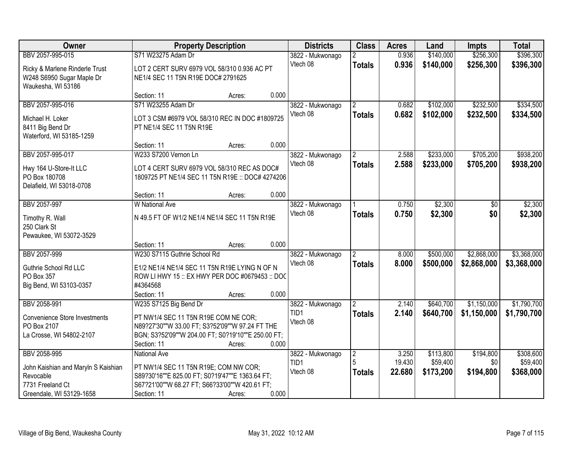| Owner                                                       |                                                                                         | <b>Property Description</b> |       | <b>Districts</b>             | <b>Class</b>   | <b>Acres</b> | Land      | <b>Impts</b> | <b>Total</b> |
|-------------------------------------------------------------|-----------------------------------------------------------------------------------------|-----------------------------|-------|------------------------------|----------------|--------------|-----------|--------------|--------------|
| BBV 2057-995-015                                            | S71 W23275 Adam Dr                                                                      |                             |       | 3822 - Mukwonago             | 2              | 0.936        | \$140,000 | \$256,300    | \$396,300    |
| Ricky & Marlene Rinderle Trust<br>W248 S6950 Sugar Maple Dr | LOT 2 CERT SURV 6979 VOL 58/310 0.936 AC PT<br>NE1/4 SEC 11 T5N R19E DOC# 2791625       |                             |       | Vtech 08                     | <b>Totals</b>  | 0.936        | \$140,000 | \$256,300    | \$396,300    |
| Waukesha, WI 53186                                          |                                                                                         |                             |       |                              |                |              |           |              |              |
|                                                             | Section: 11                                                                             | Acres:                      | 0.000 |                              |                |              |           |              |              |
| BBV 2057-995-016                                            | S71 W23255 Adam Dr                                                                      |                             |       | 3822 - Mukwonago             | $\mathfrak{D}$ | 0.682        | \$102,000 | \$232,500    | \$334,500    |
| Michael H. Loker                                            | LOT 3 CSM #6979 VOL 58/310 REC IN DOC #1809725                                          |                             |       | Vtech 08                     | <b>Totals</b>  | 0.682        | \$102,000 | \$232,500    | \$334,500    |
| 8411 Big Bend Dr                                            | PT NE1/4 SEC 11 T5N R19E                                                                |                             |       |                              |                |              |           |              |              |
| Waterford, WI 53185-1259                                    |                                                                                         |                             |       |                              |                |              |           |              |              |
|                                                             | Section: 11                                                                             | Acres:                      | 0.000 |                              |                |              |           |              |              |
| BBV 2057-995-017                                            | W233 S7200 Vernon Ln                                                                    |                             |       | 3822 - Mukwonago             |                | 2.588        | \$233,000 | \$705,200    | \$938,200    |
| Hwy 164 U-Store-It LLC                                      | LOT 4 CERT SURV 6979 VOL 58/310 REC AS DOC#                                             |                             |       | Vtech 08                     | <b>Totals</b>  | 2.588        | \$233,000 | \$705,200    | \$938,200    |
| PO Box 180708                                               | 1809725 PT NE1/4 SEC 11 T5N R19E :: DOC# 4274206                                        |                             |       |                              |                |              |           |              |              |
| Delafield, WI 53018-0708                                    |                                                                                         |                             |       |                              |                |              |           |              |              |
|                                                             | Section: 11                                                                             | Acres:                      | 0.000 |                              |                |              |           |              |              |
| BBV 2057-997                                                | <b>W</b> National Ave                                                                   |                             |       | 3822 - Mukwonago<br>Vtech 08 |                | 0.750        | \$2,300   | $\sqrt[6]{}$ | \$2,300      |
| Timothy R. Wall                                             | N 49.5 FT OF W1/2 NE1/4 NE1/4 SEC 11 T5N R19E                                           |                             |       |                              | <b>Totals</b>  | 0.750        | \$2,300   | \$0          | \$2,300      |
| 250 Clark St                                                |                                                                                         |                             |       |                              |                |              |           |              |              |
| Pewaukee, WI 53072-3529                                     |                                                                                         |                             | 0.000 |                              |                |              |           |              |              |
| BBV 2057-999                                                | Section: 11<br>W230 S7115 Guthrie School Rd                                             | Acres:                      |       | 3822 - Mukwonago             | $\mathcal{P}$  | 8.000        | \$500,000 | \$2,868,000  | \$3,368,000  |
|                                                             |                                                                                         |                             |       | Vtech 08                     | <b>Totals</b>  | 8.000        | \$500,000 | \$2,868,000  | \$3,368,000  |
| Guthrie School Rd LLC                                       | E1/2 NE1/4 NE1/4 SEC 11 T5N R19E LYING N OF N                                           |                             |       |                              |                |              |           |              |              |
| PO Box 357                                                  | ROW LI HWY 15 :: EX HWY PER DOC #0679453 :: DOC                                         |                             |       |                              |                |              |           |              |              |
| Big Bend, WI 53103-0357                                     | #4364568<br>Section: 11                                                                 | Acres:                      | 0.000 |                              |                |              |           |              |              |
| BBV 2058-991                                                | W235 S7125 Big Bend Dr                                                                  |                             |       | 3822 - Mukwonago             |                | 2.140        | \$640,700 | \$1,150,000  | \$1,790,700  |
|                                                             |                                                                                         |                             |       | TID1                         | <b>Totals</b>  | 2.140        | \$640,700 | \$1,150,000  | \$1,790,700  |
| <b>Convenience Store Investments</b><br>PO Box 2107         | PT NW1/4 SEC 11 T5N R19E COM NE COR;<br>N89?27'30""W 33.00 FT; S3?52'09""W 97.24 FT THE |                             |       | Vtech 08                     |                |              |           |              |              |
| La Crosse, WI 54802-2107                                    | BGN; S3?52'09""W 204.00 FT; S0?19'10""E 250.00 FT;                                      |                             |       |                              |                |              |           |              |              |
|                                                             | Section: 11                                                                             | Acres:                      | 0.000 |                              |                |              |           |              |              |
| BBV 2058-995                                                | <b>National Ave</b>                                                                     |                             |       | 3822 - Mukwonago             | $\overline{2}$ | 3.250        | \$113,800 | \$194,800    | \$308,600    |
|                                                             | PT NW1/4 SEC 11 T5N R19E; COM NW COR;                                                   |                             |       | TID1                         | 5              | 19.430       | \$59,400  | \$0          | \$59,400     |
| John Kaishian and Maryln S Kaishian<br>Revocable            | S89?30'16""E 825.00 FT; S0?19'47""E 1363.64 FT;                                         |                             |       | Vtech 08                     | <b>Totals</b>  | 22.680       | \$173,200 | \$194,800    | \$368,000    |
| 7731 Freeland Ct                                            | S67?21'00""W 68.27 FT; S66?33'00""W 420.61 FT;                                          |                             |       |                              |                |              |           |              |              |
| Greendale, WI 53129-1658                                    | Section: 11                                                                             | Acres:                      | 0.000 |                              |                |              |           |              |              |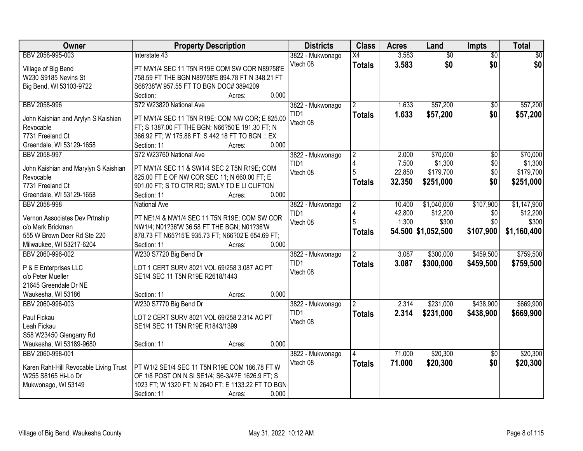| Owner                                  | <b>Property Description</b>                                              | <b>Districts</b>         | <b>Class</b>        | <b>Acres</b> | Land               | Impts           | <b>Total</b> |
|----------------------------------------|--------------------------------------------------------------------------|--------------------------|---------------------|--------------|--------------------|-----------------|--------------|
| BBV 2058-995-003                       | Interstate 43                                                            | 3822 - Mukwonago         | $\overline{X4}$     | 3.583        | $\overline{60}$    | $\overline{30}$ | \$0          |
| Village of Big Bend                    | PT NW1/4 SEC 11 T5N R19E COM SW COR N89?58'E                             | Vtech 08                 | <b>Totals</b>       | 3.583        | \$0                | \$0             | \$0          |
| W230 S9185 Nevins St                   | 758.59 FT THE BGN N89?58'E 894.78 FT N 348.21 FT                         |                          |                     |              |                    |                 |              |
| Big Bend, WI 53103-9722                | S68?38'W 957.55 FT TO BGN DOC# 3894209                                   |                          |                     |              |                    |                 |              |
|                                        | 0.000<br>Section:<br>Acres:                                              |                          |                     |              |                    |                 |              |
| BBV 2058-996                           | S72 W23820 National Ave                                                  | 3822 - Mukwonago         | $\overline{2}$      | 1.633        | \$57,200           | \$0             | \$57,200     |
|                                        |                                                                          | TID <sub>1</sub>         | <b>Totals</b>       | 1.633        | \$57,200           | \$0             | \$57,200     |
| John Kaishian and Arylyn S Kaishian    | PT NW1/4 SEC 11 T5N R19E; COM NW COR; E 825.00                           | Vtech 08                 |                     |              |                    |                 |              |
| Revocable<br>7731 Freeland Ct          | FT; S 1387.00 FT THE BGN; N66?50'E 191.30 FT; N                          |                          |                     |              |                    |                 |              |
| Greendale, WI 53129-1658               | 366.92 FT; W 175.88 FT; S 442.18 FT TO BGN :: EX<br>0.000<br>Section: 11 |                          |                     |              |                    |                 |              |
| BBV 2058-997                           | Acres:<br>S72 W23760 National Ave                                        |                          |                     | 2.000        | \$70,000           | $\overline{50}$ | \$70,000     |
|                                        |                                                                          | 3822 - Mukwonago<br>TID1 | $\overline{2}$<br>4 | 7.500        | \$1,300            | \$0             | \$1,300      |
| John Kaishian and Marylyn S Kaishian   | PT NW1/4 SEC 11 & SW1/4 SEC 2 T5N R19E; COM                              | Vtech 08                 | 5                   | 22.850       | \$179,700          | \$0             | \$179,700    |
| Revocable                              | 825.00 FT E OF NW COR SEC 11; N 660.00 FT; E                             |                          |                     | 32.350       |                    | \$0             |              |
| 7731 Freeland Ct                       | 901.00 FT; S TO CTR RD; SWLY TO E LI CLIFTON                             |                          | <b>Totals</b>       |              | \$251,000          |                 | \$251,000    |
| Greendale, WI 53129-1658               | 0.000<br>Section: 11<br>Acres:                                           |                          |                     |              |                    |                 |              |
| BBV 2058-998                           | <b>National Ave</b>                                                      | 3822 - Mukwonago         | $\overline{2}$      | 10.400       | \$1,040,000        | \$107,900       | \$1,147,900  |
| Vernon Associates Dev Prtnship         | PT NE1/4 & NW1/4 SEC 11 T5N R19E; COM SW COR                             | TID1                     | 4                   | 42.800       | \$12,200           | \$0             | \$12,200     |
| c/o Mark Brickman                      | NW1/4; N01?36'W 36.58 FT THE BGN; N01?36'W                               | Vtech 08                 | 5                   | 1.300        | \$300              | \$0             | \$300        |
| 555 W Brown Deer Rd Ste 220            | 878.73 FT N65?15'E 935.73 FT; N66?02'E 654.69 FT;                        |                          | <b>Totals</b>       |              | 54.500 \$1,052,500 | \$107,900       | \$1,160,400  |
| Milwaukee, WI 53217-6204               | Section: 11<br>0.000<br>Acres:                                           |                          |                     |              |                    |                 |              |
| BBV 2060-996-002                       | W230 S7720 Big Bend Dr                                                   | 3822 - Mukwonago         | $\overline{2}$      | 3.087        | \$300,000          | \$459,500       | \$759,500    |
|                                        |                                                                          | TID <sub>1</sub>         |                     | 3.087        |                    |                 |              |
| P & E Enterprises LLC                  | LOT 1 CERT SURV 8021 VOL 69/258 3.087 AC PT                              | Vtech 08                 | <b>Totals</b>       |              | \$300,000          | \$459,500       | \$759,500    |
| c/o Peter Mueller                      | SE1/4 SEC 11 T5N R19E R2618/1443                                         |                          |                     |              |                    |                 |              |
| 21645 Greendale Dr NE                  |                                                                          |                          |                     |              |                    |                 |              |
| Waukesha, WI 53186                     | 0.000<br>Section: 11<br>Acres:                                           |                          |                     |              |                    |                 |              |
| BBV 2060-996-003                       | W230 S7770 Big Bend Dr                                                   | 3822 - Mukwonago         |                     | 2.314        | \$231,000          | \$438,900       | \$669,900    |
| Paul Fickau                            | LOT 2 CERT SURV 8021 VOL 69/258 2.314 AC PT                              | TID1                     | <b>Totals</b>       | 2.314        | \$231,000          | \$438,900       | \$669,900    |
| Leah Fickau                            | SE1/4 SEC 11 T5N R19E R1843/1399                                         | Vtech 08                 |                     |              |                    |                 |              |
| S58 W23450 Glengarry Rd                |                                                                          |                          |                     |              |                    |                 |              |
| Waukesha, WI 53189-9680                | 0.000<br>Section: 11<br>Acres:                                           |                          |                     |              |                    |                 |              |
| BBV 2060-998-001                       |                                                                          | 3822 - Mukwonago         |                     | 71.000       | \$20,300           | $\overline{30}$ | \$20,300     |
|                                        |                                                                          | Vtech 08                 |                     | 71.000       | \$20,300           | \$0             | \$20,300     |
| Karen Raht-Hill Revocable Living Trust | PT W1/2 SE1/4 SEC 11 T5N R19E COM 186.78 FT W                            |                          | <b>Totals</b>       |              |                    |                 |              |
| W255 S8165 Hi-Lo Dr                    | OF 1/8 POST ON N SI SE1/4; S6-3/4?E 1626.9 FT; S                         |                          |                     |              |                    |                 |              |
| Mukwonago, WI 53149                    | 1023 FT; W 1320 FT; N 2640 FT; E 1133.22 FT TO BGN                       |                          |                     |              |                    |                 |              |
|                                        | 0.000<br>Section: 11<br>Acres:                                           |                          |                     |              |                    |                 |              |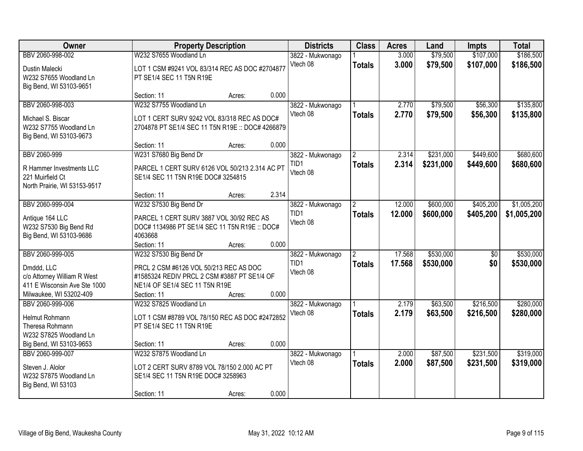| Owner                                                                                                                    |                                                                                                                                                                  | <b>Property Description</b> |       | <b>Districts</b>                                 | <b>Class</b>                    | <b>Acres</b>     | Land                   | <b>Impts</b>           | <b>Total</b>               |
|--------------------------------------------------------------------------------------------------------------------------|------------------------------------------------------------------------------------------------------------------------------------------------------------------|-----------------------------|-------|--------------------------------------------------|---------------------------------|------------------|------------------------|------------------------|----------------------------|
| BBV 2060-998-002<br>Dustin Malecki<br>W232 S7655 Woodland Ln<br>Big Bend, WI 53103-9651                                  | W232 S7655 Woodland Ln<br>LOT 1 CSM #9241 VOL 83/314 REC AS DOC #2704877<br>PT SE1/4 SEC 11 T5N R19E                                                             |                             |       | 3822 - Mukwonago<br>Vtech 08                     | <b>Totals</b>                   | 3.000<br>3.000   | \$79,500<br>\$79,500   | \$107,000<br>\$107,000 | \$186,500<br>\$186,500     |
|                                                                                                                          | Section: 11                                                                                                                                                      | Acres:                      | 0.000 |                                                  |                                 |                  |                        |                        |                            |
| BBV 2060-998-003<br>Michael S. Biscar<br>W232 S7755 Woodland Ln<br>Big Bend, WI 53103-9673                               | W232 S7755 Woodland Ln<br>LOT 1 CERT SURV 9242 VOL 83/318 REC AS DOC#<br>2704878 PT SE1/4 SEC 11 T5N R19E :: DOC# 4266879<br>Section: 11                         | Acres:                      | 0.000 | 3822 - Mukwonago<br>Vtech 08                     | <b>Totals</b>                   | 2.770<br>2.770   | \$79,500<br>\$79,500   | \$56,300<br>\$56,300   | \$135,800<br>\$135,800     |
| BBV 2060-999                                                                                                             | W231 S7680 Big Bend Dr                                                                                                                                           |                             |       | 3822 - Mukwonago                                 | $\overline{2}$                  | 2.314            | \$231,000              | \$449,600              | \$680,600                  |
| R Hammer Investments LLC<br>221 Muirfield Ct<br>North Prairie, WI 53153-9517                                             | PARCEL 1 CERT SURV 6126 VOL 50/213 2.314 AC PT<br>SE1/4 SEC 11 T5N R19E DOC# 3254815                                                                             |                             |       | TID1<br>Vtech 08                                 | <b>Totals</b>                   | 2.314            | \$231,000              | \$449,600              | \$680,600                  |
|                                                                                                                          | Section: 11                                                                                                                                                      | Acres:                      | 2.314 |                                                  |                                 |                  |                        |                        |                            |
| BBV 2060-999-004<br>Antique 164 LLC<br>W232 S7530 Big Bend Rd<br>Big Bend, WI 53103-9686                                 | W232 S7530 Big Bend Dr<br>PARCEL 1 CERT SURV 3887 VOL 30/92 REC AS<br>DOC# 1134986 PT SE1/4 SEC 11 T5N R19E :: DOC#<br>4063668                                   |                             |       | 3822 - Mukwonago<br>TID1<br>Vtech 08             | $\overline{2}$<br><b>Totals</b> | 12.000<br>12.000 | \$600,000<br>\$600,000 | \$405,200<br>\$405,200 | \$1,005,200<br>\$1,005,200 |
|                                                                                                                          | Section: 11                                                                                                                                                      | Acres:                      | 0.000 |                                                  |                                 |                  |                        |                        |                            |
| BBV 2060-999-005<br>Dmddd, LLC<br>c/o Attorney William R West<br>411 E Wisconsin Ave Ste 1000<br>Milwaukee, WI 53202-409 | W232 S7530 Big Bend Dr<br>PRCL 2 CSM #6126 VOL 50/213 REC AS DOC<br>#1585324 REDIV PRCL 2 CSM #3887 PT SE1/4 OF<br>NE1/4 OF SE1/4 SEC 11 T5N R19E<br>Section: 11 | Acres:                      | 0.000 | 3822 - Mukwonago<br>TID <sub>1</sub><br>Vtech 08 | <b>Totals</b>                   | 17.568<br>17.568 | \$530,000<br>\$530,000 | $\overline{50}$<br>\$0 | \$530,000<br>\$530,000     |
| BBV 2060-999-006                                                                                                         | W232 S7825 Woodland Ln                                                                                                                                           |                             |       | 3822 - Mukwonago                                 |                                 | 2.179            | \$63,500               | \$216,500              | \$280,000                  |
| Helmut Rohmann<br>Theresa Rohmann<br>W232 S7825 Woodland Ln                                                              | LOT 1 CSM #8789 VOL 78/150 REC AS DOC #2472852<br>PT SE1/4 SEC 11 T5N R19E                                                                                       |                             |       | Vtech 08                                         | <b>Totals</b>                   | 2.179            | \$63,500               | \$216,500              | \$280,000                  |
| Big Bend, WI 53103-9653                                                                                                  | Section: 11                                                                                                                                                      | Acres:                      | 0.000 |                                                  |                                 |                  |                        |                        |                            |
| BBV 2060-999-007<br>Steven J. Alolor<br>W232 S7875 Woodland Ln<br>Big Bend, WI 53103                                     | W232 S7875 Woodland Ln<br>LOT 2 CERT SURV 8789 VOL 78/150 2.000 AC PT<br>SE1/4 SEC 11 T5N R19E DOC# 3258963<br>Section: 11                                       | Acres:                      | 0.000 | 3822 - Mukwonago<br>Vtech 08                     | <b>Totals</b>                   | 2.000<br>2.000   | \$87,500<br>\$87,500   | \$231,500<br>\$231,500 | \$319,000<br>\$319,000     |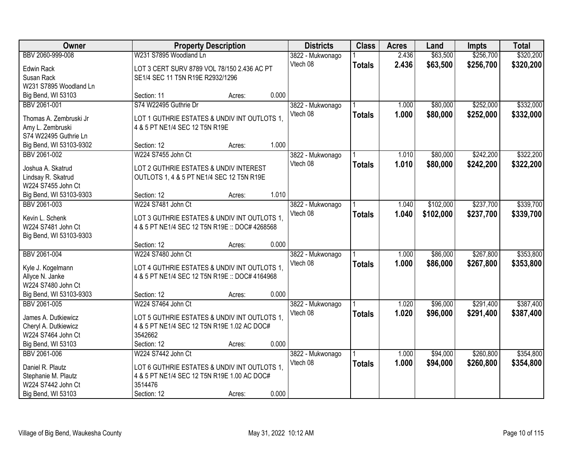| Owner                                      |                                                        | <b>Property Description</b> |       | <b>Districts</b> | <b>Class</b>  | <b>Acres</b> | Land      | <b>Impts</b> | <b>Total</b> |
|--------------------------------------------|--------------------------------------------------------|-----------------------------|-------|------------------|---------------|--------------|-----------|--------------|--------------|
| BBV 2060-999-008                           | W231 S7895 Woodland Ln                                 |                             |       | 3822 - Mukwonago |               | 2.436        | \$63,500  | \$256,700    | \$320,200    |
| <b>Edwin Rack</b>                          | LOT 3 CERT SURV 8789 VOL 78/150 2.436 AC PT            |                             |       | Vtech 08         | <b>Totals</b> | 2.436        | \$63,500  | \$256,700    | \$320,200    |
| Susan Rack                                 | SE1/4 SEC 11 T5N R19E R2932/1296                       |                             |       |                  |               |              |           |              |              |
| W231 S7895 Woodland Ln                     |                                                        |                             |       |                  |               |              |           |              |              |
| Big Bend, WI 53103                         | Section: 11                                            | Acres:                      | 0.000 |                  |               |              |           |              |              |
| BBV 2061-001                               | S74 W22495 Guthrie Dr                                  |                             |       | 3822 - Mukwonago |               | 1.000        | \$80,000  | \$252,000    | \$332,000    |
|                                            |                                                        |                             |       | Vtech 08         | <b>Totals</b> | 1.000        | \$80,000  | \$252,000    | \$332,000    |
| Thomas A. Zembruski Jr                     | LOT 1 GUTHRIE ESTATES & UNDIV INT OUTLOTS 1,           |                             |       |                  |               |              |           |              |              |
| Amy L. Zembruski                           | 4 & 5 PT NE1/4 SEC 12 T5N R19E                         |                             |       |                  |               |              |           |              |              |
| S74 W22495 Guthrie Ln                      |                                                        |                             |       |                  |               |              |           |              |              |
| Big Bend, WI 53103-9302                    | Section: 12                                            | Acres:                      | 1.000 |                  |               |              |           |              |              |
| BBV 2061-002                               | W224 S7455 John Ct                                     |                             |       | 3822 - Mukwonago |               | 1.010        | \$80,000  | \$242,200    | \$322,200    |
| Joshua A. Skatrud                          | LOT 2 GUTHRIE ESTATES & UNDIV INTEREST                 |                             |       | Vtech 08         | <b>Totals</b> | 1.010        | \$80,000  | \$242,200    | \$322,200    |
| Lindsay R. Skatrud                         | OUTLOTS 1, 4 & 5 PT NE1/4 SEC 12 T5N R19E              |                             |       |                  |               |              |           |              |              |
| W224 S7455 John Ct                         |                                                        |                             |       |                  |               |              |           |              |              |
| Big Bend, WI 53103-9303                    | Section: 12                                            | Acres:                      | 1.010 |                  |               |              |           |              |              |
| BBV 2061-003                               | W224 S7481 John Ct                                     |                             |       | 3822 - Mukwonago |               | 1.040        | \$102,000 | \$237,700    | \$339,700    |
|                                            |                                                        |                             |       | Vtech 08         | <b>Totals</b> | 1.040        | \$102,000 | \$237,700    | \$339,700    |
| Kevin L. Schenk                            | LOT 3 GUTHRIE ESTATES & UNDIV INT OUTLOTS 1,           |                             |       |                  |               |              |           |              |              |
| W224 S7481 John Ct                         | 4 & 5 PT NE1/4 SEC 12 T5N R19E :: DOC# 4268568         |                             |       |                  |               |              |           |              |              |
| Big Bend, WI 53103-9303                    |                                                        |                             |       |                  |               |              |           |              |              |
|                                            | Section: 12                                            | Acres:                      | 0.000 |                  |               |              |           |              |              |
| BBV 2061-004                               | W224 S7480 John Ct                                     |                             |       | 3822 - Mukwonago |               | 1.000        | \$86,000  | \$267,800    | \$353,800    |
| Kyle J. Kogelmann                          | LOT 4 GUTHRIE ESTATES & UNDIV INT OUTLOTS 1.           |                             |       | Vtech 08         | <b>Totals</b> | 1.000        | \$86,000  | \$267,800    | \$353,800    |
| Allyce N. Janke                            | 4 & 5 PT NE1/4 SEC 12 T5N R19E :: DOC# 4164968         |                             |       |                  |               |              |           |              |              |
| W224 S7480 John Ct                         |                                                        |                             |       |                  |               |              |           |              |              |
| Big Bend, WI 53103-9303                    | Section: 12                                            | Acres:                      | 0.000 |                  |               |              |           |              |              |
| BBV 2061-005                               | W224 S7464 John Ct                                     |                             |       | 3822 - Mukwonago |               | 1.020        | \$96,000  | \$291,400    | \$387,400    |
|                                            |                                                        |                             |       | Vtech 08         | <b>Totals</b> | 1.020        | \$96,000  | \$291,400    | \$387,400    |
| James A. Dutkiewicz                        | LOT 5 GUTHRIE ESTATES & UNDIV INT OUTLOTS 1,           |                             |       |                  |               |              |           |              |              |
| Cheryl A. Dutkiewicz<br>W224 S7464 John Ct | 4 & 5 PT NE1/4 SEC 12 T5N R19E 1.02 AC DOC#<br>3542662 |                             |       |                  |               |              |           |              |              |
|                                            |                                                        |                             | 0.000 |                  |               |              |           |              |              |
| Big Bend, WI 53103                         | Section: 12                                            | Acres:                      |       |                  |               |              |           |              |              |
| BBV 2061-006                               | W224 S7442 John Ct                                     |                             |       | 3822 - Mukwonago |               | 1.000        | \$94,000  | \$260,800    | \$354,800    |
| Daniel R. Plautz                           | LOT 6 GUTHRIE ESTATES & UNDIV INT OUTLOTS 1,           |                             |       | Vtech 08         | <b>Totals</b> | 1.000        | \$94,000  | \$260,800    | \$354,800    |
| Stephanie M. Plautz                        | 4 & 5 PT NE1/4 SEC 12 T5N R19E 1.00 AC DOC#            |                             |       |                  |               |              |           |              |              |
| W224 S7442 John Ct                         | 3514476                                                |                             |       |                  |               |              |           |              |              |
| Big Bend, WI 53103                         | Section: 12                                            | Acres:                      | 0.000 |                  |               |              |           |              |              |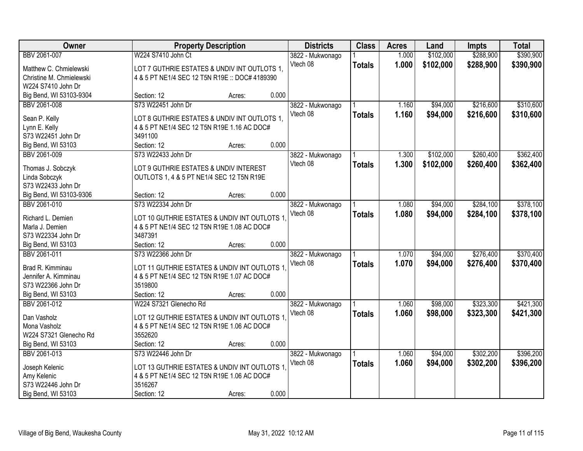| Owner                    | <b>Property Description</b>                    |        |       | <b>Districts</b> | <b>Class</b>  | <b>Acres</b> | Land      | <b>Impts</b> | <b>Total</b> |
|--------------------------|------------------------------------------------|--------|-------|------------------|---------------|--------------|-----------|--------------|--------------|
| BBV 2061-007             | W224 S7410 John Ct                             |        |       | 3822 - Mukwonago |               | 1.000        | \$102,000 | \$288,900    | \$390,900    |
| Matthew C. Chmielewski   | LOT 7 GUTHRIE ESTATES & UNDIV INT OUTLOTS 1,   |        |       | Vtech 08         | <b>Totals</b> | 1.000        | \$102,000 | \$288,900    | \$390,900    |
| Christine M. Chmielewski | 4 & 5 PT NE1/4 SEC 12 T5N R19E :: DOC# 4189390 |        |       |                  |               |              |           |              |              |
| W224 S7410 John Dr       |                                                |        |       |                  |               |              |           |              |              |
| Big Bend, WI 53103-9304  | Section: 12                                    | Acres: | 0.000 |                  |               |              |           |              |              |
| BBV 2061-008             | S73 W22451 John Dr                             |        |       | 3822 - Mukwonago |               | 1.160        | \$94,000  | \$216,600    | \$310,600    |
|                          |                                                |        |       | Vtech 08         | <b>Totals</b> | 1.160        | \$94,000  | \$216,600    | \$310,600    |
| Sean P. Kelly            | LOT 8 GUTHRIE ESTATES & UNDIV INT OUTLOTS 1,   |        |       |                  |               |              |           |              |              |
| Lynn E. Kelly            | 4 & 5 PT NE1/4 SEC 12 T5N R19E 1.16 AC DOC#    |        |       |                  |               |              |           |              |              |
| S73 W22451 John Dr       | 3491100                                        |        |       |                  |               |              |           |              |              |
| Big Bend, WI 53103       | Section: 12                                    | Acres: | 0.000 |                  |               |              |           |              |              |
| BBV 2061-009             | S73 W22433 John Dr                             |        |       | 3822 - Mukwonago |               | 1.300        | \$102,000 | \$260,400    | \$362,400    |
| Thomas J. Sobczyk        | LOT 9 GUTHRIE ESTATES & UNDIV INTEREST         |        |       | Vtech 08         | <b>Totals</b> | 1.300        | \$102,000 | \$260,400    | \$362,400    |
| Linda Sobczyk            | OUTLOTS 1, 4 & 5 PT NE1/4 SEC 12 T5N R19E      |        |       |                  |               |              |           |              |              |
| S73 W22433 John Dr       |                                                |        |       |                  |               |              |           |              |              |
| Big Bend, WI 53103-9306  | Section: 12                                    | Acres: | 0.000 |                  |               |              |           |              |              |
| BBV 2061-010             | S73 W22334 John Dr                             |        |       | 3822 - Mukwonago |               | 1.080        | \$94,000  | \$284,100    | \$378,100    |
|                          |                                                |        |       | Vtech 08         | <b>Totals</b> | 1.080        | \$94,000  | \$284,100    | \$378,100    |
| Richard L. Demien        | LOT 10 GUTHRIE ESTATES & UNDIV INT OUTLOTS 1   |        |       |                  |               |              |           |              |              |
| Marla J. Demien          | 4 & 5 PT NE1/4 SEC 12 T5N R19E 1.08 AC DOC#    |        |       |                  |               |              |           |              |              |
| S73 W22334 John Dr       | 3487391                                        |        |       |                  |               |              |           |              |              |
| Big Bend, WI 53103       | Section: 12                                    | Acres: | 0.000 |                  |               |              |           |              |              |
| BBV 2061-011             | S73 W22366 John Dr                             |        |       | 3822 - Mukwonago |               | 1.070        | \$94,000  | \$276,400    | \$370,400    |
| Brad R. Kimminau         | LOT 11 GUTHRIE ESTATES & UNDIV INT OUTLOTS 1   |        |       | Vtech 08         | <b>Totals</b> | 1.070        | \$94,000  | \$276,400    | \$370,400    |
| Jennifer A. Kimminau     | 4 & 5 PT NE1/4 SEC 12 T5N R19E 1.07 AC DOC#    |        |       |                  |               |              |           |              |              |
| S73 W22366 John Dr       | 3519800                                        |        |       |                  |               |              |           |              |              |
| Big Bend, WI 53103       | Section: 12                                    | Acres: | 0.000 |                  |               |              |           |              |              |
| BBV 2061-012             | W224 S7321 Glenecho Rd                         |        |       | 3822 - Mukwonago |               | 1.060        | \$98,000  | \$323,300    | \$421,300    |
|                          |                                                |        |       | Vtech 08         | <b>Totals</b> | 1.060        | \$98,000  | \$323,300    | \$421,300    |
| Dan Vasholz              | LOT 12 GUTHRIE ESTATES & UNDIV INT OUTLOTS 1.  |        |       |                  |               |              |           |              |              |
| Mona Vasholz             | 4 & 5 PT NE1/4 SEC 12 T5N R19E 1.06 AC DOC#    |        |       |                  |               |              |           |              |              |
| W224 S7321 Glenecho Rd   | 3552620                                        |        |       |                  |               |              |           |              |              |
| Big Bend, WI 53103       | Section: 12                                    | Acres: | 0.000 |                  |               |              |           |              |              |
| BBV 2061-013             | S73 W22446 John Dr                             |        |       | 3822 - Mukwonago |               | 1.060        | \$94,000  | \$302,200    | \$396,200    |
| Joseph Kelenic           | LOT 13 GUTHRIE ESTATES & UNDIV INT OUTLOTS 1   |        |       | Vtech 08         | <b>Totals</b> | 1.060        | \$94,000  | \$302,200    | \$396,200    |
| Amy Kelenic              | 4 & 5 PT NE1/4 SEC 12 T5N R19E 1.06 AC DOC#    |        |       |                  |               |              |           |              |              |
| S73 W22446 John Dr       | 3516267                                        |        |       |                  |               |              |           |              |              |
| Big Bend, WI 53103       | Section: 12                                    | Acres: | 0.000 |                  |               |              |           |              |              |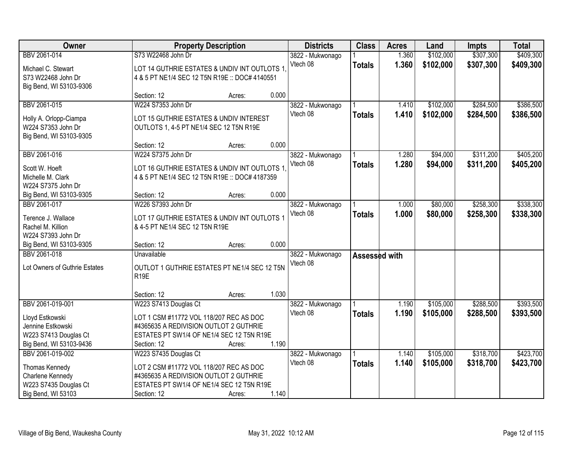| Owner                         |                                                | <b>Property Description</b> | <b>Districts</b> | <b>Class</b>  | <b>Acres</b> | Land      | <b>Impts</b> | <b>Total</b> |
|-------------------------------|------------------------------------------------|-----------------------------|------------------|---------------|--------------|-----------|--------------|--------------|
| BBV 2061-014                  | S73 W22468 John Dr                             |                             | 3822 - Mukwonago |               | 1.360        | \$102,000 | \$307,300    | \$409,300    |
| Michael C. Stewart            | LOT 14 GUTHRIE ESTATES & UNDIV INT OUTLOTS 1   |                             | Vtech 08         | <b>Totals</b> | 1.360        | \$102,000 | \$307,300    | \$409,300    |
| S73 W22468 John Dr            | 4 & 5 PT NE1/4 SEC 12 T5N R19E :: DOC# 4140551 |                             |                  |               |              |           |              |              |
| Big Bend, WI 53103-9306       |                                                |                             |                  |               |              |           |              |              |
|                               | Section: 12                                    | Acres:                      | 0.000            |               |              |           |              |              |
| BBV 2061-015                  | W224 S7353 John Dr                             |                             | 3822 - Mukwonago |               | 1.410        | \$102,000 | \$284,500    | \$386,500    |
| Holly A. Orlopp-Ciampa        | LOT 15 GUTHRIE ESTATES & UNDIV INTEREST        |                             | Vtech 08         | <b>Totals</b> | 1.410        | \$102,000 | \$284,500    | \$386,500    |
| W224 S7353 John Dr            | OUTLOTS 1, 4-5 PT NE1/4 SEC 12 T5N R19E        |                             |                  |               |              |           |              |              |
| Big Bend, WI 53103-9305       |                                                |                             |                  |               |              |           |              |              |
|                               | Section: 12                                    | Acres:                      | 0.000            |               |              |           |              |              |
| BBV 2061-016                  | W224 S7375 John Dr                             |                             | 3822 - Mukwonago |               | 1.280        | \$94,000  | \$311,200    | \$405,200    |
| Scott W. Hoeft                | LOT 16 GUTHRIE ESTATES & UNDIV INT OUTLOTS 1   |                             | Vtech 08         | <b>Totals</b> | 1.280        | \$94,000  | \$311,200    | \$405,200    |
| Michelle M. Clark             | 4 & 5 PT NE1/4 SEC 12 T5N R19E :: DOC# 4187359 |                             |                  |               |              |           |              |              |
| W224 S7375 John Dr            |                                                |                             |                  |               |              |           |              |              |
| Big Bend, WI 53103-9305       | Section: 12                                    | Acres:                      | 0.000            |               |              |           |              |              |
| BBV 2061-017                  | W226 S7393 John Dr                             |                             | 3822 - Mukwonago |               | 1.000        | \$80,000  | \$258,300    | \$338,300    |
| Terence J. Wallace            | LOT 17 GUTHRIE ESTATES & UNDIV INT OUTLOTS 1   |                             | Vtech 08         | <b>Totals</b> | 1.000        | \$80,000  | \$258,300    | \$338,300    |
| Rachel M. Killion             | & 4-5 PT NE1/4 SEC 12 T5N R19E                 |                             |                  |               |              |           |              |              |
| W224 S7393 John Dr            |                                                |                             |                  |               |              |           |              |              |
| Big Bend, WI 53103-9305       | Section: 12                                    | Acres:                      | 0.000            |               |              |           |              |              |
| BBV 2061-018                  | Unavailable                                    |                             | 3822 - Mukwonago | Assessed with |              |           |              |              |
|                               |                                                |                             | Vtech 08         |               |              |           |              |              |
| Lot Owners of Guthrie Estates | OUTLOT 1 GUTHRIE ESTATES PT NE1/4 SEC 12 T5N   |                             |                  |               |              |           |              |              |
|                               | R <sub>19E</sub>                               |                             |                  |               |              |           |              |              |
|                               | Section: 12                                    | Acres:                      | 1.030            |               |              |           |              |              |
| BBV 2061-019-001              | W223 S7413 Douglas Ct                          |                             | 3822 - Mukwonago |               | 1.190        | \$105,000 | \$288,500    | \$393,500    |
|                               |                                                |                             | Vtech 08         | <b>Totals</b> | 1.190        | \$105,000 | \$288,500    | \$393,500    |
| Lloyd Estkowski               | LOT 1 CSM #11772 VOL 118/207 REC AS DOC        |                             |                  |               |              |           |              |              |
| Jennine Estkowski             | #4365635 A REDIVISION OUTLOT 2 GUTHRIE         |                             |                  |               |              |           |              |              |
| W223 S7413 Douglas Ct         | ESTATES PT SW1/4 OF NE1/4 SEC 12 T5N R19E      |                             |                  |               |              |           |              |              |
| Big Bend, WI 53103-9436       | Section: 12                                    | Acres:                      | 1.190            |               |              |           |              |              |
| BBV 2061-019-002              | W223 S7435 Douglas Ct                          |                             | 3822 - Mukwonago |               | 1.140        | \$105,000 | \$318,700    | \$423,700    |
| Thomas Kennedy                | LOT 2 CSM #11772 VOL 118/207 REC AS DOC        |                             | Vtech 08         | <b>Totals</b> | 1.140        | \$105,000 | \$318,700    | \$423,700    |
| Charlene Kennedy              | #4365635 A REDIVISION OUTLOT 2 GUTHRIE         |                             |                  |               |              |           |              |              |
| W223 S7435 Douglas Ct         | ESTATES PT SW1/4 OF NE1/4 SEC 12 T5N R19E      |                             |                  |               |              |           |              |              |
| Big Bend, WI 53103            | Section: 12                                    | Acres:                      | 1.140            |               |              |           |              |              |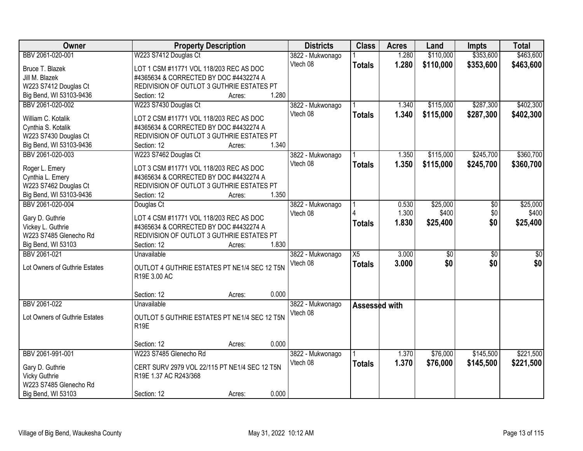| \$353,600<br>\$463,600<br>BBV 2061-020-001<br>W223 S7412 Douglas Ct<br>\$110,000<br>1.280<br>3822 - Mukwonago<br>Vtech 08<br>1.280<br>\$110,000<br>\$353,600<br>\$463,600<br><b>Totals</b><br>Bruce T. Blazek<br>LOT 1 CSM #11771 VOL 118/203 REC AS DOC<br>Jill M. Blazek<br>#4365634 & CORRECTED BY DOC #4432274 A<br>W223 S7412 Douglas Ct<br>REDIVISION OF OUTLOT 3 GUTHRIE ESTATES PT<br>1.280<br>Big Bend, WI 53103-9436<br>Section: 12<br>Acres:<br>W223 S7430 Douglas Ct<br>\$115,000<br>\$287,300<br>BBV 2061-020-002<br>3822 - Mukwonago<br>1.340<br>1.340<br>Vtech 08<br>\$115,000<br>\$287,300<br><b>Totals</b><br>William C. Kotalik<br>LOT 2 CSM #11771 VOL 118/203 REC AS DOC<br>#4365634 & CORRECTED BY DOC #4432274 A<br>Cynthia S. Kotalik<br>W223 S7430 Douglas Ct<br>REDIVISION OF OUTLOT 3 GUTHRIE ESTATES PT<br>1.340<br>Big Bend, WI 53103-9436<br>Section: 12<br>Acres:<br>\$245,700<br>BBV 2061-020-003<br>W223 S7462 Douglas Ct<br>1.350<br>\$115,000<br>3822 - Mukwonago<br>Vtech 08<br>1.350<br>\$115,000<br>\$245,700<br><b>Totals</b><br>LOT 3 CSM #11771 VOL 118/203 REC AS DOC<br>Roger L. Emery<br>#4365634 & CORRECTED BY DOC #4432274 A<br>Cynthia L. Emery<br>W223 S7462 Douglas Ct<br>REDIVISION OF OUTLOT 3 GUTHRIE ESTATES PT<br>1.350<br>Big Bend, WI 53103-9436<br>Section: 12<br>Acres:<br>BBV 2061-020-004<br>\$25,000<br>0.530<br>\$0<br>Douglas Ct<br>3822 - Mukwonago<br>1.300<br>\$400<br>\$0<br>Vtech 08<br>LOT 4 CSM #11771 VOL 118/203 REC AS DOC<br>Gary D. Guthrie<br>\$0<br>1.830<br>\$25,400<br><b>Totals</b><br>#4365634 & CORRECTED BY DOC #4432274 A<br>Vickey L. Guthrie<br>W223 S7485 Glenecho Rd<br>REDIVISION OF OUTLOT 3 GUTHRIE ESTATES PT<br>1.830<br>Big Bend, WI 53103<br>Section: 12<br>Acres:<br>BBV 2061-021<br>$\overline{X5}$<br>3.000<br>$\overline{50}$<br>$\overline{50}$<br>$\overline{50}$<br>Unavailable<br>3822 - Mukwonago<br>\$0<br>3.000<br>\$0<br>\$0<br>Vtech 08<br><b>Totals</b><br>Lot Owners of Guthrie Estates<br>OUTLOT 4 GUTHRIE ESTATES PT NE1/4 SEC 12 T5N<br>R19E 3.00 AC<br>0.000<br>Section: 12<br>Acres:<br>BBV 2061-022<br>Unavailable<br>3822 - Mukwonago<br>Assessed with |
|-----------------------------------------------------------------------------------------------------------------------------------------------------------------------------------------------------------------------------------------------------------------------------------------------------------------------------------------------------------------------------------------------------------------------------------------------------------------------------------------------------------------------------------------------------------------------------------------------------------------------------------------------------------------------------------------------------------------------------------------------------------------------------------------------------------------------------------------------------------------------------------------------------------------------------------------------------------------------------------------------------------------------------------------------------------------------------------------------------------------------------------------------------------------------------------------------------------------------------------------------------------------------------------------------------------------------------------------------------------------------------------------------------------------------------------------------------------------------------------------------------------------------------------------------------------------------------------------------------------------------------------------------------------------------------------------------------------------------------------------------------------------------------------------------------------------------------------------------------------------------------------------------------------------------------------------------------------------------------------------------------------------------------------------------------------------------------------------------------------------------------------------------------------------------------|
|                                                                                                                                                                                                                                                                                                                                                                                                                                                                                                                                                                                                                                                                                                                                                                                                                                                                                                                                                                                                                                                                                                                                                                                                                                                                                                                                                                                                                                                                                                                                                                                                                                                                                                                                                                                                                                                                                                                                                                                                                                                                                                                                                                             |
| \$402,300                                                                                                                                                                                                                                                                                                                                                                                                                                                                                                                                                                                                                                                                                                                                                                                                                                                                                                                                                                                                                                                                                                                                                                                                                                                                                                                                                                                                                                                                                                                                                                                                                                                                                                                                                                                                                                                                                                                                                                                                                                                                                                                                                                   |
|                                                                                                                                                                                                                                                                                                                                                                                                                                                                                                                                                                                                                                                                                                                                                                                                                                                                                                                                                                                                                                                                                                                                                                                                                                                                                                                                                                                                                                                                                                                                                                                                                                                                                                                                                                                                                                                                                                                                                                                                                                                                                                                                                                             |
|                                                                                                                                                                                                                                                                                                                                                                                                                                                                                                                                                                                                                                                                                                                                                                                                                                                                                                                                                                                                                                                                                                                                                                                                                                                                                                                                                                                                                                                                                                                                                                                                                                                                                                                                                                                                                                                                                                                                                                                                                                                                                                                                                                             |
|                                                                                                                                                                                                                                                                                                                                                                                                                                                                                                                                                                                                                                                                                                                                                                                                                                                                                                                                                                                                                                                                                                                                                                                                                                                                                                                                                                                                                                                                                                                                                                                                                                                                                                                                                                                                                                                                                                                                                                                                                                                                                                                                                                             |
| \$402,300<br>\$360,700<br>\$360,700<br>\$25,000<br>\$400<br>\$25,400                                                                                                                                                                                                                                                                                                                                                                                                                                                                                                                                                                                                                                                                                                                                                                                                                                                                                                                                                                                                                                                                                                                                                                                                                                                                                                                                                                                                                                                                                                                                                                                                                                                                                                                                                                                                                                                                                                                                                                                                                                                                                                        |
|                                                                                                                                                                                                                                                                                                                                                                                                                                                                                                                                                                                                                                                                                                                                                                                                                                                                                                                                                                                                                                                                                                                                                                                                                                                                                                                                                                                                                                                                                                                                                                                                                                                                                                                                                                                                                                                                                                                                                                                                                                                                                                                                                                             |
|                                                                                                                                                                                                                                                                                                                                                                                                                                                                                                                                                                                                                                                                                                                                                                                                                                                                                                                                                                                                                                                                                                                                                                                                                                                                                                                                                                                                                                                                                                                                                                                                                                                                                                                                                                                                                                                                                                                                                                                                                                                                                                                                                                             |
|                                                                                                                                                                                                                                                                                                                                                                                                                                                                                                                                                                                                                                                                                                                                                                                                                                                                                                                                                                                                                                                                                                                                                                                                                                                                                                                                                                                                                                                                                                                                                                                                                                                                                                                                                                                                                                                                                                                                                                                                                                                                                                                                                                             |
|                                                                                                                                                                                                                                                                                                                                                                                                                                                                                                                                                                                                                                                                                                                                                                                                                                                                                                                                                                                                                                                                                                                                                                                                                                                                                                                                                                                                                                                                                                                                                                                                                                                                                                                                                                                                                                                                                                                                                                                                                                                                                                                                                                             |
|                                                                                                                                                                                                                                                                                                                                                                                                                                                                                                                                                                                                                                                                                                                                                                                                                                                                                                                                                                                                                                                                                                                                                                                                                                                                                                                                                                                                                                                                                                                                                                                                                                                                                                                                                                                                                                                                                                                                                                                                                                                                                                                                                                             |
|                                                                                                                                                                                                                                                                                                                                                                                                                                                                                                                                                                                                                                                                                                                                                                                                                                                                                                                                                                                                                                                                                                                                                                                                                                                                                                                                                                                                                                                                                                                                                                                                                                                                                                                                                                                                                                                                                                                                                                                                                                                                                                                                                                             |
|                                                                                                                                                                                                                                                                                                                                                                                                                                                                                                                                                                                                                                                                                                                                                                                                                                                                                                                                                                                                                                                                                                                                                                                                                                                                                                                                                                                                                                                                                                                                                                                                                                                                                                                                                                                                                                                                                                                                                                                                                                                                                                                                                                             |
|                                                                                                                                                                                                                                                                                                                                                                                                                                                                                                                                                                                                                                                                                                                                                                                                                                                                                                                                                                                                                                                                                                                                                                                                                                                                                                                                                                                                                                                                                                                                                                                                                                                                                                                                                                                                                                                                                                                                                                                                                                                                                                                                                                             |
|                                                                                                                                                                                                                                                                                                                                                                                                                                                                                                                                                                                                                                                                                                                                                                                                                                                                                                                                                                                                                                                                                                                                                                                                                                                                                                                                                                                                                                                                                                                                                                                                                                                                                                                                                                                                                                                                                                                                                                                                                                                                                                                                                                             |
|                                                                                                                                                                                                                                                                                                                                                                                                                                                                                                                                                                                                                                                                                                                                                                                                                                                                                                                                                                                                                                                                                                                                                                                                                                                                                                                                                                                                                                                                                                                                                                                                                                                                                                                                                                                                                                                                                                                                                                                                                                                                                                                                                                             |
|                                                                                                                                                                                                                                                                                                                                                                                                                                                                                                                                                                                                                                                                                                                                                                                                                                                                                                                                                                                                                                                                                                                                                                                                                                                                                                                                                                                                                                                                                                                                                                                                                                                                                                                                                                                                                                                                                                                                                                                                                                                                                                                                                                             |
|                                                                                                                                                                                                                                                                                                                                                                                                                                                                                                                                                                                                                                                                                                                                                                                                                                                                                                                                                                                                                                                                                                                                                                                                                                                                                                                                                                                                                                                                                                                                                                                                                                                                                                                                                                                                                                                                                                                                                                                                                                                                                                                                                                             |
|                                                                                                                                                                                                                                                                                                                                                                                                                                                                                                                                                                                                                                                                                                                                                                                                                                                                                                                                                                                                                                                                                                                                                                                                                                                                                                                                                                                                                                                                                                                                                                                                                                                                                                                                                                                                                                                                                                                                                                                                                                                                                                                                                                             |
|                                                                                                                                                                                                                                                                                                                                                                                                                                                                                                                                                                                                                                                                                                                                                                                                                                                                                                                                                                                                                                                                                                                                                                                                                                                                                                                                                                                                                                                                                                                                                                                                                                                                                                                                                                                                                                                                                                                                                                                                                                                                                                                                                                             |
|                                                                                                                                                                                                                                                                                                                                                                                                                                                                                                                                                                                                                                                                                                                                                                                                                                                                                                                                                                                                                                                                                                                                                                                                                                                                                                                                                                                                                                                                                                                                                                                                                                                                                                                                                                                                                                                                                                                                                                                                                                                                                                                                                                             |
|                                                                                                                                                                                                                                                                                                                                                                                                                                                                                                                                                                                                                                                                                                                                                                                                                                                                                                                                                                                                                                                                                                                                                                                                                                                                                                                                                                                                                                                                                                                                                                                                                                                                                                                                                                                                                                                                                                                                                                                                                                                                                                                                                                             |
|                                                                                                                                                                                                                                                                                                                                                                                                                                                                                                                                                                                                                                                                                                                                                                                                                                                                                                                                                                                                                                                                                                                                                                                                                                                                                                                                                                                                                                                                                                                                                                                                                                                                                                                                                                                                                                                                                                                                                                                                                                                                                                                                                                             |
|                                                                                                                                                                                                                                                                                                                                                                                                                                                                                                                                                                                                                                                                                                                                                                                                                                                                                                                                                                                                                                                                                                                                                                                                                                                                                                                                                                                                                                                                                                                                                                                                                                                                                                                                                                                                                                                                                                                                                                                                                                                                                                                                                                             |
|                                                                                                                                                                                                                                                                                                                                                                                                                                                                                                                                                                                                                                                                                                                                                                                                                                                                                                                                                                                                                                                                                                                                                                                                                                                                                                                                                                                                                                                                                                                                                                                                                                                                                                                                                                                                                                                                                                                                                                                                                                                                                                                                                                             |
|                                                                                                                                                                                                                                                                                                                                                                                                                                                                                                                                                                                                                                                                                                                                                                                                                                                                                                                                                                                                                                                                                                                                                                                                                                                                                                                                                                                                                                                                                                                                                                                                                                                                                                                                                                                                                                                                                                                                                                                                                                                                                                                                                                             |
|                                                                                                                                                                                                                                                                                                                                                                                                                                                                                                                                                                                                                                                                                                                                                                                                                                                                                                                                                                                                                                                                                                                                                                                                                                                                                                                                                                                                                                                                                                                                                                                                                                                                                                                                                                                                                                                                                                                                                                                                                                                                                                                                                                             |
|                                                                                                                                                                                                                                                                                                                                                                                                                                                                                                                                                                                                                                                                                                                                                                                                                                                                                                                                                                                                                                                                                                                                                                                                                                                                                                                                                                                                                                                                                                                                                                                                                                                                                                                                                                                                                                                                                                                                                                                                                                                                                                                                                                             |
| Vtech 08                                                                                                                                                                                                                                                                                                                                                                                                                                                                                                                                                                                                                                                                                                                                                                                                                                                                                                                                                                                                                                                                                                                                                                                                                                                                                                                                                                                                                                                                                                                                                                                                                                                                                                                                                                                                                                                                                                                                                                                                                                                                                                                                                                    |
| Lot Owners of Guthrie Estates<br>OUTLOT 5 GUTHRIE ESTATES PT NE1/4 SEC 12 T5N                                                                                                                                                                                                                                                                                                                                                                                                                                                                                                                                                                                                                                                                                                                                                                                                                                                                                                                                                                                                                                                                                                                                                                                                                                                                                                                                                                                                                                                                                                                                                                                                                                                                                                                                                                                                                                                                                                                                                                                                                                                                                               |
| R <sub>19E</sub>                                                                                                                                                                                                                                                                                                                                                                                                                                                                                                                                                                                                                                                                                                                                                                                                                                                                                                                                                                                                                                                                                                                                                                                                                                                                                                                                                                                                                                                                                                                                                                                                                                                                                                                                                                                                                                                                                                                                                                                                                                                                                                                                                            |
|                                                                                                                                                                                                                                                                                                                                                                                                                                                                                                                                                                                                                                                                                                                                                                                                                                                                                                                                                                                                                                                                                                                                                                                                                                                                                                                                                                                                                                                                                                                                                                                                                                                                                                                                                                                                                                                                                                                                                                                                                                                                                                                                                                             |
| 0.000<br>Section: 12<br>Acres:                                                                                                                                                                                                                                                                                                                                                                                                                                                                                                                                                                                                                                                                                                                                                                                                                                                                                                                                                                                                                                                                                                                                                                                                                                                                                                                                                                                                                                                                                                                                                                                                                                                                                                                                                                                                                                                                                                                                                                                                                                                                                                                                              |
| BBV 2061-991-001<br>W223 S7485 Glenecho Rd<br>\$76,000<br>\$145,500<br>\$221,500<br>3822 - Mukwonago<br>1.370                                                                                                                                                                                                                                                                                                                                                                                                                                                                                                                                                                                                                                                                                                                                                                                                                                                                                                                                                                                                                                                                                                                                                                                                                                                                                                                                                                                                                                                                                                                                                                                                                                                                                                                                                                                                                                                                                                                                                                                                                                                               |
| 1.370<br>Vtech 08<br>\$76,000<br>\$145,500<br>\$221,500<br><b>Totals</b><br>CERT SURV 2979 VOL 22/115 PT NE1/4 SEC 12 T5N<br>Gary D. Guthrie                                                                                                                                                                                                                                                                                                                                                                                                                                                                                                                                                                                                                                                                                                                                                                                                                                                                                                                                                                                                                                                                                                                                                                                                                                                                                                                                                                                                                                                                                                                                                                                                                                                                                                                                                                                                                                                                                                                                                                                                                                |
| Vicky Guthrie<br>R19E 1.37 AC R243/368                                                                                                                                                                                                                                                                                                                                                                                                                                                                                                                                                                                                                                                                                                                                                                                                                                                                                                                                                                                                                                                                                                                                                                                                                                                                                                                                                                                                                                                                                                                                                                                                                                                                                                                                                                                                                                                                                                                                                                                                                                                                                                                                      |
| W223 S7485 Glenecho Rd                                                                                                                                                                                                                                                                                                                                                                                                                                                                                                                                                                                                                                                                                                                                                                                                                                                                                                                                                                                                                                                                                                                                                                                                                                                                                                                                                                                                                                                                                                                                                                                                                                                                                                                                                                                                                                                                                                                                                                                                                                                                                                                                                      |
| 0.000<br>Big Bend, WI 53103<br>Section: 12<br>Acres:                                                                                                                                                                                                                                                                                                                                                                                                                                                                                                                                                                                                                                                                                                                                                                                                                                                                                                                                                                                                                                                                                                                                                                                                                                                                                                                                                                                                                                                                                                                                                                                                                                                                                                                                                                                                                                                                                                                                                                                                                                                                                                                        |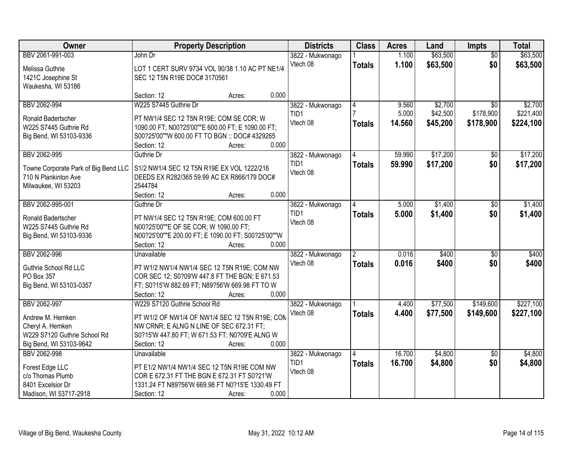| Owner                                            | <b>Property Description</b>                                                                   | <b>Districts</b> | <b>Class</b>             | <b>Acres</b> | Land     | Impts           | <b>Total</b> |
|--------------------------------------------------|-----------------------------------------------------------------------------------------------|------------------|--------------------------|--------------|----------|-----------------|--------------|
| BBV 2061-991-003                                 | John Dr                                                                                       | 3822 - Mukwonago |                          | 1.100        | \$63,500 | $\overline{50}$ | \$63,500     |
| Melissa Guthrie                                  | LOT 1 CERT SURV 9734 VOL 90/38 1.10 AC PT NE1/4                                               | Vtech 08         | <b>Totals</b>            | 1.100        | \$63,500 | \$0             | \$63,500     |
| 1421C Josephine St                               | SEC 12 T5N R19E DOC# 3170561                                                                  |                  |                          |              |          |                 |              |
| Waukesha, WI 53186                               |                                                                                               |                  |                          |              |          |                 |              |
|                                                  | 0.000<br>Section: 12<br>Acres:                                                                |                  |                          |              |          |                 |              |
| BBV 2062-994                                     | W225 S7445 Guthrie Dr                                                                         | 3822 - Mukwonago | $\overline{4}$           | 9.560        | \$2,700  | $\overline{50}$ | \$2,700      |
| Ronald Badertscher                               | PT NW1/4 SEC 12 T5N R19E; COM SE COR; W                                                       | TID1             |                          | 5.000        | \$42,500 | \$178,900       | \$221,400    |
| W225 S7445 Guthrie Rd                            | 1090.00 FT; N00?25'00""E 600.00 FT; E 1090.00 FT;                                             | Vtech 08         | <b>Totals</b>            | 14.560       | \$45,200 | \$178,900       | \$224,100    |
| Big Bend, WI 53103-9336                          | S00?25'00""W 600.00 FT TO BGN :: DOC# 4329265                                                 |                  |                          |              |          |                 |              |
|                                                  | 0.000<br>Section: 12<br>Acres:                                                                |                  |                          |              |          |                 |              |
| BBV 2062-995                                     | Guthrie Dr                                                                                    | 3822 - Mukwonago |                          | 59.990       | \$17,200 | $\overline{50}$ | \$17,200     |
| Towne Corporate Park of Big Bend LLC             | S1/2 NW1/4 SEC 12 T5N R19E EX VOL 1222/216                                                    | TID1             | <b>Totals</b>            | 59.990       | \$17,200 | \$0             | \$17,200     |
| 710 N Plankinton Ave                             | DEEDS EX R282/365 59.99 AC EX R866/179 DOC#                                                   | Vtech 08         |                          |              |          |                 |              |
| Milwaukee, WI 53203                              | 2544784                                                                                       |                  |                          |              |          |                 |              |
|                                                  | Section: 12<br>0.000<br>Acres:                                                                |                  |                          |              |          |                 |              |
| BBV 2062-995-001                                 | Guthrie Dr                                                                                    | 3822 - Mukwonago |                          | 5.000        | \$1,400  | \$0             | \$1,400      |
| Ronald Badertscher                               | PT NW1/4 SEC 12 T5N R19E; COM 600.00 FT                                                       | TID1             | <b>Totals</b>            | 5.000        | \$1,400  | \$0             | \$1,400      |
| W225 S7445 Guthrie Rd                            | N00?25'00""E OF SE COR; W 1090.00 FT;                                                         | Vtech 08         |                          |              |          |                 |              |
| Big Bend, WI 53103-9336                          | N00?25'00""E 200.00 FT; E 1090.00 FT; S00?25'00""W                                            |                  |                          |              |          |                 |              |
|                                                  | Section: 12<br>0.000<br>Acres:                                                                |                  |                          |              |          |                 |              |
| BBV 2062-996                                     | Unavailable                                                                                   | 3822 - Mukwonago | $\overline{\phantom{a}}$ | 0.016        | \$400    | $\overline{50}$ | \$400        |
|                                                  |                                                                                               | Vtech 08         | <b>Totals</b>            | 0.016        | \$400    | \$0             | \$400        |
| Guthrie School Rd LLC<br>PO Box 357              | PT W1/2 NW1/4 NW1/4 SEC 12 T5N R19E; COM NW<br>COR SEC 12; S0?09'W 447.8 FT THE BGN; E 671.53 |                  |                          |              |          |                 |              |
| Big Bend, WI 53103-0357                          | FT; S0?15'W 882.69 FT; N89?56'W 669.98 FT TO W                                                |                  |                          |              |          |                 |              |
|                                                  | 0.000<br>Section: 12<br>Acres:                                                                |                  |                          |              |          |                 |              |
| BBV 2062-997                                     | W229 S7120 Guthrie School Rd                                                                  | 3822 - Mukwonago |                          | 4.400        | \$77,500 | \$149,600       | \$227,100    |
|                                                  |                                                                                               | Vtech 08         | <b>Totals</b>            | 4.400        | \$77,500 | \$149,600       | \$227,100    |
| Andrew M. Hemken                                 | PT W1/2 OF NW1/4 OF NW1/4 SEC 12 T5N R19E; COM                                                |                  |                          |              |          |                 |              |
| Cheryl A. Hemken<br>W229 S7120 Guthrie School Rd | NW CRNR; E ALNG N LINE OF SEC 672.31 FT;<br>S0?15'W 447.80 FT; W 671.53 FT; N0?09'E ALNG W    |                  |                          |              |          |                 |              |
| Big Bend, WI 53103-9642                          | Section: 12<br>0.000<br>Acres:                                                                |                  |                          |              |          |                 |              |
| BBV 2062-998                                     | Unavailable                                                                                   | 3822 - Mukwonago |                          | 16.700       | \$4,800  | $\overline{30}$ | \$4,800      |
|                                                  |                                                                                               | TID1             | <b>Totals</b>            | 16.700       | \$4,800  | \$0             | \$4,800      |
| Forest Edge LLC                                  | PT E1/2 NW1/4 NW1/4 SEC 12 T5N R19E COM NW                                                    | Vtech 08         |                          |              |          |                 |              |
| c/o Thomas Plumb                                 | COR E 672.31 FT THE BGN E 672.31 FT S0?21'W                                                   |                  |                          |              |          |                 |              |
| 8401 Excelsior Dr<br>Madison, WI 53717-2918      | 1331.24 FT N89?56'W 669.98 FT N0?15'E 1330.49 FT<br>0.000<br>Section: 12                      |                  |                          |              |          |                 |              |
|                                                  | Acres:                                                                                        |                  |                          |              |          |                 |              |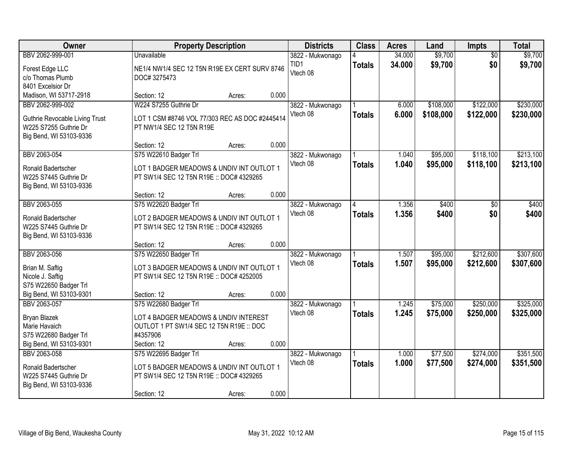| Owner                                       |                                                                                       | <b>Property Description</b> |       | <b>Districts</b>         | <b>Class</b>  | <b>Acres</b>     | Land               | Impts                  | <b>Total</b>       |
|---------------------------------------------|---------------------------------------------------------------------------------------|-----------------------------|-------|--------------------------|---------------|------------------|--------------------|------------------------|--------------------|
| BBV 2062-999-001                            | <b>Unavailable</b>                                                                    |                             |       | 3822 - Mukwonago<br>TID1 | <b>Totals</b> | 34.000<br>34.000 | \$9,700<br>\$9,700 | $\overline{50}$<br>\$0 | \$9,700<br>\$9,700 |
| Forest Edge LLC                             | NE1/4 NW1/4 SEC 12 T5N R19E EX CERT SURV 8746                                         |                             |       | Vtech 08                 |               |                  |                    |                        |                    |
| c/o Thomas Plumb                            | DOC#3275473                                                                           |                             |       |                          |               |                  |                    |                        |                    |
| 8401 Excelsior Dr                           |                                                                                       |                             |       |                          |               |                  |                    |                        |                    |
| Madison, WI 53717-2918                      | Section: 12                                                                           | Acres:                      | 0.000 |                          |               |                  |                    |                        |                    |
| BBV 2062-999-002                            | W224 S7255 Guthrie Dr                                                                 |                             |       | 3822 - Mukwonago         |               | 6.000            | \$108,000          | \$122,000              | \$230,000          |
| Guthrie Revocable Living Trust              | LOT 1 CSM #8746 VOL 77/303 REC AS DOC #2445414                                        |                             |       | Vtech 08                 | <b>Totals</b> | 6.000            | \$108,000          | \$122,000              | \$230,000          |
| W225 S7255 Guthrie Dr                       | PT NW1/4 SEC 12 T5N R19E                                                              |                             |       |                          |               |                  |                    |                        |                    |
| Big Bend, WI 53103-9336                     |                                                                                       |                             |       |                          |               |                  |                    |                        |                    |
|                                             | Section: 12                                                                           | Acres:                      | 0.000 |                          |               |                  |                    |                        |                    |
| BBV 2063-054                                | S75 W22610 Badger Trl                                                                 |                             |       | 3822 - Mukwonago         |               | 1.040            | \$95,000           | \$118,100              | \$213,100          |
| Ronald Badertscher                          | LOT 1 BADGER MEADOWS & UNDIV INT OUTLOT 1                                             |                             |       | Vtech 08                 | <b>Totals</b> | 1.040            | \$95,000           | \$118,100              | \$213,100          |
| W225 S7445 Guthrie Dr                       | PT SW1/4 SEC 12 T5N R19E :: DOC# 4329265                                              |                             |       |                          |               |                  |                    |                        |                    |
| Big Bend, WI 53103-9336                     |                                                                                       |                             |       |                          |               |                  |                    |                        |                    |
|                                             | Section: 12                                                                           | Acres:                      | 0.000 |                          |               |                  |                    |                        |                    |
| BBV 2063-055                                | S75 W22620 Badger Trl                                                                 |                             |       | 3822 - Mukwonago         |               | 1.356            | \$400              | \$0                    | \$400              |
| Ronald Badertscher                          | LOT 2 BADGER MEADOWS & UNDIV INT OUTLOT 1                                             |                             |       | Vtech 08                 | <b>Totals</b> | 1.356            | \$400              | \$0                    | \$400              |
| W225 S7445 Guthrie Dr                       | PT SW1/4 SEC 12 T5N R19E :: DOC# 4329265                                              |                             |       |                          |               |                  |                    |                        |                    |
| Big Bend, WI 53103-9336                     |                                                                                       |                             |       |                          |               |                  |                    |                        |                    |
|                                             | Section: 12                                                                           | Acres:                      | 0.000 |                          |               |                  |                    |                        |                    |
| BBV 2063-056                                | S75 W22650 Badger Trl                                                                 |                             |       | 3822 - Mukwonago         |               | 1.507            | \$95,000           | \$212,600              | \$307,600          |
| Brian M. Saftig                             | LOT 3 BADGER MEADOWS & UNDIV INT OUTLOT 1                                             |                             |       | Vtech 08                 | <b>Totals</b> | 1.507            | \$95,000           | \$212,600              | \$307,600          |
| Nicole J. Saftig                            | PT SW1/4 SEC 12 T5N R19E :: DOC# 4252005                                              |                             |       |                          |               |                  |                    |                        |                    |
| S75 W22650 Badger Trl                       |                                                                                       |                             |       |                          |               |                  |                    |                        |                    |
| Big Bend, WI 53103-9301                     | Section: 12                                                                           | Acres:                      | 0.000 |                          |               |                  |                    |                        |                    |
| BBV 2063-057                                | S75 W22680 Badger Trl                                                                 |                             |       | 3822 - Mukwonago         |               | 1.245            | \$75,000           | \$250,000              | \$325,000          |
| Bryan Blazek                                | LOT 4 BADGER MEADOWS & UNDIV INTEREST                                                 |                             |       | Vtech 08                 | <b>Totals</b> | 1.245            | \$75,000           | \$250,000              | \$325,000          |
| Marie Havaich                               | OUTLOT 1 PT SW1/4 SEC 12 T5N R19E :: DOC                                              |                             |       |                          |               |                  |                    |                        |                    |
| S75 W22680 Badger Trl                       | #4357906                                                                              |                             |       |                          |               |                  |                    |                        |                    |
| Big Bend, WI 53103-9301                     | Section: 12                                                                           | Acres:                      | 0.000 |                          |               |                  |                    |                        |                    |
| BBV 2063-058                                | S75 W22695 Badger Trl                                                                 |                             |       | 3822 - Mukwonago         |               | 1.000            | \$77,500           | \$274,000              | \$351,500          |
|                                             |                                                                                       |                             |       | Vtech 08                 | <b>Totals</b> | 1.000            | \$77,500           | \$274,000              | \$351,500          |
| Ronald Badertscher<br>W225 S7445 Guthrie Dr | LOT 5 BADGER MEADOWS & UNDIV INT OUTLOT 1<br>PT SW1/4 SEC 12 T5N R19E :: DOC# 4329265 |                             |       |                          |               |                  |                    |                        |                    |
| Big Bend, WI 53103-9336                     |                                                                                       |                             |       |                          |               |                  |                    |                        |                    |
|                                             | Section: 12                                                                           | Acres:                      | 0.000 |                          |               |                  |                    |                        |                    |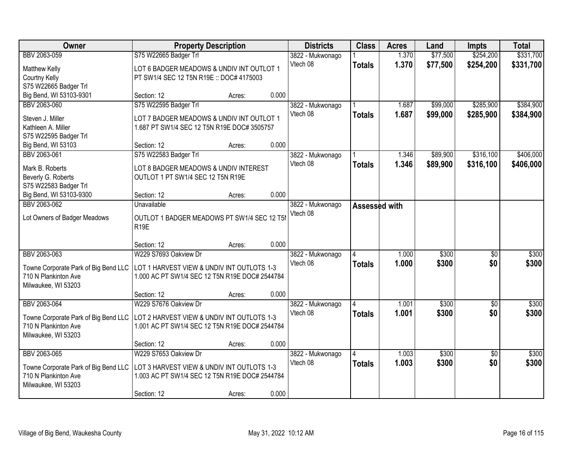| Owner                                | <b>Property Description</b>                    |        |       | <b>Districts</b> | <b>Class</b>  | <b>Acres</b> | Land     | <b>Impts</b>    | <b>Total</b> |
|--------------------------------------|------------------------------------------------|--------|-------|------------------|---------------|--------------|----------|-----------------|--------------|
| BBV 2063-059                         | S75 W22665 Badger Trl                          |        |       | 3822 - Mukwonago |               | 1.370        | \$77,500 | \$254,200       | \$331,700    |
| Matthew Kelly                        | LOT 6 BADGER MEADOWS & UNDIV INT OUTLOT 1      |        |       | Vtech 08         | <b>Totals</b> | 1.370        | \$77,500 | \$254,200       | \$331,700    |
| Courtny Kelly                        | PT SW1/4 SEC 12 T5N R19E :: DOC# 4175003       |        |       |                  |               |              |          |                 |              |
| S75 W22665 Badger Trl                |                                                |        |       |                  |               |              |          |                 |              |
| Big Bend, WI 53103-9301              | Section: 12                                    | Acres: | 0.000 |                  |               |              |          |                 |              |
| BBV 2063-060                         | S75 W22595 Badger Trl                          |        |       | 3822 - Mukwonago |               | 1.687        | \$99,000 | \$285,900       | \$384,900    |
| Steven J. Miller                     | LOT 7 BADGER MEADOWS & UNDIV INT OUTLOT 1      |        |       | Vtech 08         | <b>Totals</b> | 1.687        | \$99,000 | \$285,900       | \$384,900    |
| Kathleen A. Miller                   | 1.687 PT SW1/4 SEC 12 T5N R19E DOC# 3505757    |        |       |                  |               |              |          |                 |              |
| S75 W22595 Badger Trl                |                                                |        |       |                  |               |              |          |                 |              |
| Big Bend, WI 53103                   | Section: 12                                    | Acres: | 0.000 |                  |               |              |          |                 |              |
| BBV 2063-061                         | S75 W22583 Badger Trl                          |        |       | 3822 - Mukwonago |               | 1.346        | \$89,900 | \$316,100       | \$406,000    |
| Mark B. Roberts                      | LOT 8 BADGER MEADOWS & UNDIV INTEREST          |        |       | Vtech 08         | <b>Totals</b> | 1.346        | \$89,900 | \$316,100       | \$406,000    |
| Beverly G. Roberts                   | OUTLOT 1 PT SW1/4 SEC 12 T5N R19E              |        |       |                  |               |              |          |                 |              |
| S75 W22583 Badger Trl                |                                                |        |       |                  |               |              |          |                 |              |
| Big Bend, WI 53103-9300              | Section: 12                                    | Acres: | 0.000 |                  |               |              |          |                 |              |
| BBV 2063-062                         | Unavailable                                    |        |       | 3822 - Mukwonago | Assessed with |              |          |                 |              |
| Lot Owners of Badger Meadows         | OUTLOT 1 BADGER MEADOWS PT SW1/4 SEC 12 T5I    |        |       | Vtech 08         |               |              |          |                 |              |
|                                      | <b>R19E</b>                                    |        |       |                  |               |              |          |                 |              |
|                                      |                                                |        |       |                  |               |              |          |                 |              |
|                                      | Section: 12                                    | Acres: | 0.000 |                  |               |              |          |                 |              |
| BBV 2063-063                         | W229 S7693 Oakview Dr                          |        |       | 3822 - Mukwonago |               | 1.000        | \$300    | $\overline{50}$ | \$300        |
| Towne Corporate Park of Big Bend LLC | LOT 1 HARVEST VIEW & UNDIV INT OUTLOTS 1-3     |        |       | Vtech 08         | <b>Totals</b> | 1.000        | \$300    | \$0             | \$300        |
| 710 N Plankinton Ave                 | 1.000 AC PT SW1/4 SEC 12 T5N R19E DOC# 2544784 |        |       |                  |               |              |          |                 |              |
| Milwaukee, WI 53203                  |                                                |        |       |                  |               |              |          |                 |              |
|                                      | Section: 12                                    | Acres: | 0.000 |                  |               |              |          |                 |              |
| BBV 2063-064                         | W229 S7676 Oakview Dr                          |        |       | 3822 - Mukwonago |               | 1.001        | \$300    | $\overline{30}$ | \$300        |
| Towne Corporate Park of Big Bend LLC | LOT 2 HARVEST VIEW & UNDIV INT OUTLOTS 1-3     |        |       | Vtech 08         | <b>Totals</b> | 1.001        | \$300    | \$0             | \$300        |
| 710 N Plankinton Ave                 | 1.001 AC PT SW1/4 SEC 12 T5N R19E DOC# 2544784 |        |       |                  |               |              |          |                 |              |
| Milwaukee, WI 53203                  |                                                |        |       |                  |               |              |          |                 |              |
|                                      | Section: 12                                    | Acres: | 0.000 |                  |               |              |          |                 |              |
| BBV 2063-065                         | W229 S7653 Oakview Dr                          |        |       | 3822 - Mukwonago |               | 1.003        | \$300    | $\overline{30}$ | \$300        |
| Towne Corporate Park of Big Bend LLC | LOT 3 HARVEST VIEW & UNDIV INT OUTLOTS 1-3     |        |       | Vtech 08         | <b>Totals</b> | 1.003        | \$300    | \$0             | \$300        |
| 710 N Plankinton Ave                 | 1.003 AC PT SW1/4 SEC 12 T5N R19E DOC# 2544784 |        |       |                  |               |              |          |                 |              |
| Milwaukee, WI 53203                  |                                                |        |       |                  |               |              |          |                 |              |
|                                      | Section: 12                                    | Acres: | 0.000 |                  |               |              |          |                 |              |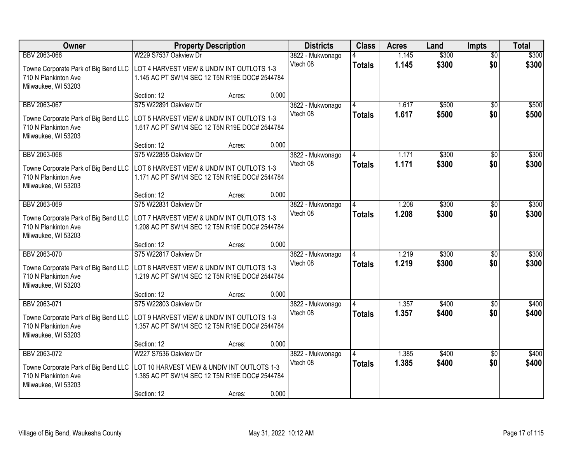| Owner                                                                             | <b>Property Description</b>                    |        | <b>Districts</b>             | <b>Class</b>  | <b>Acres</b> | Land  | <b>Impts</b>    | <b>Total</b> |
|-----------------------------------------------------------------------------------|------------------------------------------------|--------|------------------------------|---------------|--------------|-------|-----------------|--------------|
| BBV 2063-066                                                                      | W229 S7537 Oakview Dr                          |        | 3822 - Mukwonago             |               | 1.145        | \$300 | $\overline{50}$ | \$300        |
| Towne Corporate Park of Big Bend LLC   LOT 4 HARVEST VIEW & UNDIV INT OUTLOTS 1-3 |                                                |        | Vtech 08                     | <b>Totals</b> | 1.145        | \$300 | \$0             | \$300        |
| 710 N Plankinton Ave                                                              | 1.145 AC PT SW1/4 SEC 12 T5N R19E DOC# 2544784 |        |                              |               |              |       |                 |              |
| Milwaukee, WI 53203                                                               |                                                |        |                              |               |              |       |                 |              |
|                                                                                   | Section: 12                                    | Acres: | 0.000                        |               |              |       |                 |              |
| BBV 2063-067                                                                      | S75 W22891 Oakview Dr                          |        | 3822 - Mukwonago             |               | 1.617        | \$500 | \$0             | \$500        |
| Towne Corporate Park of Big Bend LLC                                              | LOT 5 HARVEST VIEW & UNDIV INT OUTLOTS 1-3     |        | Vtech 08                     | <b>Totals</b> | 1.617        | \$500 | \$0             | \$500        |
| 710 N Plankinton Ave                                                              | 1.617 AC PT SW1/4 SEC 12 T5N R19E DOC# 2544784 |        |                              |               |              |       |                 |              |
| Milwaukee, WI 53203                                                               |                                                |        |                              |               |              |       |                 |              |
| BBV 2063-068                                                                      | Section: 12<br>S75 W22855 Oakview Dr           | Acres: | 0.000                        |               | 1.171        | \$300 |                 | \$300        |
|                                                                                   |                                                |        | 3822 - Mukwonago<br>Vtech 08 |               | 1.171        | \$300 | \$0<br>\$0      | \$300        |
| Towne Corporate Park of Big Bend LLC                                              | LOT 6 HARVEST VIEW & UNDIV INT OUTLOTS 1-3     |        |                              | <b>Totals</b> |              |       |                 |              |
| 710 N Plankinton Ave                                                              | 1.171 AC PT SW1/4 SEC 12 T5N R19E DOC# 2544784 |        |                              |               |              |       |                 |              |
| Milwaukee, WI 53203                                                               | Section: 12                                    | Acres: | 0.000                        |               |              |       |                 |              |
| BBV 2063-069                                                                      | S75 W22831 Oakview Dr                          |        | 3822 - Mukwonago             |               | 1.208        | \$300 | $\sqrt[6]{3}$   | \$300        |
|                                                                                   |                                                |        | Vtech 08                     | <b>Totals</b> | 1.208        | \$300 | \$0             | \$300        |
| Towne Corporate Park of Big Bend LLC                                              | LOT 7 HARVEST VIEW & UNDIV INT OUTLOTS 1-3     |        |                              |               |              |       |                 |              |
| 710 N Plankinton Ave<br>Milwaukee, WI 53203                                       | 1.208 AC PT SW1/4 SEC 12 T5N R19E DOC# 2544784 |        |                              |               |              |       |                 |              |
|                                                                                   | Section: 12                                    | Acres: | 0.000                        |               |              |       |                 |              |
| BBV 2063-070                                                                      | S75 W22817 Oakview Dr                          |        | 3822 - Mukwonago             |               | 1.219        | \$300 | \$0             | \$300        |
|                                                                                   | LOT 8 HARVEST VIEW & UNDIV INT OUTLOTS 1-3     |        | Vtech 08                     | <b>Totals</b> | 1.219        | \$300 | \$0             | \$300        |
| Towne Corporate Park of Big Bend LLC<br>710 N Plankinton Ave                      | 1.219 AC PT SW1/4 SEC 12 T5N R19E DOC# 2544784 |        |                              |               |              |       |                 |              |
| Milwaukee, WI 53203                                                               |                                                |        |                              |               |              |       |                 |              |
|                                                                                   | Section: 12                                    | Acres: | 0.000                        |               |              |       |                 |              |
| BBV 2063-071                                                                      | S75 W22803 Oakview Dr                          |        | 3822 - Mukwonago             |               | 1.357        | \$400 | \$0             | \$400        |
| Towne Corporate Park of Big Bend LLC                                              | LOT 9 HARVEST VIEW & UNDIV INT OUTLOTS 1-3     |        | Vtech 08                     | <b>Totals</b> | 1.357        | \$400 | \$0             | \$400        |
| 710 N Plankinton Ave                                                              | 1.357 AC PT SW1/4 SEC 12 T5N R19E DOC# 2544784 |        |                              |               |              |       |                 |              |
| Milwaukee, WI 53203                                                               |                                                |        |                              |               |              |       |                 |              |
|                                                                                   | Section: 12                                    | Acres: | 0.000                        |               |              |       |                 |              |
| BBV 2063-072                                                                      | W227 S7536 Oakview Dr                          |        | 3822 - Mukwonago             |               | 1.385        | \$400 | $\overline{50}$ | \$400        |
| Towne Corporate Park of Big Bend LLC                                              | LOT 10 HARVEST VIEW & UNDIV INT OUTLOTS 1-3    |        | Vtech 08                     | <b>Totals</b> | 1.385        | \$400 | \$0             | \$400        |
| 710 N Plankinton Ave                                                              | 1.385 AC PT SW1/4 SEC 12 T5N R19E DOC# 2544784 |        |                              |               |              |       |                 |              |
| Milwaukee, WI 53203                                                               |                                                |        |                              |               |              |       |                 |              |
|                                                                                   | Section: 12                                    | Acres: | 0.000                        |               |              |       |                 |              |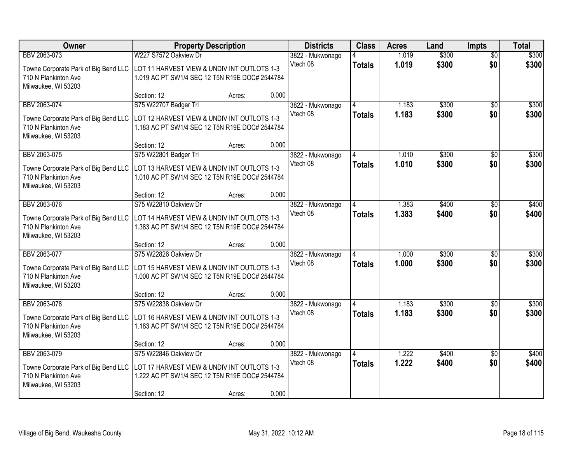| Owner                                                                              | <b>Property Description</b>                                                                   |                 | <b>Districts</b> | <b>Class</b>  | <b>Acres</b> | Land  | <b>Impts</b>    | <b>Total</b> |
|------------------------------------------------------------------------------------|-----------------------------------------------------------------------------------------------|-----------------|------------------|---------------|--------------|-------|-----------------|--------------|
| BBV 2063-073                                                                       | W227 S7572 Oakview Dr                                                                         |                 | 3822 - Mukwonago |               | 1.019        | \$300 | $\overline{50}$ | \$300        |
| Towne Corporate Park of Big Bend LLC   LOT 11 HARVEST VIEW & UNDIV INT OUTLOTS 1-3 |                                                                                               |                 | Vtech 08         | <b>Totals</b> | 1.019        | \$300 | \$0             | \$300        |
| 710 N Plankinton Ave                                                               | 1.019 AC PT SW1/4 SEC 12 T5N R19E DOC# 2544784                                                |                 |                  |               |              |       |                 |              |
| Milwaukee, WI 53203                                                                |                                                                                               |                 |                  |               |              |       |                 |              |
| BBV 2063-074                                                                       | Section: 12<br>S75 W22707 Badger Trl                                                          | 0.000<br>Acres: | 3822 - Mukwonago |               | 1.183        | \$300 | \$0             | \$300        |
|                                                                                    |                                                                                               |                 | Vtech 08         | <b>Totals</b> | 1.183        | \$300 | \$0             | \$300        |
| Towne Corporate Park of Big Bend LLC                                               | LOT 12 HARVEST VIEW & UNDIV INT OUTLOTS 1-3                                                   |                 |                  |               |              |       |                 |              |
| 710 N Plankinton Ave                                                               | 1.183 AC PT SW1/4 SEC 12 T5N R19E DOC# 2544784                                                |                 |                  |               |              |       |                 |              |
| Milwaukee, WI 53203                                                                | Section: 12                                                                                   | 0.000<br>Acres: |                  |               |              |       |                 |              |
| BBV 2063-075                                                                       | S75 W22801 Badger Trl                                                                         |                 | 3822 - Mukwonago |               | 1.010        | \$300 | \$0             | \$300        |
| Towne Corporate Park of Big Bend LLC                                               | LOT 13 HARVEST VIEW & UNDIV INT OUTLOTS 1-3                                                   |                 | Vtech 08         | <b>Totals</b> | 1.010        | \$300 | \$0             | \$300        |
| 710 N Plankinton Ave                                                               | 1.010 AC PT SW1/4 SEC 12 T5N R19E DOC# 2544784                                                |                 |                  |               |              |       |                 |              |
| Milwaukee, WI 53203                                                                |                                                                                               |                 |                  |               |              |       |                 |              |
|                                                                                    | Section: 12                                                                                   | 0.000<br>Acres: |                  |               |              |       |                 |              |
| BBV 2063-076                                                                       | S75 W22810 Oakview Dr                                                                         |                 | 3822 - Mukwonago |               | 1.383        | \$400 | $\sqrt[6]{3}$   | \$400        |
| Towne Corporate Park of Big Bend LLC                                               | LOT 14 HARVEST VIEW & UNDIV INT OUTLOTS 1-3                                                   |                 | Vtech 08         | <b>Totals</b> | 1.383        | \$400 | \$0             | \$400        |
| 710 N Plankinton Ave                                                               | 1.383 AC PT SW1/4 SEC 12 T5N R19E DOC# 2544784                                                |                 |                  |               |              |       |                 |              |
| Milwaukee, WI 53203                                                                |                                                                                               |                 |                  |               |              |       |                 |              |
|                                                                                    | Section: 12                                                                                   | 0.000<br>Acres: |                  |               |              |       |                 |              |
| BBV 2063-077                                                                       | S75 W22826 Oakview Dr                                                                         |                 | 3822 - Mukwonago |               | 1.000        | \$300 | \$0             | \$300        |
| Towne Corporate Park of Big Bend LLC                                               | LOT 15 HARVEST VIEW & UNDIV INT OUTLOTS 1-3                                                   |                 | Vtech 08         | <b>Totals</b> | 1.000        | \$300 | \$0             | \$300        |
| 710 N Plankinton Ave                                                               | 1.000 AC PT SW1/4 SEC 12 T5N R19E DOC# 2544784                                                |                 |                  |               |              |       |                 |              |
| Milwaukee, WI 53203                                                                | Section: 12                                                                                   | 0.000           |                  |               |              |       |                 |              |
| BBV 2063-078                                                                       | S75 W22838 Oakview Dr                                                                         | Acres:          | 3822 - Mukwonago |               | 1.183        | \$300 | \$0             | \$300        |
|                                                                                    |                                                                                               |                 | Vtech 08         | <b>Totals</b> | 1.183        | \$300 | \$0             | \$300        |
| Towne Corporate Park of Big Bend LLC<br>710 N Plankinton Ave                       | LOT 16 HARVEST VIEW & UNDIV INT OUTLOTS 1-3<br>1.183 AC PT SW1/4 SEC 12 T5N R19E DOC# 2544784 |                 |                  |               |              |       |                 |              |
| Milwaukee, WI 53203                                                                |                                                                                               |                 |                  |               |              |       |                 |              |
|                                                                                    | Section: 12                                                                                   | 0.000<br>Acres: |                  |               |              |       |                 |              |
| BBV 2063-079                                                                       | S75 W22846 Oakview Dr                                                                         |                 | 3822 - Mukwonago |               | 1.222        | \$400 | $\overline{50}$ | \$400        |
| Towne Corporate Park of Big Bend LLC                                               | LOT 17 HARVEST VIEW & UNDIV INT OUTLOTS 1-3                                                   |                 | Vtech 08         | <b>Totals</b> | 1.222        | \$400 | \$0             | \$400        |
| 710 N Plankinton Ave                                                               | 1.222 AC PT SW1/4 SEC 12 T5N R19E DOC# 2544784                                                |                 |                  |               |              |       |                 |              |
| Milwaukee, WI 53203                                                                |                                                                                               |                 |                  |               |              |       |                 |              |
|                                                                                    | Section: 12                                                                                   | 0.000<br>Acres: |                  |               |              |       |                 |              |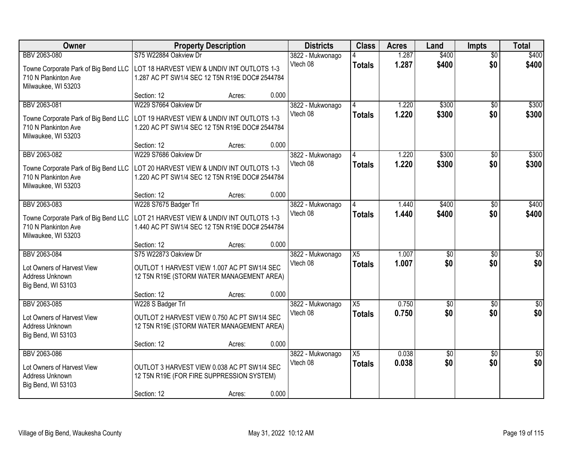| Owner                                                                              | <b>Property Description</b>                    |        | <b>Districts</b> | <b>Class</b>    | <b>Acres</b> | Land            | <b>Impts</b>    | <b>Total</b>    |
|------------------------------------------------------------------------------------|------------------------------------------------|--------|------------------|-----------------|--------------|-----------------|-----------------|-----------------|
| BBV 2063-080                                                                       | S75 W22884 Oakview Dr                          |        | 3822 - Mukwonago |                 | 1.287        | \$400           | $\overline{30}$ | \$400           |
| Towne Corporate Park of Big Bend LLC   LOT 18 HARVEST VIEW & UNDIV INT OUTLOTS 1-3 |                                                |        | Vtech 08         | <b>Totals</b>   | 1.287        | \$400           | \$0             | \$400           |
| 710 N Plankinton Ave                                                               | 1.287 AC PT SW1/4 SEC 12 T5N R19E DOC# 2544784 |        |                  |                 |              |                 |                 |                 |
| Milwaukee, WI 53203                                                                |                                                |        |                  |                 |              |                 |                 |                 |
|                                                                                    | Section: 12                                    | Acres: | 0.000            |                 |              |                 |                 |                 |
| BBV 2063-081                                                                       | W229 S7664 Oakview Dr                          |        | 3822 - Mukwonago |                 | 1.220        | \$300           | $\overline{30}$ | \$300           |
| Towne Corporate Park of Big Bend LLC                                               | LOT 19 HARVEST VIEW & UNDIV INT OUTLOTS 1-3    |        | Vtech 08         | <b>Totals</b>   | 1.220        | \$300           | \$0             | \$300           |
| 710 N Plankinton Ave                                                               | 1.220 AC PT SW1/4 SEC 12 T5N R19E DOC# 2544784 |        |                  |                 |              |                 |                 |                 |
| Milwaukee, WI 53203                                                                |                                                |        |                  |                 |              |                 |                 |                 |
|                                                                                    | Section: 12                                    | Acres: | 0.000            |                 |              |                 |                 |                 |
| BBV 2063-082                                                                       | W229 S7686 Oakview Dr                          |        | 3822 - Mukwonago |                 | 1.220        | \$300           | \$0             | \$300           |
| Towne Corporate Park of Big Bend LLC                                               | LOT 20 HARVEST VIEW & UNDIV INT OUTLOTS 1-3    |        | Vtech 08         | <b>Totals</b>   | 1.220        | \$300           | \$0             | \$300           |
| 710 N Plankinton Ave                                                               | 1.220 AC PT SW1/4 SEC 12 T5N R19E DOC# 2544784 |        |                  |                 |              |                 |                 |                 |
| Milwaukee, WI 53203                                                                |                                                |        |                  |                 |              |                 |                 |                 |
|                                                                                    | Section: 12                                    | Acres: | 0.000            |                 |              |                 |                 |                 |
| BBV 2063-083                                                                       | W228 S7675 Badger Trl                          |        | 3822 - Mukwonago |                 | 1.440        | \$400           | $\sqrt{6}$      | \$400           |
| Towne Corporate Park of Big Bend LLC                                               | LOT 21 HARVEST VIEW & UNDIV INT OUTLOTS 1-3    |        | Vtech 08         | <b>Totals</b>   | 1.440        | \$400           | \$0             | \$400           |
| 710 N Plankinton Ave                                                               | 1.440 AC PT SW1/4 SEC 12 T5N R19E DOC# 2544784 |        |                  |                 |              |                 |                 |                 |
| Milwaukee, WI 53203                                                                |                                                |        |                  |                 |              |                 |                 |                 |
|                                                                                    | Section: 12                                    | Acres: | 0.000            |                 |              |                 |                 |                 |
| BBV 2063-084                                                                       | S75 W22873 Oakview Dr                          |        | 3822 - Mukwonago | $\overline{X5}$ | 1.007        | \$0             | $\overline{50}$ | $\overline{50}$ |
| Lot Owners of Harvest View                                                         | OUTLOT 1 HARVEST VIEW 1.007 AC PT SW1/4 SEC    |        | Vtech 08         | <b>Totals</b>   | 1.007        | \$0             | \$0             | \$0             |
| Address Unknown                                                                    | 12 T5N R19E (STORM WATER MANAGEMENT AREA)      |        |                  |                 |              |                 |                 |                 |
| Big Bend, WI 53103                                                                 |                                                |        |                  |                 |              |                 |                 |                 |
|                                                                                    | Section: 12                                    | Acres: | 0.000            |                 |              |                 |                 |                 |
| BBV 2063-085                                                                       | W228 S Badger Trl                              |        | 3822 - Mukwonago | $\overline{X5}$ | 0.750        | $\sqrt{$0}$     | $\overline{50}$ | $\sqrt{50}$     |
| Lot Owners of Harvest View                                                         | OUTLOT 2 HARVEST VIEW 0.750 AC PT SW1/4 SEC    |        | Vtech 08         | <b>Totals</b>   | 0.750        | \$0             | \$0             | \$0             |
| Address Unknown                                                                    | 12 T5N R19E (STORM WATER MANAGEMENT AREA)      |        |                  |                 |              |                 |                 |                 |
| Big Bend, WI 53103                                                                 |                                                |        |                  |                 |              |                 |                 |                 |
|                                                                                    | Section: 12                                    | Acres: | 0.000            |                 |              |                 |                 |                 |
| BBV 2063-086                                                                       |                                                |        | 3822 - Mukwonago | $\overline{X5}$ | 0.038        | $\overline{50}$ | $\overline{30}$ | $\overline{50}$ |
| Lot Owners of Harvest View                                                         | OUTLOT 3 HARVEST VIEW 0.038 AC PT SW1/4 SEC    |        | Vtech 08         | <b>Totals</b>   | 0.038        | \$0             | \$0             | \$0             |
| Address Unknown                                                                    | 12 T5N R19E (FOR FIRE SUPPRESSION SYSTEM)      |        |                  |                 |              |                 |                 |                 |
| Big Bend, WI 53103                                                                 |                                                |        |                  |                 |              |                 |                 |                 |
|                                                                                    | Section: 12                                    | Acres: | 0.000            |                 |              |                 |                 |                 |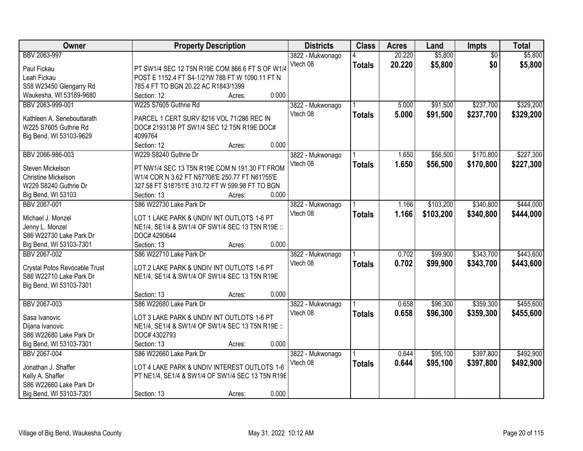| Owner                         | <b>Property Description</b>                      |        |       | <b>Districts</b> | <b>Class</b>  | <b>Acres</b> | Land      | Impts           | <b>Total</b> |
|-------------------------------|--------------------------------------------------|--------|-------|------------------|---------------|--------------|-----------|-----------------|--------------|
| BBV 2063-997                  |                                                  |        |       | 3822 - Mukwonago | 4             | 20.220       | \$5,800   | $\overline{50}$ | \$5,800      |
| Paul Fickau                   | PT SW1/4 SEC 12 T5N R19E COM 866.6 FT S OF W1/4  |        |       | Vtech 08         | <b>Totals</b> | 20.220       | \$5,800   | \$0             | \$5,800      |
| Leah Fickau                   | POST E 1152.4 FT S4-1/2?W 788 FT W 1090.11 FT N  |        |       |                  |               |              |           |                 |              |
| S58 W23450 Glengarry Rd       | 785.4 FT TO BGN 20.22 AC R1843/1399              |        |       |                  |               |              |           |                 |              |
| Waukesha, WI 53189-9680       | Section: 12                                      | Acres: | 0.000 |                  |               |              |           |                 |              |
| BBV 2063-999-001              | W225 S7605 Guthrie Rd                            |        |       | 3822 - Mukwonago |               | 5.000        | \$91,500  | \$237,700       | \$329,200    |
|                               |                                                  |        |       | Vtech 08         | <b>Totals</b> | 5.000        | \$91,500  | \$237,700       | \$329,200    |
| Kathleen A. Senebouttarath    | PARCEL 1 CERT SURV 8216 VOL 71/286 REC IN        |        |       |                  |               |              |           |                 |              |
| W225 S7605 Guthrie Rd         | DOC# 2193138 PT SW1/4 SEC 12 T5N R19E DOC#       |        |       |                  |               |              |           |                 |              |
| Big Bend, WI 53103-9629       | 4099764                                          |        |       |                  |               |              |           |                 |              |
|                               | Section: 12                                      | Acres: | 0.000 |                  |               |              |           |                 |              |
| BBV 2066-986-003              | W229 S8240 Guthrie Dr                            |        |       | 3822 - Mukwonago |               | 1.650        | \$56,500  | \$170,800       | \$227,300    |
| Steven Mickelson              | PT NW1/4 SEC 13 T5N R19E COM N 191.30 FT FROM    |        |       | Vtech 08         | <b>Totals</b> | 1.650        | \$56,500  | \$170,800       | \$227,300    |
| <b>Christine Mickelson</b>    | W1/4 COR N 3.62 FT N57?06'E 250.77 FT N61?55'E   |        |       |                  |               |              |           |                 |              |
| W229 S8240 Guthrie Dr         | 327.58 FT S18?51'E 310.72 FT W 599.98 FT TO BGN  |        |       |                  |               |              |           |                 |              |
| Big Bend, WI 53103            | Section: 13                                      | Acres: | 0.000 |                  |               |              |           |                 |              |
| BBV 2067-001                  | S86 W22730 Lake Park Dr                          |        |       | 3822 - Mukwonago |               | 1.166        | \$103,200 | \$340,800       | \$444,000    |
|                               |                                                  |        |       | Vtech 08         | <b>Totals</b> | 1.166        | \$103,200 | \$340,800       | \$444,000    |
| Michael J. Monzel             | LOT 1 LAKE PARK & UNDIV INT OUTLOTS 1-6 PT       |        |       |                  |               |              |           |                 |              |
| Jenny L. Monzel               | NE1/4, SE1/4 & SW1/4 OF SW1/4 SEC 13 T5N R19E :: |        |       |                  |               |              |           |                 |              |
| S86 W22730 Lake Park Dr       | DOC# 4290644                                     |        |       |                  |               |              |           |                 |              |
| Big Bend, WI 53103-7301       | Section: 13                                      | Acres: | 0.000 |                  |               |              |           |                 |              |
| BBV 2067-002                  | S86 W22710 Lake Park Dr                          |        |       | 3822 - Mukwonago |               | 0.702        | \$99,900  | \$343,700       | \$443,600    |
| Crystal Potos Revocable Trust | LOT 2 LAKE PARK & UNDIV INT OUTLOTS 1-6 PT       |        |       | Vtech 08         | <b>Totals</b> | 0.702        | \$99,900  | \$343,700       | \$443,600    |
| S86 W22710 Lake Park Dr       | NE1/4, SE1/4 & SW1/4 OF SW1/4 SEC 13 T5N R19E    |        |       |                  |               |              |           |                 |              |
| Big Bend, WI 53103-7301       |                                                  |        |       |                  |               |              |           |                 |              |
|                               | Section: 13                                      | Acres: | 0.000 |                  |               |              |           |                 |              |
| BBV 2067-003                  | S86 W22680 Lake Park Dr                          |        |       | 3822 - Mukwonago |               | 0.658        | \$96,300  | \$359,300       | \$455,600    |
|                               |                                                  |        |       | Vtech 08         | <b>Totals</b> | 0.658        | \$96,300  | \$359,300       | \$455,600    |
| Sasa Ivanovic                 | LOT 3 LAKE PARK & UNDIV INT OUTLOTS 1-6 PT       |        |       |                  |               |              |           |                 |              |
| Dijana Ivanovic               | NE1/4, SE1/4 & SW1/4 OF SW1/4 SEC 13 T5N R19E :: |        |       |                  |               |              |           |                 |              |
| S86 W22680 Lake Park Dr       | DOC# 4302793                                     |        |       |                  |               |              |           |                 |              |
| Big Bend, WI 53103-7301       | Section: 13                                      | Acres: | 0.000 |                  |               |              |           |                 |              |
| BBV 2067-004                  | S86 W22660 Lake Park Dr                          |        |       | 3822 - Mukwonago |               | 0.644        | \$95,100  | \$397,800       | \$492,900    |
| Jonathan J. Shaffer           | LOT 4 LAKE PARK & UNDIV INTEREST OUTLOTS 1-6     |        |       | Vtech 08         | <b>Totals</b> | 0.644        | \$95,100  | \$397,800       | \$492,900    |
| Kelly A. Shaffer              | PT NE1/4, SE1/4 & SW1/4 OF SW1/4 SEC 13 T5N R19E |        |       |                  |               |              |           |                 |              |
| S86 W22660 Lake Park Dr       |                                                  |        |       |                  |               |              |           |                 |              |
| Big Bend, WI 53103-7301       | Section: 13                                      | Acres: | 0.000 |                  |               |              |           |                 |              |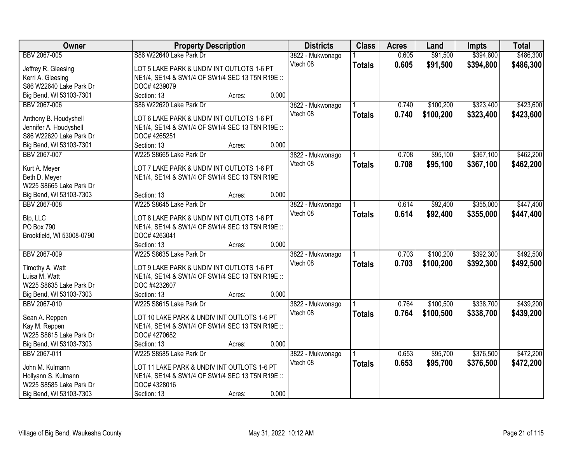| Owner                     | <b>Property Description</b>                      |        |       | <b>Districts</b> | <b>Class</b>  | <b>Acres</b> | Land      | <b>Impts</b> | <b>Total</b> |
|---------------------------|--------------------------------------------------|--------|-------|------------------|---------------|--------------|-----------|--------------|--------------|
| BBV 2067-005              | S86 W22640 Lake Park Dr                          |        |       | 3822 - Mukwonago |               | 0.605        | \$91,500  | \$394,800    | \$486,300    |
| Jeffrey R. Gleesing       | LOT 5 LAKE PARK & UNDIV INT OUTLOTS 1-6 PT       |        |       | Vtech 08         | <b>Totals</b> | 0.605        | \$91,500  | \$394,800    | \$486,300    |
| Kerri A. Gleesing         | NE1/4, SE1/4 & SW1/4 OF SW1/4 SEC 13 T5N R19E :: |        |       |                  |               |              |           |              |              |
| S86 W22640 Lake Park Dr   | DOC# 4239079                                     |        |       |                  |               |              |           |              |              |
| Big Bend, WI 53103-7301   | Section: 13                                      | Acres: | 0.000 |                  |               |              |           |              |              |
| BBV 2067-006              | S86 W22620 Lake Park Dr                          |        |       | 3822 - Mukwonago |               | 0.740        | \$100,200 | \$323,400    | \$423,600    |
|                           |                                                  |        |       | Vtech 08         | <b>Totals</b> | 0.740        | \$100,200 | \$323,400    | \$423,600    |
| Anthony B. Houdyshell     | LOT 6 LAKE PARK & UNDIV INT OUTLOTS 1-6 PT       |        |       |                  |               |              |           |              |              |
| Jennifer A. Houdyshell    | NE1/4, SE1/4 & SW1/4 OF SW1/4 SEC 13 T5N R19E :: |        |       |                  |               |              |           |              |              |
| S86 W22620 Lake Park Dr   | DOC# 4265251                                     |        |       |                  |               |              |           |              |              |
| Big Bend, WI 53103-7301   | Section: 13                                      | Acres: | 0.000 |                  |               |              |           |              |              |
| BBV 2067-007              | W225 S8665 Lake Park Dr                          |        |       | 3822 - Mukwonago |               | 0.708        | \$95,100  | \$367,100    | \$462,200    |
| Kurt A. Meyer             | LOT 7 LAKE PARK & UNDIV INT OUTLOTS 1-6 PT       |        |       | Vtech 08         | <b>Totals</b> | 0.708        | \$95,100  | \$367,100    | \$462,200    |
| Beth D. Meyer             | NE1/4, SE1/4 & SW1/4 OF SW1/4 SEC 13 T5N R19E    |        |       |                  |               |              |           |              |              |
| W225 S8665 Lake Park Dr   |                                                  |        |       |                  |               |              |           |              |              |
| Big Bend, WI 53103-7303   | Section: 13                                      | Acres: | 0.000 |                  |               |              |           |              |              |
| BBV 2067-008              | W225 S8645 Lake Park Dr                          |        |       | 3822 - Mukwonago |               | 0.614        | \$92,400  | \$355,000    | \$447,400    |
|                           |                                                  |        |       | Vtech 08         | <b>Totals</b> | 0.614        | \$92,400  | \$355,000    | \$447,400    |
| Blp, LLC                  | LOT 8 LAKE PARK & UNDIV INT OUTLOTS 1-6 PT       |        |       |                  |               |              |           |              |              |
| PO Box 790                | NE1/4, SE1/4 & SW1/4 OF SW1/4 SEC 13 T5N R19E :: |        |       |                  |               |              |           |              |              |
| Brookfield, WI 53008-0790 | DOC# 4263041                                     |        |       |                  |               |              |           |              |              |
|                           | Section: 13                                      | Acres: | 0.000 |                  |               |              |           |              |              |
| BBV 2067-009              | W225 S8635 Lake Park Dr                          |        |       | 3822 - Mukwonago |               | 0.703        | \$100,200 | \$392,300    | \$492,500    |
| Timothy A. Watt           | LOT 9 LAKE PARK & UNDIV INT OUTLOTS 1-6 PT       |        |       | Vtech 08         | <b>Totals</b> | 0.703        | \$100,200 | \$392,300    | \$492,500    |
| Luisa M. Watt             | NE1/4, SE1/4 & SW1/4 OF SW1/4 SEC 13 T5N R19E :: |        |       |                  |               |              |           |              |              |
| W225 S8635 Lake Park Dr   | DOC #4232607                                     |        |       |                  |               |              |           |              |              |
| Big Bend, WI 53103-7303   | Section: 13                                      | Acres: | 0.000 |                  |               |              |           |              |              |
| BBV 2067-010              | W225 S8615 Lake Park Dr                          |        |       | 3822 - Mukwonago |               | 0.764        | \$100,500 | \$338,700    | \$439,200    |
|                           |                                                  |        |       | Vtech 08         |               | 0.764        | \$100,500 | \$338,700    | \$439,200    |
| Sean A. Reppen            | LOT 10 LAKE PARK & UNDIV INT OUTLOTS 1-6 PT      |        |       |                  | <b>Totals</b> |              |           |              |              |
| Kay M. Reppen             | NE1/4, SE1/4 & SW1/4 OF SW1/4 SEC 13 T5N R19E :: |        |       |                  |               |              |           |              |              |
| W225 S8615 Lake Park Dr   | DOC# 4270682                                     |        |       |                  |               |              |           |              |              |
| Big Bend, WI 53103-7303   | Section: 13                                      | Acres: | 0.000 |                  |               |              |           |              |              |
| BBV 2067-011              | W225 S8585 Lake Park Dr                          |        |       | 3822 - Mukwonago |               | 0.653        | \$95,700  | \$376,500    | \$472,200    |
| John M. Kulmann           | LOT 11 LAKE PARK & UNDIV INT OUTLOTS 1-6 PT      |        |       | Vtech 08         | <b>Totals</b> | 0.653        | \$95,700  | \$376,500    | \$472,200    |
| Hollyann S. Kulmann       | NE1/4, SE1/4 & SW1/4 OF SW1/4 SEC 13 T5N R19E :: |        |       |                  |               |              |           |              |              |
| W225 S8585 Lake Park Dr   | DOC# 4328016                                     |        |       |                  |               |              |           |              |              |
| Big Bend, WI 53103-7303   | Section: 13                                      | Acres: | 0.000 |                  |               |              |           |              |              |
|                           |                                                  |        |       |                  |               |              |           |              |              |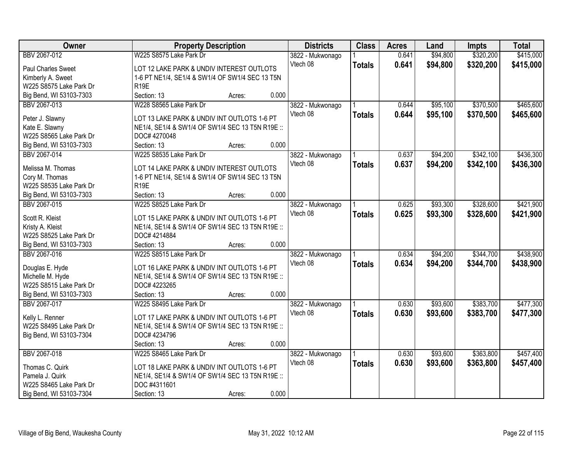| Owner                   | <b>Property Description</b>                      |       | <b>Districts</b> | <b>Class</b>  | <b>Acres</b> | Land     | <b>Impts</b> | <b>Total</b> |
|-------------------------|--------------------------------------------------|-------|------------------|---------------|--------------|----------|--------------|--------------|
| BBV 2067-012            | W225 S8575 Lake Park Dr                          |       | 3822 - Mukwonago |               | 0.641        | \$94,800 | \$320,200    | \$415,000    |
| Paul Charles Sweet      | LOT 12 LAKE PARK & UNDIV INTEREST OUTLOTS        |       | Vtech 08         | <b>Totals</b> | 0.641        | \$94,800 | \$320,200    | \$415,000    |
| Kimberly A. Sweet       | 1-6 PT NE1/4, SE1/4 & SW1/4 OF SW1/4 SEC 13 T5N  |       |                  |               |              |          |              |              |
| W225 S8575 Lake Park Dr | R <sub>19E</sub>                                 |       |                  |               |              |          |              |              |
| Big Bend, WI 53103-7303 | Section: 13<br>Acres:                            | 0.000 |                  |               |              |          |              |              |
| BBV 2067-013            | W228 S8565 Lake Park Dr                          |       | 3822 - Mukwonago |               | 0.644        | \$95,100 | \$370,500    | \$465,600    |
|                         |                                                  |       | Vtech 08         | <b>Totals</b> | 0.644        | \$95,100 | \$370,500    | \$465,600    |
| Peter J. Slawny         | LOT 13 LAKE PARK & UNDIV INT OUTLOTS 1-6 PT      |       |                  |               |              |          |              |              |
| Kate E. Slawny          | NE1/4, SE1/4 & SW1/4 OF SW1/4 SEC 13 T5N R19E :: |       |                  |               |              |          |              |              |
| W225 S8565 Lake Park Dr | DOC# 4270048                                     |       |                  |               |              |          |              |              |
| Big Bend, WI 53103-7303 | Section: 13<br>Acres:                            | 0.000 |                  |               |              |          |              |              |
| BBV 2067-014            | W225 S8535 Lake Park Dr                          |       | 3822 - Mukwonago |               | 0.637        | \$94,200 | \$342,100    | \$436,300    |
| Melissa M. Thomas       | LOT 14 LAKE PARK & UNDIV INTEREST OUTLOTS        |       | Vtech 08         | <b>Totals</b> | 0.637        | \$94,200 | \$342,100    | \$436,300    |
| Cory M. Thomas          | 1-6 PT NE1/4, SE1/4 & SW1/4 OF SW1/4 SEC 13 T5N  |       |                  |               |              |          |              |              |
| W225 S8535 Lake Park Dr | <b>R19E</b>                                      |       |                  |               |              |          |              |              |
| Big Bend, WI 53103-7303 | Section: 13<br>Acres:                            | 0.000 |                  |               |              |          |              |              |
| BBV 2067-015            | W225 S8525 Lake Park Dr                          |       | 3822 - Mukwonago |               | 0.625        | \$93,300 | \$328,600    | \$421,900    |
|                         |                                                  |       | Vtech 08         | <b>Totals</b> | 0.625        | \$93,300 | \$328,600    | \$421,900    |
| Scott R. Kleist         | LOT 15 LAKE PARK & UNDIV INT OUTLOTS 1-6 PT      |       |                  |               |              |          |              |              |
| Kristy A. Kleist        | NE1/4, SE1/4 & SW1/4 OF SW1/4 SEC 13 T5N R19E :: |       |                  |               |              |          |              |              |
| W225 S8525 Lake Park Dr | DOC# 4214884                                     |       |                  |               |              |          |              |              |
| Big Bend, WI 53103-7303 | Section: 13<br>Acres:                            | 0.000 |                  |               |              |          |              |              |
| BBV 2067-016            | W225 S8515 Lake Park Dr                          |       | 3822 - Mukwonago |               | 0.634        | \$94,200 | \$344,700    | \$438,900    |
| Douglas E. Hyde         | LOT 16 LAKE PARK & UNDIV INT OUTLOTS 1-6 PT      |       | Vtech 08         | <b>Totals</b> | 0.634        | \$94,200 | \$344,700    | \$438,900    |
| Michelle M. Hyde        | NE1/4, SE1/4 & SW1/4 OF SW1/4 SEC 13 T5N R19E :: |       |                  |               |              |          |              |              |
| W225 S8515 Lake Park Dr | DOC# 4223265                                     |       |                  |               |              |          |              |              |
| Big Bend, WI 53103-7303 | Section: 13<br>Acres:                            | 0.000 |                  |               |              |          |              |              |
| BBV 2067-017            | W225 S8495 Lake Park Dr                          |       | 3822 - Mukwonago |               | 0.630        | \$93,600 | \$383,700    | \$477,300    |
|                         |                                                  |       | Vtech 08         |               |              |          |              |              |
| Kelly L. Renner         | LOT 17 LAKE PARK & UNDIV INT OUTLOTS 1-6 PT      |       |                  | <b>Totals</b> | 0.630        | \$93,600 | \$383,700    | \$477,300    |
| W225 S8495 Lake Park Dr | NE1/4, SE1/4 & SW1/4 OF SW1/4 SEC 13 T5N R19E :: |       |                  |               |              |          |              |              |
| Big Bend, WI 53103-7304 | DOC# 4234796                                     |       |                  |               |              |          |              |              |
|                         | Section: 13<br>Acres:                            | 0.000 |                  |               |              |          |              |              |
| BBV 2067-018            | W225 S8465 Lake Park Dr                          |       | 3822 - Mukwonago |               | 0.630        | \$93,600 | \$363,800    | \$457,400    |
|                         |                                                  |       | Vtech 08         | <b>Totals</b> | 0.630        | \$93,600 | \$363,800    | \$457,400    |
| Thomas C. Quirk         | LOT 18 LAKE PARK & UNDIV INT OUTLOTS 1-6 PT      |       |                  |               |              |          |              |              |
| Pamela J. Quirk         | NE1/4, SE1/4 & SW1/4 OF SW1/4 SEC 13 T5N R19E :: |       |                  |               |              |          |              |              |
| W225 S8465 Lake Park Dr | DOC #4311601                                     |       |                  |               |              |          |              |              |
| Big Bend, WI 53103-7304 | Section: 13<br>Acres:                            | 0.000 |                  |               |              |          |              |              |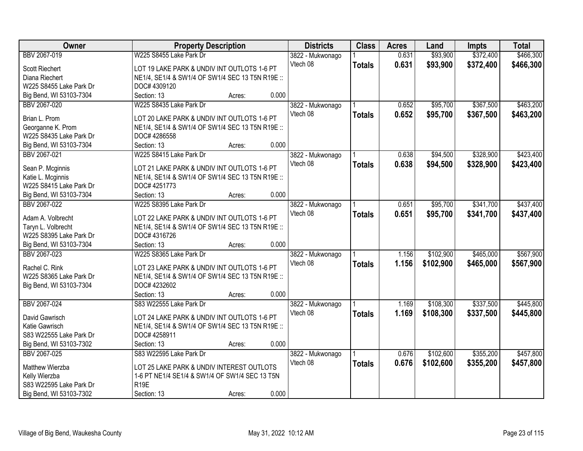| Owner                   | <b>Property Description</b>                      |        |       | <b>Districts</b>             | <b>Class</b>  | <b>Acres</b> | Land      | <b>Impts</b> | <b>Total</b> |
|-------------------------|--------------------------------------------------|--------|-------|------------------------------|---------------|--------------|-----------|--------------|--------------|
| BBV 2067-019            | W225 S8455 Lake Park Dr                          |        |       | 3822 - Mukwonago             |               | 0.631        | \$93,900  | \$372,400    | \$466,300    |
| <b>Scott Riechert</b>   | LOT 19 LAKE PARK & UNDIV INT OUTLOTS 1-6 PT      |        |       | Vtech 08                     | <b>Totals</b> | 0.631        | \$93,900  | \$372,400    | \$466,300    |
| Diana Riechert          | NE1/4, SE1/4 & SW1/4 OF SW1/4 SEC 13 T5N R19E :: |        |       |                              |               |              |           |              |              |
| W225 S8455 Lake Park Dr | DOC# 4309120                                     |        |       |                              |               |              |           |              |              |
| Big Bend, WI 53103-7304 | Section: 13                                      | Acres: | 0.000 |                              |               |              |           |              |              |
| BBV 2067-020            | W225 S8435 Lake Park Dr                          |        |       | 3822 - Mukwonago             |               | 0.652        | \$95,700  | \$367,500    | \$463,200    |
|                         |                                                  |        |       | Vtech 08                     | <b>Totals</b> | 0.652        | \$95,700  | \$367,500    | \$463,200    |
| Brian L. Prom           | LOT 20 LAKE PARK & UNDIV INT OUTLOTS 1-6 PT      |        |       |                              |               |              |           |              |              |
| Georganne K. Prom       | NE1/4, SE1/4 & SW1/4 OF SW1/4 SEC 13 T5N R19E :: |        |       |                              |               |              |           |              |              |
| W225 S8435 Lake Park Dr | DOC# 4286558                                     |        |       |                              |               |              |           |              |              |
| Big Bend, WI 53103-7304 | Section: 13                                      | Acres: | 0.000 |                              |               |              |           |              |              |
| BBV 2067-021            | W225 S8415 Lake Park Dr                          |        |       | 3822 - Mukwonago             |               | 0.638        | \$94,500  | \$328,900    | \$423,400    |
| Sean P. Mcginnis        | LOT 21 LAKE PARK & UNDIV INT OUTLOTS 1-6 PT      |        |       | Vtech 08                     | <b>Totals</b> | 0.638        | \$94,500  | \$328,900    | \$423,400    |
| Katie L. Mcginnis       | NE1/4, SE1/4 & SW1/4 OF SW1/4 SEC 13 T5N R19E :: |        |       |                              |               |              |           |              |              |
| W225 S8415 Lake Park Dr | DOC# 4251773                                     |        |       |                              |               |              |           |              |              |
| Big Bend, WI 53103-7304 | Section: 13                                      | Acres: | 0.000 |                              |               |              |           |              |              |
| BBV 2067-022            | W225 S8395 Lake Park Dr                          |        |       | 3822 - Mukwonago             |               | 0.651        | \$95,700  | \$341,700    | \$437,400    |
|                         |                                                  |        |       | Vtech 08                     | <b>Totals</b> | 0.651        | \$95,700  | \$341,700    | \$437,400    |
| Adam A. Volbrecht       | LOT 22 LAKE PARK & UNDIV INT OUTLOTS 1-6 PT      |        |       |                              |               |              |           |              |              |
| Taryn L. Volbrecht      | NE1/4, SE1/4 & SW1/4 OF SW1/4 SEC 13 T5N R19E :: |        |       |                              |               |              |           |              |              |
| W225 S8395 Lake Park Dr | DOC# 4316726                                     |        |       |                              |               |              |           |              |              |
| Big Bend, WI 53103-7304 | Section: 13                                      | Acres: | 0.000 |                              |               |              |           |              |              |
| BBV 2067-023            | W225 S8365 Lake Park Dr                          |        |       | 3822 - Mukwonago             |               | 1.156        | \$102,900 | \$465,000    | \$567,900    |
| Rachel C. Rink          | LOT 23 LAKE PARK & UNDIV INT OUTLOTS 1-6 PT      |        |       | Vtech 08                     | <b>Totals</b> | 1.156        | \$102,900 | \$465,000    | \$567,900    |
| W225 S8365 Lake Park Dr | NE1/4, SE1/4 & SW1/4 OF SW1/4 SEC 13 T5N R19E :: |        |       |                              |               |              |           |              |              |
| Big Bend, WI 53103-7304 | DOC# 4232602                                     |        |       |                              |               |              |           |              |              |
|                         | Section: 13                                      | Acres: | 0.000 |                              |               |              |           |              |              |
| BBV 2067-024            | S83 W22555 Lake Park Dr                          |        |       |                              |               | 1.169        | \$108,300 | \$337,500    | \$445,800    |
|                         |                                                  |        |       | 3822 - Mukwonago<br>Vtech 08 |               |              |           |              |              |
| David Gawrisch          | LOT 24 LAKE PARK & UNDIV INT OUTLOTS 1-6 PT      |        |       |                              | <b>Totals</b> | 1.169        | \$108,300 | \$337,500    | \$445,800    |
| Katie Gawrisch          | NE1/4, SE1/4 & SW1/4 OF SW1/4 SEC 13 T5N R19E :: |        |       |                              |               |              |           |              |              |
| S83 W22555 Lake Park Dr | DOC# 4258911                                     |        |       |                              |               |              |           |              |              |
| Big Bend, WI 53103-7302 | Section: 13                                      | Acres: | 0.000 |                              |               |              |           |              |              |
| BBV 2067-025            | S83 W22595 Lake Park Dr                          |        |       | 3822 - Mukwonago             |               | 0.676        | \$102,600 | \$355,200    | \$457,800    |
|                         |                                                  |        |       | Vtech 08                     | <b>Totals</b> | 0.676        | \$102,600 | \$355,200    | \$457,800    |
| Matthew Wierzba         | LOT 25 LAKE PARK & UNDIV INTEREST OUTLOTS        |        |       |                              |               |              |           |              |              |
| Kelly Wierzba           | 1-6 PT NE1/4 SE1/4 & SW1/4 OF SW1/4 SEC 13 T5N   |        |       |                              |               |              |           |              |              |
| S83 W22595 Lake Park Dr | R <sub>19E</sub>                                 |        |       |                              |               |              |           |              |              |
| Big Bend, WI 53103-7302 | Section: 13                                      | Acres: | 0.000 |                              |               |              |           |              |              |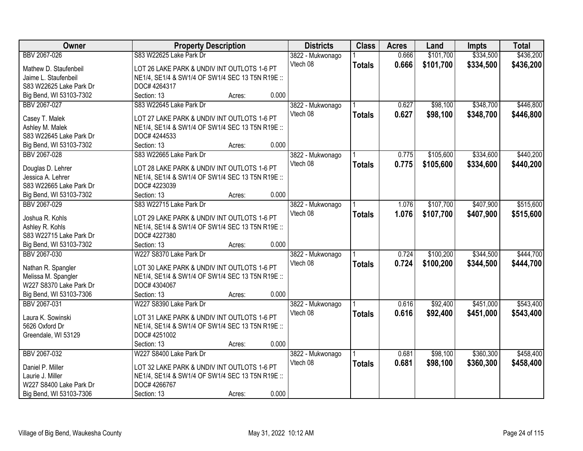| Owner                                   | <b>Property Description</b>                      |        | <b>Districts</b> | <b>Class</b>  | <b>Acres</b> | Land      | <b>Impts</b> | <b>Total</b> |
|-----------------------------------------|--------------------------------------------------|--------|------------------|---------------|--------------|-----------|--------------|--------------|
| BBV 2067-026                            | S83 W22625 Lake Park Dr                          |        | 3822 - Mukwonago |               | 0.666        | \$101,700 | \$334,500    | \$436,200    |
| Mathew D. Staufenbeil                   | LOT 26 LAKE PARK & UNDIV INT OUTLOTS 1-6 PT      |        | Vtech 08         | <b>Totals</b> | 0.666        | \$101,700 | \$334,500    | \$436,200    |
| Jaime L. Staufenbeil                    | NE1/4, SE1/4 & SW1/4 OF SW1/4 SEC 13 T5N R19E :: |        |                  |               |              |           |              |              |
| S83 W22625 Lake Park Dr                 | DOC# 4264317                                     |        |                  |               |              |           |              |              |
| Big Bend, WI 53103-7302                 | Section: 13                                      | Acres: | 0.000            |               |              |           |              |              |
| BBV 2067-027                            | S83 W22645 Lake Park Dr                          |        | 3822 - Mukwonago |               | 0.627        | \$98,100  | \$348,700    | \$446,800    |
|                                         |                                                  |        | Vtech 08         | <b>Totals</b> | 0.627        | \$98,100  | \$348,700    | \$446,800    |
| Casey T. Malek                          | LOT 27 LAKE PARK & UNDIV INT OUTLOTS 1-6 PT      |        |                  |               |              |           |              |              |
| Ashley M. Malek                         | NE1/4, SE1/4 & SW1/4 OF SW1/4 SEC 13 T5N R19E :: |        |                  |               |              |           |              |              |
| S83 W22645 Lake Park Dr                 | DOC# 4244533                                     |        |                  |               |              |           |              |              |
| Big Bend, WI 53103-7302                 | Section: 13                                      | Acres: | 0.000            |               |              |           |              |              |
| BBV 2067-028                            | S83 W22665 Lake Park Dr                          |        | 3822 - Mukwonago |               | 0.775        | \$105,600 | \$334,600    | \$440,200    |
|                                         | LOT 28 LAKE PARK & UNDIV INT OUTLOTS 1-6 PT      |        | Vtech 08         | <b>Totals</b> | 0.775        | \$105,600 | \$334,600    | \$440,200    |
| Douglas D. Lehrer<br>Jessica A. Lehrer  | NE1/4, SE1/4 & SW1/4 OF SW1/4 SEC 13 T5N R19E :: |        |                  |               |              |           |              |              |
| S83 W22665 Lake Park Dr                 | DOC# 4223039                                     |        |                  |               |              |           |              |              |
|                                         | Section: 13                                      | Acres: | 0.000            |               |              |           |              |              |
| Big Bend, WI 53103-7302<br>BBV 2067-029 | S83 W22715 Lake Park Dr                          |        |                  |               | 1.076        | \$107,700 | \$407,900    | \$515,600    |
|                                         |                                                  |        | 3822 - Mukwonago |               |              |           |              |              |
| Joshua R. Kohls                         | LOT 29 LAKE PARK & UNDIV INT OUTLOTS 1-6 PT      |        | Vtech 08         | <b>Totals</b> | 1.076        | \$107,700 | \$407,900    | \$515,600    |
| Ashley R. Kohls                         | NE1/4, SE1/4 & SW1/4 OF SW1/4 SEC 13 T5N R19E :: |        |                  |               |              |           |              |              |
| S83 W22715 Lake Park Dr                 | DOC# 4227380                                     |        |                  |               |              |           |              |              |
| Big Bend, WI 53103-7302                 | Section: 13                                      | Acres: | 0.000            |               |              |           |              |              |
| BBV 2067-030                            | W227 S8370 Lake Park Dr                          |        | 3822 - Mukwonago |               | 0.724        | \$100,200 | \$344,500    | \$444,700    |
|                                         |                                                  |        | Vtech 08         | <b>Totals</b> | 0.724        | \$100,200 | \$344,500    | \$444,700    |
| Nathan R. Spangler                      | LOT 30 LAKE PARK & UNDIV INT OUTLOTS 1-6 PT      |        |                  |               |              |           |              |              |
| Melissa M. Spangler                     | NE1/4, SE1/4 & SW1/4 OF SW1/4 SEC 13 T5N R19E :: |        |                  |               |              |           |              |              |
| W227 S8370 Lake Park Dr                 | DOC# 4304067                                     |        |                  |               |              |           |              |              |
| Big Bend, WI 53103-7306                 | Section: 13                                      | Acres: | 0.000            |               |              |           |              |              |
| BBV 2067-031                            | W227 S8390 Lake Park Dr                          |        | 3822 - Mukwonago |               | 0.616        | \$92,400  | \$451,000    | \$543,400    |
| Laura K. Sowinski                       | LOT 31 LAKE PARK & UNDIV INT OUTLOTS 1-6 PT      |        | Vtech 08         | <b>Totals</b> | 0.616        | \$92,400  | \$451,000    | \$543,400    |
| 5626 Oxford Dr                          | NE1/4, SE1/4 & SW1/4 OF SW1/4 SEC 13 T5N R19E :: |        |                  |               |              |           |              |              |
| Greendale, WI 53129                     | DOC# 4251002                                     |        |                  |               |              |           |              |              |
|                                         | Section: 13                                      | Acres: | 0.000            |               |              |           |              |              |
| BBV 2067-032                            | W227 S8400 Lake Park Dr                          |        | 3822 - Mukwonago |               | 0.681        | \$98,100  | \$360,300    | \$458,400    |
|                                         |                                                  |        | Vtech 08         | <b>Totals</b> | 0.681        | \$98,100  | \$360,300    | \$458,400    |
| Daniel P. Miller                        | LOT 32 LAKE PARK & UNDIV INT OUTLOTS 1-6 PT      |        |                  |               |              |           |              |              |
| Laurie J. Miller                        | NE1/4, SE1/4 & SW1/4 OF SW1/4 SEC 13 T5N R19E :: |        |                  |               |              |           |              |              |
| W227 S8400 Lake Park Dr                 | DOC# 4266767                                     |        |                  |               |              |           |              |              |
| Big Bend, WI 53103-7306                 | Section: 13                                      | Acres: | 0.000            |               |              |           |              |              |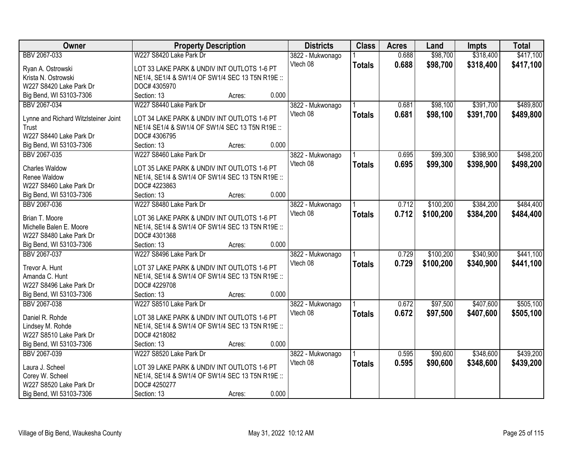| W227 S8420 Lake Park Dr<br>\$98,700<br>\$318,400<br>\$417,100<br>BBV 2067-033<br>0.688<br>3822 - Mukwonago<br>Vtech 08<br>0.688<br>\$98,700<br>\$318,400<br>\$417,100<br><b>Totals</b><br>LOT 33 LAKE PARK & UNDIV INT OUTLOTS 1-6 PT<br>Ryan A. Ostrowski<br>Krista N. Ostrowski<br>NE1/4, SE1/4 & SW1/4 OF SW1/4 SEC 13 T5N R19E ::<br>W227 S8420 Lake Park Dr<br>DOC# 4305970<br>0.000<br>Big Bend, WI 53103-7306<br>Section: 13<br>Acres:<br>W227 S8440 Lake Park Dr<br>\$98,100<br>\$391,700<br>\$489,800<br>BBV 2067-034<br>3822 - Mukwonago<br>0.681 |
|-------------------------------------------------------------------------------------------------------------------------------------------------------------------------------------------------------------------------------------------------------------------------------------------------------------------------------------------------------------------------------------------------------------------------------------------------------------------------------------------------------------------------------------------------------------|
|                                                                                                                                                                                                                                                                                                                                                                                                                                                                                                                                                             |
|                                                                                                                                                                                                                                                                                                                                                                                                                                                                                                                                                             |
|                                                                                                                                                                                                                                                                                                                                                                                                                                                                                                                                                             |
|                                                                                                                                                                                                                                                                                                                                                                                                                                                                                                                                                             |
|                                                                                                                                                                                                                                                                                                                                                                                                                                                                                                                                                             |
|                                                                                                                                                                                                                                                                                                                                                                                                                                                                                                                                                             |
| Vtech 08<br>0.681<br>\$98,100<br>\$391,700<br>\$489,800<br><b>Totals</b><br>Lynne and Richard Witzlsteiner Joint<br>LOT 34 LAKE PARK & UNDIV INT OUTLOTS 1-6 PT                                                                                                                                                                                                                                                                                                                                                                                             |
| NE1/4 SE1/4 & SW1/4 OF SW1/4 SEC 13 T5N R19E ::<br>Trust                                                                                                                                                                                                                                                                                                                                                                                                                                                                                                    |
| W227 S8440 Lake Park Dr<br>DOC# 4306795                                                                                                                                                                                                                                                                                                                                                                                                                                                                                                                     |
| 0.000<br>Big Bend, WI 53103-7306<br>Section: 13<br>Acres:                                                                                                                                                                                                                                                                                                                                                                                                                                                                                                   |
| \$398,900<br>W227 S8460 Lake Park Dr<br>\$99,300<br>\$498,200<br>BBV 2067-035<br>3822 - Mukwonago<br>0.695                                                                                                                                                                                                                                                                                                                                                                                                                                                  |
| Vtech 08<br>\$99,300<br>\$398,900<br>0.695<br>\$498,200<br><b>Totals</b>                                                                                                                                                                                                                                                                                                                                                                                                                                                                                    |
| LOT 35 LAKE PARK & UNDIV INT OUTLOTS 1-6 PT<br>Charles Waldow                                                                                                                                                                                                                                                                                                                                                                                                                                                                                               |
| Renee Waldow<br>NE1/4, SE1/4 & SW1/4 OF SW1/4 SEC 13 T5N R19E ::                                                                                                                                                                                                                                                                                                                                                                                                                                                                                            |
| W227 S8460 Lake Park Dr<br>DOC# 4223863                                                                                                                                                                                                                                                                                                                                                                                                                                                                                                                     |
| 0.000<br>Big Bend, WI 53103-7306<br>Section: 13<br>Acres:                                                                                                                                                                                                                                                                                                                                                                                                                                                                                                   |
| \$384,200<br>BBV 2067-036<br>W227 S8480 Lake Park Dr<br>\$100,200<br>\$484,400<br>3822 - Mukwonago<br>0.712                                                                                                                                                                                                                                                                                                                                                                                                                                                 |
| Vtech 08<br>0.712<br>\$100,200<br>\$384,200<br>\$484,400<br><b>Totals</b><br>Brian T. Moore<br>LOT 36 LAKE PARK & UNDIV INT OUTLOTS 1-6 PT                                                                                                                                                                                                                                                                                                                                                                                                                  |
| Michelle Balen E. Moore<br>NE1/4, SE1/4 & SW1/4 OF SW1/4 SEC 13 T5N R19E ::                                                                                                                                                                                                                                                                                                                                                                                                                                                                                 |
| DOC# 4301368<br>W227 S8480 Lake Park Dr                                                                                                                                                                                                                                                                                                                                                                                                                                                                                                                     |
| 0.000<br>Big Bend, WI 53103-7306<br>Section: 13<br>Acres:                                                                                                                                                                                                                                                                                                                                                                                                                                                                                                   |
| W227 S8496 Lake Park Dr<br>0.729<br>\$100,200<br>\$340,900<br>\$441,100<br>BBV 2067-037<br>3822 - Mukwonago                                                                                                                                                                                                                                                                                                                                                                                                                                                 |
| 0.729<br>\$100,200<br>Vtech 08<br>\$340,900<br>\$441,100<br><b>Totals</b>                                                                                                                                                                                                                                                                                                                                                                                                                                                                                   |
| LOT 37 LAKE PARK & UNDIV INT OUTLOTS 1-6 PT<br>Trevor A. Hunt                                                                                                                                                                                                                                                                                                                                                                                                                                                                                               |
| NE1/4, SE1/4 & SW1/4 OF SW1/4 SEC 13 T5N R19E ::<br>Amanda C. Hunt                                                                                                                                                                                                                                                                                                                                                                                                                                                                                          |
| W227 S8496 Lake Park Dr<br>DOC# 4229708<br>0.000                                                                                                                                                                                                                                                                                                                                                                                                                                                                                                            |
| Big Bend, WI 53103-7306<br>Section: 13<br>Acres:                                                                                                                                                                                                                                                                                                                                                                                                                                                                                                            |
| \$97,500<br>\$407,600<br>\$505,100<br>BBV 2067-038<br>W227 S8510 Lake Park Dr<br>3822 - Mukwonago<br>0.672                                                                                                                                                                                                                                                                                                                                                                                                                                                  |
| Vtech 08<br>0.672<br>\$97,500<br>\$407,600<br>\$505,100<br><b>Totals</b><br>LOT 38 LAKE PARK & UNDIV INT OUTLOTS 1-6 PT<br>Daniel R. Rohde                                                                                                                                                                                                                                                                                                                                                                                                                  |
| Lindsey M. Rohde<br>NE1/4, SE1/4 & SW1/4 OF SW1/4 SEC 13 T5N R19E ::                                                                                                                                                                                                                                                                                                                                                                                                                                                                                        |
| DOC# 4218082<br>W227 S8510 Lake Park Dr                                                                                                                                                                                                                                                                                                                                                                                                                                                                                                                     |
| Big Bend, WI 53103-7306<br>0.000<br>Section: 13<br>Acres:                                                                                                                                                                                                                                                                                                                                                                                                                                                                                                   |
| \$348,600<br>\$439,200<br>BBV 2067-039<br>W227 S8520 Lake Park Dr<br>\$90,600<br>3822 - Mukwonago<br>0.595                                                                                                                                                                                                                                                                                                                                                                                                                                                  |
| 0.595<br>Vtech 08<br>\$90,600<br>\$348,600<br>\$439,200<br><b>Totals</b><br>LOT 39 LAKE PARK & UNDIV INT OUTLOTS 1-6 PT<br>Laura J. Scheel                                                                                                                                                                                                                                                                                                                                                                                                                  |
| Corey W. Scheel<br>NE1/4, SE1/4 & SW1/4 OF SW1/4 SEC 13 T5N R19E ::                                                                                                                                                                                                                                                                                                                                                                                                                                                                                         |
| W227 S8520 Lake Park Dr<br>DOC# 4250277                                                                                                                                                                                                                                                                                                                                                                                                                                                                                                                     |
| 0.000<br>Big Bend, WI 53103-7306<br>Section: 13<br>Acres:                                                                                                                                                                                                                                                                                                                                                                                                                                                                                                   |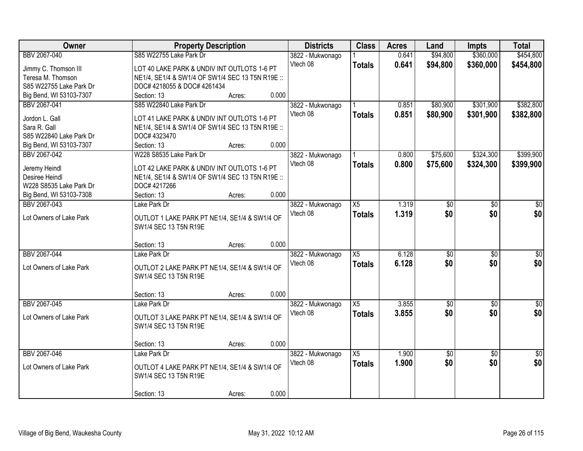| Owner                   | <b>Property Description</b>                      |                 | <b>Districts</b> | <b>Class</b>    | <b>Acres</b> | Land        | <b>Impts</b>    | <b>Total</b>    |
|-------------------------|--------------------------------------------------|-----------------|------------------|-----------------|--------------|-------------|-----------------|-----------------|
| BBV 2067-040            | S85 W22755 Lake Park Dr                          |                 | 3822 - Mukwonago |                 | 0.641        | \$94,800    | \$360,000       | \$454,800       |
| Jimmy C. Thomson III    | LOT 40 LAKE PARK & UNDIV INT OUTLOTS 1-6 PT      |                 | Vtech 08         | <b>Totals</b>   | 0.641        | \$94,800    | \$360,000       | \$454,800       |
| Teresa M. Thomson       | NE1/4, SE1/4 & SW1/4 OF SW1/4 SEC 13 T5N R19E :: |                 |                  |                 |              |             |                 |                 |
| S85 W22755 Lake Park Dr | DOC# 4218055 & DOC# 4261434                      |                 |                  |                 |              |             |                 |                 |
| Big Bend, WI 53103-7307 | Section: 13                                      | 0.000<br>Acres: |                  |                 |              |             |                 |                 |
| BBV 2067-041            | S85 W22840 Lake Park Dr                          |                 | 3822 - Mukwonago |                 | 0.851        | \$80,900    | \$301,900       | \$382,800       |
|                         |                                                  |                 | Vtech 08         | <b>Totals</b>   | 0.851        | \$80,900    | \$301,900       | \$382,800       |
| Jordon L. Gall          | LOT 41 LAKE PARK & UNDIV INT OUTLOTS 1-6 PT      |                 |                  |                 |              |             |                 |                 |
| Sara R. Gall            | NE1/4, SE1/4 & SW1/4 OF SW1/4 SEC 13 T5N R19E :: |                 |                  |                 |              |             |                 |                 |
| S85 W22840 Lake Park Dr | DOC# 4323470                                     |                 |                  |                 |              |             |                 |                 |
| Big Bend, WI 53103-7307 | Section: 13                                      | 0.000<br>Acres: |                  |                 |              |             |                 |                 |
| BBV 2067-042            | W228 S8535 Lake Park Dr                          |                 | 3822 - Mukwonago |                 | 0.800        | \$75,600    | \$324,300       | \$399,900       |
| Jeremy Heindl           | LOT 42 LAKE PARK & UNDIV INT OUTLOTS 1-6 PT      |                 | Vtech 08         | <b>Totals</b>   | 0.800        | \$75,600    | \$324,300       | \$399,900       |
| Desiree Heindl          | NE1/4, SE1/4 & SW1/4 OF SW1/4 SEC 13 T5N R19E :: |                 |                  |                 |              |             |                 |                 |
| W228 S8535 Lake Park Dr | DOC# 4217266                                     |                 |                  |                 |              |             |                 |                 |
| Big Bend, WI 53103-7308 | Section: 13                                      | 0.000<br>Acres: |                  |                 |              |             |                 |                 |
| BBV 2067-043            | Lake Park Dr                                     |                 | 3822 - Mukwonago | X5              | 1.319        | \$0         | \$0             | \$0             |
|                         |                                                  |                 | Vtech 08         | <b>Totals</b>   | 1.319        | \$0         | \$0             | \$0             |
| Lot Owners of Lake Park | OUTLOT 1 LAKE PARK PT NE1/4, SE1/4 & SW1/4 OF    |                 |                  |                 |              |             |                 |                 |
|                         | SW1/4 SEC 13 T5N R19E                            |                 |                  |                 |              |             |                 |                 |
|                         |                                                  |                 |                  |                 |              |             |                 |                 |
|                         | Section: 13                                      | 0.000<br>Acres: |                  |                 |              |             |                 |                 |
| BBV 2067-044            | Lake Park Dr                                     |                 | 3822 - Mukwonago | $\overline{X5}$ | 6.128        | \$0         | $\overline{50}$ | \$0             |
| Lot Owners of Lake Park | OUTLOT 2 LAKE PARK PT NE1/4, SE1/4 & SW1/4 OF    |                 | Vtech 08         | <b>Totals</b>   | 6.128        | \$0         | \$0             | \$0             |
|                         | SW1/4 SEC 13 T5N R19E                            |                 |                  |                 |              |             |                 |                 |
|                         |                                                  |                 |                  |                 |              |             |                 |                 |
|                         | Section: 13                                      | 0.000<br>Acres: |                  |                 |              |             |                 |                 |
| BBV 2067-045            | Lake Park Dr                                     |                 | 3822 - Mukwonago | $\overline{X5}$ | 3.855        | $\sqrt{50}$ | $\overline{50}$ | $\overline{50}$ |
|                         |                                                  |                 | Vtech 08         | <b>Totals</b>   | 3.855        | \$0         | \$0             | \$0             |
| Lot Owners of Lake Park | OUTLOT 3 LAKE PARK PT NE1/4, SE1/4 & SW1/4 OF    |                 |                  |                 |              |             |                 |                 |
|                         | SW1/4 SEC 13 T5N R19E                            |                 |                  |                 |              |             |                 |                 |
|                         |                                                  |                 |                  |                 |              |             |                 |                 |
|                         | Section: 13                                      | 0.000<br>Acres: |                  |                 |              |             |                 |                 |
| BBV 2067-046            | Lake Park Dr                                     |                 | 3822 - Mukwonago | X5              | 1.900        | $\sqrt{$0}$ | $\overline{30}$ | $\overline{50}$ |
| Lot Owners of Lake Park | OUTLOT 4 LAKE PARK PT NE1/4, SE1/4 & SW1/4 OF    |                 | Vtech 08         | <b>Totals</b>   | 1.900        | \$0         | \$0             | \$0             |
|                         | SW1/4 SEC 13 T5N R19E                            |                 |                  |                 |              |             |                 |                 |
|                         |                                                  |                 |                  |                 |              |             |                 |                 |
|                         | Section: 13                                      | 0.000<br>Acres: |                  |                 |              |             |                 |                 |
|                         |                                                  |                 |                  |                 |              |             |                 |                 |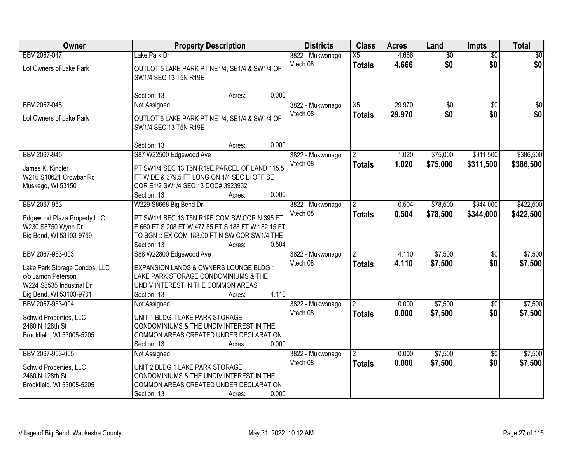| Owner                                                                                                                          | <b>Property Description</b>                                                                                                                                                                                     | <b>Districts</b>             | <b>Class</b>                          | <b>Acres</b>     | Land                   | Impts                  | <b>Total</b>           |
|--------------------------------------------------------------------------------------------------------------------------------|-----------------------------------------------------------------------------------------------------------------------------------------------------------------------------------------------------------------|------------------------------|---------------------------------------|------------------|------------------------|------------------------|------------------------|
| BBV 2067-047<br>Lot Owners of Lake Park                                                                                        | Lake Park Dr<br>OUTLOT 5 LAKE PARK PT NE1/4, SE1/4 & SW1/4 OF<br>SW1/4 SEC 13 T5N R19E                                                                                                                          | 3822 - Mukwonago<br>Vtech 08 | $\overline{X5}$<br><b>Totals</b>      | 4.666<br>4.666   | $\overline{60}$<br>\$0 | $\overline{30}$<br>\$0 | \$0<br>\$0             |
|                                                                                                                                | 0.000<br>Section: 13<br>Acres:                                                                                                                                                                                  |                              |                                       |                  |                        |                        |                        |
| BBV 2067-048<br>Lot Owners of Lake Park                                                                                        | Not Assigned<br>OUTLOT 6 LAKE PARK PT NE1/4, SE1/4 & SW1/4 OF<br>SW1/4 SEC 13 T5N R19E                                                                                                                          | 3822 - Mukwonago<br>Vtech 08 | $\overline{X5}$<br><b>Totals</b>      | 29.970<br>29.970 | \$0<br>\$0             | $\overline{50}$<br>\$0 | \$0<br>\$0             |
|                                                                                                                                | 0.000<br>Section: 13<br>Acres:                                                                                                                                                                                  |                              |                                       |                  |                        |                        |                        |
| BBV 2067-945<br>James K. Kindler<br>W216 S10621 Crowbar Rd<br>Muskego, WI 53150                                                | S87 W22500 Edgewood Ave<br>PT SW1/4 SEC 13 T5N R19E PARCEL OF LAND 115.5<br>FT WIDE & 379.5 FT LONG ON 1/4 SEC LI OFF SE<br>COR E1/2 SW1/4 SEC 13 DOC# 3923932<br>0.000<br>Section: 13<br>Acres:                | 3822 - Mukwonago<br>Vtech 08 | <b>Totals</b>                         | 1.020<br>1.020   | \$75,000<br>\$75,000   | \$311,500<br>\$311,500 | \$386,500<br>\$386,500 |
| BBV 2067-953<br>Edgewood Plaza Property LLC<br>W230 S8750 Wynn Dr<br>Big Bend, WI 53103-9759                                   | W229 S8668 Big Bend Dr<br>PT SW1/4 SEC 13 T5N R19E COM SW COR N 395 FT<br>E 660 FT S 208 FT W 477.85 FT S 188 FT W 182.15 FT<br>TO BGN :: EX COM 188.00 FT N SW COR SW1/4 THE<br>0.504<br>Section: 13<br>Acres: | 3822 - Mukwonago<br>Vtech 08 | 2<br><b>Totals</b>                    | 0.504<br>0.504   | \$78,500<br>\$78,500   | \$344,000<br>\$344,000 | \$422,500<br>\$422,500 |
| BBV 2067-953-003<br>Lake Park Storage Condos, LLC<br>c/o Jamon Peterson<br>W224 S8535 Industrial Dr<br>Big Bend, WI 53103-9701 | S88 W22800 Edgewood Ave<br>EXPANSION LANDS & OWNERS LOUNGE BLDG 1<br>LAKE PARK STORAGE CONDOMINIUMS & THE<br>UNDIV INTEREST IN THE COMMON AREAS<br>4.110<br>Section: 13<br>Acres:                               | 3822 - Mukwonago<br>Vtech 08 | <b>Totals</b>                         | 4.110<br>4.110   | \$7,500<br>\$7,500     | $\overline{50}$<br>\$0 | \$7,500<br>\$7,500     |
| BBV 2067-953-004<br>Schwid Properties, LLC<br>2460 N 128th St<br>Brookfield, WI 53005-5205                                     | Not Assigned<br>UNIT 1 BLDG 1 LAKE PARK STORAGE<br>CONDOMINIUMS & THE UNDIV INTEREST IN THE<br>COMMON AREAS CREATED UNDER DECLARATION<br>0.000<br>Section: 13<br>Acres:                                         | 3822 - Mukwonago<br>Vtech 08 | $\overline{2}$<br><b>Totals</b>       | 0.000<br>0.000   | \$7,500<br>\$7,500     | $\sqrt{6}$<br>\$0      | \$7,500<br>\$7,500     |
| BBV 2067-953-005<br>Schwid Properties, LLC<br>2460 N 128th St<br>Brookfield, WI 53005-5205                                     | Not Assigned<br>UNIT 2 BLDG 1 LAKE PARK STORAGE<br>CONDOMINIUMS & THE UNDIV INTEREST IN THE<br>COMMON AREAS CREATED UNDER DECLARATION<br>0.000<br>Section: 13<br>Acres:                                         | 3822 - Mukwonago<br>Vtech 08 | $\mathbf{2}^{\circ}$<br><b>Totals</b> | 0.000<br>0.000   | \$7,500<br>\$7,500     | $\overline{30}$<br>\$0 | \$7,500<br>\$7,500     |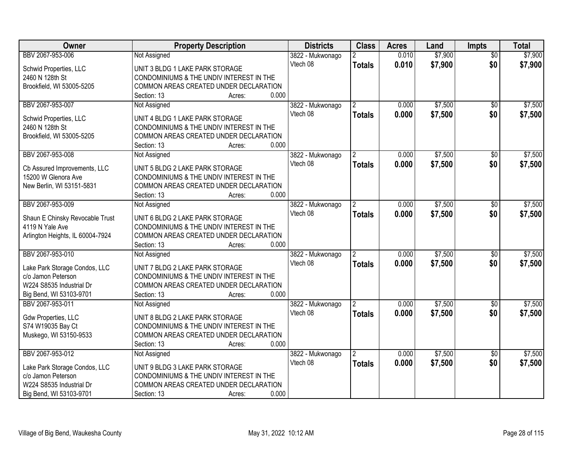| Owner                                     | <b>Property Description</b>                                    | <b>Districts</b> | <b>Class</b>   | <b>Acres</b> | Land    | <b>Impts</b>    | <b>Total</b> |
|-------------------------------------------|----------------------------------------------------------------|------------------|----------------|--------------|---------|-----------------|--------------|
| BBV 2067-953-006                          | Not Assigned                                                   | 3822 - Mukwonago | 2              | 0.010        | \$7,900 | $\overline{50}$ | \$7,900      |
| Schwid Properties, LLC                    | UNIT 3 BLDG 1 LAKE PARK STORAGE                                | Vtech 08         | <b>Totals</b>  | 0.010        | \$7,900 | \$0             | \$7,900      |
| 2460 N 128th St                           | CONDOMINIUMS & THE UNDIV INTEREST IN THE                       |                  |                |              |         |                 |              |
| Brookfield, WI 53005-5205                 | COMMON AREAS CREATED UNDER DECLARATION                         |                  |                |              |         |                 |              |
|                                           | 0.000<br>Section: 13<br>Acres:                                 |                  |                |              |         |                 |              |
| BBV 2067-953-007                          | Not Assigned                                                   | 3822 - Mukwonago |                | 0.000        | \$7,500 | $\overline{30}$ | \$7,500      |
|                                           |                                                                | Vtech 08         | <b>Totals</b>  | 0.000        | \$7,500 | \$0             | \$7,500      |
| Schwid Properties, LLC<br>2460 N 128th St | UNIT 4 BLDG 1 LAKE PARK STORAGE                                |                  |                |              |         |                 |              |
|                                           | CONDOMINIUMS & THE UNDIV INTEREST IN THE                       |                  |                |              |         |                 |              |
| Brookfield, WI 53005-5205                 | COMMON AREAS CREATED UNDER DECLARATION<br>0.000<br>Section: 13 |                  |                |              |         |                 |              |
| BBV 2067-953-008                          | Acres:<br>Not Assigned                                         | 3822 - Mukwonago |                | 0.000        | \$7,500 | \$0             | \$7,500      |
|                                           |                                                                | Vtech 08         |                |              |         |                 |              |
| Cb Assured Improvements, LLC              | UNIT 5 BLDG 2 LAKE PARK STORAGE                                |                  | <b>Totals</b>  | 0.000        | \$7,500 | \$0             | \$7,500      |
| 15200 W Glenora Ave                       | CONDOMINIUMS & THE UNDIV INTEREST IN THE                       |                  |                |              |         |                 |              |
| New Berlin, WI 53151-5831                 | COMMON AREAS CREATED UNDER DECLARATION                         |                  |                |              |         |                 |              |
|                                           | 0.000<br>Section: 13<br>Acres:                                 |                  |                |              |         |                 |              |
| BBV 2067-953-009                          | Not Assigned                                                   | 3822 - Mukwonago | 2              | 0.000        | \$7,500 | \$0             | \$7,500      |
| Shaun E Chinsky Revocable Trust           | UNIT 6 BLDG 2 LAKE PARK STORAGE                                | Vtech 08         | <b>Totals</b>  | 0.000        | \$7,500 | \$0             | \$7,500      |
| 4119 N Yale Ave                           | CONDOMINIUMS & THE UNDIV INTEREST IN THE                       |                  |                |              |         |                 |              |
| Arlington Heights, IL 60004-7924          | COMMON AREAS CREATED UNDER DECLARATION                         |                  |                |              |         |                 |              |
|                                           | 0.000<br>Section: 13<br>Acres:                                 |                  |                |              |         |                 |              |
| BBV 2067-953-010                          | Not Assigned                                                   | 3822 - Mukwonago |                | 0.000        | \$7,500 | $\overline{50}$ | \$7,500      |
|                                           |                                                                | Vtech 08         | <b>Totals</b>  | 0.000        | \$7,500 | \$0             | \$7,500      |
| Lake Park Storage Condos, LLC             | UNIT 7 BLDG 2 LAKE PARK STORAGE                                |                  |                |              |         |                 |              |
| c/o Jamon Peterson                        | CONDOMINIUMS & THE UNDIV INTEREST IN THE                       |                  |                |              |         |                 |              |
| W224 S8535 Industrial Dr                  | COMMON AREAS CREATED UNDER DECLARATION                         |                  |                |              |         |                 |              |
| Big Bend, WI 53103-9701                   | 0.000<br>Section: 13<br>Acres:                                 |                  |                |              |         |                 |              |
| BBV 2067-953-011                          | Not Assigned                                                   | 3822 - Mukwonago |                | 0.000        | \$7,500 | $\sqrt{6}$      | \$7,500      |
| <b>Gdw Properties, LLC</b>                | UNIT 8 BLDG 2 LAKE PARK STORAGE                                | Vtech 08         | <b>Totals</b>  | 0.000        | \$7,500 | \$0             | \$7,500      |
| S74 W19035 Bay Ct                         | CONDOMINIUMS & THE UNDIV INTEREST IN THE                       |                  |                |              |         |                 |              |
| Muskego, WI 53150-9533                    | COMMON AREAS CREATED UNDER DECLARATION                         |                  |                |              |         |                 |              |
|                                           | Section: 13<br>0.000<br>Acres:                                 |                  |                |              |         |                 |              |
| BBV 2067-953-012                          | Not Assigned                                                   | 3822 - Mukwonago | $\overline{2}$ | 0.000        | \$7,500 | $\overline{30}$ | \$7,500      |
|                                           |                                                                | Vtech 08         | <b>Totals</b>  | 0.000        | \$7,500 | \$0             | \$7,500      |
| Lake Park Storage Condos, LLC             | UNIT 9 BLDG 3 LAKE PARK STORAGE                                |                  |                |              |         |                 |              |
| c/o Jamon Peterson                        | CONDOMINIUMS & THE UNDIV INTEREST IN THE                       |                  |                |              |         |                 |              |
| W224 S8535 Industrial Dr                  | COMMON AREAS CREATED UNDER DECLARATION                         |                  |                |              |         |                 |              |
| Big Bend, WI 53103-9701                   | 0.000<br>Section: 13<br>Acres:                                 |                  |                |              |         |                 |              |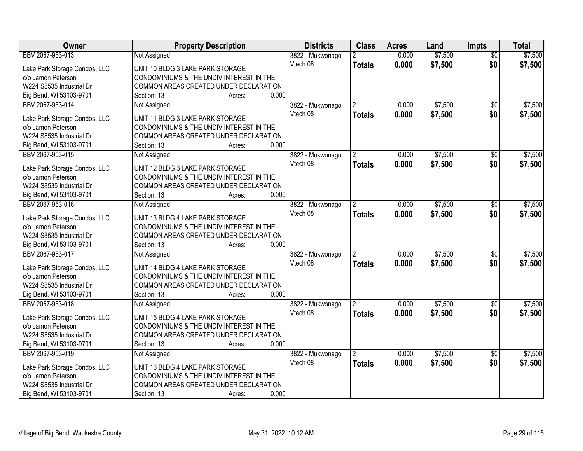| Owner                         | <b>Property Description</b>              | <b>Districts</b> | <b>Class</b>   | <b>Acres</b> | Land    | <b>Impts</b>    | <b>Total</b> |
|-------------------------------|------------------------------------------|------------------|----------------|--------------|---------|-----------------|--------------|
| BBV 2067-953-013              | Not Assigned                             | 3822 - Mukwonago | $\overline{2}$ | 0.000        | \$7,500 | $\overline{30}$ | \$7,500      |
| Lake Park Storage Condos, LLC | UNIT 10 BLDG 3 LAKE PARK STORAGE         | Vtech 08         | <b>Totals</b>  | 0.000        | \$7,500 | \$0             | \$7,500      |
| c/o Jamon Peterson            | CONDOMINIUMS & THE UNDIV INTEREST IN THE |                  |                |              |         |                 |              |
| W224 S8535 Industrial Dr      | COMMON AREAS CREATED UNDER DECLARATION   |                  |                |              |         |                 |              |
| Big Bend, WI 53103-9701       | 0.000<br>Section: 13<br>Acres:           |                  |                |              |         |                 |              |
| BBV 2067-953-014              | Not Assigned                             | 3822 - Mukwonago |                | 0.000        | \$7,500 | $\overline{30}$ | \$7,500      |
|                               |                                          | Vtech 08         | <b>Totals</b>  | 0.000        | \$7,500 | \$0             | \$7,500      |
| Lake Park Storage Condos, LLC | UNIT 11 BLDG 3 LAKE PARK STORAGE         |                  |                |              |         |                 |              |
| c/o Jamon Peterson            | CONDOMINIUMS & THE UNDIV INTEREST IN THE |                  |                |              |         |                 |              |
| W224 S8535 Industrial Dr      | COMMON AREAS CREATED UNDER DECLARATION   |                  |                |              |         |                 |              |
| Big Bend, WI 53103-9701       | 0.000<br>Section: 13<br>Acres:           |                  |                |              |         |                 |              |
| BBV 2067-953-015              | Not Assigned                             | 3822 - Mukwonago |                | 0.000        | \$7,500 | \$0             | \$7,500      |
| Lake Park Storage Condos, LLC | UNIT 12 BLDG 3 LAKE PARK STORAGE         | Vtech 08         | <b>Totals</b>  | 0.000        | \$7,500 | \$0             | \$7,500      |
| c/o Jamon Peterson            | CONDOMINIUMS & THE UNDIV INTEREST IN THE |                  |                |              |         |                 |              |
| W224 S8535 Industrial Dr      | COMMON AREAS CREATED UNDER DECLARATION   |                  |                |              |         |                 |              |
| Big Bend, WI 53103-9701       | 0.000<br>Section: 13<br>Acres:           |                  |                |              |         |                 |              |
| BBV 2067-953-016              | Not Assigned                             | 3822 - Mukwonago | 2              | 0.000        | \$7,500 | \$0             | \$7,500      |
|                               |                                          | Vtech 08         | <b>Totals</b>  | 0.000        | \$7,500 | \$0             | \$7,500      |
| Lake Park Storage Condos, LLC | UNIT 13 BLDG 4 LAKE PARK STORAGE         |                  |                |              |         |                 |              |
| c/o Jamon Peterson            | CONDOMINIUMS & THE UNDIV INTEREST IN THE |                  |                |              |         |                 |              |
| W224 S8535 Industrial Dr      | COMMON AREAS CREATED UNDER DECLARATION   |                  |                |              |         |                 |              |
| Big Bend, WI 53103-9701       | 0.000<br>Section: 13<br>Acres:           |                  |                |              |         |                 |              |
| BBV 2067-953-017              | Not Assigned                             | 3822 - Mukwonago | $\overline{2}$ | 0.000        | \$7,500 | $\overline{50}$ | \$7,500      |
| Lake Park Storage Condos, LLC | UNIT 14 BLDG 4 LAKE PARK STORAGE         | Vtech 08         | <b>Totals</b>  | 0.000        | \$7,500 | \$0             | \$7,500      |
| c/o Jamon Peterson            | CONDOMINIUMS & THE UNDIV INTEREST IN THE |                  |                |              |         |                 |              |
| W224 S8535 Industrial Dr      | COMMON AREAS CREATED UNDER DECLARATION   |                  |                |              |         |                 |              |
| Big Bend, WI 53103-9701       | 0.000<br>Section: 13<br>Acres:           |                  |                |              |         |                 |              |
| BBV 2067-953-018              | Not Assigned                             | 3822 - Mukwonago |                | 0.000        | \$7,500 | $\sqrt{6}$      | \$7,500      |
|                               |                                          | Vtech 08         | <b>Totals</b>  | 0.000        | \$7,500 | \$0             | \$7,500      |
| Lake Park Storage Condos, LLC | UNIT 15 BLDG 4 LAKE PARK STORAGE         |                  |                |              |         |                 |              |
| c/o Jamon Peterson            | CONDOMINIUMS & THE UNDIV INTEREST IN THE |                  |                |              |         |                 |              |
| W224 S8535 Industrial Dr      | COMMON AREAS CREATED UNDER DECLARATION   |                  |                |              |         |                 |              |
| Big Bend, WI 53103-9701       | 0.000<br>Section: 13<br>Acres:           |                  |                |              |         |                 |              |
| BBV 2067-953-019              | Not Assigned                             | 3822 - Mukwonago | $\overline{2}$ | 0.000        | \$7,500 | $\overline{30}$ | \$7,500      |
| Lake Park Storage Condos, LLC | UNIT 16 BLDG 4 LAKE PARK STORAGE         | Vtech 08         | <b>Totals</b>  | 0.000        | \$7,500 | \$0             | \$7,500      |
| c/o Jamon Peterson            | CONDOMINIUMS & THE UNDIV INTEREST IN THE |                  |                |              |         |                 |              |
| W224 S8535 Industrial Dr      | COMMON AREAS CREATED UNDER DECLARATION   |                  |                |              |         |                 |              |
| Big Bend, WI 53103-9701       | 0.000<br>Section: 13<br>Acres:           |                  |                |              |         |                 |              |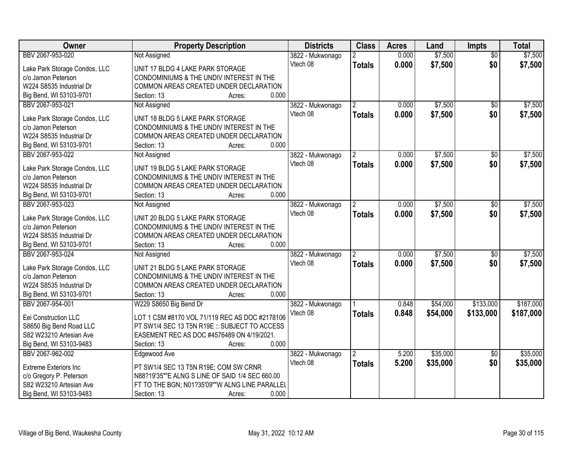| Owner                         | <b>Property Description</b>                     | <b>Districts</b> | <b>Class</b>   | <b>Acres</b> | Land     | <b>Impts</b>    | <b>Total</b> |
|-------------------------------|-------------------------------------------------|------------------|----------------|--------------|----------|-----------------|--------------|
| BBV 2067-953-020              | Not Assigned                                    | 3822 - Mukwonago | $\overline{2}$ | 0.000        | \$7,500  | $\overline{30}$ | \$7,500      |
| Lake Park Storage Condos, LLC | UNIT 17 BLDG 4 LAKE PARK STORAGE                | Vtech 08         | <b>Totals</b>  | 0.000        | \$7,500  | \$0             | \$7,500      |
| c/o Jamon Peterson            | CONDOMINIUMS & THE UNDIV INTEREST IN THE        |                  |                |              |          |                 |              |
| W224 S8535 Industrial Dr      | COMMON AREAS CREATED UNDER DECLARATION          |                  |                |              |          |                 |              |
| Big Bend, WI 53103-9701       | 0.000<br>Section: 13<br>Acres:                  |                  |                |              |          |                 |              |
| BBV 2067-953-021              | Not Assigned                                    | 3822 - Mukwonago |                | 0.000        | \$7,500  | $\overline{30}$ | \$7,500      |
|                               |                                                 | Vtech 08         | <b>Totals</b>  | 0.000        | \$7,500  | \$0             | \$7,500      |
| Lake Park Storage Condos, LLC | UNIT 18 BLDG 5 LAKE PARK STORAGE                |                  |                |              |          |                 |              |
| c/o Jamon Peterson            | CONDOMINIUMS & THE UNDIV INTEREST IN THE        |                  |                |              |          |                 |              |
| W224 S8535 Industrial Dr      | COMMON AREAS CREATED UNDER DECLARATION          |                  |                |              |          |                 |              |
| Big Bend, WI 53103-9701       | 0.000<br>Section: 13<br>Acres:                  |                  |                |              |          |                 |              |
| BBV 2067-953-022              | Not Assigned                                    | 3822 - Mukwonago |                | 0.000        | \$7,500  | \$0             | \$7,500      |
| Lake Park Storage Condos, LLC | UNIT 19 BLDG 5 LAKE PARK STORAGE                | Vtech 08         | <b>Totals</b>  | 0.000        | \$7,500  | \$0             | \$7,500      |
| c/o Jamon Peterson            | CONDOMINIUMS & THE UNDIV INTEREST IN THE        |                  |                |              |          |                 |              |
| W224 S8535 Industrial Dr      | COMMON AREAS CREATED UNDER DECLARATION          |                  |                |              |          |                 |              |
| Big Bend, WI 53103-9701       | 0.000<br>Section: 13<br>Acres:                  |                  |                |              |          |                 |              |
| BBV 2067-953-023              | Not Assigned                                    | 3822 - Mukwonago | $\overline{2}$ | 0.000        | \$7,500  | $\sqrt{6}$      | \$7,500      |
|                               |                                                 | Vtech 08         | <b>Totals</b>  | 0.000        | \$7,500  | \$0             | \$7,500      |
| Lake Park Storage Condos, LLC | UNIT 20 BLDG 5 LAKE PARK STORAGE                |                  |                |              |          |                 |              |
| c/o Jamon Peterson            | CONDOMINIUMS & THE UNDIV INTEREST IN THE        |                  |                |              |          |                 |              |
| W224 S8535 Industrial Dr      | COMMON AREAS CREATED UNDER DECLARATION          |                  |                |              |          |                 |              |
| Big Bend, WI 53103-9701       | 0.000<br>Section: 13<br>Acres:                  |                  |                |              |          |                 |              |
| BBV 2067-953-024              | Not Assigned                                    | 3822 - Mukwonago |                | 0.000        | \$7,500  | \$0             | \$7,500      |
| Lake Park Storage Condos, LLC | UNIT 21 BLDG 5 LAKE PARK STORAGE                | Vtech 08         | <b>Totals</b>  | 0.000        | \$7,500  | \$0             | \$7,500      |
| c/o Jamon Peterson            | CONDOMINIUMS & THE UNDIV INTEREST IN THE        |                  |                |              |          |                 |              |
| W224 S8535 Industrial Dr      | COMMON AREAS CREATED UNDER DECLARATION          |                  |                |              |          |                 |              |
| Big Bend, WI 53103-9701       | 0.000<br>Section: 13<br>Acres:                  |                  |                |              |          |                 |              |
| BBV 2067-954-001              | W229 S8650 Big Bend Dr                          | 3822 - Mukwonago |                | 0.848        | \$54,000 | \$133,000       | \$187,000    |
|                               |                                                 | Vtech 08         | <b>Totals</b>  | 0.848        | \$54,000 | \$133,000       | \$187,000    |
| Eei Construction LLC          | LOT 1 CSM #8170 VOL 71/119 REC AS DOC #2178106  |                  |                |              |          |                 |              |
| S8650 Big Bend Road LLC       | PT SW1/4 SEC 13 T5N R19E :: SUBJECT TO ACCESS   |                  |                |              |          |                 |              |
| S82 W23210 Artesian Ave       | EASEMENT REC AS DOC #4576489 ON 4/19/2021.      |                  |                |              |          |                 |              |
| Big Bend, WI 53103-9483       | 0.000<br>Section: 13<br>Acres:                  |                  |                |              |          |                 |              |
| BBV 2067-962-002              | Edgewood Ave                                    | 3822 - Mukwonago | $\overline{2}$ | 5.200        | \$35,000 | $\overline{30}$ | \$35,000     |
| <b>Extreme Exteriors Inc</b>  | PT SW1/4 SEC 13 T5N R19E; COM SW CRNR           | Vtech 08         | <b>Totals</b>  | 5.200        | \$35,000 | \$0             | \$35,000     |
| c/o Gregory P. Peterson       | N88?19'35""E ALNG S LINE OF SAID 1/4 SEC 660.00 |                  |                |              |          |                 |              |
| S82 W23210 Artesian Ave       | FT TO THE BGN; N01?35'09""W ALNG LINE PARALLEL  |                  |                |              |          |                 |              |
| Big Bend, WI 53103-9483       | 0.000<br>Section: 13<br>Acres:                  |                  |                |              |          |                 |              |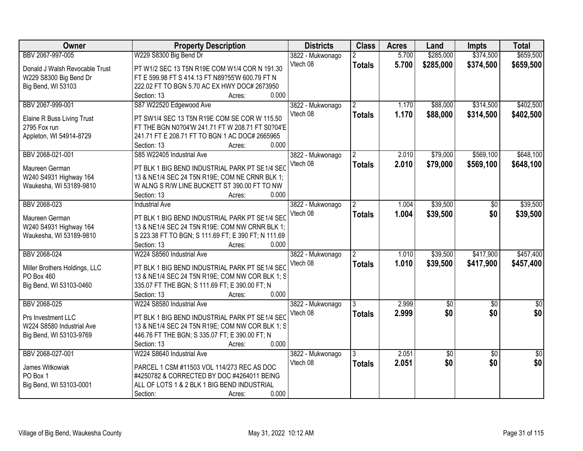| Owner                          | <b>Property Description</b>                             | <b>Districts</b> | <b>Class</b>   | <b>Acres</b> | Land        | <b>Impts</b>    | <b>Total</b>    |
|--------------------------------|---------------------------------------------------------|------------------|----------------|--------------|-------------|-----------------|-----------------|
| BBV 2067-997-005               | W229 S8300 Big Bend Dr                                  | 3822 - Mukwonago |                | 5.700        | \$285,000   | \$374,500       | \$659,500       |
| Donald J Walsh Revocable Trust | PT W1/2 SEC 13 T5N R19E COM W1/4 COR N 191.30           | Vtech 08         | <b>Totals</b>  | 5.700        | \$285,000   | \$374,500       | \$659,500       |
| W229 S8300 Big Bend Dr         | FT E 599.98 FT S 414.13 FT N89?55'W 600.79 FT N         |                  |                |              |             |                 |                 |
| Big Bend, WI 53103             | 222.02 FT TO BGN 5.70 AC EX HWY DOC# 2673950            |                  |                |              |             |                 |                 |
|                                | 0.000<br>Section: 13<br>Acres:                          |                  |                |              |             |                 |                 |
| BBV 2067-999-001               | S87 W22520 Edgewood Ave                                 | 3822 - Mukwonago | $\mathfrak{D}$ | 1.170        | \$88,000    | \$314,500       | \$402,500       |
|                                |                                                         | Vtech 08         | <b>Totals</b>  | 1.170        | \$88,000    | \$314,500       | \$402,500       |
| Elaine R Buss Living Trust     | PT SW1/4 SEC 13 T5N R19E COM SE COR W 115.50            |                  |                |              |             |                 |                 |
| 2795 Fox run                   | FT THE BGN N0?04'W 241.71 FT W 208.71 FT S0?04'E        |                  |                |              |             |                 |                 |
| Appleton, WI 54914-8729        | 241.71 FT E 208.71 FT TO BGN 1 AC DOC# 2665965<br>0.000 |                  |                |              |             |                 |                 |
| BBV 2068-021-001               | Section: 13<br>Acres:<br>S85 W22405 Industrial Ave      |                  | $\overline{2}$ | 2.010        | \$79,000    | \$569,100       | \$648,100       |
|                                |                                                         | 3822 - Mukwonago |                |              |             |                 |                 |
| Maureen German                 | PT BLK 1 BIG BEND INDUSTRIAL PARK PT SE1/4 SEC          | Vtech 08         | <b>Totals</b>  | 2.010        | \$79,000    | \$569,100       | \$648,100       |
| W240 S4931 Highway 164         | 13 & NE1/4 SEC 24 T5N R19E; COM NE CRNR BLK 1;          |                  |                |              |             |                 |                 |
| Waukesha, WI 53189-9810        | WALNG S R/W LINE BUCKETT ST 390.00 FT TO NW             |                  |                |              |             |                 |                 |
|                                | 0.000<br>Section: 13<br>Acres:                          |                  |                |              |             |                 |                 |
| BBV 2068-023                   | <b>Industrial Ave</b>                                   | 3822 - Mukwonago | 2              | 1.004        | \$39,500    | \$0             | \$39,500        |
| Maureen German                 | PT BLK 1 BIG BEND INDUSTRIAL PARK PT SE1/4 SEC          | Vtech 08         | <b>Totals</b>  | 1.004        | \$39,500    | \$0             | \$39,500        |
| W240 S4931 Highway 164         | 13 & NE1/4 SEC 24 T5N R19E: COM NW CRNR BLK 1;          |                  |                |              |             |                 |                 |
| Waukesha, WI 53189-9810        | S 223.38 FT TO BGN; S 111.69 FT; E 390 FT; N 111.69     |                  |                |              |             |                 |                 |
|                                | Section: 13<br>0.000<br>Acres:                          |                  |                |              |             |                 |                 |
| BBV 2068-024                   | W224 S8560 Industrial Ave                               | 3822 - Mukwonago |                | 1.010        | \$39,500    | \$417,900       | \$457,400       |
|                                |                                                         | Vtech 08         | <b>Totals</b>  | 1.010        | \$39,500    | \$417,900       | \$457,400       |
| Miller Brothers Holdings, LLC  | PT BLK 1 BIG BEND INDUSTRIAL PARK PT SE1/4 SEC          |                  |                |              |             |                 |                 |
| PO Box 460                     | 13 & NE1/4 SEC 24 T5N R19E; COM NW COR BLK 1; S         |                  |                |              |             |                 |                 |
| Big Bend, WI 53103-0460        | 335.07 FT THE BGN; S 111.69 FT; E 390.00 FT; N          |                  |                |              |             |                 |                 |
|                                | 0.000<br>Section: 13<br>Acres:                          |                  |                |              |             |                 |                 |
| BBV 2068-025                   | W224 S8580 Industrial Ave                               | 3822 - Mukwonago |                | 2.999        | $\sqrt{50}$ | $\sqrt{6}$      | $\frac{1}{6}$   |
| Prs Investment LLC             | PT BLK 1 BIG BEND INDUSTRIAL PARK PT SE1/4 SEC          | Vtech 08         | <b>Totals</b>  | 2.999        | \$0         | \$0             | \$0             |
| W224 S8580 Industrial Ave      | 13 & NE1/4 SEC 24 T5N R19E; COM NW COR BLK 1; S         |                  |                |              |             |                 |                 |
| Big Bend, WI 53103-9769        | 446.76 FT THE BGN; S 335.07 FT; E 390.00 FT; N          |                  |                |              |             |                 |                 |
|                                | 0.000<br>Section: 13<br>Acres:                          |                  |                |              |             |                 |                 |
| BBV 2068-027-001               | W224 S8640 Industrial Ave                               | 3822 - Mukwonago | 3              | 2.051        | \$0         | $\overline{50}$ | $\overline{50}$ |
|                                |                                                         | Vtech 08         | <b>Totals</b>  | 2.051        | \$0         | \$0             | \$0             |
| James Witkowiak                | PARCEL 1 CSM #11503 VOL 114/273 REC AS DOC              |                  |                |              |             |                 |                 |
| PO Box 1                       | #4250782 & CORRECTED BY DOC #4264011 BEING              |                  |                |              |             |                 |                 |
| Big Bend, WI 53103-0001        | ALL OF LOTS 1 & 2 BLK 1 BIG BEND INDUSTRIAL             |                  |                |              |             |                 |                 |
|                                | 0.000<br>Section:<br>Acres:                             |                  |                |              |             |                 |                 |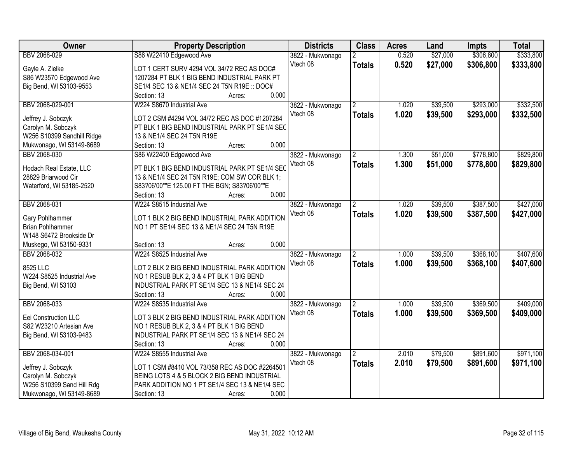| <b>Owner</b>                                    | <b>Property Description</b>                    | <b>Districts</b> | <b>Class</b>         | <b>Acres</b> | Land     | <b>Impts</b> | <b>Total</b> |
|-------------------------------------------------|------------------------------------------------|------------------|----------------------|--------------|----------|--------------|--------------|
| BBV 2068-029                                    | S86 W22410 Edgewood Ave                        | 3822 - Mukwonago |                      | 0.520        | \$27,000 | \$306,800    | \$333,800    |
| Gayle A. Zielke                                 | LOT 1 CERT SURV 4294 VOL 34/72 REC AS DOC#     | Vtech 08         | <b>Totals</b>        | 0.520        | \$27,000 | \$306,800    | \$333,800    |
| S86 W23570 Edgewood Ave                         | 1207284 PT BLK 1 BIG BEND INDUSTRIAL PARK PT   |                  |                      |              |          |              |              |
| Big Bend, WI 53103-9553                         | SE1/4 SEC 13 & NE1/4 SEC 24 T5N R19E :: DOC#   |                  |                      |              |          |              |              |
|                                                 | 0.000<br>Section: 13<br>Acres:                 |                  |                      |              |          |              |              |
| BBV 2068-029-001                                | W224 S8670 Industrial Ave                      | 3822 - Mukwonago |                      | 1.020        | \$39,500 | \$293,000    | \$332,500    |
|                                                 |                                                | Vtech 08         | <b>Totals</b>        | 1.020        | \$39,500 | \$293,000    | \$332,500    |
| Jeffrey J. Sobczyk                              | LOT 2 CSM #4294 VOL 34/72 REC AS DOC #1207284  |                  |                      |              |          |              |              |
| Carolyn M. Sobczyk                              | PT BLK 1 BIG BEND INDUSTRIAL PARK PT SE1/4 SEC |                  |                      |              |          |              |              |
| W256 S10399 Sandhill Ridge                      | 13 & NE1/4 SEC 24 T5N R19E                     |                  |                      |              |          |              |              |
| Mukwonago, WI 53149-8689                        | 0.000<br>Section: 13<br>Acres:                 |                  |                      |              |          |              |              |
| BBV 2068-030                                    | S86 W22400 Edgewood Ave                        | 3822 - Mukwonago |                      | 1.300        | \$51,000 | \$778,800    | \$829,800    |
| Hodach Real Estate, LLC                         | PT BLK 1 BIG BEND INDUSTRIAL PARK PT SE1/4 SEC | Vtech 08         | <b>Totals</b>        | 1.300        | \$51,000 | \$778,800    | \$829,800    |
| 28829 Briarwood Cir                             | 13 & NE1/4 SEC 24 T5N R19E; COM SW COR BLK 1;  |                  |                      |              |          |              |              |
| Waterford, WI 53185-2520                        | S83?06'00""E 125.00 FT THE BGN; S83?06'00""E   |                  |                      |              |          |              |              |
|                                                 | 0.000<br>Section: 13<br>Acres:                 |                  |                      |              |          |              |              |
| BBV 2068-031                                    | W224 S8515 Industrial Ave                      | 3822 - Mukwonago | $\mathbf{2}^{\circ}$ | 1.020        | \$39,500 | \$387,500    | \$427,000    |
|                                                 |                                                | Vtech 08         | <b>Totals</b>        | 1.020        | \$39,500 | \$387,500    | \$427,000    |
| Gary Pohlhammer                                 | LOT 1 BLK 2 BIG BEND INDUSTRIAL PARK ADDITION  |                  |                      |              |          |              |              |
| <b>Brian Pohlhammer</b>                         | NO 1 PT SE1/4 SEC 13 & NE1/4 SEC 24 T5N R19E   |                  |                      |              |          |              |              |
| W148 S6472 Brookside Dr                         |                                                |                  |                      |              |          |              |              |
| Muskego, WI 53150-9331                          | 0.000<br>Section: 13<br>Acres:                 |                  |                      |              |          |              |              |
| BBV 2068-032                                    | W224 S8525 Industrial Ave                      | 3822 - Mukwonago |                      | 1.000        | \$39,500 | \$368,100    | \$407,600    |
| 8525 LLC                                        | LOT 2 BLK 2 BIG BEND INDUSTRIAL PARK ADDITION  | Vtech 08         | <b>Totals</b>        | 1.000        | \$39,500 | \$368,100    | \$407,600    |
| W224 S8525 Industrial Ave                       | NO 1 RESUB BLK 2, 3 & 4 PT BLK 1 BIG BEND      |                  |                      |              |          |              |              |
| Big Bend, WI 53103                              | INDUSTRIAL PARK PT SE1/4 SEC 13 & NE1/4 SEC 24 |                  |                      |              |          |              |              |
|                                                 | Section: 13<br>0.000<br>Acres:                 |                  |                      |              |          |              |              |
| BBV 2068-033                                    | W224 S8535 Industrial Ave                      | 3822 - Mukwonago |                      | 1.000        | \$39,500 | \$369,500    | \$409,000    |
|                                                 |                                                | Vtech 08         |                      |              |          |              |              |
| Eei Construction LLC                            | LOT 3 BLK 2 BIG BEND INDUSTRIAL PARK ADDITION  |                  | <b>Totals</b>        | 1.000        | \$39,500 | \$369,500    | \$409,000    |
| S82 W23210 Artesian Ave                         | NO 1 RESUB BLK 2, 3 & 4 PT BLK 1 BIG BEND      |                  |                      |              |          |              |              |
| Big Bend, WI 53103-9483                         | INDUSTRIAL PARK PT SE1/4 SEC 13 & NE1/4 SEC 24 |                  |                      |              |          |              |              |
|                                                 | 0.000<br>Section: 13<br>Acres:                 |                  |                      |              |          |              |              |
| BBV 2068-034-001                                | W224 S8555 Industrial Ave                      | 3822 - Mukwonago | 2                    | 2.010        | \$79,500 | \$891,600    | \$971,100    |
|                                                 | LOT 1 CSM #8410 VOL 73/358 REC AS DOC #2264501 | Vtech 08         | <b>Totals</b>        | 2.010        | \$79,500 | \$891,600    | \$971,100    |
| Jeffrey J. Sobczyk                              | BEING LOTS 4 & 5 BLOCK 2 BIG BEND INDUSTRIAL   |                  |                      |              |          |              |              |
| Carolyn M. Sobczyk<br>W256 S10399 Sand Hill Rdg | PARK ADDITION NO 1 PT SE1/4 SEC 13 & NE1/4 SEC |                  |                      |              |          |              |              |
|                                                 | 0.000                                          |                  |                      |              |          |              |              |
| Mukwonago, WI 53149-8689                        | Section: 13<br>Acres:                          |                  |                      |              |          |              |              |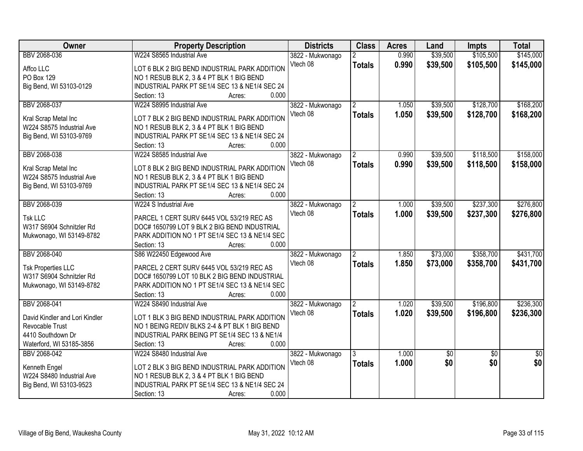| Owner                                      | <b>Property Description</b>                    | <b>Districts</b> | <b>Class</b>   | <b>Acres</b> | Land       | <b>Impts</b>    | <b>Total</b>    |
|--------------------------------------------|------------------------------------------------|------------------|----------------|--------------|------------|-----------------|-----------------|
| BBV 2068-036                               | W224 S8565 Industrial Ave                      | 3822 - Mukwonago | $\overline{2}$ | 0.990        | \$39,500   | \$105,500       | \$145,000       |
| Affco LLC                                  | LOT 6 BLK 2 BIG BEND INDUSTRIAL PARK ADDITION  | Vtech 08         | <b>Totals</b>  | 0.990        | \$39,500   | \$105,500       | \$145,000       |
| PO Box 129                                 | NO 1 RESUB BLK 2, 3 & 4 PT BLK 1 BIG BEND      |                  |                |              |            |                 |                 |
| Big Bend, WI 53103-0129                    | INDUSTRIAL PARK PT SE1/4 SEC 13 & NE1/4 SEC 24 |                  |                |              |            |                 |                 |
|                                            | 0.000<br>Section: 13<br>Acres:                 |                  |                |              |            |                 |                 |
| BBV 2068-037                               | W224 S8995 Industrial Ave                      | 3822 - Mukwonago | $\mathbf{2}$   | 1.050        | \$39,500   | \$128,700       | \$168,200       |
|                                            |                                                | Vtech 08         | <b>Totals</b>  | 1.050        | \$39,500   | \$128,700       | \$168,200       |
| Kral Scrap Metal Inc                       | LOT 7 BLK 2 BIG BEND INDUSTRIAL PARK ADDITION  |                  |                |              |            |                 |                 |
| W224 S8575 Industrial Ave                  | NO 1 RESUB BLK 2, 3 & 4 PT BLK 1 BIG BEND      |                  |                |              |            |                 |                 |
| Big Bend, WI 53103-9769                    | INDUSTRIAL PARK PT SE1/4 SEC 13 & NE1/4 SEC 24 |                  |                |              |            |                 |                 |
|                                            | 0.000<br>Section: 13<br>Acres:                 |                  |                |              |            |                 |                 |
| BBV 2068-038                               | W224 S8585 Industrial Ave                      | 3822 - Mukwonago |                | 0.990        | \$39,500   | \$118,500       | \$158,000       |
| Kral Scrap Metal Inc                       | LOT 8 BLK 2 BIG BEND INDUSTRIAL PARK ADDITION  | Vtech 08         | <b>Totals</b>  | 0.990        | \$39,500   | \$118,500       | \$158,000       |
| W224 S8575 Industrial Ave                  | NO 1 RESUB BLK 2, 3 & 4 PT BLK 1 BIG BEND      |                  |                |              |            |                 |                 |
| Big Bend, WI 53103-9769                    | INDUSTRIAL PARK PT SE1/4 SEC 13 & NE1/4 SEC 24 |                  |                |              |            |                 |                 |
|                                            | 0.000<br>Section: 13<br>Acres:                 |                  |                |              |            |                 |                 |
| BBV 2068-039                               | W224 S Industrial Ave                          | 3822 - Mukwonago | 2              | 1.000        | \$39,500   | \$237,300       | \$276,800       |
|                                            |                                                | Vtech 08         | <b>Totals</b>  | 1.000        | \$39,500   | \$237,300       | \$276,800       |
| <b>Tsk LLC</b>                             | PARCEL 1 CERT SURV 6445 VOL 53/219 REC AS      |                  |                |              |            |                 |                 |
| W317 S6904 Schnitzler Rd                   | DOC# 1650799 LOT 9 BLK 2 BIG BEND INDUSTRIAL   |                  |                |              |            |                 |                 |
| Mukwonago, WI 53149-8782                   | PARK ADDITION NO 1 PT SE1/4 SEC 13 & NE1/4 SEC |                  |                |              |            |                 |                 |
|                                            | 0.000<br>Section: 13<br>Acres:                 |                  |                |              |            |                 |                 |
| BBV 2068-040                               | S86 W22450 Edgewood Ave                        | 3822 - Mukwonago | $\overline{2}$ | 1.850        | \$73,000   | \$358,700       | \$431,700       |
| <b>Tsk Properties LLC</b>                  | PARCEL 2 CERT SURV 6445 VOL 53/219 REC AS      | Vtech 08         | <b>Totals</b>  | 1.850        | \$73,000   | \$358,700       | \$431,700       |
| W317 S6904 Schnitzler Rd                   | DOC# 1650799 LOT 10 BLK 2 BIG BEND INDUSTRIAL  |                  |                |              |            |                 |                 |
| Mukwonago, WI 53149-8782                   | PARK ADDITION NO 1 PT SE1/4 SEC 13 & NE1/4 SEC |                  |                |              |            |                 |                 |
|                                            | 0.000<br>Section: 13<br>Acres:                 |                  |                |              |            |                 |                 |
| BBV 2068-041                               | W224 S8490 Industrial Ave                      | 3822 - Mukwonago |                | 1.020        | \$39,500   | \$196,800       | \$236,300       |
|                                            |                                                | Vtech 08         |                | 1.020        |            | \$196,800       |                 |
| David Kindler and Lori Kindler             | LOT 1 BLK 3 BIG BEND INDUSTRIAL PARK ADDITION  |                  | <b>Totals</b>  |              | \$39,500   |                 | \$236,300       |
| Revocable Trust                            | NO 1 BEING REDIV BLKS 2-4 & PT BLK 1 BIG BEND  |                  |                |              |            |                 |                 |
| 4410 Southdown Dr                          | INDUSTRIAL PARK BEING PT SE1/4 SEC 13 & NE1/4  |                  |                |              |            |                 |                 |
| Waterford, WI 53185-3856                   | 0.000<br>Section: 13<br>Acres:                 |                  |                |              |            |                 |                 |
| BBV 2068-042                               | W224 S8480 Industrial Ave                      | 3822 - Mukwonago | 3              | 1.000        | $\sqrt{6}$ | $\overline{30}$ | $\overline{50}$ |
|                                            | LOT 2 BLK 3 BIG BEND INDUSTRIAL PARK ADDITION  | Vtech 08         | <b>Totals</b>  | 1.000        | \$0        | \$0             | \$0             |
| Kenneth Engel<br>W224 S8480 Industrial Ave | NO 1 RESUB BLK 2, 3 & 4 PT BLK 1 BIG BEND      |                  |                |              |            |                 |                 |
| Big Bend, WI 53103-9523                    | INDUSTRIAL PARK PT SE1/4 SEC 13 & NE1/4 SEC 24 |                  |                |              |            |                 |                 |
|                                            |                                                |                  |                |              |            |                 |                 |
|                                            | 0.000<br>Section: 13<br>Acres:                 |                  |                |              |            |                 |                 |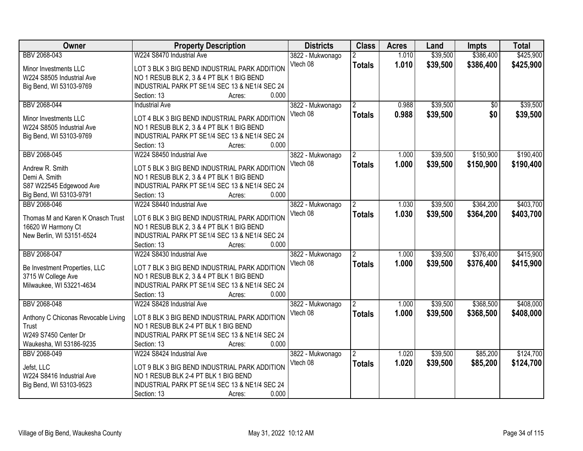| Owner                               | <b>Property Description</b>                    | <b>Districts</b> | <b>Class</b>   | <b>Acres</b> | Land     | <b>Impts</b> | <b>Total</b> |
|-------------------------------------|------------------------------------------------|------------------|----------------|--------------|----------|--------------|--------------|
| BBV 2068-043                        | W224 S8470 Industrial Ave                      | 3822 - Mukwonago |                | 1.010        | \$39,500 | \$386,400    | \$425,900    |
| Minor Investments LLC               | LOT 3 BLK 3 BIG BEND INDUSTRIAL PARK ADDITION  | Vtech 08         | <b>Totals</b>  | 1.010        | \$39,500 | \$386,400    | \$425,900    |
| W224 S8505 Industrial Ave           | NO 1 RESUB BLK 2, 3 & 4 PT BLK 1 BIG BEND      |                  |                |              |          |              |              |
| Big Bend, WI 53103-9769             | INDUSTRIAL PARK PT SE1/4 SEC 13 & NE1/4 SEC 24 |                  |                |              |          |              |              |
|                                     | 0.000<br>Section: 13<br>Acres:                 |                  |                |              |          |              |              |
| BBV 2068-044                        | <b>Industrial Ave</b>                          | 3822 - Mukwonago | $\mathbf{2}$   | 0.988        | \$39,500 | \$0          | \$39,500     |
|                                     |                                                | Vtech 08         | <b>Totals</b>  | 0.988        | \$39,500 | \$0          | \$39,500     |
| Minor Investments LLC               | LOT 4 BLK 3 BIG BEND INDUSTRIAL PARK ADDITION  |                  |                |              |          |              |              |
| W224 S8505 Industrial Ave           | NO 1 RESUB BLK 2, 3 & 4 PT BLK 1 BIG BEND      |                  |                |              |          |              |              |
| Big Bend, WI 53103-9769             | INDUSTRIAL PARK PT SE1/4 SEC 13 & NE1/4 SEC 24 |                  |                |              |          |              |              |
|                                     | 0.000<br>Section: 13<br>Acres:                 |                  |                |              |          |              |              |
| BBV 2068-045                        | W224 S8450 Industrial Ave                      | 3822 - Mukwonago |                | 1.000        | \$39,500 | \$150,900    | \$190,400    |
| Andrew R. Smith                     | LOT 5 BLK 3 BIG BEND INDUSTRIAL PARK ADDITION  | Vtech 08         | <b>Totals</b>  | 1.000        | \$39,500 | \$150,900    | \$190,400    |
| Demi A. Smith                       | NO 1 RESUB BLK 2, 3 & 4 PT BLK 1 BIG BEND      |                  |                |              |          |              |              |
| S87 W22545 Edgewood Ave             | INDUSTRIAL PARK PT SE1/4 SEC 13 & NE1/4 SEC 24 |                  |                |              |          |              |              |
| Big Bend, WI 53103-9791             | 0.000<br>Section: 13<br>Acres:                 |                  |                |              |          |              |              |
| BBV 2068-046                        | W224 S8440 Industrial Ave                      | 3822 - Mukwonago | 2              | 1.030        | \$39,500 | \$364,200    | \$403,700    |
|                                     |                                                | Vtech 08         | <b>Totals</b>  | 1.030        | \$39,500 | \$364,200    | \$403,700    |
| Thomas M and Karen K Onasch Trust   | LOT 6 BLK 3 BIG BEND INDUSTRIAL PARK ADDITION  |                  |                |              |          |              |              |
| 16620 W Harmony Ct                  | NO 1 RESUB BLK 2, 3 & 4 PT BLK 1 BIG BEND      |                  |                |              |          |              |              |
| New Berlin, WI 53151-6524           | INDUSTRIAL PARK PT SE1/4 SEC 13 & NE1/4 SEC 24 |                  |                |              |          |              |              |
|                                     | Section: 13<br>0.000<br>Acres:                 |                  |                |              |          |              |              |
| BBV 2068-047                        | W224 S8430 Industrial Ave                      | 3822 - Mukwonago | $\overline{2}$ | 1.000        | \$39,500 | \$376,400    | \$415,900    |
| Be Investment Properties, LLC       | LOT 7 BLK 3 BIG BEND INDUSTRIAL PARK ADDITION  | Vtech 08         | <b>Totals</b>  | 1.000        | \$39,500 | \$376,400    | \$415,900    |
| 3715 W College Ave                  | NO 1 RESUB BLK 2, 3 & 4 PT BLK 1 BIG BEND      |                  |                |              |          |              |              |
| Milwaukee, WI 53221-4634            | INDUSTRIAL PARK PT SE1/4 SEC 13 & NE1/4 SEC 24 |                  |                |              |          |              |              |
|                                     | 0.000<br>Section: 13<br>Acres:                 |                  |                |              |          |              |              |
| BBV 2068-048                        | W224 S8428 Industrial Ave                      | 3822 - Mukwonago |                | 1.000        | \$39,500 | \$368,500    | \$408,000    |
|                                     |                                                | Vtech 08         |                | 1.000        | \$39,500 | \$368,500    | \$408,000    |
| Anthony C Chiconas Revocable Living | LOT 8 BLK 3 BIG BEND INDUSTRIAL PARK ADDITION  |                  | <b>Totals</b>  |              |          |              |              |
| Trust                               | NO 1 RESUB BLK 2-4 PT BLK 1 BIG BEND           |                  |                |              |          |              |              |
| W249 S7450 Center Dr                | INDUSTRIAL PARK PT SE1/4 SEC 13 & NE1/4 SEC 24 |                  |                |              |          |              |              |
| Waukesha, WI 53186-9235             | 0.000<br>Section: 13<br>Acres:                 |                  |                |              |          |              |              |
| BBV 2068-049                        | W224 S8424 Industrial Ave                      | 3822 - Mukwonago | 2              | 1.020        | \$39,500 | \$85,200     | \$124,700    |
| Jefst, LLC                          | LOT 9 BLK 3 BIG BEND INDUSTRIAL PARK ADDITION  | Vtech 08         | <b>Totals</b>  | 1.020        | \$39,500 | \$85,200     | \$124,700    |
| W224 S8416 Industrial Ave           | NO 1 RESUB BLK 2-4 PT BLK 1 BIG BEND           |                  |                |              |          |              |              |
| Big Bend, WI 53103-9523             | INDUSTRIAL PARK PT SE1/4 SEC 13 & NE1/4 SEC 24 |                  |                |              |          |              |              |
|                                     | 0.000<br>Section: 13                           |                  |                |              |          |              |              |
|                                     | Acres:                                         |                  |                |              |          |              |              |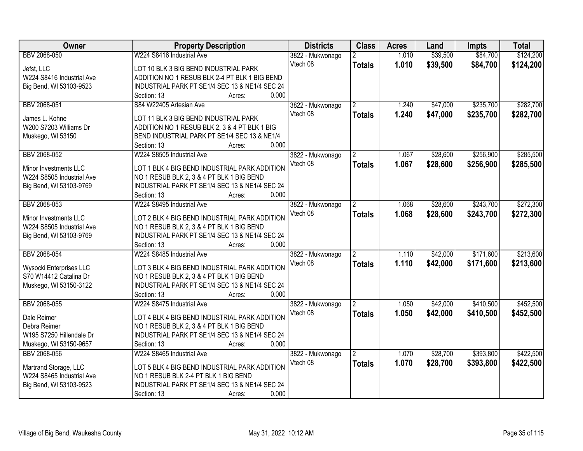| Owner                                             | <b>Property Description</b>                                                                 | <b>Districts</b> | <b>Class</b>   | <b>Acres</b> | Land     | <b>Impts</b> | <b>Total</b> |
|---------------------------------------------------|---------------------------------------------------------------------------------------------|------------------|----------------|--------------|----------|--------------|--------------|
| BBV 2068-050                                      | W224 S8416 Industrial Ave                                                                   | 3822 - Mukwonago | $\overline{2}$ | 1.010        | \$39,500 | \$84,700     | \$124,200    |
| Jefst, LLC                                        | LOT 10 BLK 3 BIG BEND INDUSTRIAL PARK                                                       | Vtech 08         | <b>Totals</b>  | 1.010        | \$39,500 | \$84,700     | \$124,200    |
| W224 S8416 Industrial Ave                         | ADDITION NO 1 RESUB BLK 2-4 PT BLK 1 BIG BEND                                               |                  |                |              |          |              |              |
| Big Bend, WI 53103-9523                           | INDUSTRIAL PARK PT SE1/4 SEC 13 & NE1/4 SEC 24                                              |                  |                |              |          |              |              |
|                                                   | 0.000<br>Section: 13<br>Acres:                                                              |                  |                |              |          |              |              |
| BBV 2068-051                                      | S84 W22405 Artesian Ave                                                                     | 3822 - Mukwonago | $\mathfrak{p}$ | 1.240        | \$47,000 | \$235,700    | \$282,700    |
|                                                   |                                                                                             | Vtech 08         | <b>Totals</b>  | 1.240        | \$47,000 | \$235,700    | \$282,700    |
| James L. Kohne                                    | LOT 11 BLK 3 BIG BEND INDUSTRIAL PARK                                                       |                  |                |              |          |              |              |
| W200 S7203 Williams Dr                            | ADDITION NO 1 RESUB BLK 2, 3 & 4 PT BLK 1 BIG                                               |                  |                |              |          |              |              |
| Muskego, WI 53150                                 | BEND INDUSTRIAL PARK PT SE1/4 SEC 13 & NE1/4                                                |                  |                |              |          |              |              |
|                                                   | 0.000<br>Section: 13<br>Acres:                                                              |                  |                |              |          |              |              |
| BBV 2068-052                                      | W224 S8505 Industrial Ave                                                                   | 3822 - Mukwonago |                | 1.067        | \$28,600 | \$256,900    | \$285,500    |
| Minor Investments LLC                             | LOT 1 BLK 4 BIG BEND INDUSTRIAL PARK ADDITION                                               | Vtech 08         | <b>Totals</b>  | 1.067        | \$28,600 | \$256,900    | \$285,500    |
| W224 S8505 Industrial Ave                         | NO 1 RESUB BLK 2, 3 & 4 PT BLK 1 BIG BEND                                                   |                  |                |              |          |              |              |
| Big Bend, WI 53103-9769                           | INDUSTRIAL PARK PT SE1/4 SEC 13 & NE1/4 SEC 24                                              |                  |                |              |          |              |              |
|                                                   | Section: 13<br>0.000<br>Acres:                                                              |                  |                |              |          |              |              |
| BBV 2068-053                                      | W224 S8495 Industrial Ave                                                                   | 3822 - Mukwonago | $\overline{2}$ | 1.068        | \$28,600 | \$243,700    | \$272,300    |
|                                                   |                                                                                             | Vtech 08         | <b>Totals</b>  | 1.068        | \$28,600 | \$243,700    | \$272,300    |
| Minor Investments LLC                             | LOT 2 BLK 4 BIG BEND INDUSTRIAL PARK ADDITION                                               |                  |                |              |          |              |              |
| W224 S8505 Industrial Ave                         | NO 1 RESUB BLK 2, 3 & 4 PT BLK 1 BIG BEND                                                   |                  |                |              |          |              |              |
| Big Bend, WI 53103-9769                           | INDUSTRIAL PARK PT SE1/4 SEC 13 & NE1/4 SEC 24                                              |                  |                |              |          |              |              |
|                                                   | 0.000<br>Section: 13<br>Acres:                                                              |                  |                |              |          |              |              |
| BBV 2068-054                                      | W224 S8485 Industrial Ave                                                                   | 3822 - Mukwonago | 2              | 1.110        | \$42,000 | \$171,600    | \$213,600    |
|                                                   | LOT 3 BLK 4 BIG BEND INDUSTRIAL PARK ADDITION                                               | Vtech 08         | <b>Totals</b>  | 1.110        | \$42,000 | \$171,600    | \$213,600    |
| Wysocki Enterprises LLC<br>S70 W14412 Catalina Dr |                                                                                             |                  |                |              |          |              |              |
|                                                   | NO 1 RESUB BLK 2, 3 & 4 PT BLK 1 BIG BEND<br>INDUSTRIAL PARK PT SE1/4 SEC 13 & NE1/4 SEC 24 |                  |                |              |          |              |              |
| Muskego, WI 53150-3122                            | Section: 13<br>0.000                                                                        |                  |                |              |          |              |              |
|                                                   | Acres:                                                                                      |                  |                |              |          |              |              |
| BBV 2068-055                                      | W224 S8475 Industrial Ave                                                                   | 3822 - Mukwonago |                | 1.050        | \$42,000 | \$410,500    | \$452,500    |
| Dale Reimer                                       | LOT 4 BLK 4 BIG BEND INDUSTRIAL PARK ADDITION                                               | Vtech 08         | <b>Totals</b>  | 1.050        | \$42,000 | \$410,500    | \$452,500    |
| Debra Reimer                                      | NO 1 RESUB BLK 2, 3 & 4 PT BLK 1 BIG BEND                                                   |                  |                |              |          |              |              |
| W195 S7250 Hillendale Dr                          | INDUSTRIAL PARK PT SE1/4 SEC 13 & NE1/4 SEC 24                                              |                  |                |              |          |              |              |
| Muskego, WI 53150-9657                            | 0.000<br>Section: 13<br>Acres:                                                              |                  |                |              |          |              |              |
| BBV 2068-056                                      | W224 S8465 Industrial Ave                                                                   | 3822 - Mukwonago | 2              | 1.070        | \$28,700 | \$393,800    | \$422,500    |
|                                                   |                                                                                             | Vtech 08         | <b>Totals</b>  | 1.070        | \$28,700 | \$393,800    | \$422,500    |
| Martrand Storage, LLC                             | LOT 5 BLK 4 BIG BEND INDUSTRIAL PARK ADDITION                                               |                  |                |              |          |              |              |
| W224 S8465 Industrial Ave                         | NO 1 RESUB BLK 2-4 PT BLK 1 BIG BEND                                                        |                  |                |              |          |              |              |
| Big Bend, WI 53103-9523                           | INDUSTRIAL PARK PT SE1/4 SEC 13 & NE1/4 SEC 24                                              |                  |                |              |          |              |              |
|                                                   | 0.000<br>Section: 13<br>Acres:                                                              |                  |                |              |          |              |              |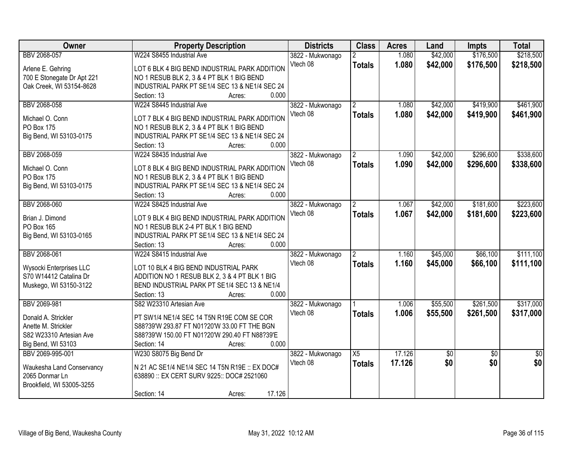| <b>Owner</b>               | <b>Property Description</b>                    | <b>Districts</b>             | <b>Class</b>         | <b>Acres</b> | Land     | <b>Impts</b>    | <b>Total</b>    |
|----------------------------|------------------------------------------------|------------------------------|----------------------|--------------|----------|-----------------|-----------------|
| BBV 2068-057               | W224 S8455 Industrial Ave                      | 3822 - Mukwonago             |                      | 1.080        | \$42,000 | \$176,500       | \$218,500       |
| Arlene E. Gehring          | LOT 6 BLK 4 BIG BEND INDUSTRIAL PARK ADDITION  | Vtech 08                     | <b>Totals</b>        | 1.080        | \$42,000 | \$176,500       | \$218,500       |
| 700 E Stonegate Dr Apt 221 | NO 1 RESUB BLK 2, 3 & 4 PT BLK 1 BIG BEND      |                              |                      |              |          |                 |                 |
| Oak Creek, WI 53154-8628   | INDUSTRIAL PARK PT SE1/4 SEC 13 & NE1/4 SEC 24 |                              |                      |              |          |                 |                 |
|                            | 0.000<br>Section: 13<br>Acres:                 |                              |                      |              |          |                 |                 |
| BBV 2068-058               | W224 S8445 Industrial Ave                      | 3822 - Mukwonago             | $\mathbf{2}$         | 1.080        | \$42,000 | \$419,900       | \$461,900       |
|                            |                                                | Vtech 08                     | <b>Totals</b>        | 1.080        | \$42,000 | \$419,900       | \$461,900       |
| Michael O. Conn            | LOT 7 BLK 4 BIG BEND INDUSTRIAL PARK ADDITION  |                              |                      |              |          |                 |                 |
| PO Box 175                 | NO 1 RESUB BLK 2, 3 & 4 PT BLK 1 BIG BEND      |                              |                      |              |          |                 |                 |
| Big Bend, WI 53103-0175    | INDUSTRIAL PARK PT SE1/4 SEC 13 & NE1/4 SEC 24 |                              |                      |              |          |                 |                 |
|                            | 0.000<br>Section: 13<br>Acres:                 |                              |                      |              |          |                 |                 |
| BBV 2068-059               | W224 S8435 Industrial Ave                      | 3822 - Mukwonago             |                      | 1.090        | \$42,000 | \$296,600       | \$338,600       |
| Michael O. Conn            | LOT 8 BLK 4 BIG BEND INDUSTRIAL PARK ADDITION  | Vtech 08                     | <b>Totals</b>        | 1.090        | \$42,000 | \$296,600       | \$338,600       |
| PO Box 175                 | NO 1 RESUB BLK 2, 3 & 4 PT BLK 1 BIG BEND      |                              |                      |              |          |                 |                 |
| Big Bend, WI 53103-0175    | INDUSTRIAL PARK PT SE1/4 SEC 13 & NE1/4 SEC 24 |                              |                      |              |          |                 |                 |
|                            | Section: 13<br>0.000<br>Acres:                 |                              |                      |              |          |                 |                 |
| BBV 2068-060               | W224 S8425 Industrial Ave                      | 3822 - Mukwonago             | $\mathbf{2}^{\circ}$ | 1.067        | \$42,000 | \$181,600       | \$223,600       |
|                            |                                                | Vtech 08                     | <b>Totals</b>        | 1.067        | \$42,000 | \$181,600       | \$223,600       |
| Brian J. Dimond            | LOT 9 BLK 4 BIG BEND INDUSTRIAL PARK ADDITION  |                              |                      |              |          |                 |                 |
| PO Box 165                 | NO 1 RESUB BLK 2-4 PT BLK 1 BIG BEND           |                              |                      |              |          |                 |                 |
| Big Bend, WI 53103-0165    | INDUSTRIAL PARK PT SE1/4 SEC 13 & NE1/4 SEC 24 |                              |                      |              |          |                 |                 |
|                            | 0.000<br>Section: 13<br>Acres:                 |                              |                      |              |          |                 |                 |
| BBV 2068-061               | W224 S8415 Industrial Ave                      | 3822 - Mukwonago             |                      | 1.160        | \$45,000 | \$66,100        | \$111,100       |
| Wysocki Enterprises LLC    | LOT 10 BLK 4 BIG BEND INDUSTRIAL PARK          | Vtech 08                     | <b>Totals</b>        | 1.160        | \$45,000 | \$66,100        | \$111,100       |
| S70 W14412 Catalina Dr     | ADDITION NO 1 RESUB BLK 2, 3 & 4 PT BLK 1 BIG  |                              |                      |              |          |                 |                 |
| Muskego, WI 53150-3122     | BEND INDUSTRIAL PARK PT SE1/4 SEC 13 & NE1/4   |                              |                      |              |          |                 |                 |
|                            | 0.000<br>Section: 13<br>Acres:                 |                              |                      |              |          |                 |                 |
| BBV 2069-981               | S82 W23310 Artesian Ave                        |                              |                      | 1.006        | \$55,500 | \$261,500       | \$317,000       |
|                            |                                                | 3822 - Mukwonago<br>Vtech 08 |                      |              |          |                 |                 |
| Donald A. Strickler        | PT SW1/4 NE1/4 SEC 14 T5N R19E COM SE COR      |                              | <b>Totals</b>        | 1.006        | \$55,500 | \$261,500       | \$317,000       |
| Anette M. Strickler        | S88?39'W 293.87 FT N01?20'W 33.00 FT THE BGN   |                              |                      |              |          |                 |                 |
| S82 W23310 Artesian Ave    | S88?39'W 150.00 FT N01?20'W 290.40 FT N88?39'E |                              |                      |              |          |                 |                 |
| Big Bend, WI 53103         | 0.000<br>Section: 14<br>Acres:                 |                              |                      |              |          |                 |                 |
| BBV 2069-995-001           | W230 S8075 Big Bend Dr                         | 3822 - Mukwonago             | X5                   | 17.126       | \$0      | $\overline{50}$ | $\overline{50}$ |
|                            |                                                | Vtech 08                     | <b>Totals</b>        | 17.126       | \$0      | \$0             | \$0             |
| Waukesha Land Conservancy  | N 21 AC SE1/4 NE1/4 SEC 14 T5N R19E :: EX DOC# |                              |                      |              |          |                 |                 |
| 2065 Donmar Ln             | 638890 :: EX CERT SURV 9225:: DOC# 2521060     |                              |                      |              |          |                 |                 |
| Brookfield, WI 53005-3255  |                                                |                              |                      |              |          |                 |                 |
|                            | 17.126<br>Section: 14<br>Acres:                |                              |                      |              |          |                 |                 |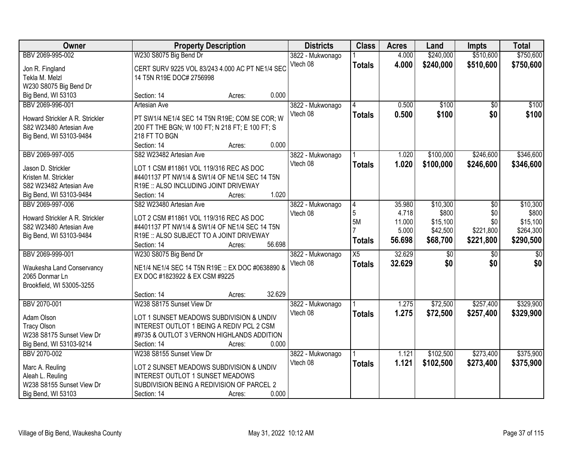| Owner                           | <b>Property Description</b>                      | <b>Districts</b> | <b>Class</b>     | <b>Acres</b>    | Land   | <b>Impts</b> | <b>Total</b>    |                 |
|---------------------------------|--------------------------------------------------|------------------|------------------|-----------------|--------|--------------|-----------------|-----------------|
| BBV 2069-995-002                | W230 S8075 Big Bend Dr                           |                  | 3822 - Mukwonago |                 | 4.000  | \$240,000    | \$510,600       | \$750,600       |
| Jon R. Fingland                 | CERT SURV 9225 VOL 83/243 4.000 AC PT NE1/4 SEC  |                  | Vtech 08         | <b>Totals</b>   | 4.000  | \$240,000    | \$510,600       | \$750,600       |
| Tekla M. Melzl                  | 14 T5N R19E DOC# 2756998                         |                  |                  |                 |        |              |                 |                 |
| W230 S8075 Big Bend Dr          |                                                  |                  |                  |                 |        |              |                 |                 |
| Big Bend, WI 53103              | Section: 14                                      | 0.000<br>Acres:  |                  |                 |        |              |                 |                 |
| BBV 2069-996-001                | <b>Artesian Ave</b>                              |                  | 3822 - Mukwonago | 4               | 0.500  | \$100        | $\overline{50}$ | \$100           |
|                                 |                                                  |                  | Vtech 08         | <b>Totals</b>   | 0.500  | \$100        | \$0             | \$100           |
| Howard Strickler A R. Strickler | PT SW1/4 NE1/4 SEC 14 T5N R19E; COM SE COR; W    |                  |                  |                 |        |              |                 |                 |
| S82 W23480 Artesian Ave         | 200 FT THE BGN; W 100 FT; N 218 FT; E 100 FT; S  |                  |                  |                 |        |              |                 |                 |
| Big Bend, WI 53103-9484         | 218 FT TO BGN                                    |                  |                  |                 |        |              |                 |                 |
|                                 | Section: 14                                      | 0.000<br>Acres:  |                  |                 |        |              |                 |                 |
| BBV 2069-997-005                | S82 W23482 Artesian Ave                          |                  | 3822 - Mukwonago |                 | 1.020  | \$100,000    | \$246,600       | \$346,600       |
| Jason D. Strickler              | LOT 1 CSM #11861 VOL 119/316 REC AS DOC          |                  | Vtech 08         | <b>Totals</b>   | 1.020  | \$100,000    | \$246,600       | \$346,600       |
| Kristen M. Strickler            | #4401137 PT NW1/4 & SW1/4 OF NE1/4 SEC 14 T5N    |                  |                  |                 |        |              |                 |                 |
| S82 W23482 Artesian Ave         | R19E :: ALSO INCLUDING JOINT DRIVEWAY            |                  |                  |                 |        |              |                 |                 |
| Big Bend, WI 53103-9484         | Section: 14                                      | 1.020<br>Acres:  |                  |                 |        |              |                 |                 |
| BBV 2069-997-006                | S82 W23480 Artesian Ave                          |                  | 3822 - Mukwonago | 4               | 35.980 | \$10,300     | \$0             | \$10,300        |
|                                 |                                                  |                  | Vtech 08         | 5               | 4.718  | \$800        | \$0             | \$800           |
| Howard Strickler A R. Strickler | LOT 2 CSM #11861 VOL 119/316 REC AS DOC          |                  |                  | 5M              | 11.000 | \$15,100     | \$0             | \$15,100        |
| S82 W23480 Artesian Ave         | #4401137 PT NW1/4 & SW1/4 OF NE1/4 SEC 14 T5N    |                  |                  |                 | 5.000  | \$42,500     | \$221,800       | \$264,300       |
| Big Bend, WI 53103-9484         | R19E :: ALSO SUBJECT TO A JOINT DRIVEWAY         |                  |                  | <b>Totals</b>   | 56.698 | \$68,700     | \$221,800       | \$290,500       |
|                                 | Section: 14                                      | 56.698<br>Acres: |                  |                 |        |              |                 |                 |
| BBV 2069-999-001                | W230 S8075 Big Bend Dr                           |                  | 3822 - Mukwonago | $\overline{X5}$ | 32.629 | \$0          | $\overline{30}$ | $\overline{50}$ |
| Waukesha Land Conservancy       | NE1/4 NE1/4 SEC 14 T5N R19E :: EX DOC #0638890 8 |                  | Vtech 08         | <b>Totals</b>   | 32.629 | \$0          | \$0             | \$0             |
| 2065 Donmar Ln                  | EX DOC #1823922 & EX CSM #9225                   |                  |                  |                 |        |              |                 |                 |
| Brookfield, WI 53005-3255       |                                                  |                  |                  |                 |        |              |                 |                 |
|                                 | Section: 14                                      | 32.629<br>Acres: |                  |                 |        |              |                 |                 |
| BBV 2070-001                    | W238 S8175 Sunset View Dr                        |                  | 3822 - Mukwonago |                 | 1.275  | \$72,500     | \$257,400       | \$329,900       |
| Adam Olson                      | LOT 1 SUNSET MEADOWS SUBDIVISION & UNDIV         |                  | Vtech 08         | <b>Totals</b>   | 1.275  | \$72,500     | \$257,400       | \$329,900       |
| <b>Tracy Olson</b>              | INTEREST OUTLOT 1 BEING A REDIV PCL 2 CSM        |                  |                  |                 |        |              |                 |                 |
| W238 S8175 Sunset View Dr       | #9735 & OUTLOT 3 VERNON HIGHLANDS ADDITION       |                  |                  |                 |        |              |                 |                 |
| Big Bend, WI 53103-9214         | Section: 14                                      | 0.000<br>Acres:  |                  |                 |        |              |                 |                 |
| BBV 2070-002                    | W238 S8155 Sunset View Dr                        |                  | 3822 - Mukwonago |                 | 1.121  | \$102,500    | \$273,400       | \$375,900       |
|                                 |                                                  |                  | Vtech 08         | <b>Totals</b>   | 1.121  | \$102,500    | \$273,400       | \$375,900       |
| Marc A. Reuling                 | LOT 2 SUNSET MEADOWS SUBDIVISION & UNDIV         |                  |                  |                 |        |              |                 |                 |
| Aleah L. Reuling                | <b>INTEREST OUTLOT 1 SUNSET MEADOWS</b>          |                  |                  |                 |        |              |                 |                 |
| W238 S8155 Sunset View Dr       | SUBDIVISION BEING A REDIVISION OF PARCEL 2       |                  |                  |                 |        |              |                 |                 |
| Big Bend, WI 53103              | Section: 14                                      | 0.000<br>Acres:  |                  |                 |        |              |                 |                 |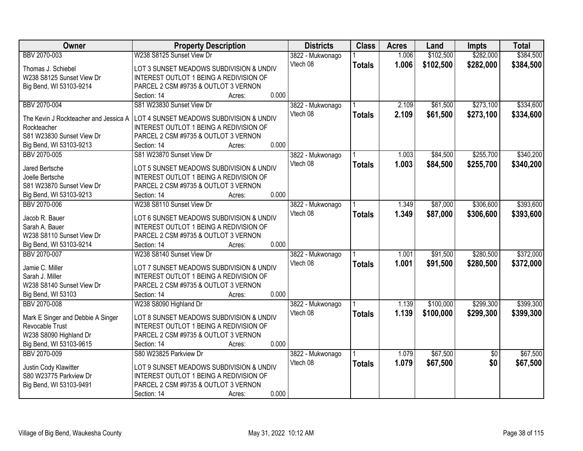| Owner                                 | <b>Property Description</b>                    |                 | <b>Districts</b> | <b>Class</b>  | <b>Acres</b> | Land      | <b>Impts</b>    | <b>Total</b> |
|---------------------------------------|------------------------------------------------|-----------------|------------------|---------------|--------------|-----------|-----------------|--------------|
| BBV 2070-003                          | W238 S8125 Sunset View Dr                      |                 | 3822 - Mukwonago |               | 1.006        | \$102,500 | \$282,000       | \$384,500    |
| Thomas J. Schiebel                    | LOT 3 SUNSET MEADOWS SUBDIVISION & UNDIV       |                 | Vtech 08         | <b>Totals</b> | 1.006        | \$102,500 | \$282,000       | \$384,500    |
| W238 S8125 Sunset View Dr             | <b>INTEREST OUTLOT 1 BEING A REDIVISION OF</b> |                 |                  |               |              |           |                 |              |
| Big Bend, WI 53103-9214               | PARCEL 2 CSM #9735 & OUTLOT 3 VERNON           |                 |                  |               |              |           |                 |              |
|                                       | Section: 14                                    | 0.000<br>Acres: |                  |               |              |           |                 |              |
| BBV 2070-004                          | S81 W23830 Sunset View Dr                      |                 | 3822 - Mukwonago |               | 2.109        | \$61,500  | \$273,100       | \$334,600    |
|                                       |                                                |                 | Vtech 08         | <b>Totals</b> | 2.109        | \$61,500  | \$273,100       | \$334,600    |
| The Kevin J Rockteacher and Jessica A | LOT 4 SUNSET MEADOWS SUBDIVISION & UNDIV       |                 |                  |               |              |           |                 |              |
| Rockteacher                           | INTEREST OUTLOT 1 BEING A REDIVISION OF        |                 |                  |               |              |           |                 |              |
| S81 W23830 Sunset View Dr             | PARCEL 2 CSM #9735 & OUTLOT 3 VERNON           |                 |                  |               |              |           |                 |              |
| Big Bend, WI 53103-9213               | Section: 14                                    | 0.000<br>Acres: |                  |               |              |           |                 |              |
| BBV 2070-005                          | S81 W23870 Sunset View Dr                      |                 | 3822 - Mukwonago |               | 1.003        | \$84,500  | \$255,700       | \$340,200    |
| Jared Bertsche                        | LOT 5 SUNSET MEADOWS SUBDIVISION & UNDIV       |                 | Vtech 08         | <b>Totals</b> | 1.003        | \$84,500  | \$255,700       | \$340,200    |
| Joelle Bertsche                       | <b>INTEREST OUTLOT 1 BEING A REDIVISION OF</b> |                 |                  |               |              |           |                 |              |
| S81 W23870 Sunset View Dr             | PARCEL 2 CSM #9735 & OUTLOT 3 VERNON           |                 |                  |               |              |           |                 |              |
| Big Bend, WI 53103-9213               | Section: 14                                    | 0.000<br>Acres: |                  |               |              |           |                 |              |
| BBV 2070-006                          | W238 S8110 Sunset View Dr                      |                 | 3822 - Mukwonago |               | 1.349        | \$87,000  | \$306,600       | \$393,600    |
|                                       |                                                |                 | Vtech 08         | <b>Totals</b> | 1.349        | \$87,000  | \$306,600       | \$393,600    |
| Jacob R. Bauer                        | LOT 6 SUNSET MEADOWS SUBDIVISION & UNDIV       |                 |                  |               |              |           |                 |              |
| Sarah A. Bauer                        | INTEREST OUTLOT 1 BEING A REDIVISION OF        |                 |                  |               |              |           |                 |              |
| W238 S8110 Sunset View Dr             | PARCEL 2 CSM #9735 & OUTLOT 3 VERNON           |                 |                  |               |              |           |                 |              |
| Big Bend, WI 53103-9214               | Section: 14                                    | 0.000<br>Acres: |                  |               |              |           |                 |              |
| BBV 2070-007                          | W238 S8140 Sunset View Dr                      |                 | 3822 - Mukwonago |               | 1.001        | \$91,500  | \$280,500       | \$372,000    |
| Jamie C. Miller                       | LOT 7 SUNSET MEADOWS SUBDIVISION & UNDIV       |                 | Vtech 08         | <b>Totals</b> | 1.001        | \$91,500  | \$280,500       | \$372,000    |
| Sarah J. Miller                       | <b>INTEREST OUTLOT 1 BEING A REDIVISION OF</b> |                 |                  |               |              |           |                 |              |
| W238 S8140 Sunset View Dr             | PARCEL 2 CSM #9735 & OUTLOT 3 VERNON           |                 |                  |               |              |           |                 |              |
|                                       |                                                | 0.000           |                  |               |              |           |                 |              |
| Big Bend, WI 53103                    | Section: 14                                    | Acres:          |                  |               |              |           |                 |              |
| BBV 2070-008                          | W238 S8090 Highland Dr                         |                 | 3822 - Mukwonago |               | 1.139        | \$100,000 | \$299,300       | \$399,300    |
| Mark E Singer and Debbie A Singer     | LOT 8 SUNSET MEADOWS SUBDIVISION & UNDIV       |                 | Vtech 08         | <b>Totals</b> | 1.139        | \$100,000 | \$299,300       | \$399,300    |
| Revocable Trust                       | <b>INTEREST OUTLOT 1 BEING A REDIVISION OF</b> |                 |                  |               |              |           |                 |              |
| W238 S8090 Highland Dr                | PARCEL 2 CSM #9735 & OUTLOT 3 VERNON           |                 |                  |               |              |           |                 |              |
| Big Bend, WI 53103-9615               | Section: 14                                    | 0.000<br>Acres: |                  |               |              |           |                 |              |
| BBV 2070-009                          | S80 W23825 Parkview Dr                         |                 | 3822 - Mukwonago |               | 1.079        | \$67,500  | $\overline{50}$ | \$67,500     |
|                                       |                                                |                 | Vtech 08         | <b>Totals</b> | 1.079        | \$67,500  | \$0             | \$67,500     |
| Justin Cody Klawitter                 | LOT 9 SUNSET MEADOWS SUBDIVISION & UNDIV       |                 |                  |               |              |           |                 |              |
| S80 W23775 Parkview Dr                | INTEREST OUTLOT 1 BEING A REDIVISION OF        |                 |                  |               |              |           |                 |              |
| Big Bend, WI 53103-9491               | PARCEL 2 CSM #9735 & OUTLOT 3 VERNON           |                 |                  |               |              |           |                 |              |
|                                       | Section: 14                                    | 0.000<br>Acres: |                  |               |              |           |                 |              |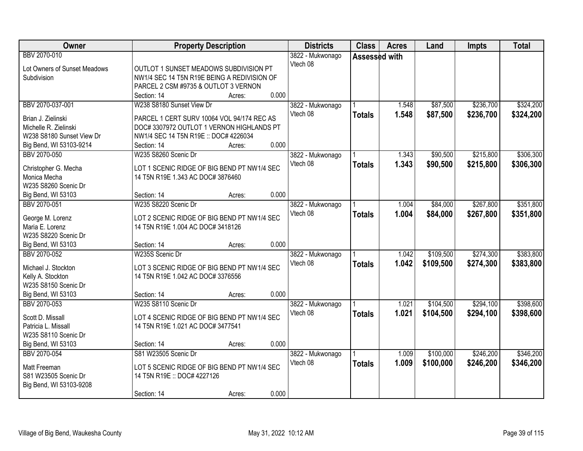| BBV 2070-010<br>3822 - Mukwonago<br>Assessed with<br>Vtech 08<br>Lot Owners of Sunset Meadows<br>OUTLOT 1 SUNSET MEADOWS SUBDIVISION PT<br>Subdivision<br>NW1/4 SEC 14 T5N R19E BEING A REDIVISION OF<br>PARCEL 2 CSM #9735 & OUTLOT 3 VERNON<br>0.000<br>Section: 14<br>Acres:<br>\$87,500<br>\$236,700<br>\$324,200<br>BBV 2070-037-001<br>W238 S8180 Sunset View Dr<br>3822 - Mukwonago<br>1.548<br>Vtech 08<br>1.548<br>\$236,700<br>\$87,500<br>\$324,200<br><b>Totals</b><br>Brian J. Zielinski<br>PARCEL 1 CERT SURV 10064 VOL 94/174 REC AS<br>Michelle R. Zielinski<br>DOC# 3307972 OUTLOT 1 VERNON HIGHLANDS PT<br>W238 S8180 Sunset View Dr<br>NW1/4 SEC 14 T5N R19E :: DOC# 4226034<br>0.000<br>Big Bend, WI 53103-9214<br>Section: 14<br>Acres:<br>\$215,800<br>\$306,300<br>BBV 2070-050<br>W235 S8260 Scenic Dr<br>\$90,500<br>3822 - Mukwonago<br>1.343 |
|-------------------------------------------------------------------------------------------------------------------------------------------------------------------------------------------------------------------------------------------------------------------------------------------------------------------------------------------------------------------------------------------------------------------------------------------------------------------------------------------------------------------------------------------------------------------------------------------------------------------------------------------------------------------------------------------------------------------------------------------------------------------------------------------------------------------------------------------------------------------------|
|                                                                                                                                                                                                                                                                                                                                                                                                                                                                                                                                                                                                                                                                                                                                                                                                                                                                         |
|                                                                                                                                                                                                                                                                                                                                                                                                                                                                                                                                                                                                                                                                                                                                                                                                                                                                         |
|                                                                                                                                                                                                                                                                                                                                                                                                                                                                                                                                                                                                                                                                                                                                                                                                                                                                         |
|                                                                                                                                                                                                                                                                                                                                                                                                                                                                                                                                                                                                                                                                                                                                                                                                                                                                         |
|                                                                                                                                                                                                                                                                                                                                                                                                                                                                                                                                                                                                                                                                                                                                                                                                                                                                         |
|                                                                                                                                                                                                                                                                                                                                                                                                                                                                                                                                                                                                                                                                                                                                                                                                                                                                         |
|                                                                                                                                                                                                                                                                                                                                                                                                                                                                                                                                                                                                                                                                                                                                                                                                                                                                         |
|                                                                                                                                                                                                                                                                                                                                                                                                                                                                                                                                                                                                                                                                                                                                                                                                                                                                         |
|                                                                                                                                                                                                                                                                                                                                                                                                                                                                                                                                                                                                                                                                                                                                                                                                                                                                         |
|                                                                                                                                                                                                                                                                                                                                                                                                                                                                                                                                                                                                                                                                                                                                                                                                                                                                         |
|                                                                                                                                                                                                                                                                                                                                                                                                                                                                                                                                                                                                                                                                                                                                                                                                                                                                         |
| Vtech 08<br>1.343<br>\$90,500<br>\$215,800<br>\$306,300<br><b>Totals</b>                                                                                                                                                                                                                                                                                                                                                                                                                                                                                                                                                                                                                                                                                                                                                                                                |
| LOT 1 SCENIC RIDGE OF BIG BEND PT NW1/4 SEC<br>Christopher G. Mecha                                                                                                                                                                                                                                                                                                                                                                                                                                                                                                                                                                                                                                                                                                                                                                                                     |
| Monica Mecha<br>14 T5N R19E 1.343 AC DOC# 3876460                                                                                                                                                                                                                                                                                                                                                                                                                                                                                                                                                                                                                                                                                                                                                                                                                       |
| W235 S8260 Scenic Dr                                                                                                                                                                                                                                                                                                                                                                                                                                                                                                                                                                                                                                                                                                                                                                                                                                                    |
| 0.000<br>Section: 14<br>Big Bend, WI 53103<br>Acres:                                                                                                                                                                                                                                                                                                                                                                                                                                                                                                                                                                                                                                                                                                                                                                                                                    |
| \$267,800<br>\$351,800<br>BBV 2070-051<br>W235 S8220 Scenic Dr<br>\$84,000<br>3822 - Mukwonago<br>1.004                                                                                                                                                                                                                                                                                                                                                                                                                                                                                                                                                                                                                                                                                                                                                                 |
| Vtech 08<br>1.004<br>\$84,000<br>\$267,800<br>\$351,800<br><b>Totals</b><br>George M. Lorenz<br>LOT 2 SCENIC RIDGE OF BIG BEND PT NW1/4 SEC                                                                                                                                                                                                                                                                                                                                                                                                                                                                                                                                                                                                                                                                                                                             |
| Maria E. Lorenz<br>14 T5N R19E 1.004 AC DOC# 3418126                                                                                                                                                                                                                                                                                                                                                                                                                                                                                                                                                                                                                                                                                                                                                                                                                    |
| W235 S8220 Scenic Dr                                                                                                                                                                                                                                                                                                                                                                                                                                                                                                                                                                                                                                                                                                                                                                                                                                                    |
| 0.000<br>Big Bend, WI 53103<br>Section: 14<br>Acres:                                                                                                                                                                                                                                                                                                                                                                                                                                                                                                                                                                                                                                                                                                                                                                                                                    |
| \$383,800<br>W235S Scenic Dr<br>\$109,500<br>\$274,300<br>BBV 2070-052<br>1.042<br>3822 - Mukwonago                                                                                                                                                                                                                                                                                                                                                                                                                                                                                                                                                                                                                                                                                                                                                                     |
| 1.042<br>Vtech 08<br>\$109,500<br>\$274,300<br>\$383,800<br><b>Totals</b>                                                                                                                                                                                                                                                                                                                                                                                                                                                                                                                                                                                                                                                                                                                                                                                               |
| LOT 3 SCENIC RIDGE OF BIG BEND PT NW1/4 SEC<br>Michael J. Stockton                                                                                                                                                                                                                                                                                                                                                                                                                                                                                                                                                                                                                                                                                                                                                                                                      |
| 14 T5N R19E 1.042 AC DOC# 3376556<br>Kelly A. Stockton                                                                                                                                                                                                                                                                                                                                                                                                                                                                                                                                                                                                                                                                                                                                                                                                                  |
| W235 S8150 Scenic Dr                                                                                                                                                                                                                                                                                                                                                                                                                                                                                                                                                                                                                                                                                                                                                                                                                                                    |
| 0.000<br>Big Bend, WI 53103<br>Section: 14<br>Acres:                                                                                                                                                                                                                                                                                                                                                                                                                                                                                                                                                                                                                                                                                                                                                                                                                    |
| \$104,500<br>\$294,100<br>\$398,600<br>BBV 2070-053<br>W235 S8110 Scenic Dr<br>3822 - Mukwonago<br>1.021                                                                                                                                                                                                                                                                                                                                                                                                                                                                                                                                                                                                                                                                                                                                                                |
| Vtech 08<br>1.021<br>\$104,500<br>\$294,100<br>\$398,600<br><b>Totals</b><br>LOT 4 SCENIC RIDGE OF BIG BEND PT NW1/4 SEC<br>Scott D. Missall                                                                                                                                                                                                                                                                                                                                                                                                                                                                                                                                                                                                                                                                                                                            |
| 14 T5N R19E 1.021 AC DOC# 3477541<br>Patricia L. Missall                                                                                                                                                                                                                                                                                                                                                                                                                                                                                                                                                                                                                                                                                                                                                                                                                |
| W235 S8110 Scenic Dr                                                                                                                                                                                                                                                                                                                                                                                                                                                                                                                                                                                                                                                                                                                                                                                                                                                    |
| 0.000<br>Big Bend, WI 53103<br>Section: 14<br>Acres:                                                                                                                                                                                                                                                                                                                                                                                                                                                                                                                                                                                                                                                                                                                                                                                                                    |
| BBV 2070-054<br>S81 W23505 Scenic Dr<br>\$100,000<br>\$246,200<br>\$346,200<br>3822 - Mukwonago<br>1.009                                                                                                                                                                                                                                                                                                                                                                                                                                                                                                                                                                                                                                                                                                                                                                |
| Vtech 08<br>1.009<br>\$100,000<br>\$246,200<br>\$346,200<br><b>Totals</b><br>LOT 5 SCENIC RIDGE OF BIG BEND PT NW1/4 SEC<br>Matt Freeman                                                                                                                                                                                                                                                                                                                                                                                                                                                                                                                                                                                                                                                                                                                                |
| S81 W23505 Scenic Dr<br>14 T5N R19E :: DOC# 4227126                                                                                                                                                                                                                                                                                                                                                                                                                                                                                                                                                                                                                                                                                                                                                                                                                     |
| Big Bend, WI 53103-9208                                                                                                                                                                                                                                                                                                                                                                                                                                                                                                                                                                                                                                                                                                                                                                                                                                                 |
| 0.000<br>Section: 14<br>Acres:                                                                                                                                                                                                                                                                                                                                                                                                                                                                                                                                                                                                                                                                                                                                                                                                                                          |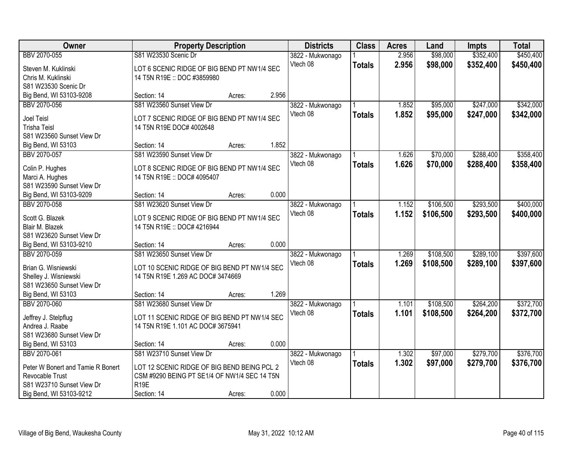| Owner                              | <b>Property Description</b>                                                |        |       | <b>Districts</b> | <b>Class</b>  | <b>Acres</b> | Land      | <b>Impts</b> | <b>Total</b> |
|------------------------------------|----------------------------------------------------------------------------|--------|-------|------------------|---------------|--------------|-----------|--------------|--------------|
| BBV 2070-055                       | S81 W23530 Scenic Dr                                                       |        |       | 3822 - Mukwonago |               | 2.956        | \$98,000  | \$352,400    | \$450,400    |
| Steven M. Kuklinski                | LOT 6 SCENIC RIDGE OF BIG BEND PT NW1/4 SEC                                |        |       | Vtech 08         | <b>Totals</b> | 2.956        | \$98,000  | \$352,400    | \$450,400    |
| Chris M. Kuklinski                 | 14 T5N R19E :: DOC #3859980                                                |        |       |                  |               |              |           |              |              |
| S81 W23530 Scenic Dr               |                                                                            |        |       |                  |               |              |           |              |              |
| Big Bend, WI 53103-9208            | Section: 14                                                                | Acres: | 2.956 |                  |               |              |           |              |              |
| BBV 2070-056                       | S81 W23560 Sunset View Dr                                                  |        |       | 3822 - Mukwonago |               | 1.852        | \$95,000  | \$247,000    | \$342,000    |
| <b>Joel Teisl</b>                  | LOT 7 SCENIC RIDGE OF BIG BEND PT NW1/4 SEC                                |        |       | Vtech 08         | <b>Totals</b> | 1.852        | \$95,000  | \$247,000    | \$342,000    |
| <b>Trisha Teisl</b>                | 14 T5N R19E DOC# 4002648                                                   |        |       |                  |               |              |           |              |              |
| S81 W23560 Sunset View Dr          |                                                                            |        |       |                  |               |              |           |              |              |
| Big Bend, WI 53103                 | Section: 14                                                                | Acres: | 1.852 |                  |               |              |           |              |              |
| BBV 2070-057                       | S81 W23590 Sunset View Dr                                                  |        |       | 3822 - Mukwonago |               | 1.626        | \$70,000  | \$288,400    | \$358,400    |
|                                    |                                                                            |        |       | Vtech 08         | <b>Totals</b> | 1.626        | \$70,000  | \$288,400    | \$358,400    |
| Colin P. Hughes<br>Marci A. Hughes | LOT 8 SCENIC RIDGE OF BIG BEND PT NW1/4 SEC<br>14 T5N R19E :: DOC# 4095407 |        |       |                  |               |              |           |              |              |
| S81 W23590 Sunset View Dr          |                                                                            |        |       |                  |               |              |           |              |              |
| Big Bend, WI 53103-9209            | Section: 14                                                                | Acres: | 0.000 |                  |               |              |           |              |              |
| BBV 2070-058                       | S81 W23620 Sunset View Dr                                                  |        |       | 3822 - Mukwonago |               | 1.152        | \$106,500 | \$293,500    | \$400,000    |
|                                    |                                                                            |        |       | Vtech 08         | <b>Totals</b> | 1.152        | \$106,500 | \$293,500    | \$400,000    |
| Scott G. Blazek                    | LOT 9 SCENIC RIDGE OF BIG BEND PT NW1/4 SEC                                |        |       |                  |               |              |           |              |              |
| Blair M. Blazek                    | 14 T5N R19E :: DOC# 4216944                                                |        |       |                  |               |              |           |              |              |
| S81 W23620 Sunset View Dr          |                                                                            |        |       |                  |               |              |           |              |              |
| Big Bend, WI 53103-9210            | Section: 14                                                                | Acres: | 0.000 |                  |               |              |           |              |              |
| BBV 2070-059                       | S81 W23650 Sunset View Dr                                                  |        |       | 3822 - Mukwonago |               | 1.269        | \$108,500 | \$289,100    | \$397,600    |
| Brian G. Wisniewski                | LOT 10 SCENIC RIDGE OF BIG BEND PT NW1/4 SEC                               |        |       | Vtech 08         | <b>Totals</b> | 1.269        | \$108,500 | \$289,100    | \$397,600    |
| Shelley J. Wisniewski              | 14 T5N R19E 1.269 AC DOC# 3474669                                          |        |       |                  |               |              |           |              |              |
| S81 W23650 Sunset View Dr          |                                                                            |        |       |                  |               |              |           |              |              |
| Big Bend, WI 53103                 | Section: 14                                                                | Acres: | 1.269 |                  |               |              |           |              |              |
| BBV 2070-060                       | S81 W23680 Sunset View Dr                                                  |        |       | 3822 - Mukwonago |               | 1.101        | \$108,500 | \$264,200    | \$372,700    |
| Jeffrey J. Stelpflug               | LOT 11 SCENIC RIDGE OF BIG BEND PT NW1/4 SEC                               |        |       | Vtech 08         | <b>Totals</b> | 1.101        | \$108,500 | \$264,200    | \$372,700    |
| Andrea J. Raabe                    | 14 T5N R19E 1.101 AC DOC# 3675941                                          |        |       |                  |               |              |           |              |              |
| S81 W23680 Sunset View Dr          |                                                                            |        |       |                  |               |              |           |              |              |
| Big Bend, WI 53103                 | Section: 14                                                                | Acres: | 0.000 |                  |               |              |           |              |              |
| BBV 2070-061                       | S81 W23710 Sunset View Dr                                                  |        |       | 3822 - Mukwonago |               | 1.302        | \$97,000  | \$279,700    | \$376,700    |
| Peter W Bonert and Tamie R Bonert  | LOT 12 SCENIC RIDGE OF BIG BEND BEING PCL 2                                |        |       | Vtech 08         | <b>Totals</b> | 1.302        | \$97,000  | \$279,700    | \$376,700    |
| <b>Revocable Trust</b>             | CSM #9290 BEING PT SE1/4 OF NW1/4 SEC 14 T5N                               |        |       |                  |               |              |           |              |              |
| S81 W23710 Sunset View Dr          | R <sub>19E</sub>                                                           |        |       |                  |               |              |           |              |              |
| Big Bend, WI 53103-9212            | Section: 14                                                                | Acres: | 0.000 |                  |               |              |           |              |              |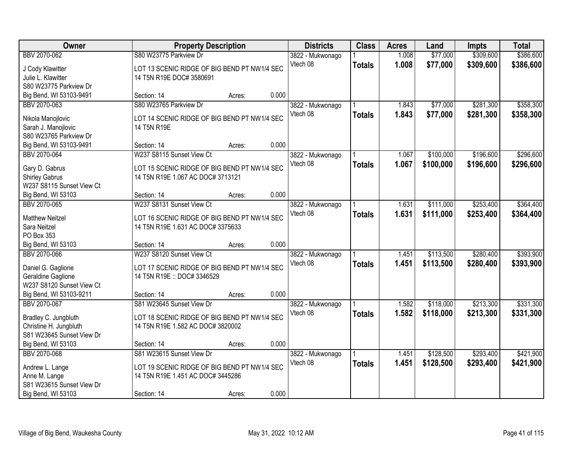| \$309,600<br>\$386,600<br>BBV 2070-062<br>S80 W23775 Parkview Dr<br>\$77,000<br>1.008<br>3822 - Mukwonago<br>Vtech 08<br>1.008<br>\$77,000<br>\$309,600<br>\$386,600<br><b>Totals</b><br>LOT 13 SCENIC RIDGE OF BIG BEND PT NW1/4 SEC<br>J Cody Klawitter<br>Julie L. Klawitter<br>14 T5N R19E DOC# 3580691<br>S80 W23775 Parkview Dr<br>0.000<br>Big Bend, WI 53103-9491<br>Section: 14<br>Acres:<br>S80 W23765 Parkview Dr<br>\$77,000<br>\$281,300<br>\$358,300<br>BBV 2070-063<br>3822 - Mukwonago<br>1.843<br>1.843<br>Vtech 08<br>\$77,000<br>\$281,300<br>\$358,300<br><b>Totals</b><br>LOT 14 SCENIC RIDGE OF BIG BEND PT NW1/4 SEC<br>Nikola Manojlovic<br>Sarah J. Manojlovic<br>14 T5N R19E<br>S80 W23765 Parkview Dr<br>0.000<br>Big Bend, WI 53103-9491<br>Section: 14<br>Acres:<br>\$196,600<br>BBV 2070-064<br>W237 S8115 Sunset View Ct<br>\$100,000<br>3822 - Mukwonago<br>1.067<br>Vtech 08<br>1.067<br>\$100,000<br>\$196,600<br><b>Totals</b><br>LOT 15 SCENIC RIDGE OF BIG BEND PT NW1/4 SEC<br>Gary D. Gabrus<br><b>Shirley Gabrus</b><br>14 T5N R19E 1.067 AC DOC# 3713121<br>W237 S8115 Sunset View Ct<br>0.000<br>Big Bend, WI 53103<br>Section: 14<br>Acres:<br>W237 S8131 Sunset View Ct<br>\$111,000<br>\$253,400<br>BBV 2070-065<br>1.631<br>3822 - Mukwonago<br>Vtech 08<br>1.631<br>\$111,000<br>\$253,400<br>\$364,400<br><b>Totals</b><br>LOT 16 SCENIC RIDGE OF BIG BEND PT NW1/4 SEC<br><b>Matthew Neitzel</b><br>14 T5N R19E 1.631 AC DOC# 3375633<br>Sara Neitzel<br>PO Box 353<br>0.000<br>Big Bend, WI 53103<br>Section: 14<br>Acres:<br>W237 S8120 Sunset View Ct<br>\$280,400<br>BBV 2070-066<br>\$113,500<br>1.451<br>3822 - Mukwonago<br>Vtech 08<br>1.451<br>\$113,500<br>\$280,400<br>\$393,900<br><b>Totals</b><br>Daniel G. Gaglione<br>LOT 17 SCENIC RIDGE OF BIG BEND PT NW1/4 SEC<br>Geraldine Gaglione<br>14 T5N R19E :: DOC# 3346529<br>W237 S8120 Sunset View Ct<br>Big Bend, WI 53103-9211<br>0.000<br>Section: 14<br>Acres:<br>S81 W23645 Sunset View Dr<br>\$213,300<br>BBV 2070-067<br>1.582<br>\$118,000<br>3822 - Mukwonago<br>Vtech 08<br>1.582<br>\$118,000<br>\$213,300<br><b>Totals</b><br>Bradley C. Jungbluth<br>LOT 18 SCENIC RIDGE OF BIG BEND PT NW1/4 SEC<br>Christine H. Jungbluth<br>14 T5N R19E 1.582 AC DOC# 3820002<br>S81 W23645 Sunset View Dr<br>0.000<br>Big Bend, WI 53103<br>Section: 14<br>Acres:<br>BBV 2070-068<br>S81 W23615 Sunset View Dr<br>\$128,500<br>\$293,400<br>3822 - Mukwonago<br>1.451<br>Vtech 08<br>1.451<br>\$421,900<br>\$128,500<br>\$293,400<br><b>Totals</b><br>LOT 19 SCENIC RIDGE OF BIG BEND PT NW1/4 SEC<br>Andrew L. Lange<br>Anne M. Lange<br>14 T5N R19E 1.451 AC DOC# 3445286 | Owner                     | <b>Property Description</b> |  |  | <b>Districts</b> | <b>Class</b> | <b>Acres</b> | Land | <b>Impts</b> | <b>Total</b> |
|----------------------------------------------------------------------------------------------------------------------------------------------------------------------------------------------------------------------------------------------------------------------------------------------------------------------------------------------------------------------------------------------------------------------------------------------------------------------------------------------------------------------------------------------------------------------------------------------------------------------------------------------------------------------------------------------------------------------------------------------------------------------------------------------------------------------------------------------------------------------------------------------------------------------------------------------------------------------------------------------------------------------------------------------------------------------------------------------------------------------------------------------------------------------------------------------------------------------------------------------------------------------------------------------------------------------------------------------------------------------------------------------------------------------------------------------------------------------------------------------------------------------------------------------------------------------------------------------------------------------------------------------------------------------------------------------------------------------------------------------------------------------------------------------------------------------------------------------------------------------------------------------------------------------------------------------------------------------------------------------------------------------------------------------------------------------------------------------------------------------------------------------------------------------------------------------------------------------------------------------------------------------------------------------------------------------------------------------------------------------------------------------------------------------------------------------------------------------------------------------------------------------------------------------------------------------------------------------------------------------------------------------------------------------------------------------|---------------------------|-----------------------------|--|--|------------------|--------------|--------------|------|--------------|--------------|
| \$296,600<br>\$364,400<br>\$393,900<br>\$331,300<br>\$421,900                                                                                                                                                                                                                                                                                                                                                                                                                                                                                                                                                                                                                                                                                                                                                                                                                                                                                                                                                                                                                                                                                                                                                                                                                                                                                                                                                                                                                                                                                                                                                                                                                                                                                                                                                                                                                                                                                                                                                                                                                                                                                                                                                                                                                                                                                                                                                                                                                                                                                                                                                                                                                                |                           |                             |  |  |                  |              |              |      |              |              |
|                                                                                                                                                                                                                                                                                                                                                                                                                                                                                                                                                                                                                                                                                                                                                                                                                                                                                                                                                                                                                                                                                                                                                                                                                                                                                                                                                                                                                                                                                                                                                                                                                                                                                                                                                                                                                                                                                                                                                                                                                                                                                                                                                                                                                                                                                                                                                                                                                                                                                                                                                                                                                                                                                              |                           |                             |  |  |                  |              |              |      |              |              |
| \$296,600<br>\$331,300                                                                                                                                                                                                                                                                                                                                                                                                                                                                                                                                                                                                                                                                                                                                                                                                                                                                                                                                                                                                                                                                                                                                                                                                                                                                                                                                                                                                                                                                                                                                                                                                                                                                                                                                                                                                                                                                                                                                                                                                                                                                                                                                                                                                                                                                                                                                                                                                                                                                                                                                                                                                                                                                       |                           |                             |  |  |                  |              |              |      |              |              |
|                                                                                                                                                                                                                                                                                                                                                                                                                                                                                                                                                                                                                                                                                                                                                                                                                                                                                                                                                                                                                                                                                                                                                                                                                                                                                                                                                                                                                                                                                                                                                                                                                                                                                                                                                                                                                                                                                                                                                                                                                                                                                                                                                                                                                                                                                                                                                                                                                                                                                                                                                                                                                                                                                              |                           |                             |  |  |                  |              |              |      |              |              |
|                                                                                                                                                                                                                                                                                                                                                                                                                                                                                                                                                                                                                                                                                                                                                                                                                                                                                                                                                                                                                                                                                                                                                                                                                                                                                                                                                                                                                                                                                                                                                                                                                                                                                                                                                                                                                                                                                                                                                                                                                                                                                                                                                                                                                                                                                                                                                                                                                                                                                                                                                                                                                                                                                              |                           |                             |  |  |                  |              |              |      |              |              |
|                                                                                                                                                                                                                                                                                                                                                                                                                                                                                                                                                                                                                                                                                                                                                                                                                                                                                                                                                                                                                                                                                                                                                                                                                                                                                                                                                                                                                                                                                                                                                                                                                                                                                                                                                                                                                                                                                                                                                                                                                                                                                                                                                                                                                                                                                                                                                                                                                                                                                                                                                                                                                                                                                              |                           |                             |  |  |                  |              |              |      |              |              |
|                                                                                                                                                                                                                                                                                                                                                                                                                                                                                                                                                                                                                                                                                                                                                                                                                                                                                                                                                                                                                                                                                                                                                                                                                                                                                                                                                                                                                                                                                                                                                                                                                                                                                                                                                                                                                                                                                                                                                                                                                                                                                                                                                                                                                                                                                                                                                                                                                                                                                                                                                                                                                                                                                              |                           |                             |  |  |                  |              |              |      |              |              |
|                                                                                                                                                                                                                                                                                                                                                                                                                                                                                                                                                                                                                                                                                                                                                                                                                                                                                                                                                                                                                                                                                                                                                                                                                                                                                                                                                                                                                                                                                                                                                                                                                                                                                                                                                                                                                                                                                                                                                                                                                                                                                                                                                                                                                                                                                                                                                                                                                                                                                                                                                                                                                                                                                              |                           |                             |  |  |                  |              |              |      |              |              |
|                                                                                                                                                                                                                                                                                                                                                                                                                                                                                                                                                                                                                                                                                                                                                                                                                                                                                                                                                                                                                                                                                                                                                                                                                                                                                                                                                                                                                                                                                                                                                                                                                                                                                                                                                                                                                                                                                                                                                                                                                                                                                                                                                                                                                                                                                                                                                                                                                                                                                                                                                                                                                                                                                              |                           |                             |  |  |                  |              |              |      |              |              |
|                                                                                                                                                                                                                                                                                                                                                                                                                                                                                                                                                                                                                                                                                                                                                                                                                                                                                                                                                                                                                                                                                                                                                                                                                                                                                                                                                                                                                                                                                                                                                                                                                                                                                                                                                                                                                                                                                                                                                                                                                                                                                                                                                                                                                                                                                                                                                                                                                                                                                                                                                                                                                                                                                              |                           |                             |  |  |                  |              |              |      |              |              |
|                                                                                                                                                                                                                                                                                                                                                                                                                                                                                                                                                                                                                                                                                                                                                                                                                                                                                                                                                                                                                                                                                                                                                                                                                                                                                                                                                                                                                                                                                                                                                                                                                                                                                                                                                                                                                                                                                                                                                                                                                                                                                                                                                                                                                                                                                                                                                                                                                                                                                                                                                                                                                                                                                              |                           |                             |  |  |                  |              |              |      |              |              |
|                                                                                                                                                                                                                                                                                                                                                                                                                                                                                                                                                                                                                                                                                                                                                                                                                                                                                                                                                                                                                                                                                                                                                                                                                                                                                                                                                                                                                                                                                                                                                                                                                                                                                                                                                                                                                                                                                                                                                                                                                                                                                                                                                                                                                                                                                                                                                                                                                                                                                                                                                                                                                                                                                              |                           |                             |  |  |                  |              |              |      |              |              |
|                                                                                                                                                                                                                                                                                                                                                                                                                                                                                                                                                                                                                                                                                                                                                                                                                                                                                                                                                                                                                                                                                                                                                                                                                                                                                                                                                                                                                                                                                                                                                                                                                                                                                                                                                                                                                                                                                                                                                                                                                                                                                                                                                                                                                                                                                                                                                                                                                                                                                                                                                                                                                                                                                              |                           |                             |  |  |                  |              |              |      |              |              |
|                                                                                                                                                                                                                                                                                                                                                                                                                                                                                                                                                                                                                                                                                                                                                                                                                                                                                                                                                                                                                                                                                                                                                                                                                                                                                                                                                                                                                                                                                                                                                                                                                                                                                                                                                                                                                                                                                                                                                                                                                                                                                                                                                                                                                                                                                                                                                                                                                                                                                                                                                                                                                                                                                              |                           |                             |  |  |                  |              |              |      |              |              |
|                                                                                                                                                                                                                                                                                                                                                                                                                                                                                                                                                                                                                                                                                                                                                                                                                                                                                                                                                                                                                                                                                                                                                                                                                                                                                                                                                                                                                                                                                                                                                                                                                                                                                                                                                                                                                                                                                                                                                                                                                                                                                                                                                                                                                                                                                                                                                                                                                                                                                                                                                                                                                                                                                              |                           |                             |  |  |                  |              |              |      |              |              |
|                                                                                                                                                                                                                                                                                                                                                                                                                                                                                                                                                                                                                                                                                                                                                                                                                                                                                                                                                                                                                                                                                                                                                                                                                                                                                                                                                                                                                                                                                                                                                                                                                                                                                                                                                                                                                                                                                                                                                                                                                                                                                                                                                                                                                                                                                                                                                                                                                                                                                                                                                                                                                                                                                              |                           |                             |  |  |                  |              |              |      |              |              |
|                                                                                                                                                                                                                                                                                                                                                                                                                                                                                                                                                                                                                                                                                                                                                                                                                                                                                                                                                                                                                                                                                                                                                                                                                                                                                                                                                                                                                                                                                                                                                                                                                                                                                                                                                                                                                                                                                                                                                                                                                                                                                                                                                                                                                                                                                                                                                                                                                                                                                                                                                                                                                                                                                              |                           |                             |  |  |                  |              |              |      |              |              |
|                                                                                                                                                                                                                                                                                                                                                                                                                                                                                                                                                                                                                                                                                                                                                                                                                                                                                                                                                                                                                                                                                                                                                                                                                                                                                                                                                                                                                                                                                                                                                                                                                                                                                                                                                                                                                                                                                                                                                                                                                                                                                                                                                                                                                                                                                                                                                                                                                                                                                                                                                                                                                                                                                              |                           |                             |  |  |                  |              |              |      |              |              |
|                                                                                                                                                                                                                                                                                                                                                                                                                                                                                                                                                                                                                                                                                                                                                                                                                                                                                                                                                                                                                                                                                                                                                                                                                                                                                                                                                                                                                                                                                                                                                                                                                                                                                                                                                                                                                                                                                                                                                                                                                                                                                                                                                                                                                                                                                                                                                                                                                                                                                                                                                                                                                                                                                              |                           |                             |  |  |                  |              |              |      |              |              |
|                                                                                                                                                                                                                                                                                                                                                                                                                                                                                                                                                                                                                                                                                                                                                                                                                                                                                                                                                                                                                                                                                                                                                                                                                                                                                                                                                                                                                                                                                                                                                                                                                                                                                                                                                                                                                                                                                                                                                                                                                                                                                                                                                                                                                                                                                                                                                                                                                                                                                                                                                                                                                                                                                              |                           |                             |  |  |                  |              |              |      |              |              |
|                                                                                                                                                                                                                                                                                                                                                                                                                                                                                                                                                                                                                                                                                                                                                                                                                                                                                                                                                                                                                                                                                                                                                                                                                                                                                                                                                                                                                                                                                                                                                                                                                                                                                                                                                                                                                                                                                                                                                                                                                                                                                                                                                                                                                                                                                                                                                                                                                                                                                                                                                                                                                                                                                              |                           |                             |  |  |                  |              |              |      |              |              |
|                                                                                                                                                                                                                                                                                                                                                                                                                                                                                                                                                                                                                                                                                                                                                                                                                                                                                                                                                                                                                                                                                                                                                                                                                                                                                                                                                                                                                                                                                                                                                                                                                                                                                                                                                                                                                                                                                                                                                                                                                                                                                                                                                                                                                                                                                                                                                                                                                                                                                                                                                                                                                                                                                              |                           |                             |  |  |                  |              |              |      |              |              |
|                                                                                                                                                                                                                                                                                                                                                                                                                                                                                                                                                                                                                                                                                                                                                                                                                                                                                                                                                                                                                                                                                                                                                                                                                                                                                                                                                                                                                                                                                                                                                                                                                                                                                                                                                                                                                                                                                                                                                                                                                                                                                                                                                                                                                                                                                                                                                                                                                                                                                                                                                                                                                                                                                              |                           |                             |  |  |                  |              |              |      |              |              |
|                                                                                                                                                                                                                                                                                                                                                                                                                                                                                                                                                                                                                                                                                                                                                                                                                                                                                                                                                                                                                                                                                                                                                                                                                                                                                                                                                                                                                                                                                                                                                                                                                                                                                                                                                                                                                                                                                                                                                                                                                                                                                                                                                                                                                                                                                                                                                                                                                                                                                                                                                                                                                                                                                              |                           |                             |  |  |                  |              |              |      |              |              |
|                                                                                                                                                                                                                                                                                                                                                                                                                                                                                                                                                                                                                                                                                                                                                                                                                                                                                                                                                                                                                                                                                                                                                                                                                                                                                                                                                                                                                                                                                                                                                                                                                                                                                                                                                                                                                                                                                                                                                                                                                                                                                                                                                                                                                                                                                                                                                                                                                                                                                                                                                                                                                                                                                              |                           |                             |  |  |                  |              |              |      |              |              |
|                                                                                                                                                                                                                                                                                                                                                                                                                                                                                                                                                                                                                                                                                                                                                                                                                                                                                                                                                                                                                                                                                                                                                                                                                                                                                                                                                                                                                                                                                                                                                                                                                                                                                                                                                                                                                                                                                                                                                                                                                                                                                                                                                                                                                                                                                                                                                                                                                                                                                                                                                                                                                                                                                              |                           |                             |  |  |                  |              |              |      |              |              |
|                                                                                                                                                                                                                                                                                                                                                                                                                                                                                                                                                                                                                                                                                                                                                                                                                                                                                                                                                                                                                                                                                                                                                                                                                                                                                                                                                                                                                                                                                                                                                                                                                                                                                                                                                                                                                                                                                                                                                                                                                                                                                                                                                                                                                                                                                                                                                                                                                                                                                                                                                                                                                                                                                              |                           |                             |  |  |                  |              |              |      |              |              |
|                                                                                                                                                                                                                                                                                                                                                                                                                                                                                                                                                                                                                                                                                                                                                                                                                                                                                                                                                                                                                                                                                                                                                                                                                                                                                                                                                                                                                                                                                                                                                                                                                                                                                                                                                                                                                                                                                                                                                                                                                                                                                                                                                                                                                                                                                                                                                                                                                                                                                                                                                                                                                                                                                              |                           |                             |  |  |                  |              |              |      |              |              |
|                                                                                                                                                                                                                                                                                                                                                                                                                                                                                                                                                                                                                                                                                                                                                                                                                                                                                                                                                                                                                                                                                                                                                                                                                                                                                                                                                                                                                                                                                                                                                                                                                                                                                                                                                                                                                                                                                                                                                                                                                                                                                                                                                                                                                                                                                                                                                                                                                                                                                                                                                                                                                                                                                              |                           |                             |  |  |                  |              |              |      |              |              |
|                                                                                                                                                                                                                                                                                                                                                                                                                                                                                                                                                                                                                                                                                                                                                                                                                                                                                                                                                                                                                                                                                                                                                                                                                                                                                                                                                                                                                                                                                                                                                                                                                                                                                                                                                                                                                                                                                                                                                                                                                                                                                                                                                                                                                                                                                                                                                                                                                                                                                                                                                                                                                                                                                              |                           |                             |  |  |                  |              |              |      |              |              |
|                                                                                                                                                                                                                                                                                                                                                                                                                                                                                                                                                                                                                                                                                                                                                                                                                                                                                                                                                                                                                                                                                                                                                                                                                                                                                                                                                                                                                                                                                                                                                                                                                                                                                                                                                                                                                                                                                                                                                                                                                                                                                                                                                                                                                                                                                                                                                                                                                                                                                                                                                                                                                                                                                              |                           |                             |  |  |                  |              |              |      |              |              |
|                                                                                                                                                                                                                                                                                                                                                                                                                                                                                                                                                                                                                                                                                                                                                                                                                                                                                                                                                                                                                                                                                                                                                                                                                                                                                                                                                                                                                                                                                                                                                                                                                                                                                                                                                                                                                                                                                                                                                                                                                                                                                                                                                                                                                                                                                                                                                                                                                                                                                                                                                                                                                                                                                              |                           |                             |  |  |                  |              |              |      |              |              |
|                                                                                                                                                                                                                                                                                                                                                                                                                                                                                                                                                                                                                                                                                                                                                                                                                                                                                                                                                                                                                                                                                                                                                                                                                                                                                                                                                                                                                                                                                                                                                                                                                                                                                                                                                                                                                                                                                                                                                                                                                                                                                                                                                                                                                                                                                                                                                                                                                                                                                                                                                                                                                                                                                              |                           |                             |  |  |                  |              |              |      |              |              |
|                                                                                                                                                                                                                                                                                                                                                                                                                                                                                                                                                                                                                                                                                                                                                                                                                                                                                                                                                                                                                                                                                                                                                                                                                                                                                                                                                                                                                                                                                                                                                                                                                                                                                                                                                                                                                                                                                                                                                                                                                                                                                                                                                                                                                                                                                                                                                                                                                                                                                                                                                                                                                                                                                              |                           |                             |  |  |                  |              |              |      |              |              |
|                                                                                                                                                                                                                                                                                                                                                                                                                                                                                                                                                                                                                                                                                                                                                                                                                                                                                                                                                                                                                                                                                                                                                                                                                                                                                                                                                                                                                                                                                                                                                                                                                                                                                                                                                                                                                                                                                                                                                                                                                                                                                                                                                                                                                                                                                                                                                                                                                                                                                                                                                                                                                                                                                              |                           |                             |  |  |                  |              |              |      |              |              |
|                                                                                                                                                                                                                                                                                                                                                                                                                                                                                                                                                                                                                                                                                                                                                                                                                                                                                                                                                                                                                                                                                                                                                                                                                                                                                                                                                                                                                                                                                                                                                                                                                                                                                                                                                                                                                                                                                                                                                                                                                                                                                                                                                                                                                                                                                                                                                                                                                                                                                                                                                                                                                                                                                              | S81 W23615 Sunset View Dr |                             |  |  |                  |              |              |      |              |              |
| 0.000<br>Big Bend, WI 53103<br>Section: 14<br>Acres:                                                                                                                                                                                                                                                                                                                                                                                                                                                                                                                                                                                                                                                                                                                                                                                                                                                                                                                                                                                                                                                                                                                                                                                                                                                                                                                                                                                                                                                                                                                                                                                                                                                                                                                                                                                                                                                                                                                                                                                                                                                                                                                                                                                                                                                                                                                                                                                                                                                                                                                                                                                                                                         |                           |                             |  |  |                  |              |              |      |              |              |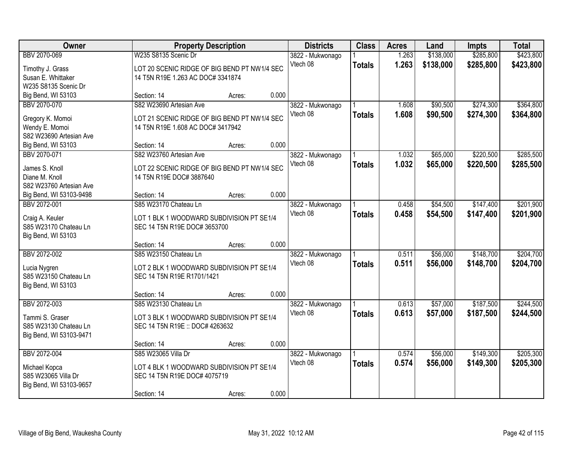| Owner                                     | <b>Property Description</b>                  |        |       | <b>Districts</b>             | <b>Class</b>  | <b>Acres</b> | Land      | <b>Impts</b> | <b>Total</b> |
|-------------------------------------------|----------------------------------------------|--------|-------|------------------------------|---------------|--------------|-----------|--------------|--------------|
| BBV 2070-069                              | W235 S8135 Scenic Dr                         |        |       | 3822 - Mukwonago             |               | 1.263        | \$138,000 | \$285,800    | \$423,800    |
| Timothy J. Grass                          | LOT 20 SCENIC RIDGE OF BIG BEND PT NW1/4 SEC |        |       | Vtech 08                     | <b>Totals</b> | 1.263        | \$138,000 | \$285,800    | \$423,800    |
| Susan E. Whittaker                        | 14 T5N R19E 1.263 AC DOC# 3341874            |        |       |                              |               |              |           |              |              |
| W235 S8135 Scenic Dr                      |                                              |        |       |                              |               |              |           |              |              |
| Big Bend, WI 53103                        | Section: 14                                  | Acres: | 0.000 |                              |               |              |           |              |              |
| BBV 2070-070                              | S82 W23690 Artesian Ave                      |        |       | 3822 - Mukwonago             |               | 1.608        | \$90,500  | \$274,300    | \$364,800    |
|                                           |                                              |        |       | Vtech 08                     | <b>Totals</b> | 1.608        | \$90,500  | \$274,300    | \$364,800    |
| Gregory K. Momoi                          | LOT 21 SCENIC RIDGE OF BIG BEND PT NW1/4 SEC |        |       |                              |               |              |           |              |              |
| Wendy E. Momoi<br>S82 W23690 Artesian Ave | 14 T5N R19E 1.608 AC DOC# 3417942            |        |       |                              |               |              |           |              |              |
| Big Bend, WI 53103                        | Section: 14                                  | Acres: | 0.000 |                              |               |              |           |              |              |
| BBV 2070-071                              | S82 W23760 Artesian Ave                      |        |       | 3822 - Mukwonago             |               | 1.032        | \$65,000  | \$220,500    | \$285,500    |
|                                           |                                              |        |       | Vtech 08                     | <b>Totals</b> | 1.032        | \$65,000  | \$220,500    | \$285,500    |
| James S. Knoll                            | LOT 22 SCENIC RIDGE OF BIG BEND PT NW1/4 SEC |        |       |                              |               |              |           |              |              |
| Diane M. Knoll                            | 14 T5N R19E DOC# 3887640                     |        |       |                              |               |              |           |              |              |
| S82 W23760 Artesian Ave                   |                                              |        |       |                              |               |              |           |              |              |
| Big Bend, WI 53103-9498                   | Section: 14                                  | Acres: | 0.000 |                              |               |              |           |              |              |
| BBV 2072-001                              | S85 W23170 Chateau Ln                        |        |       | 3822 - Mukwonago             |               | 0.458        | \$54,500  | \$147,400    | \$201,900    |
| Craig A. Keuler                           | LOT 1 BLK 1 WOODWARD SUBDIVISION PT SE1/4    |        |       | Vtech 08                     | <b>Totals</b> | 0.458        | \$54,500  | \$147,400    | \$201,900    |
| S85 W23170 Chateau Ln                     | SEC 14 T5N R19E DOC# 3653700                 |        |       |                              |               |              |           |              |              |
| Big Bend, WI 53103                        |                                              |        |       |                              |               |              |           |              |              |
|                                           | Section: 14                                  | Acres: | 0.000 |                              |               |              |           |              |              |
| BBV 2072-002                              | S85 W23150 Chateau Ln                        |        |       | 3822 - Mukwonago             |               | 0.511        | \$56,000  | \$148,700    | \$204,700    |
| Lucia Nygren                              | LOT 2 BLK 1 WOODWARD SUBDIVISION PT SE1/4    |        |       | Vtech 08                     | <b>Totals</b> | 0.511        | \$56,000  | \$148,700    | \$204,700    |
| S85 W23150 Chateau Ln                     | SEC 14 T5N R19E R1701/1421                   |        |       |                              |               |              |           |              |              |
| Big Bend, WI 53103                        |                                              |        |       |                              |               |              |           |              |              |
|                                           | Section: 14                                  | Acres: | 0.000 |                              |               |              |           |              |              |
| BBV 2072-003                              | S85 W23130 Chateau Ln                        |        |       | 3822 - Mukwonago             |               | 0.613        | \$57,000  | \$187,500    | \$244,500    |
|                                           |                                              |        |       | Vtech 08                     | <b>Totals</b> | 0.613        | \$57,000  | \$187,500    | \$244,500    |
| Tammi S. Graser                           | LOT 3 BLK 1 WOODWARD SUBDIVISION PT SE1/4    |        |       |                              |               |              |           |              |              |
| S85 W23130 Chateau Ln                     | SEC 14 T5N R19E :: DOC# 4263632              |        |       |                              |               |              |           |              |              |
| Big Bend, WI 53103-9471                   |                                              |        | 0.000 |                              |               |              |           |              |              |
| BBV 2072-004                              | Section: 14<br>S85 W23065 Villa Dr           | Acres: |       |                              |               | 0.574        | \$56,000  | \$149,300    | \$205,300    |
|                                           |                                              |        |       | 3822 - Mukwonago<br>Vtech 08 |               |              |           |              |              |
| Michael Kopca                             | LOT 4 BLK 1 WOODWARD SUBDIVISION PT SE1/4    |        |       |                              | <b>Totals</b> | 0.574        | \$56,000  | \$149,300    | \$205,300    |
| S85 W23065 Villa Dr                       | SEC 14 T5N R19E DOC# 4075719                 |        |       |                              |               |              |           |              |              |
| Big Bend, WI 53103-9657                   |                                              |        |       |                              |               |              |           |              |              |
|                                           | Section: 14                                  | Acres: | 0.000 |                              |               |              |           |              |              |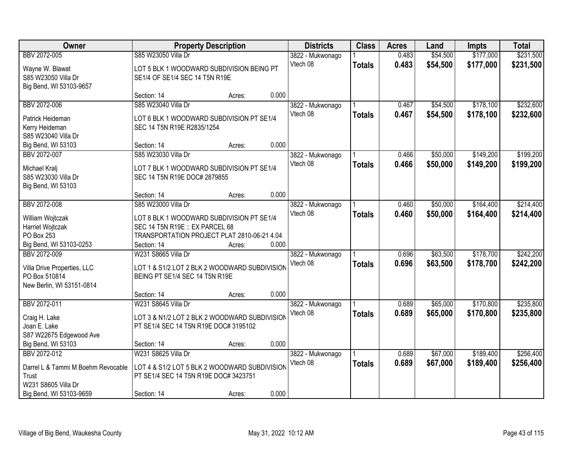| Owner                                | <b>Property Description</b>                                               |        |       | <b>Districts</b> | <b>Class</b>  | <b>Acres</b> | Land     | <b>Impts</b> | <b>Total</b> |
|--------------------------------------|---------------------------------------------------------------------------|--------|-------|------------------|---------------|--------------|----------|--------------|--------------|
| BBV 2072-005                         | S85 W23050 Villa Dr                                                       |        |       | 3822 - Mukwonago |               | 0.483        | \$54,500 | \$177,000    | \$231,500    |
| Wayne W. Blawat                      | LOT 5 BLK 1 WOODWARD SUBDIVISION BEING PT                                 |        |       | Vtech 08         | <b>Totals</b> | 0.483        | \$54,500 | \$177,000    | \$231,500    |
| S85 W23050 Villa Dr                  | SE1/4 OF SE1/4 SEC 14 T5N R19E                                            |        |       |                  |               |              |          |              |              |
| Big Bend, WI 53103-9657              |                                                                           |        |       |                  |               |              |          |              |              |
|                                      | Section: 14                                                               | Acres: | 0.000 |                  |               |              |          |              |              |
| BBV 2072-006                         | S85 W23040 Villa Dr                                                       |        |       | 3822 - Mukwonago |               | 0.467        | \$54,500 | \$178,100    | \$232,600    |
| Patrick Heideman                     | LOT 6 BLK 1 WOODWARD SUBDIVISION PT SE1/4                                 |        |       | Vtech 08         | <b>Totals</b> | 0.467        | \$54,500 | \$178,100    | \$232,600    |
| Kerry Heideman                       | SEC 14 T5N R19E R2835/1254                                                |        |       |                  |               |              |          |              |              |
| S85 W23040 Villa Dr                  |                                                                           |        |       |                  |               |              |          |              |              |
| Big Bend, WI 53103                   | Section: 14                                                               | Acres: | 0.000 |                  |               |              |          |              |              |
| BBV 2072-007                         | S85 W23030 Villa Dr                                                       |        |       | 3822 - Mukwonago |               | 0.466        | \$50,000 | \$149,200    | \$199,200    |
|                                      |                                                                           |        |       | Vtech 08         | <b>Totals</b> | 0.466        | \$50,000 | \$149,200    | \$199,200    |
| Michael Kralj<br>S85 W23030 Villa Dr | LOT 7 BLK 1 WOODWARD SUBDIVISION PT SE1/4<br>SEC 14 T5N R19E DOC# 2879855 |        |       |                  |               |              |          |              |              |
| Big Bend, WI 53103                   |                                                                           |        |       |                  |               |              |          |              |              |
|                                      | Section: 14                                                               | Acres: | 0.000 |                  |               |              |          |              |              |
| BBV 2072-008                         | S85 W23000 Villa Dr                                                       |        |       | 3822 - Mukwonago |               | 0.460        | \$50,000 | \$164,400    | \$214,400    |
|                                      |                                                                           |        |       | Vtech 08         | <b>Totals</b> | 0.460        | \$50,000 | \$164,400    | \$214,400    |
| William Wojtczak                     | LOT 8 BLK 1 WOODWARD SUBDIVISION PT SE1/4                                 |        |       |                  |               |              |          |              |              |
| Harriet Wojtczak                     | SEC 14 T5N R19E :: EX PARCEL 68                                           |        |       |                  |               |              |          |              |              |
| PO Box 253                           | TRANSPORTATION PROJECT PLAT 2810-06-21 4.04                               |        |       |                  |               |              |          |              |              |
| Big Bend, WI 53103-0253              | Section: 14                                                               | Acres: | 0.000 |                  |               |              |          |              |              |
| BBV 2072-009                         | W231 S8665 Villa Dr                                                       |        |       | 3822 - Mukwonago |               | 0.696        | \$63,500 | \$178,700    | \$242,200    |
| Villa Drive Properties, LLC          | LOT 1 & S1/2 LOT 2 BLK 2 WOODWARD SUBDIVISION                             |        |       | Vtech 08         | <b>Totals</b> | 0.696        | \$63,500 | \$178,700    | \$242,200    |
| PO Box 510814                        | BEING PT SE1/4 SEC 14 T5N R19E                                            |        |       |                  |               |              |          |              |              |
| New Berlin, WI 53151-0814            |                                                                           |        |       |                  |               |              |          |              |              |
|                                      | Section: 14                                                               | Acres: | 0.000 |                  |               |              |          |              |              |
| BBV 2072-011                         | W231 S8645 Villa Dr                                                       |        |       | 3822 - Mukwonago |               | 0.689        | \$65,000 | \$170,800    | \$235,800    |
| Craig H. Lake                        | LOT 3 & N1/2 LOT 2 BLK 2 WOODWARD SUBDIVISION                             |        |       | Vtech 08         | <b>Totals</b> | 0.689        | \$65,000 | \$170,800    | \$235,800    |
| Joan E. Lake                         | PT SE1/4 SEC 14 T5N R19E DOC# 3195102                                     |        |       |                  |               |              |          |              |              |
| S87 W22675 Edgewood Ave              |                                                                           |        |       |                  |               |              |          |              |              |
| Big Bend, WI 53103                   | Section: 14                                                               | Acres: | 0.000 |                  |               |              |          |              |              |
| BBV 2072-012                         | W231 S8625 Villa Dr                                                       |        |       | 3822 - Mukwonago |               | 0.689        | \$67,000 | \$189,400    | \$256,400    |
| Darrel L & Tammi M Boehm Revocable   | LOT 4 & S1/2 LOT 5 BLK 2 WOODWARD SUBDIVISION                             |        |       | Vtech 08         | <b>Totals</b> | 0.689        | \$67,000 | \$189,400    | \$256,400    |
| Trust                                | PT SE1/4 SEC 14 T5N R19E DOC# 3423751                                     |        |       |                  |               |              |          |              |              |
| W231 S8605 Villa Dr                  |                                                                           |        |       |                  |               |              |          |              |              |
| Big Bend, WI 53103-9659              | Section: 14                                                               | Acres: | 0.000 |                  |               |              |          |              |              |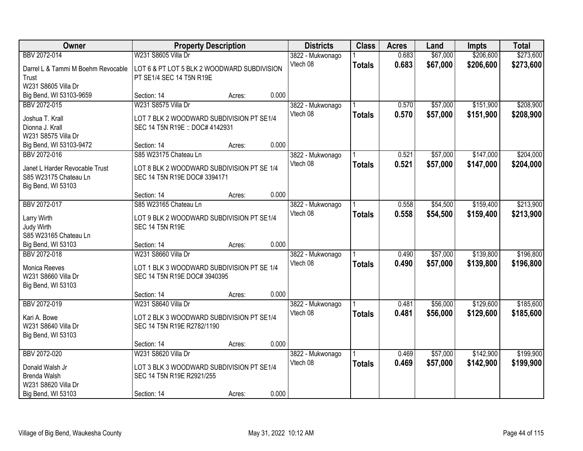| Owner                                | <b>Property Description</b>                                                |        |       | <b>Districts</b> | <b>Class</b>  | <b>Acres</b> | Land     | <b>Impts</b> | <b>Total</b> |
|--------------------------------------|----------------------------------------------------------------------------|--------|-------|------------------|---------------|--------------|----------|--------------|--------------|
| BBV 2072-014                         | W231 S8605 Villa Dr                                                        |        |       | 3822 - Mukwonago |               | 0.683        | \$67,000 | \$206,600    | \$273,600    |
| Darrel L & Tammi M Boehm Revocable   | LOT 6 & PT LOT 5 BLK 2 WOODWARD SUBDIVISION                                |        |       | Vtech 08         | <b>Totals</b> | 0.683        | \$67,000 | \$206,600    | \$273,600    |
| Trust                                | PT SE1/4 SEC 14 T5N R19E                                                   |        |       |                  |               |              |          |              |              |
| W231 S8605 Villa Dr                  |                                                                            |        |       |                  |               |              |          |              |              |
| Big Bend, WI 53103-9659              | Section: 14                                                                | Acres: | 0.000 |                  |               |              |          |              |              |
| BBV 2072-015                         | W231 S8575 Villa Dr                                                        |        |       | 3822 - Mukwonago |               | 0.570        | \$57,000 | \$151,900    | \$208,900    |
| Joshua T. Krall                      | LOT 7 BLK 2 WOODWARD SUBDIVISION PT SE1/4                                  |        |       | Vtech 08         | <b>Totals</b> | 0.570        | \$57,000 | \$151,900    | \$208,900    |
| Dionna J. Krall                      | SEC 14 T5N R19E :: DOC# 4142931                                            |        |       |                  |               |              |          |              |              |
| W231 S8575 Villa Dr                  |                                                                            |        |       |                  |               |              |          |              |              |
| Big Bend, WI 53103-9472              | Section: 14                                                                | Acres: | 0.000 |                  |               |              |          |              |              |
| BBV 2072-016                         | S85 W23175 Chateau Ln                                                      |        |       | 3822 - Mukwonago |               | 0.521        | \$57,000 | \$147,000    | \$204,000    |
| Janet L Harder Revocable Trust       | LOT 8 BLK 2 WOODWARD SUBDIVISION PT SE 1/4                                 |        |       | Vtech 08         | <b>Totals</b> | 0.521        | \$57,000 | \$147,000    | \$204,000    |
| S85 W23175 Chateau Ln                | SEC 14 T5N R19E DOC# 3394171                                               |        |       |                  |               |              |          |              |              |
| Big Bend, WI 53103                   |                                                                            |        |       |                  |               |              |          |              |              |
|                                      | Section: 14                                                                | Acres: | 0.000 |                  |               |              |          |              |              |
| BBV 2072-017                         | S85 W23165 Chateau Ln                                                      |        |       | 3822 - Mukwonago |               | 0.558        | \$54,500 | \$159,400    | \$213,900    |
| Larry Wirth                          | LOT 9 BLK 2 WOODWARD SUBDIVISION PT SE1/4                                  |        |       | Vtech 08         | <b>Totals</b> | 0.558        | \$54,500 | \$159,400    | \$213,900    |
| Judy Wirth                           | <b>SEC 14 T5N R19E</b>                                                     |        |       |                  |               |              |          |              |              |
| S85 W23165 Chateau Ln                |                                                                            |        |       |                  |               |              |          |              |              |
| Big Bend, WI 53103                   | Section: 14                                                                | Acres: | 0.000 |                  |               |              |          |              |              |
| BBV 2072-018                         | W231 S8660 Villa Dr                                                        |        |       | 3822 - Mukwonago |               | 0.490        | \$57,000 | \$139,800    | \$196,800    |
|                                      |                                                                            |        |       | Vtech 08         | <b>Totals</b> | 0.490        | \$57,000 | \$139,800    | \$196,800    |
| Monica Reeves<br>W231 S8660 Villa Dr | LOT 1 BLK 3 WOODWARD SUBDIVISION PT SE 1/4<br>SEC 14 T5N R19E DOC# 3940395 |        |       |                  |               |              |          |              |              |
| Big Bend, WI 53103                   |                                                                            |        |       |                  |               |              |          |              |              |
|                                      | Section: 14                                                                | Acres: | 0.000 |                  |               |              |          |              |              |
| BBV 2072-019                         | W231 S8640 Villa Dr                                                        |        |       | 3822 - Mukwonago |               | 0.481        | \$56,000 | \$129,600    | \$185,600    |
|                                      |                                                                            |        |       | Vtech 08         | <b>Totals</b> | 0.481        | \$56,000 | \$129,600    | \$185,600    |
| Kari A. Bowe                         | LOT 2 BLK 3 WOODWARD SUBDIVISION PT SE1/4                                  |        |       |                  |               |              |          |              |              |
| W231 S8640 Villa Dr                  | SEC 14 T5N R19E R2782/1190                                                 |        |       |                  |               |              |          |              |              |
| Big Bend, WI 53103                   |                                                                            |        |       |                  |               |              |          |              |              |
|                                      | Section: 14                                                                | Acres: | 0.000 |                  |               |              |          |              |              |
| BBV 2072-020                         | W231 S8620 Villa Dr                                                        |        |       | 3822 - Mukwonago |               | 0.469        | \$57,000 | \$142,900    | \$199,900    |
| Donald Walsh Jr                      | LOT 3 BLK 3 WOODWARD SUBDIVISION PT SE1/4                                  |        |       | Vtech 08         | <b>Totals</b> | 0.469        | \$57,000 | \$142,900    | \$199,900    |
| <b>Brenda Walsh</b>                  | SEC 14 T5N R19E R2921/255                                                  |        |       |                  |               |              |          |              |              |
| W231 S8620 Villa Dr                  |                                                                            |        |       |                  |               |              |          |              |              |
| Big Bend, WI 53103                   | Section: 14                                                                | Acres: | 0.000 |                  |               |              |          |              |              |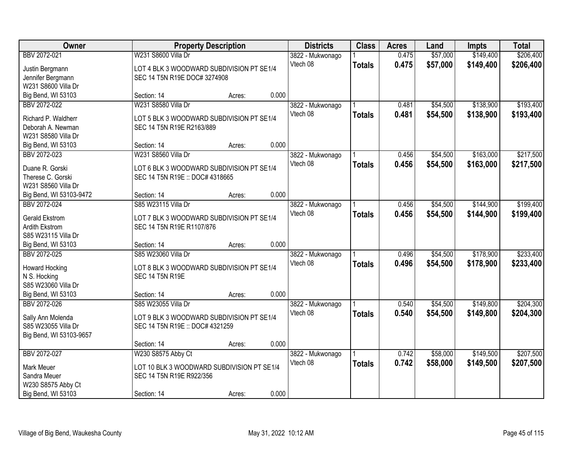| Owner                   | <b>Property Description</b>                |        |       | <b>Districts</b> | <b>Class</b>  | <b>Acres</b> | Land     | <b>Impts</b> | <b>Total</b> |
|-------------------------|--------------------------------------------|--------|-------|------------------|---------------|--------------|----------|--------------|--------------|
| BBV 2072-021            | W231 S8600 Villa Dr                        |        |       | 3822 - Mukwonago |               | 0.475        | \$57,000 | \$149,400    | \$206,400    |
| Justin Bergmann         | LOT 4 BLK 3 WOODWARD SUBDIVISION PT SE1/4  |        |       | Vtech 08         | <b>Totals</b> | 0.475        | \$57,000 | \$149,400    | \$206,400    |
| Jennifer Bergmann       | SEC 14 T5N R19E DOC# 3274908               |        |       |                  |               |              |          |              |              |
| W231 S8600 Villa Dr     |                                            |        |       |                  |               |              |          |              |              |
| Big Bend, WI 53103      | Section: 14                                | Acres: | 0.000 |                  |               |              |          |              |              |
| BBV 2072-022            | W231 S8580 Villa Dr                        |        |       | 3822 - Mukwonago |               | 0.481        | \$54,500 | \$138,900    | \$193,400    |
|                         |                                            |        |       | Vtech 08         | <b>Totals</b> | 0.481        | \$54,500 | \$138,900    | \$193,400    |
| Richard P. Waldherr     | LOT 5 BLK 3 WOODWARD SUBDIVISION PT SE1/4  |        |       |                  |               |              |          |              |              |
| Deborah A. Newman       | SEC 14 T5N R19E R2163/889                  |        |       |                  |               |              |          |              |              |
| W231 S8580 Villa Dr     |                                            |        |       |                  |               |              |          |              |              |
| Big Bend, WI 53103      | Section: 14                                | Acres: | 0.000 |                  |               |              |          |              |              |
| BBV 2072-023            | W231 S8560 Villa Dr                        |        |       | 3822 - Mukwonago |               | 0.456        | \$54,500 | \$163,000    | \$217,500    |
| Duane R. Gorski         | LOT 6 BLK 3 WOODWARD SUBDIVISION PT SE1/4  |        |       | Vtech 08         | <b>Totals</b> | 0.456        | \$54,500 | \$163,000    | \$217,500    |
| Therese C. Gorski       | SEC 14 T5N R19E :: DOC# 4318665            |        |       |                  |               |              |          |              |              |
| W231 S8560 Villa Dr     |                                            |        |       |                  |               |              |          |              |              |
| Big Bend, WI 53103-9472 | Section: 14                                | Acres: | 0.000 |                  |               |              |          |              |              |
| BBV 2072-024            | S85 W23115 Villa Dr                        |        |       | 3822 - Mukwonago |               | 0.456        | \$54,500 | \$144,900    | \$199,400    |
|                         |                                            |        |       | Vtech 08         | <b>Totals</b> | 0.456        | \$54,500 | \$144,900    | \$199,400    |
| Gerald Ekstrom          | LOT 7 BLK 3 WOODWARD SUBDIVISION PT SE1/4  |        |       |                  |               |              |          |              |              |
| Ardith Ekstrom          | SEC 14 T5N R19E R1107/876                  |        |       |                  |               |              |          |              |              |
| S85 W23115 Villa Dr     |                                            |        |       |                  |               |              |          |              |              |
| Big Bend, WI 53103      | Section: 14                                | Acres: | 0.000 |                  |               |              |          |              |              |
| BBV 2072-025            | S85 W23060 Villa Dr                        |        |       | 3822 - Mukwonago |               | 0.496        | \$54,500 | \$178,900    | \$233,400    |
| <b>Howard Hocking</b>   | LOT 8 BLK 3 WOODWARD SUBDIVISION PT SE1/4  |        |       | Vtech 08         | <b>Totals</b> | 0.496        | \$54,500 | \$178,900    | \$233,400    |
| N S. Hocking            | <b>SEC 14 T5N R19E</b>                     |        |       |                  |               |              |          |              |              |
| S85 W23060 Villa Dr     |                                            |        |       |                  |               |              |          |              |              |
| Big Bend, WI 53103      | Section: 14                                | Acres: | 0.000 |                  |               |              |          |              |              |
| BBV 2072-026            | S85 W23055 Villa Dr                        |        |       | 3822 - Mukwonago |               | 0.540        | \$54,500 | \$149,800    | \$204,300    |
|                         |                                            |        |       | Vtech 08         | <b>Totals</b> | 0.540        | \$54,500 | \$149,800    | \$204,300    |
| Sally Ann Molenda       | LOT 9 BLK 3 WOODWARD SUBDIVISION PT SE1/4  |        |       |                  |               |              |          |              |              |
| S85 W23055 Villa Dr     | SEC 14 T5N R19E :: DOC# 4321259            |        |       |                  |               |              |          |              |              |
| Big Bend, WI 53103-9657 |                                            |        | 0.000 |                  |               |              |          |              |              |
|                         | Section: 14                                | Acres: |       |                  |               |              |          |              |              |
| BBV 2072-027            | W230 S8575 Abby Ct                         |        |       | 3822 - Mukwonago |               | 0.742        | \$58,000 | \$149,500    | \$207,500    |
| Mark Meuer              | LOT 10 BLK 3 WOODWARD SUBDIVISION PT SE1/4 |        |       | Vtech 08         | <b>Totals</b> | 0.742        | \$58,000 | \$149,500    | \$207,500    |
| Sandra Meuer            | SEC 14 T5N R19E R922/356                   |        |       |                  |               |              |          |              |              |
| W230 S8575 Abby Ct      |                                            |        |       |                  |               |              |          |              |              |
| Big Bend, WI 53103      | Section: 14                                | Acres: | 0.000 |                  |               |              |          |              |              |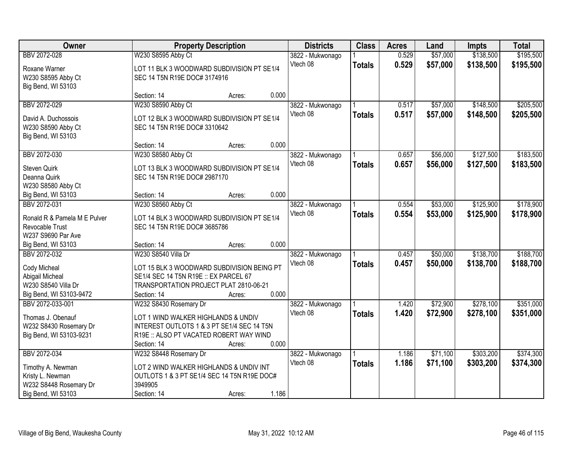| Owner                                  |                                                                                     | <b>Property Description</b> |       |                  | <b>Class</b>  | <b>Acres</b> | Land     | <b>Impts</b> | <b>Total</b> |
|----------------------------------------|-------------------------------------------------------------------------------------|-----------------------------|-------|------------------|---------------|--------------|----------|--------------|--------------|
| BBV 2072-028                           | W230 S8595 Abby Ct                                                                  |                             |       | 3822 - Mukwonago |               | 0.529        | \$57,000 | \$138,500    | \$195,500    |
| Roxane Warner                          | LOT 11 BLK 3 WOODWARD SUBDIVISION PT SE1/4                                          |                             |       | Vtech 08         | <b>Totals</b> | 0.529        | \$57,000 | \$138,500    | \$195,500    |
| W230 S8595 Abby Ct                     | SEC 14 T5N R19E DOC# 3174916                                                        |                             |       |                  |               |              |          |              |              |
| Big Bend, WI 53103                     |                                                                                     |                             |       |                  |               |              |          |              |              |
|                                        | Section: 14                                                                         | Acres:                      | 0.000 |                  |               |              |          |              |              |
| BBV 2072-029                           | W230 S8590 Abby Ct                                                                  |                             |       | 3822 - Mukwonago |               | 0.517        | \$57,000 | \$148,500    | \$205,500    |
| David A. Duchossois                    | LOT 12 BLK 3 WOODWARD SUBDIVISION PT SE1/4                                          |                             |       | Vtech 08         | <b>Totals</b> | 0.517        | \$57,000 | \$148,500    | \$205,500    |
| W230 S8590 Abby Ct                     | SEC 14 T5N R19E DOC# 3310642                                                        |                             |       |                  |               |              |          |              |              |
| Big Bend, WI 53103                     |                                                                                     |                             |       |                  |               |              |          |              |              |
|                                        | Section: 14                                                                         | Acres:                      | 0.000 |                  |               |              |          |              |              |
| BBV 2072-030                           | W230 S8580 Abby Ct                                                                  |                             |       | 3822 - Mukwonago |               | 0.657        | \$56,000 | \$127,500    | \$183,500    |
| Steven Quirk                           | LOT 13 BLK 3 WOODWARD SUBDIVISION PT SE1/4                                          |                             |       | Vtech 08         | <b>Totals</b> | 0.657        | \$56,000 | \$127,500    | \$183,500    |
| Deanna Quirk                           | SEC 14 T5N R19E DOC# 2987170                                                        |                             |       |                  |               |              |          |              |              |
| W230 S8580 Abby Ct                     |                                                                                     |                             |       |                  |               |              |          |              |              |
| Big Bend, WI 53103                     | Section: 14                                                                         | Acres:                      | 0.000 |                  |               |              |          |              |              |
| BBV 2072-031                           | W230 S8560 Abby Ct                                                                  |                             |       | 3822 - Mukwonago |               | 0.554        | \$53,000 | \$125,900    | \$178,900    |
| Ronald R & Pamela M E Pulver           | LOT 14 BLK 3 WOODWARD SUBDIVISION PT SE1/4                                          |                             |       | Vtech 08         | <b>Totals</b> | 0.554        | \$53,000 | \$125,900    | \$178,900    |
| Revocable Trust                        | SEC 14 T5N R19E DOC# 3685786                                                        |                             |       |                  |               |              |          |              |              |
| W237 S9690 Par Ave                     |                                                                                     |                             |       |                  |               |              |          |              |              |
| Big Bend, WI 53103                     | Section: 14                                                                         | Acres:                      | 0.000 |                  |               |              |          |              |              |
| BBV 2072-032                           | W230 S8540 Villa Dr                                                                 |                             |       | 3822 - Mukwonago |               | 0.457        | \$50,000 | \$138,700    | \$188,700    |
|                                        |                                                                                     |                             |       | Vtech 08         | <b>Totals</b> | 0.457        | \$50,000 | \$138,700    | \$188,700    |
| Cody Micheal                           | LOT 15 BLK 3 WOODWARD SUBDIVISION BEING PT<br>SE1/4 SEC 14 T5N R19E :: EX PARCEL 67 |                             |       |                  |               |              |          |              |              |
| Abigail Micheal<br>W230 S8540 Villa Dr | TRANSPORTATION PROJECT PLAT 2810-06-21                                              |                             |       |                  |               |              |          |              |              |
| Big Bend, WI 53103-9472                | Section: 14                                                                         | Acres:                      | 0.000 |                  |               |              |          |              |              |
| BBV 2072-033-001                       | W232 S8430 Rosemary Dr                                                              |                             |       | 3822 - Mukwonago |               | 1.420        | \$72,900 | \$278,100    | \$351,000    |
|                                        |                                                                                     |                             |       | Vtech 08         | <b>Totals</b> | 1.420        | \$72,900 | \$278,100    | \$351,000    |
| Thomas J. Obenauf                      | LOT 1 WIND WALKER HIGHLANDS & UNDIV                                                 |                             |       |                  |               |              |          |              |              |
| W232 S8430 Rosemary Dr                 | INTEREST OUTLOTS 1 & 3 PT SE1/4 SEC 14 T5N                                          |                             |       |                  |               |              |          |              |              |
| Big Bend, WI 53103-9231                | R19E :: ALSO PT VACATED ROBERT WAY WIND                                             |                             |       |                  |               |              |          |              |              |
|                                        | Section: 14                                                                         | Acres:                      | 0.000 |                  |               |              |          |              |              |
| BBV 2072-034                           | W232 S8448 Rosemary Dr                                                              |                             |       | 3822 - Mukwonago |               | 1.186        | \$71,100 | \$303,200    | \$374,300    |
| Timothy A. Newman                      | LOT 2 WIND WALKER HIGHLANDS & UNDIV INT                                             |                             |       | Vtech 08         | <b>Totals</b> | 1.186        | \$71,100 | \$303,200    | \$374,300    |
| Kristy L. Newman                       | OUTLOTS 1 & 3 PT SE1/4 SEC 14 T5N R19E DOC#                                         |                             |       |                  |               |              |          |              |              |
| W232 S8448 Rosemary Dr                 | 3949905                                                                             |                             |       |                  |               |              |          |              |              |
| Big Bend, WI 53103                     | Section: 14                                                                         | Acres:                      | 1.186 |                  |               |              |          |              |              |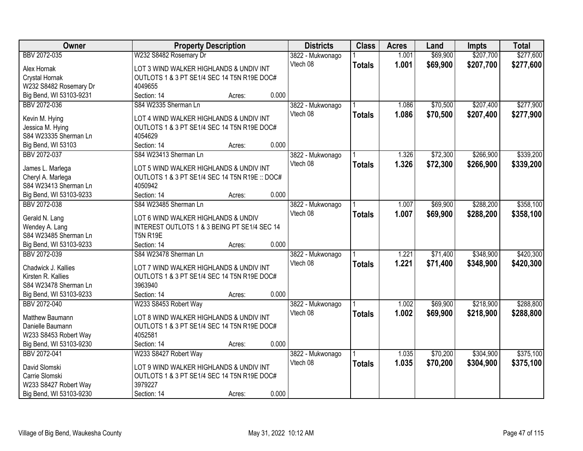| Owner                   | <b>Property Description</b>                    |        |       | <b>Districts</b> | <b>Class</b>  | <b>Acres</b> | Land     | <b>Impts</b> | <b>Total</b> |
|-------------------------|------------------------------------------------|--------|-------|------------------|---------------|--------------|----------|--------------|--------------|
| BBV 2072-035            | W232 S8482 Rosemary Dr                         |        |       | 3822 - Mukwonago |               | 1.001        | \$69,900 | \$207,700    | \$277,600    |
| Alex Hornak             | LOT 3 WIND WALKER HIGHLANDS & UNDIV INT        |        |       | Vtech 08         | <b>Totals</b> | 1.001        | \$69,900 | \$207,700    | \$277,600    |
| Crystal Hornak          | OUTLOTS 1 & 3 PT SE1/4 SEC 14 T5N R19E DOC#    |        |       |                  |               |              |          |              |              |
| W232 S8482 Rosemary Dr  | 4049655                                        |        |       |                  |               |              |          |              |              |
| Big Bend, WI 53103-9231 | Section: 14                                    | Acres: | 0.000 |                  |               |              |          |              |              |
| BBV 2072-036            | S84 W2335 Sherman Ln                           |        |       | 3822 - Mukwonago |               | 1.086        | \$70,500 | \$207,400    | \$277,900    |
|                         |                                                |        |       | Vtech 08         | <b>Totals</b> | 1.086        | \$70,500 | \$207,400    | \$277,900    |
| Kevin M. Hying          | LOT 4 WIND WALKER HIGHLANDS & UNDIV INT        |        |       |                  |               |              |          |              |              |
| Jessica M. Hying        | OUTLOTS 1 & 3 PT SE1/4 SEC 14 T5N R19E DOC#    |        |       |                  |               |              |          |              |              |
| S84 W23335 Sherman Ln   | 4054629                                        |        |       |                  |               |              |          |              |              |
| Big Bend, WI 53103      | Section: 14                                    | Acres: | 0.000 |                  |               |              |          |              |              |
| BBV 2072-037            | S84 W23413 Sherman Ln                          |        |       | 3822 - Mukwonago |               | 1.326        | \$72,300 | \$266,900    | \$339,200    |
| James L. Marlega        | LOT 5 WIND WALKER HIGHLANDS & UNDIV INT        |        |       | Vtech 08         | <b>Totals</b> | 1.326        | \$72,300 | \$266,900    | \$339,200    |
| Cheryl A. Marlega       | OUTLOTS 1 & 3 PT SE1/4 SEC 14 T5N R19E :: DOC# |        |       |                  |               |              |          |              |              |
| S84 W23413 Sherman Ln   | 4050942                                        |        |       |                  |               |              |          |              |              |
| Big Bend, WI 53103-9233 | Section: 14                                    | Acres: | 0.000 |                  |               |              |          |              |              |
| BBV 2072-038            | S84 W23485 Sherman Ln                          |        |       | 3822 - Mukwonago |               | 1.007        | \$69,900 | \$288,200    | \$358,100    |
|                         |                                                |        |       | Vtech 08         | <b>Totals</b> | 1.007        | \$69,900 | \$288,200    | \$358,100    |
| Gerald N. Lang          | LOT 6 WIND WALKER HIGHLANDS & UNDIV            |        |       |                  |               |              |          |              |              |
| Wendey A. Lang          | INTEREST OUTLOTS 1 & 3 BEING PT SE1/4 SEC 14   |        |       |                  |               |              |          |              |              |
| S84 W23485 Sherman Ln   | <b>T5N R19E</b>                                |        |       |                  |               |              |          |              |              |
| Big Bend, WI 53103-9233 | Section: 14                                    | Acres: | 0.000 |                  |               |              |          |              |              |
| BBV 2072-039            | S84 W23478 Sherman Ln                          |        |       | 3822 - Mukwonago |               | 1.221        | \$71,400 | \$348,900    | \$420,300    |
| Chadwick J. Kallies     | LOT 7 WIND WALKER HIGHLANDS & UNDIV INT        |        |       | Vtech 08         | <b>Totals</b> | 1.221        | \$71,400 | \$348,900    | \$420,300    |
| Kirsten R. Kallies      | OUTLOTS 1 & 3 PT SE1/4 SEC 14 T5N R19E DOC#    |        |       |                  |               |              |          |              |              |
| S84 W23478 Sherman Ln   | 3963940                                        |        |       |                  |               |              |          |              |              |
| Big Bend, WI 53103-9233 | Section: 14                                    | Acres: | 0.000 |                  |               |              |          |              |              |
| BBV 2072-040            | W233 S8453 Robert Way                          |        |       | 3822 - Mukwonago |               | 1.002        | \$69,900 | \$218,900    | \$288,800    |
|                         |                                                |        |       | Vtech 08         | <b>Totals</b> | 1.002        | \$69,900 | \$218,900    | \$288,800    |
| Matthew Baumann         | LOT 8 WIND WALKER HIGHLANDS & UNDIV INT        |        |       |                  |               |              |          |              |              |
| Danielle Baumann        | OUTLOTS 1 & 3 PT SE1/4 SEC 14 T5N R19E DOC#    |        |       |                  |               |              |          |              |              |
| W233 S8453 Robert Way   | 4052581                                        |        |       |                  |               |              |          |              |              |
| Big Bend, WI 53103-9230 | Section: 14                                    | Acres: | 0.000 |                  |               |              |          |              |              |
| BBV 2072-041            | W233 S8427 Robert Way                          |        |       | 3822 - Mukwonago |               | 1.035        | \$70,200 | \$304,900    | \$375,100    |
| David Slomski           | LOT 9 WIND WALKER HIGHLANDS & UNDIV INT        |        |       | Vtech 08         | <b>Totals</b> | 1.035        | \$70,200 | \$304,900    | \$375,100    |
| Carrie Slomski          | OUTLOTS 1 & 3 PT SE1/4 SEC 14 T5N R19E DOC#    |        |       |                  |               |              |          |              |              |
| W233 S8427 Robert Way   | 3979227                                        |        |       |                  |               |              |          |              |              |
| Big Bend, WI 53103-9230 | Section: 14                                    | Acres: | 0.000 |                  |               |              |          |              |              |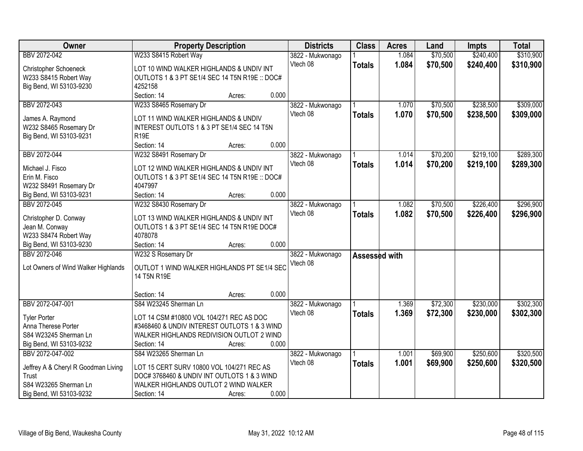| Owner                                   | <b>Property Description</b>                    |        |       | <b>Districts</b>             | <b>Class</b>  | <b>Acres</b> | Land     | <b>Impts</b> | <b>Total</b> |
|-----------------------------------------|------------------------------------------------|--------|-------|------------------------------|---------------|--------------|----------|--------------|--------------|
| BBV 2072-042                            | W233 S8415 Robert Way                          |        |       | 3822 - Mukwonago             |               | 1.084        | \$70,500 | \$240,400    | \$310,900    |
| Christopher Schoeneck                   | LOT 10 WIND WALKER HIGHLANDS & UNDIV INT       |        |       | Vtech 08                     | <b>Totals</b> | 1.084        | \$70,500 | \$240,400    | \$310,900    |
| W233 S8415 Robert Way                   | OUTLOTS 1 & 3 PT SE1/4 SEC 14 T5N R19E :: DOC# |        |       |                              |               |              |          |              |              |
| Big Bend, WI 53103-9230                 | 4252158                                        |        |       |                              |               |              |          |              |              |
|                                         | Section: 14                                    | Acres: | 0.000 |                              |               |              |          |              |              |
| BBV 2072-043                            | W233 S8465 Rosemary Dr                         |        |       | 3822 - Mukwonago             |               | 1.070        | \$70,500 | \$238,500    | \$309,000    |
| James A. Raymond                        | LOT 11 WIND WALKER HIGHLANDS & UNDIV           |        |       | Vtech 08                     | <b>Totals</b> | 1.070        | \$70,500 | \$238,500    | \$309,000    |
| W232 S8465 Rosemary Dr                  | INTEREST OUTLOTS 1 & 3 PT SE1/4 SEC 14 T5N     |        |       |                              |               |              |          |              |              |
| Big Bend, WI 53103-9231                 | R <sub>19E</sub>                               |        |       |                              |               |              |          |              |              |
|                                         | Section: 14                                    | Acres: | 0.000 |                              |               |              |          |              |              |
| BBV 2072-044                            | W232 S8491 Rosemary Dr                         |        |       | 3822 - Mukwonago             |               | 1.014        | \$70,200 | \$219,100    | \$289,300    |
|                                         |                                                |        |       | Vtech 08                     | <b>Totals</b> | 1.014        | \$70,200 | \$219,100    | \$289,300    |
| Michael J. Fisco                        | LOT 12 WIND WALKER HIGHLANDS & UNDIV INT       |        |       |                              |               |              |          |              |              |
| Erin M. Fisco                           | OUTLOTS 1 & 3 PT SE1/4 SEC 14 T5N R19E :: DOC# |        |       |                              |               |              |          |              |              |
| W232 S8491 Rosemary Dr                  | 4047997<br>Section: 14                         |        | 0.000 |                              |               |              |          |              |              |
| Big Bend, WI 53103-9231<br>BBV 2072-045 | W232 S8430 Rosemary Dr                         | Acres: |       |                              |               | 1.082        | \$70,500 | \$226,400    | \$296,900    |
|                                         |                                                |        |       | 3822 - Mukwonago<br>Vtech 08 |               |              |          |              |              |
| Christopher D. Conway                   | LOT 13 WIND WALKER HIGHLANDS & UNDIV INT       |        |       |                              | <b>Totals</b> | 1.082        | \$70,500 | \$226,400    | \$296,900    |
| Jean M. Conway                          | OUTLOTS 1 & 3 PT SE1/4 SEC 14 T5N R19E DOC#    |        |       |                              |               |              |          |              |              |
| W233 S8474 Robert Way                   | 4078078                                        |        |       |                              |               |              |          |              |              |
| Big Bend, WI 53103-9230                 | Section: 14                                    | Acres: | 0.000 |                              |               |              |          |              |              |
| BBV 2072-046                            | W232 S Rosemary Dr                             |        |       | 3822 - Mukwonago             | Assessed with |              |          |              |              |
| Lot Owners of Wind Walker Highlands     | OUTLOT 1 WIND WALKER HIGHLANDS PT SE1/4 SEC    |        |       | Vtech 08                     |               |              |          |              |              |
|                                         | 14 T5N R19E                                    |        |       |                              |               |              |          |              |              |
|                                         |                                                |        |       |                              |               |              |          |              |              |
|                                         | Section: 14                                    | Acres: | 0.000 |                              |               |              |          |              |              |
| BBV 2072-047-001                        | S84 W23245 Sherman Ln                          |        |       | 3822 - Mukwonago             |               | 1.369        | \$72,300 | \$230,000    | \$302,300    |
| <b>Tyler Porter</b>                     | LOT 14 CSM #10800 VOL 104/271 REC AS DOC       |        |       | Vtech 08                     | <b>Totals</b> | 1.369        | \$72,300 | \$230,000    | \$302,300    |
| Anna Therese Porter                     | #3468460 & UNDIV INTEREST OUTLOTS 1 & 3 WIND   |        |       |                              |               |              |          |              |              |
| S84 W23245 Sherman Ln                   | WALKER HIGHLANDS REDIVISION OUTLOT 2 WIND      |        |       |                              |               |              |          |              |              |
| Big Bend, WI 53103-9232                 | Section: 14                                    | Acres: | 0.000 |                              |               |              |          |              |              |
| BBV 2072-047-002                        | S84 W23265 Sherman Ln                          |        |       | 3822 - Mukwonago             |               | 1.001        | \$69,900 | \$250,600    | \$320,500    |
|                                         |                                                |        |       | Vtech 08                     | <b>Totals</b> | 1.001        | \$69,900 | \$250,600    | \$320,500    |
| Jeffrey A & Cheryl R Goodman Living     | LOT 15 CERT SURV 10800 VOL 104/271 REC AS      |        |       |                              |               |              |          |              |              |
| Trust                                   | DOC# 3768460 & UNDIV INT OUTLOTS 1 & 3 WIND    |        |       |                              |               |              |          |              |              |
| S84 W23265 Sherman Ln                   | WALKER HIGHLANDS OUTLOT 2 WIND WALKER          |        | 0.000 |                              |               |              |          |              |              |
| Big Bend, WI 53103-9232                 | Section: 14                                    | Acres: |       |                              |               |              |          |              |              |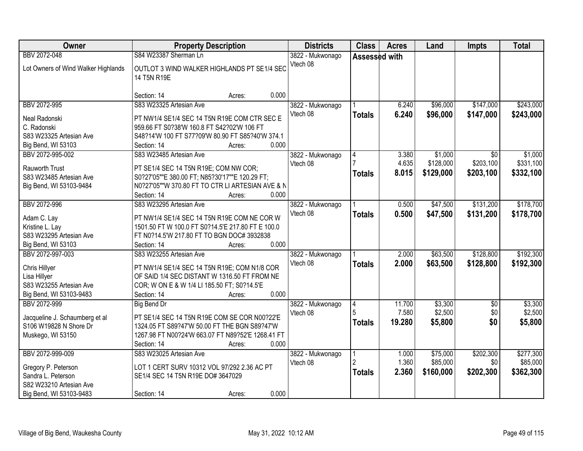| Owner                                                                                                               | <b>Property Description</b>                                                                                                                                                                                 | <b>Districts</b>             | <b>Class</b>            | <b>Acres</b>              | Land                              | <b>Impts</b>                  | <b>Total</b>                       |
|---------------------------------------------------------------------------------------------------------------------|-------------------------------------------------------------------------------------------------------------------------------------------------------------------------------------------------------------|------------------------------|-------------------------|---------------------------|-----------------------------------|-------------------------------|------------------------------------|
| BBV 2072-048<br>Lot Owners of Wind Walker Highlands                                                                 | S84 W23387 Sherman Ln<br>OUTLOT 3 WIND WALKER HIGHLANDS PT SE1/4 SEC<br>14 T5N R19E                                                                                                                         | 3822 - Mukwonago<br>Vtech 08 | Assessed with           |                           |                                   |                               |                                    |
|                                                                                                                     | 0.000<br>Section: 14<br>Acres:                                                                                                                                                                              |                              |                         |                           |                                   |                               |                                    |
| BBV 2072-995<br>Neal Radonski<br>C. Radonski<br>S83 W23325 Artesian Ave<br>Big Bend, WI 53103                       | S83 W23325 Artesian Ave<br>PT NW1/4 SE1/4 SEC 14 T5N R19E COM CTR SEC E<br>959.66 FT S0?38'W 160.8 FT S42?02'W 106 FT<br>S48?14'W 100 FT S77?09'W 80.90 FT S85?40'W 374.1<br>0.000<br>Section: 14<br>Acres: | 3822 - Mukwonago<br>Vtech 08 | <b>Totals</b>           | 6.240<br>6.240            | \$96,000<br>\$96,000              | \$147,000<br>\$147,000        | \$243,000<br>\$243,000             |
| BBV 2072-995-002<br><b>Rauworth Trust</b><br>S83 W23485 Artesian Ave<br>Big Bend, WI 53103-9484                     | S83 W23485 Artesian Ave<br>PT SE1/4 SEC 14 T5N R19E; COM NW COR;<br>S0?27'05""E 380.00 FT; N85?30'17""E 120.29 FT;<br>N0?27'05""W 370.80 FT TO CTR LI ARTESIAN AVE & N<br>Section: 14<br>0.000<br>Acres:    | 3822 - Mukwonago<br>Vtech 08 | <b>Totals</b>           | 3.380<br>4.635<br>8.015   | \$1,000<br>\$128,000<br>\$129,000 | \$0<br>\$203,100<br>\$203,100 | \$1,000<br>\$331,100<br>\$332,100  |
| BBV 2072-996<br>Adam C. Lay<br>Kristine L. Lay<br>S83 W23295 Artesian Ave<br>Big Bend, WI 53103                     | S83 W23295 Artesian Ave<br>PT NW1/4 SE1/4 SEC 14 T5N R19E COM NE COR W<br>1501.50 FT W 100.0 FT S0?14.5'E 217.80 FT E 100.0<br>FT N0?14.5'W 217.80 FT TO BGN DOC# 3932838<br>0.000<br>Section: 14<br>Acres: | 3822 - Mukwonago<br>Vtech 08 | <b>Totals</b>           | 0.500<br>0.500            | \$47,500<br>\$47,500              | \$131,200<br>\$131,200        | \$178,700<br>\$178,700             |
| BBV 2072-997-003<br>Chris Hillyer<br>Lisa Hillyer<br>S83 W23255 Artesian Ave<br>Big Bend, WI 53103-9483             | S83 W23255 Artesian Ave<br>PT NW1/4 SE1/4 SEC 14 T5N R19E; COM N1/8 COR<br>OF SAID 1/4 SEC DISTANT W 1316.50 FT FROM NE<br>COR; W ON E & W 1/4 LI 185.50 FT; S0?14.5'E<br>0.000<br>Section: 14<br>Acres:    | 3822 - Mukwonago<br>Vtech 08 | <b>Totals</b>           | 2.000<br>2.000            | \$63,500<br>\$63,500              | \$128,800<br>\$128,800        | \$192,300<br>\$192,300             |
| BBV 2072-999<br>Jacqueline J. Schaumberg et al<br>S106 W19828 N Shore Dr<br>Muskego, WI 53150                       | <b>Big Bend Dr</b><br>PT SE1/4 SEC 14 T5N R19E COM SE COR N00?22'E<br>1324.05 FT S89?47'W 50.00 FT THE BGN S89?47'W<br>1267.98 FT N00?24'W 663.07 FT N89?52'E 1268.41 FT<br>Section: 14<br>0.000<br>Acres:  | 3822 - Mukwonago<br>Vtech 08 | 4<br>5<br><b>Totals</b> | 11.700<br>7.580<br>19.280 | \$3,300<br>\$2,500<br>\$5,800     | $\overline{50}$<br>\$0<br>\$0 | \$3,300<br>\$2,500<br>\$5,800      |
| BBV 2072-999-009<br>Gregory P. Peterson<br>Sandra L. Peterson<br>S82 W23210 Artesian Ave<br>Big Bend, WI 53103-9483 | S83 W23025 Artesian Ave<br>LOT 1 CERT SURV 10312 VOL 97/292 2.36 AC PT<br>SE1/4 SEC 14 T5N R19E DO# 3647029<br>0.000<br>Section: 14<br>Acres:                                                               | 3822 - Mukwonago<br>Vtech 08 | 2<br><b>Totals</b>      | 1.000<br>1.360<br>2.360   | \$75,000<br>\$85,000<br>\$160,000 | \$202,300<br>\$0<br>\$202,300 | \$277,300<br>\$85,000<br>\$362,300 |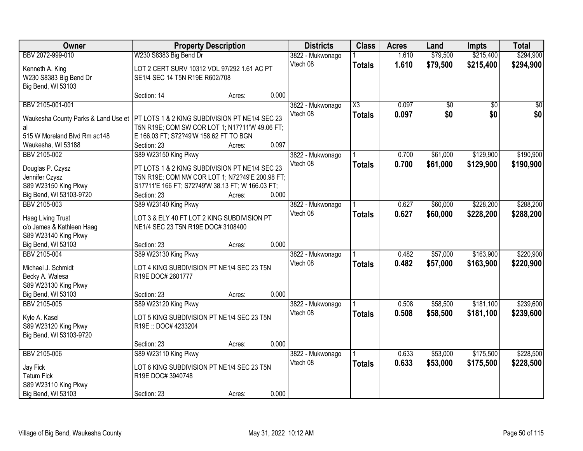| Owner                                           | <b>Property Description</b>                                     |        |       | <b>Districts</b> | <b>Class</b>        | <b>Acres</b> | Land     | <b>Impts</b>    | <b>Total</b> |
|-------------------------------------------------|-----------------------------------------------------------------|--------|-------|------------------|---------------------|--------------|----------|-----------------|--------------|
| BBV 2072-999-010                                | W230 S8383 Big Bend Dr                                          |        |       | 3822 - Mukwonago |                     | 1.610        | \$79,500 | \$215,400       | \$294,900    |
| Kenneth A. King                                 | LOT 2 CERT SURV 10312 VOL 97/292 1.61 AC PT                     |        |       | Vtech 08         | <b>Totals</b>       | 1.610        | \$79,500 | \$215,400       | \$294,900    |
| W230 S8383 Big Bend Dr                          | SE1/4 SEC 14 T5N R19E R602/708                                  |        |       |                  |                     |              |          |                 |              |
| Big Bend, WI 53103                              |                                                                 |        |       |                  |                     |              |          |                 |              |
|                                                 | Section: 14                                                     | Acres: | 0.000 |                  |                     |              |          |                 |              |
| BBV 2105-001-001                                |                                                                 |        |       | 3822 - Mukwonago | $\overline{\chi_3}$ | 0.097        | \$0      | $\overline{50}$ | $\sqrt{50}$  |
| Waukesha County Parks & Land Use et             | PT LOTS 1 & 2 KING SUBDIVISION PT NE1/4 SEC 23                  |        |       | Vtech 08         | <b>Totals</b>       | 0.097        | \$0      | \$0             | \$0          |
| al                                              | T5N R19E; COM SW COR LOT 1; N17?11'W 49.06 FT;                  |        |       |                  |                     |              |          |                 |              |
| 515 W Moreland Blvd Rm ac148                    | E 166.03 FT; S72?49'W 158.62 FT TO BGN                          |        |       |                  |                     |              |          |                 |              |
| Waukesha, WI 53188                              | Section: 23                                                     | Acres: | 0.097 |                  |                     |              |          |                 |              |
| BBV 2105-002                                    | S89 W23150 King Pkwy                                            |        |       | 3822 - Mukwonago |                     | 0.700        | \$61,000 | \$129,900       | \$190,900    |
| Douglas P. Czysz                                | PT LOTS 1 & 2 KING SUBDIVISION PT NE1/4 SEC 23                  |        |       | Vtech 08         | <b>Totals</b>       | 0.700        | \$61,000 | \$129,900       | \$190,900    |
| Jennifer Czysz                                  | T5N R19E; COM NW COR LOT 1; N72?49'E 200.98 FT;                 |        |       |                  |                     |              |          |                 |              |
| S89 W23150 King Pkwy                            | S17?11'E 166 FT; S72?49'W 38.13 FT; W 166.03 FT;                |        |       |                  |                     |              |          |                 |              |
| Big Bend, WI 53103-9720                         | Section: 23                                                     | Acres: | 0.000 |                  |                     |              |          |                 |              |
| BBV 2105-003                                    | S89 W23140 King Pkwy                                            |        |       | 3822 - Mukwonago |                     | 0.627        | \$60,000 | \$228,200       | \$288,200    |
| Haag Living Trust                               | LOT 3 & ELY 40 FT LOT 2 KING SUBDIVISION PT                     |        |       | Vtech 08         | <b>Totals</b>       | 0.627        | \$60,000 | \$228,200       | \$288,200    |
| c/o James & Kathleen Haag                       | NE1/4 SEC 23 T5N R19E DOC# 3108400                              |        |       |                  |                     |              |          |                 |              |
| S89 W23140 King Pkwy                            |                                                                 |        |       |                  |                     |              |          |                 |              |
| Big Bend, WI 53103                              | Section: 23                                                     | Acres: | 0.000 |                  |                     |              |          |                 |              |
| BBV 2105-004                                    | S89 W23130 King Pkwy                                            |        |       | 3822 - Mukwonago |                     | 0.482        | \$57,000 | \$163,900       | \$220,900    |
|                                                 |                                                                 |        |       | Vtech 08         | <b>Totals</b>       | 0.482        | \$57,000 | \$163,900       | \$220,900    |
| Michael J. Schmidt<br>Becky A. Walesa           | LOT 4 KING SUBDIVISION PT NE1/4 SEC 23 T5N<br>R19E DOC# 2601777 |        |       |                  |                     |              |          |                 |              |
| S89 W23130 King Pkwy                            |                                                                 |        |       |                  |                     |              |          |                 |              |
| Big Bend, WI 53103                              | Section: 23                                                     | Acres: | 0.000 |                  |                     |              |          |                 |              |
| BBV 2105-005                                    | S89 W23120 King Pkwy                                            |        |       | 3822 - Mukwonago |                     | 0.508        | \$58,500 | \$181,100       | \$239,600    |
|                                                 |                                                                 |        |       | Vtech 08         | <b>Totals</b>       | 0.508        | \$58,500 | \$181,100       | \$239,600    |
| Kyle A. Kasel                                   | LOT 5 KING SUBDIVISION PT NE1/4 SEC 23 T5N                      |        |       |                  |                     |              |          |                 |              |
| S89 W23120 King Pkwy<br>Big Bend, WI 53103-9720 | R19E: DOC# 4233204                                              |        |       |                  |                     |              |          |                 |              |
|                                                 | Section: 23                                                     | Acres: | 0.000 |                  |                     |              |          |                 |              |
| BBV 2105-006                                    | S89 W23110 King Pkwy                                            |        |       | 3822 - Mukwonago |                     | 0.633        | \$53,000 | \$175,500       | \$228,500    |
|                                                 |                                                                 |        |       | Vtech 08         | <b>Totals</b>       | 0.633        | \$53,000 | \$175,500       | \$228,500    |
| Jay Fick                                        | LOT 6 KING SUBDIVISION PT NE1/4 SEC 23 T5N                      |        |       |                  |                     |              |          |                 |              |
| <b>Tatum Fick</b>                               | R19E DOC# 3940748                                               |        |       |                  |                     |              |          |                 |              |
| S89 W23110 King Pkwy<br>Big Bend, WI 53103      | Section: 23                                                     |        | 0.000 |                  |                     |              |          |                 |              |
|                                                 |                                                                 | Acres: |       |                  |                     |              |          |                 |              |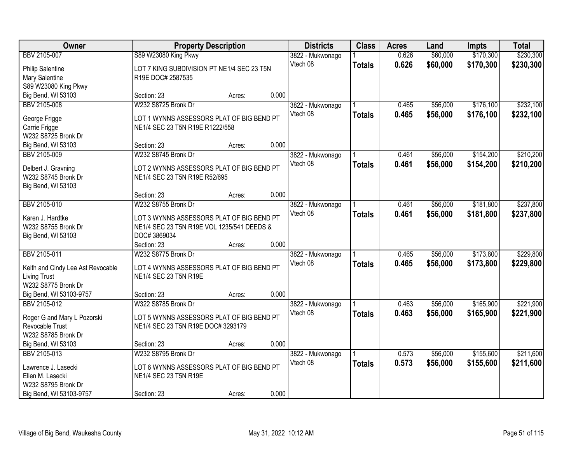| Owner                             | <b>Property Description</b>                |        |       | <b>Districts</b> | <b>Class</b>  | <b>Acres</b> | Land     | <b>Impts</b> | <b>Total</b> |
|-----------------------------------|--------------------------------------------|--------|-------|------------------|---------------|--------------|----------|--------------|--------------|
| BBV 2105-007                      | S89 W23080 King Pkwy                       |        |       | 3822 - Mukwonago |               | 0.626        | \$60,000 | \$170,300    | \$230,300    |
| <b>Philip Salentine</b>           | LOT 7 KING SUBDIVISION PT NE1/4 SEC 23 T5N |        |       | Vtech 08         | <b>Totals</b> | 0.626        | \$60,000 | \$170,300    | \$230,300    |
| Mary Salentine                    | R19E DOC# 2587535                          |        |       |                  |               |              |          |              |              |
| S89 W23080 King Pkwy              |                                            |        |       |                  |               |              |          |              |              |
| Big Bend, WI 53103                | Section: 23                                | Acres: | 0.000 |                  |               |              |          |              |              |
| BBV 2105-008                      | W232 S8725 Bronk Dr                        |        |       | 3822 - Mukwonago |               | 0.465        | \$56,000 | \$176,100    | \$232,100    |
|                                   |                                            |        |       | Vtech 08         | <b>Totals</b> | 0.465        | \$56,000 | \$176,100    | \$232,100    |
| George Frigge                     | LOT 1 WYNNS ASSESSORS PLAT OF BIG BEND PT  |        |       |                  |               |              |          |              |              |
| Carrie Frigge                     | NE1/4 SEC 23 T5N R19E R1222/558            |        |       |                  |               |              |          |              |              |
| W232 S8725 Bronk Dr               |                                            |        |       |                  |               |              |          |              |              |
| Big Bend, WI 53103                | Section: 23                                | Acres: | 0.000 |                  |               |              |          |              |              |
| BBV 2105-009                      | W232 S8745 Bronk Dr                        |        |       | 3822 - Mukwonago |               | 0.461        | \$56,000 | \$154,200    | \$210,200    |
| Delbert J. Gravning               | LOT 2 WYNNS ASSESSORS PLAT OF BIG BEND PT  |        |       | Vtech 08         | <b>Totals</b> | 0.461        | \$56,000 | \$154,200    | \$210,200    |
| W232 S8745 Bronk Dr               | NE1/4 SEC 23 T5N R19E R52/695              |        |       |                  |               |              |          |              |              |
| Big Bend, WI 53103                |                                            |        |       |                  |               |              |          |              |              |
|                                   | Section: 23                                | Acres: | 0.000 |                  |               |              |          |              |              |
| BBV 2105-010                      | W232 S8755 Bronk Dr                        |        |       | 3822 - Mukwonago |               | 0.461        | \$56,000 | \$181,800    | \$237,800    |
|                                   |                                            |        |       | Vtech 08         | <b>Totals</b> | 0.461        | \$56,000 | \$181,800    | \$237,800    |
| Karen J. Hardtke                  | LOT 3 WYNNS ASSESSORS PLAT OF BIG BEND PT  |        |       |                  |               |              |          |              |              |
| W232 S8755 Bronk Dr               | NE1/4 SEC 23 T5N R19E VOL 1235/541 DEEDS & |        |       |                  |               |              |          |              |              |
| Big Bend, WI 53103                | DOC#3869034                                |        |       |                  |               |              |          |              |              |
|                                   | Section: 23                                | Acres: | 0.000 |                  |               |              |          |              |              |
| BBV 2105-011                      | W232 S8775 Bronk Dr                        |        |       | 3822 - Mukwonago |               | 0.465        | \$56,000 | \$173,800    | \$229,800    |
| Keith and Cindy Lea Ast Revocable | LOT 4 WYNNS ASSESSORS PLAT OF BIG BEND PT  |        |       | Vtech 08         | <b>Totals</b> | 0.465        | \$56,000 | \$173,800    | \$229,800    |
| <b>Living Trust</b>               | NE1/4 SEC 23 T5N R19E                      |        |       |                  |               |              |          |              |              |
| W232 S8775 Bronk Dr               |                                            |        |       |                  |               |              |          |              |              |
| Big Bend, WI 53103-9757           | Section: 23                                | Acres: | 0.000 |                  |               |              |          |              |              |
| BBV 2105-012                      | W322 S8785 Bronk Dr                        |        |       | 3822 - Mukwonago |               | 0.463        | \$56,000 | \$165,900    | \$221,900    |
|                                   |                                            |        |       | Vtech 08         | <b>Totals</b> | 0.463        | \$56,000 | \$165,900    | \$221,900    |
| Roger G and Mary L Pozorski       | LOT 5 WYNNS ASSESSORS PLAT OF BIG BEND PT  |        |       |                  |               |              |          |              |              |
| Revocable Trust                   | NE1/4 SEC 23 T5N R19E DOC# 3293179         |        |       |                  |               |              |          |              |              |
| W232 S8785 Bronk Dr               |                                            |        |       |                  |               |              |          |              |              |
| Big Bend, WI 53103                | Section: 23                                | Acres: | 0.000 |                  |               |              |          |              |              |
| BBV 2105-013                      | W232 S8795 Bronk Dr                        |        |       | 3822 - Mukwonago |               | 0.573        | \$56,000 | \$155,600    | \$211,600    |
| Lawrence J. Lasecki               | LOT 6 WYNNS ASSESSORS PLAT OF BIG BEND PT  |        |       | Vtech 08         | <b>Totals</b> | 0.573        | \$56,000 | \$155,600    | \$211,600    |
| Ellen M. Lasecki                  | NE1/4 SEC 23 T5N R19E                      |        |       |                  |               |              |          |              |              |
| W232 S8795 Bronk Dr               |                                            |        |       |                  |               |              |          |              |              |
| Big Bend, WI 53103-9757           | Section: 23                                | Acres: | 0.000 |                  |               |              |          |              |              |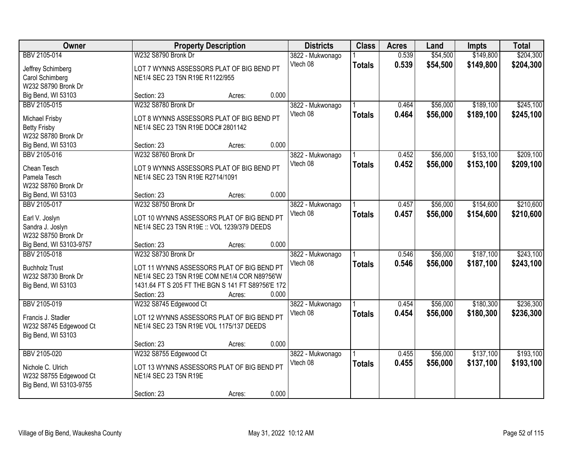| Owner                   |                                                   | <b>Property Description</b> |       | <b>Districts</b> | <b>Class</b>  | <b>Acres</b> | Land     | <b>Impts</b> | <b>Total</b> |
|-------------------------|---------------------------------------------------|-----------------------------|-------|------------------|---------------|--------------|----------|--------------|--------------|
| BBV 2105-014            | W232 S8790 Bronk Dr                               |                             |       | 3822 - Mukwonago |               | 0.539        | \$54,500 | \$149,800    | \$204,300    |
| Jeffrey Schimberg       | LOT 7 WYNNS ASSESSORS PLAT OF BIG BEND PT         |                             |       | Vtech 08         | <b>Totals</b> | 0.539        | \$54,500 | \$149,800    | \$204,300    |
| Carol Schimberg         | NE1/4 SEC 23 T5N R19E R1122/955                   |                             |       |                  |               |              |          |              |              |
| W232 S8790 Bronk Dr     |                                                   |                             |       |                  |               |              |          |              |              |
| Big Bend, WI 53103      | Section: 23                                       | Acres:                      | 0.000 |                  |               |              |          |              |              |
| BBV 2105-015            | W232 S8780 Bronk Dr                               |                             |       | 3822 - Mukwonago |               | 0.464        | \$56,000 | \$189,100    | \$245,100    |
|                         |                                                   |                             |       | Vtech 08         | <b>Totals</b> | 0.464        | \$56,000 | \$189,100    | \$245,100    |
| Michael Frisby          | LOT 8 WYNNS ASSESSORS PLAT OF BIG BEND PT         |                             |       |                  |               |              |          |              |              |
| <b>Betty Frisby</b>     | NE1/4 SEC 23 T5N R19E DOC# 2801142                |                             |       |                  |               |              |          |              |              |
| W232 S8780 Bronk Dr     |                                                   |                             |       |                  |               |              |          |              |              |
| Big Bend, WI 53103      | Section: 23                                       | Acres:                      | 0.000 |                  |               |              |          |              |              |
| BBV 2105-016            | W232 S8760 Bronk Dr                               |                             |       | 3822 - Mukwonago |               | 0.452        | \$56,000 | \$153,100    | \$209,100    |
| Chean Tesch             | LOT 9 WYNNS ASSESSORS PLAT OF BIG BEND PT         |                             |       | Vtech 08         | <b>Totals</b> | 0.452        | \$56,000 | \$153,100    | \$209,100    |
| Pamela Tesch            | NE1/4 SEC 23 T5N R19E R2714/1091                  |                             |       |                  |               |              |          |              |              |
| W232 S8760 Bronk Dr     |                                                   |                             |       |                  |               |              |          |              |              |
| Big Bend, WI 53103      | Section: 23                                       | Acres:                      | 0.000 |                  |               |              |          |              |              |
| BBV 2105-017            | W232 S8750 Bronk Dr                               |                             |       | 3822 - Mukwonago |               | 0.457        | \$56,000 | \$154,600    | \$210,600    |
|                         |                                                   |                             |       | Vtech 08         | <b>Totals</b> | 0.457        | \$56,000 | \$154,600    | \$210,600    |
| Earl V. Joslyn          | LOT 10 WYNNS ASSESSORS PLAT OF BIG BEND PT        |                             |       |                  |               |              |          |              |              |
| Sandra J. Joslyn        | NE1/4 SEC 23 T5N R19E :: VOL 1239/379 DEEDS       |                             |       |                  |               |              |          |              |              |
| W232 S8750 Bronk Dr     |                                                   |                             | 0.000 |                  |               |              |          |              |              |
| Big Bend, WI 53103-9757 | Section: 23                                       | Acres:                      |       |                  |               |              |          |              |              |
| BBV 2105-018            | W232 S8730 Bronk Dr                               |                             |       | 3822 - Mukwonago |               | 0.546        | \$56,000 | \$187,100    | \$243,100    |
| <b>Buchholz Trust</b>   | LOT 11 WYNNS ASSESSORS PLAT OF BIG BEND PT        |                             |       | Vtech 08         | <b>Totals</b> | 0.546        | \$56,000 | \$187,100    | \$243,100    |
| W232 S8730 Bronk Dr     | NE1/4 SEC 23 T5N R19E COM NE1/4 COR N89?56'W      |                             |       |                  |               |              |          |              |              |
| Big Bend, WI 53103      | 1431.64 FT S 205 FT THE BGN S 141 FT S89?56'E 172 |                             |       |                  |               |              |          |              |              |
|                         | Section: 23                                       | Acres:                      | 0.000 |                  |               |              |          |              |              |
| BBV 2105-019            | W232 S8745 Edgewood Ct                            |                             |       | 3822 - Mukwonago |               | 0.454        | \$56,000 | \$180,300    | \$236,300    |
| Francis J. Stadler      | LOT 12 WYNNS ASSESSORS PLAT OF BIG BEND PT        |                             |       | Vtech 08         | <b>Totals</b> | 0.454        | \$56,000 | \$180,300    | \$236,300    |
| W232 S8745 Edgewood Ct  | NE1/4 SEC 23 T5N R19E VOL 1175/137 DEEDS          |                             |       |                  |               |              |          |              |              |
| Big Bend, WI 53103      |                                                   |                             |       |                  |               |              |          |              |              |
|                         | Section: 23                                       | Acres:                      | 0.000 |                  |               |              |          |              |              |
| BBV 2105-020            | W232 S8755 Edgewood Ct                            |                             |       | 3822 - Mukwonago |               | 0.455        | \$56,000 | \$137,100    | \$193,100    |
|                         |                                                   |                             |       | Vtech 08         |               | 0.455        |          |              |              |
| Nichole C. Ulrich       | LOT 13 WYNNS ASSESSORS PLAT OF BIG BEND PT        |                             |       |                  | <b>Totals</b> |              | \$56,000 | \$137,100    | \$193,100    |
| W232 S8755 Edgewood Ct  | NE1/4 SEC 23 T5N R19E                             |                             |       |                  |               |              |          |              |              |
| Big Bend, WI 53103-9755 |                                                   |                             |       |                  |               |              |          |              |              |
|                         | Section: 23                                       | Acres:                      | 0.000 |                  |               |              |          |              |              |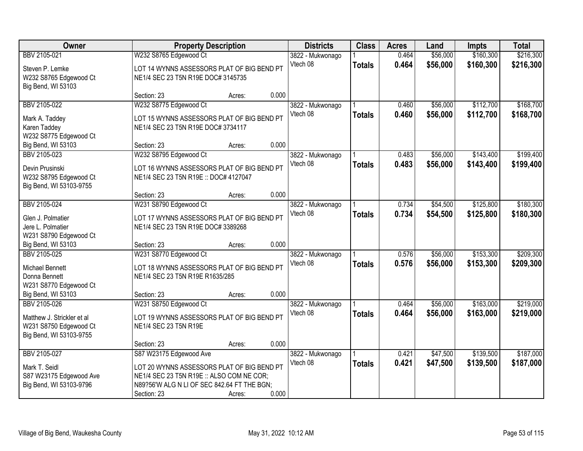| Owner                      |                                             | <b>Property Description</b> |       | <b>Districts</b> | <b>Class</b>  | <b>Acres</b> | Land     | <b>Impts</b> | <b>Total</b> |
|----------------------------|---------------------------------------------|-----------------------------|-------|------------------|---------------|--------------|----------|--------------|--------------|
| BBV 2105-021               | W232 S8765 Edgewood Ct                      |                             |       | 3822 - Mukwonago |               | 0.464        | \$56,000 | \$160,300    | \$216,300    |
| Steven P. Lemke            | LOT 14 WYNNS ASSESSORS PLAT OF BIG BEND PT  |                             |       | Vtech 08         | <b>Totals</b> | 0.464        | \$56,000 | \$160,300    | \$216,300    |
| W232 S8765 Edgewood Ct     | NE1/4 SEC 23 T5N R19E DOC# 3145735          |                             |       |                  |               |              |          |              |              |
| Big Bend, WI 53103         |                                             |                             |       |                  |               |              |          |              |              |
|                            | Section: 23                                 | Acres:                      | 0.000 |                  |               |              |          |              |              |
| BBV 2105-022               | W232 S8775 Edgewood Ct                      |                             |       | 3822 - Mukwonago |               | 0.460        | \$56,000 | \$112,700    | \$168,700    |
| Mark A. Taddey             | LOT 15 WYNNS ASSESSORS PLAT OF BIG BEND PT  |                             |       | Vtech 08         | <b>Totals</b> | 0.460        | \$56,000 | \$112,700    | \$168,700    |
| Karen Taddey               | NE1/4 SEC 23 T5N R19E DOC# 3734117          |                             |       |                  |               |              |          |              |              |
| W232 S8775 Edgewood Ct     |                                             |                             |       |                  |               |              |          |              |              |
| Big Bend, WI 53103         | Section: 23                                 | Acres:                      | 0.000 |                  |               |              |          |              |              |
| BBV 2105-023               | W232 S8795 Edgewood Ct                      |                             |       | 3822 - Mukwonago |               | 0.483        | \$56,000 | \$143,400    | \$199,400    |
| Devin Prusinski            | LOT 16 WYNNS ASSESSORS PLAT OF BIG BEND PT  |                             |       | Vtech 08         | <b>Totals</b> | 0.483        | \$56,000 | \$143,400    | \$199,400    |
| W232 S8795 Edgewood Ct     | NE1/4 SEC 23 T5N R19E :: DOC# 4127047       |                             |       |                  |               |              |          |              |              |
| Big Bend, WI 53103-9755    |                                             |                             |       |                  |               |              |          |              |              |
|                            | Section: 23                                 | Acres:                      | 0.000 |                  |               |              |          |              |              |
| BBV 2105-024               | W231 S8790 Edgewood Ct                      |                             |       | 3822 - Mukwonago |               | 0.734        | \$54,500 | \$125,800    | \$180,300    |
| Glen J. Polmatier          | LOT 17 WYNNS ASSESSORS PLAT OF BIG BEND PT  |                             |       | Vtech 08         | <b>Totals</b> | 0.734        | \$54,500 | \$125,800    | \$180,300    |
| Jere L. Polmatier          | NE1/4 SEC 23 T5N R19E DOC# 3389268          |                             |       |                  |               |              |          |              |              |
| W231 S8790 Edgewood Ct     |                                             |                             |       |                  |               |              |          |              |              |
| Big Bend, WI 53103         | Section: 23                                 | Acres:                      | 0.000 |                  |               |              |          |              |              |
| BBV 2105-025               | W231 S8770 Edgewood Ct                      |                             |       | 3822 - Mukwonago |               | 0.576        | \$56,000 | \$153,300    | \$209,300    |
| <b>Michael Bennett</b>     | LOT 18 WYNNS ASSESSORS PLAT OF BIG BEND PT  |                             |       | Vtech 08         | <b>Totals</b> | 0.576        | \$56,000 | \$153,300    | \$209,300    |
| Donna Bennett              | NE1/4 SEC 23 T5N R19E R1635/285             |                             |       |                  |               |              |          |              |              |
| W231 S8770 Edgewood Ct     |                                             |                             |       |                  |               |              |          |              |              |
| Big Bend, WI 53103         | Section: 23                                 | Acres:                      | 0.000 |                  |               |              |          |              |              |
| BBV 2105-026               | W231 S8750 Edgewood Ct                      |                             |       | 3822 - Mukwonago |               | 0.464        | \$56,000 | \$163,000    | \$219,000    |
| Matthew J. Strickler et al | LOT 19 WYNNS ASSESSORS PLAT OF BIG BEND PT  |                             |       | Vtech 08         | <b>Totals</b> | 0.464        | \$56,000 | \$163,000    | \$219,000    |
| W231 S8750 Edgewood Ct     | NE1/4 SEC 23 T5N R19E                       |                             |       |                  |               |              |          |              |              |
| Big Bend, WI 53103-9755    |                                             |                             |       |                  |               |              |          |              |              |
|                            | Section: 23                                 | Acres:                      | 0.000 |                  |               |              |          |              |              |
| BBV 2105-027               | S87 W23175 Edgewood Ave                     |                             |       | 3822 - Mukwonago |               | 0.421        | \$47,500 | \$139,500    | \$187,000    |
| Mark T. Seidl              | LOT 20 WYNNS ASSESSORS PLAT OF BIG BEND PT  |                             |       | Vtech 08         | <b>Totals</b> | 0.421        | \$47,500 | \$139,500    | \$187,000    |
| S87 W23175 Edgewood Ave    | NE1/4 SEC 23 T5N R19E :: ALSO COM NE COR;   |                             |       |                  |               |              |          |              |              |
| Big Bend, WI 53103-9796    | N89?56'W ALG N LI OF SEC 842.64 FT THE BGN; |                             |       |                  |               |              |          |              |              |
|                            | Section: 23                                 | Acres:                      | 0.000 |                  |               |              |          |              |              |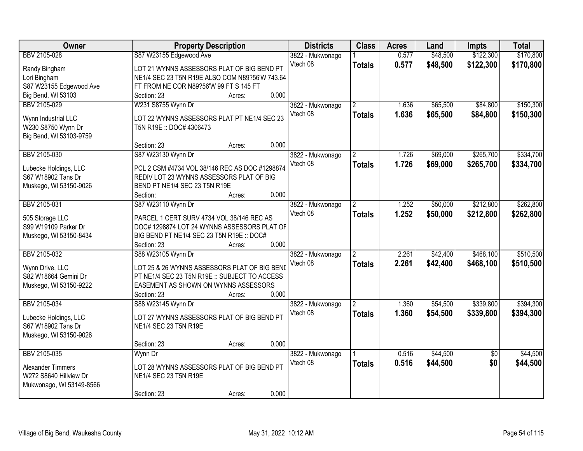| Owner                    | <b>Property Description</b>                    |        |       | <b>Districts</b> | <b>Class</b>   | <b>Acres</b> | Land     | <b>Impts</b>    | <b>Total</b> |
|--------------------------|------------------------------------------------|--------|-------|------------------|----------------|--------------|----------|-----------------|--------------|
| BBV 2105-028             | S87 W23155 Edgewood Ave                        |        |       | 3822 - Mukwonago |                | 0.577        | \$48,500 | \$122,300       | \$170,800    |
| Randy Bingham            | LOT 21 WYNNS ASSESSORS PLAT OF BIG BEND PT     |        |       | Vtech 08         | <b>Totals</b>  | 0.577        | \$48,500 | \$122,300       | \$170,800    |
| Lori Bingham             | NE1/4 SEC 23 T5N R19E ALSO COM N89?56'W 743.64 |        |       |                  |                |              |          |                 |              |
| S87 W23155 Edgewood Ave  | FT FROM NE COR N89?56'W 99 FT S 145 FT         |        |       |                  |                |              |          |                 |              |
| Big Bend, WI 53103       | Section: 23                                    | Acres: | 0.000 |                  |                |              |          |                 |              |
| BBV 2105-029             | W231 S8755 Wynn Dr                             |        |       | 3822 - Mukwonago | $\overline{2}$ | 1.636        | \$65,500 | \$84,800        | \$150,300    |
|                          |                                                |        |       | Vtech 08         | <b>Totals</b>  | 1.636        | \$65,500 | \$84,800        | \$150,300    |
| Wynn Industrial LLC      | LOT 22 WYNNS ASSESSORS PLAT PT NE1/4 SEC 23    |        |       |                  |                |              |          |                 |              |
| W230 S8750 Wynn Dr       | T5N R19E: DOC# 4306473                         |        |       |                  |                |              |          |                 |              |
| Big Bend, WI 53103-9759  |                                                |        |       |                  |                |              |          |                 |              |
|                          | Section: 23                                    | Acres: | 0.000 |                  |                |              |          |                 |              |
| BBV 2105-030             | S87 W23130 Wynn Dr                             |        |       | 3822 - Mukwonago |                | 1.726        | \$69,000 | \$265,700       | \$334,700    |
| Lubecke Holdings, LLC    | PCL 2 CSM #4734 VOL 38/146 REC AS DOC #1298874 |        |       | Vtech 08         | <b>Totals</b>  | 1.726        | \$69,000 | \$265,700       | \$334,700    |
| S67 W18902 Tans Dr       | REDIV LOT 23 WYNNS ASSESSORS PLAT OF BIG       |        |       |                  |                |              |          |                 |              |
| Muskego, WI 53150-9026   | BEND PT NE1/4 SEC 23 T5N R19E                  |        |       |                  |                |              |          |                 |              |
|                          | Section:                                       | Acres: | 0.000 |                  |                |              |          |                 |              |
| BBV 2105-031             | S87 W23110 Wynn Dr                             |        |       | 3822 - Mukwonago | $\overline{2}$ | 1.252        | \$50,000 | \$212,800       | \$262,800    |
|                          |                                                |        |       | Vtech 08         | <b>Totals</b>  | 1.252        | \$50,000 | \$212,800       | \$262,800    |
| 505 Storage LLC          | PARCEL 1 CERT SURV 4734 VOL 38/146 REC AS      |        |       |                  |                |              |          |                 |              |
| S99 W19109 Parker Dr     | DOC# 1298874 LOT 24 WYNNS ASSESSORS PLAT OF    |        |       |                  |                |              |          |                 |              |
| Muskego, WI 53150-8434   | BIG BEND PT NE1/4 SEC 23 T5N R19E :: DOC#      |        |       |                  |                |              |          |                 |              |
|                          | Section: 23                                    | Acres: | 0.000 |                  |                |              |          |                 |              |
| BBV 2105-032             | S88 W23105 Wynn Dr                             |        |       | 3822 - Mukwonago |                | 2.261        | \$42,400 | \$468,100       | \$510,500    |
| Wynn Drive, LLC          | LOT 25 & 26 WYNNS ASSESSORS PLAT OF BIG BEND   |        |       | Vtech 08         | <b>Totals</b>  | 2.261        | \$42,400 | \$468,100       | \$510,500    |
| S82 W18664 Gemini Dr     | PT NE1/4 SEC 23 T5N R19E :: SUBJECT TO ACCESS  |        |       |                  |                |              |          |                 |              |
| Muskego, WI 53150-9222   | EASEMENT AS SHOWN ON WYNNS ASSESSORS           |        |       |                  |                |              |          |                 |              |
|                          | Section: 23                                    | Acres: | 0.000 |                  |                |              |          |                 |              |
| BBV 2105-034             | S88 W23145 Wynn Dr                             |        |       | 3822 - Mukwonago | $\mathfrak{p}$ | 1.360        | \$54,500 | \$339,800       | \$394,300    |
|                          |                                                |        |       | Vtech 08         | <b>Totals</b>  | 1.360        | \$54,500 | \$339,800       | \$394,300    |
| Lubecke Holdings, LLC    | LOT 27 WYNNS ASSESSORS PLAT OF BIG BEND PT     |        |       |                  |                |              |          |                 |              |
| S67 W18902 Tans Dr       | NE1/4 SEC 23 T5N R19E                          |        |       |                  |                |              |          |                 |              |
| Muskego, WI 53150-9026   |                                                |        |       |                  |                |              |          |                 |              |
|                          | Section: 23                                    | Acres: | 0.000 |                  |                |              |          |                 |              |
| BBV 2105-035             | Wynn Dr                                        |        |       | 3822 - Mukwonago |                | 0.516        | \$44,500 | $\overline{50}$ | \$44,500     |
| Alexander Timmers        | LOT 28 WYNNS ASSESSORS PLAT OF BIG BEND PT     |        |       | Vtech 08         | <b>Totals</b>  | 0.516        | \$44,500 | \$0             | \$44,500     |
| W272 S8640 Hillview Dr   | NE1/4 SEC 23 T5N R19E                          |        |       |                  |                |              |          |                 |              |
| Mukwonago, WI 53149-8566 |                                                |        |       |                  |                |              |          |                 |              |
|                          | Section: 23                                    | Acres: | 0.000 |                  |                |              |          |                 |              |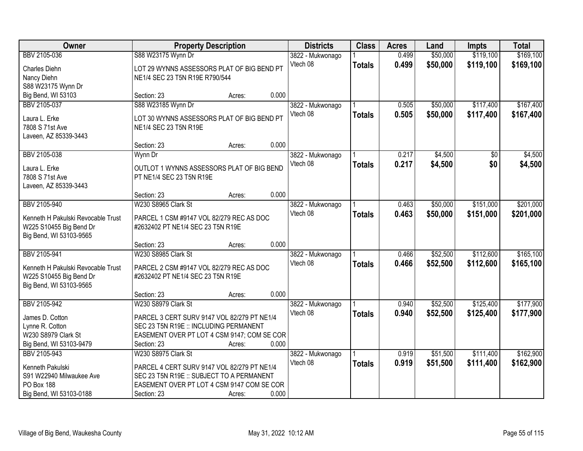| Owner                              | <b>Property Description</b>                 |        |       | <b>Districts</b>             | <b>Class</b>  | <b>Acres</b> | Land     | <b>Impts</b>    | <b>Total</b> |
|------------------------------------|---------------------------------------------|--------|-------|------------------------------|---------------|--------------|----------|-----------------|--------------|
| BBV 2105-036                       | S88 W23175 Wynn Dr                          |        |       | 3822 - Mukwonago             |               | 0.499        | \$50,000 | \$119,100       | \$169,100    |
| Charles Diehn                      | LOT 29 WYNNS ASSESSORS PLAT OF BIG BEND PT  |        |       | Vtech 08                     | <b>Totals</b> | 0.499        | \$50,000 | \$119,100       | \$169,100    |
| Nancy Diehn                        | NE1/4 SEC 23 T5N R19E R790/544              |        |       |                              |               |              |          |                 |              |
| S88 W23175 Wynn Dr                 |                                             |        |       |                              |               |              |          |                 |              |
| Big Bend, WI 53103                 | Section: 23                                 | Acres: | 0.000 |                              |               |              |          |                 |              |
| BBV 2105-037                       | S88 W23185 Wynn Dr                          |        |       | 3822 - Mukwonago             |               | 0.505        | \$50,000 | \$117,400       | \$167,400    |
| Laura L. Erke                      | LOT 30 WYNNS ASSESSORS PLAT OF BIG BEND PT  |        |       | Vtech 08                     | <b>Totals</b> | 0.505        | \$50,000 | \$117,400       | \$167,400    |
| 7808 S 71st Ave                    | NE1/4 SEC 23 T5N R19E                       |        |       |                              |               |              |          |                 |              |
| Laveen, AZ 85339-3443              |                                             |        |       |                              |               |              |          |                 |              |
|                                    | Section: 23                                 | Acres: | 0.000 |                              |               |              |          |                 |              |
| BBV 2105-038                       | Wynn Dr                                     |        |       | 3822 - Mukwonago             |               | 0.217        | \$4,500  | $\overline{50}$ | \$4,500      |
| Laura L. Erke                      | OUTLOT 1 WYNNS ASSESSORS PLAT OF BIG BEND   |        |       | Vtech 08                     | <b>Totals</b> | 0.217        | \$4,500  | \$0             | \$4,500      |
| 7808 S 71st Ave                    | PT NE1/4 SEC 23 T5N R19E                    |        |       |                              |               |              |          |                 |              |
| Laveen, AZ 85339-3443              |                                             |        |       |                              |               |              |          |                 |              |
|                                    | Section: 23                                 | Acres: | 0.000 |                              |               |              |          |                 |              |
| BBV 2105-940                       | W230 S8965 Clark St                         |        |       | 3822 - Mukwonago             |               | 0.463        | \$50,000 | \$151,000       | \$201,000    |
|                                    |                                             |        |       | Vtech 08                     | <b>Totals</b> | 0.463        | \$50,000 | \$151,000       | \$201,000    |
| Kenneth H Pakulski Revocable Trust | PARCEL 1 CSM #9147 VOL 82/279 REC AS DOC    |        |       |                              |               |              |          |                 |              |
| W225 S10455 Big Bend Dr            | #2632402 PT NE1/4 SEC 23 T5N R19E           |        |       |                              |               |              |          |                 |              |
| Big Bend, WI 53103-9565            |                                             |        | 0.000 |                              |               |              |          |                 |              |
| BBV 2105-941                       | Section: 23<br>W230 S8985 Clark St          | Acres: |       |                              |               | 0.466        | \$52,500 | \$112,600       | \$165,100    |
|                                    |                                             |        |       | 3822 - Mukwonago<br>Vtech 08 |               |              |          |                 |              |
| Kenneth H Pakulski Revocable Trust | PARCEL 2 CSM #9147 VOL 82/279 REC AS DOC    |        |       |                              | <b>Totals</b> | 0.466        | \$52,500 | \$112,600       | \$165,100    |
| W225 S10455 Big Bend Dr            | #2632402 PT NE1/4 SEC 23 T5N R19E           |        |       |                              |               |              |          |                 |              |
| Big Bend, WI 53103-9565            |                                             |        |       |                              |               |              |          |                 |              |
|                                    | Section: 23                                 | Acres: | 0.000 |                              |               |              |          |                 |              |
| BBV 2105-942                       | W230 S8979 Clark St                         |        |       | 3822 - Mukwonago             |               | 0.940        | \$52,500 | \$125,400       | \$177,900    |
| James D. Cotton                    | PARCEL 3 CERT SURV 9147 VOL 82/279 PT NE1/4 |        |       | Vtech 08                     | <b>Totals</b> | 0.940        | \$52,500 | \$125,400       | \$177,900    |
| Lynne R. Cotton                    | SEC 23 T5N R19E :: INCLUDING PERMANENT      |        |       |                              |               |              |          |                 |              |
| W230 S8979 Clark St                | EASEMENT OVER PT LOT 4 CSM 9147; COM SE COR |        |       |                              |               |              |          |                 |              |
| Big Bend, WI 53103-9479            | Section: 23                                 | Acres: | 0.000 |                              |               |              |          |                 |              |
| BBV 2105-943                       | W230 S8975 Clark St                         |        |       | 3822 - Mukwonago             |               | 0.919        | \$51,500 | \$111,400       | \$162,900    |
| Kenneth Pakulski                   | PARCEL 4 CERT SURV 9147 VOL 82/279 PT NE1/4 |        |       | Vtech 08                     | <b>Totals</b> | 0.919        | \$51,500 | \$111,400       | \$162,900    |
| S91 W22940 Milwaukee Ave           | SEC 23 T5N R19E :: SUBJECT TO A PERMANENT   |        |       |                              |               |              |          |                 |              |
| <b>PO Box 188</b>                  | EASEMENT OVER PT LOT 4 CSM 9147 COM SE COR  |        |       |                              |               |              |          |                 |              |
| Big Bend, WI 53103-0188            | Section: 23                                 | Acres: | 0.000 |                              |               |              |          |                 |              |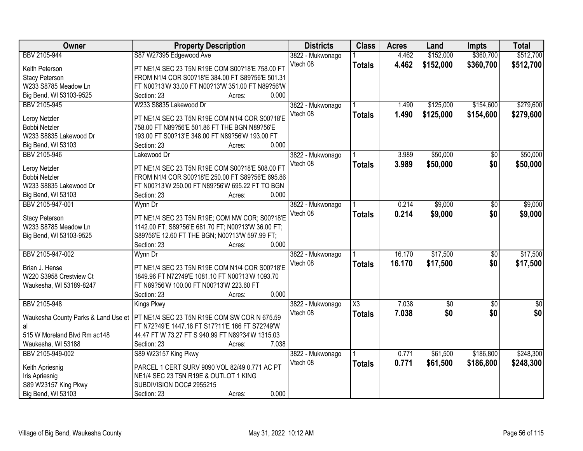| Owner                               | <b>Property Description</b>                                                            | <b>Districts</b> | <b>Class</b>  | <b>Acres</b> | Land            | Impts           | <b>Total</b> |
|-------------------------------------|----------------------------------------------------------------------------------------|------------------|---------------|--------------|-----------------|-----------------|--------------|
| BBV 2105-944                        | S87 W27395 Edgewood Ave                                                                | 3822 - Mukwonago |               | 4.462        | \$152,000       | \$360,700       | \$512,700    |
| Keith Peterson                      | PT NE1/4 SEC 23 T5N R19E COM S00?18'E 758.00 FT                                        | Vtech 08         | <b>Totals</b> | 4.462        | \$152,000       | \$360,700       | \$512,700    |
| <b>Stacy Peterson</b>               | FROM N1/4 COR S00?18'E 384.00 FT S89?56'E 501.31                                       |                  |               |              |                 |                 |              |
| W233 S8785 Meadow Ln                | FT N00?13'W 33.00 FT N00?13'W 351.00 FT N89?56'W                                       |                  |               |              |                 |                 |              |
| Big Bend, WI 53103-9525             | 0.000<br>Section: 23<br>Acres:                                                         |                  |               |              |                 |                 |              |
| BBV 2105-945                        | W233 S8835 Lakewood Dr                                                                 | 3822 - Mukwonago |               | 1.490        | \$125,000       | \$154,600       | \$279,600    |
| Leroy Netzler                       | PT NE1/4 SEC 23 T5N R19E COM N1/4 COR S00?18'E                                         | Vtech 08         | <b>Totals</b> | 1.490        | \$125,000       | \$154,600       | \$279,600    |
| Bobbi Netzler                       | 758.00 FT N89?56'E 501.86 FT THE BGN N89?56'E                                          |                  |               |              |                 |                 |              |
| W233 S8835 Lakewood Dr              | 193.00 FT S00?13'E 348.00 FT N89?56'W 193.00 FT                                        |                  |               |              |                 |                 |              |
| Big Bend, WI 53103                  | 0.000<br>Section: 23<br>Acres:                                                         |                  |               |              |                 |                 |              |
| BBV 2105-946                        | Lakewood Dr                                                                            | 3822 - Mukwonago |               | 3.989        | \$50,000        | \$0             | \$50,000     |
|                                     |                                                                                        | Vtech 08         | <b>Totals</b> | 3.989        | \$50,000        | \$0             | \$50,000     |
| Leroy Netzler                       | PT NE1/4 SEC 23 T5N R19E COM S00?18'E 508.00 FT                                        |                  |               |              |                 |                 |              |
| <b>Bobbi Netzler</b>                | FROM N1/4 COR S00?18'E 250.00 FT S89?56'E 695.86                                       |                  |               |              |                 |                 |              |
| W233 S8835 Lakewood Dr              | FT N00?13'W 250.00 FT N89?56'W 695.22 FT TO BGN                                        |                  |               |              |                 |                 |              |
| Big Bend, WI 53103                  | 0.000<br>Section: 23<br>Acres:                                                         |                  |               |              |                 |                 |              |
| BBV 2105-947-001                    | Wynn Dr                                                                                | 3822 - Mukwonago |               | 0.214        | \$9,000         | $\sqrt{6}$      | \$9,000      |
| <b>Stacy Peterson</b>               | PT NE1/4 SEC 23 T5N R19E; COM NW COR; S00?18'E                                         | Vtech 08         | <b>Totals</b> | 0.214        | \$9,000         | \$0             | \$9,000      |
| W233 S8785 Meadow Ln                | 1142.00 FT; S89?56'E 681.70 FT; N00?13'W 36.00 FT;                                     |                  |               |              |                 |                 |              |
| Big Bend, WI 53103-9525             | S89?56'E 12.60 FT THE BGN; N00?13'W 597.99 FT;                                         |                  |               |              |                 |                 |              |
|                                     | 0.000<br>Section: 23<br>Acres:                                                         |                  |               |              |                 |                 |              |
| BBV 2105-947-002                    | Wynn Dr                                                                                | 3822 - Mukwonago |               | 16.170       | \$17,500        | $\overline{50}$ | \$17,500     |
|                                     |                                                                                        | Vtech 08         | <b>Totals</b> | 16.170       | \$17,500        | \$0             | \$17,500     |
| Brian J. Hense                      | PT NE1/4 SEC 23 T5N R19E COM N1/4 COR S00?18'E                                         |                  |               |              |                 |                 |              |
| W220 S3958 Crestview Ct             | 1849.96 FT N72?49'E 1081.10 FT N00?13'W 1093.70                                        |                  |               |              |                 |                 |              |
| Waukesha, WI 53189-8247             | FT N89?56'W 100.00 FT N00?13'W 223.60 FT                                               |                  |               |              |                 |                 |              |
|                                     | 0.000<br>Section: 23<br>Acres:                                                         |                  |               |              |                 |                 |              |
| BBV 2105-948                        | <b>Kings Pkwy</b>                                                                      | 3822 - Mukwonago | X3            | 7.038        | $\overline{50}$ | $\overline{50}$ | $\sqrt{50}$  |
| Waukesha County Parks & Land Use et | PT NE1/4 SEC 23 T5N R19E COM SW COR N 675.59                                           | Vtech 08         | <b>Totals</b> | 7.038        | \$0             | \$0             | \$0          |
| al                                  | FT N72?49'E 1447.18 FT S17?11'E 166 FT S72?49'W                                        |                  |               |              |                 |                 |              |
| 515 W Moreland Blvd Rm ac148        | 44.47 FT W 73.27 FT S 940.99 FT N89?34'W 1315.03                                       |                  |               |              |                 |                 |              |
| Waukesha, WI 53188                  | 7.038<br>Section: 23<br>Acres:                                                         |                  |               |              |                 |                 |              |
| BBV 2105-949-002                    | S89 W23157 King Pkwy                                                                   | 3822 - Mukwonago |               | 0.771        | \$61,500        | \$186,800       | \$248,300    |
|                                     |                                                                                        | Vtech 08         | <b>Totals</b> | 0.771        | \$61,500        | \$186,800       | \$248,300    |
| Keith Apriesnig<br>Iris Apriesnig   | PARCEL 1 CERT SURV 9090 VOL 82/49 0.771 AC PT<br>NE1/4 SEC 23 T5N R19E & OUTLOT 1 KING |                  |               |              |                 |                 |              |
| S89 W23157 King Pkwy                | SUBDIVISION DOC# 2955215                                                               |                  |               |              |                 |                 |              |
| Big Bend, WI 53103                  | 0.000<br>Section: 23<br>Acres:                                                         |                  |               |              |                 |                 |              |
|                                     |                                                                                        |                  |               |              |                 |                 |              |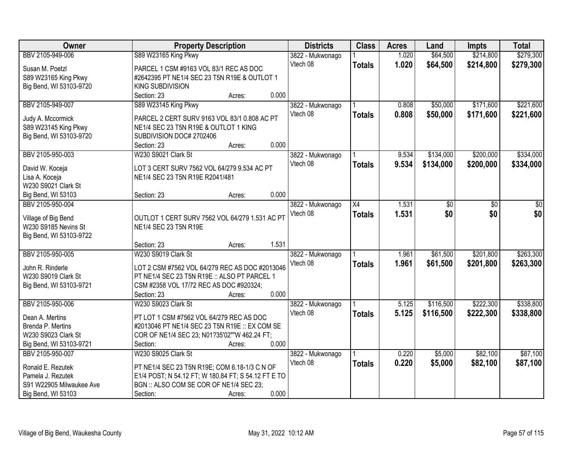| <b>Owner</b>             | <b>Property Description</b>                         | <b>Districts</b> | <b>Class</b>  | <b>Acres</b> | Land      | <b>Impts</b> | <b>Total</b> |
|--------------------------|-----------------------------------------------------|------------------|---------------|--------------|-----------|--------------|--------------|
| BBV 2105-949-006         | S89 W23165 King Pkwy                                | 3822 - Mukwonago |               | 1.020        | \$64,500  | \$214,800    | \$279,300    |
| Susan M. Poetzl          | PARCEL 1 CSM #9163 VOL 83/1 REC AS DOC              | Vtech 08         | <b>Totals</b> | 1.020        | \$64,500  | \$214,800    | \$279,300    |
| S89 W23165 King Pkwy     | #2642395 PT NE1/4 SEC 23 T5N R19E & OUTLOT 1        |                  |               |              |           |              |              |
| Big Bend, WI 53103-9720  | <b>KING SUBDIVISION</b>                             |                  |               |              |           |              |              |
|                          | 0.000<br>Section: 23<br>Acres:                      |                  |               |              |           |              |              |
| BBV 2105-949-007         | S89 W23145 King Pkwy                                | 3822 - Mukwonago |               | 0.808        | \$50,000  | \$171,600    | \$221,600    |
|                          |                                                     | Vtech 08         | <b>Totals</b> | 0.808        | \$50,000  | \$171,600    | \$221,600    |
| Judy A. Mccormick        | PARCEL 2 CERT SURV 9163 VOL 83/1 0.808 AC PT        |                  |               |              |           |              |              |
| S89 W23145 King Pkwy     | NE1/4 SEC 23 T5N R19E & OUTLOT 1 KING               |                  |               |              |           |              |              |
| Big Bend, WI 53103-9720  | SUBDIVISION DOC# 2702406                            |                  |               |              |           |              |              |
|                          | 0.000<br>Section: 23<br>Acres:                      |                  |               |              |           |              |              |
| BBV 2105-950-003         | W230 S9021 Clark St                                 | 3822 - Mukwonago |               | 9.534        | \$134,000 | \$200,000    | \$334,000    |
| David W. Koceja          | LOT 3 CERT SURV 7562 VOL 64/279 9.534 AC PT         | Vtech 08         | <b>Totals</b> | 9.534        | \$134,000 | \$200,000    | \$334,000    |
| Lisa A. Koceja           | NE1/4 SEC 23 T5N R19E R2041/481                     |                  |               |              |           |              |              |
| W230 S9021 Clark St      |                                                     |                  |               |              |           |              |              |
| Big Bend, WI 53103       | 0.000<br>Section: 23<br>Acres:                      |                  |               |              |           |              |              |
| BBV 2105-950-004         |                                                     | 3822 - Mukwonago | X4            | 1.531        | \$0       | \$0          | \$0          |
|                          |                                                     | Vtech 08         | <b>Totals</b> | 1.531        | \$0       | \$0          | \$0          |
| Village of Big Bend      | OUTLOT 1 CERT SURV 7562 VOL 64/279 1.531 AC PT      |                  |               |              |           |              |              |
| W230 S9185 Nevins St     | NE1/4 SEC 23 T5N R19E                               |                  |               |              |           |              |              |
| Big Bend, WI 53103-9722  |                                                     |                  |               |              |           |              |              |
|                          | 1.531<br>Section: 23<br>Acres:                      |                  |               |              |           |              |              |
| BBV 2105-950-005         | W230 S9019 Clark St                                 | 3822 - Mukwonago |               | 1.961        | \$61,500  | \$201,800    | \$263,300    |
| John R. Rinderle         | LOT 2 CSM #7562 VOL 64/279 REC AS DOC #2013046      | Vtech 08         | <b>Totals</b> | 1.961        | \$61,500  | \$201,800    | \$263,300    |
| W230 S9019 Clark St      | PT NE1/4 SEC 23 T5N R19E :: ALSO PT PARCEL 1        |                  |               |              |           |              |              |
| Big Bend, WI 53103-9721  | CSM #2358 VOL 17/72 REC AS DOC #920324;             |                  |               |              |           |              |              |
|                          | 0.000<br>Section: 23<br>Acres:                      |                  |               |              |           |              |              |
| BBV 2105-950-006         | W230 S9023 Clark St                                 | 3822 - Mukwonago |               | 5.125        | \$116,500 | \$222,300    | \$338,800    |
|                          |                                                     | Vtech 08         |               | 5.125        |           |              |              |
| Dean A. Mertins          | PT LOT 1 CSM #7562 VOL 64/279 REC AS DOC            |                  | <b>Totals</b> |              | \$116,500 | \$222,300    | \$338,800    |
| Brenda P. Mertins        | #2013046 PT NE1/4 SEC 23 T5N R19E :: EX COM SE      |                  |               |              |           |              |              |
| W230 S9023 Clark St      | COR OF NE1/4 SEC 23; N01?35'02""W 462.24 FT;        |                  |               |              |           |              |              |
| Big Bend, WI 53103-9721  | 0.000<br>Section:<br>Acres:                         |                  |               |              |           |              |              |
| BBV 2105-950-007         | W230 S9025 Clark St                                 | 3822 - Mukwonago |               | 0.220        | \$5,000   | \$82,100     | \$87,100     |
| Ronald E. Rezutek        | PT NE1/4 SEC 23 T5N R19E; COM 6.18-1/3 C N OF       | Vtech 08         | <b>Totals</b> | 0.220        | \$5,000   | \$82,100     | \$87,100     |
| Pamela J. Rezutek        | E1/4 POST; N 54.12 FT; W 180.84 FT; S 54.12 FT E TO |                  |               |              |           |              |              |
| S91 W22905 Milwaukee Ave | BGN :: ALSO COM SE COR OF NE1/4 SEC 23;             |                  |               |              |           |              |              |
| Big Bend, WI 53103       | 0.000<br>Section:<br>Acres:                         |                  |               |              |           |              |              |
|                          |                                                     |                  |               |              |           |              |              |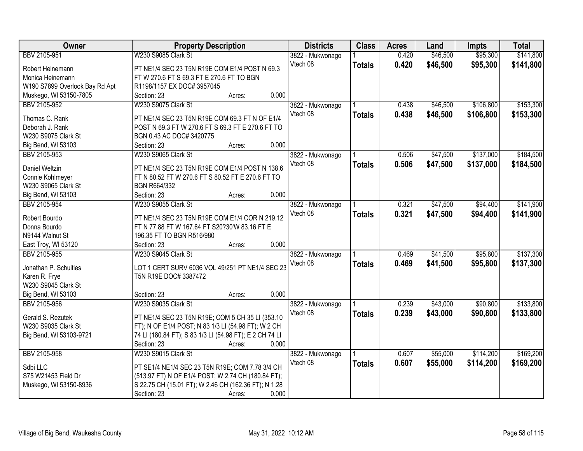| Owner                             | <b>Property Description</b>                                                                         |       | <b>Districts</b> | <b>Class</b>  | <b>Acres</b> | Land     | <b>Impts</b> | <b>Total</b> |
|-----------------------------------|-----------------------------------------------------------------------------------------------------|-------|------------------|---------------|--------------|----------|--------------|--------------|
| BBV 2105-951                      | W230 S9085 Clark St                                                                                 |       | 3822 - Mukwonago |               | 0.420        | \$46,500 | \$95,300     | \$141,800    |
| Robert Heinemann                  | PT NE1/4 SEC 23 T5N R19E COM E1/4 POST N 69.3                                                       |       | Vtech 08         | <b>Totals</b> | 0.420        | \$46,500 | \$95,300     | \$141,800    |
| Monica Heinemann                  | FT W 270.6 FT S 69.3 FT E 270.6 FT TO BGN                                                           |       |                  |               |              |          |              |              |
| W190 S7899 Overlook Bay Rd Apt    | R1198/1157 EX DOC# 3957045                                                                          |       |                  |               |              |          |              |              |
| Muskego, WI 53150-7805            | Section: 23<br>Acres:                                                                               | 0.000 |                  |               |              |          |              |              |
| BBV 2105-952                      | W230 S9075 Clark St                                                                                 |       | 3822 - Mukwonago |               | 0.438        | \$46,500 | \$106,800    | \$153,300    |
|                                   |                                                                                                     |       | Vtech 08         | <b>Totals</b> | 0.438        | \$46,500 | \$106,800    | \$153,300    |
| Thomas C. Rank<br>Deborah J. Rank | PT NE1/4 SEC 23 T5N R19E COM 69.3 FT N OF E1/4<br>POST N 69.3 FT W 270.6 FT S 69.3 FT E 270.6 FT TO |       |                  |               |              |          |              |              |
| W230 S9075 Clark St               |                                                                                                     |       |                  |               |              |          |              |              |
|                                   | BGN 0.43 AC DOC# 3420775                                                                            | 0.000 |                  |               |              |          |              |              |
| Big Bend, WI 53103                | Section: 23<br>Acres:                                                                               |       |                  |               |              |          |              |              |
| BBV 2105-953                      | W230 S9065 Clark St                                                                                 |       | 3822 - Mukwonago |               | 0.506        | \$47,500 | \$137,000    | \$184,500    |
| <b>Daniel Weltzin</b>             | PT NE1/4 SEC 23 T5N R19E COM E1/4 POST N 138.6                                                      |       | Vtech 08         | Totals        | 0.506        | \$47,500 | \$137,000    | \$184,500    |
| Connie Kohlmeyer                  | FT N 80.52 FT W 270.6 FT S 80.52 FT E 270.6 FT TO                                                   |       |                  |               |              |          |              |              |
| W230 S9065 Clark St               | <b>BGN R664/332</b>                                                                                 |       |                  |               |              |          |              |              |
| Big Bend, WI 53103                | Section: 23<br>Acres:                                                                               | 0.000 |                  |               |              |          |              |              |
| BBV 2105-954                      | W230 S9055 Clark St                                                                                 |       | 3822 - Mukwonago |               | 0.321        | \$47,500 | \$94,400     | \$141,900    |
|                                   |                                                                                                     |       | Vtech 08         | <b>Totals</b> | 0.321        | \$47,500 | \$94,400     | \$141,900    |
| Robert Bourdo                     | PT NE1/4 SEC 23 T5N R19E COM E1/4 COR N 219.12                                                      |       |                  |               |              |          |              |              |
| Donna Bourdo                      | FT N 77.88 FT W 167.64 FT S20?30'W 83.16 FT E                                                       |       |                  |               |              |          |              |              |
| N9144 Walnut St                   | 196.35 FT TO BGN R516/980                                                                           |       |                  |               |              |          |              |              |
| East Troy, WI 53120               | Section: 23<br>Acres:                                                                               | 0.000 |                  |               |              |          |              |              |
| BBV 2105-955                      | W230 S9045 Clark St                                                                                 |       | 3822 - Mukwonago |               | 0.469        | \$41,500 | \$95,800     | \$137,300    |
| Jonathan P. Schulties             | LOT 1 CERT SURV 6036 VOL 49/251 PT NE1/4 SEC 23                                                     |       | Vtech 08         | <b>Totals</b> | 0.469        | \$41,500 | \$95,800     | \$137,300    |
| Karen R. Frye                     | T5N R19E DOC# 3387472                                                                               |       |                  |               |              |          |              |              |
| W230 S9045 Clark St               |                                                                                                     |       |                  |               |              |          |              |              |
| Big Bend, WI 53103                | Section: 23<br>Acres:                                                                               | 0.000 |                  |               |              |          |              |              |
| BBV 2105-956                      | W230 S9035 Clark St                                                                                 |       | 3822 - Mukwonago |               | 0.239        | \$43,000 | \$90,800     | \$133,800    |
|                                   |                                                                                                     |       | Vtech 08         | <b>Totals</b> | 0.239        | \$43,000 | \$90,800     | \$133,800    |
| Gerald S. Rezutek                 | PT NE1/4 SEC 23 T5N R19E; COM 5 CH 35 LI (353.10                                                    |       |                  |               |              |          |              |              |
| W230 S9035 Clark St               | FT); N OF E1/4 POST; N 83 1/3 LI (54.98 FT); W 2 CH                                                 |       |                  |               |              |          |              |              |
| Big Bend, WI 53103-9721           | 74 LI (180.84 FT); S 83 1/3 LI (54.98 FT); E 2 CH 74 LI                                             |       |                  |               |              |          |              |              |
|                                   | Section: 23<br>Acres:                                                                               | 0.000 |                  |               |              |          |              |              |
| BBV 2105-958                      | W230 S9015 Clark St                                                                                 |       | 3822 - Mukwonago |               | 0.607        | \$55,000 | \$114,200    | \$169,200    |
| Sdbi LLC                          | PT SE1/4 NE1/4 SEC 23 T5N R19E; COM 7.78 3/4 CH                                                     |       | Vtech 08         | Totals        | 0.607        | \$55,000 | \$114,200    | \$169,200    |
| S75 W21453 Field Dr               | (513.97 FT) N OF E1/4 POST; W 2.74 CH (180.84 FT);                                                  |       |                  |               |              |          |              |              |
| Muskego, WI 53150-8936            | S 22.75 CH (15.01 FT); W 2.46 CH (162.36 FT); N 1.28                                                |       |                  |               |              |          |              |              |
|                                   | Section: 23<br>Acres:                                                                               | 0.000 |                  |               |              |          |              |              |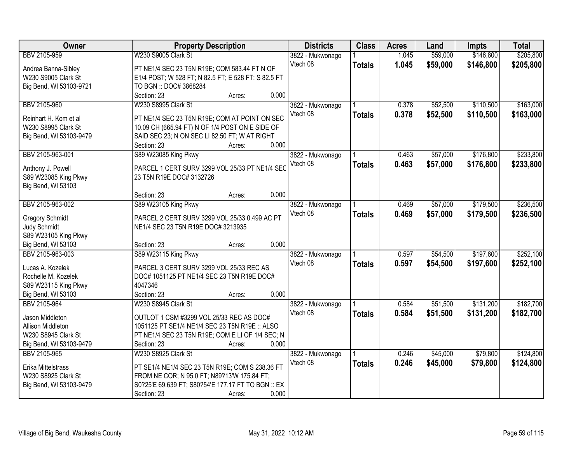| Owner                   | <b>Property Description</b>                         | <b>Districts</b>             | <b>Class</b>  | <b>Acres</b> | Land     | <b>Impts</b> | <b>Total</b> |
|-------------------------|-----------------------------------------------------|------------------------------|---------------|--------------|----------|--------------|--------------|
| BBV 2105-959            | W230 S9005 Clark St                                 | 3822 - Mukwonago             |               | 1.045        | \$59,000 | \$146,800    | \$205,800    |
| Andrea Banna-Sibley     | PT NE1/4 SEC 23 T5N R19E; COM 583.44 FT N OF        | Vtech 08                     | <b>Totals</b> | 1.045        | \$59,000 | \$146,800    | \$205,800    |
| W230 S9005 Clark St     | E1/4 POST; W 528 FT; N 82.5 FT; E 528 FT; S 82.5 FT |                              |               |              |          |              |              |
| Big Bend, WI 53103-9721 | TO BGN :: DOC# 3868284                              |                              |               |              |          |              |              |
|                         | 0.000<br>Section: 23<br>Acres:                      |                              |               |              |          |              |              |
| BBV 2105-960            | W230 S8995 Clark St                                 | 3822 - Mukwonago             |               | 0.378        | \$52,500 | \$110,500    | \$163,000    |
|                         |                                                     | Vtech 08                     | <b>Totals</b> | 0.378        | \$52,500 | \$110,500    | \$163,000    |
| Reinhart H. Kom et al   | PT NE1/4 SEC 23 T5N R19E; COM AT POINT ON SEC       |                              |               |              |          |              |              |
| W230 S8995 Clark St     | 10.09 CH (665.94 FT) N OF 1/4 POST ON E SIDE OF     |                              |               |              |          |              |              |
| Big Bend, WI 53103-9479 | SAID SEC 23; N ON SEC LI 82.50 FT; W AT RIGHT       |                              |               |              |          |              |              |
|                         | 0.000<br>Section: 23<br>Acres:                      |                              |               |              |          |              |              |
| BBV 2105-963-001        | S89 W23085 King Pkwy                                | 3822 - Mukwonago             |               | 0.463        | \$57,000 | \$176,800    | \$233,800    |
| Anthony J. Powell       | PARCEL 1 CERT SURV 3299 VOL 25/33 PT NE1/4 SEC      | Vtech 08                     | <b>Totals</b> | 0.463        | \$57,000 | \$176,800    | \$233,800    |
| S89 W23085 King Pkwy    | 23 T5N R19E DOC# 3132726                            |                              |               |              |          |              |              |
| Big Bend, WI 53103      |                                                     |                              |               |              |          |              |              |
|                         | 0.000<br>Section: 23<br>Acres:                      |                              |               |              |          |              |              |
| BBV 2105-963-002        | S89 W23105 King Pkwy                                | 3822 - Mukwonago             |               | 0.469        | \$57,000 | \$179,500    | \$236,500    |
|                         |                                                     | Vtech 08                     | <b>Totals</b> | 0.469        | \$57,000 | \$179,500    | \$236,500    |
| <b>Gregory Schmidt</b>  | PARCEL 2 CERT SURV 3299 VOL 25/33 0.499 AC PT       |                              |               |              |          |              |              |
| Judy Schmidt            | NE1/4 SEC 23 T5N R19E DOC# 3213935                  |                              |               |              |          |              |              |
| S89 W23105 King Pkwy    |                                                     |                              |               |              |          |              |              |
| Big Bend, WI 53103      | 0.000<br>Section: 23<br>Acres:                      |                              |               |              |          |              |              |
| BBV 2105-963-003        | S89 W23115 King Pkwy                                | 3822 - Mukwonago             |               | 0.597        | \$54,500 | \$197,600    | \$252,100    |
| Lucas A. Kozelek        | PARCEL 3 CERT SURV 3299 VOL 25/33 REC AS            | Vtech 08                     | <b>Totals</b> | 0.597        | \$54,500 | \$197,600    | \$252,100    |
| Rochelle M. Kozelek     | DOC# 1051125 PT NE1/4 SEC 23 T5N R19E DOC#          |                              |               |              |          |              |              |
| S89 W23115 King Pkwy    | 4047346                                             |                              |               |              |          |              |              |
| Big Bend, WI 53103      | 0.000<br>Section: 23<br>Acres:                      |                              |               |              |          |              |              |
| BBV 2105-964            | W230 S8945 Clark St                                 | 3822 - Mukwonago             |               | 0.584        | \$51,500 | \$131,200    | \$182,700    |
| Jason Middleton         | OUTLOT 1 CSM #3299 VOL 25/33 REC AS DOC#            | Vtech 08                     | <b>Totals</b> | 0.584        | \$51,500 | \$131,200    | \$182,700    |
| Allison Middleton       | 1051125 PT SE1/4 NE1/4 SEC 23 T5N R19E :: ALSO      |                              |               |              |          |              |              |
| W230 S8945 Clark St     | PT NE1/4 SEC 23 T5N R19E; COM E LI OF 1/4 SEC; N    |                              |               |              |          |              |              |
|                         | Section: 23<br>0.000                                |                              |               |              |          |              |              |
| Big Bend, WI 53103-9479 | Acres:                                              |                              |               |              | \$45,000 | \$79,800     | \$124,800    |
| BBV 2105-965            | W230 S8925 Clark St                                 | 3822 - Mukwonago<br>Vtech 08 |               | 0.246        |          |              |              |
| Erika Mittelstrass      | PT SE1/4 NE1/4 SEC 23 T5N R19E; COM S 238.36 FT     |                              | <b>Totals</b> | 0.246        | \$45,000 | \$79,800     | \$124,800    |
| W230 S8925 Clark St     | FROM NE COR; N 95.0 FT; N89?13'W 175.84 FT;         |                              |               |              |          |              |              |
| Big Bend, WI 53103-9479 | S0?25'E 69.639 FT; S80?54'E 177.17 FT TO BGN :: EX  |                              |               |              |          |              |              |
|                         | 0.000<br>Section: 23<br>Acres:                      |                              |               |              |          |              |              |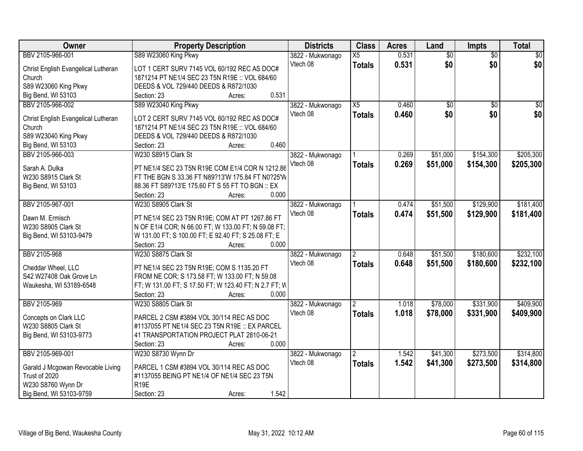| Owner                                              | <b>Property Description</b>                                     | <b>Districts</b> | <b>Class</b>    | <b>Acres</b> | Land            | <b>Impts</b>    | <b>Total</b>    |
|----------------------------------------------------|-----------------------------------------------------------------|------------------|-----------------|--------------|-----------------|-----------------|-----------------|
| BBV 2105-966-001                                   | S89 W23060 King Pkwy                                            | 3822 - Mukwonago | X5              | 0.531        | $\overline{50}$ | $\overline{50}$ | $\overline{50}$ |
| Christ English Evangelical Lutheran                | LOT 1 CERT SURV 7145 VOL 60/192 REC AS DOC#                     | Vtech 08         | <b>Totals</b>   | 0.531        | \$0             | \$0             | \$0             |
| Church                                             | 1871214 PT NE1/4 SEC 23 T5N R19E :: VOL 684/60                  |                  |                 |              |                 |                 |                 |
| S89 W23060 King Pkwy                               | DEEDS & VOL 729/440 DEEDS & R872/1030                           |                  |                 |              |                 |                 |                 |
| Big Bend, WI 53103                                 | 0.531<br>Section: 23<br>Acres:                                  |                  |                 |              |                 |                 |                 |
| BBV 2105-966-002                                   | S89 W23040 King Pkwy                                            | 3822 - Mukwonago | $\overline{X5}$ | 0.460        | \$0             | $\overline{50}$ | \$0             |
|                                                    |                                                                 | Vtech 08         | <b>Totals</b>   | 0.460        | \$0             | \$0             | \$0             |
| Christ English Evangelical Lutheran                | LOT 2 CERT SURV 7145 VOL 60/192 REC AS DOC#                     |                  |                 |              |                 |                 |                 |
| Church                                             | 1871214 PT NE1/4 SEC 23 T5N R19E :: VOL 684/60                  |                  |                 |              |                 |                 |                 |
| S89 W23040 King Pkwy                               | DEEDS & VOL 729/440 DEEDS & R872/1030                           |                  |                 |              |                 |                 |                 |
| Big Bend, WI 53103                                 | 0.460<br>Section: 23<br>Acres:                                  |                  |                 |              |                 |                 |                 |
| BBV 2105-966-003                                   | W230 S8915 Clark St                                             | 3822 - Mukwonago |                 | 0.269        | \$51,000        | \$154,300       | \$205,300       |
| Sarah A. Dulka                                     | PT NE1/4 SEC 23 T5N R19E COM E1/4 COR N 1212.86                 | Vtech 08         | <b>Totals</b>   | 0.269        | \$51,000        | \$154,300       | \$205,300       |
| W230 S8915 Clark St                                | FT THE BGN S 33.36 FT N89?13'W 175.84 FT N0?25'W                |                  |                 |              |                 |                 |                 |
| Big Bend, WI 53103                                 | 88.36 FT S89?13'E 175.60 FT S 55 FT TO BGN :: EX                |                  |                 |              |                 |                 |                 |
|                                                    | 0.000<br>Section: 23<br>Acres:                                  |                  |                 |              |                 |                 |                 |
| BBV 2105-967-001                                   | W230 S8905 Clark St                                             | 3822 - Mukwonago |                 | 0.474        | \$51,500        | \$129,900       | \$181,400       |
|                                                    |                                                                 | Vtech 08         | <b>Totals</b>   | 0.474        | \$51,500        | \$129,900       | \$181,400       |
| Dawn M. Ermisch                                    | PT NE1/4 SEC 23 T5N R19E; COM AT PT 1267.86 FT                  |                  |                 |              |                 |                 |                 |
| W230 S8905 Clark St                                | N OF E1/4 COR; N 66.00 FT; W 133.00 FT; N 59.08 FT;             |                  |                 |              |                 |                 |                 |
| Big Bend, WI 53103-9479                            | W 131.00 FT; S 100.00 FT; E 92.40 FT; S 25.08 FT; E             |                  |                 |              |                 |                 |                 |
|                                                    | 0.000<br>Section: 23<br>Acres:                                  |                  |                 |              |                 |                 |                 |
| BBV 2105-968                                       | W230 S8875 Clark St                                             | 3822 - Mukwonago |                 | 0.648        | \$51,500        | \$180,600       | \$232,100       |
| Cheddar Wheel, LLC                                 | PT NE1/4 SEC 23 T5N R19E; COM S 1135.20 FT                      | Vtech 08         | <b>Totals</b>   | 0.648        | \$51,500        | \$180,600       | \$232,100       |
| S42 W27408 Oak Grove Ln                            | FROM NE COR; S 173.58 FT; W 133.00 FT; N 59.08                  |                  |                 |              |                 |                 |                 |
| Waukesha, WI 53189-6548                            | FT; W 131.00 FT; S 17.50 FT; W 123.40 FT; N 2.7 FT; W           |                  |                 |              |                 |                 |                 |
|                                                    | 0.000<br>Section: 23<br>Acres:                                  |                  |                 |              |                 |                 |                 |
| BBV 2105-969                                       | W230 S8805 Clark St                                             | 3822 - Mukwonago |                 | 1.018        | \$78,000        | \$331,900       | \$409,900       |
|                                                    |                                                                 | Vtech 08         |                 |              |                 |                 |                 |
| Concepts on Clark LLC                              | PARCEL 2 CSM #3894 VOL 30/114 REC AS DOC                        |                  | <b>Totals</b>   | 1.018        | \$78,000        | \$331,900       | \$409,900       |
| W230 S8805 Clark St                                | #1137055 PT NE1/4 SEC 23 T5N R19E :: EX PARCEL                  |                  |                 |              |                 |                 |                 |
| Big Bend, WI 53103-9773                            | 41 TRANSPORTATION PROJECT PLAT 2810-06-21                       |                  |                 |              |                 |                 |                 |
|                                                    | 0.000<br>Section: 23<br>Acres:                                  |                  |                 |              |                 |                 |                 |
| BBV 2105-969-001                                   | W230 S8730 Wynn Dr                                              | 3822 - Mukwonago | $\overline{2}$  | 1.542        | \$41,300        | \$273,500       | \$314,800       |
|                                                    |                                                                 | Vtech 08         | <b>Totals</b>   | 1.542        | \$41,300        | \$273,500       | \$314,800       |
| Garald J Mcgowan Revocable Living<br>Trust of 2020 | PARCEL 1 CSM #3894 VOL 30/114 REC AS DOC                        |                  |                 |              |                 |                 |                 |
|                                                    | #1137055 BEING PT NE1/4 OF NE1/4 SEC 23 T5N<br>R <sub>19E</sub> |                  |                 |              |                 |                 |                 |
| W230 S8760 Wynn Dr                                 |                                                                 |                  |                 |              |                 |                 |                 |
| Big Bend, WI 53103-9759                            | 1.542<br>Section: 23<br>Acres:                                  |                  |                 |              |                 |                 |                 |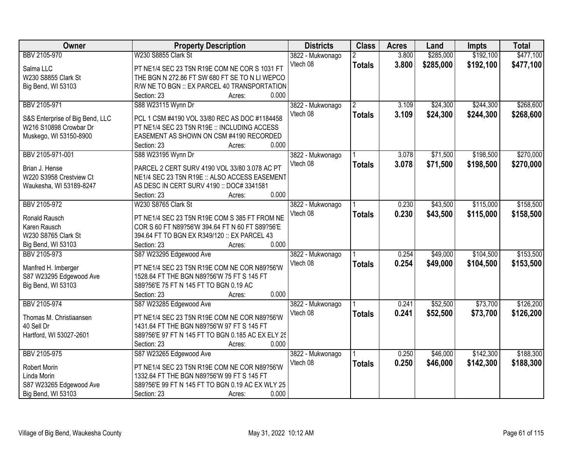| Owner                           | <b>Property Description</b>                       | <b>Districts</b> | <b>Class</b>   | <b>Acres</b> | Land      | <b>Impts</b> | <b>Total</b> |
|---------------------------------|---------------------------------------------------|------------------|----------------|--------------|-----------|--------------|--------------|
| BBV 2105-970                    | W230 S8855 Clark St                               | 3822 - Mukwonago | $\overline{2}$ | 3.800        | \$285,000 | \$192,100    | \$477,100    |
| Salma LLC                       | PT NE1/4 SEC 23 T5N R19E COM NE COR S 1031 FT     | Vtech 08         | <b>Totals</b>  | 3.800        | \$285,000 | \$192,100    | \$477,100    |
| W230 S8855 Clark St             | THE BGN N 272.86 FT SW 680 FT SE TO N LI WEPCO    |                  |                |              |           |              |              |
| Big Bend, WI 53103              | R/W NE TO BGN :: EX PARCEL 40 TRANSPORTATION      |                  |                |              |           |              |              |
|                                 | 0.000<br>Section: 23<br>Acres:                    |                  |                |              |           |              |              |
| BBV 2105-971                    | S88 W23115 Wynn Dr                                | 3822 - Mukwonago | 2              | 3.109        | \$24,300  | \$244,300    | \$268,600    |
|                                 |                                                   | Vtech 08         | <b>Totals</b>  | 3.109        | \$24,300  | \$244,300    | \$268,600    |
| S&S Enterprise of Big Bend, LLC | PCL 1 CSM #4190 VOL 33/80 REC AS DOC #1184458     |                  |                |              |           |              |              |
| W216 S10898 Crowbar Dr          | PT NE1/4 SEC 23 T5N R19E :: INCLUDING ACCESS      |                  |                |              |           |              |              |
| Muskego, WI 53150-8900          | EASEMENT AS SHOWN ON CSM #4190 RECORDED           |                  |                |              |           |              |              |
|                                 | 0.000<br>Section: 23<br>Acres:                    |                  |                |              |           |              |              |
| BBV 2105-971-001                | S88 W23195 Wynn Dr                                | 3822 - Mukwonago |                | 3.078        | \$71,500  | \$198,500    | \$270,000    |
| Brian J. Hense                  | PARCEL 2 CERT SURV 4190 VOL 33/80 3.078 AC PT     | Vtech 08         | <b>Totals</b>  | 3.078        | \$71,500  | \$198,500    | \$270,000    |
| W220 S3958 Crestview Ct         | NE1/4 SEC 23 T5N R19E :: ALSO ACCESS EASEMENT     |                  |                |              |           |              |              |
| Waukesha, WI 53189-8247         | AS DESC IN CERT SURV 4190 :: DOC# 3341581         |                  |                |              |           |              |              |
|                                 | 0.000<br>Section: 23<br>Acres:                    |                  |                |              |           |              |              |
| BBV 2105-972                    | W230 S8765 Clark St                               | 3822 - Mukwonago |                | 0.230        | \$43,500  | \$115,000    | \$158,500    |
|                                 |                                                   | Vtech 08         | <b>Totals</b>  | 0.230        | \$43,500  | \$115,000    | \$158,500    |
| Ronald Rausch                   | PT NE1/4 SEC 23 T5N R19E COM S 385 FT FROM NE     |                  |                |              |           |              |              |
| Karen Rausch                    | COR S 60 FT N89?56'W 394.64 FT N 60 FT S89?56'E   |                  |                |              |           |              |              |
| W230 S8765 Clark St             | 394.64 FT TO BGN EX R349/120 :: EX PARCEL 43      |                  |                |              |           |              |              |
| Big Bend, WI 53103              | 0.000<br>Section: 23<br>Acres:                    |                  |                |              |           |              |              |
| BBV 2105-973                    | S87 W23295 Edgewood Ave                           | 3822 - Mukwonago |                | 0.254        | \$49,000  | \$104,500    | \$153,500    |
| Manfred H. Imberger             | PT NE1/4 SEC 23 T5N R19E COM NE COR N89?56'W      | Vtech 08         | <b>Totals</b>  | 0.254        | \$49,000  | \$104,500    | \$153,500    |
| S87 W23295 Edgewood Ave         | 1528.64 FT THE BGN N89?56'W 75 FT S 145 FT        |                  |                |              |           |              |              |
| Big Bend, WI 53103              | S89?56'E 75 FT N 145 FT TO BGN 0.19 AC            |                  |                |              |           |              |              |
|                                 | 0.000<br>Section: 23<br>Acres:                    |                  |                |              |           |              |              |
| BBV 2105-974                    | S87 W23285 Edgewood Ave                           | 3822 - Mukwonago |                | 0.241        | \$52,500  | \$73,700     | \$126,200    |
|                                 |                                                   | Vtech 08         | <b>Totals</b>  | 0.241        | \$52,500  | \$73,700     | \$126,200    |
| Thomas M. Christiaansen         | PT NE1/4 SEC 23 T5N R19E COM NE COR N89?56'W      |                  |                |              |           |              |              |
| 40 Sell Dr                      | 1431.64 FT THE BGN N89?56'W 97 FT S 145 FT        |                  |                |              |           |              |              |
| Hartford, WI 53027-2601         | S89?56'E 97 FT N 145 FT TO BGN 0.185 AC EX ELY 25 |                  |                |              |           |              |              |
|                                 | 0.000<br>Section: 23<br>Acres:                    |                  |                |              |           |              |              |
| BBV 2105-975                    | S87 W23265 Edgewood Ave                           | 3822 - Mukwonago |                | 0.250        | \$46,000  | \$142,300    | \$188,300    |
| Robert Morin                    | PT NE1/4 SEC 23 T5N R19E COM NE COR N89?56'W      | Vtech 08         | <b>Totals</b>  | 0.250        | \$46,000  | \$142,300    | \$188,300    |
| Linda Morin                     | 1332.64 FT THE BGN N89?56'W 99 FT S 145 FT        |                  |                |              |           |              |              |
| S87 W23265 Edgewood Ave         | S89?56'E 99 FT N 145 FT TO BGN 0.19 AC EX WLY 25  |                  |                |              |           |              |              |
| Big Bend, WI 53103              | 0.000<br>Section: 23<br>Acres:                    |                  |                |              |           |              |              |
|                                 |                                                   |                  |                |              |           |              |              |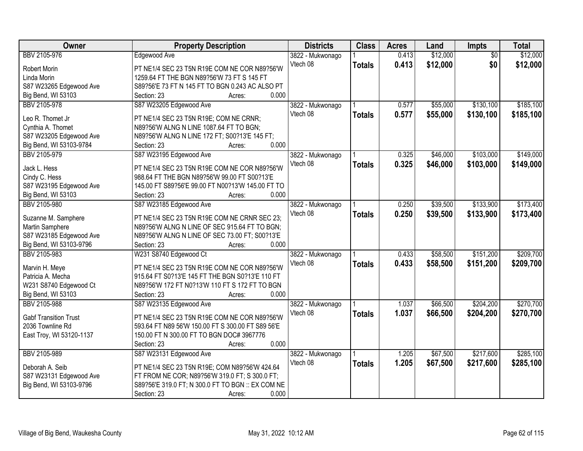| BBV 2105-976<br>\$12,000<br>\$12,000<br>Edgewood Ave<br>0.413<br>$\overline{50}$<br>3822 - Mukwonago<br>Vtech 08<br>0.413<br>\$12,000<br>\$0<br>\$12,000<br><b>Totals</b><br>PT NE1/4 SEC 23 T5N R19E COM NE COR N89?56'W<br>Robert Morin<br>Linda Morin<br>1259.64 FT THE BGN N89?56'W 73 FT S 145 FT<br>S87 W23265 Edgewood Ave<br>S89?56'E 73 FT N 145 FT TO BGN 0.243 AC ALSO PT<br>0.000<br>Big Bend, WI 53103<br>Section: 23<br>Acres:<br>BBV 2105-978<br>S87 W23205 Edgewood Ave<br>\$55,000<br>\$130,100<br>\$185,100<br>3822 - Mukwonago<br>0.577<br>0.577<br>Vtech 08<br>\$55,000<br>\$130,100<br>\$185,100<br><b>Totals</b><br>Leo R. Thomet Jr<br>PT NE1/4 SEC 23 T5N R19E; COM NE CRNR;<br>N89?56'W ALNG N LINE 1087.64 FT TO BGN;<br>Cynthia A. Thomet<br>S87 W23205 Edgewood Ave<br>N89?56'W ALNG N LINE 172 FT; S00?13'E 145 FT;<br>0.000<br>Big Bend, WI 53103-9784<br>Section: 23<br>Acres:<br>S87 W23195 Edgewood Ave<br>\$103,000<br>BBV 2105-979<br>0.325<br>\$46,000<br>3822 - Mukwonago<br>Vtech 08<br>0.325<br>\$103,000<br>\$46,000<br><b>Totals</b><br>PT NE1/4 SEC 23 T5N R19E COM NE COR N89?56'W<br>Jack L. Hess<br>Cindy C. Hess<br>988.64 FT THE BGN N89?56'W 99.00 FT S00?13'E<br>S87 W23195 Edgewood Ave<br>145.00 FT S89?56'E 99.00 FT N00?13'W 145.00 FT TO<br>0.000<br>Big Bend, WI 53103<br>Section: 23<br>Acres:<br>BBV 2105-980<br>S87 W23185 Edgewood Ave<br>\$39,500<br>\$133,900<br>0.250<br>3822 - Mukwonago | Owner | <b>Property Description</b> | <b>Districts</b> | <b>Class</b> | <b>Acres</b> | Land | Impts | <b>Total</b> |
|---------------------------------------------------------------------------------------------------------------------------------------------------------------------------------------------------------------------------------------------------------------------------------------------------------------------------------------------------------------------------------------------------------------------------------------------------------------------------------------------------------------------------------------------------------------------------------------------------------------------------------------------------------------------------------------------------------------------------------------------------------------------------------------------------------------------------------------------------------------------------------------------------------------------------------------------------------------------------------------------------------------------------------------------------------------------------------------------------------------------------------------------------------------------------------------------------------------------------------------------------------------------------------------------------------------------------------------------------------------------------------------------------------------------------------------------------------|-------|-----------------------------|------------------|--------------|--------------|------|-------|--------------|
|                                                                                                                                                                                                                                                                                                                                                                                                                                                                                                                                                                                                                                                                                                                                                                                                                                                                                                                                                                                                                                                                                                                                                                                                                                                                                                                                                                                                                                                         |       |                             |                  |              |              |      |       |              |
|                                                                                                                                                                                                                                                                                                                                                                                                                                                                                                                                                                                                                                                                                                                                                                                                                                                                                                                                                                                                                                                                                                                                                                                                                                                                                                                                                                                                                                                         |       |                             |                  |              |              |      |       |              |
|                                                                                                                                                                                                                                                                                                                                                                                                                                                                                                                                                                                                                                                                                                                                                                                                                                                                                                                                                                                                                                                                                                                                                                                                                                                                                                                                                                                                                                                         |       |                             |                  |              |              |      |       |              |
|                                                                                                                                                                                                                                                                                                                                                                                                                                                                                                                                                                                                                                                                                                                                                                                                                                                                                                                                                                                                                                                                                                                                                                                                                                                                                                                                                                                                                                                         |       |                             |                  |              |              |      |       |              |
|                                                                                                                                                                                                                                                                                                                                                                                                                                                                                                                                                                                                                                                                                                                                                                                                                                                                                                                                                                                                                                                                                                                                                                                                                                                                                                                                                                                                                                                         |       |                             |                  |              |              |      |       |              |
|                                                                                                                                                                                                                                                                                                                                                                                                                                                                                                                                                                                                                                                                                                                                                                                                                                                                                                                                                                                                                                                                                                                                                                                                                                                                                                                                                                                                                                                         |       |                             |                  |              |              |      |       |              |
| \$149,000<br>\$149,000<br>\$173,400                                                                                                                                                                                                                                                                                                                                                                                                                                                                                                                                                                                                                                                                                                                                                                                                                                                                                                                                                                                                                                                                                                                                                                                                                                                                                                                                                                                                                     |       |                             |                  |              |              |      |       |              |
|                                                                                                                                                                                                                                                                                                                                                                                                                                                                                                                                                                                                                                                                                                                                                                                                                                                                                                                                                                                                                                                                                                                                                                                                                                                                                                                                                                                                                                                         |       |                             |                  |              |              |      |       |              |
|                                                                                                                                                                                                                                                                                                                                                                                                                                                                                                                                                                                                                                                                                                                                                                                                                                                                                                                                                                                                                                                                                                                                                                                                                                                                                                                                                                                                                                                         |       |                             |                  |              |              |      |       |              |
|                                                                                                                                                                                                                                                                                                                                                                                                                                                                                                                                                                                                                                                                                                                                                                                                                                                                                                                                                                                                                                                                                                                                                                                                                                                                                                                                                                                                                                                         |       |                             |                  |              |              |      |       |              |
|                                                                                                                                                                                                                                                                                                                                                                                                                                                                                                                                                                                                                                                                                                                                                                                                                                                                                                                                                                                                                                                                                                                                                                                                                                                                                                                                                                                                                                                         |       |                             |                  |              |              |      |       |              |
|                                                                                                                                                                                                                                                                                                                                                                                                                                                                                                                                                                                                                                                                                                                                                                                                                                                                                                                                                                                                                                                                                                                                                                                                                                                                                                                                                                                                                                                         |       |                             |                  |              |              |      |       |              |
|                                                                                                                                                                                                                                                                                                                                                                                                                                                                                                                                                                                                                                                                                                                                                                                                                                                                                                                                                                                                                                                                                                                                                                                                                                                                                                                                                                                                                                                         |       |                             |                  |              |              |      |       |              |
|                                                                                                                                                                                                                                                                                                                                                                                                                                                                                                                                                                                                                                                                                                                                                                                                                                                                                                                                                                                                                                                                                                                                                                                                                                                                                                                                                                                                                                                         |       |                             |                  |              |              |      |       |              |
|                                                                                                                                                                                                                                                                                                                                                                                                                                                                                                                                                                                                                                                                                                                                                                                                                                                                                                                                                                                                                                                                                                                                                                                                                                                                                                                                                                                                                                                         |       |                             |                  |              |              |      |       |              |
|                                                                                                                                                                                                                                                                                                                                                                                                                                                                                                                                                                                                                                                                                                                                                                                                                                                                                                                                                                                                                                                                                                                                                                                                                                                                                                                                                                                                                                                         |       |                             |                  |              |              |      |       |              |
|                                                                                                                                                                                                                                                                                                                                                                                                                                                                                                                                                                                                                                                                                                                                                                                                                                                                                                                                                                                                                                                                                                                                                                                                                                                                                                                                                                                                                                                         |       |                             |                  |              |              |      |       |              |
|                                                                                                                                                                                                                                                                                                                                                                                                                                                                                                                                                                                                                                                                                                                                                                                                                                                                                                                                                                                                                                                                                                                                                                                                                                                                                                                                                                                                                                                         |       |                             |                  |              |              |      |       |              |
| Vtech 08<br>0.250<br>\$133,900<br>\$39,500<br>\$173,400<br><b>Totals</b><br>Suzanne M. Samphere<br>PT NE1/4 SEC 23 T5N R19E COM NE CRNR SEC 23;                                                                                                                                                                                                                                                                                                                                                                                                                                                                                                                                                                                                                                                                                                                                                                                                                                                                                                                                                                                                                                                                                                                                                                                                                                                                                                         |       |                             |                  |              |              |      |       |              |
| Martin Samphere<br>N89?56'W ALNG N LINE OF SEC 915.64 FT TO BGN;                                                                                                                                                                                                                                                                                                                                                                                                                                                                                                                                                                                                                                                                                                                                                                                                                                                                                                                                                                                                                                                                                                                                                                                                                                                                                                                                                                                        |       |                             |                  |              |              |      |       |              |
| S87 W23185 Edgewood Ave<br>N89?56'W ALNG N LINE OF SEC 73.00 FT; S00?13'E                                                                                                                                                                                                                                                                                                                                                                                                                                                                                                                                                                                                                                                                                                                                                                                                                                                                                                                                                                                                                                                                                                                                                                                                                                                                                                                                                                               |       |                             |                  |              |              |      |       |              |
| Big Bend, WI 53103-9796<br>0.000<br>Section: 23<br>Acres:                                                                                                                                                                                                                                                                                                                                                                                                                                                                                                                                                                                                                                                                                                                                                                                                                                                                                                                                                                                                                                                                                                                                                                                                                                                                                                                                                                                               |       |                             |                  |              |              |      |       |              |
| \$151,200<br>\$209,700<br>BBV 2105-983<br>W231 S8740 Edgewood Ct<br>0.433<br>\$58,500<br>3822 - Mukwonago                                                                                                                                                                                                                                                                                                                                                                                                                                                                                                                                                                                                                                                                                                                                                                                                                                                                                                                                                                                                                                                                                                                                                                                                                                                                                                                                               |       |                             |                  |              |              |      |       |              |
| 0.433<br>\$151,200<br>\$209,700<br>Vtech 08<br>\$58,500<br><b>Totals</b>                                                                                                                                                                                                                                                                                                                                                                                                                                                                                                                                                                                                                                                                                                                                                                                                                                                                                                                                                                                                                                                                                                                                                                                                                                                                                                                                                                                |       |                             |                  |              |              |      |       |              |
| Marvin H. Meye<br>PT NE1/4 SEC 23 T5N R19E COM NE COR N89?56'W                                                                                                                                                                                                                                                                                                                                                                                                                                                                                                                                                                                                                                                                                                                                                                                                                                                                                                                                                                                                                                                                                                                                                                                                                                                                                                                                                                                          |       |                             |                  |              |              |      |       |              |
| Patricia A. Mecha<br>915.64 FT S0?13'E 145 FT THE BGN S0?13'E 110 FT                                                                                                                                                                                                                                                                                                                                                                                                                                                                                                                                                                                                                                                                                                                                                                                                                                                                                                                                                                                                                                                                                                                                                                                                                                                                                                                                                                                    |       |                             |                  |              |              |      |       |              |
| N89?56'W 172 FT N0?13'W 110 FT S 172 FT TO BGN<br>W231 S8740 Edgewood Ct                                                                                                                                                                                                                                                                                                                                                                                                                                                                                                                                                                                                                                                                                                                                                                                                                                                                                                                                                                                                                                                                                                                                                                                                                                                                                                                                                                                |       |                             |                  |              |              |      |       |              |
| 0.000<br>Big Bend, WI 53103<br>Section: 23<br>Acres:                                                                                                                                                                                                                                                                                                                                                                                                                                                                                                                                                                                                                                                                                                                                                                                                                                                                                                                                                                                                                                                                                                                                                                                                                                                                                                                                                                                                    |       |                             |                  |              |              |      |       |              |
| \$204,200<br>\$270,700<br>BBV 2105-988<br>S87 W23135 Edgewood Ave<br>1.037<br>\$66,500<br>3822 - Mukwonago                                                                                                                                                                                                                                                                                                                                                                                                                                                                                                                                                                                                                                                                                                                                                                                                                                                                                                                                                                                                                                                                                                                                                                                                                                                                                                                                              |       |                             |                  |              |              |      |       |              |
| Vtech 08<br>1.037<br>\$66,500<br>\$204,200<br>\$270,700<br><b>Totals</b>                                                                                                                                                                                                                                                                                                                                                                                                                                                                                                                                                                                                                                                                                                                                                                                                                                                                                                                                                                                                                                                                                                                                                                                                                                                                                                                                                                                |       |                             |                  |              |              |      |       |              |
| PT NE1/4 SEC 23 T5N R19E COM NE COR N89?56'W<br><b>Gabf Transition Trust</b>                                                                                                                                                                                                                                                                                                                                                                                                                                                                                                                                                                                                                                                                                                                                                                                                                                                                                                                                                                                                                                                                                                                                                                                                                                                                                                                                                                            |       |                             |                  |              |              |      |       |              |
| 2036 Townline Rd<br>593.64 FT N89 56'W 150.00 FT S 300.00 FT S89 56'E                                                                                                                                                                                                                                                                                                                                                                                                                                                                                                                                                                                                                                                                                                                                                                                                                                                                                                                                                                                                                                                                                                                                                                                                                                                                                                                                                                                   |       |                             |                  |              |              |      |       |              |
| 150.00 FT N 300.00 FT TO BGN DOC# 3967776<br>East Troy, WI 53120-1137                                                                                                                                                                                                                                                                                                                                                                                                                                                                                                                                                                                                                                                                                                                                                                                                                                                                                                                                                                                                                                                                                                                                                                                                                                                                                                                                                                                   |       |                             |                  |              |              |      |       |              |
| 0.000<br>Section: 23<br>Acres:                                                                                                                                                                                                                                                                                                                                                                                                                                                                                                                                                                                                                                                                                                                                                                                                                                                                                                                                                                                                                                                                                                                                                                                                                                                                                                                                                                                                                          |       |                             |                  |              |              |      |       |              |
| \$67,500<br>\$217,600<br>\$285,100<br>BBV 2105-989<br>S87 W23131 Edgewood Ave<br>3822 - Mukwonago<br>1.205                                                                                                                                                                                                                                                                                                                                                                                                                                                                                                                                                                                                                                                                                                                                                                                                                                                                                                                                                                                                                                                                                                                                                                                                                                                                                                                                              |       |                             |                  |              |              |      |       |              |
| Vtech 08<br>1.205<br>\$67,500<br>\$217,600<br>\$285,100<br><b>Totals</b><br>Deborah A. Seib<br>PT NE1/4 SEC 23 T5N R19E; COM N89?56'W 424.64                                                                                                                                                                                                                                                                                                                                                                                                                                                                                                                                                                                                                                                                                                                                                                                                                                                                                                                                                                                                                                                                                                                                                                                                                                                                                                            |       |                             |                  |              |              |      |       |              |
| S87 W23131 Edgewood Ave<br>FT FROM NE COR; N89?56'W 319.0 FT; S 300.0 FT;                                                                                                                                                                                                                                                                                                                                                                                                                                                                                                                                                                                                                                                                                                                                                                                                                                                                                                                                                                                                                                                                                                                                                                                                                                                                                                                                                                               |       |                             |                  |              |              |      |       |              |
| Big Bend, WI 53103-9796<br>S89?56'E 319.0 FT; N 300.0 FT TO BGN :: EX COM NE                                                                                                                                                                                                                                                                                                                                                                                                                                                                                                                                                                                                                                                                                                                                                                                                                                                                                                                                                                                                                                                                                                                                                                                                                                                                                                                                                                            |       |                             |                  |              |              |      |       |              |
| Section: 23<br>0.000<br>Acres:                                                                                                                                                                                                                                                                                                                                                                                                                                                                                                                                                                                                                                                                                                                                                                                                                                                                                                                                                                                                                                                                                                                                                                                                                                                                                                                                                                                                                          |       |                             |                  |              |              |      |       |              |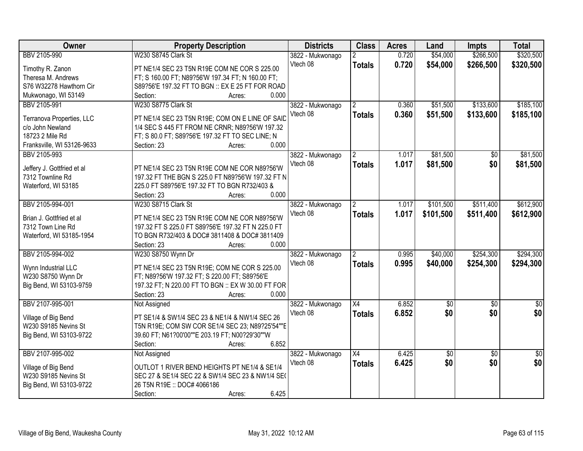| <b>Owner</b>               | <b>Property Description</b>                                                                    | <b>Districts</b> | <b>Class</b>         | <b>Acres</b> | Land      | <b>Impts</b>    | <b>Total</b>    |
|----------------------------|------------------------------------------------------------------------------------------------|------------------|----------------------|--------------|-----------|-----------------|-----------------|
| BBV 2105-990               | W230 S8745 Clark St                                                                            | 3822 - Mukwonago |                      | 0.720        | \$54,000  | \$266,500       | \$320,500       |
| Timothy R. Zanon           | PT NE1/4 SEC 23 T5N R19E COM NE COR S 225.00                                                   | Vtech 08         | <b>Totals</b>        | 0.720        | \$54,000  | \$266,500       | \$320,500       |
| Theresa M. Andrews         | FT; S 160.00 FT; N89?56'W 197.34 FT; N 160.00 FT;                                              |                  |                      |              |           |                 |                 |
| S76 W32278 Hawthorn Cir    | S89?56'E 197.32 FT TO BGN :: EX E 25 FT FOR ROAD                                               |                  |                      |              |           |                 |                 |
| Mukwonago, WI 53149        | 0.000<br>Section:<br>Acres:                                                                    |                  |                      |              |           |                 |                 |
| BBV 2105-991               | W230 S8775 Clark St                                                                            | 3822 - Mukwonago | $\mathfrak{p}$       | 0.360        | \$51,500  | \$133,600       | \$185,100       |
|                            |                                                                                                | Vtech 08         | <b>Totals</b>        | 0.360        | \$51,500  | \$133,600       | \$185,100       |
| Terranova Properties, LLC  | PT NE1/4 SEC 23 T5N R19E; COM ON E LINE OF SAID                                                |                  |                      |              |           |                 |                 |
| c/o John Newland           | 1/4 SEC S 445 FT FROM NE CRNR; N89?56'W 197.32                                                 |                  |                      |              |           |                 |                 |
| 18723 2 Mile Rd            | FT; S 80.0 FT; S89?56'E 197.32 FT TO SEC LINE; N                                               |                  |                      |              |           |                 |                 |
| Franksville, WI 53126-9633 | 0.000<br>Section: 23<br>Acres:                                                                 |                  |                      |              |           |                 |                 |
| BBV 2105-993               |                                                                                                | 3822 - Mukwonago |                      | 1.017        | \$81,500  | \$0             | \$81,500        |
| Jeffery J. Gottfried et al | PT NE1/4 SEC 23 T5N R19E COM NE COR N89?56'W                                                   | Vtech 08         | <b>Totals</b>        | 1.017        | \$81,500  | \$0             | \$81,500        |
| 7312 Townline Rd           | 197.32 FT THE BGN S 225.0 FT N89?56'W 197.32 FT N                                              |                  |                      |              |           |                 |                 |
| Waterford, WI 53185        | 225.0 FT S89?56'E 197.32 FT TO BGN R732/403 &                                                  |                  |                      |              |           |                 |                 |
|                            | Section: 23<br>0.000<br>Acres:                                                                 |                  |                      |              |           |                 |                 |
| BBV 2105-994-001           | W230 S8715 Clark St                                                                            | 3822 - Mukwonago | $\mathbf{2}^{\circ}$ | 1.017        | \$101,500 | \$511,400       | \$612,900       |
|                            |                                                                                                | Vtech 08         | <b>Totals</b>        | 1.017        | \$101,500 | \$511,400       | \$612,900       |
| Brian J. Gottfried et al   | PT NE1/4 SEC 23 T5N R19E COM NE COR N89?56'W                                                   |                  |                      |              |           |                 |                 |
| 7312 Town Line Rd          | 197.32 FT S 225.0 FT S89?56'E 197.32 FT N 225.0 FT                                             |                  |                      |              |           |                 |                 |
| Waterford, WI 53185-1954   | TO BGN R732/403 & DOC# 3811408 & DOC# 3811409                                                  |                  |                      |              |           |                 |                 |
|                            | 0.000<br>Section: 23<br>Acres:                                                                 |                  |                      |              |           |                 |                 |
| BBV 2105-994-002           | W230 S8750 Wynn Dr                                                                             | 3822 - Mukwonago |                      | 0.995        | \$40,000  | \$254,300       | \$294,300       |
|                            |                                                                                                | Vtech 08         | <b>Totals</b>        | 0.995        | \$40,000  | \$254,300       | \$294,300       |
| Wynn Industrial LLC        | PT NE1/4 SEC 23 T5N R19E; COM NE COR S 225.00<br>FT; N89?56'W 197.32 FT; S 220.00 FT; S89?56'E |                  |                      |              |           |                 |                 |
| W230 S8750 Wynn Dr         | 197.32 FT; N 220.00 FT TO BGN :: EX W 30.00 FT FOR                                             |                  |                      |              |           |                 |                 |
| Big Bend, WI 53103-9759    | 0.000                                                                                          |                  |                      |              |           |                 |                 |
|                            | Section: 23<br>Acres:                                                                          |                  |                      |              |           |                 |                 |
| BBV 2107-995-001           | Not Assigned                                                                                   | 3822 - Mukwonago | X4                   | 6.852        | \$0       | $\sqrt{6}$      | $\sqrt{30}$     |
| Village of Big Bend        | PT SE1/4 & SW1/4 SEC 23 & NE1/4 & NW1/4 SEC 26                                                 | Vtech 08         | <b>Totals</b>        | 6.852        | \$0       | \$0             | \$0             |
| W230 S9185 Nevins St       | T5N R19E; COM SW COR SE1/4 SEC 23; N89?25'54""E                                                |                  |                      |              |           |                 |                 |
| Big Bend, WI 53103-9722    | 39.60 FT; N61?00'00""E 203.19 FT; N00?29'30""W                                                 |                  |                      |              |           |                 |                 |
|                            | 6.852<br>Section:<br>Acres:                                                                    |                  |                      |              |           |                 |                 |
| BBV 2107-995-002           | Not Assigned                                                                                   | 3822 - Mukwonago | $\overline{X4}$      | 6.425        | \$0       | $\overline{50}$ | $\overline{50}$ |
|                            |                                                                                                | Vtech 08         | <b>Totals</b>        | 6.425        | \$0       | \$0             | \$0             |
| Village of Big Bend        | OUTLOT 1 RIVER BEND HEIGHTS PT NE1/4 & SE1/4                                                   |                  |                      |              |           |                 |                 |
| W230 S9185 Nevins St       | SEC 27 & SE1/4 SEC 22 & SW1/4 SEC 23 & NW1/4 SE(                                               |                  |                      |              |           |                 |                 |
| Big Bend, WI 53103-9722    | 26 T5N R19E :: DOC# 4066186                                                                    |                  |                      |              |           |                 |                 |
|                            | 6.425<br>Section:<br>Acres:                                                                    |                  |                      |              |           |                 |                 |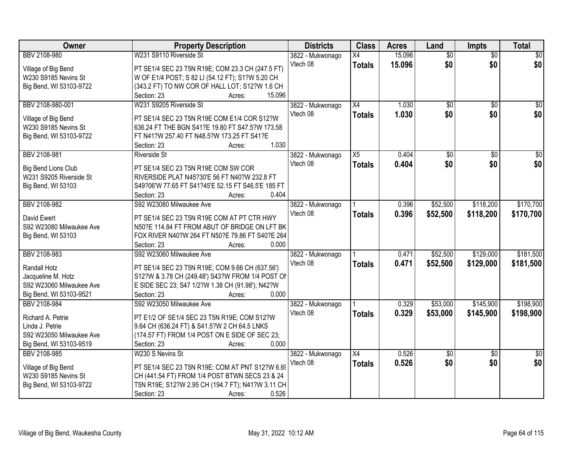| Owner                    | <b>Property Description</b>                         | <b>Districts</b>             | <b>Class</b>    | <b>Acres</b> | Land            | <b>Impts</b>    | <b>Total</b>    |
|--------------------------|-----------------------------------------------------|------------------------------|-----------------|--------------|-----------------|-----------------|-----------------|
| BBV 2108-980             | W231 S9110 Riverside St                             | 3822 - Mukwonago             | X4              | 15.096       | $\overline{50}$ | $\overline{50}$ | $\overline{50}$ |
| Village of Big Bend      | PT SE1/4 SEC 23 T5N R19E; COM 23.3 CH (247.5 FT)    | Vtech 08                     | <b>Totals</b>   | 15.096       | \$0             | \$0             | \$0             |
| W230 S9185 Nevins St     | W OF E1/4 POST; S 82 LI (54.12 FT); S1?W 5.20 CH    |                              |                 |              |                 |                 |                 |
| Big Bend, WI 53103-9722  | (343.2 FT) TO NW COR OF HALL LOT; S12?W 1.6 CH      |                              |                 |              |                 |                 |                 |
|                          | 15.096<br>Section: 23<br>Acres:                     |                              |                 |              |                 |                 |                 |
| BBV 2108-980-001         | W231 S9205 Riverside St                             | 3822 - Mukwonago             | $\overline{X4}$ | 1.030        | $\overline{30}$ | $\overline{50}$ | \$0             |
|                          |                                                     | Vtech 08                     | <b>Totals</b>   | 1.030        | \$0             | \$0             | \$0             |
| Village of Big Bend      | PT SE1/4 SEC 23 T5N R19E COM E1/4 COR S12?W         |                              |                 |              |                 |                 |                 |
| W230 S9185 Nevins St     | 636.24 FT THE BGN S41?E 19.80 FT S47.5?W 173.58     |                              |                 |              |                 |                 |                 |
| Big Bend, WI 53103-9722  | FT N41?W 257.40 FT N48.5?W 173.25 FT S41?E<br>1.030 |                              |                 |              |                 |                 |                 |
|                          | Section: 23<br>Acres:                               |                              |                 |              |                 |                 |                 |
| BBV 2108-981             | <b>Riverside St</b>                                 | 3822 - Mukwonago<br>Vtech 08 | X5              | 0.404        | \$0             | \$0             | $\overline{50}$ |
| Big Bend Lions Club      | PT SE1/4 SEC 23 T5N R19E COM SW COR                 |                              | <b>Totals</b>   | 0.404        | \$0             | \$0             | \$0             |
| W231 S9205 Riverside St  | RIVERSIDE PLAT N45?30'E 56 FT N40?W 232.8 FT        |                              |                 |              |                 |                 |                 |
| Big Bend, WI 53103       | S49?06'W 77.65 FT S41?45'E 52.15 FT S46.5'E 185 FT  |                              |                 |              |                 |                 |                 |
|                          | 0.404<br>Section: 23<br>Acres:                      |                              |                 |              |                 |                 |                 |
| BBV 2108-982             | S92 W23080 Milwaukee Ave                            | 3822 - Mukwonago             |                 | 0.396        | \$52,500        | \$118,200       | \$170,700       |
| David Ewert              | PT SE1/4 SEC 23 T5N R19E COM AT PT CTR HWY          | Vtech 08                     | <b>Totals</b>   | 0.396        | \$52,500        | \$118,200       | \$170,700       |
| S92 W23080 Milwaukee Ave | N50?E 114.84 FT FROM ABUT OF BRIDGE ON LFT BK       |                              |                 |              |                 |                 |                 |
| Big Bend, WI 53103       | FOX RIVER N40?W 264 FT N50?E 79.86 FT S40?E 264     |                              |                 |              |                 |                 |                 |
|                          | 0.000<br>Section: 23<br>Acres:                      |                              |                 |              |                 |                 |                 |
| BBV 2108-983             | S92 W23060 Milwaukee Ave                            | 3822 - Mukwonago             |                 | 0.471        | \$52,500        | \$129,000       | \$181,500       |
|                          |                                                     | Vtech 08                     | <b>Totals</b>   | 0.471        | \$52,500        | \$129,000       | \$181,500       |
| Randall Hotz             | PT SE1/4 SEC 23 T5N R19E; COM 9.66 CH (637.56')     |                              |                 |              |                 |                 |                 |
| Jacqueline M. Hotz       | S12?W & 3.78 CH (249.48') S43?W FROM 1/4 POST ON    |                              |                 |              |                 |                 |                 |
| S92 W23060 Milwaukee Ave | E SIDE SEC 23; S47 1/2?W 1.38 CH (91.98'); N42?W    |                              |                 |              |                 |                 |                 |
| Big Bend, WI 53103-9521  | 0.000<br>Section: 23<br>Acres:                      |                              |                 |              |                 |                 |                 |
| BBV 2108-984             | S92 W23050 Milwaukee Ave                            | 3822 - Mukwonago             |                 | 0.329        | \$53,000        | \$145,900       | \$198,900       |
| Richard A. Petrie        | PT E1/2 OF SE1/4 SEC 23 T5N R19E; COM S12?W         | Vtech 08                     | <b>Totals</b>   | 0.329        | \$53,000        | \$145,900       | \$198,900       |
| Linda J. Petrie          | 9.64 CH (636.24 FT) & S41.5?W 2 CH 64.5 LNKS        |                              |                 |              |                 |                 |                 |
| S92 W23050 Milwaukee Ave | (174.57 FT) FROM 1/4 POST ON E SIDE OF SEC 23;      |                              |                 |              |                 |                 |                 |
| Big Bend, WI 53103-9519  | Section: 23<br>0.000<br>Acres:                      |                              |                 |              |                 |                 |                 |
| BBV 2108-985             | W230 S Nevins St                                    | 3822 - Mukwonago             | $\overline{X4}$ | 0.526        | $\overline{50}$ | $\overline{30}$ | $\overline{50}$ |
|                          |                                                     | Vtech 08                     | <b>Totals</b>   | 0.526        | \$0             | \$0             | \$0             |
| Village of Big Bend      | PT SE1/4 SEC 23 T5N R19E; COM AT PNT S12?W 6.69     |                              |                 |              |                 |                 |                 |
| W230 S9185 Nevins St     | CH (441.54 FT) FROM 1/4 POST BTWN SECS 23 & 24      |                              |                 |              |                 |                 |                 |
| Big Bend, WI 53103-9722  | T5N R19E; S12?W 2.95 CH (194.7 FT); N41?W 3.11 CH   |                              |                 |              |                 |                 |                 |
|                          | 0.526<br>Section: 23<br>Acres:                      |                              |                 |              |                 |                 |                 |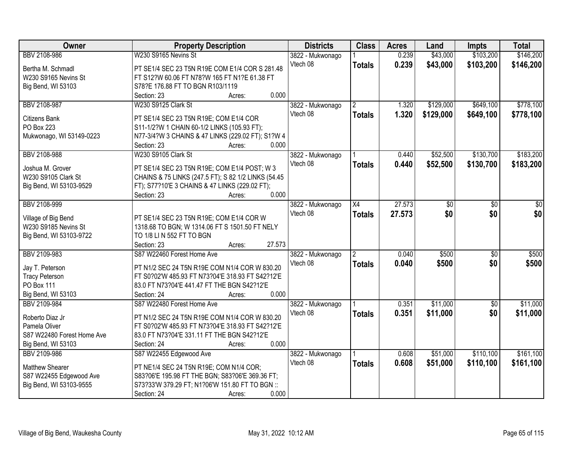| Owner                               | <b>Property Description</b>                                                                       | <b>Districts</b> | <b>Class</b>  | <b>Acres</b> | Land      | <b>Impts</b>    | <b>Total</b> |
|-------------------------------------|---------------------------------------------------------------------------------------------------|------------------|---------------|--------------|-----------|-----------------|--------------|
| BBV 2108-986                        | W230 S9165 Nevins St                                                                              | 3822 - Mukwonago |               | 0.239        | \$43,000  | \$103,200       | \$146,200    |
| Bertha M. Schmadl                   | PT SE1/4 SEC 23 T5N R19E COM E1/4 COR S 281.48                                                    | Vtech 08         | <b>Totals</b> | 0.239        | \$43,000  | \$103,200       | \$146,200    |
| W230 S9165 Nevins St                | FT S12?W 60.06 FT N78?W 165 FT N1?E 61.38 FT                                                      |                  |               |              |           |                 |              |
| Big Bend, WI 53103                  | S78?E 176.88 FT TO BGN R103/1119                                                                  |                  |               |              |           |                 |              |
|                                     | 0.000<br>Section: 23<br>Acres:                                                                    |                  |               |              |           |                 |              |
| BBV 2108-987                        | W230 S9125 Clark St                                                                               | 3822 - Mukwonago | $\mathbf{2}$  | 1.320        | \$129,000 | \$649,100       | \$778,100    |
|                                     |                                                                                                   | Vtech 08         | <b>Totals</b> | 1.320        | \$129,000 | \$649,100       | \$778,100    |
| <b>Citizens Bank</b>                | PT SE1/4 SEC 23 T5N R19E; COM E1/4 COR                                                            |                  |               |              |           |                 |              |
| PO Box 223                          | S11-1/2?W 1 CHAIN 60-1/2 LINKS (105.93 FT);                                                       |                  |               |              |           |                 |              |
| Mukwonago, WI 53149-0223            | N77-3/4?W 3 CHAINS & 47 LINKS (229.02 FT); S1?W 4                                                 |                  |               |              |           |                 |              |
|                                     | 0.000<br>Section: 23<br>Acres:                                                                    |                  |               |              |           |                 |              |
| BBV 2108-988                        | W230 S9105 Clark St                                                                               | 3822 - Mukwonago |               | 0.440        | \$52,500  | \$130,700       | \$183,200    |
| Joshua M. Grover                    | PT SE1/4 SEC 23 T5N R19E; COM E1/4 POST; W 3                                                      | Vtech 08         | <b>Totals</b> | 0.440        | \$52,500  | \$130,700       | \$183,200    |
| W230 S9105 Clark St                 | CHAINS & 75 LINKS (247.5 FT); S 82 1/2 LINKS (54.45                                               |                  |               |              |           |                 |              |
| Big Bend, WI 53103-9529             | FT); S77?10'E 3 CHAINS & 47 LINKS (229.02 FT);                                                    |                  |               |              |           |                 |              |
|                                     | 0.000<br>Section: 23<br>Acres:                                                                    |                  |               |              |           |                 |              |
| BBV 2108-999                        |                                                                                                   | 3822 - Mukwonago | X4            | 27.573       | \$0       | \$0             | \$0          |
|                                     |                                                                                                   | Vtech 08         |               |              | \$0       | \$0             | \$0          |
| Village of Big Bend                 | PT SE1/4 SEC 23 T5N R19E; COM E1/4 COR W                                                          |                  | <b>Totals</b> | 27.573       |           |                 |              |
| W230 S9185 Nevins St                | 1318.68 TO BGN; W 1314.06 FT S 1501.50 FT NELY                                                    |                  |               |              |           |                 |              |
| Big Bend, WI 53103-9722             | TO 1/8 LI N 552 FT TO BGN                                                                         |                  |               |              |           |                 |              |
|                                     | 27.573<br>Section: 23<br>Acres:                                                                   |                  |               |              |           |                 |              |
| BBV 2109-983                        | S87 W22460 Forest Home Ave                                                                        | 3822 - Mukwonago | 2             | 0.040        | \$500     | $\overline{50}$ | \$500        |
|                                     |                                                                                                   | Vtech 08         | <b>Totals</b> | 0.040        | \$500     | \$0             | \$500        |
| Jay T. Peterson                     | PT N1/2 SEC 24 T5N R19E COM N1/4 COR W 830.20<br>FT S0?02'W 485.93 FT N73?04'E 318.93 FT S42?12'E |                  |               |              |           |                 |              |
| <b>Tracy Peterson</b><br>PO Box 111 | 83.0 FT N73?04'E 441.47 FT THE BGN S42?12'E                                                       |                  |               |              |           |                 |              |
| Big Bend, WI 53103                  | 0.000<br>Section: 24                                                                              |                  |               |              |           |                 |              |
|                                     | Acres:                                                                                            |                  |               |              |           |                 |              |
| BBV 2109-984                        | S87 W22480 Forest Home Ave                                                                        | 3822 - Mukwonago |               | 0.351        | \$11,000  | $\overline{50}$ | \$11,000     |
| Roberto Diaz Jr                     | PT N1/2 SEC 24 T5N R19E COM N1/4 COR W 830.20                                                     | Vtech 08         | <b>Totals</b> | 0.351        | \$11,000  | \$0             | \$11,000     |
| Pamela Oliver                       | FT S0?02'W 485.93 FT N73?04'E 318.93 FT S42?12'E                                                  |                  |               |              |           |                 |              |
| S87 W22480 Forest Home Ave          | 83.0 FT N73?04'E 331.11 FT THE BGN S42?12'E                                                       |                  |               |              |           |                 |              |
| Big Bend, WI 53103                  | 0.000<br>Section: 24<br>Acres:                                                                    |                  |               |              |           |                 |              |
| BBV 2109-986                        | S87 W22455 Edgewood Ave                                                                           | 3822 - Mukwonago |               | 0.608        | \$51,000  | \$110,100       | \$161,100    |
|                                     |                                                                                                   | Vtech 08         | <b>Totals</b> | 0.608        | \$51,000  | \$110,100       | \$161,100    |
| Matthew Shearer                     | PT NE1/4 SEC 24 T5N R19E; COM N1/4 COR;                                                           |                  |               |              |           |                 |              |
| S87 W22455 Edgewood Ave             | S83?06'E 195.98 FT THE BGN; S83?06'E 369.36 FT;                                                   |                  |               |              |           |                 |              |
| Big Bend, WI 53103-9555             | S73?33'W 379.29 FT; N1?06'W 151.80 FT TO BGN ::                                                   |                  |               |              |           |                 |              |
|                                     | 0.000<br>Section: 24<br>Acres:                                                                    |                  |               |              |           |                 |              |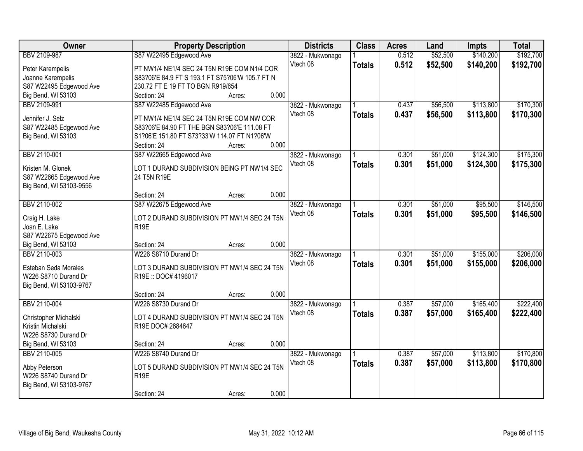| Owner                   | <b>Property Description</b>                     | <b>Districts</b> | <b>Class</b>  | <b>Acres</b> | Land     | <b>Impts</b> | <b>Total</b> |
|-------------------------|-------------------------------------------------|------------------|---------------|--------------|----------|--------------|--------------|
| BBV 2109-987            | S87 W22495 Edgewood Ave                         | 3822 - Mukwonago |               | 0.512        | \$52,500 | \$140,200    | \$192,700    |
| Peter Karempelis        | PT NW1/4 NE1/4 SEC 24 T5N R19E COM N1/4 COR     | Vtech 08         | <b>Totals</b> | 0.512        | \$52,500 | \$140,200    | \$192,700    |
| Joanne Karempelis       | S83?06'E 84.9 FT S 193.1 FT S75?06'W 105.7 FT N |                  |               |              |          |              |              |
| S87 W22495 Edgewood Ave | 230.72 FT E 19 FT TO BGN R919/654               |                  |               |              |          |              |              |
| Big Bend, WI 53103      | 0.000<br>Section: 24<br>Acres:                  |                  |               |              |          |              |              |
| BBV 2109-991            | S87 W22485 Edgewood Ave                         | 3822 - Mukwonago |               | 0.437        | \$56,500 | \$113,800    | \$170,300    |
|                         |                                                 | Vtech 08         | <b>Totals</b> | 0.437        | \$56,500 | \$113,800    | \$170,300    |
| Jennifer J. Selz        | PT NW1/4 NE1/4 SEC 24 T5N R19E COM NW COR       |                  |               |              |          |              |              |
| S87 W22485 Edgewood Ave | S83?06'E 84.90 FT THE BGN S83?06'E 111.08 FT    |                  |               |              |          |              |              |
| Big Bend, WI 53103      | S1?06'E 151.80 FT S73?33'W 114.07 FT N1?06'W    |                  |               |              |          |              |              |
|                         | 0.000<br>Section: 24<br>Acres:                  |                  |               |              |          |              |              |
| BBV 2110-001            | S87 W22665 Edgewood Ave                         | 3822 - Mukwonago |               | 0.301        | \$51,000 | \$124,300    | \$175,300    |
| Kristen M. Glonek       | LOT 1 DURAND SUBDIVISION BEING PT NW1/4 SEC     | Vtech 08         | <b>Totals</b> | 0.301        | \$51,000 | \$124,300    | \$175,300    |
| S87 W22665 Edgewood Ave | 24 T5N R19E                                     |                  |               |              |          |              |              |
| Big Bend, WI 53103-9556 |                                                 |                  |               |              |          |              |              |
|                         | 0.000<br>Section: 24<br>Acres:                  |                  |               |              |          |              |              |
| BBV 2110-002            | S87 W22675 Edgewood Ave                         | 3822 - Mukwonago |               | 0.301        | \$51,000 | \$95,500     | \$146,500    |
|                         |                                                 | Vtech 08         | <b>Totals</b> | 0.301        | \$51,000 | \$95,500     | \$146,500    |
| Craig H. Lake           | LOT 2 DURAND SUBDIVISION PT NW1/4 SEC 24 T5N    |                  |               |              |          |              |              |
| Joan E. Lake            | <b>R19E</b>                                     |                  |               |              |          |              |              |
| S87 W22675 Edgewood Ave |                                                 |                  |               |              |          |              |              |
| Big Bend, WI 53103      | 0.000<br>Section: 24<br>Acres:                  |                  |               |              |          |              |              |
| BBV 2110-003            | W226 S8710 Durand Dr                            | 3822 - Mukwonago |               | 0.301        | \$51,000 | \$155,000    | \$206,000    |
| Esteban Seda Morales    | LOT 3 DURAND SUBDIVISION PT NW1/4 SEC 24 T5N    | Vtech 08         | <b>Totals</b> | 0.301        | \$51,000 | \$155,000    | \$206,000    |
| W226 S8710 Durand Dr    | R19E: DOC# 4196017                              |                  |               |              |          |              |              |
| Big Bend, WI 53103-9767 |                                                 |                  |               |              |          |              |              |
|                         | 0.000<br>Section: 24<br>Acres:                  |                  |               |              |          |              |              |
| BBV 2110-004            | W226 S8730 Durand Dr                            | 3822 - Mukwonago |               | 0.387        | \$57,000 | \$165,400    | \$222,400    |
| Christopher Michalski   | LOT 4 DURAND SUBDIVISION PT NW1/4 SEC 24 T5N    | Vtech 08         | <b>Totals</b> | 0.387        | \$57,000 | \$165,400    | \$222,400    |
| Kristin Michalski       | R19E DOC# 2684647                               |                  |               |              |          |              |              |
| W226 S8730 Durand Dr    |                                                 |                  |               |              |          |              |              |
| Big Bend, WI 53103      | 0.000<br>Section: 24<br>Acres:                  |                  |               |              |          |              |              |
| BBV 2110-005            | W226 S8740 Durand Dr                            | 3822 - Mukwonago |               | 0.387        | \$57,000 | \$113,800    | \$170,800    |
|                         |                                                 | Vtech 08         | <b>Totals</b> | 0.387        | \$57,000 | \$113,800    | \$170,800    |
| Abby Peterson           | LOT 5 DURAND SUBDIVISION PT NW1/4 SEC 24 T5N    |                  |               |              |          |              |              |
| W226 S8740 Durand Dr    | R <sub>19E</sub>                                |                  |               |              |          |              |              |
| Big Bend, WI 53103-9767 |                                                 |                  |               |              |          |              |              |
|                         | 0.000<br>Section: 24<br>Acres:                  |                  |               |              |          |              |              |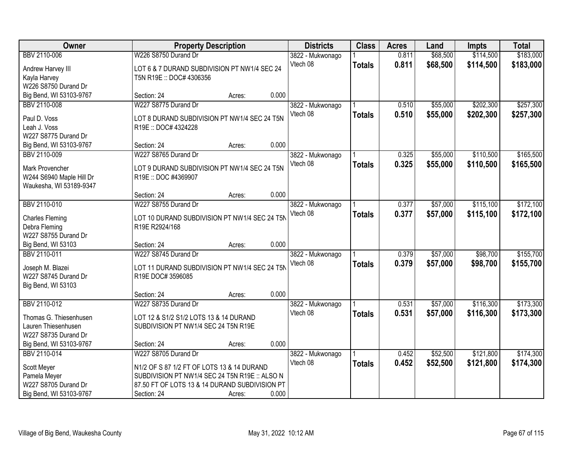| \$114,500<br>BBV 2110-006<br>W226 S8750 Durand Dr<br>0.811<br>\$68,500<br>3822 - Mukwonago<br>Vtech 08<br>0.811<br>\$68,500<br>\$114,500<br>\$183,000<br><b>Totals</b><br>LOT 6 & 7 DURAND SUBDIVISION PT NW1/4 SEC 24<br>Andrew Harvey III<br>Kayla Harvey<br>T5N R19E :: DOC# 4306356<br>W226 S8750 Durand Dr<br>Big Bend, WI 53103-9767<br>0.000<br>Section: 24<br>Acres:<br>W227 S8775 Durand Dr<br>\$202,300<br>0.510<br>\$55,000<br>BBV 2110-008<br>3822 - Mukwonago<br>0.510<br>\$55,000<br>\$202,300<br>Vtech 08<br><b>Totals</b><br>Paul D. Voss<br>LOT 8 DURAND SUBDIVISION PT NW1/4 SEC 24 T5N<br>Leah J. Voss<br>R19E: DOC# 4324228<br>W227 S8775 Durand Dr<br>0.000 | Owner                   |             | <b>Property Description</b><br><b>Districts</b> |  | <b>Class</b> | <b>Acres</b> | Land | <b>Impts</b> | <b>Total</b> |
|----------------------------------------------------------------------------------------------------------------------------------------------------------------------------------------------------------------------------------------------------------------------------------------------------------------------------------------------------------------------------------------------------------------------------------------------------------------------------------------------------------------------------------------------------------------------------------------------------------------------------------------------------------------------------------|-------------------------|-------------|-------------------------------------------------|--|--------------|--------------|------|--------------|--------------|
|                                                                                                                                                                                                                                                                                                                                                                                                                                                                                                                                                                                                                                                                                  |                         |             |                                                 |  |              |              |      |              | \$183,000    |
|                                                                                                                                                                                                                                                                                                                                                                                                                                                                                                                                                                                                                                                                                  |                         |             |                                                 |  |              |              |      |              |              |
|                                                                                                                                                                                                                                                                                                                                                                                                                                                                                                                                                                                                                                                                                  |                         |             |                                                 |  |              |              |      |              |              |
|                                                                                                                                                                                                                                                                                                                                                                                                                                                                                                                                                                                                                                                                                  |                         |             |                                                 |  |              |              |      |              |              |
|                                                                                                                                                                                                                                                                                                                                                                                                                                                                                                                                                                                                                                                                                  |                         |             |                                                 |  |              |              |      |              |              |
|                                                                                                                                                                                                                                                                                                                                                                                                                                                                                                                                                                                                                                                                                  |                         |             |                                                 |  |              |              |      |              | \$257,300    |
|                                                                                                                                                                                                                                                                                                                                                                                                                                                                                                                                                                                                                                                                                  |                         |             |                                                 |  |              |              |      |              | \$257,300    |
|                                                                                                                                                                                                                                                                                                                                                                                                                                                                                                                                                                                                                                                                                  |                         |             |                                                 |  |              |              |      |              |              |
|                                                                                                                                                                                                                                                                                                                                                                                                                                                                                                                                                                                                                                                                                  |                         |             |                                                 |  |              |              |      |              |              |
|                                                                                                                                                                                                                                                                                                                                                                                                                                                                                                                                                                                                                                                                                  | Big Bend, WI 53103-9767 | Section: 24 | Acres:                                          |  |              |              |      |              |              |
| \$110,500<br>BBV 2110-009<br>W227 S8765 Durand Dr<br>0.325<br>\$55,000<br>3822 - Mukwonago                                                                                                                                                                                                                                                                                                                                                                                                                                                                                                                                                                                       |                         |             |                                                 |  |              |              |      |              | \$165,500    |
| Vtech 08<br>0.325<br>\$55,000<br>\$110,500<br><b>Totals</b>                                                                                                                                                                                                                                                                                                                                                                                                                                                                                                                                                                                                                      |                         |             |                                                 |  |              |              |      |              | \$165,500    |
| <b>Mark Provencher</b><br>LOT 9 DURAND SUBDIVISION PT NW1/4 SEC 24 T5N                                                                                                                                                                                                                                                                                                                                                                                                                                                                                                                                                                                                           |                         |             |                                                 |  |              |              |      |              |              |
| W244 S6940 Maple Hill Dr<br>R19E: DOC #4369907                                                                                                                                                                                                                                                                                                                                                                                                                                                                                                                                                                                                                                   |                         |             |                                                 |  |              |              |      |              |              |
| Waukesha, WI 53189-9347<br>0.000<br>Section: 24<br>Acres:                                                                                                                                                                                                                                                                                                                                                                                                                                                                                                                                                                                                                        |                         |             |                                                 |  |              |              |      |              |              |
| BBV 2110-010<br>W227 S8755 Durand Dr<br>\$57,000<br>\$115,100<br>0.377<br>3822 - Mukwonago                                                                                                                                                                                                                                                                                                                                                                                                                                                                                                                                                                                       |                         |             |                                                 |  |              |              |      |              | \$172,100    |
| Vtech 08<br>0.377<br>\$57,000<br>\$115,100                                                                                                                                                                                                                                                                                                                                                                                                                                                                                                                                                                                                                                       |                         |             |                                                 |  |              |              |      |              | \$172,100    |
| <b>Totals</b><br>LOT 10 DURAND SUBDIVISION PT NW1/4 SEC 24 T5N<br><b>Charles Fleming</b>                                                                                                                                                                                                                                                                                                                                                                                                                                                                                                                                                                                         |                         |             |                                                 |  |              |              |      |              |              |
| R19E R2924/168<br>Debra Fleming                                                                                                                                                                                                                                                                                                                                                                                                                                                                                                                                                                                                                                                  |                         |             |                                                 |  |              |              |      |              |              |
| W227 S8755 Durand Dr                                                                                                                                                                                                                                                                                                                                                                                                                                                                                                                                                                                                                                                             |                         |             |                                                 |  |              |              |      |              |              |
| 0.000<br>Big Bend, WI 53103<br>Section: 24<br>Acres:                                                                                                                                                                                                                                                                                                                                                                                                                                                                                                                                                                                                                             |                         |             |                                                 |  |              |              |      |              |              |
| \$57,000<br>\$98,700<br>BBV 2110-011<br>W227 S8745 Durand Dr<br>0.379<br>3822 - Mukwonago                                                                                                                                                                                                                                                                                                                                                                                                                                                                                                                                                                                        |                         |             |                                                 |  |              |              |      |              | \$155,700    |
| 0.379<br>\$57,000<br>\$98,700<br>Vtech 08<br><b>Totals</b><br>LOT 11 DURAND SUBDIVISION PT NW1/4 SEC 24 T5N<br>Joseph M. Blazei                                                                                                                                                                                                                                                                                                                                                                                                                                                                                                                                                  |                         |             |                                                 |  |              |              |      |              | \$155,700    |
| W227 S8745 Durand Dr<br>R19E DOC# 3596085                                                                                                                                                                                                                                                                                                                                                                                                                                                                                                                                                                                                                                        |                         |             |                                                 |  |              |              |      |              |              |
| Big Bend, WI 53103                                                                                                                                                                                                                                                                                                                                                                                                                                                                                                                                                                                                                                                               |                         |             |                                                 |  |              |              |      |              |              |
| 0.000<br>Section: 24<br>Acres:                                                                                                                                                                                                                                                                                                                                                                                                                                                                                                                                                                                                                                                   |                         |             |                                                 |  |              |              |      |              |              |
| \$116,300<br>BBV 2110-012<br>W227 S8735 Durand Dr<br>3822 - Mukwonago<br>0.531<br>\$57,000                                                                                                                                                                                                                                                                                                                                                                                                                                                                                                                                                                                       |                         |             |                                                 |  |              |              |      |              | \$173,300    |
| Vtech 08<br>\$57,000<br>0.531<br>\$116,300<br><b>Totals</b><br>Thomas G. Thiesenhusen<br>LOT 12 & S1/2 S1/2 LOTS 13 & 14 DURAND                                                                                                                                                                                                                                                                                                                                                                                                                                                                                                                                                  |                         |             |                                                 |  |              |              |      |              | \$173,300    |
| Lauren Thiesenhusen<br>SUBDIVISION PT NW1/4 SEC 24 T5N R19E                                                                                                                                                                                                                                                                                                                                                                                                                                                                                                                                                                                                                      |                         |             |                                                 |  |              |              |      |              |              |
| W227 S8735 Durand Dr                                                                                                                                                                                                                                                                                                                                                                                                                                                                                                                                                                                                                                                             |                         |             |                                                 |  |              |              |      |              |              |
| 0.000<br>Big Bend, WI 53103-9767<br>Section: 24<br>Acres:                                                                                                                                                                                                                                                                                                                                                                                                                                                                                                                                                                                                                        |                         |             |                                                 |  |              |              |      |              |              |
| \$121,800<br>BBV 2110-014<br>W227 S8705 Durand Dr<br>\$52,500<br>3822 - Mukwonago<br>0.452                                                                                                                                                                                                                                                                                                                                                                                                                                                                                                                                                                                       |                         |             |                                                 |  |              |              |      |              | \$174,300    |
| 0.452<br>Vtech 08<br>\$52,500<br>\$121,800<br><b>Totals</b>                                                                                                                                                                                                                                                                                                                                                                                                                                                                                                                                                                                                                      |                         |             |                                                 |  |              |              |      |              | \$174,300    |
| Scott Meyer<br>N1/2 OF S 87 1/2 FT OF LOTS 13 & 14 DURAND<br>SUBDIVISION PT NW1/4 SEC 24 T5N R19E :: ALSO N<br>Pamela Meyer                                                                                                                                                                                                                                                                                                                                                                                                                                                                                                                                                      |                         |             |                                                 |  |              |              |      |              |              |
| W227 S8705 Durand Dr<br>87.50 FT OF LOTS 13 & 14 DURAND SUBDIVISION PT                                                                                                                                                                                                                                                                                                                                                                                                                                                                                                                                                                                                           |                         |             |                                                 |  |              |              |      |              |              |
| Big Bend, WI 53103-9767<br>0.000<br>Section: 24<br>Acres:                                                                                                                                                                                                                                                                                                                                                                                                                                                                                                                                                                                                                        |                         |             |                                                 |  |              |              |      |              |              |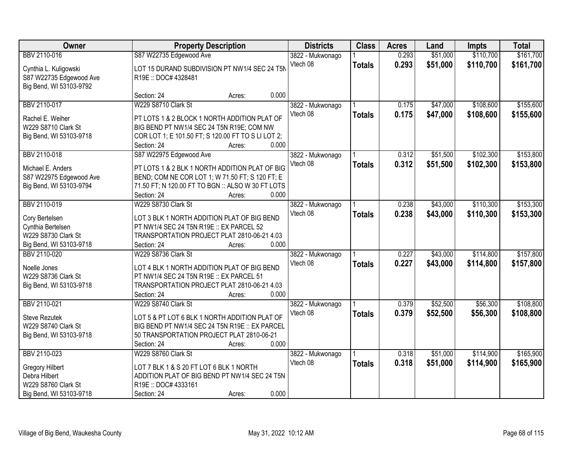| Owner                               |                                                                                             | <b>Property Description</b> |                  | <b>Class</b>  | <b>Acres</b> | Land     | <b>Impts</b> | <b>Total</b> |
|-------------------------------------|---------------------------------------------------------------------------------------------|-----------------------------|------------------|---------------|--------------|----------|--------------|--------------|
| BBV 2110-016                        | S87 W22735 Edgewood Ave                                                                     |                             | 3822 - Mukwonago |               | 0.293        | \$51,000 | \$110,700    | \$161,700    |
| Cynthia L. Kuligowski               | LOT 15 DURAND SUBDIVISION PT NW1/4 SEC 24 T5N                                               |                             | Vtech 08         | <b>Totals</b> | 0.293        | \$51,000 | \$110,700    | \$161,700    |
| S87 W22735 Edgewood Ave             | R19E:: DOC# 4328481                                                                         |                             |                  |               |              |          |              |              |
| Big Bend, WI 53103-9792             |                                                                                             |                             |                  |               |              |          |              |              |
|                                     | Section: 24                                                                                 | 0.000<br>Acres:             |                  |               |              |          |              |              |
| BBV 2110-017                        | W229 S8710 Clark St                                                                         |                             | 3822 - Mukwonago |               | 0.175        | \$47,000 | \$108,600    | \$155,600    |
| Rachel E. Weiher                    | PT LOTS 1 & 2 BLOCK 1 NORTH ADDITION PLAT OF                                                |                             | Vtech 08         | <b>Totals</b> | 0.175        | \$47,000 | \$108,600    | \$155,600    |
| W229 S8710 Clark St                 | BIG BEND PT NW1/4 SEC 24 T5N R19E; COM NW                                                   |                             |                  |               |              |          |              |              |
| Big Bend, WI 53103-9718             | COR LOT 1; E 101.50 FT; S 120.00 FT TO S LI LOT 2;                                          |                             |                  |               |              |          |              |              |
|                                     | Section: 24                                                                                 | 0.000<br>Acres:             |                  |               |              |          |              |              |
| BBV 2110-018                        | S87 W22975 Edgewood Ave                                                                     |                             | 3822 - Mukwonago |               | 0.312        | \$51,500 | \$102,300    | \$153,800    |
| Michael E. Anders                   | PT LOTS 1 & 2 BLK 1 NORTH ADDITION PLAT OF BIG                                              |                             | Vtech 08         | <b>Totals</b> | 0.312        | \$51,500 | \$102,300    | \$153,800    |
| S87 W22975 Edgewood Ave             | BEND; COM NE COR LOT 1; W 71.50 FT; S 120 FT; E                                             |                             |                  |               |              |          |              |              |
| Big Bend, WI 53103-9794             | 71.50 FT; N 120.00 FT TO BGN :: ALSO W 30 FT LOTS                                           |                             |                  |               |              |          |              |              |
|                                     | Section: 24                                                                                 | 0.000<br>Acres:             |                  |               |              |          |              |              |
| BBV 2110-019                        | W229 S8730 Clark St                                                                         |                             | 3822 - Mukwonago |               | 0.238        | \$43,000 | \$110,300    | \$153,300    |
| Cory Bertelsen                      | LOT 3 BLK 1 NORTH ADDITION PLAT OF BIG BEND                                                 |                             | Vtech 08         | <b>Totals</b> | 0.238        | \$43,000 | \$110,300    | \$153,300    |
| Cynthia Bertelsen                   | PT NW1/4 SEC 24 T5N R19E :: EX PARCEL 52                                                    |                             |                  |               |              |          |              |              |
| W229 S8730 Clark St                 | TRANSPORTATION PROJECT PLAT 2810-06-21 4.03                                                 |                             |                  |               |              |          |              |              |
| Big Bend, WI 53103-9718             | Section: 24                                                                                 | 0.000<br>Acres:             |                  |               |              |          |              |              |
| BBV 2110-020                        | W229 S8736 Clark St                                                                         |                             | 3822 - Mukwonago |               | 0.227        | \$43,000 | \$114,800    | \$157,800    |
|                                     |                                                                                             |                             | Vtech 08         | <b>Totals</b> | 0.227        | \$43,000 | \$114,800    | \$157,800    |
| Noelle Jones<br>W229 S8736 Clark St | LOT 4 BLK 1 NORTH ADDITION PLAT OF BIG BEND<br>PT NW1/4 SEC 24 T5N R19E :: EX PARCEL 51     |                             |                  |               |              |          |              |              |
| Big Bend, WI 53103-9718             | TRANSPORTATION PROJECT PLAT 2810-06-21 4.03                                                 |                             |                  |               |              |          |              |              |
|                                     | Section: 24                                                                                 | 0.000<br>Acres:             |                  |               |              |          |              |              |
| BBV 2110-021                        | W229 S8740 Clark St                                                                         |                             | 3822 - Mukwonago |               | 0.379        | \$52,500 | \$56,300     | \$108,800    |
|                                     |                                                                                             |                             | Vtech 08         | <b>Totals</b> | 0.379        | \$52,500 | \$56,300     | \$108,800    |
| <b>Steve Rezutek</b>                | LOT 5 & PT LOT 6 BLK 1 NORTH ADDITION PLAT OF                                               |                             |                  |               |              |          |              |              |
| W229 S8740 Clark St                 | BIG BEND PT NW1/4 SEC 24 T5N R19E :: EX PARCEL<br>50 TRANSPORTATION PROJECT PLAT 2810-06-21 |                             |                  |               |              |          |              |              |
| Big Bend, WI 53103-9718             | Section: 24                                                                                 | 0.000<br>Acres:             |                  |               |              |          |              |              |
| BBV 2110-023                        | W229 S8760 Clark St                                                                         |                             | 3822 - Mukwonago |               | 0.318        | \$51,000 | \$114,900    | \$165,900    |
|                                     |                                                                                             |                             | Vtech 08         | <b>Totals</b> | 0.318        | \$51,000 | \$114,900    | \$165,900    |
| Gregory Hilbert                     | LOT 7 BLK 1 & S 20 FT LOT 6 BLK 1 NORTH                                                     |                             |                  |               |              |          |              |              |
| Debra Hilbert                       | ADDITION PLAT OF BIG BEND PT NW1/4 SEC 24 T5N                                               |                             |                  |               |              |          |              |              |
| W229 S8760 Clark St                 | R19E: DOC# 4333161                                                                          |                             |                  |               |              |          |              |              |
| Big Bend, WI 53103-9718             | Section: 24                                                                                 | 0.000<br>Acres:             |                  |               |              |          |              |              |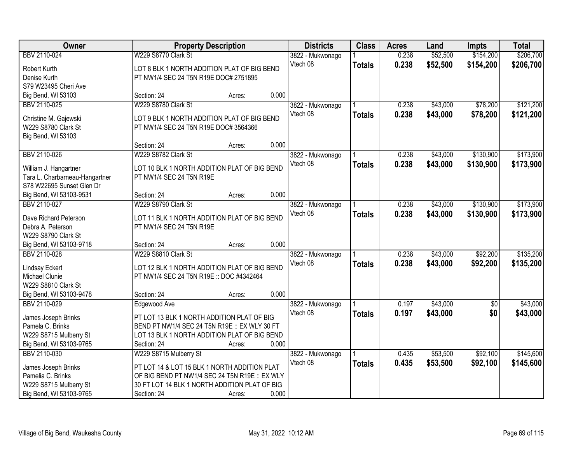| Owner                          |                                                | <b>Property Description</b> |       | <b>Districts</b> | <b>Class</b>  | <b>Acres</b> | Land     | <b>Impts</b>    | <b>Total</b> |
|--------------------------------|------------------------------------------------|-----------------------------|-------|------------------|---------------|--------------|----------|-----------------|--------------|
| BBV 2110-024                   | W229 S8770 Clark St                            |                             |       | 3822 - Mukwonago |               | 0.238        | \$52,500 | \$154,200       | \$206,700    |
| Robert Kurth                   | LOT 8 BLK 1 NORTH ADDITION PLAT OF BIG BEND    |                             |       | Vtech 08         | <b>Totals</b> | 0.238        | \$52,500 | \$154,200       | \$206,700    |
| Denise Kurth                   | PT NW1/4 SEC 24 T5N R19E DOC# 2751895          |                             |       |                  |               |              |          |                 |              |
| S79 W23495 Cheri Ave           |                                                |                             |       |                  |               |              |          |                 |              |
| Big Bend, WI 53103             | Section: 24                                    | Acres:                      | 0.000 |                  |               |              |          |                 |              |
| BBV 2110-025                   | W229 S8780 Clark St                            |                             |       | 3822 - Mukwonago |               | 0.238        | \$43,000 | \$78,200        | \$121,200    |
| Christine M. Gajewski          | LOT 9 BLK 1 NORTH ADDITION PLAT OF BIG BEND    |                             |       | Vtech 08         | <b>Totals</b> | 0.238        | \$43,000 | \$78,200        | \$121,200    |
| W229 S8780 Clark St            | PT NW1/4 SEC 24 T5N R19E DOC# 3564366          |                             |       |                  |               |              |          |                 |              |
| Big Bend, WI 53103             |                                                |                             |       |                  |               |              |          |                 |              |
|                                | Section: 24                                    | Acres:                      | 0.000 |                  |               |              |          |                 |              |
| BBV 2110-026                   | W229 S8782 Clark St                            |                             |       | 3822 - Mukwonago |               | 0.238        | \$43,000 | \$130,900       | \$173,900    |
| William J. Hangartner          | LOT 10 BLK 1 NORTH ADDITION PLAT OF BIG BEND   |                             |       | Vtech 08         | <b>Totals</b> | 0.238        | \$43,000 | \$130,900       | \$173,900    |
| Tara L. Charbarneau-Hangartner | PT NW1/4 SEC 24 T5N R19E                       |                             |       |                  |               |              |          |                 |              |
| S78 W22695 Sunset Glen Dr      |                                                |                             |       |                  |               |              |          |                 |              |
| Big Bend, WI 53103-9531        | Section: 24                                    | Acres:                      | 0.000 |                  |               |              |          |                 |              |
| BBV 2110-027                   | W229 S8790 Clark St                            |                             |       | 3822 - Mukwonago |               | 0.238        | \$43,000 | \$130,900       | \$173,900    |
|                                |                                                |                             |       | Vtech 08         | <b>Totals</b> | 0.238        | \$43,000 | \$130,900       | \$173,900    |
| Dave Richard Peterson          | LOT 11 BLK 1 NORTH ADDITION PLAT OF BIG BEND   |                             |       |                  |               |              |          |                 |              |
| Debra A. Peterson              | PT NW1/4 SEC 24 T5N R19E                       |                             |       |                  |               |              |          |                 |              |
| W229 S8790 Clark St            |                                                |                             |       |                  |               |              |          |                 |              |
| Big Bend, WI 53103-9718        | Section: 24                                    | Acres:                      | 0.000 |                  |               |              |          |                 |              |
| BBV 2110-028                   | W229 S8810 Clark St                            |                             |       | 3822 - Mukwonago |               | 0.238        | \$43,000 | \$92,200        | \$135,200    |
| <b>Lindsay Eckert</b>          | LOT 12 BLK 1 NORTH ADDITION PLAT OF BIG BEND   |                             |       | Vtech 08         | <b>Totals</b> | 0.238        | \$43,000 | \$92,200        | \$135,200    |
| Michael Clunie                 | PT NW1/4 SEC 24 T5N R19E :: DOC #4342464       |                             |       |                  |               |              |          |                 |              |
| W229 S8810 Clark St            |                                                |                             |       |                  |               |              |          |                 |              |
| Big Bend, WI 53103-9478        | Section: 24                                    | Acres:                      | 0.000 |                  |               |              |          |                 |              |
| BBV 2110-029                   | Edgewood Ave                                   |                             |       | 3822 - Mukwonago |               | 0.197        | \$43,000 | $\overline{50}$ | \$43,000     |
| James Joseph Brinks            | PT LOT 13 BLK 1 NORTH ADDITION PLAT OF BIG     |                             |       | Vtech 08         | <b>Totals</b> | 0.197        | \$43,000 | \$0             | \$43,000     |
| Pamela C. Brinks               | BEND PT NW1/4 SEC 24 T5N R19E :: EX WLY 30 FT  |                             |       |                  |               |              |          |                 |              |
| W229 S8715 Mulberry St         | LOT 13 BLK 1 NORTH ADDITION PLAT OF BIG BEND   |                             |       |                  |               |              |          |                 |              |
| Big Bend, WI 53103-9765        | Section: 24                                    | Acres:                      | 0.000 |                  |               |              |          |                 |              |
| BBV 2110-030                   | W229 S8715 Mulberry St                         |                             |       | 3822 - Mukwonago |               | 0.435        | \$53,500 | \$92,100        | \$145,600    |
| James Joseph Brinks            | PT LOT 14 & LOT 15 BLK 1 NORTH ADDITION PLAT   |                             |       | Vtech 08         | <b>Totals</b> | 0.435        | \$53,500 | \$92,100        | \$145,600    |
| Pamelia C. Brinks              | OF BIG BEND PT NW1/4 SEC 24 T5N R19E :: EX WLY |                             |       |                  |               |              |          |                 |              |
| W229 S8715 Mulberry St         | 30 FT LOT 14 BLK 1 NORTH ADDITION PLAT OF BIG  |                             |       |                  |               |              |          |                 |              |
| Big Bend, WI 53103-9765        | Section: 24                                    | Acres:                      | 0.000 |                  |               |              |          |                 |              |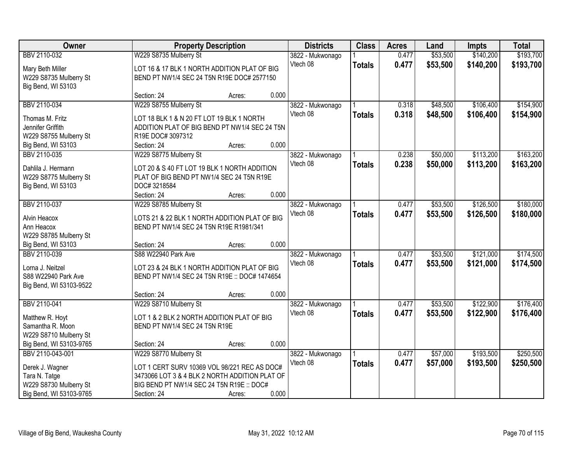| Owner                                |                                                | <b>Property Description</b> |       | <b>Districts</b>             | <b>Class</b>  | <b>Acres</b>   | Land     | <b>Impts</b> | <b>Total</b> |
|--------------------------------------|------------------------------------------------|-----------------------------|-------|------------------------------|---------------|----------------|----------|--------------|--------------|
| BBV 2110-032                         | W229 S8735 Mulberry St                         |                             |       | 3822 - Mukwonago             |               | 0.477          | \$53,500 | \$140,200    | \$193,700    |
| Mary Beth Miller                     | LOT 16 & 17 BLK 1 NORTH ADDITION PLAT OF BIG   |                             |       | Vtech 08                     | <b>Totals</b> | 0.477          | \$53,500 | \$140,200    | \$193,700    |
| W229 S8735 Mulberry St               | BEND PT NW1/4 SEC 24 T5N R19E DOC# 2577150     |                             |       |                              |               |                |          |              |              |
| Big Bend, WI 53103                   |                                                |                             |       |                              |               |                |          |              |              |
|                                      | Section: 24                                    | Acres:                      | 0.000 |                              |               |                |          |              |              |
| BBV 2110-034                         | W229 S8755 Mulberry St                         |                             |       | 3822 - Mukwonago             |               | 0.318          | \$48,500 | \$106,400    | \$154,900    |
| Thomas M. Fritz                      | LOT 18 BLK 1 & N 20 FT LOT 19 BLK 1 NORTH      |                             |       | Vtech 08                     | <b>Totals</b> | 0.318          | \$48,500 | \$106,400    | \$154,900    |
| Jennifer Griffith                    | ADDITION PLAT OF BIG BEND PT NW1/4 SEC 24 T5N  |                             |       |                              |               |                |          |              |              |
| W229 S8755 Mulberry St               | R19E DOC# 3097312                              |                             |       |                              |               |                |          |              |              |
| Big Bend, WI 53103                   | Section: 24                                    | Acres:                      | 0.000 |                              |               |                |          |              |              |
| BBV 2110-035                         | W229 S8775 Mulberry St                         |                             |       | 3822 - Mukwonago             |               | 0.238          | \$50,000 | \$113,200    | \$163,200    |
| Dahlila J. Hermann                   | LOT 20 & S 40 FT LOT 19 BLK 1 NORTH ADDITION   |                             |       | Vtech 08                     | <b>Totals</b> | 0.238          | \$50,000 | \$113,200    | \$163,200    |
| W229 S8775 Mulberry St               | PLAT OF BIG BEND PT NW1/4 SEC 24 T5N R19E      |                             |       |                              |               |                |          |              |              |
| Big Bend, WI 53103                   | DOC#3218584                                    |                             |       |                              |               |                |          |              |              |
|                                      | Section: 24                                    | Acres:                      | 0.000 |                              |               |                |          |              |              |
| BBV 2110-037                         | W229 S8785 Mulberry St                         |                             |       | 3822 - Mukwonago             |               | 0.477          | \$53,500 | \$126,500    | \$180,000    |
|                                      |                                                |                             |       | Vtech 08                     | <b>Totals</b> | 0.477          | \$53,500 | \$126,500    | \$180,000    |
| Alvin Heacox                         | LOTS 21 & 22 BLK 1 NORTH ADDITION PLAT OF BIG  |                             |       |                              |               |                |          |              |              |
| Ann Heacox<br>W229 S8785 Mulberry St | BEND PT NW1/4 SEC 24 T5N R19E R1981/341        |                             |       |                              |               |                |          |              |              |
| Big Bend, WI 53103                   | Section: 24                                    | Acres:                      | 0.000 |                              |               |                |          |              |              |
| BBV 2110-039                         | S88 W22940 Park Ave                            |                             |       | 3822 - Mukwonago             |               | 0.477          | \$53,500 | \$121,000    | \$174,500    |
|                                      |                                                |                             |       | Vtech 08                     | <b>Totals</b> | 0.477          | \$53,500 | \$121,000    | \$174,500    |
| Lorna J. Neitzel                     | LOT 23 & 24 BLK 1 NORTH ADDITION PLAT OF BIG   |                             |       |                              |               |                |          |              |              |
| S88 W22940 Park Ave                  | BEND PT NW1/4 SEC 24 T5N R19E :: DOC# 1474654  |                             |       |                              |               |                |          |              |              |
| Big Bend, WI 53103-9522              |                                                |                             |       |                              |               |                |          |              |              |
|                                      | Section: 24                                    | Acres:                      | 0.000 |                              |               |                |          |              |              |
| BBV 2110-041                         | W229 S8710 Mulberry St                         |                             |       | 3822 - Mukwonago<br>Vtech 08 |               | 0.477<br>0.477 | \$53,500 | \$122,900    | \$176,400    |
| Matthew R. Hoyt                      | LOT 1 & 2 BLK 2 NORTH ADDITION PLAT OF BIG     |                             |       |                              | <b>Totals</b> |                | \$53,500 | \$122,900    | \$176,400    |
| Samantha R. Moon                     | BEND PT NW1/4 SEC 24 T5N R19E                  |                             |       |                              |               |                |          |              |              |
| W229 S8710 Mulberry St               |                                                |                             |       |                              |               |                |          |              |              |
| Big Bend, WI 53103-9765              | Section: 24                                    | Acres:                      | 0.000 |                              |               |                |          |              |              |
| BBV 2110-043-001                     | W229 S8770 Mulberry St                         |                             |       | 3822 - Mukwonago             |               | 0.477          | \$57,000 | \$193,500    | \$250,500    |
| Derek J. Wagner                      | LOT 1 CERT SURV 10369 VOL 98/221 REC AS DOC#   |                             |       | Vtech 08                     | <b>Totals</b> | 0.477          | \$57,000 | \$193,500    | \$250,500    |
| Tara N. Tatge                        | 3473066 LOT 3 & 4 BLK 2 NORTH ADDITION PLAT OF |                             |       |                              |               |                |          |              |              |
| W229 S8730 Mulberry St               | BIG BEND PT NW1/4 SEC 24 T5N R19E :: DOC#      |                             |       |                              |               |                |          |              |              |
| Big Bend, WI 53103-9765              | Section: 24                                    | Acres:                      | 0.000 |                              |               |                |          |              |              |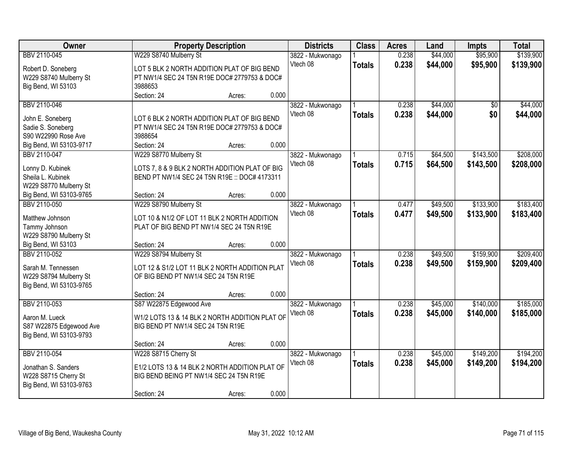| Owner                   |                                                | <b>Property Description</b> |       | <b>Districts</b> | <b>Class</b>  | <b>Acres</b> | Land     | <b>Impts</b> | <b>Total</b> |
|-------------------------|------------------------------------------------|-----------------------------|-------|------------------|---------------|--------------|----------|--------------|--------------|
| BBV 2110-045            | W229 S8740 Mulberry St                         |                             |       | 3822 - Mukwonago |               | 0.238        | \$44,000 | \$95,900     | \$139,900    |
| Robert D. Soneberg      | LOT 5 BLK 2 NORTH ADDITION PLAT OF BIG BEND    |                             |       | Vtech 08         | <b>Totals</b> | 0.238        | \$44,000 | \$95,900     | \$139,900    |
| W229 S8740 Mulberry St  | PT NW1/4 SEC 24 T5N R19E DOC# 2779753 & DOC#   |                             |       |                  |               |              |          |              |              |
| Big Bend, WI 53103      | 3988653                                        |                             |       |                  |               |              |          |              |              |
|                         | Section: 24                                    | Acres:                      | 0.000 |                  |               |              |          |              |              |
| BBV 2110-046            |                                                |                             |       | 3822 - Mukwonago |               | 0.238        | \$44,000 | \$0          | \$44,000     |
|                         |                                                |                             |       | Vtech 08         | <b>Totals</b> | 0.238        | \$44,000 | \$0          | \$44,000     |
| John E. Soneberg        | LOT 6 BLK 2 NORTH ADDITION PLAT OF BIG BEND    |                             |       |                  |               |              |          |              |              |
| Sadie S. Soneberg       | PT NW1/4 SEC 24 T5N R19E DOC# 2779753 & DOC#   |                             |       |                  |               |              |          |              |              |
| S90 W22990 Rose Ave     | 3988654                                        |                             |       |                  |               |              |          |              |              |
| Big Bend, WI 53103-9717 | Section: 24                                    | Acres:                      | 0.000 |                  |               |              |          |              |              |
| BBV 2110-047            | W229 S8770 Mulberry St                         |                             |       | 3822 - Mukwonago |               | 0.715        | \$64,500 | \$143,500    | \$208,000    |
| Lonny D. Kubinek        | LOTS 7, 8 & 9 BLK 2 NORTH ADDITION PLAT OF BIG |                             |       | Vtech 08         | <b>Totals</b> | 0.715        | \$64,500 | \$143,500    | \$208,000    |
| Sheila L. Kubinek       | BEND PT NW1/4 SEC 24 T5N R19E :: DOC# 4173311  |                             |       |                  |               |              |          |              |              |
| W229 S8770 Mulberry St  |                                                |                             |       |                  |               |              |          |              |              |
| Big Bend, WI 53103-9765 | Section: 24                                    | Acres:                      | 0.000 |                  |               |              |          |              |              |
| BBV 2110-050            | W229 S8790 Mulberry St                         |                             |       | 3822 - Mukwonago |               | 0.477        | \$49,500 | \$133,900    | \$183,400    |
|                         |                                                |                             |       | Vtech 08         | <b>Totals</b> | 0.477        | \$49,500 | \$133,900    | \$183,400    |
| Matthew Johnson         | LOT 10 & N1/2 OF LOT 11 BLK 2 NORTH ADDITION   |                             |       |                  |               |              |          |              |              |
| Tammy Johnson           | PLAT OF BIG BEND PT NW1/4 SEC 24 T5N R19E      |                             |       |                  |               |              |          |              |              |
| W229 S8790 Mulberry St  |                                                |                             |       |                  |               |              |          |              |              |
| Big Bend, WI 53103      | Section: 24                                    | Acres:                      | 0.000 |                  |               |              |          |              |              |
| BBV 2110-052            | W229 S8794 Mulberry St                         |                             |       | 3822 - Mukwonago |               | 0.238        | \$49,500 | \$159,900    | \$209,400    |
| Sarah M. Tennessen      | LOT 12 & S1/2 LOT 11 BLK 2 NORTH ADDITION PLAT |                             |       | Vtech 08         | <b>Totals</b> | 0.238        | \$49,500 | \$159,900    | \$209,400    |
| W229 S8794 Mulberry St  | OF BIG BEND PT NW1/4 SEC 24 T5N R19E           |                             |       |                  |               |              |          |              |              |
| Big Bend, WI 53103-9765 |                                                |                             |       |                  |               |              |          |              |              |
|                         | Section: 24                                    | Acres:                      | 0.000 |                  |               |              |          |              |              |
| BBV 2110-053            | S87 W22875 Edgewood Ave                        |                             |       | 3822 - Mukwonago |               | 0.238        | \$45,000 | \$140,000    | \$185,000    |
|                         |                                                |                             |       | Vtech 08         | <b>Totals</b> | 0.238        | \$45,000 | \$140,000    | \$185,000    |
| Aaron M. Lueck          | W1/2 LOTS 13 & 14 BLK 2 NORTH ADDITION PLAT OF |                             |       |                  |               |              |          |              |              |
| S87 W22875 Edgewood Ave | BIG BEND PT NW1/4 SEC 24 T5N R19E              |                             |       |                  |               |              |          |              |              |
| Big Bend, WI 53103-9793 |                                                |                             |       |                  |               |              |          |              |              |
|                         | Section: 24                                    | Acres:                      | 0.000 |                  |               |              |          |              |              |
| BBV 2110-054            | W228 S8715 Cherry St                           |                             |       | 3822 - Mukwonago |               | 0.238        | \$45,000 | \$149,200    | \$194,200    |
| Jonathan S. Sanders     | E1/2 LOTS 13 & 14 BLK 2 NORTH ADDITION PLAT OF |                             |       | Vtech 08         | <b>Totals</b> | 0.238        | \$45,000 | \$149,200    | \$194,200    |
| W228 S8715 Cherry St    | BIG BEND BEING PT NW1/4 SEC 24 T5N R19E        |                             |       |                  |               |              |          |              |              |
| Big Bend, WI 53103-9763 |                                                |                             |       |                  |               |              |          |              |              |
|                         | Section: 24                                    | Acres:                      | 0.000 |                  |               |              |          |              |              |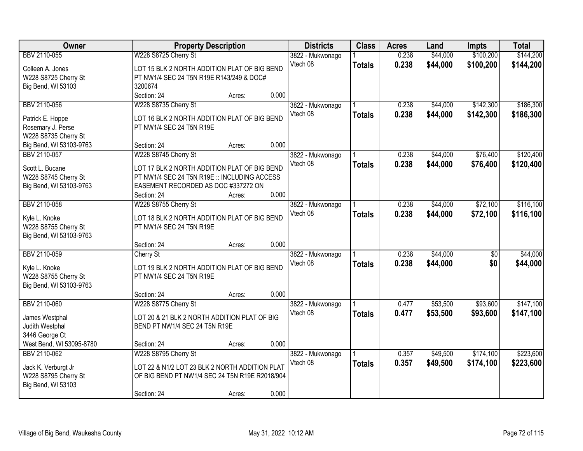| Owner                    |                                                                                     | <b>Property Description</b> |                  | <b>Districts</b> | <b>Class</b>  | <b>Acres</b> | Land     | <b>Impts</b>    | <b>Total</b> |
|--------------------------|-------------------------------------------------------------------------------------|-----------------------------|------------------|------------------|---------------|--------------|----------|-----------------|--------------|
| BBV 2110-055             | W228 S8725 Cherry St                                                                |                             | 3822 - Mukwonago |                  |               | 0.238        | \$44,000 | \$100,200       | \$144,200    |
| Colleen A. Jones         | LOT 15 BLK 2 NORTH ADDITION PLAT OF BIG BEND                                        |                             | Vtech 08         |                  | <b>Totals</b> | 0.238        | \$44,000 | \$100,200       | \$144,200    |
| W228 S8725 Cherry St     | PT NW1/4 SEC 24 T5N R19E R143/249 & DOC#                                            |                             |                  |                  |               |              |          |                 |              |
| Big Bend, WI 53103       | 3200674                                                                             |                             |                  |                  |               |              |          |                 |              |
|                          | Section: 24                                                                         | Acres:                      | 0.000            |                  |               |              |          |                 |              |
| BBV 2110-056             | W228 S8735 Cherry St                                                                |                             | 3822 - Mukwonago |                  |               | 0.238        | \$44,000 | \$142,300       | \$186,300    |
| Patrick E. Hoppe         | LOT 16 BLK 2 NORTH ADDITION PLAT OF BIG BEND                                        |                             | Vtech 08         |                  | <b>Totals</b> | 0.238        | \$44,000 | \$142,300       | \$186,300    |
| Rosemary J. Perse        | PT NW1/4 SEC 24 T5N R19E                                                            |                             |                  |                  |               |              |          |                 |              |
| W228 S8735 Cherry St     |                                                                                     |                             |                  |                  |               |              |          |                 |              |
| Big Bend, WI 53103-9763  | Section: 24                                                                         | Acres:                      | 0.000            |                  |               |              |          |                 |              |
| BBV 2110-057             | W228 S8745 Cherry St                                                                |                             | 3822 - Mukwonago |                  |               | 0.238        | \$44,000 | \$76,400        | \$120,400    |
|                          |                                                                                     |                             | Vtech 08         |                  | <b>Totals</b> | 0.238        | \$44,000 | \$76,400        | \$120,400    |
| Scott L. Bucane          | LOT 17 BLK 2 NORTH ADDITION PLAT OF BIG BEND                                        |                             |                  |                  |               |              |          |                 |              |
| W228 S8745 Cherry St     | PT NW1/4 SEC 24 T5N R19E :: INCLUDING ACCESS<br>EASEMENT RECORDED AS DOC #337272 ON |                             |                  |                  |               |              |          |                 |              |
| Big Bend, WI 53103-9763  | Section: 24                                                                         | Acres:                      | 0.000            |                  |               |              |          |                 |              |
| BBV 2110-058             | W228 S8755 Cherry St                                                                |                             | 3822 - Mukwonago |                  |               | 0.238        | \$44,000 | \$72,100        | \$116,100    |
|                          |                                                                                     |                             | Vtech 08         |                  | <b>Totals</b> | 0.238        | \$44,000 | \$72,100        | \$116,100    |
| Kyle L. Knoke            | LOT 18 BLK 2 NORTH ADDITION PLAT OF BIG BEND                                        |                             |                  |                  |               |              |          |                 |              |
| W228 S8755 Cherry St     | PT NW1/4 SEC 24 T5N R19E                                                            |                             |                  |                  |               |              |          |                 |              |
| Big Bend, WI 53103-9763  |                                                                                     |                             |                  |                  |               |              |          |                 |              |
|                          | Section: 24                                                                         | Acres:                      | 0.000            |                  |               |              |          |                 |              |
| BBV 2110-059             | Cherry St                                                                           |                             | 3822 - Mukwonago |                  |               | 0.238        | \$44,000 | $\overline{50}$ | \$44,000     |
| Kyle L. Knoke            | LOT 19 BLK 2 NORTH ADDITION PLAT OF BIG BEND                                        |                             | Vtech 08         |                  | <b>Totals</b> | 0.238        | \$44,000 | \$0             | \$44,000     |
| W228 S8755 Cherry St     | PT NW1/4 SEC 24 T5N R19E                                                            |                             |                  |                  |               |              |          |                 |              |
| Big Bend, WI 53103-9763  |                                                                                     |                             |                  |                  |               |              |          |                 |              |
|                          | Section: 24                                                                         | Acres:                      | 0.000            |                  |               |              |          |                 |              |
| BBV 2110-060             | W228 S8775 Cherry St                                                                |                             | 3822 - Mukwonago |                  |               | 0.477        | \$53,500 | \$93,600        | \$147,100    |
| James Westphal           | LOT 20 & 21 BLK 2 NORTH ADDITION PLAT OF BIG                                        |                             | Vtech 08         |                  | <b>Totals</b> | 0.477        | \$53,500 | \$93,600        | \$147,100    |
| Judith Westphal          | BEND PT NW1/4 SEC 24 T5N R19E                                                       |                             |                  |                  |               |              |          |                 |              |
| 3446 George Ct           |                                                                                     |                             |                  |                  |               |              |          |                 |              |
| West Bend, WI 53095-8780 | Section: 24                                                                         | Acres:                      | 0.000            |                  |               |              |          |                 |              |
| BBV 2110-062             | W228 S8795 Cherry St                                                                |                             | 3822 - Mukwonago |                  |               | 0.357        | \$49,500 | \$174,100       | \$223,600    |
| Jack K. Verburgt Jr      | LOT 22 & N1/2 LOT 23 BLK 2 NORTH ADDITION PLAT                                      |                             | Vtech 08         |                  | <b>Totals</b> | 0.357        | \$49,500 | \$174,100       | \$223,600    |
| W228 S8795 Cherry St     | OF BIG BEND PT NW1/4 SEC 24 T5N R19E R2018/904                                      |                             |                  |                  |               |              |          |                 |              |
| Big Bend, WI 53103       |                                                                                     |                             |                  |                  |               |              |          |                 |              |
|                          | Section: 24                                                                         | Acres:                      | 0.000            |                  |               |              |          |                 |              |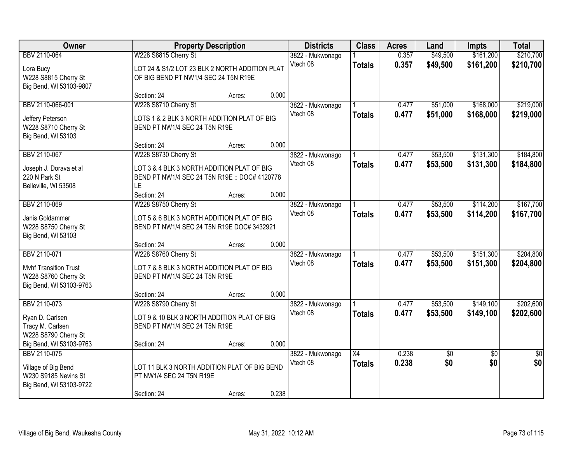| Owner                                                                                           | <b>Property Description</b>                                                                                      |        |       | <b>Districts</b>             | <b>Class</b>                     | <b>Acres</b>   | Land                   | <b>Impts</b>           | <b>Total</b>           |
|-------------------------------------------------------------------------------------------------|------------------------------------------------------------------------------------------------------------------|--------|-------|------------------------------|----------------------------------|----------------|------------------------|------------------------|------------------------|
| BBV 2110-064<br>Lora Bucy<br>W228 S8815 Cherry St<br>Big Bend, WI 53103-9807                    | W228 S8815 Cherry St<br>LOT 24 & S1/2 LOT 23 BLK 2 NORTH ADDITION PLAT<br>OF BIG BEND PT NW1/4 SEC 24 T5N R19E   |        |       | 3822 - Mukwonago<br>Vtech 08 | <b>Totals</b>                    | 0.357<br>0.357 | \$49,500<br>\$49,500   | \$161,200<br>\$161,200 | \$210,700<br>\$210,700 |
|                                                                                                 | Section: 24                                                                                                      | Acres: | 0.000 |                              |                                  |                |                        |                        |                        |
| BBV 2110-066-001<br>Jeffery Peterson<br>W228 S8710 Cherry St<br>Big Bend, WI 53103              | W228 S8710 Cherry St<br>LOTS 1 & 2 BLK 3 NORTH ADDITION PLAT OF BIG<br>BEND PT NW1/4 SEC 24 T5N R19E             |        |       | 3822 - Mukwonago<br>Vtech 08 | <b>Totals</b>                    | 0.477<br>0.477 | \$51,000<br>\$51,000   | \$168,000<br>\$168,000 | \$219,000<br>\$219,000 |
| BBV 2110-067                                                                                    | Section: 24<br>W228 S8730 Cherry St                                                                              | Acres: | 0.000 | 3822 - Mukwonago             |                                  | 0.477          | \$53,500               | \$131,300              | \$184,800              |
| Joseph J. Dorava et al<br>220 N Park St<br>Belleville, WI 53508                                 | LOT 3 & 4 BLK 3 NORTH ADDITION PLAT OF BIG<br>BEND PT NW1/4 SEC 24 T5N R19E :: DOC# 4120778<br><b>LE</b>         |        |       | Vtech 08                     | <b>Totals</b>                    | 0.477          | \$53,500               | \$131,300              | \$184,800              |
|                                                                                                 | Section: 24                                                                                                      | Acres: | 0.000 |                              |                                  |                |                        |                        |                        |
| BBV 2110-069<br>Janis Goldammer<br>W228 S8750 Cherry St<br>Big Bend, WI 53103                   | W228 S8750 Cherry St<br>LOT 5 & 6 BLK 3 NORTH ADDITION PLAT OF BIG<br>BEND PT NW1/4 SEC 24 T5N R19E DOC# 3432921 |        |       | 3822 - Mukwonago<br>Vtech 08 | <b>Totals</b>                    | 0.477<br>0.477 | \$53,500<br>\$53,500   | \$114,200<br>\$114,200 | \$167,700<br>\$167,700 |
|                                                                                                 | Section: 24                                                                                                      | Acres: | 0.000 |                              |                                  |                |                        |                        |                        |
| BBV 2110-071<br><b>Mvhf Transition Trust</b><br>W228 S8760 Cherry St<br>Big Bend, WI 53103-9763 | W228 S8760 Cherry St<br>LOT 7 & 8 BLK 3 NORTH ADDITION PLAT OF BIG<br>BEND PT NW1/4 SEC 24 T5N R19E              |        |       | 3822 - Mukwonago<br>Vtech 08 | <b>Totals</b>                    | 0.477<br>0.477 | \$53,500<br>\$53,500   | \$151,300<br>\$151,300 | \$204,800<br>\$204,800 |
|                                                                                                 | Section: 24                                                                                                      | Acres: | 0.000 |                              |                                  |                |                        |                        |                        |
| BBV 2110-073<br>Ryan D. Carlsen<br>Tracy M. Carlsen<br>W228 S8790 Cherry St                     | W228 S8790 Cherry St<br>LOT 9 & 10 BLK 3 NORTH ADDITION PLAT OF BIG<br>BEND PT NW1/4 SEC 24 T5N R19E             |        |       | 3822 - Mukwonago<br>Vtech 08 | <b>Totals</b>                    | 0.477<br>0.477 | \$53,500<br>\$53,500   | \$149,100<br>\$149,100 | \$202,600<br>\$202,600 |
| Big Bend, WI 53103-9763                                                                         | Section: 24                                                                                                      | Acres: | 0.000 |                              |                                  |                |                        |                        |                        |
| BBV 2110-075<br>Village of Big Bend<br>W230 S9185 Nevins St<br>Big Bend, WI 53103-9722          | LOT 11 BLK 3 NORTH ADDITION PLAT OF BIG BEND<br>PT NW1/4 SEC 24 T5N R19E<br>Section: 24                          | Acres: | 0.238 | 3822 - Mukwonago<br>Vtech 08 | $\overline{X4}$<br><b>Totals</b> | 0.238<br>0.238 | $\overline{50}$<br>\$0 | $\overline{50}$<br>\$0 | $\overline{50}$<br>\$0 |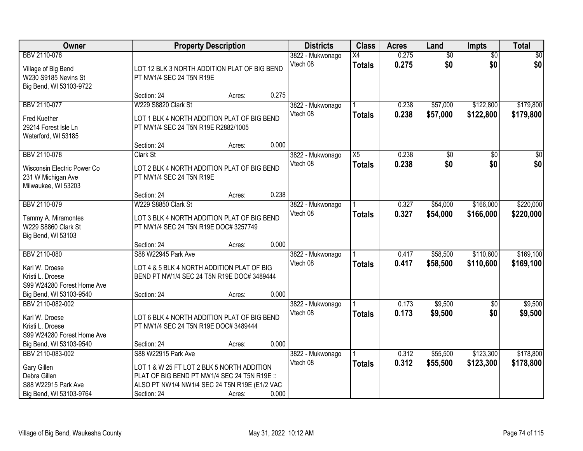| Owner                                                                                                       | <b>Property Description</b>                                                                                                                                                       |        |       | <b>Districts</b>             | <b>Class</b>                     | <b>Acres</b>   | Land                   | <b>Impts</b>           | <b>Total</b>           |
|-------------------------------------------------------------------------------------------------------------|-----------------------------------------------------------------------------------------------------------------------------------------------------------------------------------|--------|-------|------------------------------|----------------------------------|----------------|------------------------|------------------------|------------------------|
| BBV 2110-076<br>Village of Big Bend<br>W230 S9185 Nevins St<br>Big Bend, WI 53103-9722                      | LOT 12 BLK 3 NORTH ADDITION PLAT OF BIG BEND<br>PT NW1/4 SEC 24 T5N R19E                                                                                                          |        |       | 3822 - Mukwonago<br>Vtech 08 | X4<br><b>Totals</b>              | 0.275<br>0.275 | $\overline{50}$<br>\$0 | $\overline{50}$<br>\$0 | $\sqrt{30}$<br>\$0     |
|                                                                                                             | Section: 24                                                                                                                                                                       | Acres: | 0.275 |                              |                                  |                |                        |                        |                        |
| BBV 2110-077<br><b>Fred Kuether</b><br>29214 Forest Isle Ln<br>Waterford, WI 53185                          | W229 S8820 Clark St<br>LOT 1 BLK 4 NORTH ADDITION PLAT OF BIG BEND<br>PT NW1/4 SEC 24 T5N R19E R2882/1005                                                                         |        |       | 3822 - Mukwonago<br>Vtech 08 | <b>Totals</b>                    | 0.238<br>0.238 | \$57,000<br>\$57,000   | \$122,800<br>\$122,800 | \$179,800<br>\$179,800 |
|                                                                                                             | Section: 24                                                                                                                                                                       | Acres: | 0.000 |                              |                                  |                |                        |                        |                        |
| BBV 2110-078<br>Wisconsin Electric Power Co<br>231 W Michigan Ave<br>Milwaukee, WI 53203                    | Clark St<br>LOT 2 BLK 4 NORTH ADDITION PLAT OF BIG BEND<br>PT NW1/4 SEC 24 T5N R19E                                                                                               |        |       | 3822 - Mukwonago<br>Vtech 08 | $\overline{X5}$<br><b>Totals</b> | 0.238<br>0.238 | $\overline{50}$<br>\$0 | $\overline{50}$<br>\$0 | $\overline{30}$<br>\$0 |
|                                                                                                             | Section: 24                                                                                                                                                                       | Acres: | 0.238 |                              |                                  |                |                        |                        |                        |
| BBV 2110-079<br>Tammy A. Miramontes<br>W229 S8860 Clark St                                                  | W229 S8850 Clark St<br>LOT 3 BLK 4 NORTH ADDITION PLAT OF BIG BEND<br>PT NW1/4 SEC 24 T5N R19E DOC# 3257749                                                                       |        |       | 3822 - Mukwonago<br>Vtech 08 | <b>Totals</b>                    | 0.327<br>0.327 | \$54,000<br>\$54,000   | \$166,000<br>\$166,000 | \$220,000<br>\$220,000 |
| Big Bend, WI 53103                                                                                          | Section: 24                                                                                                                                                                       | Acres: | 0.000 |                              |                                  |                |                        |                        |                        |
| BBV 2110-080<br>Karl W. Droese<br>Kristi L. Droese<br>S99 W24280 Forest Home Ave<br>Big Bend, WI 53103-9540 | S88 W22945 Park Ave<br>LOT 4 & 5 BLK 4 NORTH ADDITION PLAT OF BIG<br>BEND PT NW1/4 SEC 24 T5N R19E DOC# 3489444<br>Section: 24                                                    | Acres: | 0.000 | 3822 - Mukwonago<br>Vtech 08 | <b>Totals</b>                    | 0.417<br>0.417 | \$58,500<br>\$58,500   | \$110,600<br>\$110,600 | \$169,100<br>\$169,100 |
| BBV 2110-082-002                                                                                            |                                                                                                                                                                                   |        |       | 3822 - Mukwonago             |                                  | 0.173          | \$9,500                | \$0                    | \$9,500                |
| Karl W. Droese<br>Kristi L. Droese<br>S99 W24280 Forest Home Ave                                            | LOT 6 BLK 4 NORTH ADDITION PLAT OF BIG BEND<br>PT NW1/4 SEC 24 T5N R19E DOC# 3489444                                                                                              |        |       | Vtech 08                     | <b>Totals</b>                    | 0.173          | \$9,500                | \$0                    | \$9,500                |
| Big Bend, WI 53103-9540                                                                                     | Section: 24                                                                                                                                                                       | Acres: | 0.000 |                              |                                  |                |                        |                        |                        |
| BBV 2110-083-002<br>Gary Gillen<br>Debra Gillen<br>S88 W22915 Park Ave<br>Big Bend, WI 53103-9764           | S88 W22915 Park Ave<br>LOT 1 & W 25 FT LOT 2 BLK 5 NORTH ADDITION<br>PLAT OF BIG BEND PT NW1/4 SEC 24 T5N R19E ::<br>ALSO PT NW1/4 NW1/4 SEC 24 T5N R19E (E1/2 VAC<br>Section: 24 | Acres: | 0.000 | 3822 - Mukwonago<br>Vtech 08 | <b>Totals</b>                    | 0.312<br>0.312 | \$55,500<br>\$55,500   | \$123,300<br>\$123,300 | \$178,800<br>\$178,800 |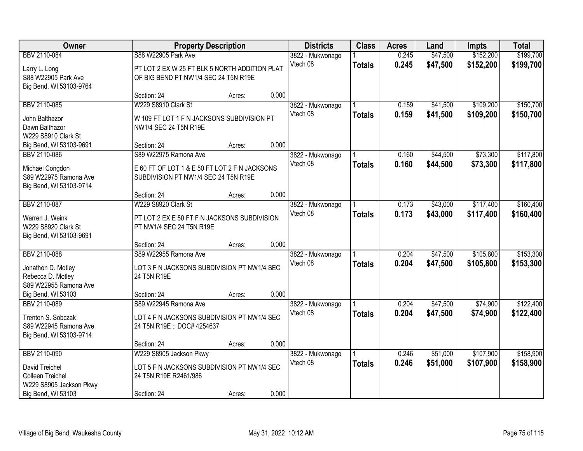| Owner                                                                                                  |                                                                                                                | <b>Property Description</b> |       | <b>Districts</b>             | <b>Class</b>  | <b>Acres</b>   | Land                 | <b>Impts</b>           | <b>Total</b>           |
|--------------------------------------------------------------------------------------------------------|----------------------------------------------------------------------------------------------------------------|-----------------------------|-------|------------------------------|---------------|----------------|----------------------|------------------------|------------------------|
| BBV 2110-084<br>Larry L. Long<br>S88 W22905 Park Ave<br>Big Bend, WI 53103-9764                        | S88 W22905 Park Ave<br>PT LOT 2 EX W 25 FT BLK 5 NORTH ADDITION PLAT<br>OF BIG BEND PT NW1/4 SEC 24 T5N R19E   |                             |       | 3822 - Mukwonago<br>Vtech 08 | <b>Totals</b> | 0.245<br>0.245 | \$47,500<br>\$47,500 | \$152,200<br>\$152,200 | \$199,700<br>\$199,700 |
|                                                                                                        | Section: 24                                                                                                    | Acres:                      | 0.000 |                              |               |                |                      |                        |                        |
| BBV 2110-085<br>John Balthazor<br>Dawn Balthazor<br>W229 S8910 Clark St                                | W229 S8910 Clark St<br>W 109 FT LOT 1 F N JACKSONS SUBDIVISION PT<br>NW1/4 SEC 24 T5N R19E                     |                             |       | 3822 - Mukwonago<br>Vtech 08 | <b>Totals</b> | 0.159<br>0.159 | \$41,500<br>\$41,500 | \$109,200<br>\$109,200 | \$150,700<br>\$150,700 |
| Big Bend, WI 53103-9691                                                                                | Section: 24                                                                                                    | Acres:                      | 0.000 |                              |               |                |                      |                        |                        |
| BBV 2110-086<br>Michael Congdon<br>S89 W22975 Ramona Ave<br>Big Bend, WI 53103-9714                    | S89 W22975 Ramona Ave<br>E 60 FT OF LOT 1 & E 50 FT LOT 2 F N JACKSONS<br>SUBDIVISION PT NW1/4 SEC 24 T5N R19E |                             |       | 3822 - Mukwonago<br>Vtech 08 | <b>Totals</b> | 0.160<br>0.160 | \$44,500<br>\$44,500 | \$73,300<br>\$73,300   | \$117,800<br>\$117,800 |
|                                                                                                        | Section: 24                                                                                                    | Acres:                      | 0.000 |                              |               |                |                      |                        |                        |
| BBV 2110-087<br>Warren J. Weink<br>W229 S8920 Clark St<br>Big Bend, WI 53103-9691                      | W229 S8920 Clark St<br>PT LOT 2 EX E 50 FT F N JACKSONS SUBDIVISION<br>PT NW1/4 SEC 24 T5N R19E                |                             |       | 3822 - Mukwonago<br>Vtech 08 | <b>Totals</b> | 0.173<br>0.173 | \$43,000<br>\$43,000 | \$117,400<br>\$117,400 | \$160,400<br>\$160,400 |
|                                                                                                        | Section: 24                                                                                                    | Acres:                      | 0.000 |                              |               |                |                      |                        |                        |
| BBV 2110-088<br>Jonathon D. Motley<br>Rebecca D. Motley<br>S89 W22955 Ramona Ave<br>Big Bend, WI 53103 | S89 W22955 Ramona Ave<br>LOT 3 F N JACKSONS SUBDIVISION PT NW1/4 SEC<br>24 T5N R19E<br>Section: 24             | Acres:                      | 0.000 | 3822 - Mukwonago<br>Vtech 08 | <b>Totals</b> | 0.204<br>0.204 | \$47,500<br>\$47,500 | \$105,800<br>\$105,800 | \$153,300<br>\$153,300 |
| BBV 2110-089                                                                                           | S89 W22945 Ramona Ave                                                                                          |                             |       | 3822 - Mukwonago             |               | 0.204          | \$47,500             | \$74,900               | \$122,400              |
| Trenton S. Sobczak<br>S89 W22945 Ramona Ave<br>Big Bend, WI 53103-9714                                 | LOT 4 F N JACKSONS SUBDIVISION PT NW1/4 SEC<br>24 T5N R19E :: DOC# 4254637                                     |                             |       | Vtech 08                     | <b>Totals</b> | 0.204          | \$47,500             | \$74,900               | \$122,400              |
|                                                                                                        | Section: 24                                                                                                    | Acres:                      | 0.000 |                              |               |                |                      |                        |                        |
| BBV 2110-090<br>David Treichel<br>Colleen Treichel<br>W229 S8905 Jackson Pkwy<br>Big Bend, WI 53103    | W229 S8905 Jackson Pkwy<br>LOT 5 F N JACKSONS SUBDIVISION PT NW1/4 SEC<br>24 T5N R19E R2461/986<br>Section: 24 | Acres:                      | 0.000 | 3822 - Mukwonago<br>Vtech 08 | <b>Totals</b> | 0.246<br>0.246 | \$51,000<br>\$51,000 | \$107,900<br>\$107,900 | \$158,900<br>\$158,900 |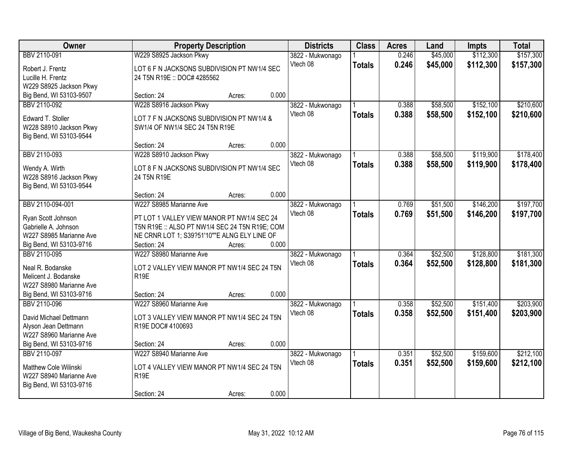| Owner                                                   | <b>Property Description</b>                                     |        |       | <b>Districts</b> | <b>Class</b>  | <b>Acres</b> | Land     | <b>Impts</b> | <b>Total</b> |
|---------------------------------------------------------|-----------------------------------------------------------------|--------|-------|------------------|---------------|--------------|----------|--------------|--------------|
| BBV 2110-091                                            | W229 S8925 Jackson Pkwy                                         |        |       | 3822 - Mukwonago |               | 0.246        | \$45,000 | \$112,300    | \$157,300    |
| Robert J. Frentz                                        | LOT 6 F N JACKSONS SUBDIVISION PT NW1/4 SEC                     |        |       | Vtech 08         | <b>Totals</b> | 0.246        | \$45,000 | \$112,300    | \$157,300    |
| Lucille H. Frentz                                       | 24 T5N R19E :: DOC# 4285562                                     |        |       |                  |               |              |          |              |              |
| W229 S8925 Jackson Pkwy                                 |                                                                 |        |       |                  |               |              |          |              |              |
| Big Bend, WI 53103-9507                                 | Section: 24                                                     | Acres: | 0.000 |                  |               |              |          |              |              |
| BBV 2110-092                                            | W228 S8916 Jackson Pkwy                                         |        |       | 3822 - Mukwonago |               | 0.388        | \$58,500 | \$152,100    | \$210,600    |
|                                                         |                                                                 |        |       | Vtech 08         | <b>Totals</b> | 0.388        | \$58,500 | \$152,100    | \$210,600    |
| Edward T. Stoller                                       | LOT 7 F N JACKSONS SUBDIVISION PT NW1/4 &                       |        |       |                  |               |              |          |              |              |
| W228 S8910 Jackson Pkwy                                 | SW1/4 OF NW1/4 SEC 24 T5N R19E                                  |        |       |                  |               |              |          |              |              |
| Big Bend, WI 53103-9544                                 |                                                                 |        | 0.000 |                  |               |              |          |              |              |
|                                                         | Section: 24                                                     | Acres: |       |                  |               |              |          |              |              |
| BBV 2110-093                                            | W228 S8910 Jackson Pkwy                                         |        |       | 3822 - Mukwonago |               | 0.388        | \$58,500 | \$119,900    | \$178,400    |
| Wendy A. Wirth                                          | LOT 8 F N JACKSONS SUBDIVISION PT NW1/4 SEC                     |        |       | Vtech 08         | <b>Totals</b> | 0.388        | \$58,500 | \$119,900    | \$178,400    |
| W228 S8916 Jackson Pkwy                                 | 24 T5N R19E                                                     |        |       |                  |               |              |          |              |              |
| Big Bend, WI 53103-9544                                 |                                                                 |        |       |                  |               |              |          |              |              |
|                                                         | Section: 24                                                     | Acres: | 0.000 |                  |               |              |          |              |              |
| BBV 2110-094-001                                        | W227 S8985 Marianne Ave                                         |        |       | 3822 - Mukwonago |               | 0.769        | \$51,500 | \$146,200    | \$197,700    |
| Ryan Scott Johnson                                      | PT LOT 1 VALLEY VIEW MANOR PT NW1/4 SEC 24                      |        |       | Vtech 08         | <b>Totals</b> | 0.769        | \$51,500 | \$146,200    | \$197,700    |
| Gabrielle A. Johnson                                    | T5N R19E :: ALSO PT NW1/4 SEC 24 T5N R19E; COM                  |        |       |                  |               |              |          |              |              |
| W227 S8985 Marianne Ave                                 | NE CRNR LOT 1; S39?51'10""E ALNG ELY LINE OF                    |        |       |                  |               |              |          |              |              |
| Big Bend, WI 53103-9716                                 | Section: 24                                                     | Acres: | 0.000 |                  |               |              |          |              |              |
| BBV 2110-095                                            | W227 S8980 Marianne Ave                                         |        |       | 3822 - Mukwonago |               | 0.364        | \$52,500 | \$128,800    | \$181,300    |
|                                                         |                                                                 |        |       | Vtech 08         | <b>Totals</b> | 0.364        | \$52,500 | \$128,800    | \$181,300    |
| Neal R. Bodanske                                        | LOT 2 VALLEY VIEW MANOR PT NW1/4 SEC 24 T5N                     |        |       |                  |               |              |          |              |              |
| Melicent J. Bodanske                                    | R <sub>19E</sub>                                                |        |       |                  |               |              |          |              |              |
| W227 S8980 Marianne Ave                                 |                                                                 |        |       |                  |               |              |          |              |              |
| Big Bend, WI 53103-9716                                 | Section: 24                                                     | Acres: | 0.000 |                  |               |              |          |              |              |
| BBV 2110-096                                            | W227 S8960 Marianne Ave                                         |        |       | 3822 - Mukwonago |               | 0.358        | \$52,500 | \$151,400    | \$203,900    |
| David Michael Dettmann                                  | LOT 3 VALLEY VIEW MANOR PT NW1/4 SEC 24 T5N                     |        |       | Vtech 08         | <b>Totals</b> | 0.358        | \$52,500 | \$151,400    | \$203,900    |
| Alyson Jean Dettmann                                    | R19E DOC# 4100693                                               |        |       |                  |               |              |          |              |              |
| W227 S8960 Marianne Ave                                 |                                                                 |        |       |                  |               |              |          |              |              |
| Big Bend, WI 53103-9716                                 | Section: 24                                                     | Acres: | 0.000 |                  |               |              |          |              |              |
| BBV 2110-097                                            | W227 S8940 Marianne Ave                                         |        |       | 3822 - Mukwonago |               | 0.351        | \$52,500 | \$159,600    | \$212,100    |
|                                                         |                                                                 |        |       | Vtech 08         | <b>Totals</b> | 0.351        | \$52,500 | \$159,600    | \$212,100    |
| <b>Matthew Cole Wilinski</b><br>W227 S8940 Marianne Ave | LOT 4 VALLEY VIEW MANOR PT NW1/4 SEC 24 T5N<br>R <sub>19E</sub> |        |       |                  |               |              |          |              |              |
| Big Bend, WI 53103-9716                                 |                                                                 |        |       |                  |               |              |          |              |              |
|                                                         | Section: 24                                                     | Acres: | 0.000 |                  |               |              |          |              |              |
|                                                         |                                                                 |        |       |                  |               |              |          |              |              |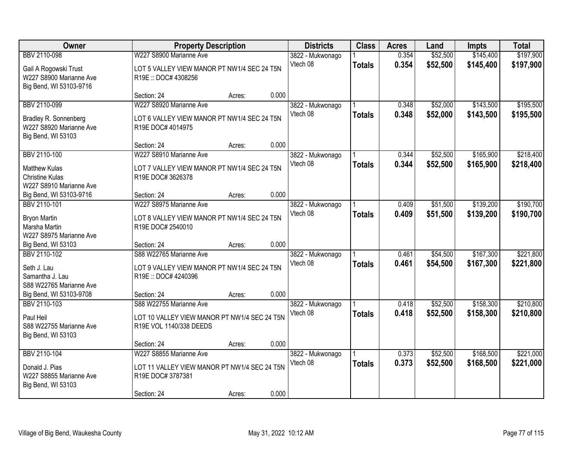| Owner                                                                           |                                                                                                    | <b>Property Description</b> |       | <b>Districts</b>             | <b>Class</b>  | <b>Acres</b>   | Land                 | <b>Impts</b>           | <b>Total</b>           |
|---------------------------------------------------------------------------------|----------------------------------------------------------------------------------------------------|-----------------------------|-------|------------------------------|---------------|----------------|----------------------|------------------------|------------------------|
| BBV 2110-098                                                                    | W227 S8900 Marianne Ave                                                                            |                             |       | 3822 - Mukwonago             |               | 0.354          | \$52,500             | \$145,400              | \$197,900              |
| Gail A Rogowski Trust<br>W227 S8900 Marianne Ave<br>Big Bend, WI 53103-9716     | LOT 5 VALLEY VIEW MANOR PT NW1/4 SEC 24 T5N<br>R19E: DOC# 4308256                                  |                             |       | Vtech 08                     | <b>Totals</b> | 0.354          | \$52,500             | \$145,400              | \$197,900              |
|                                                                                 | Section: 24                                                                                        | Acres:                      | 0.000 |                              |               |                |                      |                        |                        |
| BBV 2110-099                                                                    | W227 S8920 Marianne Ave                                                                            |                             |       | 3822 - Mukwonago             |               | 0.348          | \$52,000             | \$143,500              | \$195,500              |
| Bradley R. Sonnenberg<br>W227 S8920 Marianne Ave<br>Big Bend, WI 53103          | LOT 6 VALLEY VIEW MANOR PT NW1/4 SEC 24 T5N<br>R19E DOC# 4014975                                   |                             |       | Vtech 08                     | <b>Totals</b> | 0.348          | \$52,000             | \$143,500              | \$195,500              |
|                                                                                 | Section: 24                                                                                        | Acres:                      | 0.000 |                              |               |                |                      |                        |                        |
| BBV 2110-100                                                                    | W227 S8910 Marianne Ave                                                                            |                             |       | 3822 - Mukwonago             |               | 0.344          | \$52,500             | \$165,900              | \$218,400              |
| <b>Matthew Kulas</b><br><b>Christine Kulas</b><br>W227 S8910 Marianne Ave       | LOT 7 VALLEY VIEW MANOR PT NW1/4 SEC 24 T5N<br>R19E DOC# 3626378                                   |                             |       | Vtech 08                     | <b>Totals</b> | 0.344          | \$52,500             | \$165,900              | \$218,400              |
| Big Bend, WI 53103-9716                                                         | Section: 24                                                                                        | Acres:                      | 0.000 |                              |               |                |                      |                        |                        |
| BBV 2110-101                                                                    | W227 S8975 Marianne Ave                                                                            |                             |       | 3822 - Mukwonago             |               | 0.409          | \$51,500             | \$139,200              | \$190,700              |
| Bryon Martin<br>Marsha Martin<br>W227 S8975 Marianne Ave                        | LOT 8 VALLEY VIEW MANOR PT NW1/4 SEC 24 T5N<br>R19E DOC# 2540010                                   |                             |       | Vtech 08                     | <b>Totals</b> | 0.409          | \$51,500             | \$139,200              | \$190,700              |
| Big Bend, WI 53103                                                              | Section: 24                                                                                        | Acres:                      | 0.000 |                              |               |                |                      |                        |                        |
| BBV 2110-102<br>Seth J. Lau<br>Samantha J. Lau<br>S88 W22765 Marianne Ave       | S88 W22765 Marianne Ave<br>LOT 9 VALLEY VIEW MANOR PT NW1/4 SEC 24 T5N<br>R19E: DOC# 4240396       |                             |       | 3822 - Mukwonago<br>Vtech 08 | <b>Totals</b> | 0.461<br>0.461 | \$54,500<br>\$54,500 | \$167,300<br>\$167,300 | \$221,800<br>\$221,800 |
| Big Bend, WI 53103-9708                                                         | Section: 24                                                                                        | Acres:                      | 0.000 |                              |               |                |                      |                        |                        |
| BBV 2110-103<br>Paul Heil<br>S88 W22755 Marianne Ave<br>Big Bend, WI 53103      | S88 W22755 Marianne Ave<br>LOT 10 VALLEY VIEW MANOR PT NW1/4 SEC 24 T5N<br>R19E VOL 1140/338 DEEDS |                             |       | 3822 - Mukwonago<br>Vtech 08 | <b>Totals</b> | 0.418<br>0.418 | \$52,500<br>\$52,500 | \$158,300<br>\$158,300 | \$210,800<br>\$210,800 |
|                                                                                 | Section: 24                                                                                        | Acres:                      | 0.000 |                              |               |                |                      |                        |                        |
| BBV 2110-104<br>Donald J. Pias<br>W227 S8855 Marianne Ave<br>Big Bend, WI 53103 | W227 S8855 Marianne Ave<br>LOT 11 VALLEY VIEW MANOR PT NW1/4 SEC 24 T5N<br>R19E DOC# 3787381       |                             |       | 3822 - Mukwonago<br>Vtech 08 | <b>Totals</b> | 0.373<br>0.373 | \$52,500<br>\$52,500 | \$168,500<br>\$168,500 | \$221,000<br>\$221,000 |
|                                                                                 | Section: 24                                                                                        | Acres:                      | 0.000 |                              |               |                |                      |                        |                        |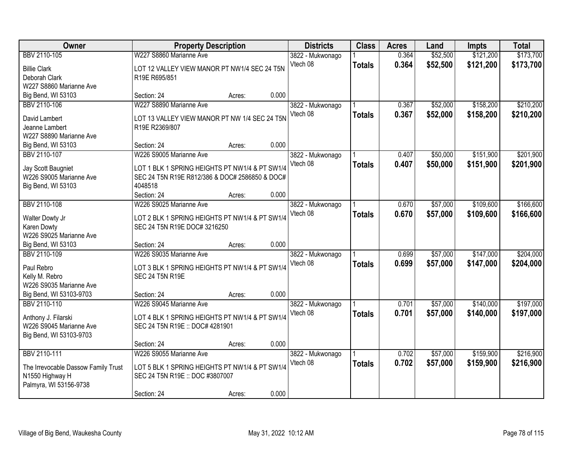| Owner                                  | <b>Property Description</b>                                                    |        |       | <b>Districts</b>             | <b>Class</b>  | <b>Acres</b> | Land     | <b>Impts</b> | <b>Total</b> |
|----------------------------------------|--------------------------------------------------------------------------------|--------|-------|------------------------------|---------------|--------------|----------|--------------|--------------|
| BBV 2110-105                           | W227 S8860 Marianne Ave                                                        |        |       | 3822 - Mukwonago             |               | 0.364        | \$52,500 | \$121,200    | \$173,700    |
| <b>Billie Clark</b>                    | LOT 12 VALLEY VIEW MANOR PT NW1/4 SEC 24 T5N                                   |        |       | Vtech 08                     | <b>Totals</b> | 0.364        | \$52,500 | \$121,200    | \$173,700    |
| Deborah Clark                          | R19E R695/851                                                                  |        |       |                              |               |              |          |              |              |
| W227 S8860 Marianne Ave                |                                                                                |        |       |                              |               |              |          |              |              |
| Big Bend, WI 53103                     | Section: 24                                                                    | Acres: | 0.000 |                              |               |              |          |              |              |
| BBV 2110-106                           | W227 S8890 Marianne Ave                                                        |        |       | 3822 - Mukwonago             |               | 0.367        | \$52,000 | \$158,200    | \$210,200    |
|                                        |                                                                                |        |       | Vtech 08                     | <b>Totals</b> | 0.367        | \$52,000 | \$158,200    | \$210,200    |
| David Lambert                          | LOT 13 VALLEY VIEW MANOR PT NW 1/4 SEC 24 T5N                                  |        |       |                              |               |              |          |              |              |
| Jeanne Lambert                         | R19E R2369/807                                                                 |        |       |                              |               |              |          |              |              |
| W227 S8890 Marianne Ave                |                                                                                |        |       |                              |               |              |          |              |              |
| Big Bend, WI 53103                     | Section: 24                                                                    | Acres: | 0.000 |                              |               |              |          |              |              |
| BBV 2110-107                           | W226 S9005 Marianne Ave                                                        |        |       | 3822 - Mukwonago             |               | 0.407        | \$50,000 | \$151,900    | \$201,900    |
| Jay Scott Baugniet                     | LOT 1 BLK 1 SPRING HEIGHTS PT NW1/4 & PT SW1/4                                 |        |       | Vtech 08                     | <b>Totals</b> | 0.407        | \$50,000 | \$151,900    | \$201,900    |
| W226 S9005 Marianne Ave                | SEC 24 T5N R19E R812/386 & DOC# 2586850 & DOC#                                 |        |       |                              |               |              |          |              |              |
| Big Bend, WI 53103                     | 4048518                                                                        |        |       |                              |               |              |          |              |              |
|                                        | Section: 24                                                                    | Acres: | 0.000 |                              |               |              |          |              |              |
| BBV 2110-108                           | W226 S9025 Marianne Ave                                                        |        |       | 3822 - Mukwonago             |               | 0.670        | \$57,000 | \$109,600    | \$166,600    |
|                                        |                                                                                |        |       | Vtech 08                     | <b>Totals</b> | 0.670        | \$57,000 | \$109,600    | \$166,600    |
| Walter Dowty Jr                        | LOT 2 BLK 1 SPRING HEIGHTS PT NW1/4 & PT SW1/4<br>SEC 24 T5N R19E DOC# 3216250 |        |       |                              |               |              |          |              |              |
| Karen Dowty<br>W226 S9025 Marianne Ave |                                                                                |        |       |                              |               |              |          |              |              |
| Big Bend, WI 53103                     | Section: 24                                                                    | Acres: | 0.000 |                              |               |              |          |              |              |
| BBV 2110-109                           | W226 S9035 Marianne Ave                                                        |        |       |                              |               | 0.699        | \$57,000 | \$147,000    | \$204,000    |
|                                        |                                                                                |        |       | 3822 - Mukwonago<br>Vtech 08 |               |              |          |              |              |
| Paul Rebro                             | LOT 3 BLK 1 SPRING HEIGHTS PT NW1/4 & PT SW1/4                                 |        |       |                              | <b>Totals</b> | 0.699        | \$57,000 | \$147,000    | \$204,000    |
| Kelly M. Rebro                         | <b>SEC 24 T5N R19E</b>                                                         |        |       |                              |               |              |          |              |              |
| W226 S9035 Marianne Ave                |                                                                                |        |       |                              |               |              |          |              |              |
| Big Bend, WI 53103-9703                | Section: 24                                                                    | Acres: | 0.000 |                              |               |              |          |              |              |
| BBV 2110-110                           | W226 S9045 Marianne Ave                                                        |        |       | 3822 - Mukwonago             |               | 0.701        | \$57,000 | \$140,000    | \$197,000    |
| Anthony J. Filarski                    | LOT 4 BLK 1 SPRING HEIGHTS PT NW1/4 & PT SW1/4                                 |        |       | Vtech 08                     | <b>Totals</b> | 0.701        | \$57,000 | \$140,000    | \$197,000    |
| W226 S9045 Marianne Ave                | SEC 24 T5N R19E :: DOC# 4281901                                                |        |       |                              |               |              |          |              |              |
| Big Bend, WI 53103-9703                |                                                                                |        |       |                              |               |              |          |              |              |
|                                        | Section: 24                                                                    | Acres: | 0.000 |                              |               |              |          |              |              |
| BBV 2110-111                           | W226 S9055 Marianne Ave                                                        |        |       | 3822 - Mukwonago             |               | 0.702        | \$57,000 | \$159,900    | \$216,900    |
|                                        |                                                                                |        |       | Vtech 08                     | <b>Totals</b> | 0.702        | \$57,000 | \$159,900    | \$216,900    |
| The Irrevocable Dassow Family Trust    | LOT 5 BLK 1 SPRING HEIGHTS PT NW1/4 & PT SW1/4                                 |        |       |                              |               |              |          |              |              |
| N1550 Highway H                        | SEC 24 T5N R19E :: DOC #3807007                                                |        |       |                              |               |              |          |              |              |
| Palmyra, WI 53156-9738                 |                                                                                |        |       |                              |               |              |          |              |              |
|                                        | Section: 24                                                                    | Acres: | 0.000 |                              |               |              |          |              |              |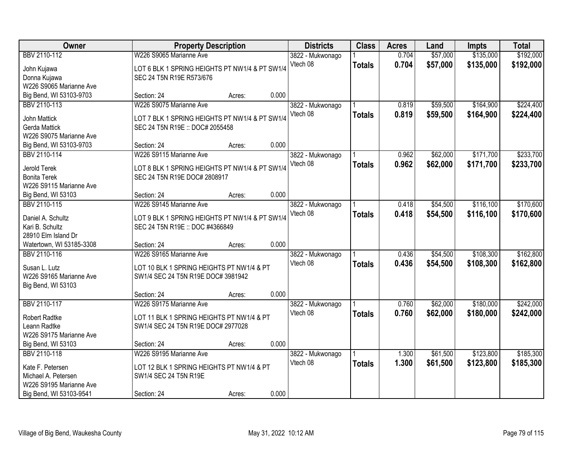| Owner                    |                                                | <b>Property Description</b> |       | <b>Districts</b> | <b>Class</b>  | <b>Acres</b> | Land     | <b>Impts</b> | <b>Total</b> |
|--------------------------|------------------------------------------------|-----------------------------|-------|------------------|---------------|--------------|----------|--------------|--------------|
| BBV 2110-112             | W226 S9065 Marianne Ave                        |                             |       | 3822 - Mukwonago |               | 0.704        | \$57,000 | \$135,000    | \$192,000    |
| John Kujawa              | LOT 6 BLK 1 SPRING HEIGHTS PT NW1/4 & PT SW1/4 |                             |       | Vtech 08         | <b>Totals</b> | 0.704        | \$57,000 | \$135,000    | \$192,000    |
| Donna Kujawa             | SEC 24 T5N R19E R573/676                       |                             |       |                  |               |              |          |              |              |
| W226 S9065 Marianne Ave  |                                                |                             |       |                  |               |              |          |              |              |
| Big Bend, WI 53103-9703  | Section: 24                                    | Acres:                      | 0.000 |                  |               |              |          |              |              |
| BBV 2110-113             | W226 S9075 Marianne Ave                        |                             |       | 3822 - Mukwonago |               | 0.819        | \$59,500 | \$164,900    | \$224,400    |
|                          |                                                |                             |       | Vtech 08         | <b>Totals</b> | 0.819        | \$59,500 | \$164,900    | \$224,400    |
| John Mattick             | LOT 7 BLK 1 SPRING HEIGHTS PT NW1/4 & PT SW1/4 |                             |       |                  |               |              |          |              |              |
| Gerda Mattick            | SEC 24 T5N R19E :: DOC# 2055458                |                             |       |                  |               |              |          |              |              |
| W226 S9075 Marianne Ave  |                                                |                             |       |                  |               |              |          |              |              |
| Big Bend, WI 53103-9703  | Section: 24                                    | Acres:                      | 0.000 |                  |               |              |          |              |              |
| BBV 2110-114             | W226 S9115 Marianne Ave                        |                             |       | 3822 - Mukwonago |               | 0.962        | \$62,000 | \$171,700    | \$233,700    |
| Jerold Terek             | LOT 8 BLK 1 SPRING HEIGHTS PT NW1/4 & PT SW1/4 |                             |       | Vtech 08         | <b>Totals</b> | 0.962        | \$62,000 | \$171,700    | \$233,700    |
| <b>Bonita Terek</b>      | SEC 24 T5N R19E DOC# 2808917                   |                             |       |                  |               |              |          |              |              |
| W226 S9115 Marianne Ave  |                                                |                             |       |                  |               |              |          |              |              |
| Big Bend, WI 53103       | Section: 24                                    | Acres:                      | 0.000 |                  |               |              |          |              |              |
| BBV 2110-115             | W226 S9145 Marianne Ave                        |                             |       | 3822 - Mukwonago |               | 0.418        | \$54,500 | \$116,100    | \$170,600    |
|                          |                                                |                             |       | Vtech 08         |               | 0.418        |          |              |              |
| Daniel A. Schultz        | LOT 9 BLK 1 SPRING HEIGHTS PT NW1/4 & PT SW1/4 |                             |       |                  | <b>Totals</b> |              | \$54,500 | \$116,100    | \$170,600    |
| Kari B. Schultz          | SEC 24 T5N R19E :: DOC #4366849                |                             |       |                  |               |              |          |              |              |
| 28910 Elm Island Dr      |                                                |                             |       |                  |               |              |          |              |              |
| Watertown, WI 53185-3308 | Section: 24                                    | Acres:                      | 0.000 |                  |               |              |          |              |              |
| BBV 2110-116             | W226 S9165 Marianne Ave                        |                             |       | 3822 - Mukwonago |               | 0.436        | \$54,500 | \$108,300    | \$162,800    |
| Susan L. Lutz            | LOT 10 BLK 1 SPRING HEIGHTS PT NW1/4 & PT      |                             |       | Vtech 08         | <b>Totals</b> | 0.436        | \$54,500 | \$108,300    | \$162,800    |
| W226 S9165 Marianne Ave  |                                                |                             |       |                  |               |              |          |              |              |
|                          | SW1/4 SEC 24 T5N R19E DOC# 3981942             |                             |       |                  |               |              |          |              |              |
| Big Bend, WI 53103       |                                                |                             | 0.000 |                  |               |              |          |              |              |
|                          | Section: 24                                    | Acres:                      |       |                  |               |              |          |              |              |
| BBV 2110-117             | W226 S9175 Marianne Ave                        |                             |       | 3822 - Mukwonago |               | 0.760        | \$62,000 | \$180,000    | \$242,000    |
| <b>Robert Radtke</b>     | LOT 11 BLK 1 SPRING HEIGHTS PT NW1/4 & PT      |                             |       | Vtech 08         | <b>Totals</b> | 0.760        | \$62,000 | \$180,000    | \$242,000    |
| Leann Radtke             | SW1/4 SEC 24 T5N R19E DOC# 2977028             |                             |       |                  |               |              |          |              |              |
| W226 S9175 Marianne Ave  |                                                |                             |       |                  |               |              |          |              |              |
| Big Bend, WI 53103       | Section: 24                                    | Acres:                      | 0.000 |                  |               |              |          |              |              |
| BBV 2110-118             | W226 S9195 Marianne Ave                        |                             |       | 3822 - Mukwonago |               | 1.300        | \$61,500 | \$123,800    | \$185,300    |
|                          |                                                |                             |       | Vtech 08         | <b>Totals</b> | 1.300        | \$61,500 | \$123,800    | \$185,300    |
| Kate F. Petersen         | LOT 12 BLK 1 SPRING HEIGHTS PT NW1/4 & PT      |                             |       |                  |               |              |          |              |              |
| Michael A. Petersen      | SW1/4 SEC 24 T5N R19E                          |                             |       |                  |               |              |          |              |              |
| W226 S9195 Marianne Ave  |                                                |                             |       |                  |               |              |          |              |              |
| Big Bend, WI 53103-9541  | Section: 24                                    | Acres:                      | 0.000 |                  |               |              |          |              |              |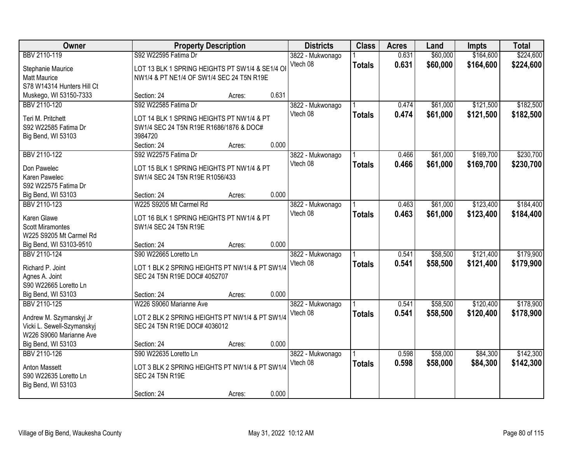| Owner                                   |                                                 | <b>Property Description</b> |       | <b>Districts</b> | <b>Class</b>  | <b>Acres</b> | Land     | <b>Impts</b> | <b>Total</b> |
|-----------------------------------------|-------------------------------------------------|-----------------------------|-------|------------------|---------------|--------------|----------|--------------|--------------|
| BBV 2110-119                            | S92 W22595 Fatima Dr                            |                             |       | 3822 - Mukwonago |               | 0.631        | \$60,000 | \$164,600    | \$224,600    |
| Stephanie Maurice                       | LOT 13 BLK 1 SPRING HEIGHTS PT SW1/4 & SE1/4 OI |                             |       | Vtech 08         | <b>Totals</b> | 0.631        | \$60,000 | \$164,600    | \$224,600    |
| <b>Matt Maurice</b>                     | NW1/4 & PT NE1/4 OF SW1/4 SEC 24 T5N R19E       |                             |       |                  |               |              |          |              |              |
| S78 W14314 Hunters Hill Ct              |                                                 |                             |       |                  |               |              |          |              |              |
| Muskego, WI 53150-7333                  | Section: 24                                     | Acres:                      | 0.631 |                  |               |              |          |              |              |
| BBV 2110-120                            | S92 W22585 Fatima Dr                            |                             |       | 3822 - Mukwonago |               | 0.474        | \$61,000 | \$121,500    | \$182,500    |
| Teri M. Pritchett                       | LOT 14 BLK 1 SPRING HEIGHTS PT NW1/4 & PT       |                             |       | Vtech 08         | <b>Totals</b> | 0.474        | \$61,000 | \$121,500    | \$182,500    |
| S92 W22585 Fatima Dr                    | SW1/4 SEC 24 T5N R19E R1686/1876 & DOC#         |                             |       |                  |               |              |          |              |              |
| Big Bend, WI 53103                      | 3984720                                         |                             |       |                  |               |              |          |              |              |
|                                         | Section: 24                                     | Acres:                      | 0.000 |                  |               |              |          |              |              |
| BBV 2110-122                            | S92 W22575 Fatima Dr                            |                             |       | 3822 - Mukwonago |               | 0.466        | \$61,000 | \$169,700    | \$230,700    |
|                                         |                                                 |                             |       | Vtech 08         | <b>Totals</b> | 0.466        | \$61,000 | \$169,700    | \$230,700    |
| Don Pawelec                             | LOT 15 BLK 1 SPRING HEIGHTS PT NW1/4 & PT       |                             |       |                  |               |              |          |              |              |
| Karen Pawelec<br>S92 W22575 Fatima Dr   | SW1/4 SEC 24 T5N R19E R1056/433                 |                             |       |                  |               |              |          |              |              |
| Big Bend, WI 53103                      | Section: 24                                     | Acres:                      | 0.000 |                  |               |              |          |              |              |
| BBV 2110-123                            | W225 S9205 Mt Carmel Rd                         |                             |       | 3822 - Mukwonago |               | 0.463        | \$61,000 | \$123,400    | \$184,400    |
|                                         |                                                 |                             |       | Vtech 08         | <b>Totals</b> | 0.463        | \$61,000 | \$123,400    | \$184,400    |
| Karen Glawe                             | LOT 16 BLK 1 SPRING HEIGHTS PT NW1/4 & PT       |                             |       |                  |               |              |          |              |              |
| <b>Scott Miramontes</b>                 | SW1/4 SEC 24 T5N R19E                           |                             |       |                  |               |              |          |              |              |
| W225 S9205 Mt Carmel Rd                 |                                                 |                             | 0.000 |                  |               |              |          |              |              |
| Big Bend, WI 53103-9510<br>BBV 2110-124 | Section: 24<br>S90 W22665 Loretto Ln            | Acres:                      |       |                  |               | 0.541        |          | \$121,400    | \$179,900    |
|                                         |                                                 |                             |       | 3822 - Mukwonago |               |              | \$58,500 |              |              |
| Richard P. Joint                        | LOT 1 BLK 2 SPRING HEIGHTS PT NW1/4 & PT SW1/4  |                             |       | Vtech 08         | <b>Totals</b> | 0.541        | \$58,500 | \$121,400    | \$179,900    |
| Agnes A. Joint                          | SEC 24 T5N R19E DOC# 4052707                    |                             |       |                  |               |              |          |              |              |
| S90 W22665 Loretto Ln                   |                                                 |                             |       |                  |               |              |          |              |              |
| Big Bend, WI 53103                      | Section: 24                                     | Acres:                      | 0.000 |                  |               |              |          |              |              |
| BBV 2110-125                            | W226 S9060 Marianne Ave                         |                             |       | 3822 - Mukwonago |               | 0.541        | \$58,500 | \$120,400    | \$178,900    |
| Andrew M. Szymanskyj Jr                 | LOT 2 BLK 2 SPRING HEIGHTS PT NW1/4 & PT SW1/4  |                             |       | Vtech 08         | <b>Totals</b> | 0.541        | \$58,500 | \$120,400    | \$178,900    |
| Vicki L. Sewell-Szymanskyj              | SEC 24 T5N R19E DOC# 4036012                    |                             |       |                  |               |              |          |              |              |
| W226 S9060 Marianne Ave                 |                                                 |                             |       |                  |               |              |          |              |              |
| Big Bend, WI 53103                      | Section: 24                                     | Acres:                      | 0.000 |                  |               |              |          |              |              |
| <b>BBV 2110-126</b>                     | S90 W22635 Loretto Ln                           |                             |       | 3822 - Mukwonago |               | 0.598        | \$58,000 | \$84,300     | \$142,300    |
| <b>Anton Massett</b>                    | LOT 3 BLK 2 SPRING HEIGHTS PT NW1/4 & PT SW1/4  |                             |       | Vtech 08         | <b>Totals</b> | 0.598        | \$58,000 | \$84,300     | \$142,300    |
| S90 W22635 Loretto Ln                   | <b>SEC 24 T5N R19E</b>                          |                             |       |                  |               |              |          |              |              |
| Big Bend, WI 53103                      |                                                 |                             |       |                  |               |              |          |              |              |
|                                         | Section: 24                                     | Acres:                      | 0.000 |                  |               |              |          |              |              |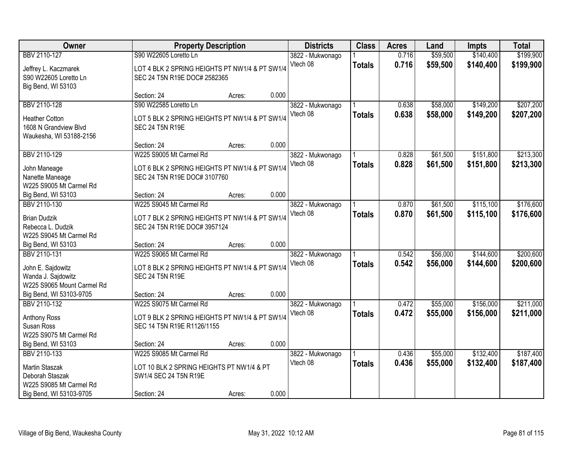| Owner                      |                                                | <b>Property Description</b> |       | <b>Districts</b> | <b>Class</b>  | <b>Acres</b> | Land     | <b>Impts</b> | <b>Total</b> |
|----------------------------|------------------------------------------------|-----------------------------|-------|------------------|---------------|--------------|----------|--------------|--------------|
| BBV 2110-127               | S90 W22605 Loretto Ln                          |                             |       | 3822 - Mukwonago |               | 0.716        | \$59,500 | \$140,400    | \$199,900    |
| Jeffrey L. Kaczmarek       | LOT 4 BLK 2 SPRING HEIGHTS PT NW1/4 & PT SW1/4 |                             |       | Vtech 08         | <b>Totals</b> | 0.716        | \$59,500 | \$140,400    | \$199,900    |
| S90 W22605 Loretto Ln      | SEC 24 T5N R19E DOC# 2582365                   |                             |       |                  |               |              |          |              |              |
| Big Bend, WI 53103         |                                                |                             |       |                  |               |              |          |              |              |
|                            | Section: 24                                    | Acres:                      | 0.000 |                  |               |              |          |              |              |
| BBV 2110-128               | S90 W22585 Loretto Ln                          |                             |       | 3822 - Mukwonago |               | 0.638        | \$58,000 | \$149,200    | \$207,200    |
| <b>Heather Cotton</b>      | LOT 5 BLK 2 SPRING HEIGHTS PT NW1/4 & PT SW1/4 |                             |       | Vtech 08         | <b>Totals</b> | 0.638        | \$58,000 | \$149,200    | \$207,200    |
| 1608 N Grandview Blvd      | <b>SEC 24 T5N R19E</b>                         |                             |       |                  |               |              |          |              |              |
| Waukesha, WI 53188-2156    |                                                |                             |       |                  |               |              |          |              |              |
|                            | Section: 24                                    | Acres:                      | 0.000 |                  |               |              |          |              |              |
| BBV 2110-129               | W225 S9005 Mt Carmel Rd                        |                             |       | 3822 - Mukwonago |               | 0.828        | \$61,500 | \$151,800    | \$213,300    |
| John Maneage               | LOT 6 BLK 2 SPRING HEIGHTS PT NW1/4 & PT SW1/4 |                             |       | Vtech 08         | <b>Totals</b> | 0.828        | \$61,500 | \$151,800    | \$213,300    |
| Nanette Maneage            | SEC 24 T5N R19E DOC# 3107760                   |                             |       |                  |               |              |          |              |              |
| W225 S9005 Mt Carmel Rd    |                                                |                             |       |                  |               |              |          |              |              |
| Big Bend, WI 53103         | Section: 24                                    | Acres:                      | 0.000 |                  |               |              |          |              |              |
| BBV 2110-130               | W225 S9045 Mt Carmel Rd                        |                             |       | 3822 - Mukwonago |               | 0.870        | \$61,500 | \$115,100    | \$176,600    |
|                            |                                                |                             |       | Vtech 08         | <b>Totals</b> | 0.870        | \$61,500 | \$115,100    | \$176,600    |
| <b>Brian Dudzik</b>        | LOT 7 BLK 2 SPRING HEIGHTS PT NW1/4 & PT SW1/4 |                             |       |                  |               |              |          |              |              |
| Rebecca L. Dudzik          | SEC 24 T5N R19E DOC# 3957124                   |                             |       |                  |               |              |          |              |              |
| W225 S9045 Mt Carmel Rd    |                                                |                             | 0.000 |                  |               |              |          |              |              |
| Big Bend, WI 53103         | Section: 24<br>W225 S9065 Mt Carmel Rd         | Acres:                      |       |                  |               |              |          |              |              |
| BBV 2110-131               |                                                |                             |       | 3822 - Mukwonago |               | 0.542        | \$56,000 | \$144,600    | \$200,600    |
| John E. Sajdowitz          | LOT 8 BLK 2 SPRING HEIGHTS PT NW1/4 & PT SW1/4 |                             |       | Vtech 08         | <b>Totals</b> | 0.542        | \$56,000 | \$144,600    | \$200,600    |
| Wanda J. Sajdowitz         | <b>SEC 24 T5N R19E</b>                         |                             |       |                  |               |              |          |              |              |
| W225 S9065 Mount Carmel Rd |                                                |                             |       |                  |               |              |          |              |              |
| Big Bend, WI 53103-9705    | Section: 24                                    | Acres:                      | 0.000 |                  |               |              |          |              |              |
| BBV 2110-132               | W225 S9075 Mt Carmel Rd                        |                             |       | 3822 - Mukwonago |               | 0.472        | \$55,000 | \$156,000    | \$211,000    |
| Anthony Ross               | LOT 9 BLK 2 SPRING HEIGHTS PT NW1/4 & PT SW1/4 |                             |       | Vtech 08         | <b>Totals</b> | 0.472        | \$55,000 | \$156,000    | \$211,000    |
| Susan Ross                 | SEC 14 T5N R19E R1126/1155                     |                             |       |                  |               |              |          |              |              |
| W225 S9075 Mt Carmel Rd    |                                                |                             |       |                  |               |              |          |              |              |
| Big Bend, WI 53103         | Section: 24                                    | Acres:                      | 0.000 |                  |               |              |          |              |              |
| BBV 2110-133               | W225 S9085 Mt Carmel Rd                        |                             |       | 3822 - Mukwonago |               | 0.436        | \$55,000 | \$132,400    | \$187,400    |
| Martin Staszak             | LOT 10 BLK 2 SPRING HEIGHTS PT NW1/4 & PT      |                             |       | Vtech 08         | <b>Totals</b> | 0.436        | \$55,000 | \$132,400    | \$187,400    |
| Deborah Staszak            | SW1/4 SEC 24 T5N R19E                          |                             |       |                  |               |              |          |              |              |
| W225 S9085 Mt Carmel Rd    |                                                |                             |       |                  |               |              |          |              |              |
| Big Bend, WI 53103-9705    | Section: 24                                    | Acres:                      | 0.000 |                  |               |              |          |              |              |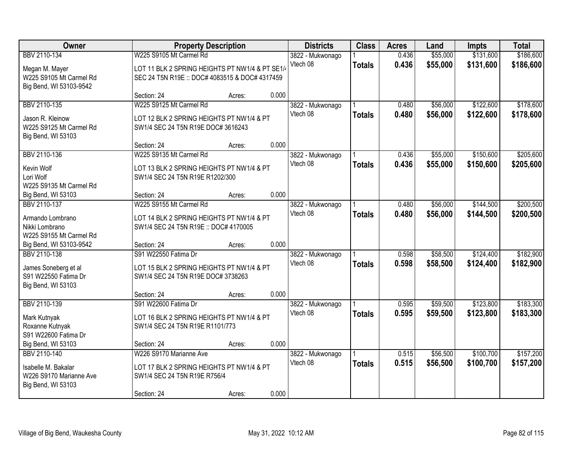| Owner                   |                                                 | <b>Property Description</b> |       | <b>Districts</b> | <b>Class</b>  | <b>Acres</b> | Land     | <b>Impts</b> | <b>Total</b> |
|-------------------------|-------------------------------------------------|-----------------------------|-------|------------------|---------------|--------------|----------|--------------|--------------|
| BBV 2110-134            | W225 S9105 Mt Carmel Rd                         |                             |       | 3822 - Mukwonago |               | 0.436        | \$55,000 | \$131,600    | \$186,600    |
| Megan M. Mayer          | LOT 11 BLK 2 SPRING HEIGHTS PT NW1/4 & PT SE1/4 |                             |       | Vtech 08         | <b>Totals</b> | 0.436        | \$55,000 | \$131,600    | \$186,600    |
| W225 S9105 Mt Carmel Rd | SEC 24 T5N R19E :: DOC# 4083515 & DOC# 4317459  |                             |       |                  |               |              |          |              |              |
| Big Bend, WI 53103-9542 |                                                 |                             |       |                  |               |              |          |              |              |
|                         | Section: 24                                     | Acres:                      | 0.000 |                  |               |              |          |              |              |
| BBV 2110-135            | W225 S9125 Mt Carmel Rd                         |                             |       | 3822 - Mukwonago |               | 0.480        | \$56,000 | \$122,600    | \$178,600    |
| Jason R. Kleinow        | LOT 12 BLK 2 SPRING HEIGHTS PT NW1/4 & PT       |                             |       | Vtech 08         | <b>Totals</b> | 0.480        | \$56,000 | \$122,600    | \$178,600    |
| W225 S9125 Mt Carmel Rd | SW1/4 SEC 24 T5N R19E DOC# 3616243              |                             |       |                  |               |              |          |              |              |
| Big Bend, WI 53103      |                                                 |                             |       |                  |               |              |          |              |              |
|                         | Section: 24                                     | Acres:                      | 0.000 |                  |               |              |          |              |              |
| BBV 2110-136            | W225 S9135 Mt Carmel Rd                         |                             |       | 3822 - Mukwonago |               | 0.436        | \$55,000 | \$150,600    | \$205,600    |
| Kevin Wolf              | LOT 13 BLK 2 SPRING HEIGHTS PT NW1/4 & PT       |                             |       | Vtech 08         | <b>Totals</b> | 0.436        | \$55,000 | \$150,600    | \$205,600    |
| Lori Wolf               | SW1/4 SEC 24 T5N R19E R1202/300                 |                             |       |                  |               |              |          |              |              |
| W225 S9135 Mt Carmel Rd |                                                 |                             |       |                  |               |              |          |              |              |
| Big Bend, WI 53103      | Section: 24                                     | Acres:                      | 0.000 |                  |               |              |          |              |              |
| BBV 2110-137            | W225 S9155 Mt Carmel Rd                         |                             |       | 3822 - Mukwonago |               | 0.480        | \$56,000 | \$144,500    | \$200,500    |
| Armando Lombrano        | LOT 14 BLK 2 SPRING HEIGHTS PT NW1/4 & PT       |                             |       | Vtech 08         | <b>Totals</b> | 0.480        | \$56,000 | \$144,500    | \$200,500    |
| Nikki Lombrano          | SW1/4 SEC 24 T5N R19E :: DOC# 4170005           |                             |       |                  |               |              |          |              |              |
| W225 S9155 Mt Carmel Rd |                                                 |                             |       |                  |               |              |          |              |              |
| Big Bend, WI 53103-9542 | Section: 24                                     | Acres:                      | 0.000 |                  |               |              |          |              |              |
| BBV 2110-138            | S91 W22550 Fatima Dr                            |                             |       | 3822 - Mukwonago |               | 0.598        | \$58,500 | \$124,400    | \$182,900    |
| James Soneberg et al    | LOT 15 BLK 2 SPRING HEIGHTS PT NW1/4 & PT       |                             |       | Vtech 08         | <b>Totals</b> | 0.598        | \$58,500 | \$124,400    | \$182,900    |
| S91 W22550 Fatima Dr    | SW1/4 SEC 24 T5N R19E DOC# 3738263              |                             |       |                  |               |              |          |              |              |
| Big Bend, WI 53103      |                                                 |                             |       |                  |               |              |          |              |              |
|                         | Section: 24                                     | Acres:                      | 0.000 |                  |               |              |          |              |              |
| BBV 2110-139            | S91 W22600 Fatima Dr                            |                             |       | 3822 - Mukwonago |               | 0.595        | \$59,500 | \$123,800    | \$183,300    |
| Mark Kutnyak            | LOT 16 BLK 2 SPRING HEIGHTS PT NW1/4 & PT       |                             |       | Vtech 08         | <b>Totals</b> | 0.595        | \$59,500 | \$123,800    | \$183,300    |
| Roxanne Kutnyak         | SW1/4 SEC 24 T5N R19E R1101/773                 |                             |       |                  |               |              |          |              |              |
| S91 W22600 Fatima Dr    |                                                 |                             |       |                  |               |              |          |              |              |
| Big Bend, WI 53103      | Section: 24                                     | Acres:                      | 0.000 |                  |               |              |          |              |              |
| BBV 2110-140            | W226 S9170 Marianne Ave                         |                             |       | 3822 - Mukwonago |               | 0.515        | \$56,500 | \$100,700    | \$157,200    |
| Isabelle M. Bakalar     | LOT 17 BLK 2 SPRING HEIGHTS PT NW1/4 & PT       |                             |       | Vtech 08         | <b>Totals</b> | 0.515        | \$56,500 | \$100,700    | \$157,200    |
| W226 S9170 Marianne Ave | SW1/4 SEC 24 T5N R19E R756/4                    |                             |       |                  |               |              |          |              |              |
| Big Bend, WI 53103      |                                                 |                             |       |                  |               |              |          |              |              |
|                         | Section: 24                                     | Acres:                      | 0.000 |                  |               |              |          |              |              |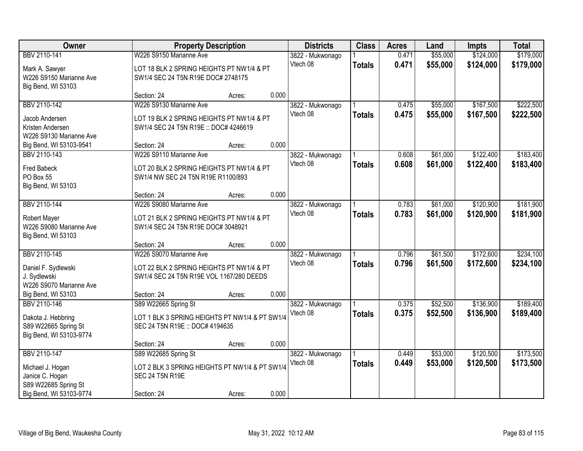| Owner                                   |                                                | <b>Property Description</b> |       | <b>Districts</b>             | <b>Class</b>  | <b>Acres</b>   | Land     | <b>Impts</b> | <b>Total</b> |
|-----------------------------------------|------------------------------------------------|-----------------------------|-------|------------------------------|---------------|----------------|----------|--------------|--------------|
| BBV 2110-141                            | W226 S9150 Marianne Ave                        |                             |       | 3822 - Mukwonago             |               | 0.471          | \$55,000 | \$124,000    | \$179,000    |
| Mark A. Sawyer                          | LOT 18 BLK 2 SPRING HEIGHTS PT NW1/4 & PT      |                             |       | Vtech 08                     | <b>Totals</b> | 0.471          | \$55,000 | \$124,000    | \$179,000    |
| W226 S9150 Marianne Ave                 | SW1/4 SEC 24 T5N R19E DOC# 2748175             |                             |       |                              |               |                |          |              |              |
| Big Bend, WI 53103                      |                                                |                             |       |                              |               |                |          |              |              |
|                                         | Section: 24                                    | Acres:                      | 0.000 |                              |               |                |          |              |              |
| BBV 2110-142                            | W226 S9130 Marianne Ave                        |                             |       | 3822 - Mukwonago             |               | 0.475          | \$55,000 | \$167,500    | \$222,500    |
| Jacob Andersen                          | LOT 19 BLK 2 SPRING HEIGHTS PT NW1/4 & PT      |                             |       | Vtech 08                     | <b>Totals</b> | 0.475          | \$55,000 | \$167,500    | \$222,500    |
| Kristen Andersen                        | SW1/4 SEC 24 T5N R19E: DOC# 4246619            |                             |       |                              |               |                |          |              |              |
| W226 S9130 Marianne Ave                 |                                                |                             |       |                              |               |                |          |              |              |
| Big Bend, WI 53103-9541                 | Section: 24                                    | Acres:                      | 0.000 |                              |               |                |          |              |              |
| BBV 2110-143                            | W226 S9110 Marianne Ave                        |                             |       | 3822 - Mukwonago             |               | 0.608          | \$61,000 | \$122,400    | \$183,400    |
| <b>Fred Babeck</b>                      | LOT 20 BLK 2 SPRING HEIGHTS PT NW1/4 & PT      |                             |       | Vtech 08                     | <b>Totals</b> | 0.608          | \$61,000 | \$122,400    | \$183,400    |
| PO Box 55                               | SW1/4 NW SEC 24 T5N R19E R1100/893             |                             |       |                              |               |                |          |              |              |
| Big Bend, WI 53103                      |                                                |                             |       |                              |               |                |          |              |              |
|                                         | Section: 24                                    | Acres:                      | 0.000 |                              |               |                |          |              |              |
| BBV 2110-144                            | W226 S9080 Marianne Ave                        |                             |       | 3822 - Mukwonago             |               | 0.783          | \$61,000 | \$120,900    | \$181,900    |
|                                         | LOT 21 BLK 2 SPRING HEIGHTS PT NW1/4 & PT      |                             |       | Vtech 08                     | <b>Totals</b> | 0.783          | \$61,000 | \$120,900    | \$181,900    |
| Robert Mayer<br>W226 S9080 Marianne Ave | SW1/4 SEC 24 T5N R19E DOC# 3048921             |                             |       |                              |               |                |          |              |              |
| Big Bend, WI 53103                      |                                                |                             |       |                              |               |                |          |              |              |
|                                         | Section: 24                                    | Acres:                      | 0.000 |                              |               |                |          |              |              |
| BBV 2110-145                            | W226 S9070 Marianne Ave                        |                             |       | 3822 - Mukwonago             |               | 0.796          | \$61,500 | \$172,600    | \$234,100    |
|                                         |                                                |                             |       | Vtech 08                     | <b>Totals</b> | 0.796          | \$61,500 | \$172,600    | \$234,100    |
| Daniel F. Sydlewski                     | LOT 22 BLK 2 SPRING HEIGHTS PT NW1/4 & PT      |                             |       |                              |               |                |          |              |              |
| J. Sydlewski                            | SW1/4 SEC 24 T5N R19E VOL 1167/280 DEEDS       |                             |       |                              |               |                |          |              |              |
| W226 S9070 Marianne Ave                 |                                                |                             |       |                              |               |                |          |              |              |
| Big Bend, WI 53103<br>BBV 2110-146      | Section: 24                                    | Acres:                      | 0.000 |                              |               |                |          |              |              |
|                                         | S89 W22665 Spring St                           |                             |       | 3822 - Mukwonago<br>Vtech 08 |               | 0.375<br>0.375 | \$52,500 | \$136,900    | \$189,400    |
| Dakota J. Hebbring                      | LOT 1 BLK 3 SPRING HEIGHTS PT NW1/4 & PT SW1/4 |                             |       |                              | <b>Totals</b> |                | \$52,500 | \$136,900    | \$189,400    |
| S89 W22665 Spring St                    | SEC 24 T5N R19E :: DOC# 4194635                |                             |       |                              |               |                |          |              |              |
| Big Bend, WI 53103-9774                 |                                                |                             |       |                              |               |                |          |              |              |
|                                         | Section: 24                                    | Acres:                      | 0.000 |                              |               |                |          |              |              |
| BBV 2110-147                            | S89 W22685 Spring St                           |                             |       | 3822 - Mukwonago             |               | 0.449          | \$53,000 | \$120,500    | \$173,500    |
| Michael J. Hogan                        | LOT 2 BLK 3 SPRING HEIGHTS PT NW1/4 & PT SW1/4 |                             |       | Vtech 08                     | <b>Totals</b> | 0.449          | \$53,000 | \$120,500    | \$173,500    |
| Janice C. Hogan                         | <b>SEC 24 T5N R19E</b>                         |                             |       |                              |               |                |          |              |              |
| S89 W22685 Spring St                    |                                                |                             |       |                              |               |                |          |              |              |
| Big Bend, WI 53103-9774                 | Section: 24                                    | Acres:                      | 0.000 |                              |               |                |          |              |              |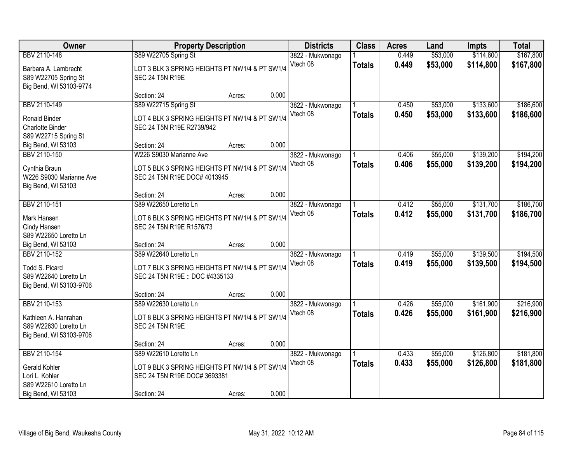| Owner                                                                                    |                                                                                                            | <b>Property Description</b> |       | <b>Districts</b>             | <b>Class</b>  | <b>Acres</b>   | Land                 | <b>Impts</b>           | <b>Total</b>           |
|------------------------------------------------------------------------------------------|------------------------------------------------------------------------------------------------------------|-----------------------------|-------|------------------------------|---------------|----------------|----------------------|------------------------|------------------------|
| BBV 2110-148                                                                             | S89 W22705 Spring St                                                                                       |                             |       | 3822 - Mukwonago<br>Vtech 08 |               | 0.449<br>0.449 | \$53,000<br>\$53,000 | \$114,800<br>\$114,800 | \$167,800              |
| Barbara A. Lambrecht<br>S89 W22705 Spring St<br>Big Bend, WI 53103-9774                  | LOT 3 BLK 3 SPRING HEIGHTS PT NW1/4 & PT SW1/4<br><b>SEC 24 T5N R19E</b>                                   |                             |       |                              | <b>Totals</b> |                |                      |                        | \$167,800              |
|                                                                                          | Section: 24                                                                                                | Acres:                      | 0.000 |                              |               |                |                      |                        |                        |
| BBV 2110-149                                                                             | S89 W22715 Spring St                                                                                       |                             |       | 3822 - Mukwonago             |               | 0.450          | \$53,000             | \$133,600              | \$186,600              |
| <b>Ronald Binder</b><br>Charlotte Binder<br>S89 W22715 Spring St                         | LOT 4 BLK 3 SPRING HEIGHTS PT NW1/4 & PT SW1/4<br>SEC 24 T5N R19E R2739/942                                |                             |       | Vtech 08                     | <b>Totals</b> | 0.450          | \$53,000             | \$133,600              | \$186,600              |
| Big Bend, WI 53103                                                                       | Section: 24                                                                                                | Acres:                      | 0.000 |                              |               |                |                      |                        |                        |
| BBV 2110-150                                                                             | W226 S9030 Marianne Ave                                                                                    |                             |       | 3822 - Mukwonago             |               | 0.406          | \$55,000             | \$139,200              | \$194,200              |
| Cynthia Braun<br>W226 S9030 Marianne Ave<br>Big Bend, WI 53103                           | LOT 5 BLK 3 SPRING HEIGHTS PT NW1/4 & PT SW1/4<br>SEC 24 T5N R19E DOC# 4013945                             |                             |       | Vtech 08                     | <b>Totals</b> | 0.406          | \$55,000             | \$139,200              | \$194,200              |
|                                                                                          | Section: 24                                                                                                | Acres:                      | 0.000 |                              |               |                |                      |                        |                        |
| BBV 2110-151                                                                             | S89 W22650 Loretto Ln                                                                                      |                             |       | 3822 - Mukwonago             |               | 0.412          | \$55,000             | \$131,700              | \$186,700              |
| Mark Hansen<br>Cindy Hansen<br>S89 W22650 Loretto Ln                                     | LOT 6 BLK 3 SPRING HEIGHTS PT NW1/4 & PT SW1/4<br>SEC 24 T5N R19E R1576/73                                 |                             |       | Vtech 08                     | <b>Totals</b> | 0.412          | \$55,000             | \$131,700              | \$186,700              |
| Big Bend, WI 53103                                                                       | Section: 24                                                                                                | Acres:                      | 0.000 |                              |               |                |                      |                        |                        |
| BBV 2110-152<br>Todd S. Picard<br>S89 W22640 Loretto Ln<br>Big Bend, WI 53103-9706       | S89 W22640 Loretto Ln<br>LOT 7 BLK 3 SPRING HEIGHTS PT NW1/4 & PT SW1/4<br>SEC 24 T5N R19E :: DOC #4335133 |                             |       | 3822 - Mukwonago<br>Vtech 08 | <b>Totals</b> | 0.419<br>0.419 | \$55,000<br>\$55,000 | \$139,500<br>\$139,500 | \$194,500<br>\$194,500 |
|                                                                                          | Section: 24                                                                                                | Acres:                      | 0.000 |                              |               |                |                      |                        |                        |
| BBV 2110-153<br>Kathleen A. Hanrahan<br>S89 W22630 Loretto Ln<br>Big Bend, WI 53103-9706 | S89 W22630 Loretto Ln<br>LOT 8 BLK 3 SPRING HEIGHTS PT NW1/4 & PT SW1/4<br><b>SEC 24 T5N R19E</b>          |                             |       | 3822 - Mukwonago<br>Vtech 08 | <b>Totals</b> | 0.426<br>0.426 | \$55,000<br>\$55,000 | \$161,900<br>\$161,900 | \$216,900<br>\$216,900 |
|                                                                                          | Section: 24                                                                                                | Acres:                      | 0.000 |                              |               |                |                      |                        |                        |
| BBV 2110-154                                                                             | S89 W22610 Loretto Ln                                                                                      |                             |       | 3822 - Mukwonago<br>Vtech 08 | <b>Totals</b> | 0.433<br>0.433 | \$55,000<br>\$55,000 | \$126,800<br>\$126,800 | \$181,800<br>\$181,800 |
| Gerald Kohler<br>Lori L. Kohler<br>S89 W22610 Loretto Ln                                 | LOT 9 BLK 3 SPRING HEIGHTS PT NW1/4 & PT SW1/4<br>SEC 24 T5N R19E DOC# 3693381                             |                             |       |                              |               |                |                      |                        |                        |
| Big Bend, WI 53103                                                                       | Section: 24                                                                                                | Acres:                      | 0.000 |                              |               |                |                      |                        |                        |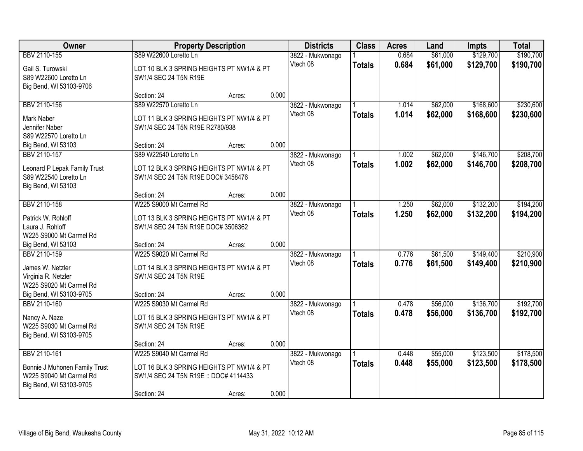| Owner                                                                                                         | <b>Property Description</b>                                                                                                |        |       | <b>Districts</b>             | <b>Class</b>  | <b>Acres</b>   | Land                 | <b>Impts</b>           | <b>Total</b>           |
|---------------------------------------------------------------------------------------------------------------|----------------------------------------------------------------------------------------------------------------------------|--------|-------|------------------------------|---------------|----------------|----------------------|------------------------|------------------------|
| BBV 2110-155<br>Gail S. Turowski<br>S89 W22600 Loretto Ln                                                     | S89 W22600 Loretto Ln<br>LOT 10 BLK 3 SPRING HEIGHTS PT NW1/4 & PT<br>SW1/4 SEC 24 T5N R19E                                |        |       | 3822 - Mukwonago<br>Vtech 08 | <b>Totals</b> | 0.684<br>0.684 | \$61,000<br>\$61,000 | \$129,700<br>\$129,700 | \$190,700<br>\$190,700 |
| Big Bend, WI 53103-9706                                                                                       | Section: 24                                                                                                                | Acres: | 0.000 |                              |               |                |                      |                        |                        |
| BBV 2110-156<br>Mark Naber<br>Jennifer Naber<br>S89 W22570 Loretto Ln                                         | S89 W22570 Loretto Ln<br>LOT 11 BLK 3 SPRING HEIGHTS PT NW1/4 & PT<br>SW1/4 SEC 24 T5N R19E R2780/938                      |        |       | 3822 - Mukwonago<br>Vtech 08 | <b>Totals</b> | 1.014<br>1.014 | \$62,000<br>\$62,000 | \$168,600<br>\$168,600 | \$230,600<br>\$230,600 |
| Big Bend, WI 53103<br>BBV 2110-157                                                                            | Section: 24<br>S89 W22540 Loretto Ln                                                                                       | Acres: | 0.000 | 3822 - Mukwonago             |               | 1.002          | \$62,000             | \$146,700              | \$208,700              |
| Leonard P Lepak Family Trust<br>S89 W22540 Loretto Ln<br>Big Bend, WI 53103                                   | LOT 12 BLK 3 SPRING HEIGHTS PT NW1/4 & PT<br>SW1/4 SEC 24 T5N R19E DOC# 3458476                                            |        |       | Vtech 08                     | <b>Totals</b> | 1.002          | \$62,000             | \$146,700              | \$208,700              |
|                                                                                                               | Section: 24                                                                                                                | Acres: | 0.000 |                              |               |                |                      |                        |                        |
| BBV 2110-158<br>Patrick W. Rohloff<br>Laura J. Rohloff<br>W225 S9000 Mt Carmel Rd                             | W225 S9000 Mt Carmel Rd<br>LOT 13 BLK 3 SPRING HEIGHTS PT NW1/4 & PT<br>SW1/4 SEC 24 T5N R19E DOC# 3506362                 |        |       | 3822 - Mukwonago<br>Vtech 08 | <b>Totals</b> | 1.250<br>1.250 | \$62,000<br>\$62,000 | \$132,200<br>\$132,200 | \$194,200<br>\$194,200 |
| Big Bend, WI 53103                                                                                            | Section: 24                                                                                                                | Acres: | 0.000 |                              |               |                |                      |                        |                        |
| BBV 2110-159<br>James W. Netzler<br>Virginia R. Netzler<br>W225 S9020 Mt Carmel Rd<br>Big Bend, WI 53103-9705 | W225 S9020 Mt Carmel Rd<br>LOT 14 BLK 3 SPRING HEIGHTS PT NW1/4 & PT<br>SW1/4 SEC 24 T5N R19E<br>Section: 24               | Acres: | 0.000 | 3822 - Mukwonago<br>Vtech 08 | <b>Totals</b> | 0.776<br>0.776 | \$61,500<br>\$61,500 | \$149,400<br>\$149,400 | \$210,900<br>\$210,900 |
| BBV 2110-160<br>Nancy A. Naze<br>W225 S9030 Mt Carmel Rd                                                      | W225 S9030 Mt Carmel Rd<br>LOT 15 BLK 3 SPRING HEIGHTS PT NW1/4 & PT<br>SW1/4 SEC 24 T5N R19E                              |        |       | 3822 - Mukwonago<br>Vtech 08 | <b>Totals</b> | 0.478<br>0.478 | \$56,000<br>\$56,000 | \$136,700<br>\$136,700 | \$192,700<br>\$192,700 |
| Big Bend, WI 53103-9705                                                                                       | Section: 24                                                                                                                | Acres: | 0.000 |                              |               |                |                      |                        |                        |
| BBV 2110-161<br>Bonnie J Muhonen Family Trust<br>W225 S9040 Mt Carmel Rd<br>Big Bend, WI 53103-9705           | W225 S9040 Mt Carmel Rd<br>LOT 16 BLK 3 SPRING HEIGHTS PT NW1/4 & PT<br>SW1/4 SEC 24 T5N R19E: DOC# 4114433<br>Section: 24 | Acres: | 0.000 | 3822 - Mukwonago<br>Vtech 08 | <b>Totals</b> | 0.448<br>0.448 | \$55,000<br>\$55,000 | \$123,500<br>\$123,500 | \$178,500<br>\$178,500 |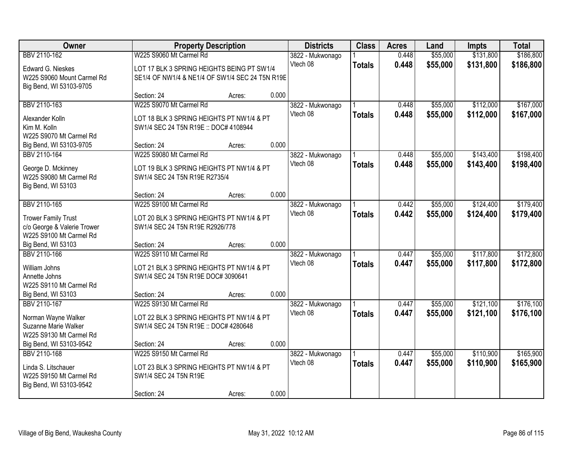| Owner                                                     |                                                 | <b>Property Description</b> |       | <b>Districts</b>             | <b>Class</b>  | <b>Acres</b> | Land     | <b>Impts</b> | <b>Total</b> |
|-----------------------------------------------------------|-------------------------------------------------|-----------------------------|-------|------------------------------|---------------|--------------|----------|--------------|--------------|
| BBV 2110-162                                              | W225 S9060 Mt Carmel Rd                         |                             |       | 3822 - Mukwonago             |               | 0.448        | \$55,000 | \$131,800    | \$186,800    |
| Edward G. Nieskes                                         | LOT 17 BLK 3 SPRING HEIGHTS BEING PT SW1/4      |                             |       | Vtech 08                     | <b>Totals</b> | 0.448        | \$55,000 | \$131,800    | \$186,800    |
| W225 S9060 Mount Carmel Rd                                | SE1/4 OF NW1/4 & NE1/4 OF SW1/4 SEC 24 T5N R19E |                             |       |                              |               |              |          |              |              |
| Big Bend, WI 53103-9705                                   |                                                 |                             |       |                              |               |              |          |              |              |
|                                                           | Section: 24                                     | Acres:                      | 0.000 |                              |               |              |          |              |              |
| BBV 2110-163                                              | W225 S9070 Mt Carmel Rd                         |                             |       | 3822 - Mukwonago             |               | 0.448        | \$55,000 | \$112,000    | \$167,000    |
| Alexander Kolln                                           | LOT 18 BLK 3 SPRING HEIGHTS PT NW1/4 & PT       |                             |       | Vtech 08                     | <b>Totals</b> | 0.448        | \$55,000 | \$112,000    | \$167,000    |
| Kim M. Kolln                                              | SW1/4 SEC 24 T5N R19E: DOC# 4108944             |                             |       |                              |               |              |          |              |              |
| W225 S9070 Mt Carmel Rd                                   |                                                 |                             |       |                              |               |              |          |              |              |
| Big Bend, WI 53103-9705                                   | Section: 24                                     | Acres:                      | 0.000 |                              |               |              |          |              |              |
| BBV 2110-164                                              | W225 S9080 Mt Carmel Rd                         |                             |       | 3822 - Mukwonago             |               | 0.448        | \$55,000 | \$143,400    | \$198,400    |
| George D. Mckinney                                        | LOT 19 BLK 3 SPRING HEIGHTS PT NW1/4 & PT       |                             |       | Vtech 08                     | <b>Totals</b> | 0.448        | \$55,000 | \$143,400    | \$198,400    |
| W225 S9080 Mt Carmel Rd                                   | SW1/4 SEC 24 T5N R19E R2735/4                   |                             |       |                              |               |              |          |              |              |
| Big Bend, WI 53103                                        |                                                 |                             |       |                              |               |              |          |              |              |
|                                                           | Section: 24                                     | Acres:                      | 0.000 |                              |               |              |          |              |              |
| BBV 2110-165                                              | W225 S9100 Mt Carmel Rd                         |                             |       | 3822 - Mukwonago             |               | 0.442        | \$55,000 | \$124,400    | \$179,400    |
|                                                           | LOT 20 BLK 3 SPRING HEIGHTS PT NW1/4 & PT       |                             |       | Vtech 08                     | <b>Totals</b> | 0.442        | \$55,000 | \$124,400    | \$179,400    |
| <b>Trower Family Trust</b><br>c/o George & Valerie Trower | SW1/4 SEC 24 T5N R19E R2926/778                 |                             |       |                              |               |              |          |              |              |
| W225 S9100 Mt Carmel Rd                                   |                                                 |                             |       |                              |               |              |          |              |              |
| Big Bend, WI 53103                                        | Section: 24                                     | Acres:                      | 0.000 |                              |               |              |          |              |              |
| BBV 2110-166                                              | W225 S9110 Mt Carmel Rd                         |                             |       | 3822 - Mukwonago             |               | 0.447        | \$55,000 | \$117,800    | \$172,800    |
|                                                           |                                                 |                             |       | Vtech 08                     | <b>Totals</b> | 0.447        | \$55,000 | \$117,800    | \$172,800    |
| William Johns<br>Annette Johns                            | LOT 21 BLK 3 SPRING HEIGHTS PT NW1/4 & PT       |                             |       |                              |               |              |          |              |              |
| W225 S9110 Mt Carmel Rd                                   | SW1/4 SEC 24 T5N R19E DOC# 3090641              |                             |       |                              |               |              |          |              |              |
| Big Bend, WI 53103                                        | Section: 24                                     | Acres:                      | 0.000 |                              |               |              |          |              |              |
| BBV 2110-167                                              | W225 S9130 Mt Carmel Rd                         |                             |       | 3822 - Mukwonago             |               | 0.447        | \$55,000 | \$121,100    | \$176,100    |
|                                                           |                                                 |                             |       | Vtech 08                     | <b>Totals</b> | 0.447        | \$55,000 | \$121,100    | \$176,100    |
| Norman Wayne Walker                                       | LOT 22 BLK 3 SPRING HEIGHTS PT NW1/4 & PT       |                             |       |                              |               |              |          |              |              |
| Suzanne Marie Walker                                      | SW1/4 SEC 24 T5N R19E :: DOC# 4280648           |                             |       |                              |               |              |          |              |              |
| W225 S9130 Mt Carmel Rd                                   | Section: 24                                     |                             | 0.000 |                              |               |              |          |              |              |
| Big Bend, WI 53103-9542<br>BBV 2110-168                   | W225 S9150 Mt Carmel Rd                         | Acres:                      |       |                              |               | 0.447        | \$55,000 | \$110,900    | \$165,900    |
|                                                           |                                                 |                             |       | 3822 - Mukwonago<br>Vtech 08 |               | 0.447        |          |              |              |
| Linda S. Litschauer                                       | LOT 23 BLK 3 SPRING HEIGHTS PT NW1/4 & PT       |                             |       |                              | <b>Totals</b> |              | \$55,000 | \$110,900    | \$165,900    |
| W225 S9150 Mt Carmel Rd                                   | SW1/4 SEC 24 T5N R19E                           |                             |       |                              |               |              |          |              |              |
| Big Bend, WI 53103-9542                                   |                                                 |                             |       |                              |               |              |          |              |              |
|                                                           | Section: 24                                     | Acres:                      | 0.000 |                              |               |              |          |              |              |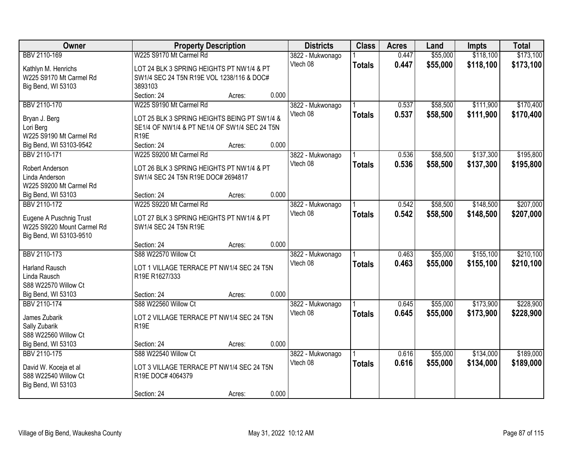| Owner                              | <b>Property Description</b>                   |        |       | <b>Districts</b>             | <b>Class</b>  | <b>Acres</b> | Land     | <b>Impts</b> | <b>Total</b> |
|------------------------------------|-----------------------------------------------|--------|-------|------------------------------|---------------|--------------|----------|--------------|--------------|
| BBV 2110-169                       | W225 S9170 Mt Carmel Rd                       |        |       | 3822 - Mukwonago             |               | 0.447        | \$55,000 | \$118,100    | \$173,100    |
| Kathlyn M. Henrichs                | LOT 24 BLK 3 SPRING HEIGHTS PT NW1/4 & PT     |        |       | Vtech 08                     | <b>Totals</b> | 0.447        | \$55,000 | \$118,100    | \$173,100    |
| W225 S9170 Mt Carmel Rd            | SW1/4 SEC 24 T5N R19E VOL 1238/116 & DOC#     |        |       |                              |               |              |          |              |              |
| Big Bend, WI 53103                 | 3893103                                       |        |       |                              |               |              |          |              |              |
|                                    | Section: 24                                   | Acres: | 0.000 |                              |               |              |          |              |              |
| BBV 2110-170                       | W225 S9190 Mt Carmel Rd                       |        |       | 3822 - Mukwonago             |               | 0.537        | \$58,500 | \$111,900    | \$170,400    |
|                                    | LOT 25 BLK 3 SPRING HEIGHTS BEING PT SW1/4 &  |        |       | Vtech 08                     | <b>Totals</b> | 0.537        | \$58,500 | \$111,900    | \$170,400    |
| Bryan J. Berg<br>Lori Berg         | SE1/4 OF NW1/4 & PT NE1/4 OF SW1/4 SEC 24 T5N |        |       |                              |               |              |          |              |              |
| W225 S9190 Mt Carmel Rd            | <b>R19E</b>                                   |        |       |                              |               |              |          |              |              |
| Big Bend, WI 53103-9542            | Section: 24                                   | Acres: | 0.000 |                              |               |              |          |              |              |
| BBV 2110-171                       | W225 S9200 Mt Carmel Rd                       |        |       | 3822 - Mukwonago             |               | 0.536        | \$58,500 | \$137,300    | \$195,800    |
|                                    |                                               |        |       | Vtech 08                     | <b>Totals</b> | 0.536        | \$58,500 | \$137,300    | \$195,800    |
| Robert Anderson                    | LOT 26 BLK 3 SPRING HEIGHTS PT NW1/4 & PT     |        |       |                              |               |              |          |              |              |
| Linda Anderson                     | SW1/4 SEC 24 T5N R19E DOC# 2694817            |        |       |                              |               |              |          |              |              |
| W225 S9200 Mt Carmel Rd            |                                               |        |       |                              |               |              |          |              |              |
| Big Bend, WI 53103                 | Section: 24                                   | Acres: | 0.000 |                              |               |              |          |              |              |
| BBV 2110-172                       | W225 S9220 Mt Carmel Rd                       |        |       | 3822 - Mukwonago             |               | 0.542        | \$58,500 | \$148,500    | \$207,000    |
| Eugene A Puschnig Trust            | LOT 27 BLK 3 SPRING HEIGHTS PT NW1/4 & PT     |        |       | Vtech 08                     | <b>Totals</b> | 0.542        | \$58,500 | \$148,500    | \$207,000    |
| W225 S9220 Mount Carmel Rd         | SW1/4 SEC 24 T5N R19E                         |        |       |                              |               |              |          |              |              |
| Big Bend, WI 53103-9510            |                                               |        |       |                              |               |              |          |              |              |
|                                    | Section: 24                                   | Acres: | 0.000 |                              |               |              |          |              |              |
| BBV 2110-173                       | S88 W22570 Willow Ct                          |        |       | 3822 - Mukwonago             |               | 0.463        | \$55,000 | \$155,100    | \$210,100    |
|                                    |                                               |        |       | Vtech 08                     | <b>Totals</b> | 0.463        | \$55,000 | \$155,100    | \$210,100    |
| <b>Harland Rausch</b>              | LOT 1 VILLAGE TERRACE PT NW1/4 SEC 24 T5N     |        |       |                              |               |              |          |              |              |
| Linda Rausch                       | R19E R1627/333                                |        |       |                              |               |              |          |              |              |
| S88 W22570 Willow Ct               | Section: 24                                   |        | 0.000 |                              |               |              |          |              |              |
| Big Bend, WI 53103<br>BBV 2110-174 | S88 W22560 Willow Ct                          | Acres: |       |                              |               | 0.645        | \$55,000 | \$173,900    | \$228,900    |
|                                    |                                               |        |       | 3822 - Mukwonago<br>Vtech 08 |               |              |          |              |              |
| James Zubarik                      | LOT 2 VILLAGE TERRACE PT NW1/4 SEC 24 T5N     |        |       |                              | <b>Totals</b> | 0.645        | \$55,000 | \$173,900    | \$228,900    |
| Sally Zubarik                      | R <sub>19E</sub>                              |        |       |                              |               |              |          |              |              |
| S88 W22560 Willow Ct               |                                               |        |       |                              |               |              |          |              |              |
| Big Bend, WI 53103                 | Section: 24                                   | Acres: | 0.000 |                              |               |              |          |              |              |
| BBV 2110-175                       | S88 W22540 Willow Ct                          |        |       | 3822 - Mukwonago             |               | 0.616        | \$55,000 | \$134,000    | \$189,000    |
| David W. Koceja et al              | LOT 3 VILLAGE TERRACE PT NW1/4 SEC 24 T5N     |        |       | Vtech 08                     | <b>Totals</b> | 0.616        | \$55,000 | \$134,000    | \$189,000    |
| S88 W22540 Willow Ct               | R19E DOC# 4064379                             |        |       |                              |               |              |          |              |              |
| Big Bend, WI 53103                 |                                               |        |       |                              |               |              |          |              |              |
|                                    | Section: 24                                   | Acres: | 0.000 |                              |               |              |          |              |              |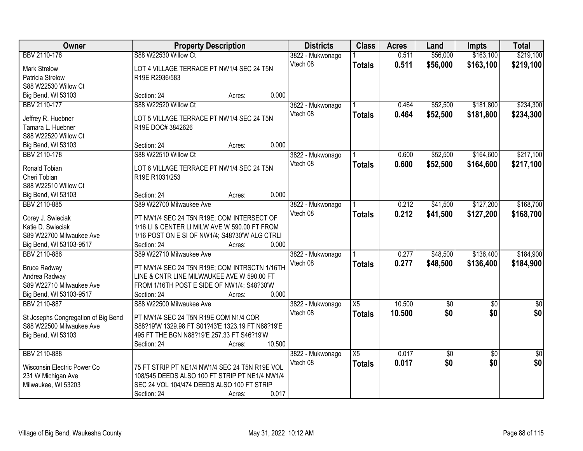| Owner                                  | <b>Property Description</b>                      |        |        | <b>Districts</b> | <b>Class</b>    | <b>Acres</b> | Land            | Impts           | <b>Total</b>    |
|----------------------------------------|--------------------------------------------------|--------|--------|------------------|-----------------|--------------|-----------------|-----------------|-----------------|
| BBV 2110-176                           | S88 W22530 Willow Ct                             |        |        | 3822 - Mukwonago |                 | 0.511        | \$56,000        | \$163,100       | \$219,100       |
| <b>Mark Strelow</b>                    | LOT 4 VILLAGE TERRACE PT NW1/4 SEC 24 T5N        |        |        | Vtech 08         | <b>Totals</b>   | 0.511        | \$56,000        | \$163,100       | \$219,100       |
| Patricia Strelow                       | R19E R2936/583                                   |        |        |                  |                 |              |                 |                 |                 |
| S88 W22530 Willow Ct                   |                                                  |        |        |                  |                 |              |                 |                 |                 |
| Big Bend, WI 53103                     | Section: 24                                      | Acres: | 0.000  |                  |                 |              |                 |                 |                 |
| BBV 2110-177                           | S88 W22520 Willow Ct                             |        |        | 3822 - Mukwonago |                 | 0.464        | \$52,500        | \$181,800       | \$234,300       |
|                                        |                                                  |        |        | Vtech 08         | <b>Totals</b>   | 0.464        | \$52,500        | \$181,800       | \$234,300       |
| Jeffrey R. Huebner                     | LOT 5 VILLAGE TERRACE PT NW1/4 SEC 24 T5N        |        |        |                  |                 |              |                 |                 |                 |
| Tamara L. Huebner                      | R19E DOC# 3842626                                |        |        |                  |                 |              |                 |                 |                 |
| S88 W22520 Willow Ct                   |                                                  |        | 0.000  |                  |                 |              |                 |                 |                 |
| Big Bend, WI 53103                     | Section: 24                                      | Acres: |        |                  |                 |              |                 |                 |                 |
| <b>BBV 2110-178</b>                    | S88 W22510 Willow Ct                             |        |        | 3822 - Mukwonago |                 | 0.600        | \$52,500        | \$164,600       | \$217,100       |
| Ronald Tobian                          | LOT 6 VILLAGE TERRACE PT NW1/4 SEC 24 T5N        |        |        | Vtech 08         | <b>Totals</b>   | 0.600        | \$52,500        | \$164,600       | \$217,100       |
| Cheri Tobian                           | R19E R1031/253                                   |        |        |                  |                 |              |                 |                 |                 |
| S88 W22510 Willow Ct                   |                                                  |        |        |                  |                 |              |                 |                 |                 |
| Big Bend, WI 53103                     | Section: 24                                      | Acres: | 0.000  |                  |                 |              |                 |                 |                 |
| BBV 2110-885                           | S89 W22700 Milwaukee Ave                         |        |        | 3822 - Mukwonago |                 | 0.212        | \$41,500        | \$127,200       | \$168,700       |
|                                        | PT NW1/4 SEC 24 T5N R19E; COM INTERSECT OF       |        |        | Vtech 08         | <b>Totals</b>   | 0.212        | \$41,500        | \$127,200       | \$168,700       |
| Corey J. Swieciak<br>Katie D. Swieciak | 1/16 LI & CENTER LI MILW AVE W 590.00 FT FROM    |        |        |                  |                 |              |                 |                 |                 |
| S89 W22700 Milwaukee Ave               | 1/16 POST ON E SI OF NW1/4; S48?30'W ALG CTRLI   |        |        |                  |                 |              |                 |                 |                 |
| Big Bend, WI 53103-9517                | Section: 24                                      | Acres: | 0.000  |                  |                 |              |                 |                 |                 |
| BBV 2110-886                           | S89 W22710 Milwaukee Ave                         |        |        | 3822 - Mukwonago |                 | 0.277        | \$48,500        | \$136,400       | \$184,900       |
|                                        |                                                  |        |        | Vtech 08         | <b>Totals</b>   | 0.277        | \$48,500        | \$136,400       | \$184,900       |
| <b>Bruce Radway</b>                    | PT NW1/4 SEC 24 T5N R19E; COM INTRSCTN 1/16TH    |        |        |                  |                 |              |                 |                 |                 |
| Andrea Radway                          | LINE & CNTR LINE MILWAUKEE AVE W 590.00 FT       |        |        |                  |                 |              |                 |                 |                 |
| S89 W22710 Milwaukee Ave               | FROM 1/16TH POST E SIDE OF NW1/4; S48?30'W       |        |        |                  |                 |              |                 |                 |                 |
| Big Bend, WI 53103-9517                | Section: 24                                      | Acres: | 0.000  |                  |                 |              |                 |                 |                 |
| <b>BBV 2110-887</b>                    | S88 W22500 Milwaukee Ave                         |        |        | 3822 - Mukwonago | $\overline{X5}$ | 10.500       | $\sqrt{$0}$     | $\sqrt{$0}$     | $\sqrt{50}$     |
| St Josephs Congregation of Big Bend    | PT NW1/4 SEC 24 T5N R19E COM N1/4 COR            |        |        | Vtech 08         | <b>Totals</b>   | 10.500       | \$0             | \$0             | \$0             |
| S88 W22500 Milwaukee Ave               | S88?19'W 1329.98 FT S01?43'E 1323.19 FT N88?19'E |        |        |                  |                 |              |                 |                 |                 |
| Big Bend, WI 53103                     | 495 FT THE BGN N88?19'E 257.33 FT S46?19'W       |        |        |                  |                 |              |                 |                 |                 |
|                                        | Section: 24                                      | Acres: | 10.500 |                  |                 |              |                 |                 |                 |
| BBV 2110-888                           |                                                  |        |        | 3822 - Mukwonago | $\overline{X5}$ | 0.017        | $\overline{50}$ | $\overline{50}$ | $\overline{50}$ |
|                                        |                                                  |        |        | Vtech 08         | <b>Totals</b>   | 0.017        | \$0             | \$0             | \$0             |
| Wisconsin Electric Power Co            | 75 FT STRIP PT NE1/4 NW1/4 SEC 24 T5N R19E VOL   |        |        |                  |                 |              |                 |                 |                 |
| 231 W Michigan Ave                     | 108/545 DEEDS ALSO 100 FT STRIP PT NE1/4 NW1/4   |        |        |                  |                 |              |                 |                 |                 |
| Milwaukee, WI 53203                    | SEC 24 VOL 104/474 DEEDS ALSO 100 FT STRIP       |        |        |                  |                 |              |                 |                 |                 |
|                                        | Section: 24                                      | Acres: | 0.017  |                  |                 |              |                 |                 |                 |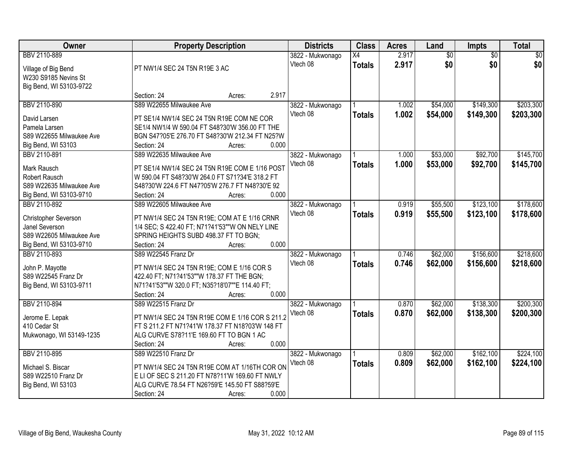| Owner                    | <b>Property Description</b>                      | <b>Districts</b> | <b>Class</b>  | <b>Acres</b> | Land            | Impts           | <b>Total</b>    |
|--------------------------|--------------------------------------------------|------------------|---------------|--------------|-----------------|-----------------|-----------------|
| BBV 2110-889             |                                                  | 3822 - Mukwonago | X4            | 2.917        | $\overline{50}$ | $\overline{30}$ | $\overline{50}$ |
| Village of Big Bend      | PT NW1/4 SEC 24 T5N R19E 3 AC                    | Vtech 08         | <b>Totals</b> | 2.917        | \$0             | \$0             | \$0             |
| W230 S9185 Nevins St     |                                                  |                  |               |              |                 |                 |                 |
| Big Bend, WI 53103-9722  |                                                  |                  |               |              |                 |                 |                 |
|                          | 2.917<br>Section: 24<br>Acres:                   |                  |               |              |                 |                 |                 |
| BBV 2110-890             | S89 W22655 Milwaukee Ave                         | 3822 - Mukwonago |               | 1.002        | \$54,000        | \$149,300       | \$203,300       |
| David Larsen             | PT SE1/4 NW1/4 SEC 24 T5N R19E COM NE COR        | Vtech 08         | <b>Totals</b> | 1.002        | \$54,000        | \$149,300       | \$203,300       |
| Pamela Larsen            | SE1/4 NW1/4 W 590.04 FT S48?30'W 356.00 FT THE   |                  |               |              |                 |                 |                 |
| S89 W22655 Milwaukee Ave | BGN S47?05'E 276.70 FT S48?30'W 212.34 FT N25?W  |                  |               |              |                 |                 |                 |
| Big Bend, WI 53103       | 0.000<br>Section: 24<br>Acres:                   |                  |               |              |                 |                 |                 |
| BBV 2110-891             | S89 W22635 Milwaukee Ave                         | 3822 - Mukwonago |               | 1.000        | \$53,000        | \$92,700        | \$145,700       |
|                          |                                                  | Vtech 08         | <b>Totals</b> | 1.000        | \$53,000        | \$92,700        | \$145,700       |
| Mark Rausch              | PT SE1/4 NW1/4 SEC 24 T5N R19E COM E 1/16 POST   |                  |               |              |                 |                 |                 |
| Robert Rausch            | W 590.04 FT S48?30'W 264.0 FT S71?34'E 318.2 FT  |                  |               |              |                 |                 |                 |
| S89 W22635 Milwaukee Ave | S48?30'W 224.6 FT N47?05'W 276.7 FT N48?30'E 92  |                  |               |              |                 |                 |                 |
| Big Bend, WI 53103-9710  | 0.000<br>Section: 24<br>Acres:                   |                  |               |              |                 |                 |                 |
| BBV 2110-892             | S89 W22605 Milwaukee Ave                         | 3822 - Mukwonago |               | 0.919        | \$55,500        | \$123,100       | \$178,600       |
| Christopher Severson     | PT NW1/4 SEC 24 T5N R19E; COM AT E 1/16 CRNR     | Vtech 08         | <b>Totals</b> | 0.919        | \$55,500        | \$123,100       | \$178,600       |
| Janel Severson           | 1/4 SEC; S 422.40 FT; N71?41'53""W ON NELY LINE  |                  |               |              |                 |                 |                 |
| S89 W22605 Milwaukee Ave | SPRING HEIGHTS SUBD 498.37 FT TO BGN;            |                  |               |              |                 |                 |                 |
| Big Bend, WI 53103-9710  | 0.000<br>Section: 24<br>Acres:                   |                  |               |              |                 |                 |                 |
| BBV 2110-893             | S89 W22545 Franz Dr                              | 3822 - Mukwonago |               | 0.746        | \$62,000        | \$156,600       | \$218,600       |
|                          |                                                  | Vtech 08         | <b>Totals</b> | 0.746        | \$62,000        | \$156,600       | \$218,600       |
| John P. Mayotte          | PT NW1/4 SEC 24 T5N R19E; COM E 1/16 COR S       |                  |               |              |                 |                 |                 |
| S89 W22545 Franz Dr      | 422.40 FT; N71?41'53""W 178.37 FT THE BGN;       |                  |               |              |                 |                 |                 |
| Big Bend, WI 53103-9711  | N71?41'53""W 320.0 FT; N35?18'07""E 114.40 FT;   |                  |               |              |                 |                 |                 |
|                          | 0.000<br>Section: 24<br>Acres:                   |                  |               |              |                 |                 |                 |
| BBV 2110-894             | S89 W22515 Franz Dr                              | 3822 - Mukwonago |               | 0.870        | \$62,000        | \$138,300       | \$200,300       |
| Jerome E. Lepak          | PT NW1/4 SEC 24 T5N R19E COM E 1/16 COR S 211.2  | Vtech 08         | <b>Totals</b> | 0.870        | \$62,000        | \$138,300       | \$200,300       |
| 410 Cedar St             | FT S 211.2 FT N71?41'W 178.37 FT N18?03'W 148 FT |                  |               |              |                 |                 |                 |
| Mukwonago, WI 53149-1235 | ALG CURVE S78?11'E 169.60 FT TO BGN 1 AC         |                  |               |              |                 |                 |                 |
|                          | 0.000<br>Section: 24<br>Acres:                   |                  |               |              |                 |                 |                 |
| BBV 2110-895             | S89 W22510 Franz Dr                              | 3822 - Mukwonago |               | 0.809        | \$62,000        | \$162,100       | \$224,100       |
|                          |                                                  | Vtech 08         | <b>Totals</b> | 0.809        | \$62,000        | \$162,100       | \$224,100       |
| Michael S. Biscar        | PT NW1/4 SEC 24 T5N R19E COM AT 1/16TH COR ON    |                  |               |              |                 |                 |                 |
| S89 W22510 Franz Dr      | E LI OF SEC S 211.20 FT N78?11'W 169.60 FT NWLY  |                  |               |              |                 |                 |                 |
| Big Bend, WI 53103       | ALG CURVE 78.54 FT N26?59'E 145.50 FT S88?59'E   |                  |               |              |                 |                 |                 |
|                          | 0.000<br>Section: 24<br>Acres:                   |                  |               |              |                 |                 |                 |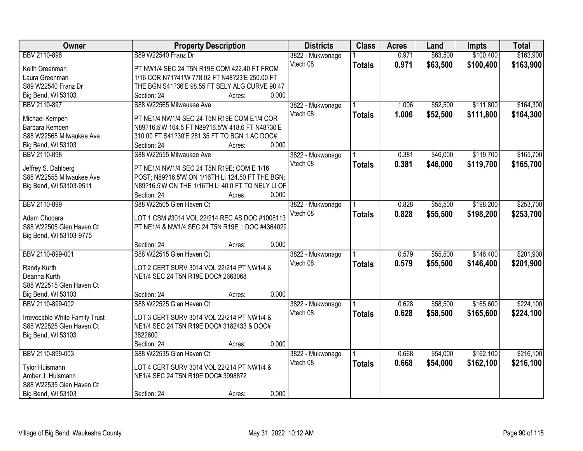| Owner                          | <b>Property Description</b>                       | <b>Districts</b>             | <b>Class</b>  | <b>Acres</b> | Land     | <b>Impts</b> | <b>Total</b> |
|--------------------------------|---------------------------------------------------|------------------------------|---------------|--------------|----------|--------------|--------------|
| BBV 2110-896                   | S89 W22540 Franz Dr                               | 3822 - Mukwonago             |               | 0.971        | \$63,500 | \$100,400    | \$163,900    |
| Keith Greenman                 | PT NW1/4 SEC 24 T5N R19E COM 422.40 FT FROM       | Vtech 08                     | <b>Totals</b> | 0.971        | \$63,500 | \$100,400    | \$163,900    |
| Laura Greenman                 | 1/16 COR N71?41'W 778.02 FT N48?23'E 250.00 FT    |                              |               |              |          |              |              |
| S89 W22540 Franz Dr            | THE BGN S41?36'E 98.55 FT SELY ALG CURVE 90.47    |                              |               |              |          |              |              |
| Big Bend, WI 53103             | 0.000<br>Section: 24<br>Acres:                    |                              |               |              |          |              |              |
| BBV 2110-897                   | S88 W22565 Milwaukee Ave                          | 3822 - Mukwonago             |               | 1.006        | \$52,500 | \$111,800    | \$164,300    |
|                                |                                                   | Vtech 08                     | <b>Totals</b> | 1.006        | \$52,500 | \$111,800    | \$164,300    |
| Michael Kempen                 | PT NE1/4 NW1/4 SEC 24 T5N R19E COM E1/4 COR       |                              |               |              |          |              |              |
| Barbara Kempen                 | N89?16.5'W 164.5 FT N89?16.5'W 418.6 FT N48?30'E  |                              |               |              |          |              |              |
| S88 W22565 Milwaukee Ave       | 310.00 FT S41?30'E 281.35 FT TO BGN 1 AC DOC#     |                              |               |              |          |              |              |
| Big Bend, WI 53103             | 0.000<br>Section: 24<br>Acres:                    |                              |               |              |          |              |              |
| BBV 2110-898                   | S88 W22555 Milwaukee Ave                          | 3822 - Mukwonago             |               | 0.381        | \$46,000 | \$119,700    | \$165,700    |
| Jeffrey S. Dahlberg            | PT NE1/4 NW1/4 SEC 24 T5N R19E; COM E 1/16        | Vtech 08                     | <b>Totals</b> | 0.381        | \$46,000 | \$119,700    | \$165,700    |
| S88 W22555 Milwaukee Ave       | POST; N89?16.5'W ON 1/16TH LI 124.50 FT THE BGN;  |                              |               |              |          |              |              |
| Big Bend, WI 53103-9511        | N89?16.5'W ON THE 1/16TH LI 40.0 FT TO NELY LI OF |                              |               |              |          |              |              |
|                                | Section: 24<br>0.000<br>Acres:                    |                              |               |              |          |              |              |
| BBV 2110-899                   | S88 W22505 Glen Haven Ct                          | 3822 - Mukwonago             |               | 0.828        | \$55,500 | \$198,200    | \$253,700    |
|                                |                                                   | Vtech 08                     | <b>Totals</b> | 0.828        | \$55,500 | \$198,200    | \$253,700    |
| Adam Chodara                   | LOT 1 CSM #3014 VOL 22/214 REC AS DOC #1008113    |                              |               |              |          |              |              |
| S88 W22505 Glen Haven Ct       | PT NE1/4 & NW1/4 SEC 24 T5N R19E :: DOC #4364029  |                              |               |              |          |              |              |
| Big Bend, WI 53103-9775        |                                                   |                              |               |              |          |              |              |
|                                | 0.000<br>Section: 24<br>Acres:                    |                              |               |              |          |              |              |
| BBV 2110-899-001               | S88 W22515 Glen Haven Ct                          | 3822 - Mukwonago             |               | 0.579        | \$55,500 | \$146,400    | \$201,900    |
| Randy Kurth                    | LOT 2 CERT SURV 3014 VOL 22/214 PT NW1/4 &        | Vtech 08                     | <b>Totals</b> | 0.579        | \$55,500 | \$146,400    | \$201,900    |
| Deanna Kurth                   | NE1/4 SEC 24 T5N R19E DOC# 2663068                |                              |               |              |          |              |              |
| S88 W22515 Glen Haven Ct       |                                                   |                              |               |              |          |              |              |
| Big Bend, WI 53103             | 0.000<br>Section: 24<br>Acres:                    |                              |               |              |          |              |              |
| BBV 2110-899-002               | S88 W22525 Glen Haven Ct                          |                              |               | 0.628        | \$58,500 | \$165,600    | \$224,100    |
|                                |                                                   | 3822 - Mukwonago<br>Vtech 08 |               |              |          |              |              |
| Irrevocable White Family Trust | LOT 3 CERT SURV 3014 VOL 22/214 PT NW1/4 &        |                              | <b>Totals</b> | 0.628        | \$58,500 | \$165,600    | \$224,100    |
| S88 W22525 Glen Haven Ct       | NE1/4 SEC 24 T5N R19E DOC# 3182433 & DOC#         |                              |               |              |          |              |              |
| Big Bend, WI 53103             | 3822600                                           |                              |               |              |          |              |              |
|                                | 0.000<br>Section: 24<br>Acres:                    |                              |               |              |          |              |              |
| BBV 2110-899-003               | S88 W22535 Glen Haven Ct                          | 3822 - Mukwonago             |               | 0.668        | \$54,000 | \$162,100    | \$216,100    |
|                                |                                                   | Vtech 08                     | <b>Totals</b> | 0.668        | \$54,000 | \$162,100    | \$216,100    |
| <b>Tylor Huismann</b>          | LOT 4 CERT SURV 3014 VOL 22/214 PT NW1/4 &        |                              |               |              |          |              |              |
| Amber J. Huismann              | NE1/4 SEC 24 T5N R19E DOC# 3998872                |                              |               |              |          |              |              |
| S88 W22535 Glen Haven Ct       |                                                   |                              |               |              |          |              |              |
| Big Bend, WI 53103             | 0.000<br>Section: 24<br>Acres:                    |                              |               |              |          |              |              |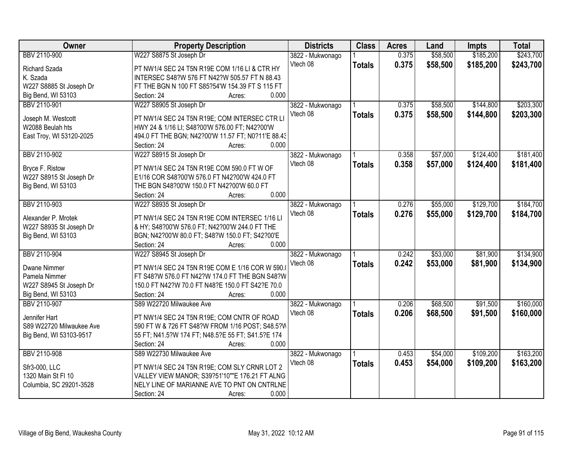| <b>Owner</b>             | <b>Property Description</b>                        | <b>Districts</b>             | <b>Class</b>  | <b>Acres</b> | Land     | <b>Impts</b> | <b>Total</b> |
|--------------------------|----------------------------------------------------|------------------------------|---------------|--------------|----------|--------------|--------------|
| BBV 2110-900             | W227 S8875 St Joseph Dr                            | 3822 - Mukwonago             |               | 0.375        | \$58,500 | \$185,200    | \$243,700    |
| Richard Szada            | PT NW1/4 SEC 24 T5N R19E COM 1/16 LI & CTR HY      | Vtech 08                     | <b>Totals</b> | 0.375        | \$58,500 | \$185,200    | \$243,700    |
| K. Szada                 | INTERSEC S48?W 576 FT N42?W 505.57 FT N 88.43      |                              |               |              |          |              |              |
| W227 S8885 St Joseph Dr  | FT THE BGN N 100 FT S85?54'W 154.39 FT S 115 FT    |                              |               |              |          |              |              |
| Big Bend, WI 53103       | 0.000<br>Section: 24<br>Acres:                     |                              |               |              |          |              |              |
| BBV 2110-901             | W227 S8905 St Joseph Dr                            | 3822 - Mukwonago             |               | 0.375        | \$58,500 | \$144,800    | \$203,300    |
|                          |                                                    | Vtech 08                     | <b>Totals</b> | 0.375        | \$58,500 | \$144,800    | \$203,300    |
| Joseph M. Westcott       | PT NW1/4 SEC 24 T5N R19E; COM INTERSEC CTR LI      |                              |               |              |          |              |              |
| W2088 Beulah hts         | HWY 24 & 1/16 LI; S48?00'W 576.00 FT; N42?00'W     |                              |               |              |          |              |              |
| East Troy, WI 53120-2025 | 494.0 FT THE BGN; N42?00'W 11.57 FT; N0?11'E 88.43 |                              |               |              |          |              |              |
|                          | 0.000<br>Section: 24<br>Acres:                     |                              |               |              |          |              |              |
| BBV 2110-902             | W227 S8915 St Joseph Dr                            | 3822 - Mukwonago             |               | 0.358        | \$57,000 | \$124,400    | \$181,400    |
|                          | PT NW1/4 SEC 24 T5N R19E COM 590.0 FT W OF         | Vtech 08                     | <b>Totals</b> | 0.358        | \$57,000 | \$124,400    | \$181,400    |
| Bryce F. Ristow          |                                                    |                              |               |              |          |              |              |
| W227 S8915 St Joseph Dr  | E1/16 COR S48?00'W 576.0 FT N42?00'W 424.0 FT      |                              |               |              |          |              |              |
| Big Bend, WI 53103       | THE BGN S48?00'W 150.0 FT N42?00'W 60.0 FT         |                              |               |              |          |              |              |
|                          | 0.000<br>Section: 24<br>Acres:                     |                              |               |              |          |              |              |
| BBV 2110-903             | W227 S8935 St Joseph Dr                            | 3822 - Mukwonago             |               | 0.276        | \$55,000 | \$129,700    | \$184,700    |
| Alexander P. Mrotek      | PT NW1/4 SEC 24 T5N R19E COM INTERSEC 1/16 LI      | Vtech 08                     | <b>Totals</b> | 0.276        | \$55,000 | \$129,700    | \$184,700    |
| W227 S8935 St Joseph Dr  | & HY; S48?00'W 576.0 FT; N42?00'W 244.0 FT THE     |                              |               |              |          |              |              |
| Big Bend, WI 53103       | BGN; N42?00'W 80.0 FT; S48?W 150.0 FT; S42?00'E    |                              |               |              |          |              |              |
|                          | 0.000<br>Section: 24<br>Acres:                     |                              |               |              |          |              |              |
| BBV 2110-904             | W227 S8945 St Joseph Dr                            | 3822 - Mukwonago             |               | 0.242        | \$53,000 | \$81,900     | \$134,900    |
|                          |                                                    | Vtech 08                     | <b>Totals</b> | 0.242        | \$53,000 | \$81,900     | \$134,900    |
| <b>Dwane Nimmer</b>      | PT NW1/4 SEC 24 T5N R19E COM E 1/16 COR W 590.     |                              |               |              |          |              |              |
| Pamela Nimmer            | FT S48?W 576.0 FT N42?W 174.0 FT THE BGN S48?W     |                              |               |              |          |              |              |
| W227 S8945 St Joseph Dr  | 150.0 FT N42?W 70.0 FT N48?E 150.0 FT S42?E 70.0   |                              |               |              |          |              |              |
| Big Bend, WI 53103       | 0.000<br>Section: 24<br>Acres:                     |                              |               |              |          |              |              |
| BBV 2110-907             | S89 W22720 Milwaukee Ave                           | 3822 - Mukwonago             |               | 0.206        | \$68,500 | \$91,500     | \$160,000    |
| Jennifer Hart            | PT NW1/4 SEC 24 T5N R19E; COM CNTR OF ROAD         | Vtech 08                     | <b>Totals</b> | 0.206        | \$68,500 | \$91,500     | \$160,000    |
| S89 W22720 Milwaukee Ave | 590 FT W & 726 FT S48?W FROM 1/16 POST; S48.5?W    |                              |               |              |          |              |              |
| Big Bend, WI 53103-9517  | 55 FT; N41.5?W 174 FT; N48.5?E 55 FT; S41.5?E 174  |                              |               |              |          |              |              |
|                          | 0.000<br>Section: 24<br>Acres:                     |                              |               |              |          |              |              |
| BBV 2110-908             | S89 W22730 Milwaukee Ave                           |                              |               | 0.453        | \$54,000 | \$109,200    | \$163,200    |
|                          |                                                    | 3822 - Mukwonago<br>Vtech 08 |               |              |          |              |              |
| Sfr3-000, LLC            | PT NW1/4 SEC 24 T5N R19E; COM SLY CRNR LOT 2       |                              | <b>Totals</b> | 0.453        | \$54,000 | \$109,200    | \$163,200    |
| 1320 Main St FI 10       | VALLEY VIEW MANOR; S39?51'10""E 176.21 FT ALNG     |                              |               |              |          |              |              |
| Columbia, SC 29201-3528  | NELY LINE OF MARIANNE AVE TO PNT ON CNTRLNE        |                              |               |              |          |              |              |
|                          | 0.000<br>Section: 24<br>Acres:                     |                              |               |              |          |              |              |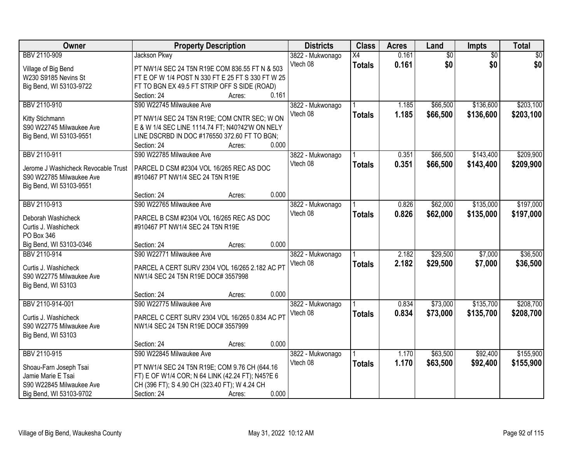| Owner                                      | <b>Property Description</b>                                                  |                 | <b>Districts</b> | <b>Class</b>    | <b>Acres</b> | Land            | Impts           | <b>Total</b>    |
|--------------------------------------------|------------------------------------------------------------------------------|-----------------|------------------|-----------------|--------------|-----------------|-----------------|-----------------|
| BBV 2110-909                               | Jackson Pkwy                                                                 |                 | 3822 - Mukwonago | $\overline{X4}$ | 0.161        | $\overline{60}$ | $\overline{30}$ | $\overline{50}$ |
| Village of Big Bend                        | PT NW1/4 SEC 24 T5N R19E COM 836.55 FT N & 503                               |                 | Vtech 08         | <b>Totals</b>   | 0.161        | \$0             | \$0             | \$0             |
| W230 S9185 Nevins St                       | FT E OF W 1/4 POST N 330 FT E 25 FT S 330 FT W 25                            |                 |                  |                 |              |                 |                 |                 |
| Big Bend, WI 53103-9722                    | FT TO BGN EX 49.5 FT STRIP OFF S SIDE (ROAD)                                 |                 |                  |                 |              |                 |                 |                 |
|                                            | Section: 24                                                                  | 0.161<br>Acres: |                  |                 |              |                 |                 |                 |
| BBV 2110-910                               | S90 W22745 Milwaukee Ave                                                     |                 | 3822 - Mukwonago |                 | 1.185        | \$66,500        | \$136,600       | \$203,100       |
|                                            |                                                                              |                 | Vtech 08         | <b>Totals</b>   | 1.185        | \$66,500        | \$136,600       | \$203,100       |
| Kitty Stichmann                            | PT NW1/4 SEC 24 T5N R19E; COM CNTR SEC; W ON                                 |                 |                  |                 |              |                 |                 |                 |
| S90 W22745 Milwaukee Ave                   | E & W 1/4 SEC LINE 1114.74 FT; N40?42'W ON NELY                              |                 |                  |                 |              |                 |                 |                 |
| Big Bend, WI 53103-9551                    | LINE DSCRBD IN DOC #176550 372.60 FT TO BGN;                                 |                 |                  |                 |              |                 |                 |                 |
|                                            | Section: 24                                                                  | 0.000<br>Acres: |                  |                 |              |                 |                 |                 |
| BBV 2110-911                               | S90 W22785 Milwaukee Ave                                                     |                 | 3822 - Mukwonago |                 | 0.351        | \$66,500        | \$143,400       | \$209,900       |
| Jerome J Washicheck Revocable Trust        | PARCEL D CSM #2304 VOL 16/265 REC AS DOC                                     |                 | Vtech 08         | <b>Totals</b>   | 0.351        | \$66,500        | \$143,400       | \$209,900       |
| S90 W22785 Milwaukee Ave                   | #910467 PT NW1/4 SEC 24 T5N R19E                                             |                 |                  |                 |              |                 |                 |                 |
| Big Bend, WI 53103-9551                    |                                                                              |                 |                  |                 |              |                 |                 |                 |
|                                            | Section: 24                                                                  | 0.000<br>Acres: |                  |                 |              |                 |                 |                 |
| BBV 2110-913                               | S90 W22765 Milwaukee Ave                                                     |                 | 3822 - Mukwonago |                 | 0.826        | \$62,000        | \$135,000       | \$197,000       |
|                                            |                                                                              |                 | Vtech 08         | <b>Totals</b>   | 0.826        | \$62,000        | \$135,000       | \$197,000       |
| Deborah Washicheck<br>Curtis J. Washicheck | PARCEL B CSM #2304 VOL 16/265 REC AS DOC<br>#910467 PT NW1/4 SEC 24 T5N R19E |                 |                  |                 |              |                 |                 |                 |
| PO Box 346                                 |                                                                              |                 |                  |                 |              |                 |                 |                 |
| Big Bend, WI 53103-0346                    | Section: 24                                                                  | 0.000<br>Acres: |                  |                 |              |                 |                 |                 |
| BBV 2110-914                               | S90 W22771 Milwaukee Ave                                                     |                 | 3822 - Mukwonago |                 | 2.182        | \$29,500        | \$7,000         | \$36,500        |
|                                            |                                                                              |                 | Vtech 08         | <b>Totals</b>   | 2.182        | \$29,500        | \$7,000         | \$36,500        |
| Curtis J. Washicheck                       | PARCEL A CERT SURV 2304 VOL 16/265 2.182 AC PT                               |                 |                  |                 |              |                 |                 |                 |
| S90 W22775 Milwaukee Ave                   | NW1/4 SEC 24 T5N R19E DOC# 3557998                                           |                 |                  |                 |              |                 |                 |                 |
| Big Bend, WI 53103                         |                                                                              |                 |                  |                 |              |                 |                 |                 |
|                                            | Section: 24                                                                  | 0.000<br>Acres: |                  |                 |              |                 |                 |                 |
| BBV 2110-914-001                           | S90 W22775 Milwaukee Ave                                                     |                 | 3822 - Mukwonago |                 | 0.834        | \$73,000        | \$135,700       | \$208,700       |
| Curtis J. Washicheck                       | PARCEL C CERT SURV 2304 VOL 16/265 0.834 AC PT                               |                 | Vtech 08         | <b>Totals</b>   | 0.834        | \$73,000        | \$135,700       | \$208,700       |
| S90 W22775 Milwaukee Ave                   | NW1/4 SEC 24 T5N R19E DOC# 3557999                                           |                 |                  |                 |              |                 |                 |                 |
| Big Bend, WI 53103                         |                                                                              |                 |                  |                 |              |                 |                 |                 |
|                                            | Section: 24                                                                  | 0.000<br>Acres: |                  |                 |              |                 |                 |                 |
| BBV 2110-915                               | S90 W22845 Milwaukee Ave                                                     |                 | 3822 - Mukwonago |                 | 1.170        | \$63,500        | \$92,400        | \$155,900       |
|                                            |                                                                              |                 | Vtech 08         | <b>Totals</b>   | 1.170        | \$63,500        | \$92,400        | \$155,900       |
| Shoau-Farn Joseph Tsai                     | PT NW1/4 SEC 24 T5N R19E; COM 9.76 CH (644.16                                |                 |                  |                 |              |                 |                 |                 |
| Jamie Marie E Tsai                         | FT) E OF W1/4 COR; N 64 LINK (42.24 FT); N45?E 6                             |                 |                  |                 |              |                 |                 |                 |
| S90 W22845 Milwaukee Ave                   | CH (396 FT); S 4.90 CH (323.40 FT); W 4.24 CH                                |                 |                  |                 |              |                 |                 |                 |
| Big Bend, WI 53103-9702                    | Section: 24                                                                  | 0.000<br>Acres: |                  |                 |              |                 |                 |                 |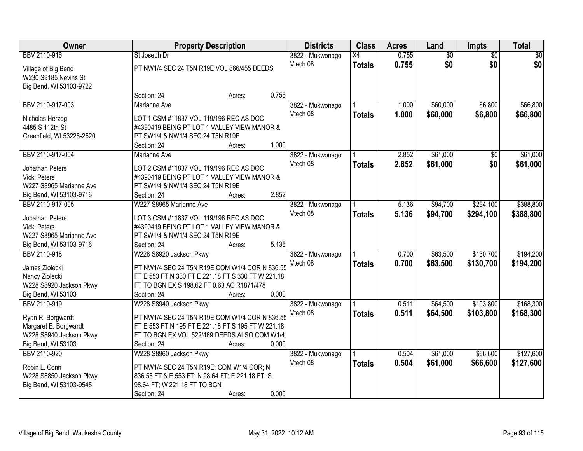| Owner                                  |                                                                                        | <b>Property Description</b> |       | <b>Districts</b>             | <b>Class</b>    | <b>Acres</b>   | Land            | Impts           | <b>Total</b> |
|----------------------------------------|----------------------------------------------------------------------------------------|-----------------------------|-------|------------------------------|-----------------|----------------|-----------------|-----------------|--------------|
| BBV 2110-916                           | St Joseph Dr                                                                           |                             |       | 3822 - Mukwonago             | $\overline{X4}$ | 0.755          | $\overline{60}$ | $\overline{50}$ | \$0          |
| Village of Big Bend                    | PT NW1/4 SEC 24 T5N R19E VOL 866/455 DEEDS                                             |                             |       | Vtech 08                     | <b>Totals</b>   | 0.755          | \$0             | \$0             | \$0          |
| W230 S9185 Nevins St                   |                                                                                        |                             |       |                              |                 |                |                 |                 |              |
| Big Bend, WI 53103-9722                |                                                                                        |                             |       |                              |                 |                |                 |                 |              |
|                                        | Section: 24                                                                            | Acres:                      | 0.755 |                              |                 |                |                 |                 |              |
| BBV 2110-917-003                       | <b>Marianne Ave</b>                                                                    |                             |       | 3822 - Mukwonago             |                 | 1.000          | \$60,000        | \$6,800         | \$66,800     |
| Nicholas Herzog                        | LOT 1 CSM #11837 VOL 119/196 REC AS DOC                                                |                             |       | Vtech 08                     | <b>Totals</b>   | 1.000          | \$60,000        | \$6,800         | \$66,800     |
| 4485 S 112th St                        | #4390419 BEING PT LOT 1 VALLEY VIEW MANOR &                                            |                             |       |                              |                 |                |                 |                 |              |
| Greenfield, WI 53228-2520              | PT SW1/4 & NW1/4 SEC 24 T5N R19E                                                       |                             |       |                              |                 |                |                 |                 |              |
|                                        | Section: 24                                                                            | Acres:                      | 1.000 |                              |                 |                |                 |                 |              |
| BBV 2110-917-004                       | Marianne Ave                                                                           |                             |       | 3822 - Mukwonago             |                 | 2.852          | \$61,000        | \$0             | \$61,000     |
| Jonathan Peters                        | LOT 2 CSM #11837 VOL 119/196 REC AS DOC                                                |                             |       | Vtech 08                     | <b>Totals</b>   | 2.852          | \$61,000        | \$0             | \$61,000     |
| <b>Vicki Peters</b>                    | #4390419 BEING PT LOT 1 VALLEY VIEW MANOR &                                            |                             |       |                              |                 |                |                 |                 |              |
| W227 S8965 Marianne Ave                | PT SW1/4 & NW1/4 SEC 24 T5N R19E                                                       |                             |       |                              |                 |                |                 |                 |              |
| Big Bend, WI 53103-9716                | Section: 24                                                                            | Acres:                      | 2.852 |                              |                 |                |                 |                 |              |
| BBV 2110-917-005                       | W227 S8965 Marianne Ave                                                                |                             |       | 3822 - Mukwonago             |                 | 5.136          | \$94,700        | \$294,100       | \$388,800    |
|                                        |                                                                                        |                             |       | Vtech 08                     | <b>Totals</b>   | 5.136          | \$94,700        | \$294,100       | \$388,800    |
| Jonathan Peters<br><b>Vicki Peters</b> | LOT 3 CSM #11837 VOL 119/196 REC AS DOC<br>#4390419 BEING PT LOT 1 VALLEY VIEW MANOR & |                             |       |                              |                 |                |                 |                 |              |
| W227 S8965 Marianne Ave                | PT SW1/4 & NW1/4 SEC 24 T5N R19E                                                       |                             |       |                              |                 |                |                 |                 |              |
| Big Bend, WI 53103-9716                | Section: 24                                                                            | Acres:                      | 5.136 |                              |                 |                |                 |                 |              |
| BBV 2110-918                           | W228 S8920 Jackson Pkwy                                                                |                             |       | 3822 - Mukwonago             |                 | 0.700          | \$63,500        | \$130,700       | \$194,200    |
|                                        |                                                                                        |                             |       | Vtech 08                     | <b>Totals</b>   | 0.700          | \$63,500        | \$130,700       | \$194,200    |
| James Ziolecki                         | PT NW1/4 SEC 24 T5N R19E COM W1/4 COR N 836.55                                         |                             |       |                              |                 |                |                 |                 |              |
| Nancy Ziolecki                         | FT E 553 FT N 330 FT E 221.18 FT S 330 FT W 221.18                                     |                             |       |                              |                 |                |                 |                 |              |
| W228 S8920 Jackson Pkwy                | FT TO BGN EX S 198.62 FT 0.63 AC R1871/478                                             |                             |       |                              |                 |                |                 |                 |              |
| Big Bend, WI 53103<br>BBV 2110-919     | Section: 24                                                                            | Acres:                      | 0.000 |                              |                 |                |                 |                 | \$168,300    |
|                                        | W228 S8940 Jackson Pkwy                                                                |                             |       | 3822 - Mukwonago<br>Vtech 08 |                 | 0.511<br>0.511 | \$64,500        | \$103,800       |              |
| Ryan R. Borgwardt                      | PT NW1/4 SEC 24 T5N R19E COM W1/4 COR N 836.55                                         |                             |       |                              | <b>Totals</b>   |                | \$64,500        | \$103,800       | \$168,300    |
| Margaret E. Borgwardt                  | FT E 553 FT N 195 FT E 221.18 FT S 195 FT W 221.18                                     |                             |       |                              |                 |                |                 |                 |              |
| W228 S8940 Jackson Pkwy                | FT TO BGN EX VOL 522/469 DEEDS ALSO COM W1/4                                           |                             |       |                              |                 |                |                 |                 |              |
| Big Bend, WI 53103                     | Section: 24                                                                            | Acres:                      | 0.000 |                              |                 |                |                 |                 |              |
| BBV 2110-920                           | W228 S8960 Jackson Pkwy                                                                |                             |       | 3822 - Mukwonago             |                 | 0.504          | \$61,000        | \$66,600        | \$127,600    |
| Robin L. Conn                          | PT NW1/4 SEC 24 T5N R19E; COM W1/4 COR; N                                              |                             |       | Vtech 08                     | <b>Totals</b>   | 0.504          | \$61,000        | \$66,600        | \$127,600    |
| W228 S8850 Jackson Pkwy                | 836.55 FT & E 553 FT; N 98.64 FT; E 221.18 FT; S                                       |                             |       |                              |                 |                |                 |                 |              |
| Big Bend, WI 53103-9545                | 98.64 FT; W 221.18 FT TO BGN                                                           |                             |       |                              |                 |                |                 |                 |              |
|                                        | Section: 24                                                                            | Acres:                      | 0.000 |                              |                 |                |                 |                 |              |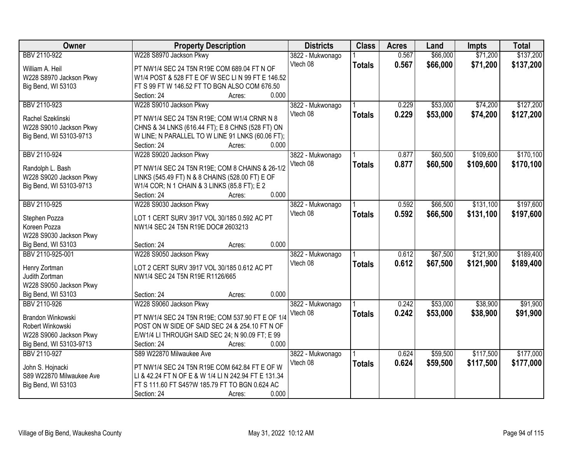| Owner                                        | <b>Property Description</b>                                                        | <b>Districts</b> | <b>Class</b>  | <b>Acres</b> | Land     | <b>Impts</b> | <b>Total</b> |
|----------------------------------------------|------------------------------------------------------------------------------------|------------------|---------------|--------------|----------|--------------|--------------|
| BBV 2110-922                                 | W228 S8970 Jackson Pkwy                                                            | 3822 - Mukwonago |               | 0.567        | \$66,000 | \$71,200     | \$137,200    |
| William A. Heil                              | PT NW1/4 SEC 24 T5N R19E COM 689.04 FT N OF                                        | Vtech 08         | <b>Totals</b> | 0.567        | \$66,000 | \$71,200     | \$137,200    |
| W228 S8970 Jackson Pkwy                      | W1/4 POST & 528 FT E OF W SEC LIN 99 FT E 146.52                                   |                  |               |              |          |              |              |
| Big Bend, WI 53103                           | FT S 99 FT W 146.52 FT TO BGN ALSO COM 676.50                                      |                  |               |              |          |              |              |
|                                              | 0.000<br>Section: 24<br>Acres:                                                     |                  |               |              |          |              |              |
| BBV 2110-923                                 | W228 S9010 Jackson Pkwy                                                            | 3822 - Mukwonago |               | 0.229        | \$53,000 | \$74,200     | \$127,200    |
|                                              |                                                                                    | Vtech 08         | <b>Totals</b> | 0.229        | \$53,000 | \$74,200     | \$127,200    |
| Rachel Szeklinski                            | PT NW1/4 SEC 24 T5N R19E; COM W1/4 CRNR N 8                                        |                  |               |              |          |              |              |
| W228 S9010 Jackson Pkwy                      | CHNS & 34 LNKS (616.44 FT); E 8 CHNS (528 FT) ON                                   |                  |               |              |          |              |              |
| Big Bend, WI 53103-9713                      | W LINE; N PARALLEL TO W LINE 91 LNKS (60.06 FT);<br>0.000<br>Section: 24<br>Acres: |                  |               |              |          |              |              |
| BBV 2110-924                                 | W228 S9020 Jackson Pkwy                                                            | 3822 - Mukwonago |               | 0.877        | \$60,500 | \$109,600    | \$170,100    |
|                                              |                                                                                    | Vtech 08         |               | 0.877        | \$60,500 | \$109,600    | \$170,100    |
| Randolph L. Bash                             | PT NW1/4 SEC 24 T5N R19E; COM 8 CHAINS & 26-1/2                                    |                  | <b>Totals</b> |              |          |              |              |
| W228 S9020 Jackson Pkwy                      | LINKS (545.49 FT) N & 8 CHAINS (528.00 FT) E OF                                    |                  |               |              |          |              |              |
| Big Bend, WI 53103-9713                      | W1/4 COR; N 1 CHAIN & 3 LINKS (85.8 FT); E 2                                       |                  |               |              |          |              |              |
|                                              | 0.000<br>Section: 24<br>Acres:                                                     |                  |               |              |          |              |              |
| BBV 2110-925                                 | W228 S9030 Jackson Pkwy                                                            | 3822 - Mukwonago |               | 0.592        | \$66,500 | \$131,100    | \$197,600    |
| Stephen Pozza                                | LOT 1 CERT SURV 3917 VOL 30/185 0.592 AC PT                                        | Vtech 08         | <b>Totals</b> | 0.592        | \$66,500 | \$131,100    | \$197,600    |
| Koreen Pozza                                 | NW1/4 SEC 24 T5N R19E DOC# 2603213                                                 |                  |               |              |          |              |              |
| W228 S9030 Jackson Pkwy                      |                                                                                    |                  |               |              |          |              |              |
| Big Bend, WI 53103                           | 0.000<br>Section: 24<br>Acres:                                                     |                  |               |              |          |              |              |
| BBV 2110-925-001                             | W228 S9050 Jackson Pkwy                                                            | 3822 - Mukwonago |               | 0.612        | \$67,500 | \$121,900    | \$189,400    |
|                                              |                                                                                    | Vtech 08         | <b>Totals</b> | 0.612        | \$67,500 | \$121,900    | \$189,400    |
| Henry Zortman                                | LOT 2 CERT SURV 3917 VOL 30/185 0.612 AC PT                                        |                  |               |              |          |              |              |
| Judith Zortman                               | NW1/4 SEC 24 T5N R19E R1126/665                                                    |                  |               |              |          |              |              |
| W228 S9050 Jackson Pkwy                      |                                                                                    |                  |               |              |          |              |              |
| Big Bend, WI 53103                           | 0.000<br>Section: 24<br>Acres:                                                     |                  |               |              |          |              |              |
| BBV 2110-926                                 | W228 S9060 Jackson Pkwy                                                            | 3822 - Mukwonago |               | 0.242        | \$53,000 | \$38,900     | \$91,900     |
| Brandon Winkowski                            | PT NW1/4 SEC 24 T5N R19E; COM 537.90 FT E OF 1/4                                   | Vtech 08         | <b>Totals</b> | 0.242        | \$53,000 | \$38,900     | \$91,900     |
| Robert Winkowski                             | POST ON W SIDE OF SAID SEC 24 & 254.10 FT N OF                                     |                  |               |              |          |              |              |
| W228 S9060 Jackson Pkwy                      | E/W1/4 LI THROUGH SAID SEC 24; N 90.09 FT; E 99                                    |                  |               |              |          |              |              |
| Big Bend, WI 53103-9713                      | 0.000<br>Section: 24<br>Acres:                                                     |                  |               |              |          |              |              |
| BBV 2110-927                                 | S89 W22870 Milwaukee Ave                                                           | 3822 - Mukwonago |               | 0.624        | \$59,500 | \$117,500    | \$177,000    |
|                                              | PT NW1/4 SEC 24 T5N R19E COM 642.84 FT E OF W                                      | Vtech 08         | <b>Totals</b> | 0.624        | \$59,500 | \$117,500    | \$177,000    |
| John S. Hojnacki<br>S89 W22870 Milwaukee Ave | LI & 42.24 FT N OF E & W 1/4 LI N 242.94 FT E 131.34                               |                  |               |              |          |              |              |
| Big Bend, WI 53103                           | FT S 111.60 FT S45?W 185.79 FT TO BGN 0.624 AC                                     |                  |               |              |          |              |              |
|                                              | 0.000<br>Section: 24<br>Acres:                                                     |                  |               |              |          |              |              |
|                                              |                                                                                    |                  |               |              |          |              |              |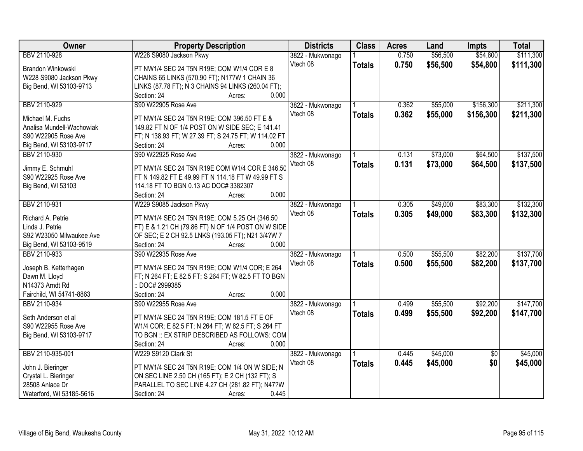| <b>Owner</b>              | <b>Property Description</b>                           | <b>Districts</b> | <b>Class</b>  | <b>Acres</b> | Land     | <b>Impts</b>    | <b>Total</b> |
|---------------------------|-------------------------------------------------------|------------------|---------------|--------------|----------|-----------------|--------------|
| BBV 2110-928              | W228 S9080 Jackson Pkwy                               | 3822 - Mukwonago |               | 0.750        | \$56,500 | \$54,800        | \$111,300    |
| Brandon Winkowski         | PT NW1/4 SEC 24 T5N R19E; COM W1/4 COR E 8            | Vtech 08         | <b>Totals</b> | 0.750        | \$56,500 | \$54,800        | \$111,300    |
| W228 S9080 Jackson Pkwy   | CHAINS 65 LINKS (570.90 FT); N17?W 1 CHAIN 36         |                  |               |              |          |                 |              |
| Big Bend, WI 53103-9713   | LINKS (87.78 FT); N 3 CHAINS 94 LINKS (260.04 FT);    |                  |               |              |          |                 |              |
|                           | Section: 24<br>0.000<br>Acres:                        |                  |               |              |          |                 |              |
| BBV 2110-929              | S90 W22905 Rose Ave                                   | 3822 - Mukwonago |               | 0.362        | \$55,000 | \$156,300       | \$211,300    |
|                           |                                                       | Vtech 08         | <b>Totals</b> | 0.362        | \$55,000 | \$156,300       | \$211,300    |
| Michael M. Fuchs          | PT NW1/4 SEC 24 T5N R19E; COM 396.50 FT E &           |                  |               |              |          |                 |              |
| Analisa Mundell-Wachowiak | 149.82 FT N OF 1/4 POST ON W SIDE SEC; E 141.41       |                  |               |              |          |                 |              |
| S90 W22905 Rose Ave       | FT; N 138.93 FT; W 27.39 FT; S 24.75 FT; W 114.02 FT; |                  |               |              |          |                 |              |
| Big Bend, WI 53103-9717   | 0.000<br>Section: 24<br>Acres:                        |                  |               |              |          |                 |              |
| BBV 2110-930              | S90 W22925 Rose Ave                                   | 3822 - Mukwonago |               | 0.131        | \$73,000 | \$64,500        | \$137,500    |
| Jimmy E. Schmuhl          | PT NW1/4 SEC 24 T5N R19E COM W1/4 COR E 346.50        | Vtech 08         | <b>Totals</b> | 0.131        | \$73,000 | \$64,500        | \$137,500    |
| S90 W22925 Rose Ave       | FT N 149.82 FT E 49.99 FT N 114.18 FT W 49.99 FT S    |                  |               |              |          |                 |              |
| Big Bend, WI 53103        | 114.18 FT TO BGN 0.13 AC DOC# 3382307                 |                  |               |              |          |                 |              |
|                           | 0.000<br>Section: 24<br>Acres:                        |                  |               |              |          |                 |              |
| BBV 2110-931              | W229 S9085 Jackson Pkwy                               | 3822 - Mukwonago |               | 0.305        | \$49,000 | \$83,300        | \$132,300    |
|                           |                                                       | Vtech 08         | <b>Totals</b> | 0.305        | \$49,000 | \$83,300        | \$132,300    |
| Richard A. Petrie         | PT NW1/4 SEC 24 T5N R19E; COM 5.25 CH (346.50         |                  |               |              |          |                 |              |
| Linda J. Petrie           | FT) E & 1.21 CH (79.86 FT) N OF 1/4 POST ON W SIDE    |                  |               |              |          |                 |              |
| S92 W23050 Milwaukee Ave  | OF SEC; E 2 CH 92.5 LNKS (193.05 FT); N21 3/4?W 7     |                  |               |              |          |                 |              |
| Big Bend, WI 53103-9519   | 0.000<br>Section: 24<br>Acres:                        |                  |               |              |          |                 |              |
| BBV 2110-933              | S90 W22935 Rose Ave                                   | 3822 - Mukwonago |               | 0.500        | \$55,500 | \$82,200        | \$137,700    |
| Joseph B. Ketterhagen     | PT NW1/4 SEC 24 T5N R19E; COM W1/4 COR; E 264         | Vtech 08         | <b>Totals</b> | 0.500        | \$55,500 | \$82,200        | \$137,700    |
| Dawn M. Lloyd             | FT; N 264 FT; E 82.5 FT; S 264 FT; W 82.5 FT TO BGN   |                  |               |              |          |                 |              |
| N14373 Arndt Rd           | :: DOC# 2999385                                       |                  |               |              |          |                 |              |
| Fairchild, WI 54741-8863  | 0.000<br>Section: 24<br>Acres:                        |                  |               |              |          |                 |              |
| BBV 2110-934              | S90 W22955 Rose Ave                                   | 3822 - Mukwonago |               | 0.499        | \$55,500 | \$92,200        | \$147,700    |
|                           |                                                       | Vtech 08         |               |              |          |                 |              |
| Seth Anderson et al       | PT NW1/4 SEC 24 T5N R19E; COM 181.5 FT E OF           |                  | <b>Totals</b> | 0.499        | \$55,500 | \$92,200        | \$147,700    |
| S90 W22955 Rose Ave       | W1/4 COR; E 82.5 FT; N 264 FT; W 82.5 FT; S 264 FT    |                  |               |              |          |                 |              |
| Big Bend, WI 53103-9717   | TO BGN :: EX STRIP DESCRIBED AS FOLLOWS: COM          |                  |               |              |          |                 |              |
|                           | Section: 24<br>0.000<br>Acres:                        |                  |               |              |          |                 |              |
| BBV 2110-935-001          | W229 S9120 Clark St                                   | 3822 - Mukwonago |               | 0.445        | \$45,000 | $\overline{50}$ | \$45,000     |
|                           |                                                       | Vtech 08         | <b>Totals</b> | 0.445        | \$45,000 | \$0             | \$45,000     |
| John J. Bieringer         | PT NW1/4 SEC 24 T5N R19E; COM 1/4 ON W SIDE; N        |                  |               |              |          |                 |              |
| Crystal L. Bieringer      | ON SEC LINE 2.50 CH (165 FT); E 2 CH (132 FT); S      |                  |               |              |          |                 |              |
| 28508 Anlace Dr           | PARALLEL TO SEC LINE 4.27 CH (281.82 FT); N47?W       |                  |               |              |          |                 |              |
| Waterford, WI 53185-5616  | 0.445<br>Section: 24<br>Acres:                        |                  |               |              |          |                 |              |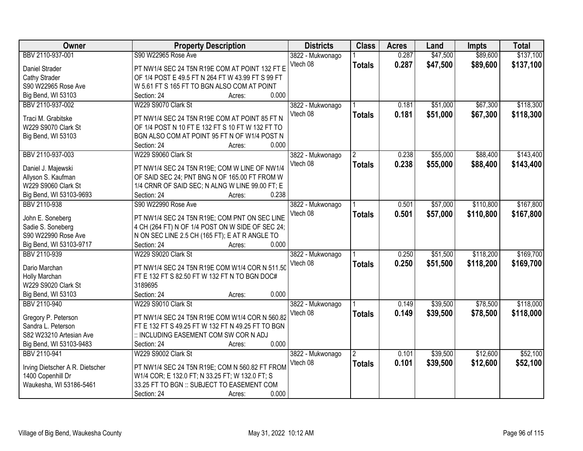| Owner                           | <b>Property Description</b>                       | <b>Districts</b> | <b>Class</b>  | <b>Acres</b> | Land     | <b>Impts</b> | <b>Total</b> |
|---------------------------------|---------------------------------------------------|------------------|---------------|--------------|----------|--------------|--------------|
| BBV 2110-937-001                | S90 W22965 Rose Ave                               | 3822 - Mukwonago |               | 0.287        | \$47,500 | \$89,600     | \$137,100    |
| Daniel Strader                  | PT NW1/4 SEC 24 T5N R19E COM AT POINT 132 FT E    | Vtech 08         | <b>Totals</b> | 0.287        | \$47,500 | \$89,600     | \$137,100    |
| Cathy Strader                   | OF 1/4 POST E 49.5 FT N 264 FT W 43.99 FT S 99 FT |                  |               |              |          |              |              |
| S90 W22965 Rose Ave             | W 5.61 FT S 165 FT TO BGN ALSO COM AT POINT       |                  |               |              |          |              |              |
| Big Bend, WI 53103              | 0.000<br>Section: 24<br>Acres:                    |                  |               |              |          |              |              |
| BBV 2110-937-002                | W229 S9070 Clark St                               | 3822 - Mukwonago |               | 0.181        | \$51,000 | \$67,300     | \$118,300    |
| Traci M. Grabitske              | PT NW1/4 SEC 24 T5N R19E COM AT POINT 85 FT N     | Vtech 08         | <b>Totals</b> | 0.181        | \$51,000 | \$67,300     | \$118,300    |
| W229 S9070 Clark St             | OF 1/4 POST N 10 FT E 132 FT S 10 FT W 132 FT TO  |                  |               |              |          |              |              |
| Big Bend, WI 53103              | BGN ALSO COM AT POINT 95 FT N OF W1/4 POST N      |                  |               |              |          |              |              |
|                                 | 0.000<br>Section: 24<br>Acres:                    |                  |               |              |          |              |              |
| BBV 2110-937-003                | W229 S9060 Clark St                               | 3822 - Mukwonago |               | 0.238        | \$55,000 | \$88,400     | \$143,400    |
| Daniel J. Majewski              | PT NW1/4 SEC 24 T5N R19E; COM W LINE OF NW1/4     | Vtech 08         | <b>Totals</b> | 0.238        | \$55,000 | \$88,400     | \$143,400    |
| Allyson S. Kaufman              | OF SAID SEC 24; PNT BNG N OF 165.00 FT FROM W     |                  |               |              |          |              |              |
| W229 S9060 Clark St             | 1/4 CRNR OF SAID SEC; N ALNG W LINE 99.00 FT; E   |                  |               |              |          |              |              |
| Big Bend, WI 53103-9693         | 0.238<br>Section: 24<br>Acres:                    |                  |               |              |          |              |              |
| BBV 2110-938                    | S90 W22990 Rose Ave                               | 3822 - Mukwonago |               | 0.501        | \$57,000 | \$110,800    | \$167,800    |
|                                 |                                                   | Vtech 08         | <b>Totals</b> | 0.501        | \$57,000 | \$110,800    | \$167,800    |
| John E. Soneberg                | PT NW1/4 SEC 24 T5N R19E; COM PNT ON SEC LINE     |                  |               |              |          |              |              |
| Sadie S. Soneberg               | 4 CH (264 FT) N OF 1/4 POST ON W SIDE OF SEC 24;  |                  |               |              |          |              |              |
| S90 W22990 Rose Ave             | N ON SEC LINE 2.5 CH (165 FT); E AT R ANGLE TO    |                  |               |              |          |              |              |
| Big Bend, WI 53103-9717         | Section: 24<br>0.000<br>Acres:                    |                  |               |              |          |              |              |
| BBV 2110-939                    | W229 S9020 Clark St                               | 3822 - Mukwonago |               | 0.250        | \$51,500 | \$118,200    | \$169,700    |
| Dario Marchan                   | PT NW1/4 SEC 24 T5N R19E COM W1/4 COR N 511.50    | Vtech 08         | <b>Totals</b> | 0.250        | \$51,500 | \$118,200    | \$169,700    |
| Holly Marchan                   | FT E 132 FT S 82.50 FT W 132 FT N TO BGN DOC#     |                  |               |              |          |              |              |
| W229 S9020 Clark St             | 3189695                                           |                  |               |              |          |              |              |
| Big Bend, WI 53103              | 0.000<br>Section: 24<br>Acres:                    |                  |               |              |          |              |              |
| BBV 2110-940                    | W229 S9010 Clark St                               | 3822 - Mukwonago |               | 0.149        | \$39,500 | \$78,500     | \$118,000    |
|                                 |                                                   | Vtech 08         | <b>Totals</b> | 0.149        | \$39,500 | \$78,500     | \$118,000    |
| Gregory P. Peterson             | PT NW1/4 SEC 24 T5N R19E COM W1/4 COR N 560.82    |                  |               |              |          |              |              |
| Sandra L. Peterson              | FT E 132 FT S 49.25 FT W 132 FT N 49.25 FT TO BGN |                  |               |              |          |              |              |
| S82 W23210 Artesian Ave         | :: INCLUDING EASEMENT COM SW COR N ADJ            |                  |               |              |          |              |              |
| Big Bend, WI 53103-9483         | 0.000<br>Section: 24<br>Acres:                    |                  |               |              |          |              |              |
| BBV 2110-941                    | W229 S9002 Clark St                               | 3822 - Mukwonago | 2             | 0.101        | \$39,500 | \$12,600     | \$52,100     |
| Irving Dietscher A R. Dietscher | PT NW1/4 SEC 24 T5N R19E; COM N 560.82 FT FROM    | Vtech 08         | <b>Totals</b> | 0.101        | \$39,500 | \$12,600     | \$52,100     |
| 1400 Copenhill Dr               | W1/4 COR; E 132.0 FT; N 33.25 FT; W 132.0 FT; S   |                  |               |              |          |              |              |
| Waukesha, WI 53186-5461         | 33.25 FT TO BGN :: SUBJECT TO EASEMENT COM        |                  |               |              |          |              |              |
|                                 | 0.000<br>Section: 24<br>Acres:                    |                  |               |              |          |              |              |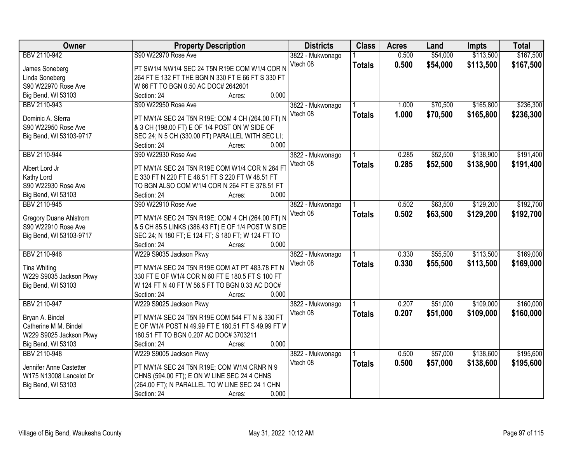| Owner                         | <b>Property Description</b>                        | <b>Districts</b> | <b>Class</b>  | <b>Acres</b> | Land     | <b>Impts</b> | <b>Total</b> |
|-------------------------------|----------------------------------------------------|------------------|---------------|--------------|----------|--------------|--------------|
| BBV 2110-942                  | S90 W22970 Rose Ave                                | 3822 - Mukwonago |               | 0.500        | \$54,000 | \$113,500    | \$167,500    |
| James Soneberg                | PT SW1/4 NW1/4 SEC 24 T5N R19E COM W1/4 COR N      | Vtech 08         | <b>Totals</b> | 0.500        | \$54,000 | \$113,500    | \$167,500    |
| Linda Soneberg                | 264 FT E 132 FT THE BGN N 330 FT E 66 FT S 330 FT  |                  |               |              |          |              |              |
| S90 W22970 Rose Ave           | W 66 FT TO BGN 0.50 AC DOC# 2642601                |                  |               |              |          |              |              |
| Big Bend, WI 53103            | 0.000<br>Section: 24<br>Acres:                     |                  |               |              |          |              |              |
| BBV 2110-943                  | S90 W22950 Rose Ave                                | 3822 - Mukwonago |               | 1.000        | \$70,500 | \$165,800    | \$236,300    |
|                               |                                                    | Vtech 08         | <b>Totals</b> | 1.000        | \$70,500 | \$165,800    | \$236,300    |
| Dominic A. Sferra             | PT NW1/4 SEC 24 T5N R19E; COM 4 CH (264.00 FT) N   |                  |               |              |          |              |              |
| S90 W22950 Rose Ave           | & 3 CH (198.00 FT) E OF 1/4 POST ON W SIDE OF      |                  |               |              |          |              |              |
| Big Bend, WI 53103-9717       | SEC 24; N 5 CH (330.00 FT) PARALLEL WITH SEC LI;   |                  |               |              |          |              |              |
|                               | 0.000<br>Section: 24<br>Acres:                     |                  |               |              |          |              |              |
| BBV 2110-944                  | S90 W22930 Rose Ave                                | 3822 - Mukwonago |               | 0.285        | \$52,500 | \$138,900    | \$191,400    |
| Albert Lord Jr                | PT NW1/4 SEC 24 T5N R19E COM W1/4 COR N 264 F      | Vtech 08         | <b>Totals</b> | 0.285        | \$52,500 | \$138,900    | \$191,400    |
| Kathy Lord                    | E 330 FT N 220 FT E 48.51 FT S 220 FT W 48.51 FT   |                  |               |              |          |              |              |
| S90 W22930 Rose Ave           | TO BGN ALSO COM W1/4 COR N 264 FT E 378.51 FT      |                  |               |              |          |              |              |
| Big Bend, WI 53103            | Section: 24<br>0.000<br>Acres:                     |                  |               |              |          |              |              |
| BBV 2110-945                  | S90 W22910 Rose Ave                                | 3822 - Mukwonago |               | 0.502        | \$63,500 | \$129,200    | \$192,700    |
|                               |                                                    | Vtech 08         | <b>Totals</b> | 0.502        | \$63,500 | \$129,200    | \$192,700    |
| <b>Gregory Duane Ahlstrom</b> | PT NW1/4 SEC 24 T5N R19E; COM 4 CH (264.00 FT) N   |                  |               |              |          |              |              |
| S90 W22910 Rose Ave           | & 5 CH 85.5 LINKS (386.43 FT) E OF 1/4 POST W SIDE |                  |               |              |          |              |              |
| Big Bend, WI 53103-9717       | SEC 24; N 180 FT; E 124 FT; S 180 FT; W 124 FT TO  |                  |               |              |          |              |              |
|                               | 0.000<br>Section: 24<br>Acres:                     |                  |               |              |          |              |              |
| BBV 2110-946                  | W229 S9035 Jackson Pkwy                            | 3822 - Mukwonago |               | 0.330        | \$55,500 | \$113,500    | \$169,000    |
| <b>Tina Whiting</b>           | PT NW1/4 SEC 24 T5N R19E COM AT PT 483.78 FT N     | Vtech 08         | <b>Totals</b> | 0.330        | \$55,500 | \$113,500    | \$169,000    |
| W229 S9035 Jackson Pkwy       | 330 FT E OF W1/4 COR N 60 FT E 180.5 FT S 100 FT   |                  |               |              |          |              |              |
| Big Bend, WI 53103            | W 124 FT N 40 FT W 56.5 FT TO BGN 0.33 AC DOC#     |                  |               |              |          |              |              |
|                               | 0.000<br>Section: 24<br>Acres:                     |                  |               |              |          |              |              |
| BBV 2110-947                  | W229 S9025 Jackson Pkwy                            | 3822 - Mukwonago |               | 0.207        | \$51,000 | \$109,000    | \$160,000    |
|                               |                                                    | Vtech 08         | <b>Totals</b> | 0.207        | \$51,000 | \$109,000    | \$160,000    |
| Bryan A. Bindel               | PT NW1/4 SEC 24 T5N R19E COM 544 FT N & 330 FT     |                  |               |              |          |              |              |
| Catherine M M. Bindel         | E OF W1/4 POST N 49.99 FT E 180.51 FT S 49.99 FT W |                  |               |              |          |              |              |
| W229 S9025 Jackson Pkwy       | 180.51 FT TO BGN 0.207 AC DOC# 3703211             |                  |               |              |          |              |              |
| Big Bend, WI 53103            | 0.000<br>Section: 24<br>Acres:                     |                  |               |              |          |              |              |
| BBV 2110-948                  | W229 S9005 Jackson Pkwy                            | 3822 - Mukwonago |               | 0.500        | \$57,000 | \$138,600    | \$195,600    |
| Jennifer Anne Castetter       | PT NW1/4 SEC 24 T5N R19E; COM W1/4 CRNR N 9        | Vtech 08         | <b>Totals</b> | 0.500        | \$57,000 | \$138,600    | \$195,600    |
| W175 N13008 Lancelot Dr       | CHNS (594.00 FT); E ON W LINE SEC 24 4 CHNS        |                  |               |              |          |              |              |
| Big Bend, WI 53103            | (264.00 FT); N PARALLEL TO W LINE SEC 24 1 CHN     |                  |               |              |          |              |              |
|                               | Section: 24<br>0.000<br>Acres:                     |                  |               |              |          |              |              |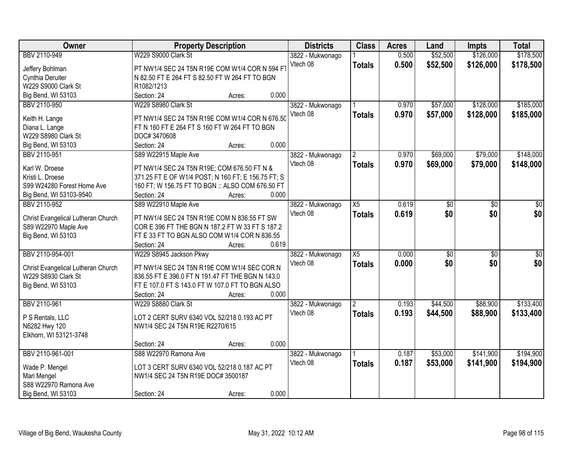| Owner                              | <b>Property Description</b>                        |                 | <b>Districts</b>             | <b>Class</b>    | <b>Acres</b> | Land            | <b>Impts</b>    | <b>Total</b>    |
|------------------------------------|----------------------------------------------------|-----------------|------------------------------|-----------------|--------------|-----------------|-----------------|-----------------|
| BBV 2110-949                       | W229 S9000 Clark St                                |                 | 3822 - Mukwonago             |                 | 0.500        | \$52,500        | \$126,000       | \$178,500       |
| Jeffery Bohlman                    | PT NW1/4 SEC 24 T5N R19E COM W1/4 COR N 594 F1     |                 | Vtech 08                     | <b>Totals</b>   | 0.500        | \$52,500        | \$126,000       | \$178,500       |
| Cynthia Deruiter                   | N 82.50 FT E 264 FT S 82.50 FT W 264 FT TO BGN     |                 |                              |                 |              |                 |                 |                 |
| W229 S9000 Clark St                | R1082/1213                                         |                 |                              |                 |              |                 |                 |                 |
| Big Bend, WI 53103                 | Section: 24                                        | 0.000<br>Acres: |                              |                 |              |                 |                 |                 |
| BBV 2110-950                       | W229 S8980 Clark St                                |                 | 3822 - Mukwonago             |                 | 0.970        | \$57,000        | \$128,000       | \$185,000       |
|                                    |                                                    |                 | Vtech 08                     | <b>Totals</b>   | 0.970        | \$57,000        | \$128,000       | \$185,000       |
| Keith H. Lange                     | PT NW1/4 SEC 24 T5N R19E COM W1/4 COR N 676.50     |                 |                              |                 |              |                 |                 |                 |
| Diana L. Lange                     | FT N 160 FT E 264 FT S 160 FT W 264 FT TO BGN      |                 |                              |                 |              |                 |                 |                 |
| W229 S8980 Clark St                | DOC#3470608                                        |                 |                              |                 |              |                 |                 |                 |
| Big Bend, WI 53103                 | Section: 24                                        | 0.000<br>Acres: |                              |                 |              |                 |                 |                 |
| BBV 2110-951                       | S89 W22915 Maple Ave                               |                 | 3822 - Mukwonago             |                 | 0.970        | \$69,000        | \$79,000        | \$148,000       |
| Karl W. Droese                     | PT NW1/4 SEC 24 T5N R19E; COM 676.50 FT N &        |                 | Vtech 08                     | <b>Totals</b>   | 0.970        | \$69,000        | \$79,000        | \$148,000       |
| Kristi L. Droese                   | 371.25 FT E OF W1/4 POST; N 160 FT; E 156.75 FT; S |                 |                              |                 |              |                 |                 |                 |
| S99 W24280 Forest Home Ave         | 160 FT; W 156.75 FT TO BGN :: ALSO COM 676.50 FT   |                 |                              |                 |              |                 |                 |                 |
| Big Bend, WI 53103-9540            | Section: 24                                        | Acres:          | 0.000                        |                 |              |                 |                 |                 |
| BBV 2110-952                       | S89 W22910 Maple Ave                               |                 | 3822 - Mukwonago             | $\overline{X5}$ | 0.619        | \$0             | \$0             | \$0             |
|                                    |                                                    |                 | Vtech 08                     | <b>Totals</b>   | 0.619        | \$0             | \$0             | \$0             |
| Christ Evangelical Lutheran Church | PT NW1/4 SEC 24 T5N R19E COM N 836.55 FT SW        |                 |                              |                 |              |                 |                 |                 |
| S89 W22970 Maple Ave               | COR E 396 FT THE BGN N 187.2 FT W 33 FT S 187.2    |                 |                              |                 |              |                 |                 |                 |
| Big Bend, WI 53103                 | FT E 33 FT TO BGN ALSO COM W1/4 COR N 836.55       |                 |                              |                 |              |                 |                 |                 |
|                                    | Section: 24                                        | 0.619<br>Acres: |                              |                 |              |                 |                 |                 |
| BBV 2110-954-001                   | W229 S8945 Jackson Pkwy                            |                 | 3822 - Mukwonago             | $\overline{X5}$ | 0.000        | $\overline{50}$ | $\overline{30}$ | $\overline{50}$ |
| Christ Evangelical Lutheran Church | PT NW1/4 SEC 24 T5N R19E COM W1/4 SEC COR N        |                 | Vtech 08                     | <b>Totals</b>   | 0.000        | \$0             | \$0             | \$0             |
| W229 S8930 Clark St                | 836.55 FT E 396.0 FT N 191.47 FT THE BGN N 143.0   |                 |                              |                 |              |                 |                 |                 |
| Big Bend, WI 53103                 | FT E 107.0 FT S 143.0 FT W 107.0 FT TO BGN ALSO    |                 |                              |                 |              |                 |                 |                 |
|                                    | Section: 24                                        | 0.000<br>Acres: |                              |                 |              |                 |                 |                 |
| BBV 2110-961                       | W229 S8880 Clark St                                |                 |                              | $\mathfrak{p}$  | 0.193        | \$44,500        | \$88,900        | \$133,400       |
|                                    |                                                    |                 | 3822 - Mukwonago<br>Vtech 08 |                 |              |                 |                 |                 |
| P S Rentals, LLC                   | LOT 2 CERT SURV 6340 VOL 52/218 0.193 AC PT        |                 |                              | <b>Totals</b>   | 0.193        | \$44,500        | \$88,900        | \$133,400       |
| N6282 Hwy 120                      | NW1/4 SEC 24 T5N R19E R2270/615                    |                 |                              |                 |              |                 |                 |                 |
| Elkhorn, WI 53121-3748             |                                                    |                 |                              |                 |              |                 |                 |                 |
|                                    | Section: 24                                        | 0.000<br>Acres: |                              |                 |              |                 |                 |                 |
| BBV 2110-961-001                   | S88 W22970 Ramona Ave                              |                 | 3822 - Mukwonago             |                 | 0.187        | \$53,000        | \$141,900       | \$194,900       |
|                                    |                                                    |                 | Vtech 08                     | <b>Totals</b>   | 0.187        | \$53,000        | \$141,900       | \$194,900       |
| Wade P. Mengel                     | LOT 3 CERT SURV 6340 VOL 52/218 0.187 AC PT        |                 |                              |                 |              |                 |                 |                 |
| Mari Mengel                        | NW1/4 SEC 24 T5N R19E DOC# 3500187                 |                 |                              |                 |              |                 |                 |                 |
| S88 W22970 Ramona Ave              |                                                    |                 |                              |                 |              |                 |                 |                 |
| Big Bend, WI 53103                 | Section: 24                                        | Acres:          | 0.000                        |                 |              |                 |                 |                 |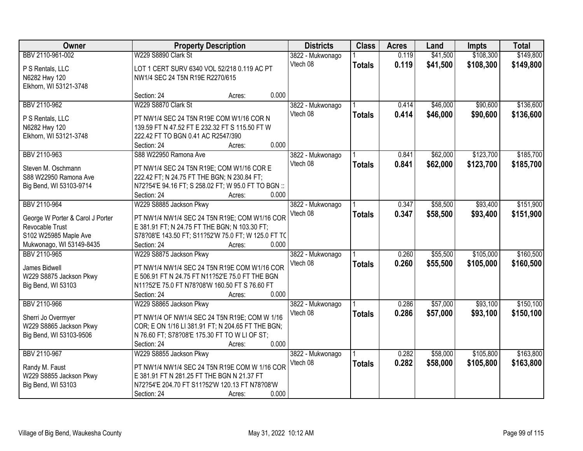| Owner                                              |                                                                                                    | <b>Districts</b><br><b>Property Description</b> |                  | <b>Class</b>  | <b>Acres</b> | Land     | <b>Impts</b> | <b>Total</b> |
|----------------------------------------------------|----------------------------------------------------------------------------------------------------|-------------------------------------------------|------------------|---------------|--------------|----------|--------------|--------------|
| BBV 2110-961-002                                   | W229 S8890 Clark St                                                                                |                                                 | 3822 - Mukwonago |               | 0.119        | \$41,500 | \$108,300    | \$149,800    |
| P S Rentals, LLC                                   | LOT 1 CERT SURV 6340 VOL 52/218 0.119 AC PT                                                        |                                                 | Vtech 08         | <b>Totals</b> | 0.119        | \$41,500 | \$108,300    | \$149,800    |
| N6282 Hwy 120                                      | NW1/4 SEC 24 T5N R19E R2270/615                                                                    |                                                 |                  |               |              |          |              |              |
| Elkhorn, WI 53121-3748                             |                                                                                                    |                                                 |                  |               |              |          |              |              |
|                                                    | Section: 24                                                                                        | Acres:                                          | 0.000            |               |              |          |              |              |
| BBV 2110-962                                       | W229 S8870 Clark St                                                                                |                                                 | 3822 - Mukwonago |               | 0.414        | \$46,000 | \$90,600     | \$136,600    |
| P S Rentals, LLC                                   | PT NW1/4 SEC 24 T5N R19E COM W1/16 COR N                                                           |                                                 | Vtech 08         | <b>Totals</b> | 0.414        | \$46,000 | \$90,600     | \$136,600    |
| N6282 Hwy 120                                      | 139.59 FT N 47.52 FT E 232.32 FT S 115.50 FT W                                                     |                                                 |                  |               |              |          |              |              |
| Elkhorn, WI 53121-3748                             | 222.42 FT TO BGN 0.41 AC R2547/390                                                                 |                                                 |                  |               |              |          |              |              |
|                                                    | Section: 24                                                                                        | Acres:                                          | 0.000            |               |              |          |              |              |
| BBV 2110-963                                       | S88 W22950 Ramona Ave                                                                              |                                                 | 3822 - Mukwonago |               | 0.841        | \$62,000 | \$123,700    | \$185,700    |
|                                                    |                                                                                                    |                                                 | Vtech 08         | <b>Totals</b> | 0.841        | \$62,000 | \$123,700    | \$185,700    |
| Steven M. Oschmann                                 | PT NW1/4 SEC 24 T5N R19E; COM W1/16 COR E                                                          |                                                 |                  |               |              |          |              |              |
| S88 W22950 Ramona Ave                              | 222.42 FT; N 24.75 FT THE BGN; N 230.84 FT;                                                        |                                                 |                  |               |              |          |              |              |
| Big Bend, WI 53103-9714                            | N72?54'E 94.16 FT; S 258.02 FT; W 95.0 FT TO BGN ::                                                |                                                 |                  |               |              |          |              |              |
|                                                    | Section: 24                                                                                        | Acres:                                          | 0.000            |               |              |          |              |              |
| BBV 2110-964                                       | W229 S8885 Jackson Pkwy                                                                            |                                                 | 3822 - Mukwonago |               | 0.347        | \$58,500 | \$93,400     | \$151,900    |
| George W Porter & Carol J Porter                   | PT NW1/4 NW1/4 SEC 24 T5N R19E; COM W1/16 COR                                                      |                                                 | Vtech 08         | <b>Totals</b> | 0.347        | \$58,500 | \$93,400     | \$151,900    |
| Revocable Trust                                    | E 381.91 FT; N 24.75 FT THE BGN; N 103.30 FT;                                                      |                                                 |                  |               |              |          |              |              |
| S102 W25985 Maple Ave                              | S78?08'E 143.50 FT; S11?52'W 75.0 FT; W 125.0 FT TC                                                |                                                 |                  |               |              |          |              |              |
| Mukwonago, WI 53149-8435                           | Section: 24                                                                                        | Acres:                                          | 0.000            |               |              |          |              |              |
| BBV 2110-965                                       | W229 S8875 Jackson Pkwy                                                                            |                                                 | 3822 - Mukwonago |               | 0.260        | \$55,500 | \$105,000    | \$160,500    |
| James Bidwell                                      | PT NW1/4 NW1/4 SEC 24 T5N R19E COM W1/16 COR                                                       |                                                 | Vtech 08         | <b>Totals</b> | 0.260        | \$55,500 | \$105,000    | \$160,500    |
| W229 S8875 Jackson Pkwy                            | E 506.91 FT N 24.75 FT N11?52'E 75.0 FT THE BGN                                                    |                                                 |                  |               |              |          |              |              |
| Big Bend, WI 53103                                 | N11?52'E 75.0 FT N78?08'W 160.50 FT S 76.60 FT                                                     |                                                 |                  |               |              |          |              |              |
|                                                    | Section: 24                                                                                        | Acres:                                          | 0.000            |               |              |          |              |              |
| BBV 2110-966                                       | W229 S8865 Jackson Pkwy                                                                            |                                                 | 3822 - Mukwonago |               | 0.286        | \$57,000 | \$93,100     | \$150,100    |
|                                                    |                                                                                                    |                                                 | Vtech 08         | <b>Totals</b> | 0.286        | \$57,000 | \$93,100     | \$150,100    |
| Sherri Jo Overmyer                                 | PT NW1/4 OF NW1/4 SEC 24 T5N R19E; COM W 1/16                                                      |                                                 |                  |               |              |          |              |              |
| W229 S8865 Jackson Pkwy<br>Big Bend, WI 53103-9506 | COR; E ON 1/16 LI 381.91 FT; N 204.65 FT THE BGN;<br>N 76.60 FT; S78?08'E 175.30 FT TO W LI OF ST; |                                                 |                  |               |              |          |              |              |
|                                                    | Section: 24                                                                                        | Acres:                                          | 0.000            |               |              |          |              |              |
| BBV 2110-967                                       | W229 S8855 Jackson Pkwy                                                                            |                                                 | 3822 - Mukwonago |               | 0.282        | \$58,000 | \$105,800    | \$163,800    |
|                                                    |                                                                                                    |                                                 | Vtech 08         |               | 0.282        | \$58,000 | \$105,800    | \$163,800    |
| Randy M. Faust                                     | PT NW1/4 NW1/4 SEC 24 T5N R19E COM W 1/16 COR                                                      |                                                 |                  | <b>Totals</b> |              |          |              |              |
| W229 S8855 Jackson Pkwy                            | E 381.91 FT N 281.25 FT THE BGN N 21.37 FT                                                         |                                                 |                  |               |              |          |              |              |
| Big Bend, WI 53103                                 | N72?54'E 204.70 FT S11?52'W 120.13 FT N78?08'W                                                     |                                                 |                  |               |              |          |              |              |
|                                                    | Section: 24                                                                                        | Acres:                                          | 0.000            |               |              |          |              |              |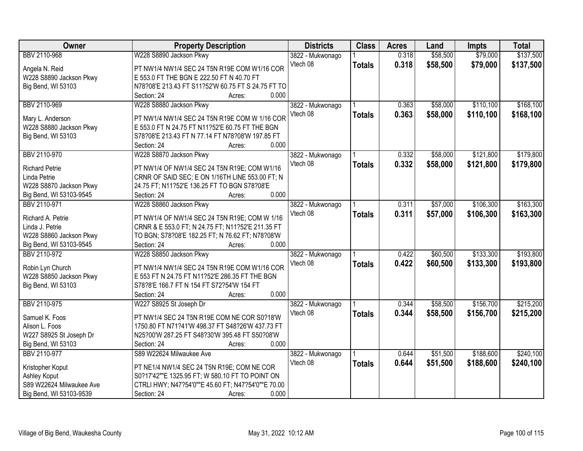| BBV 2110-968<br>W228 S8890 Jackson Pkwy<br>0.318<br>\$58,500<br>3822 - Mukwonago<br>Vtech 08<br>0.318<br>\$58,500<br>\$79,000<br><b>Totals</b><br>PT NW1/4 NW1/4 SEC 24 T5N R19E COM W1/16 COR<br>Angela N. Reid<br>W228 S8890 Jackson Pkwy<br>E 553.0 FT THE BGN E 222.50 FT N 40.70 FT<br>N78?08'E 213.43 FT S11?52'W 60.75 FT S 24.75 FT TO<br>Big Bend, WI 53103<br>0.000<br>Section: 24<br>Acres:<br>\$110,100<br>BBV 2110-969<br>W228 S8880 Jackson Pkwy<br>\$58,000<br>\$168,100<br>3822 - Mukwonago<br>0.363<br>0.363<br>Vtech 08<br>\$58,000<br>\$110,100<br>\$168,100<br><b>Totals</b><br>Mary L. Anderson<br>PT NW1/4 NW1/4 SEC 24 T5N R19E COM W 1/16 COR<br>W228 S8880 Jackson Pkwy<br>E 553.0 FT N 24.75 FT N11?52'E 60.75 FT THE BGN | Owner              | <b>Property Description</b>                      | <b>Districts</b> | <b>Class</b> | <b>Acres</b> | Land | <b>Impts</b> | <b>Total</b> |
|-----------------------------------------------------------------------------------------------------------------------------------------------------------------------------------------------------------------------------------------------------------------------------------------------------------------------------------------------------------------------------------------------------------------------------------------------------------------------------------------------------------------------------------------------------------------------------------------------------------------------------------------------------------------------------------------------------------------------------------------------------|--------------------|--------------------------------------------------|------------------|--------------|--------------|------|--------------|--------------|
|                                                                                                                                                                                                                                                                                                                                                                                                                                                                                                                                                                                                                                                                                                                                                     |                    |                                                  |                  |              |              |      | \$79,000     | \$137,500    |
|                                                                                                                                                                                                                                                                                                                                                                                                                                                                                                                                                                                                                                                                                                                                                     |                    |                                                  |                  |              |              |      |              | \$137,500    |
|                                                                                                                                                                                                                                                                                                                                                                                                                                                                                                                                                                                                                                                                                                                                                     |                    |                                                  |                  |              |              |      |              |              |
|                                                                                                                                                                                                                                                                                                                                                                                                                                                                                                                                                                                                                                                                                                                                                     |                    |                                                  |                  |              |              |      |              |              |
|                                                                                                                                                                                                                                                                                                                                                                                                                                                                                                                                                                                                                                                                                                                                                     |                    |                                                  |                  |              |              |      |              |              |
|                                                                                                                                                                                                                                                                                                                                                                                                                                                                                                                                                                                                                                                                                                                                                     |                    |                                                  |                  |              |              |      |              |              |
|                                                                                                                                                                                                                                                                                                                                                                                                                                                                                                                                                                                                                                                                                                                                                     |                    |                                                  |                  |              |              |      |              |              |
|                                                                                                                                                                                                                                                                                                                                                                                                                                                                                                                                                                                                                                                                                                                                                     |                    |                                                  |                  |              |              |      |              |              |
|                                                                                                                                                                                                                                                                                                                                                                                                                                                                                                                                                                                                                                                                                                                                                     |                    |                                                  |                  |              |              |      |              |              |
|                                                                                                                                                                                                                                                                                                                                                                                                                                                                                                                                                                                                                                                                                                                                                     | Big Bend, WI 53103 | S78?08'E 213.43 FT N 77.14 FT N78?08'W 197.85 FT |                  |              |              |      |              |              |
| 0.000<br>Section: 24<br>Acres:                                                                                                                                                                                                                                                                                                                                                                                                                                                                                                                                                                                                                                                                                                                      |                    |                                                  |                  |              |              |      |              |              |
| W228 S8870 Jackson Pkwy<br>\$58,000<br>\$121,800<br>BBV 2110-970<br>3822 - Mukwonago<br>0.332                                                                                                                                                                                                                                                                                                                                                                                                                                                                                                                                                                                                                                                       |                    |                                                  |                  |              |              |      |              | \$179,800    |
| 0.332<br>Vtech 08<br>\$58,000<br>\$121,800<br><b>Totals</b><br><b>Richard Petrie</b><br>PT NW1/4 OF NW1/4 SEC 24 T5N R19E; COM W1/16                                                                                                                                                                                                                                                                                                                                                                                                                                                                                                                                                                                                                |                    |                                                  |                  |              |              |      |              | \$179,800    |
| CRNR OF SAID SEC; E ON 1/16TH LINE 553.00 FT; N<br>Linda Petrie                                                                                                                                                                                                                                                                                                                                                                                                                                                                                                                                                                                                                                                                                     |                    |                                                  |                  |              |              |      |              |              |
| W228 S8870 Jackson Pkwy<br>24.75 FT; N11?52'E 136.25 FT TO BGN S78?08'E                                                                                                                                                                                                                                                                                                                                                                                                                                                                                                                                                                                                                                                                             |                    |                                                  |                  |              |              |      |              |              |
| 0.000<br>Big Bend, WI 53103-9545<br>Section: 24<br>Acres:                                                                                                                                                                                                                                                                                                                                                                                                                                                                                                                                                                                                                                                                                           |                    |                                                  |                  |              |              |      |              |              |
| \$106,300<br>BBV 2110-971<br>W228 S8860 Jackson Pkwy<br>0.311<br>\$57,000<br>3822 - Mukwonago                                                                                                                                                                                                                                                                                                                                                                                                                                                                                                                                                                                                                                                       |                    |                                                  |                  |              |              |      |              | \$163,300    |
| Vtech 08<br>0.311<br>\$57,000<br>\$106,300<br><b>Totals</b>                                                                                                                                                                                                                                                                                                                                                                                                                                                                                                                                                                                                                                                                                         |                    |                                                  |                  |              |              |      |              | \$163,300    |
| PT NW1/4 OF NW1/4 SEC 24 T5N R19E; COM W 1/16<br>Richard A. Petrie                                                                                                                                                                                                                                                                                                                                                                                                                                                                                                                                                                                                                                                                                  |                    |                                                  |                  |              |              |      |              |              |
| Linda J. Petrie<br>CRNR & E 553.0 FT; N 24.75 FT; N11?52'E 211.35 FT                                                                                                                                                                                                                                                                                                                                                                                                                                                                                                                                                                                                                                                                                |                    |                                                  |                  |              |              |      |              |              |
| W228 S8860 Jackson Pkwy<br>TO BGN; S78?08'E 182.25 FT; N 76.62 FT; N78?08'W                                                                                                                                                                                                                                                                                                                                                                                                                                                                                                                                                                                                                                                                         |                    |                                                  |                  |              |              |      |              |              |
| 0.000<br>Big Bend, WI 53103-9545<br>Section: 24<br>Acres:                                                                                                                                                                                                                                                                                                                                                                                                                                                                                                                                                                                                                                                                                           |                    |                                                  |                  |              |              |      |              |              |
| \$60,500<br>\$133,300<br>BBV 2110-972<br>W228 S8850 Jackson Pkwy<br>0.422<br>3822 - Mukwonago                                                                                                                                                                                                                                                                                                                                                                                                                                                                                                                                                                                                                                                       |                    |                                                  |                  |              |              |      |              | \$193,800    |
| 0.422<br>\$60,500<br>\$133,300<br>Vtech 08<br><b>Totals</b><br>Robin Lyn Church<br>PT NW1/4 NW1/4 SEC 24 T5N R19E COM W1/16 COR                                                                                                                                                                                                                                                                                                                                                                                                                                                                                                                                                                                                                     |                    |                                                  |                  |              |              |      |              | \$193,800    |
| W228 S8850 Jackson Pkwy<br>E 553 FT N 24.75 FT N11?52'E 286.35 FT THE BGN                                                                                                                                                                                                                                                                                                                                                                                                                                                                                                                                                                                                                                                                           |                    |                                                  |                  |              |              |      |              |              |
| Big Bend, WI 53103<br>S78?8'E 166.7 FT N 154 FT S72?54'W 154 FT                                                                                                                                                                                                                                                                                                                                                                                                                                                                                                                                                                                                                                                                                     |                    |                                                  |                  |              |              |      |              |              |
| 0.000<br>Section: 24<br>Acres:                                                                                                                                                                                                                                                                                                                                                                                                                                                                                                                                                                                                                                                                                                                      |                    |                                                  |                  |              |              |      |              |              |
| \$156,700<br>BBV 2110-975<br>W227 S8925 St Joseph Dr<br>0.344<br>\$58,500<br>3822 - Mukwonago                                                                                                                                                                                                                                                                                                                                                                                                                                                                                                                                                                                                                                                       |                    |                                                  |                  |              |              |      |              | \$215,200    |
| Vtech 08<br>0.344<br>\$58,500<br>\$156,700<br><b>Totals</b>                                                                                                                                                                                                                                                                                                                                                                                                                                                                                                                                                                                                                                                                                         |                    |                                                  |                  |              |              |      |              | \$215,200    |
| Samuel K. Foos<br>PT NW1/4 SEC 24 T5N R19E COM NE COR S0?18'W                                                                                                                                                                                                                                                                                                                                                                                                                                                                                                                                                                                                                                                                                       |                    |                                                  |                  |              |              |      |              |              |
| Alison L. Foos<br>1750.80 FT N71?41'W 498.37 FT S48?26'W 437.73 FT                                                                                                                                                                                                                                                                                                                                                                                                                                                                                                                                                                                                                                                                                  |                    |                                                  |                  |              |              |      |              |              |
| W227 S8925 St Joseph Dr<br>N25?00'W 287.25 FT S48?30'W 395.48 FT S50?08'W                                                                                                                                                                                                                                                                                                                                                                                                                                                                                                                                                                                                                                                                           |                    |                                                  |                  |              |              |      |              |              |
| Big Bend, WI 53103<br>Section: 24<br>0.000<br>Acres:                                                                                                                                                                                                                                                                                                                                                                                                                                                                                                                                                                                                                                                                                                |                    |                                                  |                  |              |              |      |              |              |
| BBV 2110-977<br>S89 W22624 Milwaukee Ave<br>\$51,500<br>\$188,600<br>3822 - Mukwonago<br>0.644                                                                                                                                                                                                                                                                                                                                                                                                                                                                                                                                                                                                                                                      |                    |                                                  |                  |              |              |      |              | \$240,100    |
| Vtech 08<br>0.644<br>\$51,500<br>\$188,600<br><b>Totals</b><br>PT NE1/4 NW1/4 SEC 24 T5N R19E; COM NE COR<br>Kristopher Koput                                                                                                                                                                                                                                                                                                                                                                                                                                                                                                                                                                                                                       |                    |                                                  |                  |              |              |      |              | \$240,100    |
| Ashley Koput<br>S0?17'42""E 1325.95 FT; W 580.10 FT TO POINT ON                                                                                                                                                                                                                                                                                                                                                                                                                                                                                                                                                                                                                                                                                     |                    |                                                  |                  |              |              |      |              |              |
| S89 W22624 Milwaukee Ave<br>CTRLI HWY; N47?54'0""E 45.60 FT; N47?54'0""E 70.00                                                                                                                                                                                                                                                                                                                                                                                                                                                                                                                                                                                                                                                                      |                    |                                                  |                  |              |              |      |              |              |
| Big Bend, WI 53103-9539<br>0.000<br>Section: 24<br>Acres:                                                                                                                                                                                                                                                                                                                                                                                                                                                                                                                                                                                                                                                                                           |                    |                                                  |                  |              |              |      |              |              |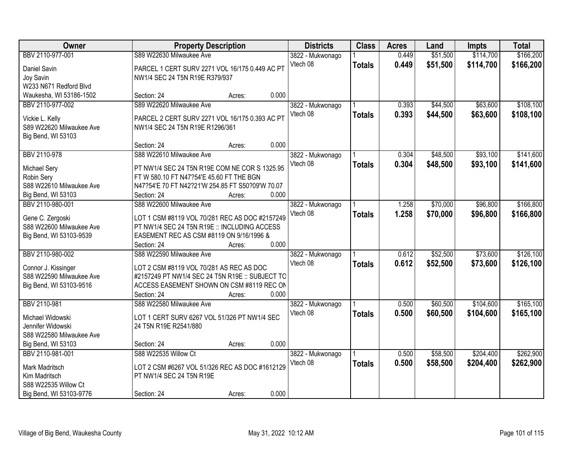| Owner                    | <b>Property Description</b>                      |        |       | <b>Districts</b> | <b>Class</b>  | <b>Acres</b> | Land     | <b>Impts</b> | <b>Total</b> |
|--------------------------|--------------------------------------------------|--------|-------|------------------|---------------|--------------|----------|--------------|--------------|
| BBV 2110-977-001         | S89 W22630 Milwaukee Ave                         |        |       | 3822 - Mukwonago |               | 0.449        | \$51,500 | \$114,700    | \$166,200    |
| Daniel Savin             | PARCEL 1 CERT SURV 2271 VOL 16/175 0.449 AC PT   |        |       | Vtech 08         | <b>Totals</b> | 0.449        | \$51,500 | \$114,700    | \$166,200    |
| Joy Savin                | NW1/4 SEC 24 T5N R19E R379/937                   |        |       |                  |               |              |          |              |              |
| W233 N671 Redford Blvd   |                                                  |        |       |                  |               |              |          |              |              |
| Waukesha, WI 53186-1502  | Section: 24                                      | Acres: | 0.000 |                  |               |              |          |              |              |
| BBV 2110-977-002         | S89 W22620 Milwaukee Ave                         |        |       | 3822 - Mukwonago |               | 0.393        | \$44,500 | \$63,600     | \$108,100    |
|                          |                                                  |        |       | Vtech 08         | <b>Totals</b> | 0.393        | \$44,500 | \$63,600     | \$108,100    |
| Vickie L. Kelly          | PARCEL 2 CERT SURV 2271 VOL 16/175 0.393 AC PT   |        |       |                  |               |              |          |              |              |
| S89 W22620 Milwaukee Ave | NW1/4 SEC 24 T5N R19E R1296/361                  |        |       |                  |               |              |          |              |              |
| Big Bend, WI 53103       |                                                  |        |       |                  |               |              |          |              |              |
|                          | Section: 24                                      | Acres: | 0.000 |                  |               |              |          |              |              |
| BBV 2110-978             | S88 W22610 Milwaukee Ave                         |        |       | 3822 - Mukwonago |               | 0.304        | \$48,500 | \$93,100     | \$141,600    |
| Michael Sery             | PT NW1/4 SEC 24 T5N R19E COM NE COR S 1325.95    |        |       | Vtech 08         | <b>Totals</b> | 0.304        | \$48,500 | \$93,100     | \$141,600    |
| Robin Sery               | FT W 580.10 FT N47?54'E 45.60 FT THE BGN         |        |       |                  |               |              |          |              |              |
| S88 W22610 Milwaukee Ave | N47?54'E 70 FT N42?21'W 254.85 FT S50?09'W 70.07 |        |       |                  |               |              |          |              |              |
| Big Bend, WI 53103       | Section: 24                                      | Acres: | 0.000 |                  |               |              |          |              |              |
| BBV 2110-980-001         | S88 W22600 Milwaukee Ave                         |        |       | 3822 - Mukwonago |               | 1.258        | \$70,000 | \$96,800     | \$166,800    |
|                          |                                                  |        |       | Vtech 08         | <b>Totals</b> | 1.258        | \$70,000 | \$96,800     | \$166,800    |
| Gene C. Zergoski         | LOT 1 CSM #8119 VOL 70/281 REC AS DOC #2157249   |        |       |                  |               |              |          |              |              |
| S88 W22600 Milwaukee Ave | PT NW1/4 SEC 24 T5N R19E :: INCLUDING ACCESS     |        |       |                  |               |              |          |              |              |
| Big Bend, WI 53103-9539  | EASEMENT REC AS CSM #8119 ON 9/16/1996 &         |        |       |                  |               |              |          |              |              |
|                          | Section: 24                                      | Acres: | 0.000 |                  |               |              |          |              |              |
| BBV 2110-980-002         | S88 W22590 Milwaukee Ave                         |        |       | 3822 - Mukwonago |               | 0.612        | \$52,500 | \$73,600     | \$126,100    |
| Connor J. Kissinger      | LOT 2 CSM #8119 VOL 70/281 AS REC AS DOC         |        |       | Vtech 08         | <b>Totals</b> | 0.612        | \$52,500 | \$73,600     | \$126,100    |
| S88 W22590 Milwaukee Ave | #2157249 PT NW1/4 SEC 24 T5N R19E :: SUBJECT TO  |        |       |                  |               |              |          |              |              |
| Big Bend, WI 53103-9516  | ACCESS EASEMENT SHOWN ON CSM #8119 REC ON        |        |       |                  |               |              |          |              |              |
|                          | Section: 24                                      | Acres: | 0.000 |                  |               |              |          |              |              |
| BBV 2110-981             | S88 W22580 Milwaukee Ave                         |        |       | 3822 - Mukwonago |               | 0.500        | \$60,500 | \$104,600    | \$165,100    |
|                          |                                                  |        |       | Vtech 08         | <b>Totals</b> | 0.500        | \$60,500 | \$104,600    | \$165,100    |
| Michael Widowski         | LOT 1 CERT SURV 6267 VOL 51/326 PT NW1/4 SEC     |        |       |                  |               |              |          |              |              |
| Jennifer Widowski        | 24 T5N R19E R2541/880                            |        |       |                  |               |              |          |              |              |
| S88 W22580 Milwaukee Ave |                                                  |        |       |                  |               |              |          |              |              |
| Big Bend, WI 53103       | Section: 24                                      | Acres: | 0.000 |                  |               |              |          |              |              |
| BBV 2110-981-001         | S88 W22535 Willow Ct                             |        |       | 3822 - Mukwonago |               | 0.500        | \$58,500 | \$204,400    | \$262,900    |
| Mark Madritsch           | LOT 2 CSM #6267 VOL 51/326 REC AS DOC #1612129   |        |       | Vtech 08         | <b>Totals</b> | 0.500        | \$58,500 | \$204,400    | \$262,900    |
| Kim Madritsch            | PT NW1/4 SEC 24 T5N R19E                         |        |       |                  |               |              |          |              |              |
| S88 W22535 Willow Ct     |                                                  |        |       |                  |               |              |          |              |              |
| Big Bend, WI 53103-9776  | Section: 24                                      | Acres: | 0.000 |                  |               |              |          |              |              |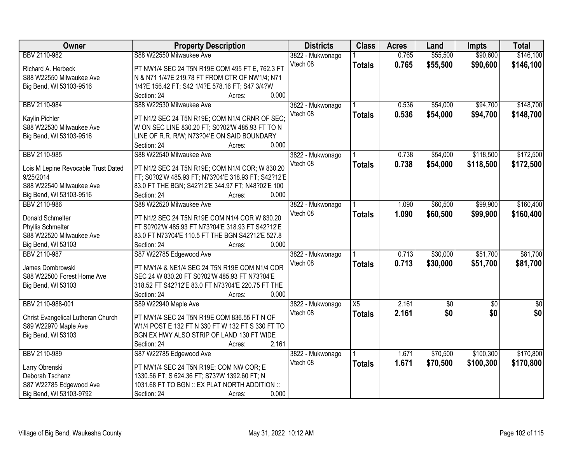| Owner                               | <b>Property Description</b>                         | <b>Districts</b> | <b>Class</b>  | <b>Acres</b> | Land        | Impts           | <b>Total</b>    |
|-------------------------------------|-----------------------------------------------------|------------------|---------------|--------------|-------------|-----------------|-----------------|
| BBV 2110-982                        | S88 W22550 Milwaukee Ave                            | 3822 - Mukwonago |               | 0.765        | \$55,500    | \$90,600        | \$146,100       |
| Richard A. Herbeck                  | PT NW1/4 SEC 24 T5N R19E COM 495 FT E, 762.3 FT     | Vtech 08         | <b>Totals</b> | 0.765        | \$55,500    | \$90,600        | \$146,100       |
| S88 W22550 Milwaukee Ave            | N & N71 1/4?E 219.78 FT FROM CTR OF NW1/4; N71      |                  |               |              |             |                 |                 |
| Big Bend, WI 53103-9516             | 1/4?E 156.42 FT; S42 1/4?E 578.16 FT; S47 3/4?W     |                  |               |              |             |                 |                 |
|                                     | 0.000<br>Section: 24<br>Acres:                      |                  |               |              |             |                 |                 |
| BBV 2110-984                        | S88 W22530 Milwaukee Ave                            | 3822 - Mukwonago |               | 0.536        | \$54,000    | \$94,700        | \$148,700       |
|                                     |                                                     | Vtech 08         | <b>Totals</b> | 0.536        | \$54,000    | \$94,700        | \$148,700       |
| Kaylin Pichler                      | PT N1/2 SEC 24 T5N R19E; COM N1/4 CRNR OF SEC;      |                  |               |              |             |                 |                 |
| S88 W22530 Milwaukee Ave            | W ON SEC LINE 830.20 FT; S0?02'W 485.93 FT TO N     |                  |               |              |             |                 |                 |
| Big Bend, WI 53103-9516             | LINE OF R.R. R/W; N73?04'E ON SAID BOUNDARY         |                  |               |              |             |                 |                 |
|                                     | 0.000<br>Section: 24<br>Acres:                      |                  |               |              |             |                 |                 |
| BBV 2110-985                        | S88 W22540 Milwaukee Ave                            | 3822 - Mukwonago |               | 0.738        | \$54,000    | \$118,500       | \$172,500       |
| Lois M Lepine Revocable Trust Dated | PT N1/2 SEC 24 T5N R19E; COM N1/4 COR; W 830.20     | Vtech 08         | <b>Totals</b> | 0.738        | \$54,000    | \$118,500       | \$172,500       |
| 9/25/2014                           | FT; S0?02'W 485.93 FT; N73?04'E 318.93 FT; S42?12'E |                  |               |              |             |                 |                 |
| S88 W22540 Milwaukee Ave            | 83.0 FT THE BGN; S42?12'E 344.97 FT; N48?02'E 100   |                  |               |              |             |                 |                 |
| Big Bend, WI 53103-9516             | 0.000<br>Section: 24<br>Acres:                      |                  |               |              |             |                 |                 |
| BBV 2110-986                        | S88 W22520 Milwaukee Ave                            | 3822 - Mukwonago |               | 1.090        | \$60,500    | \$99,900        | \$160,400       |
|                                     |                                                     | Vtech 08         | <b>Totals</b> | 1.090        | \$60,500    | \$99,900        | \$160,400       |
| Donald Schmelter                    | PT N1/2 SEC 24 T5N R19E COM N1/4 COR W 830.20       |                  |               |              |             |                 |                 |
| Phyllis Schmelter                   | FT S0?02'W 485.93 FT N73?04'E 318.93 FT S42?12'E    |                  |               |              |             |                 |                 |
| S88 W22520 Milwaukee Ave            | 83.0 FT N73?04'E 110.5 FT THE BGN S42?12'E 527.8    |                  |               |              |             |                 |                 |
| Big Bend, WI 53103                  | Section: 24<br>0.000<br>Acres:                      |                  |               |              |             |                 |                 |
| BBV 2110-987                        | S87 W22785 Edgewood Ave                             | 3822 - Mukwonago |               | 0.713        | \$30,000    | \$51,700        | \$81,700        |
| James Dombrowski                    | PT NW1/4 & NE1/4 SEC 24 T5N R19E COM N1/4 COR       | Vtech 08         | <b>Totals</b> | 0.713        | \$30,000    | \$51,700        | \$81,700        |
| S88 W22500 Forest Home Ave          | SEC 24 W 830.20 FT S0?02'W 485.93 FT N73?04'E       |                  |               |              |             |                 |                 |
| Big Bend, WI 53103                  | 318.52 FT S42?12'E 83.0 FT N73?04'E 220.75 FT THE   |                  |               |              |             |                 |                 |
|                                     | 0.000<br>Section: 24<br>Acres:                      |                  |               |              |             |                 |                 |
| BBV 2110-988-001                    | S89 W22940 Maple Ave                                | 3822 - Mukwonago | X5            | 2.161        | $\sqrt{50}$ | $\overline{50}$ | $\overline{30}$ |
|                                     |                                                     | Vtech 08         | <b>Totals</b> | 2.161        | \$0         | \$0             | \$0             |
| Christ Evangelical Lutheran Church  | PT NW1/4 SEC 24 T5N R19E COM 836.55 FT N OF         |                  |               |              |             |                 |                 |
| S89 W22970 Maple Ave                | W1/4 POST E 132 FT N 330 FT W 132 FT S 330 FT TO    |                  |               |              |             |                 |                 |
| Big Bend, WI 53103                  | BGN EX HWY ALSO STRIP OF LAND 130 FT WIDE           |                  |               |              |             |                 |                 |
|                                     | 2.161<br>Section: 24<br>Acres:                      |                  |               |              |             |                 |                 |
| BBV 2110-989                        | S87 W22785 Edgewood Ave                             | 3822 - Mukwonago |               | 1.671        | \$70,500    | \$100,300       | \$170,800       |
| Larry Obrenski                      | PT NW1/4 SEC 24 T5N R19E; COM NW COR; E             | Vtech 08         | <b>Totals</b> | 1.671        | \$70,500    | \$100,300       | \$170,800       |
| Deborah Tschanz                     | 1330.56 FT; S 624.36 FT; S73?W 1392.60 FT; N        |                  |               |              |             |                 |                 |
| S87 W22785 Edgewood Ave             | 1031.68 FT TO BGN :: EX PLAT NORTH ADDITION ::      |                  |               |              |             |                 |                 |
| Big Bend, WI 53103-9792             | 0.000<br>Section: 24<br>Acres:                      |                  |               |              |             |                 |                 |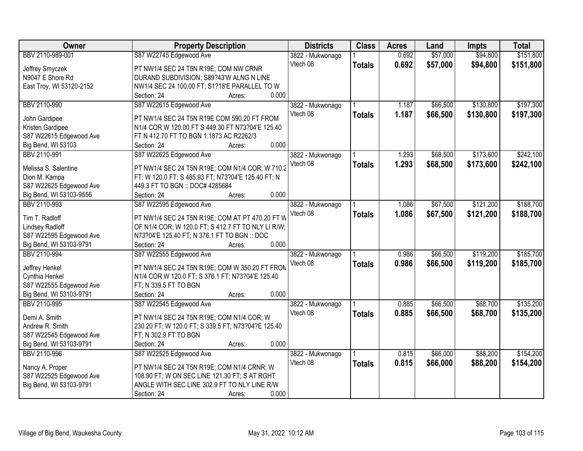| Owner                    | <b>Property Description</b>                        | <b>Districts</b> | <b>Class</b>  | <b>Acres</b> | Land     | <b>Impts</b> | <b>Total</b> |
|--------------------------|----------------------------------------------------|------------------|---------------|--------------|----------|--------------|--------------|
| BBV 2110-989-001         | S87 W22745 Edgewood Ave                            | 3822 - Mukwonago |               | 0.692        | \$57,000 | \$94,800     | \$151,800    |
| Jeffrey Smyczek          | PT NW1/4 SEC 24 T5N R19E; COM NW CRNR              | Vtech 08         | <b>Totals</b> | 0.692        | \$57,000 | \$94,800     | \$151,800    |
| N9047 E Shore Rd         | DURAND SUBDIVISION; S89?43'W ALNG N LINE           |                  |               |              |          |              |              |
| East Troy, WI 53120-2152 | NW1/4 SEC 24 100.00 FT; S1?18'E PARALLEL TO W      |                  |               |              |          |              |              |
|                          | 0.000<br>Section: 24<br>Acres:                     |                  |               |              |          |              |              |
| BBV 2110-990             | S87 W22615 Edgewood Ave                            | 3822 - Mukwonago |               | 1.187        | \$66,500 | \$130,800    | \$197,300    |
|                          |                                                    | Vtech 08         | <b>Totals</b> | 1.187        | \$66,500 | \$130,800    | \$197,300    |
| John Gardipee            | PT NW1/4 SEC 24 T5N R19E COM 590.20 FT FROM        |                  |               |              |          |              |              |
| Kristen Gardipee         | N1/4 COR W 120.00 FT S 449.30 FT N73?04'E 125.40   |                  |               |              |          |              |              |
| S87 W22615 Edgewood Ave  | FT N 412.70 FT TO BGN 1.1873 AC R2262/3            |                  |               |              |          |              |              |
| Big Bend, WI 53103       | 0.000<br>Section: 24<br>Acres:                     |                  |               |              |          |              |              |
| BBV 2110-991             | S87 W22625 Edgewood Ave                            | 3822 - Mukwonago |               | 1.293        | \$68,500 | \$173,600    | \$242,100    |
| Melissa S. Salentine     | PT NW1/4 SEC 24 T5N R19E; COM N1/4 COR; W 710.2    | Vtech 08         | <b>Totals</b> | 1.293        | \$68,500 | \$173,600    | \$242,100    |
| Dion M. Kampa            | FT; W 120.0 FT; S 485.93 FT; N73?04'E 125.40 FT; N |                  |               |              |          |              |              |
| S87 W22625 Edgewood Ave  | 449.3 FT TO BGN :: DOC# 4285684                    |                  |               |              |          |              |              |
| Big Bend, WI 53103-9556  | 0.000<br>Section: 24<br>Acres:                     |                  |               |              |          |              |              |
| BBV 2110-993             | S87 W22595 Edgewood Ave                            | 3822 - Mukwonago |               | 1.086        | \$67,500 | \$121,200    | \$188,700    |
|                          |                                                    | Vtech 08         | <b>Totals</b> | 1.086        | \$67,500 | \$121,200    | \$188,700    |
| Tim T. Radloff           | PT NW1/4 SEC 24 T5N R19E; COM AT PT 470.20 FT W    |                  |               |              |          |              |              |
| <b>Lindsey Radloff</b>   | OF N1/4 COR; W 120.0 FT; S 412.7 FT TO NLY LI R/W; |                  |               |              |          |              |              |
| S87 W22595 Edgewood Ave  | N73?04'E 125.40 FT; N 376.1 FT TO BGN :: DOC       |                  |               |              |          |              |              |
| Big Bend, WI 53103-9791  | Section: 24<br>0.000<br>Acres:                     |                  |               |              |          |              |              |
| BBV 2110-994             | S87 W22555 Edgewood Ave                            | 3822 - Mukwonago |               | 0.986        | \$66,500 | \$119,200    | \$185,700    |
| Jeffrey Henkel           | PT NW1/4 SEC 24 T5N R19E; COM W 350.20 FT FROM     | Vtech 08         | <b>Totals</b> | 0.986        | \$66,500 | \$119,200    | \$185,700    |
| Cynthia Henkel           | N1/4 COR W 120.0 FT; S 376.1 FT; N73?04'E 125.40   |                  |               |              |          |              |              |
| S87 W22555 Edgewood Ave  | FT; N 339.5 FT TO BGN                              |                  |               |              |          |              |              |
| Big Bend, WI 53103-9791  | 0.000<br>Section: 24<br>Acres:                     |                  |               |              |          |              |              |
| BBV 2110-995             | S87 W22545 Edgewood Ave                            | 3822 - Mukwonago |               | 0.885        | \$66,500 | \$68,700     | \$135,200    |
|                          |                                                    | Vtech 08         | <b>Totals</b> | 0.885        | \$66,500 | \$68,700     | \$135,200    |
| Demi A. Smith            | PT NW1/4 SEC 24 T5N R19E; COM N1/4 COR; W          |                  |               |              |          |              |              |
| Andrew R. Smith          | 230.20 FT; W 120.0 FT; S 339.5 FT; N73?04?E 125.40 |                  |               |              |          |              |              |
| S87 W22545 Edgewood Ave  | FT; N 302.9 FT TO BGN                              |                  |               |              |          |              |              |
| Big Bend, WI 53103-9791  | 0.000<br>Section: 24<br>Acres:                     |                  |               |              |          |              |              |
| BBV 2110-996             | S87 W22525 Edgewood Ave                            | 3822 - Mukwonago |               | 0.815        | \$66,000 | \$88,200     | \$154,200    |
| Nancy A. Proper          | PT NW1/4 SEC 24 T5N R19E; COM N1/4 CRNR; W         | Vtech 08         | <b>Totals</b> | 0.815        | \$66,000 | \$88,200     | \$154,200    |
| S87 W22525 Edgewood Ave  | 108.90 FT; W ON SEC LINE 121.30 FT; S AT RGHT      |                  |               |              |          |              |              |
| Big Bend, WI 53103-9791  | ANGLE WITH SEC LINE 302.9 FT TO NLY LINE R/W       |                  |               |              |          |              |              |
|                          | 0.000<br>Section: 24<br>Acres:                     |                  |               |              |          |              |              |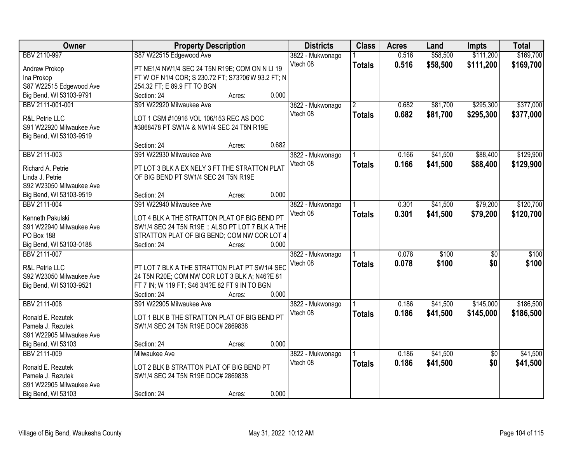| Owner                                         | <b>Property Description</b>                                                                      |        | <b>Districts</b>             | <b>Class</b>   | <b>Acres</b> | Land     | <b>Impts</b>    | <b>Total</b> |
|-----------------------------------------------|--------------------------------------------------------------------------------------------------|--------|------------------------------|----------------|--------------|----------|-----------------|--------------|
| BBV 2110-997                                  | S87 W22515 Edgewood Ave                                                                          |        | 3822 - Mukwonago             |                | 0.516        | \$58,500 | \$111,200       | \$169,700    |
| Andrew Prokop                                 | PT NE1/4 NW1/4 SEC 24 T5N R19E; COM ON N LI 19                                                   |        | Vtech 08                     | <b>Totals</b>  | 0.516        | \$58,500 | \$111,200       | \$169,700    |
| Ina Prokop                                    | FT W OF N1/4 COR; S 230.72 FT; S73?06'W 93.2 FT; N                                               |        |                              |                |              |          |                 |              |
| S87 W22515 Edgewood Ave                       | 254.32 FT; E 89.9 FT TO BGN                                                                      |        |                              |                |              |          |                 |              |
| Big Bend, WI 53103-9791                       | Section: 24                                                                                      | Acres: | 0.000                        |                |              |          |                 |              |
| BBV 2111-001-001                              | S91 W22920 Milwaukee Ave                                                                         |        | 3822 - Mukwonago             | $\overline{2}$ | 0.682        | \$81,700 | \$295,300       | \$377,000    |
|                                               |                                                                                                  |        | Vtech 08                     | <b>Totals</b>  | 0.682        | \$81,700 | \$295,300       | \$377,000    |
| R&L Petrie LLC                                | LOT 1 CSM #10916 VOL 106/153 REC AS DOC                                                          |        |                              |                |              |          |                 |              |
| S91 W22920 Milwaukee Ave                      | #3868478 PT SW1/4 & NW1/4 SEC 24 T5N R19E                                                        |        |                              |                |              |          |                 |              |
| Big Bend, WI 53103-9519                       |                                                                                                  |        |                              |                |              |          |                 |              |
|                                               | Section: 24                                                                                      | Acres: | 0.682                        |                |              |          |                 |              |
| BBV 2111-003                                  | S91 W22930 Milwaukee Ave                                                                         |        | 3822 - Mukwonago             |                | 0.166        | \$41,500 | \$88,400        | \$129,900    |
| Richard A. Petrie                             | PT LOT 3 BLK A EX NELY 3 FT THE STRATTON PLAT                                                    |        | Vtech 08                     | <b>Totals</b>  | 0.166        | \$41,500 | \$88,400        | \$129,900    |
| Linda J. Petrie                               | OF BIG BEND PT SW1/4 SEC 24 T5N R19E                                                             |        |                              |                |              |          |                 |              |
| S92 W23050 Milwaukee Ave                      |                                                                                                  |        |                              |                |              |          |                 |              |
| Big Bend, WI 53103-9519                       | Section: 24                                                                                      | Acres: | 0.000                        |                |              |          |                 |              |
| BBV 2111-004                                  | S91 W22940 Milwaukee Ave                                                                         |        | 3822 - Mukwonago             |                | 0.301        | \$41,500 | \$79,200        | \$120,700    |
|                                               |                                                                                                  |        | Vtech 08                     | <b>Totals</b>  | 0.301        | \$41,500 | \$79,200        | \$120,700    |
| Kenneth Pakulski                              | LOT 4 BLK A THE STRATTON PLAT OF BIG BEND PT<br>SW1/4 SEC 24 T5N R19E :: ALSO PT LOT 7 BLK A THE |        |                              |                |              |          |                 |              |
| S91 W22940 Milwaukee Ave<br><b>PO Box 188</b> | STRATTON PLAT OF BIG BEND; COM NW COR LOT 4                                                      |        |                              |                |              |          |                 |              |
| Big Bend, WI 53103-0188                       | Section: 24                                                                                      | Acres: | 0.000                        |                |              |          |                 |              |
| BBV 2111-007                                  |                                                                                                  |        |                              |                | 0.078        | \$100    | \$0             | \$100        |
|                                               |                                                                                                  |        | 3822 - Mukwonago<br>Vtech 08 |                | 0.078        | \$100    | \$0             |              |
| <b>R&amp;L Petrie LLC</b>                     | PT LOT 7 BLK A THE STRATTON PLAT PT SW1/4 SEC                                                    |        |                              | <b>Totals</b>  |              |          |                 | \$100        |
| S92 W23050 Milwaukee Ave                      | 24 T5N R20E; COM NW COR LOT 3 BLK A; N46?E 81                                                    |        |                              |                |              |          |                 |              |
| Big Bend, WI 53103-9521                       | FT 7 IN; W 119 FT; S46 3/4?E 82 FT 9 IN TO BGN                                                   |        |                              |                |              |          |                 |              |
|                                               | Section: 24                                                                                      | Acres: | 0.000                        |                |              |          |                 |              |
| <b>BBV 2111-008</b>                           | S91 W22905 Milwaukee Ave                                                                         |        | 3822 - Mukwonago             |                | 0.186        | \$41,500 | \$145,000       | \$186,500    |
| Ronald E. Rezutek                             | LOT 1 BLK B THE STRATTON PLAT OF BIG BEND PT                                                     |        | Vtech 08                     | <b>Totals</b>  | 0.186        | \$41,500 | \$145,000       | \$186,500    |
| Pamela J. Rezutek                             | SW1/4 SEC 24 T5N R19E DOC# 2869838                                                               |        |                              |                |              |          |                 |              |
| S91 W22905 Milwaukee Ave                      |                                                                                                  |        |                              |                |              |          |                 |              |
| Big Bend, WI 53103                            | Section: 24                                                                                      | Acres: | 0.000                        |                |              |          |                 |              |
| BBV 2111-009                                  | <b>Milwaukee Ave</b>                                                                             |        | 3822 - Mukwonago             |                | 0.186        | \$41,500 | $\overline{50}$ | \$41,500     |
|                                               |                                                                                                  |        | Vtech 08                     | <b>Totals</b>  | 0.186        | \$41,500 | \$0             | \$41,500     |
| Ronald E. Rezutek                             | LOT 2 BLK B STRATTON PLAT OF BIG BEND PT                                                         |        |                              |                |              |          |                 |              |
| Pamela J. Rezutek                             | SW1/4 SEC 24 T5N R19E DOC# 2869838                                                               |        |                              |                |              |          |                 |              |
| S91 W22905 Milwaukee Ave                      |                                                                                                  |        |                              |                |              |          |                 |              |
| Big Bend, WI 53103                            | Section: 24                                                                                      | Acres: | 0.000                        |                |              |          |                 |              |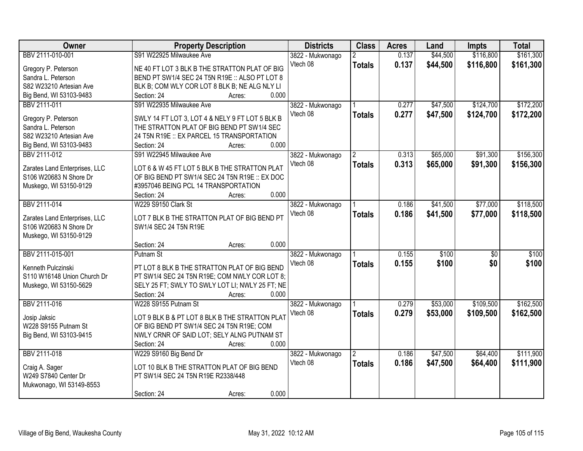| Owner                                     | <b>Property Description</b>                                                                   | <b>Districts</b> | <b>Class</b>   | <b>Acres</b> | Land     | <b>Impts</b>    | <b>Total</b> |
|-------------------------------------------|-----------------------------------------------------------------------------------------------|------------------|----------------|--------------|----------|-----------------|--------------|
| BBV 2111-010-001                          | S91 W22925 Milwaukee Ave                                                                      | 3822 - Mukwonago | $\overline{2}$ | 0.137        | \$44,500 | \$116,800       | \$161,300    |
| Gregory P. Peterson                       | NE 40 FT LOT 3 BLK B THE STRATTON PLAT OF BIG                                                 | Vtech 08         | <b>Totals</b>  | 0.137        | \$44,500 | \$116,800       | \$161,300    |
| Sandra L. Peterson                        | BEND PT SW1/4 SEC 24 T5N R19E :: ALSO PT LOT 8                                                |                  |                |              |          |                 |              |
| S82 W23210 Artesian Ave                   | BLK B; COM WLY COR LOT 8 BLK B; NE ALG NLY LI                                                 |                  |                |              |          |                 |              |
| Big Bend, WI 53103-9483                   | 0.000<br>Section: 24<br>Acres:                                                                |                  |                |              |          |                 |              |
| BBV 2111-011                              | S91 W22935 Milwaukee Ave                                                                      | 3822 - Mukwonago |                | 0.277        | \$47,500 | \$124,700       | \$172,200    |
|                                           |                                                                                               | Vtech 08         | <b>Totals</b>  | 0.277        | \$47,500 | \$124,700       | \$172,200    |
| Gregory P. Peterson<br>Sandra L. Peterson | SWLY 14 FT LOT 3, LOT 4 & NELY 9 FT LOT 5 BLK B<br>THE STRATTON PLAT OF BIG BEND PT SW1/4 SEC |                  |                |              |          |                 |              |
| S82 W23210 Artesian Ave                   | 24 T5N R19E :: EX PARCEL 15 TRANSPORTATION                                                    |                  |                |              |          |                 |              |
| Big Bend, WI 53103-9483                   | 0.000<br>Section: 24<br>Acres:                                                                |                  |                |              |          |                 |              |
| BBV 2111-012                              | S91 W22945 Milwaukee Ave                                                                      | 3822 - Mukwonago |                | 0.313        | \$65,000 | \$91,300        | \$156,300    |
|                                           |                                                                                               | Vtech 08         |                |              |          |                 |              |
| Zarates Land Enterprises, LLC             | LOT 6 & W 45 FT LOT 5 BLK B THE STRATTON PLAT                                                 |                  | <b>Totals</b>  | 0.313        | \$65,000 | \$91,300        | \$156,300    |
| S106 W20683 N Shore Dr                    | OF BIG BEND PT SW1/4 SEC 24 T5N R19E :: EX DOC                                                |                  |                |              |          |                 |              |
| Muskego, WI 53150-9129                    | #3957046 BEING PCL 14 TRANSPORTATION                                                          |                  |                |              |          |                 |              |
|                                           | 0.000<br>Section: 24<br>Acres:                                                                |                  |                |              |          |                 |              |
| BBV 2111-014                              | W229 S9150 Clark St                                                                           | 3822 - Mukwonago |                | 0.186        | \$41,500 | \$77,000        | \$118,500    |
| Zarates Land Enterprises, LLC             | LOT 7 BLK B THE STRATTON PLAT OF BIG BEND PT                                                  | Vtech 08         | <b>Totals</b>  | 0.186        | \$41,500 | \$77,000        | \$118,500    |
| S106 W20683 N Shore Dr                    | SW1/4 SEC 24 T5N R19E                                                                         |                  |                |              |          |                 |              |
| Muskego, WI 53150-9129                    |                                                                                               |                  |                |              |          |                 |              |
|                                           | 0.000<br>Section: 24<br>Acres:                                                                |                  |                |              |          |                 |              |
| BBV 2111-015-001                          | Putnam St                                                                                     | 3822 - Mukwonago |                | 0.155        | \$100    | $\overline{30}$ | \$100        |
|                                           |                                                                                               | Vtech 08         | <b>Totals</b>  | 0.155        | \$100    | \$0             | \$100        |
| Kenneth Pulczinski                        | PT LOT 8 BLK B THE STRATTON PLAT OF BIG BEND                                                  |                  |                |              |          |                 |              |
| S110 W16148 Union Church Dr               | PT SW1/4 SEC 24 T5N R19E; COM NWLY COR LOT 8;                                                 |                  |                |              |          |                 |              |
| Muskego, WI 53150-5629                    | SELY 25 FT; SWLY TO SWLY LOT LI; NWLY 25 FT; NE                                               |                  |                |              |          |                 |              |
|                                           | Section: 24<br>0.000<br>Acres:                                                                |                  |                |              |          |                 |              |
| BBV 2111-016                              | W228 S9155 Putnam St                                                                          | 3822 - Mukwonago |                | 0.279        | \$53,000 | \$109,500       | \$162,500    |
| Josip Jaksic                              | LOT 9 BLK B & PT LOT 8 BLK B THE STRATTON PLAT                                                | Vtech 08         | <b>Totals</b>  | 0.279        | \$53,000 | \$109,500       | \$162,500    |
| W228 S9155 Putnam St                      | OF BIG BEND PT SW1/4 SEC 24 T5N R19E; COM                                                     |                  |                |              |          |                 |              |
| Big Bend, WI 53103-9415                   | NWLY CRNR OF SAID LOT; SELY ALNG PUTNAM ST                                                    |                  |                |              |          |                 |              |
|                                           | 0.000<br>Section: 24<br>Acres:                                                                |                  |                |              |          |                 |              |
| BBV 2111-018                              | W229 S9160 Big Bend Dr                                                                        | 3822 - Mukwonago | $\overline{2}$ | 0.186        | \$47,500 | \$64,400        | \$111,900    |
|                                           |                                                                                               | Vtech 08         | <b>Totals</b>  | 0.186        | \$47,500 | \$64,400        | \$111,900    |
| Craig A. Sager                            | LOT 10 BLK B THE STRATTON PLAT OF BIG BEND                                                    |                  |                |              |          |                 |              |
| W249 S7840 Center Dr                      | PT SW1/4 SEC 24 T5N R19E R2338/448                                                            |                  |                |              |          |                 |              |
| Mukwonago, WI 53149-8553                  |                                                                                               |                  |                |              |          |                 |              |
|                                           | 0.000<br>Section: 24<br>Acres:                                                                |                  |                |              |          |                 |              |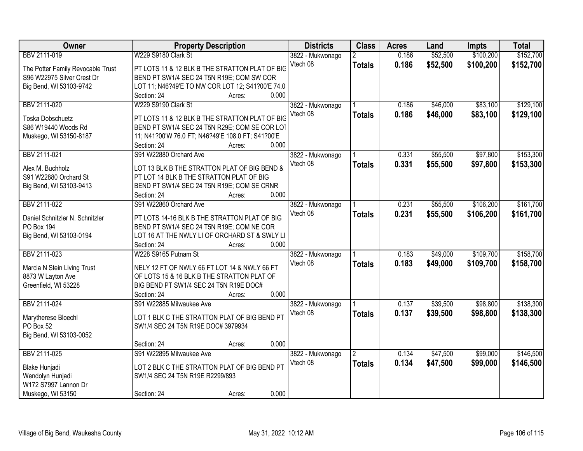| <b>Owner</b>                      | <b>Property Description</b>                       | <b>Districts</b> | <b>Class</b>         | <b>Acres</b> | Land     | <b>Impts</b> | <b>Total</b> |
|-----------------------------------|---------------------------------------------------|------------------|----------------------|--------------|----------|--------------|--------------|
| BBV 2111-019                      | W229 S9180 Clark St                               | 3822 - Mukwonago |                      | 0.186        | \$52,500 | \$100,200    | \$152,700    |
| The Potter Family Revocable Trust | PT LOTS 11 & 12 BLK B THE STRATTON PLAT OF BIG    | Vtech 08         | <b>Totals</b>        | 0.186        | \$52,500 | \$100,200    | \$152,700    |
| S96 W22975 Silver Crest Dr        | BEND PT SW1/4 SEC 24 T5N R19E; COM SW COR         |                  |                      |              |          |              |              |
| Big Bend, WI 53103-9742           | LOT 11; N46?49'E TO NW COR LOT 12; S41?00'E 74.0  |                  |                      |              |          |              |              |
|                                   | 0.000<br>Section: 24<br>Acres:                    |                  |                      |              |          |              |              |
| BBV 2111-020                      | W229 S9190 Clark St                               | 3822 - Mukwonago |                      | 0.186        | \$46,000 | \$83,100     | \$129,100    |
|                                   |                                                   | Vtech 08         | <b>Totals</b>        | 0.186        | \$46,000 | \$83,100     | \$129,100    |
| Toska Dobschuetz                  | PT LOTS 11 & 12 BLK B THE STRATTON PLAT OF BIG    |                  |                      |              |          |              |              |
| S86 W19440 Woods Rd               | BEND PT SW1/4 SEC 24 T5N R29E; COM SE COR LOT     |                  |                      |              |          |              |              |
| Muskego, WI 53150-8187            | 11; N41?00'W 76.0 FT; N46?49'E 108.0 FT; S41?00'E |                  |                      |              |          |              |              |
|                                   | 0.000<br>Section: 24<br>Acres:                    |                  |                      |              |          |              |              |
| BBV 2111-021                      | S91 W22880 Orchard Ave                            | 3822 - Mukwonago |                      | 0.331        | \$55,500 | \$97,800     | \$153,300    |
| Alex M. Buchholz                  | LOT 13 BLK B THE STRATTON PLAT OF BIG BEND &      | Vtech 08         | <b>Totals</b>        | 0.331        | \$55,500 | \$97,800     | \$153,300    |
| S91 W22880 Orchard St             | PT LOT 14 BLK B THE STRATTON PLAT OF BIG          |                  |                      |              |          |              |              |
| Big Bend, WI 53103-9413           | BEND PT SW1/4 SEC 24 T5N R19E; COM SE CRNR        |                  |                      |              |          |              |              |
|                                   | 0.000<br>Section: 24<br>Acres:                    |                  |                      |              |          |              |              |
| BBV 2111-022                      | S91 W22860 Orchard Ave                            | 3822 - Mukwonago |                      | 0.231        | \$55,500 | \$106,200    | \$161,700    |
|                                   |                                                   | Vtech 08         |                      |              |          |              |              |
| Daniel Schnitzler N. Schnitzler   | PT LOTS 14-16 BLK B THE STRATTON PLAT OF BIG      |                  | <b>Totals</b>        | 0.231        | \$55,500 | \$106,200    | \$161,700    |
| PO Box 194                        | BEND PT SW1/4 SEC 24 T5N R19E; COM NE COR         |                  |                      |              |          |              |              |
| Big Bend, WI 53103-0194           | LOT 16 AT THE NWLY LI OF ORCHARD ST & SWLY LI     |                  |                      |              |          |              |              |
|                                   | 0.000<br>Section: 24<br>Acres:                    |                  |                      |              |          |              |              |
| BBV 2111-023                      | W228 S9165 Putnam St                              | 3822 - Mukwonago |                      | 0.183        | \$49,000 | \$109,700    | \$158,700    |
|                                   |                                                   | Vtech 08         | <b>Totals</b>        | 0.183        | \$49,000 | \$109,700    | \$158,700    |
| Marcia N Stein Living Trust       | NELY 12 FT OF NWLY 66 FT LOT 14 & NWLY 66 FT      |                  |                      |              |          |              |              |
| 8873 W Layton Ave                 | OF LOTS 15 & 16 BLK B THE STRATTON PLAT OF        |                  |                      |              |          |              |              |
| Greenfield, WI 53228              | BIG BEND PT SW1/4 SEC 24 T5N R19E DOC#<br>0.000   |                  |                      |              |          |              |              |
|                                   | Section: 24<br>Acres:                             |                  |                      |              |          |              |              |
| BBV 2111-024                      | S91 W22885 Milwaukee Ave                          | 3822 - Mukwonago |                      | 0.137        | \$39,500 | \$98,800     | \$138,300    |
| Marytherese Bloechl               | LOT 1 BLK C THE STRATTON PLAT OF BIG BEND PT      | Vtech 08         | <b>Totals</b>        | 0.137        | \$39,500 | \$98,800     | \$138,300    |
| PO Box 52                         | SW1/4 SEC 24 T5N R19E DOC# 3979934                |                  |                      |              |          |              |              |
| Big Bend, WI 53103-0052           |                                                   |                  |                      |              |          |              |              |
|                                   | 0.000<br>Section: 24<br>Acres:                    |                  |                      |              |          |              |              |
| BBV 2111-025                      | S91 W22895 Milwaukee Ave                          | 3822 - Mukwonago | $\mathbf{2}^{\circ}$ | 0.134        | \$47,500 | \$99,000     | \$146,500    |
|                                   |                                                   | Vtech 08         | <b>Totals</b>        | 0.134        | \$47,500 | \$99,000     | \$146,500    |
| Blake Hunjadi                     | LOT 2 BLK C THE STRATTON PLAT OF BIG BEND PT      |                  |                      |              |          |              |              |
| Wendolyn Hunjadi                  | SW1/4 SEC 24 T5N R19E R2299/893                   |                  |                      |              |          |              |              |
| W172 S7997 Lannon Dr              |                                                   |                  |                      |              |          |              |              |
| Muskego, WI 53150                 | 0.000<br>Section: 24<br>Acres:                    |                  |                      |              |          |              |              |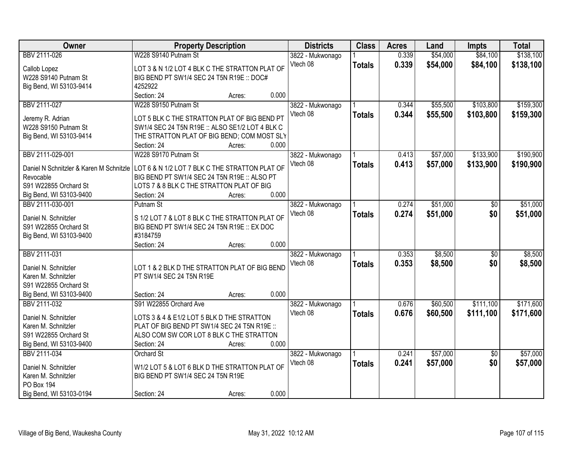| Owner                   | <b>Property Description</b>                                                            | <b>Districts</b> | <b>Class</b>  | <b>Acres</b> | Land     | <b>Impts</b>    | <b>Total</b> |
|-------------------------|----------------------------------------------------------------------------------------|------------------|---------------|--------------|----------|-----------------|--------------|
| BBV 2111-026            | W228 S9140 Putnam St                                                                   | 3822 - Mukwonago |               | 0.339        | \$54,000 | \$84,100        | \$138,100    |
| Callob Lopez            | LOT 3 & N 1/2 LOT 4 BLK C THE STRATTON PLAT OF                                         | Vtech 08         | <b>Totals</b> | 0.339        | \$54,000 | \$84,100        | \$138,100    |
| W228 S9140 Putnam St    | BIG BEND PT SW1/4 SEC 24 T5N R19E :: DOC#                                              |                  |               |              |          |                 |              |
| Big Bend, WI 53103-9414 | 4252922                                                                                |                  |               |              |          |                 |              |
|                         | Section: 24<br>Acres:                                                                  | 0.000            |               |              |          |                 |              |
| BBV 2111-027            | W228 S9150 Putnam St                                                                   | 3822 - Mukwonago |               | 0.344        | \$55,500 | \$103,800       | \$159,300    |
|                         |                                                                                        | Vtech 08         | <b>Totals</b> | 0.344        | \$55,500 | \$103,800       | \$159,300    |
| Jeremy R. Adrian        | LOT 5 BLK C THE STRATTON PLAT OF BIG BEND PT                                           |                  |               |              |          |                 |              |
| W228 S9150 Putnam St    | SW1/4 SEC 24 T5N R19E :: ALSO SE1/2 LOT 4 BLK C                                        |                  |               |              |          |                 |              |
| Big Bend, WI 53103-9414 | THE STRATTON PLAT OF BIG BEND; COM MOST SLY                                            |                  |               |              |          |                 |              |
|                         | Section: 24<br>Acres:                                                                  | 0.000            |               |              |          |                 |              |
| BBV 2111-029-001        | W228 S9170 Putnam St                                                                   | 3822 - Mukwonago |               | 0.413        | \$57,000 | \$133,900       | \$190,900    |
|                         | Daniel N Schnitzler & Karen M Schnitzle LOT 6 & N 1/2 LOT 7 BLK C THE STRATTON PLAT OF | Vtech 08         | <b>Totals</b> | 0.413        | \$57,000 | \$133,900       | \$190,900    |
| Revocable               | BIG BEND PT SW1/4 SEC 24 T5N R19E :: ALSO PT                                           |                  |               |              |          |                 |              |
| S91 W22855 Orchard St   | LOTS 7 & 8 BLK C THE STRATTON PLAT OF BIG                                              |                  |               |              |          |                 |              |
| Big Bend, WI 53103-9400 | Section: 24<br>Acres:                                                                  | 0.000            |               |              |          |                 |              |
| BBV 2111-030-001        | Putnam St                                                                              | 3822 - Mukwonago |               | 0.274        | \$51,000 | \$0             | \$51,000     |
|                         |                                                                                        | Vtech 08         | <b>Totals</b> | 0.274        | \$51,000 | \$0             | \$51,000     |
| Daniel N. Schnitzler    | S 1/2 LOT 7 & LOT 8 BLK C THE STRATTON PLAT OF                                         |                  |               |              |          |                 |              |
| S91 W22855 Orchard St   | BIG BEND PT SW1/4 SEC 24 T5N R19E :: EX DOC                                            |                  |               |              |          |                 |              |
| Big Bend, WI 53103-9400 | #3184759                                                                               | 0.000            |               |              |          |                 |              |
| BBV 2111-031            | Section: 24<br>Acres:                                                                  |                  |               | 0.353        | \$8,500  | $\overline{50}$ | \$8,500      |
|                         |                                                                                        | 3822 - Mukwonago |               |              |          |                 |              |
| Daniel N. Schnitzler    | LOT 1 & 2 BLK D THE STRATTON PLAT OF BIG BEND                                          | Vtech 08         | <b>Totals</b> | 0.353        | \$8,500  | \$0             | \$8,500      |
| Karen M. Schnitzler     | PT SW1/4 SEC 24 T5N R19E                                                               |                  |               |              |          |                 |              |
| S91 W22855 Orchard St   |                                                                                        |                  |               |              |          |                 |              |
| Big Bend, WI 53103-9400 | Section: 24<br>Acres:                                                                  | 0.000            |               |              |          |                 |              |
| BBV 2111-032            | S91 W22855 Orchard Ave                                                                 | 3822 - Mukwonago |               | 0.676        | \$60,500 | \$111,100       | \$171,600    |
| Daniel N. Schnitzler    | LOTS 3 & 4 & E1/2 LOT 5 BLK D THE STRATTON                                             | Vtech 08         | <b>Totals</b> | 0.676        | \$60,500 | \$111,100       | \$171,600    |
| Karen M. Schnitzler     | PLAT OF BIG BEND PT SW1/4 SEC 24 T5N R19E ::                                           |                  |               |              |          |                 |              |
| S91 W22855 Orchard St   | ALSO COM SW COR LOT 8 BLK C THE STRATTON                                               |                  |               |              |          |                 |              |
| Big Bend, WI 53103-9400 | Section: 24<br>Acres:                                                                  | 0.000            |               |              |          |                 |              |
| BBV 2111-034            | <b>Orchard St</b>                                                                      | 3822 - Mukwonago |               | 0.241        | \$57,000 | $\overline{30}$ | \$57,000     |
|                         |                                                                                        | Vtech 08         | <b>Totals</b> | 0.241        | \$57,000 | \$0             | \$57,000     |
| Daniel N. Schnitzler    | W1/2 LOT 5 & LOT 6 BLK D THE STRATTON PLAT OF                                          |                  |               |              |          |                 |              |
| Karen M. Schnitzler     | BIG BEND PT SW1/4 SEC 24 T5N R19E                                                      |                  |               |              |          |                 |              |
| PO Box 194              |                                                                                        |                  |               |              |          |                 |              |
| Big Bend, WI 53103-0194 | Section: 24<br>Acres:                                                                  | 0.000            |               |              |          |                 |              |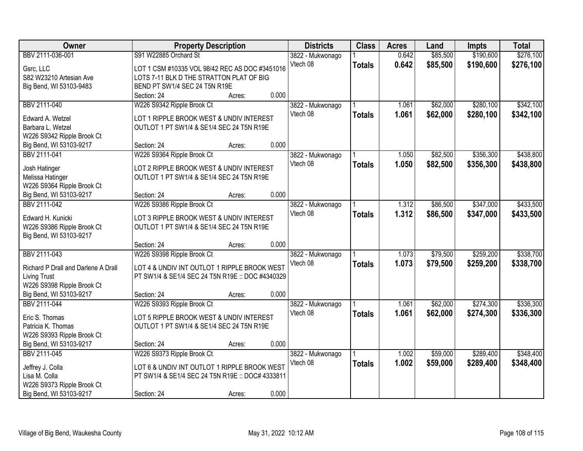| Owner                                   | <b>Property Description</b>                      |                 | <b>Districts</b>             | <b>Class</b>  | <b>Acres</b> | Land     | <b>Impts</b> | <b>Total</b> |
|-----------------------------------------|--------------------------------------------------|-----------------|------------------------------|---------------|--------------|----------|--------------|--------------|
| BBV 2111-036-001                        | S91 W22885 Orchard St                            |                 | 3822 - Mukwonago             |               | 0.642        | \$85,500 | \$190,600    | \$276,100    |
| Gsrc, LLC                               | LOT 1 CSM #10335 VOL 98/42 REC AS DOC #3451016   |                 | Vtech 08                     | <b>Totals</b> | 0.642        | \$85,500 | \$190,600    | \$276,100    |
| S82 W23210 Artesian Ave                 | LOTS 7-11 BLK D THE STRATTON PLAT OF BIG         |                 |                              |               |              |          |              |              |
| Big Bend, WI 53103-9483                 | BEND PT SW1/4 SEC 24 T5N R19E                    |                 |                              |               |              |          |              |              |
|                                         | Section: 24                                      | 0.000<br>Acres: |                              |               |              |          |              |              |
| BBV 2111-040                            | W226 S9342 Ripple Brook Ct                       |                 | 3822 - Mukwonago             |               | 1.061        | \$62,000 | \$280,100    | \$342,100    |
|                                         |                                                  |                 | Vtech 08                     | <b>Totals</b> | 1.061        | \$62,000 | \$280,100    | \$342,100    |
| Edward A. Wetzel                        | LOT 1 RIPPLE BROOK WEST & UNDIV INTEREST         |                 |                              |               |              |          |              |              |
| Barbara L. Wetzel                       | OUTLOT 1 PT SW1/4 & SE1/4 SEC 24 T5N R19E        |                 |                              |               |              |          |              |              |
| W226 S9342 Ripple Brook Ct              | Section: 24                                      | 0.000           |                              |               |              |          |              |              |
| Big Bend, WI 53103-9217<br>BBV 2111-041 |                                                  | Acres:          |                              |               | 1.050        | \$82,500 | \$356,300    | \$438,800    |
|                                         | W226 S9364 Ripple Brook Ct                       |                 | 3822 - Mukwonago<br>Vtech 08 |               |              |          |              |              |
| Josh Hatinger                           | LOT 2 RIPPLE BROOK WEST & UNDIV INTEREST         |                 |                              | <b>Totals</b> | 1.050        | \$82,500 | \$356,300    | \$438,800    |
| Melissa Hatinger                        | OUTLOT 1 PT SW1/4 & SE1/4 SEC 24 T5N R19E        |                 |                              |               |              |          |              |              |
| W226 S9364 Ripple Brook Ct              |                                                  |                 |                              |               |              |          |              |              |
| Big Bend, WI 53103-9217                 | Section: 24                                      | 0.000<br>Acres: |                              |               |              |          |              |              |
| BBV 2111-042                            | W226 S9386 Ripple Brook Ct                       |                 | 3822 - Mukwonago             |               | 1.312        | \$86,500 | \$347,000    | \$433,500    |
| Edward H. Kunicki                       | LOT 3 RIPPLE BROOK WEST & UNDIV INTEREST         |                 | Vtech 08                     | <b>Totals</b> | 1.312        | \$86,500 | \$347,000    | \$433,500    |
| W226 S9386 Ripple Brook Ct              | OUTLOT 1 PT SW1/4 & SE1/4 SEC 24 T5N R19E        |                 |                              |               |              |          |              |              |
| Big Bend, WI 53103-9217                 |                                                  |                 |                              |               |              |          |              |              |
|                                         | Section: 24                                      | 0.000<br>Acres: |                              |               |              |          |              |              |
| BBV 2111-043                            | W226 S9398 Ripple Brook Ct                       |                 |                              |               | 1.073        | \$79,500 | \$259,200    | \$338,700    |
|                                         |                                                  |                 | 3822 - Mukwonago<br>Vtech 08 |               |              |          |              |              |
| Richard P Drall and Darlene A Drall     | LOT 4 & UNDIV INT OUTLOT 1 RIPPLE BROOK WEST     |                 |                              | <b>Totals</b> | 1.073        | \$79,500 | \$259,200    | \$338,700    |
| <b>Living Trust</b>                     | PT SW1/4 & SE1/4 SEC 24 T5N R19E :: DOC #4340329 |                 |                              |               |              |          |              |              |
| W226 S9398 Ripple Brook Ct              |                                                  |                 |                              |               |              |          |              |              |
| Big Bend, WI 53103-9217                 | Section: 24                                      | 0.000<br>Acres: |                              |               |              |          |              |              |
| BBV 2111-044                            | W226 S9393 Ripple Brook Ct                       |                 | 3822 - Mukwonago             |               | 1.061        | \$62,000 | \$274,300    | \$336,300    |
| Eric S. Thomas                          | LOT 5 RIPPLE BROOK WEST & UNDIV INTEREST         |                 | Vtech 08                     | <b>Totals</b> | 1.061        | \$62,000 | \$274,300    | \$336,300    |
| Patricia K. Thomas                      | OUTLOT 1 PT SW1/4 & SE1/4 SEC 24 T5N R19E        |                 |                              |               |              |          |              |              |
| W226 S9393 Ripple Brook Ct              |                                                  |                 |                              |               |              |          |              |              |
| Big Bend, WI 53103-9217                 | Section: 24                                      | 0.000<br>Acres: |                              |               |              |          |              |              |
| BBV 2111-045                            | W226 S9373 Ripple Brook Ct                       |                 | 3822 - Mukwonago             |               | 1.002        | \$59,000 | \$289,400    | \$348,400    |
|                                         |                                                  |                 | Vtech 08                     | <b>Totals</b> | 1.002        | \$59,000 | \$289,400    | \$348,400    |
| Jeffrey J. Colla                        | LOT 6 & UNDIV INT OUTLOT 1 RIPPLE BROOK WEST     |                 |                              |               |              |          |              |              |
| Lisa M. Colla                           | PT SW1/4 & SE1/4 SEC 24 T5N R19E :: DOC# 4333811 |                 |                              |               |              |          |              |              |
| W226 S9373 Ripple Brook Ct              |                                                  |                 |                              |               |              |          |              |              |
| Big Bend, WI 53103-9217                 | Section: 24                                      | 0.000<br>Acres: |                              |               |              |          |              |              |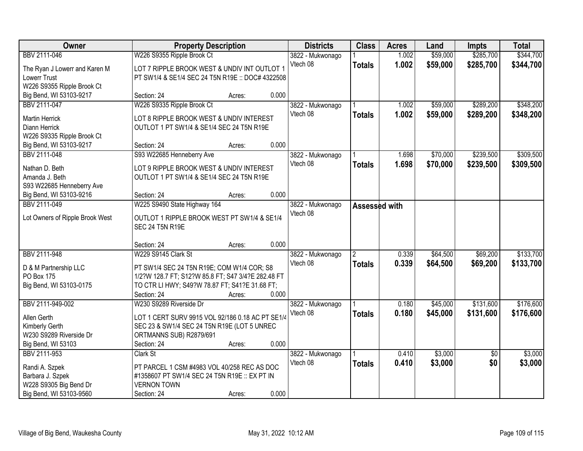| Owner                                      | <b>Property Description</b>                                                                  |        |       | <b>Districts</b> | <b>Class</b>   | <b>Acres</b> | Land     | <b>Impts</b>    | <b>Total</b> |
|--------------------------------------------|----------------------------------------------------------------------------------------------|--------|-------|------------------|----------------|--------------|----------|-----------------|--------------|
| BBV 2111-046                               | W226 S9355 Ripple Brook Ct                                                                   |        |       | 3822 - Mukwonago |                | 1.002        | \$59,000 | \$285,700       | \$344,700    |
| The Ryan J Lowerr and Karen M              | LOT 7 RIPPLE BROOK WEST & UNDIV INT OUTLOT 1                                                 |        |       | Vtech 08         | <b>Totals</b>  | 1.002        | \$59,000 | \$285,700       | \$344,700    |
| Lowerr Trust                               | PT SW1/4 & SE1/4 SEC 24 T5N R19E :: DOC# 4322508                                             |        |       |                  |                |              |          |                 |              |
| W226 S9355 Ripple Brook Ct                 |                                                                                              |        |       |                  |                |              |          |                 |              |
| Big Bend, WI 53103-9217                    | Section: 24                                                                                  | Acres: | 0.000 |                  |                |              |          |                 |              |
| BBV 2111-047                               | W226 S9335 Ripple Brook Ct                                                                   |        |       | 3822 - Mukwonago |                | 1.002        | \$59,000 | \$289,200       | \$348,200    |
|                                            |                                                                                              |        |       | Vtech 08         | <b>Totals</b>  | 1.002        | \$59,000 | \$289,200       | \$348,200    |
| <b>Martin Herrick</b>                      | LOT 8 RIPPLE BROOK WEST & UNDIV INTEREST                                                     |        |       |                  |                |              |          |                 |              |
| Diann Herrick                              | OUTLOT 1 PT SW1/4 & SE1/4 SEC 24 T5N R19E                                                    |        |       |                  |                |              |          |                 |              |
| W226 S9335 Ripple Brook Ct                 | Section: 24                                                                                  |        | 0.000 |                  |                |              |          |                 |              |
| Big Bend, WI 53103-9217<br>BBV 2111-048    |                                                                                              | Acres: |       |                  |                |              |          | \$239,500       | \$309,500    |
|                                            | S93 W22685 Henneberry Ave                                                                    |        |       | 3822 - Mukwonago |                | 1.698        | \$70,000 |                 |              |
| Nathan D. Beth                             | LOT 9 RIPPLE BROOK WEST & UNDIV INTEREST                                                     |        |       | Vtech 08         | <b>Totals</b>  | 1.698        | \$70,000 | \$239,500       | \$309,500    |
| Amanda J. Beth                             | OUTLOT 1 PT SW1/4 & SE1/4 SEC 24 T5N R19E                                                    |        |       |                  |                |              |          |                 |              |
| S93 W22685 Henneberry Ave                  |                                                                                              |        |       |                  |                |              |          |                 |              |
| Big Bend, WI 53103-9216                    | Section: 24                                                                                  | Acres: | 0.000 |                  |                |              |          |                 |              |
| BBV 2111-049                               | W225 S9490 State Highway 164                                                                 |        |       | 3822 - Mukwonago | Assessed with  |              |          |                 |              |
| Lot Owners of Ripple Brook West            | OUTLOT 1 RIPPLE BROOK WEST PT SW1/4 & SE1/4                                                  |        |       | Vtech 08         |                |              |          |                 |              |
|                                            | <b>SEC 24 T5N R19E</b>                                                                       |        |       |                  |                |              |          |                 |              |
|                                            |                                                                                              |        |       |                  |                |              |          |                 |              |
|                                            | Section: 24                                                                                  | Acres: | 0.000 |                  |                |              |          |                 |              |
| BBV 2111-948                               | W229 S9145 Clark St                                                                          |        |       | 3822 - Mukwonago | $\overline{2}$ | 0.339        | \$64,500 | \$69,200        | \$133,700    |
|                                            |                                                                                              |        |       | Vtech 08         | <b>Totals</b>  | 0.339        | \$64,500 | \$69,200        | \$133,700    |
| D & M Partnership LLC                      | PT SW1/4 SEC 24 T5N R19E; COM W1/4 COR; S8                                                   |        |       |                  |                |              |          |                 |              |
| PO Box 175                                 | 1/2?W 128.7 FT; S12?W 85.8 FT; S47 3/4?E 282.48 FT                                           |        |       |                  |                |              |          |                 |              |
| Big Bend, WI 53103-0175                    | TO CTR LI HWY; S49?W 78.87 FT; S41?E 31.68 FT;                                               |        |       |                  |                |              |          |                 |              |
|                                            | Section: 24                                                                                  | Acres: | 0.000 |                  |                |              |          |                 |              |
| BBV 2111-949-002                           | W230 S9289 Riverside Dr                                                                      |        |       | 3822 - Mukwonago |                | 0.180        | \$45,000 | \$131,600       | \$176,600    |
| Allen Gerth                                | LOT 1 CERT SURV 9915 VOL 92/186 0.18 AC PT SE1/4                                             |        |       | Vtech 08         | <b>Totals</b>  | 0.180        | \$45,000 | \$131,600       | \$176,600    |
| Kimberly Gerth                             | SEC 23 & SW1/4 SEC 24 T5N R19E (LOT 5 UNREC                                                  |        |       |                  |                |              |          |                 |              |
| W230 S9289 Riverside Dr                    | ORTMANNS SUB) R2879/691                                                                      |        |       |                  |                |              |          |                 |              |
| Big Bend, WI 53103                         | Section: 24                                                                                  | Acres: | 0.000 |                  |                |              |          |                 |              |
| BBV 2111-953                               | Clark St                                                                                     |        |       | 3822 - Mukwonago |                | 0.410        | \$3,000  | $\overline{50}$ | \$3,000      |
|                                            |                                                                                              |        |       | Vtech 08         | <b>Totals</b>  | 0.410        | \$3,000  | \$0             | \$3,000      |
| Randi A. Szpek                             | PT PARCEL 1 CSM #4983 VOL 40/258 REC AS DOC<br>#1358607 PT SW1/4 SEC 24 T5N R19E :: EX PT IN |        |       |                  |                |              |          |                 |              |
| Barbara J. Szpek<br>W228 S9305 Big Bend Dr | <b>VERNON TOWN</b>                                                                           |        |       |                  |                |              |          |                 |              |
| Big Bend, WI 53103-9560                    | Section: 24                                                                                  | Acres: | 0.000 |                  |                |              |          |                 |              |
|                                            |                                                                                              |        |       |                  |                |              |          |                 |              |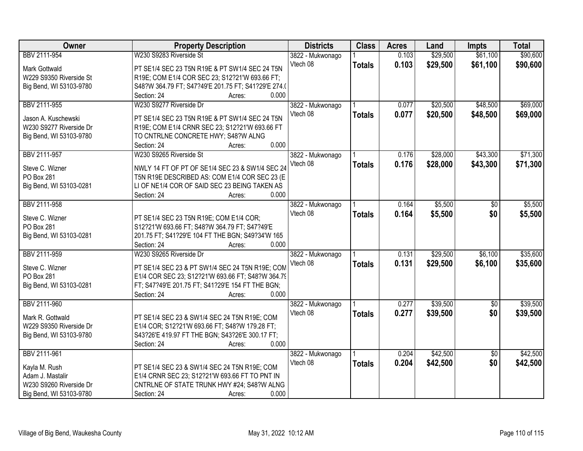| Owner                   | <b>Property Description</b>                         | <b>Districts</b> | <b>Class</b>  | <b>Acres</b> | Land     | <b>Impts</b>    | <b>Total</b> |
|-------------------------|-----------------------------------------------------|------------------|---------------|--------------|----------|-----------------|--------------|
| BBV 2111-954            | W230 S9283 Riverside St                             | 3822 - Mukwonago |               | 0.103        | \$29,500 | \$61,100        | \$90,600     |
| Mark Gottwald           | PT SE1/4 SEC 23 T5N R19E & PT SW1/4 SEC 24 T5N      | Vtech 08         | <b>Totals</b> | 0.103        | \$29,500 | \$61,100        | \$90,600     |
| W229 S9350 Riverside St | R19E; COM E1/4 COR SEC 23; S12?21'W 693.66 FT;      |                  |               |              |          |                 |              |
| Big Bend, WI 53103-9780 | S48?W 364.79 FT; S47?49'E 201.75 FT; S41?29'E 274.( |                  |               |              |          |                 |              |
|                         | 0.000<br>Section: 24<br>Acres:                      |                  |               |              |          |                 |              |
| BBV 2111-955            | W230 S9277 Riverside Dr                             | 3822 - Mukwonago |               | 0.077        | \$20,500 | \$48,500        | \$69,000     |
|                         |                                                     | Vtech 08         | <b>Totals</b> | 0.077        | \$20,500 | \$48,500        | \$69,000     |
| Jason A. Kuschewski     | PT SE1/4 SEC 23 T5N R19E & PT SW1/4 SEC 24 T5N      |                  |               |              |          |                 |              |
| W230 S9277 Riverside Dr | R19E; COM E1/4 CRNR SEC 23; S12?21'W 693.66 FT      |                  |               |              |          |                 |              |
| Big Bend, WI 53103-9780 | TO CNTRLNE CONCRETE HWY; S48?W ALNG<br>0.000        |                  |               |              |          |                 |              |
|                         | Section: 24<br>Acres:                               |                  |               |              |          |                 |              |
| BBV 2111-957            | W230 S9265 Riverside St                             | 3822 - Mukwonago |               | 0.176        | \$28,000 | \$43,300        | \$71,300     |
| Steve C. Wizner         | NWLY 14 FT OF PT OF SE1/4 SEC 23 & SW1/4 SEC 24     | Vtech 08         | <b>Totals</b> | 0.176        | \$28,000 | \$43,300        | \$71,300     |
| PO Box 281              | T5N R19E DESCRIBED AS: COM E1/4 COR SEC 23 (E       |                  |               |              |          |                 |              |
| Big Bend, WI 53103-0281 | LI OF NE1/4 COR OF SAID SEC 23 BEING TAKEN AS       |                  |               |              |          |                 |              |
|                         | 0.000<br>Section: 24<br>Acres:                      |                  |               |              |          |                 |              |
| BBV 2111-958            |                                                     | 3822 - Mukwonago |               | 0.164        | \$5,500  | $\sqrt[6]{}$    | \$5,500      |
|                         |                                                     | Vtech 08         | <b>Totals</b> | 0.164        | \$5,500  | \$0             | \$5,500      |
| Steve C. Wizner         | PT SE1/4 SEC 23 T5N R19E; COM E1/4 COR;             |                  |               |              |          |                 |              |
| PO Box 281              | S12?21'W 693.66 FT; S48?W 364.79 FT; S47?49'E       |                  |               |              |          |                 |              |
| Big Bend, WI 53103-0281 | 201.75 FT; S41?29'E 104 FT THE BGN; S49?34'W 165    |                  |               |              |          |                 |              |
|                         | 0.000<br>Section: 24<br>Acres:                      |                  |               |              |          |                 |              |
| BBV 2111-959            | W230 S9265 Riverside Dr                             | 3822 - Mukwonago |               | 0.131        | \$29,500 | \$6,100         | \$35,600     |
| Steve C. Wizner         | PT SE1/4 SEC 23 & PT SW1/4 SEC 24 T5N R19E; COM     | Vtech 08         | <b>Totals</b> | 0.131        | \$29,500 | \$6,100         | \$35,600     |
| PO Box 281              | E1/4 COR SEC 23; S12?21'W 693.66 FT; S48?W 364.79   |                  |               |              |          |                 |              |
| Big Bend, WI 53103-0281 | FT; S47?49'E 201.75 FT; S41?29'E 154 FT THE BGN;    |                  |               |              |          |                 |              |
|                         | 0.000<br>Section: 24<br>Acres:                      |                  |               |              |          |                 |              |
| BBV 2111-960            |                                                     | 3822 - Mukwonago |               | 0.277        | \$39,500 | $\overline{60}$ | \$39,500     |
|                         |                                                     | Vtech 08         | <b>Totals</b> | 0.277        | \$39,500 | \$0             | \$39,500     |
| Mark R. Gottwald        | PT SE1/4 SEC 23 & SW1/4 SEC 24 T5N R19E; COM        |                  |               |              |          |                 |              |
| W229 S9350 Riverside Dr | E1/4 COR; S12?21'W 693.66 FT; S48?W 179.28 FT;      |                  |               |              |          |                 |              |
| Big Bend, WI 53103-9780 | S43?26'E 419.97 FT THE BGN; S43?26'E 300.17 FT;     |                  |               |              |          |                 |              |
|                         | Section: 24<br>0.000<br>Acres:                      |                  |               |              |          |                 |              |
| BBV 2111-961            |                                                     | 3822 - Mukwonago |               | 0.204        | \$42,500 | $\overline{50}$ | \$42,500     |
| Kayla M. Rush           | PT SE1/4 SEC 23 & SW1/4 SEC 24 T5N R19E; COM        | Vtech 08         | <b>Totals</b> | 0.204        | \$42,500 | \$0             | \$42,500     |
| Adam J. Mastalir        | E1/4 CRNR SEC 23; S12?21'W 693.66 FT TO PNT IN      |                  |               |              |          |                 |              |
| W230 S9260 Riverside Dr | CNTRLNE OF STATE TRUNK HWY #24; S48?W ALNG          |                  |               |              |          |                 |              |
| Big Bend, WI 53103-9780 | 0.000<br>Section: 24<br>Acres:                      |                  |               |              |          |                 |              |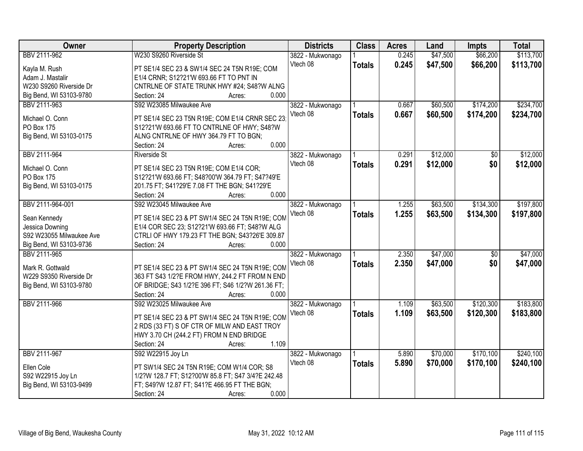| Owner                    | <b>Property Description</b>                        | <b>Districts</b> | <b>Class</b>  | <b>Acres</b> | Land     | <b>Impts</b>    | <b>Total</b> |
|--------------------------|----------------------------------------------------|------------------|---------------|--------------|----------|-----------------|--------------|
| BBV 2111-962             | W230 S9260 Riverside St                            | 3822 - Mukwonago |               | 0.245        | \$47,500 | \$66,200        | \$113,700    |
| Kayla M. Rush            | PT SE1/4 SEC 23 & SW1/4 SEC 24 T5N R19E; COM       | Vtech 08         | <b>Totals</b> | 0.245        | \$47,500 | \$66,200        | \$113,700    |
| Adam J. Mastalir         | E1/4 CRNR; S12?21'W 693.66 FT TO PNT IN            |                  |               |              |          |                 |              |
| W230 S9260 Riverside Dr  | CNTRLNE OF STATE TRUNK HWY #24; S48?W ALNG         |                  |               |              |          |                 |              |
| Big Bend, WI 53103-9780  | 0.000<br>Section: 24<br>Acres:                     |                  |               |              |          |                 |              |
| BBV 2111-963             | S92 W23085 Milwaukee Ave                           | 3822 - Mukwonago |               | 0.667        | \$60,500 | \$174,200       | \$234,700    |
| Michael O. Conn          | PT SE1/4 SEC 23 T5N R19E; COM E1/4 CRNR SEC 23     | Vtech 08         | <b>Totals</b> | 0.667        | \$60,500 | \$174,200       | \$234,700    |
| PO Box 175               | S12?21'W 693.66 FT TO CNTRLNE OF HWY; S48?W        |                  |               |              |          |                 |              |
| Big Bend, WI 53103-0175  | ALNG CNTRLNE OF HWY 364.79 FT TO BGN;              |                  |               |              |          |                 |              |
|                          | 0.000<br>Section: 24<br>Acres:                     |                  |               |              |          |                 |              |
| BBV 2111-964             | <b>Riverside St</b>                                | 3822 - Mukwonago |               | 0.291        | \$12,000 | \$0             | \$12,000     |
|                          |                                                    | Vtech 08         | <b>Totals</b> | 0.291        | \$12,000 | \$0             | \$12,000     |
| Michael O. Conn          | PT SE1/4 SEC 23 T5N R19E; COM E1/4 COR;            |                  |               |              |          |                 |              |
| <b>PO Box 175</b>        | S12?21'W 693.66 FT; S48?00'W 364.79 FT; S47?49'E   |                  |               |              |          |                 |              |
| Big Bend, WI 53103-0175  | 201.75 FT; S41?29'E 7.08 FT THE BGN; S41?29'E      |                  |               |              |          |                 |              |
|                          | Section: 24<br>0.000<br>Acres:                     |                  |               |              |          |                 |              |
| BBV 2111-964-001         | S92 W23045 Milwaukee Ave                           | 3822 - Mukwonago |               | 1.255        | \$63,500 | \$134,300       | \$197,800    |
| Sean Kennedy             | PT SE1/4 SEC 23 & PT SW1/4 SEC 24 T5N R19E; COM    | Vtech 08         | <b>Totals</b> | 1.255        | \$63,500 | \$134,300       | \$197,800    |
| Jessica Downing          | E1/4 COR SEC 23; S12?21'W 693.66 FT; S48?W ALG     |                  |               |              |          |                 |              |
| S92 W23055 Milwaukee Ave | CTRLI OF HWY 179.23 FT THE BGN; S43?26'E 309.87    |                  |               |              |          |                 |              |
| Big Bend, WI 53103-9736  | 0.000<br>Section: 24<br>Acres:                     |                  |               |              |          |                 |              |
| BBV 2111-965             |                                                    | 3822 - Mukwonago |               | 2.350        | \$47,000 | $\overline{50}$ | \$47,000     |
| Mark R. Gottwald         | PT SE1/4 SEC 23 & PT SW1/4 SEC 24 T5N R19E; COM    | Vtech 08         | <b>Totals</b> | 2.350        | \$47,000 | \$0             | \$47,000     |
| W229 S9350 Riverside Dr  | 363 FT S43 1/2?E FROM HWY, 244.2 FT FROM N END     |                  |               |              |          |                 |              |
| Big Bend, WI 53103-9780  | OF BRIDGE; S43 1/2?E 396 FT; S46 1/2?W 261.36 FT;  |                  |               |              |          |                 |              |
|                          | 0.000<br>Section: 24<br>Acres:                     |                  |               |              |          |                 |              |
| BBV 2111-966             | S92 W23025 Milwaukee Ave                           | 3822 - Mukwonago |               | 1.109        | \$63,500 | \$120,300       | \$183,800    |
|                          |                                                    | Vtech 08         | <b>Totals</b> | 1.109        | \$63,500 | \$120,300       | \$183,800    |
|                          | PT SE1/4 SEC 23 & PT SW1/4 SEC 24 T5N R19E; COM    |                  |               |              |          |                 |              |
|                          | 2 RDS (33 FT) S OF CTR OF MILW AND EAST TROY       |                  |               |              |          |                 |              |
|                          | HWY 3.70 CH (244.2 FT) FROM N END BRIDGE           |                  |               |              |          |                 |              |
|                          | 1.109<br>Section: 24<br>Acres:                     |                  |               |              |          |                 |              |
| BBV 2111-967             | S92 W22915 Joy Ln                                  | 3822 - Mukwonago |               | 5.890        | \$70,000 | \$170,100       | \$240,100    |
| Ellen Cole               | PT SW1/4 SEC 24 T5N R19E; COM W1/4 COR; S8         | Vtech 08         | <b>Totals</b> | 5.890        | \$70,000 | \$170,100       | \$240,100    |
| S92 W22915 Joy Ln        | 1/2?W 128.7 FT; S12?00'W 85.8 FT; S47 3/4?E 242.48 |                  |               |              |          |                 |              |
| Big Bend, WI 53103-9499  | FT; S49?W 12.87 FT; S41?E 466.95 FT THE BGN;       |                  |               |              |          |                 |              |
|                          | 0.000<br>Section: 24<br>Acres:                     |                  |               |              |          |                 |              |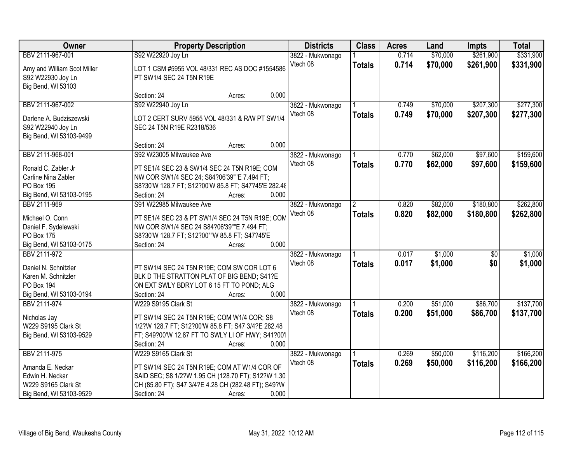| Owner                                            |                                                                            | <b>Property Description</b> | <b>Districts</b> | <b>Class</b>         | <b>Acres</b> | Land     | <b>Impts</b>    | <b>Total</b> |
|--------------------------------------------------|----------------------------------------------------------------------------|-----------------------------|------------------|----------------------|--------------|----------|-----------------|--------------|
| BBV 2111-967-001                                 | S92 W22920 Joy Ln                                                          |                             | 3822 - Mukwonago |                      | 0.714        | \$70,000 | \$261,900       | \$331,900    |
| Amy and William Scot Miller<br>S92 W22930 Joy Ln | LOT 1 CSM #5955 VOL 48/331 REC AS DOC #1554586<br>PT SW1/4 SEC 24 T5N R19E |                             | Vtech 08         | <b>Totals</b>        | 0.714        | \$70,000 | \$261,900       | \$331,900    |
| Big Bend, WI 53103                               |                                                                            |                             |                  |                      |              |          |                 |              |
|                                                  | Section: 24                                                                | Acres:                      | 0.000            |                      |              |          |                 |              |
| BBV 2111-967-002                                 | S92 W22940 Joy Ln                                                          |                             | 3822 - Mukwonago |                      | 0.749        | \$70,000 | \$207,300       | \$277,300    |
| Darlene A. Budziszewski                          | LOT 2 CERT SURV 5955 VOL 48/331 & R/W PT SW1/4                             |                             | Vtech 08         | <b>Totals</b>        | 0.749        | \$70,000 | \$207,300       | \$277,300    |
| S92 W22940 Joy Ln                                | SEC 24 T5N R19E R2318/536                                                  |                             |                  |                      |              |          |                 |              |
| Big Bend, WI 53103-9499                          |                                                                            |                             |                  |                      |              |          |                 |              |
|                                                  | Section: 24                                                                | Acres:                      | 0.000            |                      |              |          |                 |              |
| BBV 2111-968-001                                 | S92 W23005 Milwaukee Ave                                                   |                             | 3822 - Mukwonago |                      | 0.770        | \$62,000 | \$97,600        | \$159,600    |
|                                                  |                                                                            |                             | Vtech 08         | <b>Totals</b>        | 0.770        | \$62,000 | \$97,600        | \$159,600    |
| Ronald C. Zabler Jr                              | PT SE1/4 SEC 23 & SW1/4 SEC 24 T5N R19E; COM                               |                             |                  |                      |              |          |                 |              |
| Carline Nina Zabler                              | NW COR SW1/4 SEC 24; S84?06'39""E 7.494 FT;                                |                             |                  |                      |              |          |                 |              |
| PO Box 195                                       | S8?30'W 128.7 FT; S12?00'W 85.8 FT; S47?45'E 282.48                        |                             |                  |                      |              |          |                 |              |
| Big Bend, WI 53103-0195                          | Section: 24                                                                | Acres:                      | 0.000            |                      |              |          |                 |              |
| BBV 2111-969                                     | S91 W22985 Milwaukee Ave                                                   |                             | 3822 - Mukwonago | $\mathbf{2}^{\circ}$ | 0.820        | \$82,000 | \$180,800       | \$262,800    |
| Michael O. Conn                                  | PT SE1/4 SEC 23 & PT SW1/4 SEC 24 T5N R19E; COM                            |                             | Vtech 08         | <b>Totals</b>        | 0.820        | \$82,000 | \$180,800       | \$262,800    |
| Daniel F. Sydelewski                             | NW COR SW1/4 SEC 24 S84?06'39""E 7.494 FT;                                 |                             |                  |                      |              |          |                 |              |
| PO Box 175                                       | S8?30'W 128.7 FT; S12?00""W 85.8 FT; S47?45'E                              |                             |                  |                      |              |          |                 |              |
| Big Bend, WI 53103-0175                          | Section: 24                                                                | Acres:                      | 0.000            |                      |              |          |                 |              |
| BBV 2111-972                                     |                                                                            |                             | 3822 - Mukwonago |                      | 0.017        | \$1,000  | $\overline{50}$ | \$1,000      |
| Daniel N. Schnitzler                             | PT SW1/4 SEC 24 T5N R19E; COM SW COR LOT 6                                 |                             | Vtech 08         | <b>Totals</b>        | 0.017        | \$1,000  | \$0             | \$1,000      |
| Karen M. Schnitzler                              | BLK D THE STRATTON PLAT OF BIG BEND; S41?E                                 |                             |                  |                      |              |          |                 |              |
| <b>PO Box 194</b>                                | ON EXT SWLY BDRY LOT 6 15 FT TO POND; ALG                                  |                             |                  |                      |              |          |                 |              |
| Big Bend, WI 53103-0194                          | Section: 24                                                                | Acres:                      | 0.000            |                      |              |          |                 |              |
| BBV 2111-974                                     | W229 S9195 Clark St                                                        |                             | 3822 - Mukwonago |                      | 0.200        | \$51,000 | \$86,700        | \$137,700    |
|                                                  |                                                                            |                             | Vtech 08         | <b>Totals</b>        | 0.200        | \$51,000 | \$86,700        | \$137,700    |
| Nicholas Jay                                     | PT SW1/4 SEC 24 T5N R19E; COM W1/4 COR; S8                                 |                             |                  |                      |              |          |                 |              |
| W229 S9195 Clark St                              | 1/2?W 128.7 FT; S12?00'W 85.8 FT; S47 3/4?E 282.48                         |                             |                  |                      |              |          |                 |              |
| Big Bend, WI 53103-9529                          | FT; S49?00'W 12.87 FT TO SWLY LI OF HWY; S41?00'I                          |                             |                  |                      |              |          |                 |              |
|                                                  | Section: 24                                                                | Acres:                      | 0.000            |                      |              |          |                 |              |
| BBV 2111-975                                     | W229 S9165 Clark St                                                        |                             | 3822 - Mukwonago |                      | 0.269        | \$50,000 | \$116,200       | \$166,200    |
| Amanda E. Neckar                                 | PT SW1/4 SEC 24 T5N R19E; COM AT W1/4 COR OF                               |                             | Vtech 08         | <b>Totals</b>        | 0.269        | \$50,000 | \$116,200       | \$166,200    |
| Edwin H. Neckar                                  | SAID SEC; S8 1/2?W 1.95 CH (128.70 FT); S12?W 1.30                         |                             |                  |                      |              |          |                 |              |
| W229 S9165 Clark St                              | CH (85.80 FT); S47 3/4?E 4.28 CH (282.48 FT); S49?W                        |                             |                  |                      |              |          |                 |              |
| Big Bend, WI 53103-9529                          | Section: 24                                                                | Acres:                      | 0.000            |                      |              |          |                 |              |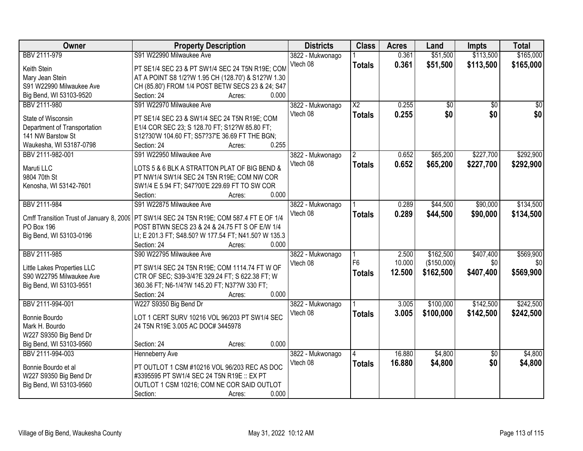| Owner                        | <b>Property Description</b>                                                              | <b>Districts</b> | <b>Class</b>           | <b>Acres</b> | Land            | Impts           | <b>Total</b> |
|------------------------------|------------------------------------------------------------------------------------------|------------------|------------------------|--------------|-----------------|-----------------|--------------|
| BBV 2111-979                 | S91 W22990 Milwaukee Ave                                                                 | 3822 - Mukwonago |                        | 0.361        | \$51,500        | \$113,500       | \$165,000    |
| Keith Stein                  | PT SE1/4 SEC 23 & PT SW1/4 SEC 24 T5N R19E; COM                                          | Vtech 08         | <b>Totals</b>          | 0.361        | \$51,500        | \$113,500       | \$165,000    |
| Mary Jean Stein              | AT A POINT S8 1/2?W 1.95 CH (128.70') & S12?W 1.30                                       |                  |                        |              |                 |                 |              |
| S91 W22990 Milwaukee Ave     | CH (85.80') FROM 1/4 POST BETW SECS 23 & 24; S47                                         |                  |                        |              |                 |                 |              |
| Big Bend, WI 53103-9520      | Section: 24<br>0.000<br>Acres:                                                           |                  |                        |              |                 |                 |              |
| BBV 2111-980                 | S91 W22970 Milwaukee Ave                                                                 | 3822 - Mukwonago | $\overline{\text{X2}}$ | 0.255        | $\overline{50}$ | $\overline{50}$ | \$0          |
|                              |                                                                                          | Vtech 08         | <b>Totals</b>          | 0.255        | \$0             | \$0             | \$0          |
| State of Wisconsin           | PT SE1/4 SEC 23 & SW1/4 SEC 24 T5N R19E; COM                                             |                  |                        |              |                 |                 |              |
| Department of Transportation | E1/4 COR SEC 23; S 128.70 FT; S12?W 85.80 FT;                                            |                  |                        |              |                 |                 |              |
| 141 NW Barstow St            | S12?30'W 104.60 FT; S57?37'E 36.69 FT THE BGN;                                           |                  |                        |              |                 |                 |              |
| Waukesha, WI 53187-0798      | 0.255<br>Section: 24<br>Acres:                                                           |                  |                        |              |                 |                 |              |
| BBV 2111-982-001             | S91 W22950 Milwaukee Ave                                                                 | 3822 - Mukwonago |                        | 0.652        | \$65,200        | \$227,700       | \$292,900    |
| Maruti LLC                   | LOTS 5 & 6 BLK A STRATTON PLAT OF BIG BEND &                                             | Vtech 08         | <b>Totals</b>          | 0.652        | \$65,200        | \$227,700       | \$292,900    |
| 9804 70th St                 | PT NW1/4 SW1/4 SEC 24 T5N R19E; COM NW COR                                               |                  |                        |              |                 |                 |              |
| Kenosha, WI 53142-7601       | SW1/4 E 5.94 FT; S47?00'E 229.69 FT TO SW COR                                            |                  |                        |              |                 |                 |              |
|                              | 0.000<br>Section:<br>Acres:                                                              |                  |                        |              |                 |                 |              |
| BBV 2111-984                 | S91 W22875 Milwaukee Ave                                                                 | 3822 - Mukwonago |                        | 0.289        | \$44,500        | \$90,000        | \$134,500    |
|                              |                                                                                          | Vtech 08         | <b>Totals</b>          | 0.289        | \$44,500        | \$90,000        | \$134,500    |
|                              | Cmff Transition Trust of January 8, 2009 PT SW1/4 SEC 24 T5N R19E; COM 587.4 FT E OF 1/4 |                  |                        |              |                 |                 |              |
| <b>PO Box 196</b>            | POST BTWN SECS 23 & 24 & 24.75 FT S OF E/W 1/4                                           |                  |                        |              |                 |                 |              |
| Big Bend, WI 53103-0196      | LI; E 201.3 FT; S48.50? W 177.54 FT; N41.50? W 135.3                                     |                  |                        |              |                 |                 |              |
|                              | 0.000<br>Section: 24<br>Acres:                                                           |                  |                        |              |                 |                 |              |
| BBV 2111-985                 | S90 W22795 Milwaukee Ave                                                                 | 3822 - Mukwonago |                        | 2.500        | \$162,500       | \$407,400       | \$569,900    |
| Little Lakes Properties LLC  | PT SW1/4 SEC 24 T5N R19E; COM 1114.74 FT W OF                                            | Vtech 08         | F <sub>6</sub>         | 10.000       | (\$150,000)     | \$0             | \$0          |
| S90 W22795 Milwaukee Ave     | CTR OF SEC; S39-3/4?E 329.24 FT; S 622.38 FT; W                                          |                  | <b>Totals</b>          | 12.500       | \$162,500       | \$407,400       | \$569,900    |
| Big Bend, WI 53103-9551      | 360.36 FT; N6-1/4?W 145.20 FT; N37?W 330 FT;                                             |                  |                        |              |                 |                 |              |
|                              | 0.000<br>Section: 24<br>Acres:                                                           |                  |                        |              |                 |                 |              |
| BBV 2111-994-001             | W227 S9350 Big Bend Dr                                                                   | 3822 - Mukwonago |                        | 3.005        | \$100,000       | \$142,500       | \$242,500    |
|                              |                                                                                          | Vtech 08         | <b>Totals</b>          | 3.005        | \$100,000       | \$142,500       | \$242,500    |
| Bonnie Bourdo                | LOT 1 CERT SURV 10216 VOL 96/203 PT SW1/4 SEC                                            |                  |                        |              |                 |                 |              |
| Mark H. Bourdo               | 24 T5N R19E 3.005 AC DOC# 3445978                                                        |                  |                        |              |                 |                 |              |
| W227 S9350 Big Bend Dr       |                                                                                          |                  |                        |              |                 |                 |              |
| Big Bend, WI 53103-9560      | 0.000<br>Section: 24<br>Acres:                                                           |                  |                        |              |                 |                 |              |
| BBV 2111-994-003             | <b>Henneberry Ave</b>                                                                    | 3822 - Mukwonago |                        | 16.880       | \$4,800         | $\overline{60}$ | \$4,800      |
| Bonnie Bourdo et al          | PT OUTLOT 1 CSM #10216 VOL 96/203 REC AS DOC                                             | Vtech 08         | <b>Totals</b>          | 16.880       | \$4,800         | \$0             | \$4,800      |
| W227 S9350 Big Bend Dr       | #3395595 PT SW1/4 SEC 24 T5N R19E :: EX PT                                               |                  |                        |              |                 |                 |              |
| Big Bend, WI 53103-9560      | OUTLOT 1 CSM 10216; COM NE COR SAID OUTLOT                                               |                  |                        |              |                 |                 |              |
|                              | 0.000<br>Section:<br>Acres:                                                              |                  |                        |              |                 |                 |              |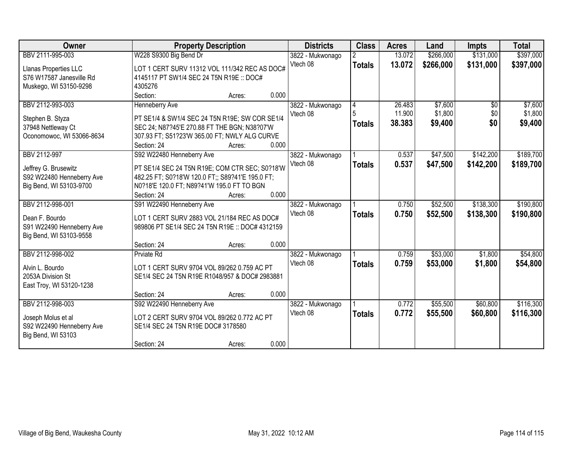| Owner                     | <b>Property Description</b>                      |                 | <b>Districts</b> | <b>Class</b>  | <b>Acres</b> | Land      | <b>Impts</b> | <b>Total</b> |
|---------------------------|--------------------------------------------------|-----------------|------------------|---------------|--------------|-----------|--------------|--------------|
| BBV 2111-995-003          | W228 S9300 Big Bend Dr                           |                 | 3822 - Mukwonago |               | 13.072       | \$266,000 | \$131,000    | \$397,000    |
| Llanas Properties LLC     | LOT 1 CERT SURV 11312 VOL 111/342 REC AS DOC#    |                 | Vtech 08         | <b>Totals</b> | 13.072       | \$266,000 | \$131,000    | \$397,000    |
| S76 W17587 Janesville Rd  | 4145117 PT SW1/4 SEC 24 T5N R19E :: DOC#         |                 |                  |               |              |           |              |              |
| Muskego, WI 53150-9298    | 4305276                                          |                 |                  |               |              |           |              |              |
|                           | Section:                                         | 0.000<br>Acres: |                  |               |              |           |              |              |
| BBV 2112-993-003          | <b>Henneberry Ave</b>                            |                 | 3822 - Mukwonago |               | 26.483       | \$7,600   | \$0          | \$7,600      |
| Stephen B. Styza          | PT SE1/4 & SW1/4 SEC 24 T5N R19E; SW COR SE1/4   |                 | Vtech 08         | 5             | 11.900       | \$1,800   | \$0          | \$1,800      |
| 37948 Nettleway Ct        | SEC 24; N87?45'E 270.88 FT THE BGN; N38?07'W     |                 |                  | <b>Totals</b> | 38.383       | \$9,400   | \$0          | \$9,400      |
| Oconomowoc, WI 53066-8634 | 307.93 FT; S51?23'W 365.00 FT; NWLY ALG CURVE    |                 |                  |               |              |           |              |              |
|                           | Section: 24                                      | 0.000<br>Acres: |                  |               |              |           |              |              |
| BBV 2112-997              | S92 W22480 Henneberry Ave                        |                 | 3822 - Mukwonago |               | 0.537        | \$47,500  | \$142,200    | \$189,700    |
| Jeffrey G. Brusewitz      | PT SE1/4 SEC 24 T5N R19E; COM CTR SEC; S0?18'W   |                 | Vtech 08         | <b>Totals</b> | 0.537        | \$47,500  | \$142,200    | \$189,700    |
| S92 W22480 Henneberry Ave | 482.25 FT; S0?18'W 120.0 FT;; S89?41'E 195.0 FT; |                 |                  |               |              |           |              |              |
| Big Bend, WI 53103-9700   | N0?18'E 120.0 FT; N89?41'W 195.0 FT TO BGN       |                 |                  |               |              |           |              |              |
|                           | Section: 24                                      | 0.000<br>Acres: |                  |               |              |           |              |              |
| BBV 2112-998-001          | S91 W22490 Henneberry Ave                        |                 | 3822 - Mukwonago |               | 0.750        | \$52,500  | \$138,300    | \$190,800    |
| Dean F. Bourdo            | LOT 1 CERT SURV 2883 VOL 21/184 REC AS DOC#      |                 | Vtech 08         | <b>Totals</b> | 0.750        | \$52,500  | \$138,300    | \$190,800    |
| S91 W22490 Henneberry Ave | 989806 PT SE1/4 SEC 24 T5N R19E :: DOC# 4312159  |                 |                  |               |              |           |              |              |
| Big Bend, WI 53103-9558   |                                                  |                 |                  |               |              |           |              |              |
|                           | Section: 24                                      | 0.000<br>Acres: |                  |               |              |           |              |              |
| BBV 2112-998-002          | <b>Prviate Rd</b>                                |                 | 3822 - Mukwonago |               | 0.759        | \$53,000  | \$1,800      | \$54,800     |
| Alvin L. Bourdo           | LOT 1 CERT SURV 9704 VOL 89/262 0.759 AC PT      |                 | Vtech 08         | <b>Totals</b> | 0.759        | \$53,000  | \$1,800      | \$54,800     |
| 2053A Division St         | SE1/4 SEC 24 T5N R19E R1048/957 & DOC# 2983881   |                 |                  |               |              |           |              |              |
| East Troy, WI 53120-1238  |                                                  |                 |                  |               |              |           |              |              |
|                           | Section: 24                                      | 0.000<br>Acres: |                  |               |              |           |              |              |
| BBV 2112-998-003          | S92 W22490 Henneberry Ave                        |                 | 3822 - Mukwonago |               | 0.772        | \$55,500  | \$60,800     | \$116,300    |
| Joseph Molus et al        | LOT 2 CERT SURV 9704 VOL 89/262 0.772 AC PT      |                 | Vtech 08         | <b>Totals</b> | 0.772        | \$55,500  | \$60,800     | \$116,300    |
| S92 W22490 Henneberry Ave | SE1/4 SEC 24 T5N R19E DOC# 3178580               |                 |                  |               |              |           |              |              |
| Big Bend, WI 53103        |                                                  |                 |                  |               |              |           |              |              |
|                           | Section: 24                                      | 0.000<br>Acres: |                  |               |              |           |              |              |